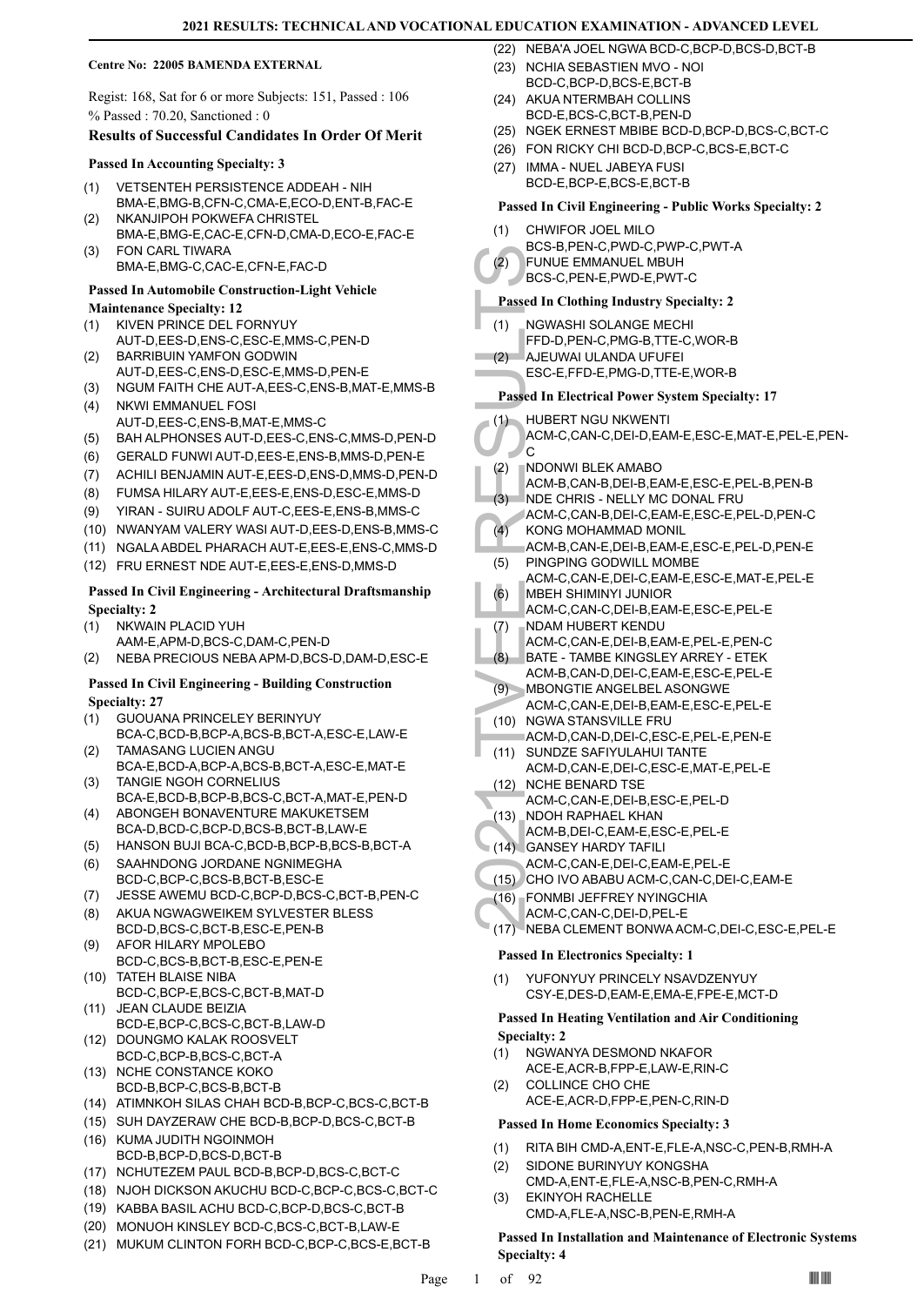### **Centre No: 22005 BAMENDA EXTERNAL**

Regist: 168, Sat for 6 or more Subjects: 151, Passed : 106 % Passed : 70.20, Sanctioned : 0

# **Results of Successful Candidates In Order Of Merit**

### **Passed In Accounting Specialty: 3**

- VETSENTEH PERSISTENCE ADDEAH NIH BMA-E,BMG-B,CFN-C,CMA-E,ECO-D,ENT-B,FAC-E (1)
- NKANJIPOH POKWEFA CHRISTEL BMA-E,BMG-E,CAC-E,CFN-D,CMA-D,ECO-E,FAC-E (2) FON CARL TIWARA (3)
- BMA-E,BMG-C,CAC-E,CFN-E,FAC-D

# **Passed In Automobile Construction-Light Vehicle**

# **Maintenance Specialty: 12**

- KIVEN PRINCE DEL FORNYUY AUT-D,EES-D,ENS-C,ESC-E,MMS-C,PEN-D (1)
- BARRIBUIN YAMFON GODWIN (2)
- AUT-D,EES-C,ENS-D,ESC-E,MMS-D,PEN-E (3) NGUM FAITH CHE AUT-A,EES-C,ENS-B,MAT-E,MMS-B
- NKWI EMMANUEL FOSI AUT-D,EES-C,ENS-B,MAT-E,MMS-C (4)
- (5) BAH ALPHONSES AUT-D,EES-C,ENS-C,MMS-D,PEN-D
- (6) GERALD FUNWI AUT-D,EES-E,ENS-B,MMS-D,PEN-E
- (7) ACHILI BENJAMIN AUT-E,EES-D,ENS-D,MMS-D,PEN-D
- (8) FUMSA HILARY AUT-E,EES-E,ENS-D,ESC-E,MMS-D
- (9) YIRAN SUIRU ADOLF AUT-C,EES-E,ENS-B,MMS-C
- (10) NWANYAM VALERY WASI AUT-D,EES-D,ENS-B,MMS-C
- (11) NGALA ABDEL PHARACH AUT-E,EES-E,ENS-C,MMS-D
- (12) FRU ERNEST NDE AUT-E,EES-E,ENS-D,MMS-D

# **Passed In Civil Engineering - Architectural Draftsmanship Specialty: 2**

NKWAIN PLACID YUH AAM-E,APM-D,BCS-C,DAM-C,PEN-D (1)

(2) NEBA PRECIOUS NEBA APM-D,BCS-D,DAM-D,ESC-E

# **Passed In Civil Engineering - Building Construction Specialty: 27**

- GUOUANA PRINCELEY BERINYUY BCA-C,BCD-B,BCP-A,BCS-B,BCT-A,ESC-E,LAW-E (1)
- TAMASANG LUCIEN ANGU BCA-E,BCD-A,BCP-A,BCS-B,BCT-A,ESC-E,MAT-E (2) TANGIE NGOH CORNELIUS (3)
- BCA-E,BCD-B,BCP-B,BCS-C,BCT-A,MAT-E,PEN-D ABONGEH BONAVENTURE MAKUKETSEM (4)
- BCA-D,BCD-C,BCP-D,BCS-B,BCT-B,LAW-E
- (5) HANSON BUJI BCA-C,BCD-B,BCP-B,BCS-B,BCT-A
- SAAHNDONG JORDANE NGNIMEGHA BCD-C,BCP-C,BCS-B,BCT-B,ESC-E (6)
- (7) JESSE AWEMU BCD-C,BCP-D,BCS-C,BCT-B,PEN-C
- AKUA NGWAGWEIKEM SYLVESTER BLESS BCD-D,BCS-C,BCT-B,ESC-E,PEN-B (8)
- AFOR HILARY MPOLEBO BCD-C,BCS-B,BCT-B,ESC-E,PEN-E (9)
- (10) TATEH BLAISE NIBA BCD-C,BCP-E,BCS-C,BCT-B,MAT-D
- JEAN CLAUDE BEIZIA BCD-E,BCP-C,BCS-C,BCT-B,LAW-D (11)
- (12) DOUNGMO KALAK ROOSVELT BCD-C,BCP-B,BCS-C,BCT-A
- (13) NCHE CONSTANCE KOKO BCD-B,BCP-C,BCS-B,BCT-B
- (14) ATIMNKOH SILAS CHAH BCD-B,BCP-C,BCS-C,BCT-B
- (15) SUH DAYZERAW CHE BCD-B,BCP-D,BCS-C,BCT-B (16) KUMA JUDITH NGOINMOH
- BCD-B,BCP-D,BCS-D,BCT-B
- (17) NCHUTEZEM PAUL BCD-B,BCP-D,BCS-C,BCT-C
- (18) NJOH DICKSON AKUCHU BCD-C,BCP-C,BCS-C,BCT-C
- (19) KABBA BASIL ACHU BCD-C,BCP-D,BCS-C,BCT-B
- (20) MONUOH KINSLEY BCD-C,BCS-C,BCT-B,LAW-E
- (21) MUKUM CLINTON FORH BCD-C,BCP-C,BCS-E,BCT-B
- (22) NEBA'A JOEL NGWA BCD-C,BCP-D,BCS-D,BCT-B
- (23) NCHIA SEBASTIEN MVO NOI
- BCD-C,BCP-D,BCS-E,BCT-B (24) AKUA NTERMBAH COLLINS
- BCD-E,BCS-C,BCT-B,PEN-D (25) NGEK ERNEST MBIBE BCD-D,BCP-D,BCS-C,BCT-C
- (26) FON RICKY CHI BCD-D,BCP-C,BCS-E,BCT-C
- (27) IMMA NUEL JABEYA FUSI
- BCD-E,BCP-E,BCS-E,BCT-B

# **Passed In Civil Engineering - Public Works Specialty: 2**

- CHWIFOR JOEL MILO (1)
	- BCS-B,PEN-C,PWD-C,PWP-C,PWT-A
- FUNUE EMMANUEL MBUH (2)
- BCS-C,PEN-E,PWD-E,PWT-C

# **Passed In Clothing Industry Specialty: 2**

- NGWASHI SOLANGE MECHI (1)
- FFD-D,PEN-C,PMG-B,TTE-C,WOR-B
- AJEUWAI ULANDA UFUFEI (2)
- ESC-E,FFD-E,PMG-D,TTE-E,WOR-B

# **Passed In Electrical Power System Specialty: 17**

- HUBERT NGU NKWENTI (1)
- (2) FUNUE<br>
BCS-C, Passed In Cl<br>
BCS-C, Passed In Cl<br>
(1) NGWAS<br>
FFD-D, FAJEUW, ESC-E, Passed In El<br>
(1) HUBER<br>
ACM-C, C<br>
(2) NDONN<br>
ACM-C, C<br>
(2) NDONN<br>
ACM-C, KONG ACM-B, NDE CH<br>
ACM-C, KONG ACM-B, C<br>
(4) KOM-B, ACM-C, MB ACM-C,CAN-C,DEI-D,EAM-E,ESC-E,MAT-E,PEL-E,PEN-'c
	- NDONWI BLEK AMABO (2)
	- ACM-B,CAN-B,DEI-B,EAM-E,ESC-E,PEL-B,PEN-B
	- NDE CHRIS NELLY MC DONAL FRU (3)
	- ACM-C,CAN-B,DEI-C,EAM-E,ESC-E,PEL-D,PEN-C KONG MOHAMMAD MONIL  $(4)$
	- ACM-B,CAN-E,DEI-B,EAM-E,ESC-E,PEL-D,PEN-E
	- PINGPING GODWILL MOMBE (5)
	- ACM-C,CAN-E,DEI-C,EAM-E,ESC-E,MAT-E,PEL-E MBEH SHIMINYI JUNIOR (6)
	- ACM-C,CAN-C,DEI-B,EAM-E,ESC-E,PEL-E
	- NDAM HUBERT KENDU (7)
	- ACM-C,CAN-E,DEI-B,EAM-E,PEL-E,PEN-C
	- BATE TAMBE KINGSLEY ARREY ETEK ACM-B,CAN-D,DEI-C,EAM-E,ESC-E,PEL-E (8)
- MBONGTIE ANGELBEL ASONGWE (9) ACM-C,CAN-E,DEI-B,EAM-E,ESC-E,PEL-E
- (10) NGWA STANSVILLE FRU
- ACM-D,CAN-D,DEI-C,ESC-E,PEL-E,PEN-E
- (11) SUNDZE SAFIYULAHUI TANTE ACM-D,CAN-E,DEI-C,ESC-E,MAT-E,PEL-E
- (12) NCHE BENARD TSE ACM-C,CAN-E,DEI-B,ESC-E,PEL-D
- (13) \_NDOH RAPHAEL KHAN
- ACM-B,DEI-C,EAM-E,ESC-E,PEL-E
- GANSEY HARDY TAFILI (14)
- ACM-C,CAN-E,DEI-C,EAM-E,PEL-E
- (15) CHO IVO ABABU ACM-C,CAN-C,DEI-C,EAM-E
- FONMBI JEFFREY NYINGCHIA (16)
- ACM-C,CAN-C,DEI-D,PEL-E
- (17) NEBA CLEMENT BONWA ACM-C,DEI-C,ESC-E,PEL-E

### **Passed In Electronics Specialty: 1**

YUFONYUY PRINCELY NSAVDZENYUY CSY-E,DES-D,EAM-E,EMA-E,FPE-E,MCT-D (1)

# **Passed In Heating Ventilation and Air Conditioning Specialty: 2**

- NGWANYA DESMOND NKAFOR (1)
- ACE-E,ACR-B,FPP-E,LAW-E,RIN-C COLLINCE CHO CHE (2)
- ACE-E,ACR-D,FPP-E,PEN-C,RIN-D

# **Passed In Home Economics Specialty: 3**

(1) RITA BIH CMD-A,ENT-E,FLE-A,NSC-C,PEN-B,RMH-A

**Passed In Installation and Maintenance of Electronic Systems** 

CMD-A,ENT-E,FLE-A,NSC-B,PEN-C,RMH-A

CMD-A,FLE-A,NSC-B,PEN-E,RMH-A

Page  $1$  of  $92$   $\blacksquare$ 

SIDONE BURINYUY KONGSHA (2)

EKINYOH RACHELLE

(3)

**Specialty: 4**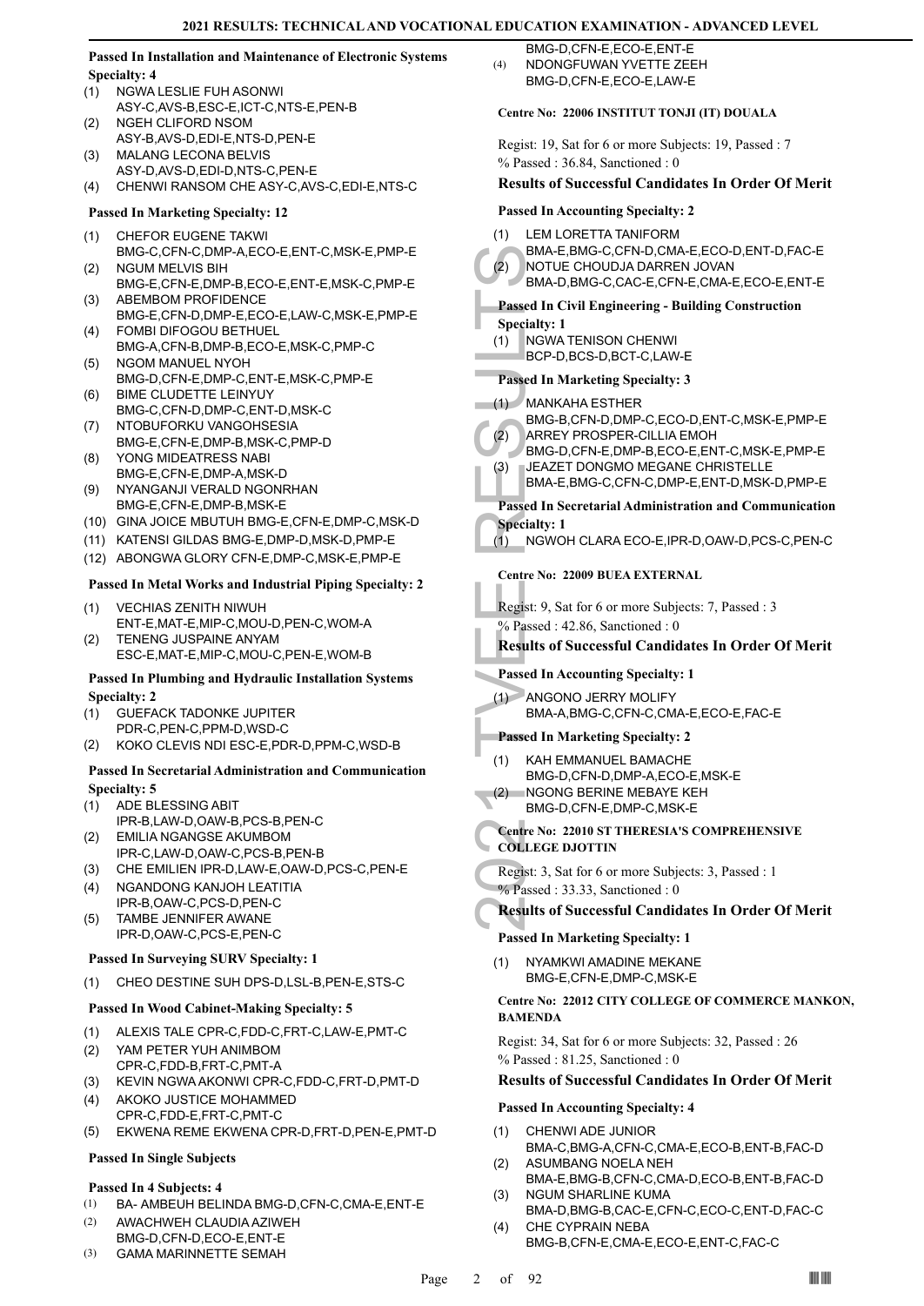# **Passed In Installation and Maintenance of Electronic Systems Specialty: 4**

- NGWA LESLIE FUH ASONWI ASY-C,AVS-B,ESC-E,ICT-C,NTS-E,PEN-B (1)
- NGEH CLIFORD NSOM ASY-B,AVS-D,EDI-E,NTS-D,PEN-E (2)
- MALANG LECONA BELVIS (3)
- ASY-D,AVS-D,EDI-D,NTS-C,PEN-E (4) CHENWI RANSOM CHE ASY-C,AVS-C,EDI-E,NTS-C

# **Passed In Marketing Specialty: 12**

- CHEFOR EUGENE TAKWI (1)
- BMG-C,CFN-C,DMP-A,ECO-E,ENT-C,MSK-E,PMP-E NGUM MELVIS BIH (2)
- BMG-E,CFN-E,DMP-B,ECO-E,ENT-E,MSK-C,PMP-E ABEMBOM PROFIDENCE (3)
- BMG-E,CFN-D,DMP-E,ECO-E,LAW-C,MSK-E,PMP-E FOMBI DIFOGOU BETHUEL (4)
- BMG-A,CFN-B,DMP-B,ECO-E,MSK-C,PMP-C (5) NGOM MANUEL NYOH
- BMG-D,CFN-E,DMP-C,ENT-E,MSK-C,PMP-E BIME CLUDETTE LEINYUY (6)
- BMG-C,CFN-D,DMP-C,ENT-D,MSK-C
- (7) NTOBUFORKU VANGOHSESIA BMG-E,CFN-E,DMP-B,MSK-C,PMP-D YONG MIDEATRESS NABI (8)
- BMG-E,CFN-E,DMP-A,MSK-D
- NYANGANJI VERALD NGONRHAN BMG-E,CFN-E,DMP-B,MSK-E (9)
- (10) GINA JOICE MBUTUH BMG-E,CFN-E,DMP-C,MSK-D
- (11) KATENSI GILDAS BMG-E,DMP-D,MSK-D,PMP-E
- (12) ABONGWA GLORY CFN-E,DMP-C,MSK-E,PMP-E

# **Passed In Metal Works and Industrial Piping Specialty: 2**

- VECHIAS ZENITH NIWUH ENT-E,MAT-E,MIP-C,MOU-D,PEN-C,WOM-A (1)
- TENENG JUSPAINE ANYAM ESC-E,MAT-E,MIP-C,MOU-C,PEN-E,WOM-B (2)

# **Passed In Plumbing and Hydraulic Installation Systems Specialty: 2**

- GUEFACK TADONKE JUPITER (1)
- PDR-C,PEN-C,PPM-D,WSD-C
- (2) KOKO CLEVIS NDI ESC-E,PDR-D,PPM-C,WSD-B

# **Passed In Secretarial Administration and Communication Specialty: 5**

- ADE BLESSING ABIT (1)
- IPR-B,LAW-D,OAW-B,PCS-B,PEN-C EMILIA NGANGSE AKUMBOM (2)
- IPR-C,LAW-D,OAW-C,PCS-B,PEN-B
- (3) CHE EMILIEN IPR-D,LAW-E,OAW-D,PCS-C,PEN-E
- NGANDONG KANJOH LEATITIA IPR-B,OAW-C,PCS-D,PEN-C (4)
- TAMBE JENNIFER AWANE IPR-D,OAW-C,PCS-E,PEN-C (5)

# **Passed In Surveying SURV Specialty: 1**

(1) CHEO DESTINE SUH DPS-D,LSL-B,PEN-E,STS-C

# **Passed In Wood Cabinet-Making Specialty: 5**

- (1) ALEXIS TALE CPR-C,FDD-C,FRT-C,LAW-E,PMT-C
- YAM PETER YUH ANIMBOM CPR-C,FDD-B,FRT-C,PMT-A (2)
- (3) KEVIN NGWA AKONWI CPR-C,FDD-C,FRT-D,PMT-D
- AKOKO JUSTICE MOHAMMED CPR-C,FDD-E,FRT-C,PMT-C (4)
- (5) EKWENA REME EKWENA CPR-D,FRT-D,PEN-E,PMT-D

# **Passed In Single Subjects**

# **Passed In 4 Subjects: 4**

- (1) BA- AMBEUH BELINDA BMG-D,CFN-C,CMA-E,ENT-E
- AWACHWEH CLAUDIA AZIWEH BMG-D,CFN-D,ECO-E,ENT-E (2)
- (3) GAMA MARINNETTE SEMAH

BMG-D,CFN-E,ECO-E,ENT-E NDONGFUWAN YVETTE ZEEH BMG-D,CFN-E,ECO-E,LAW-E (4)

# **Centre No: 22006 INSTITUT TONJI (IT) DOUALA**

Regist: 19, Sat for 6 or more Subjects: 19, Passed : 7 % Passed : 36.84, Sanctioned : 0

# **Results of Successful Candidates In Order Of Merit**

# **Passed In Accounting Specialty: 2**

LEM LORETTA TANIFORM



BMA-E,BMG-C,CFN-D,CMA-E,ECO-D,ENT-D,FAC-E NOTUE CHOUDJA DARREN JOVAN BMA-D,BMG-C,CAC-E,CFN-E,CMA-E,ECO-E,ENT-E

# **Passed In Civil Engineering - Building Construction**

- **Specialty: 1**
	- NGWA TENISON CHENWI (1)
	- BCP-D,BCS-D,BCT-C,LAW-E

# **Passed In Marketing Specialty: 3**

# MANKAHA ESTHER (1)

- BMG-B,CFN-D,DMP-C,ECO-D,ENT-C,MSK-E,PMP-E ARREY PROSPER-CILLIA EMOH (2)
- BMG-D,CFN-E,DMP-B,ECO-E,ENT-C,MSK-E,PMP-E (3)
	- JEAZET DONGMO MEGANE CHRISTELLE BMA-E,BMG-C,CFN-C,DMP-E,ENT-D,MSK-D,PMP-E

# **Passed In Secretarial Administration and Communication Specialty: 1**

(1) NGWOH CLARA ECO-E,IPR-D,OAW-D,PCS-C,PEN-C

# **Centre No: 22009 BUEA EXTERNAL**

Regist: 9, Sat for 6 or more Subjects: 7, Passed : 3 % Passed: 42.86, Sanctioned: 0

# **Results of Successful Candidates In Order Of Merit**

# **Passed In Accounting Specialty: 1**

ANGONO JERRY MOLIFY (1) BMA-A,BMG-C,CFN-C,CMA-E,ECO-E,FAC-E

# **Passed In Marketing Specialty: 2**

- KAH EMMANUEL BAMACHE (1)
	- BMG-D,CFN-D,DMP-A,ECO-E,MSK-E
- NGONG BERINE MEBAYE KEH  $(2)$ 
	- BMG-D,CFN-E,DMP-C,MSK-E

# **Centre No: 22010 ST THERESIA'S COMPREHENSIVE COLLEGE DJOTTIN**

BMA-E,<br>
(2) BMA-D,<br>
BMA-D,<br>
BMA-D,<br>
BMA-D,<br>
2021 TO Specialty: 1<br>
(1) NGWAT<br>
BCP-D,<br>
Passed In M<br>
(1) MANKA<br>
BMG-B,<br>
ARREY<br>
BMG-D,<br>
JEAZET<br>
BMA-E,<br>
Passed In Se<br>
Specialty: 1<br>
NGWO+<br>
Centre No: 2:<br>
Regist: 9, Sat<br>
% Passed Regist: 3, Sat for 6 or more Subjects: 3, Passed : 1 % Passed : 33.33, Sanctioned : 0

# **Results of Successful Candidates In Order Of Merit**

# **Passed In Marketing Specialty: 1**

NYAMKWI AMADINE MEKANE BMG-E,CFN-E,DMP-C,MSK-E (1)

# **Centre No: 22012 CITY COLLEGE OF COMMERCE MANKON, BAMENDA**

Regist: 34, Sat for 6 or more Subjects: 32, Passed : 26 % Passed : 81.25, Sanctioned : 0

# **Results of Successful Candidates In Order Of Merit**

# **Passed In Accounting Specialty: 4**

- CHENWI ADE JUNIOR (1)
- BMA-C,BMG-A,CFN-C,CMA-E,ECO-B,ENT-B,FAC-D ASUMBANG NOELA NEH (2)
- BMA-E,BMG-B,CFN-C,CMA-D,ECO-B,ENT-B,FAC-D NGUM SHARLINE KUMA (3)
- BMA-D,BMG-B,CAC-E,CFN-C,ECO-C,ENT-D,FAC-C CHE CYPRAIN NEBA (4)
	- BMG-B,CFN-E,CMA-E,ECO-E,ENT-C,FAC-C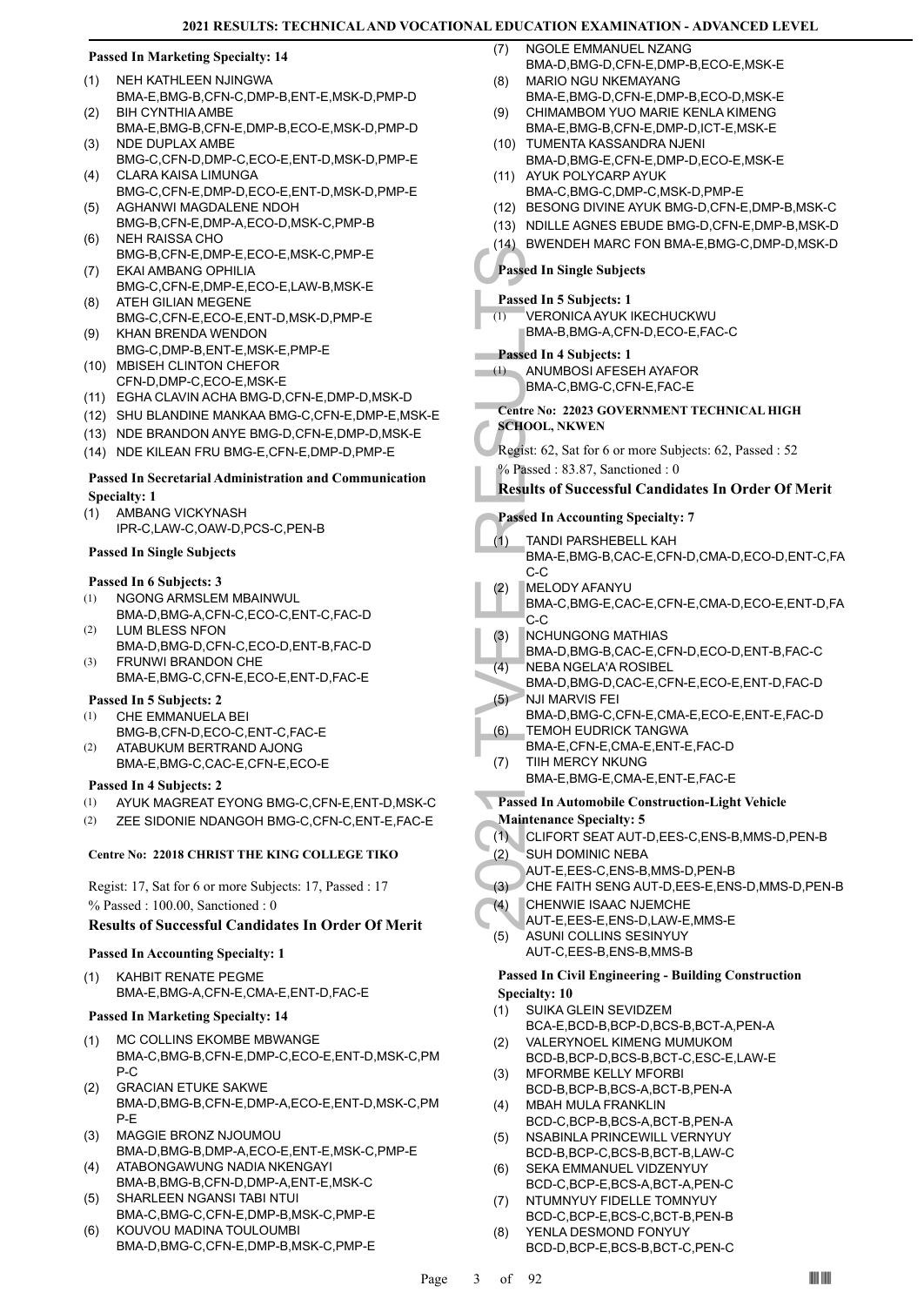# **Passed In Marketing Specialty: 14**

- NEH KATHLEEN NJINGWA (1)
- BMA-E,BMG-B,CFN-C,DMP-B,ENT-E,MSK-D,PMP-D BIH CYNTHIA AMBE  $(2)$
- BMA-E,BMG-B,CFN-E,DMP-B,ECO-E,MSK-D,PMP-D NDE DUPLAX AMBE (3)
- BMG-C,CFN-D,DMP-C,ECO-E,ENT-D,MSK-D,PMP-E CLARA KAISA LIMUNGA (4)
- BMG-C,CFN-E,DMP-D,ECO-E,ENT-D,MSK-D,PMP-E AGHANWI MAGDALENE NDOH (5)
- BMG-B,CFN-E,DMP-A,ECO-D,MSK-C,PMP-B NEH RAISSA CHO (6)
- BMG-B,CFN-E,DMP-E,ECO-E,MSK-C,PMP-E EKAI AMBANG OPHILIA (7)
- BMG-C,CFN-E,DMP-E,ECO-E,LAW-B,MSK-E ATEH GILIAN MEGENE (8)
- BMG-C,CFN-E,ECO-E,ENT-D,MSK-D,PMP-E KHAN BRENDA WENDON (9)
- BMG-C,DMP-B,ENT-E,MSK-E,PMP-E (10) MBISEH CLINTON CHEFOR
	- CFN-D,DMP-C,ECO-E,MSK-E
- (11) EGHA CLAVIN ACHA BMG-D,CFN-E,DMP-D,MSK-D
- (12) SHU BLANDINE MANKAA BMG-C,CFN-E,DMP-E,MSK-E
- (13) NDE BRANDON ANYE BMG-D,CFN-E,DMP-D,MSK-E
- (14) NDE KILEAN FRU BMG-E,CFN-E,DMP-D,PMP-E

# **Passed In Secretarial Administration and Communication Specialty: 1**

- AMBANG VICKYNASH (1)
- IPR-C,LAW-C,OAW-D,PCS-C,PEN-B

# **Passed In Single Subjects**

# **Passed In 6 Subjects: 3**

- NGONG ARMSLEM MBAINWUL (1)
- BMA-D,BMG-A,CFN-C,ECO-C,ENT-C,FAC-D LUM BLESS NFON (2)
- BMA-D,BMG-D,CFN-C,ECO-D,ENT-B,FAC-D FRUNWI BRANDON CHE (3)
- BMA-E,BMG-C,CFN-E,ECO-E,ENT-D,FAC-E

# **Passed In 5 Subjects: 2**

- CHE EMMANUELA BEI BMG-B,CFN-D,ECO-C,ENT-C,FAC-E (1)
- ATABUKUM BERTRAND AJONG (2)
- BMA-E,BMG-C,CAC-E,CFN-E,ECO-E

# **Passed In 4 Subjects: 2**

- (1) AYUK MAGREAT EYONG BMG-C,CFN-E,ENT-D,MSK-C
- (2) ZEE SIDONIE NDANGOH BMG-C,CFN-C,ENT-E,FAC-E

# **Centre No: 22018 CHRIST THE KING COLLEGE TIKO**

Regist: 17, Sat for 6 or more Subjects: 17, Passed : 17 % Passed : 100.00, Sanctioned : 0

# **Results of Successful Candidates In Order Of Merit**

# **Passed In Accounting Specialty: 1**

KAHBIT RENATE PEGME BMA-E,BMG-A,CFN-E,CMA-E,ENT-D,FAC-E (1)

# **Passed In Marketing Specialty: 14**

- MC COLLINS EKOMBE MBWANGE BMA-C,BMG-B,CFN-E,DMP-C,ECO-E,ENT-D,MSK-C,PM P-C (1)
- GRACIAN ETUKE SAKWE BMA-D,BMG-B,CFN-E,DMP-A,ECO-E,ENT-D,MSK-C,PM P-E (2)
- MAGGIE BRONZ NJOUMOU BMA-D,BMG-B,DMP-A,ECO-E,ENT-E,MSK-C,PMP-E (3)
- ATABONGAWUNG NADIA NKENGAYI BMA-B,BMG-B,CFN-D,DMP-A,ENT-E,MSK-C (4) SHARLEEN NGANSI TABI NTUI (5)
- BMA-C,BMG-C,CFN-E,DMP-B,MSK-C,PMP-E
- KOUVOU MADINA TOULOUMBI BMA-D,BMG-C,CFN-E,DMP-B,MSK-C,PMP-E (6)
- NGOLE EMMANUEL NZANG BMA-D,BMG-D,CFN-E,DMP-B,ECO-E,MSK-E (7)
- MARIO NGU NKEMAYANG BMA-E,BMG-D,CFN-E,DMP-B,ECO-D,MSK-E (8)
- CHIMAMBOM YUO MARIE KENLA KIMENG BMA-E,BMG-B,CFN-E,DMP-D,ICT-E,MSK-E (9)
- (10) TUMENTA KASSANDRA NJENI BMA-D,BMG-E,CFN-E,DMP-D,ECO-E,MSK-E
- (11) AYUK POLYCARP AYUK BMA-C,BMG-C,DMP-C,MSK-D,PMP-E
- (12) BESONG DIVINE AYUK BMG-D,CFN-E,DMP-B,MSK-C
- (13) NDILLE AGNES EBUDE BMG-D,CFN-E,DMP-B,MSK-D
- (14) BWENDEH MARC FON BMA-E,BMG-C,DMP-D,MSK-D

# **Passed In Single Subjects**

# **Passed In 5 Subjects: 1**

VERONICA AYUK IKECHUCKWU BMA-B,BMG-A,CFN-D,ECO-E,FAC-C (1)

# **Passed In 4 Subjects: 1**

- ANUMBOSI AFESEH AYAFOR (1)
	- BMA-C,BMG-C,CFN-E,FAC-E
- **Centre No: 22023 GOVERNMENT TECHNICAL HIGH SCHOOL, NKWEN**
- - Regist: 62, Sat for 6 or more Subjects: 62, Passed : 52 % Passed : 83.87, Sanctioned : 0

# **Results of Successful Candidates In Order Of Merit**

# **Passed In Accounting Specialty: 7**

- Passed In Si<br>
Passed In Si<br>
Passed In Si<br>
(1) VERON<br>
BMA-C,<br>
Centre No: 22<br>
SCHOOL, NF<br>
Regist: 62, S.<br>
<sup>2</sup> SCHOOL, NF<br>
Regist: 62, S.<br>
<sup>2</sup> Passed In Ac<br>
(1) TANDIF BMA-C,<br>
C-C<br>
(2) MELOD BMA-C,<br>
C-C<br>
(3) NCHUN<br>
HMA-D,<br>
HE TANDI PARSHEBELL KAH BMA-E,BMG-B,CAC-E,CFN-D,CMA-D,ECO-D,ENT-C,FA C-C (1)
	- MELODY AFANYU (2)
	- BMA-C,BMG-E,CAC-E,CFN-E,CMA-D,ECO-E,ENT-D,FA C-C
	- NCHUNGONG MATHIAS (3)
	- BMA-D,BMG-B,CAC-E,CFN-D,ECO-D,ENT-B,FAC-C
	- NEBA NGELA'A ROSIBEL (4)
	- BMA-D,BMG-D,CAC-E,CFN-E,ECO-E,ENT-D,FAC-D NJI MARVIS FEI  $(5)$
	- BMA-D,BMG-C,CFN-E,CMA-E,ECO-E,ENT-E,FAC-D TEMOH EUDRICK TANGWA (6)
	- BMA-E,CFN-E,CMA-E,ENT-E,FAC-D
	- TIIH MERCY NKUNG BMA-E,BMG-E,CMA-E,ENT-E,FAC-E (7)
	- **Passed In Automobile Construction-Light Vehicle**
	- **Maintenance Specialty: 5**
	- (1) CLIFORT SEAT AUT-D,EES-C,ENS-B,MMS-D,PEN-B
	- **SUH DOMINIC NEBA** (2)
- AUT-E,EES-C,ENS-B,MMS-D,PEN-B
- (3) CHE FAITH SENG AUT-D,EES-E,ENS-D,MMS-D,PEN-B
- CHENWIE ISAAC NJEMCHE (4)
- AUT-E,EES-E,ENS-D,LAW-E,MMS-E
- ASUNI COLLINS SESINYUY AUT-C,EES-B,ENS-B,MMS-B (5)

# **Passed In Civil Engineering - Building Construction Specialty: 10**

- SUIKA GLEIN SEVIDZEM BCA-E,BCD-B,BCP-D,BCS-B,BCT-A,PEN-A (1)
- VALERYNOEL KIMENG MUMUKOM BCD-B,BCP-D,BCS-B,BCT-C,ESC-E,LAW-E (2)
- MFORMBE KELLY MFORBI (3)
- BCD-B,BCP-B,BCS-A,BCT-B,PEN-A MBAH MULA FRANKLIN (4)
- BCD-C,BCP-B,BCS-A,BCT-B,PEN-A NSABINLA PRINCEWILL VERNYUY (5)
- BCD-B,BCP-C,BCS-B,BCT-B,LAW-C SEKA EMMANUEL VIDZENYUY (6)
- BCD-C,BCP-E,BCS-A,BCT-A,PEN-C NTUMNYUY FIDELLE TOMNYUY (7)
- BCD-C,BCP-E,BCS-C,BCT-B,PEN-B
- YENLA DESMOND FONYUY BCD-D,BCP-E,BCS-B,BCT-C,PEN-C (8)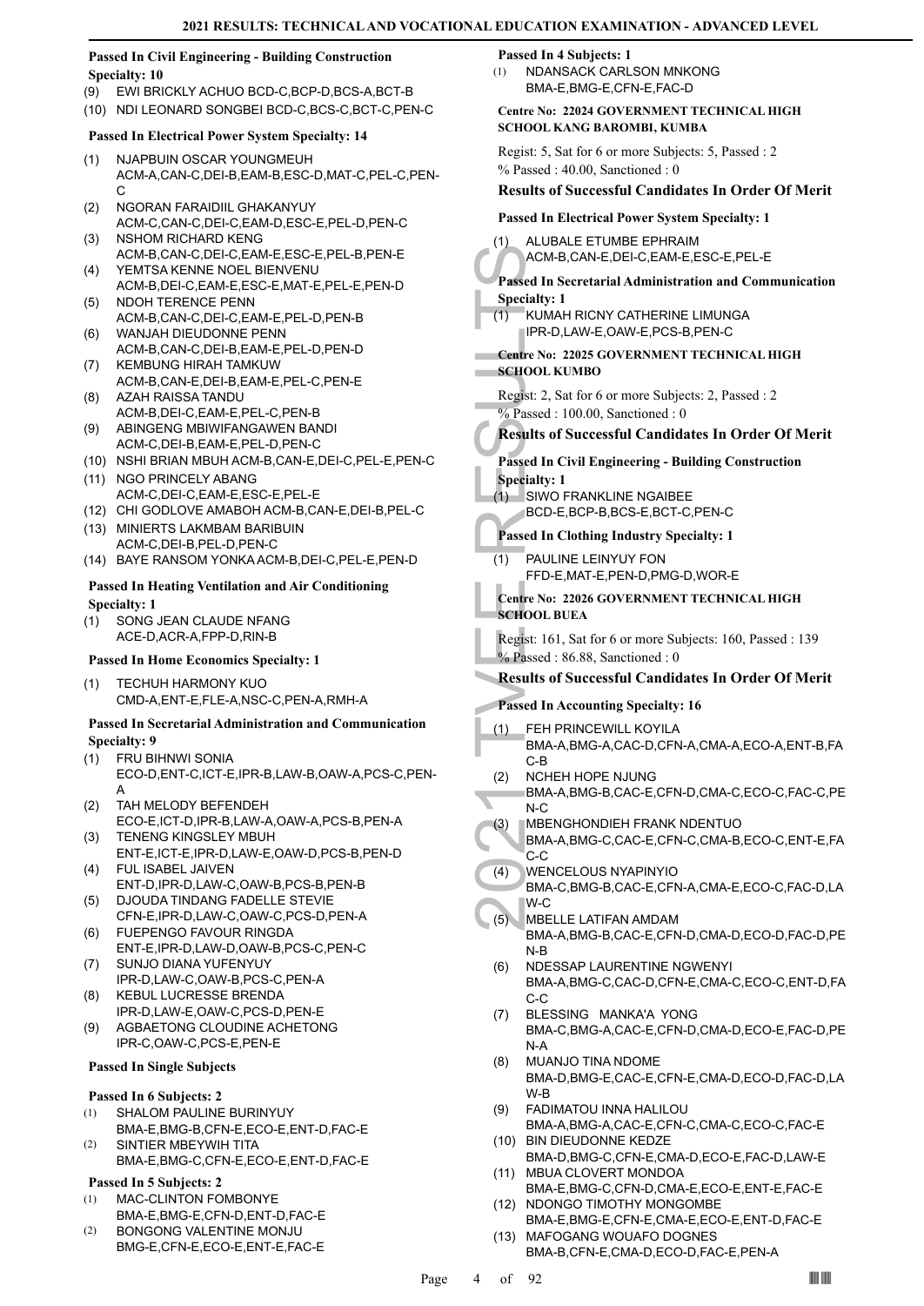# **Passed In Civil Engineering - Building Construction Specialty: 10**

- (9) EWI BRICKLY ACHUO BCD-C,BCP-D,BCS-A,BCT-B
- (10) NDI LEONARD SONGBEI BCD-C,BCS-C,BCT-C,PEN-C

# **Passed In Electrical Power System Specialty: 14**

- (1) NJAPBUIN OSCAR YOUNGMEUH ACM-A,CAN-C,DEI-B,EAM-B,ESC-D,MAT-C,PEL-C,PEN-C
- NGORAN FARAIDIIL GHAKANYUY ACM-C,CAN-C,DEI-C,EAM-D,ESC-E,PEL-D,PEN-C (2)
- NSHOM RICHARD KENG ACM-B,CAN-C,DEI-C,EAM-E,ESC-E,PEL-B,PEN-E (3) YEMTSA KENNE NOEL BIENVENU (4)
- ACM-B,DEI-C,EAM-E,ESC-E,MAT-E,PEL-E,PEN-D (5) NDOH TERENCE PENN
- ACM-B,CAN-C,DEI-C,EAM-E,PEL-D,PEN-B WANJAH DIEUDONNE PENN (6)
- ACM-B,CAN-C,DEI-B,EAM-E,PEL-D,PEN-D (7) KEMBUNG HIRAH TAMKUW
- ACM-B,CAN-E,DEI-B,EAM-E,PEL-C,PEN-E AZAH RAISSA TANDU (8)
- ACM-B,DEI-C,EAM-E,PEL-C,PEN-B ABINGENG MBIWIFANGAWEN BANDI (9)
- ACM-C,DEI-B,EAM-E,PEL-D,PEN-C
- (10) NSHI BRIAN MBUH ACM-B,CAN-E,DEI-C,PEL-E,PEN-C
- (11) NGO PRINCELY ABANG ACM-C,DEI-C,EAM-E,ESC-E,PEL-E
- (12) CHI GODLOVE AMABOH ACM-B,CAN-E,DEI-B,PEL-C
- (13) MINIERTS LAKMBAM BARIBUIN ACM-C,DEI-B,PEL-D,PEN-C
- (14) BAYE RANSOM YONKA ACM-B,DEI-C,PEL-E,PEN-D

# **Passed In Heating Ventilation and Air Conditioning Specialty: 1**

SONG JEAN CLAUDE NFANG ACE-D,ACR-A,FPP-D,RIN-B (1)

# **Passed In Home Economics Specialty: 1**

TECHUH HARMONY KUO CMD-A,ENT-E,FLE-A,NSC-C,PEN-A,RMH-A (1)

# **Passed In Secretarial Administration and Communication Specialty: 9**

- FRU BIHNWI SONIA (1)
- ECO-D,ENT-C,ICT-E,IPR-B,LAW-B,OAW-A,PCS-C,PEN-A
- TAH MELODY BEFENDEH ECO-E,ICT-D,IPR-B,LAW-A,OAW-A,PCS-B,PEN-A (2)
- TENENG KINGSLEY MBUH ENT-E,ICT-E,IPR-D,LAW-E,OAW-D,PCS-B,PEN-D (3)
- FUL ISABEL JAIVEN ENT-D,IPR-D,LAW-C,OAW-B,PCS-B,PEN-B (4)
- (5) DJOUDA TINDANG FADELLE STEVIE CFN-E,IPR-D,LAW-C,OAW-C,PCS-D,PEN-A
- FUEPENGO FAVOUR RINGDA (6) ENT-E,IPR-D,LAW-D,OAW-B,PCS-C,PEN-C
- SUNJO DIANA YUFENYUY IPR-D,LAW-C,OAW-B,PCS-C,PEN-A (7)
- KEBUL LUCRESSE BRENDA IPR-D,LAW-E,OAW-C,PCS-D,PEN-E (8)
- AGBAETONG CLOUDINE ACHETONG IPR-C,OAW-C,PCS-E,PEN-E (9)

# **Passed In Single Subjects**

# **Passed In 6 Subjects: 2**

- SHALOM PAULINE BURINYUY (1)
- BMA-E,BMG-B,CFN-E,ECO-E,ENT-D,FAC-E SINTIER MBEYWIH TITA (2)
- BMA-E,BMG-C,CFN-E,ECO-E,ENT-D,FAC-E

# **Passed In 5 Subjects: 2**

- MAC-CLINTON FOMBONYE BMA-E,BMG-E,CFN-D,ENT-D,FAC-E (1)
- BONGONG VALENTINE MONJU (2)
- BMG-E,CFN-E,ECO-E,ENT-E,FAC-E

# **Passed In 4 Subjects: 1**

NDANSACK CARLSON MNKONG BMA-E,BMG-E,CFN-E,FAC-D (1)

**Centre No: 22024 GOVERNMENT TECHNICAL HIGH SCHOOL KANG BAROMBI, KUMBA** 

Regist: 5, Sat for 6 or more Subjects: 5, Passed : 2 % Passed : 40.00, Sanctioned : 0

# **Results of Successful Candidates In Order Of Merit**

# **Passed In Electrical Power System Specialty: 1**

ALUBALE ETUMBE EPHRAIM ACM-B,CAN-E,DEI-C,EAM-E,ESC-E,PEL-E (1)

**Passed In Secretarial Administration and Communication Specialty: 1**

- KUMAH RICNY CATHERINE LIMUNGA IPR-D,LAW-E,OAW-E,PCS-B,PEN-C (1)
- **Centre No: 22025 GOVERNMENT TECHNICAL HIGH SCHOOL KUMBO**
- Regist: 2, Sat for 6 or more Subjects: 2, Passed : 2 % Passed : 100.00, Sanctioned : 0

# **Results of Successful Candidates In Order Of Merit**

# **Passed In Civil Engineering - Building Construction Specialty: 1**

SIWO FRANKLINE NGAIBEE (1) BCD-E,BCP-B,BCS-E,BCT-C,PEN-C

# **Passed In Clothing Industry Specialty: 1**

PAULINE LEINYUY FON FFD-E,MAT-E,PEN-D,PMG-D,WOR-E (1)

# **Centre No: 22026 GOVERNMENT TECHNICAL HIGH SCHOOL BUEA**

Regist: 161, Sat for 6 or more Subjects: 160, Passed : 139 % Passed : 86.88, Sanctioned : 0

# **Results of Successful Candidates In Order Of Merit**

# **Passed In Accounting Specialty: 16**

- ACM-B,<br>
Passed In Se<br>
Specialty: 1<br>
(1) KUMAH<br>
IPR-D,L<br>
Centre No: 2<br>
SCHOOL KU<br>
Regist: 2, Sat<br>
% Passed In Ci<br>
Specialty: 1<br>
SWOF BCD-E,<br>
Passed In CI<br>
Specialty: 1<br>
SWOF BCD-E,<br>
Passed In CI<br>
(1) PAULIN<br>
FFD-E,<br>
Centre FEH PRINCEWILL KOYILA BMA-A,BMG-A,CAC-D,CFN-A,CMA-A,ECO-A,ENT-B,FA C-B (1)
	- NCHEH HOPE NJUNG (2)
	- BMA-A,BMG-B,CAC-E,CFN-D,CMA-C,ECO-C,FAC-C,PE N-C
- MBENGHONDIEH FRANK NDENTUO (3)
- BMA-A,BMG-C,CAC-E,CFN-C,CMA-B,ECO-C,ENT-E,FA C-C
- WENCELOUS NYAPINYIO BMA-C,BMG-B,CAC-E,CFN-A,CMA-E,ECO-C,FAC-D,LA W-C (4)
- MBELLE LATIFAN AMDAM BMA-A,BMG-B,CAC-E,CFN-D,CMA-D,ECO-D,FAC-D,PE N-B (5)
- NDESSAP LAURENTINE NGWENYI BMA-A,BMG-C,CAC-D,CFN-E,CMA-C,ECO-C,ENT-D,FA C-C (6)
- BLESSING MANKA'A YONG BMA-C,BMG-A,CAC-E,CFN-D,CMA-D,ECO-E,FAC-D,PE N-A (7)
- MUANJO TINA NDOME BMA-D,BMG-E,CAC-E,CFN-E,CMA-D,ECO-D,FAC-D,LA W-B (8)
- FADIMATOU INNA HALILOU BMA-A,BMG-A,CAC-E,CFN-C,CMA-C,ECO-C,FAC-E (9)
- (10) BIN DIEUDONNE KEDZE BMA-D,BMG-C,CFN-E,CMA-D,ECO-E,FAC-D,LAW-E (11) MBUA CLOVERT MONDOA
- BMA-E,BMG-C,CFN-D,CMA-E,ECO-E,ENT-E,FAC-E (12) NDONGO TIMOTHY MONGOMBE
- BMA-E,BMG-E,CFN-E,CMA-E,ECO-E,ENT-D,FAC-E (13) MAFOGANG WOUAFO DOGNES
	- BMA-B,CFN-E,CMA-D,ECO-D,FAC-E,PEN-A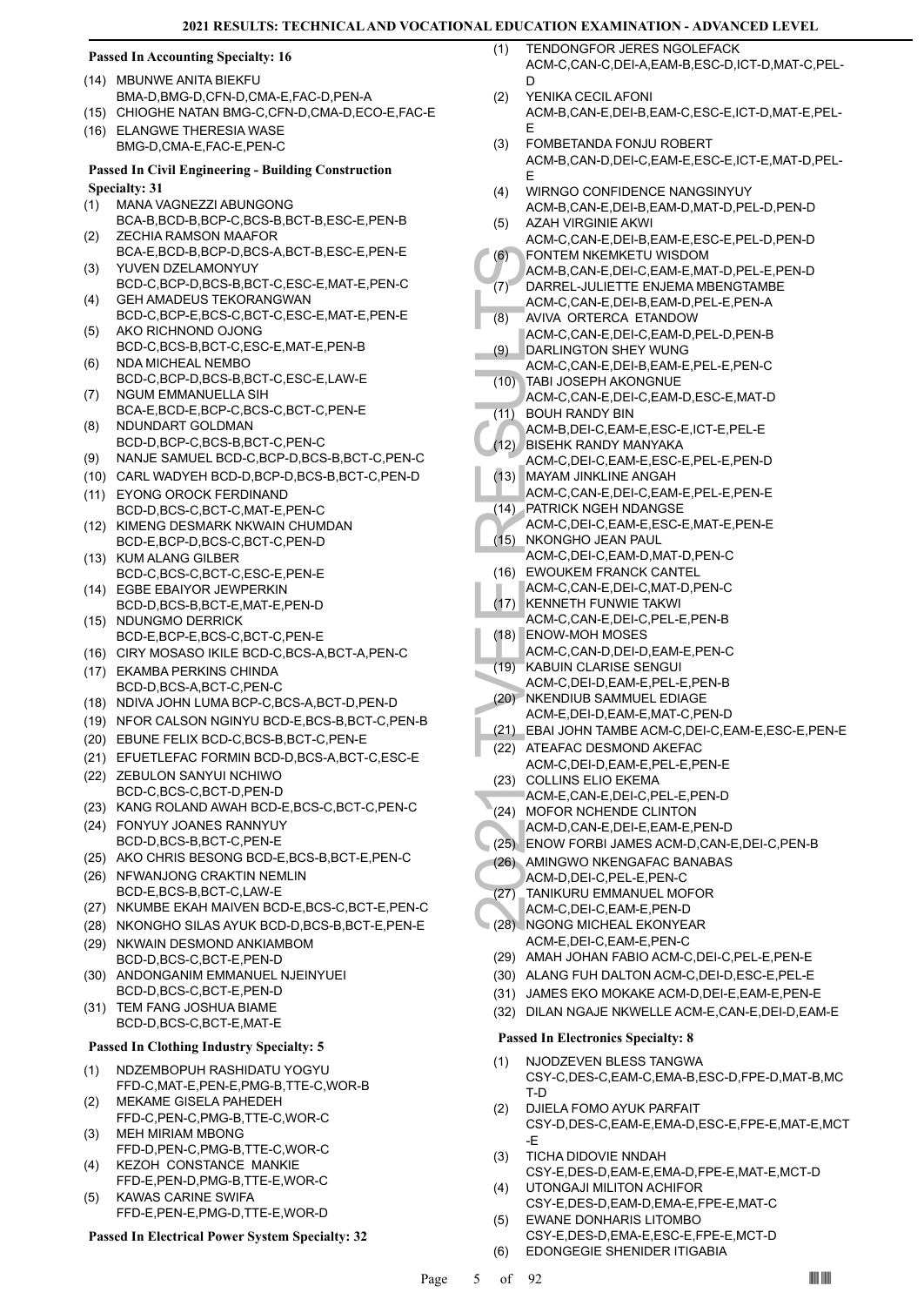# **Passed In Accounting Specialty: 16**

- MBUNWE ANITA BIEKFU (14)
- BMA-D,BMG-D,CFN-D,CMA-E,FAC-D,PEN-A
- (15) CHIOGHE NATAN BMG-C,CFN-D,CMA-D,ECO-E,FAC-E ELANGWE THERESIA WASE (16)
- BMG-D,CMA-E,FAC-E,PEN-C

# **Passed In Civil Engineering - Building Construction Specialty: 31**

- MANA VAGNEZZI ABUNGONG BCA-B,BCD-B,BCP-C,BCS-B,BCT-B,ESC-E,PEN-B (1)
- ZECHIA RAMSON MAAFOR BCA-E,BCD-B,BCP-D,BCS-A,BCT-B,ESC-E,PEN-E (2)
- YUVEN DZELAMONYUY BCD-C,BCP-D,BCS-B,BCT-C,ESC-E,MAT-E,PEN-C (3)
- GEH AMADEUS TEKORANGWAN BCD-C,BCP-E,BCS-C,BCT-C,ESC-E,MAT-E,PEN-E (4)
- AKO RICHNOND OJONG BCD-C,BCS-B,BCT-C,ESC-E,MAT-E,PEN-B (5)
- NDA MICHEAL NEMBO BCD-C,BCP-D,BCS-B,BCT-C,ESC-E,LAW-E (6)
- NGUM EMMANUELLA SIH BCA-E,BCD-E,BCP-C,BCS-C,BCT-C,PEN-E (7)
- NDUNDART GOLDMAN BCD-D,BCP-C,BCS-B,BCT-C,PEN-C (8)
- (9) NANJE SAMUEL BCD-C,BCP-D,BCS-B,BCT-C,PEN-C
- (10) CARL WADYEH BCD-D,BCP-D,BCS-B,BCT-C,PEN-D
- EYONG OROCK FERDINAND (11) BCD-D,BCS-C,BCT-C,MAT-E,PEN-C
- (12) KIMENG DESMARK NKWAIN CHUMDAN BCD-E,BCP-D,BCS-C,BCT-C,PEN-D
- (13) KUM ALANG GILBER BCD-C,BCS-C,BCT-C,ESC-E,PEN-E
- EGBE EBAIYOR JEWPERKIN (14) BCD-D,BCS-B,BCT-E,MAT-E,PEN-D
- (15) NDUNGMO DERRICK BCD-E,BCP-E,BCS-C,BCT-C,PEN-E
- (16) CIRY MOSASO IKILE BCD-C,BCS-A,BCT-A,PEN-C
- (17) EKAMBA PERKINS CHINDA BCD-D,BCS-A,BCT-C,PEN-C (18) NDIVA JOHN LUMA BCP-C,BCS-A,BCT-D,PEN-D
- (19) NFOR CALSON NGINYU BCD-E,BCS-B,BCT-C,PEN-B
- (20) EBUNE FELIX BCD-C,BCS-B,BCT-C,PEN-E
- (21) EFUETLEFAC FORMIN BCD-D,BCS-A,BCT-C,ESC-E
- (22) ZEBULON SANYUI NCHIWO BCD-C,BCS-C,BCT-D,PEN-D
- (23) KANG ROLAND AWAH BCD-E,BCS-C,BCT-C,PEN-C
- FONYUY JOANES RANNYUY (24) BCD-D,BCS-B,BCT-C,PEN-E
- (25) AKO CHRIS BESONG BCD-E,BCS-B,BCT-E,PEN-C
- (26) NFWANJONG CRAKTIN NEMLIN BCD-E,BCS-B,BCT-C,LAW-E
- (27) NKUMBE EKAH MAIVEN BCD-E,BCS-C,BCT-E,PEN-C
- (28) NKONGHO SILAS AYUK BCD-D,BCS-B,BCT-E,PEN-E
- (29) NKWAIN DESMOND ANKIAMBOM BCD-D,BCS-C,BCT-E,PEN-D
- ANDONGANIM EMMANUEL NJEINYUEI BCD-D,BCS-C,BCT-E,PEN-D (30)
- TEM FANG JOSHUA BIAME BCD-D,BCS-C,BCT-E,MAT-E (31)

# **Passed In Clothing Industry Specialty: 5**

- NDZEMBOPUH RASHIDATU YOGYU FFD-C,MAT-E,PEN-E,PMG-B,TTE-C,WOR-B (1)
- MEKAME GISELA PAHEDEH FFD-C,PEN-C,PMG-B,TTE-C,WOR-C (2)
- MEH MIRIAM MBONG FFD-D,PEN-C,PMG-B,TTE-C,WOR-C (3)
- KEZOH CONSTANCE MANKIE FFD-E,PEN-D,PMG-B,TTE-E,WOR-C (4)
- KAWAS CARINE SWIFA FFD-E,PEN-E,PMG-D,TTE-E,WOR-D (5)

# **Passed In Electrical Power System Specialty: 32**

- TENDONGFOR JERES NGOLEFACK ACM-C,CAN-C,DEI-A,EAM-B,ESC-D,ICT-D,MAT-C,PEL-D  $(1)$
- YENIKA CECIL AFONI ACM-B,CAN-E,DEI-B,EAM-C,ESC-E,ICT-D,MAT-E,PEL-E (2)
- FOMBETANDA FONJU ROBERT ACM-B,CAN-D,DEI-C,EAM-E,ESC-E,ICT-E,MAT-D,PEL-E (3)
- WIRNGO CONFIDENCE NANGSINYUY ACM-B,CAN-E,DEI-B,EAM-D,MAT-D,PEL-D,PEN-D (4)
- AZAH VIRGINIE AKWI ACM-C,CAN-E,DEI-B,EAM-E,ESC-E,PEL-D,PEN-D (5) (6)
- FONTEM NKEMKETU WISDOM ACM-B,CAN-E,DEI-C,EAM-E,MAT-D,PEL-E,PEN-D
- DARREL-JULIETTE ENJEMA MBENGTAMBE  $(7)$
- ACM-C,CAN-E,DEI-B,EAM-D,PEL-E,PEN-A
- AVIVA ORTERCA ETANDOW ACM-C,CAN-E,DEI-C,EAM-D,PEL-D,PEN-B (8)
- DARLINGTON SHEY WUNG ACM-C,CAN-E,DEI-B,EAM-E,PEL-E,PEN-C (9)
- TABI JOSEPH AKONGNUE (10)
- ACM-C,CAN-E,DEI-C,EAM-D,ESC-E,MAT-D BOUH RANDY BIN  $(11)$
- ACM-B,DEI-C,EAM-E,ESC-E,ICT-E,PEL-E
- BISEHK RANDY MANYAKA (12)
- ACM-C,DEI-C,EAM-E,ESC-E,PEL-E,PEN-D MAYAM JINKLINE ANGAH (13)
	- ACM-C,CAN-E,DEI-C,EAM-E,PEL-E,PEN-E
- PATRICK NGEH NDANGSE (14)
- ACM-C,DEI-C,EAM-E,ESC-E,MAT-E,PEN-E
- NKONGHO JEAN PAUL ACM-C,DEI-C,EAM-D,MAT-D,PEN-C  $(15)$
- EWOUKEM FRANCK CANTEL (16)
- ACM-C,CAN-E,DEI-C,MAT-D,PEN-C
- (6) FONTEI<br>
ACM-B,<br>
(7) DARRE<br>
ACM-C,<br>
(8) AVIVA (ACM-C,<br>
(8) AVIVA (ACM-C,<br>
(10) TABI JO<br>
ACM-C,<br>
(11) BOUH F<br>
ACM-C,<br>
(11) BOUH F<br>
ACM-C,<br>
(13) MAYAM<br>
ACM-C,<br>
(15) NKONG<br>
ACM-C,<br>
(15) NKONG<br>
ACM-C,<br>
(16) ENOUP<br>
ACM-C,<br>
A (17) KENNETH FUNWIE TAKWI ACM-C,CAN-E,DEI-C,PEL-E,PEN-B
	- ENOW-MOH MOSES (18) ACM-C,CAN-D,DEI-D,EAM-E,PEN-C
- (19) KABUIN CLARISE SENGUI
- ACM-C,DEI-D,EAM-E,PEL-E,PEN-B
- (20) NKENDIUB SAMMUEL EDIAGE
- ACM-E,DEI-D,EAM-E,MAT-C,PEN-D (21) EBAI JOHN TAMBE ACM-C,DEI-C,EAM-E,ESC-E,PEN-E
- 
- (22) ATEAFAC DESMOND AKEFAC
	- ACM-C,DEI-D,EAM-E,PEL-E,PEN-E
- (23) COLLINS ELIO EKEMA
- ACM-E,CAN-E,DEI-C,PEL-E,PEN-D
- (24) MOFOR NCHENDE CLINTON ACM-D,CAN-E,DEI-E,EAM-E,PEN-D
- (25) ENOW FORBI JAMES ACM-D,CAN-E,DEI-C,PEN-B
- (26) AMINGWO NKENGAFAC BANABAS
- ACM-D,DEI-C,PEL-E,PEN-C
- (27) TANIKURU EMMANUEL MOFOR
- ACM-C,DEI-C,EAM-E,PEN-D
- (28) NGONG MICHEAL EKONYEAR ACM-E,DEI-C,EAM-E,PEN-C
- (29) AMAH JOHAN FABIO ACM-C,DEI-C,PEL-E,PEN-E
- (30) ALANG FUH DALTON ACM-C,DEI-D,ESC-E,PEL-E
- (31) JAMES EKO MOKAKE ACM-D,DEI-E,EAM-E,PEN-E
- (32) DILAN NGAJE NKWELLE ACM-E,CAN-E,DEI-D,EAM-E

# **Passed In Electronics Specialty: 8**

- NJODZEVEN BLESS TANGWA CSY-C,DES-C,EAM-C,EMA-B,ESC-D,FPE-D,MAT-B,MC T-D (1)
- DJIELA FOMO AYUK PARFAIT CSY-D,DES-C,EAM-E,EMA-D,ESC-E,FPE-E,MAT-E,MCT -E (2)
- TICHA DIDOVIE NNDAH CSY-E,DES-D,EAM-E,EMA-D,FPE-E,MAT-E,MCT-D (3)
- UTONGAJI MILITON ACHIFOR CSY-E,DES-D,EAM-D,EMA-E,FPE-E,MAT-C (4) EWANE DONHARIS LITOMBO
- CSY-E,DES-D,EMA-E,ESC-E,FPE-E,MCT-D (5) (6) EDONGEGIE SHENIDER ITIGABIA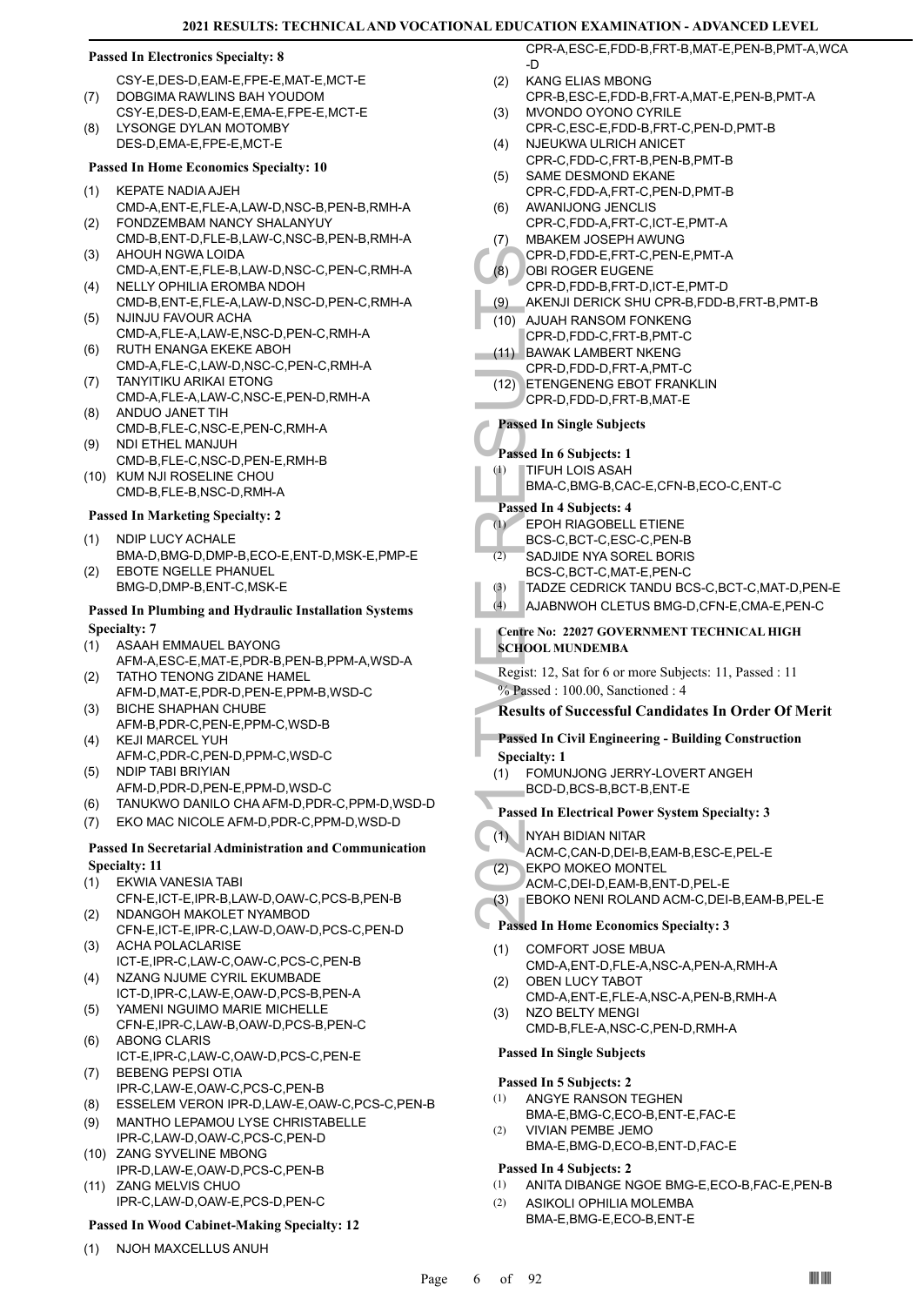# **Passed In Electronics Specialty: 8**

CSY-E,DES-D,EAM-E,FPE-E,MAT-E,MCT-E DOBGIMA RAWLINS BAH YOUDOM (7)

CSY-E,DES-D,EAM-E,EMA-E,FPE-E,MCT-E LYSONGE DYLAN MOTOMBY DES-D,EMA-E,FPE-E,MCT-E (8)

# **Passed In Home Economics Specialty: 10**

- KEPATE NADIA AJEH CMD-A,ENT-E,FLE-A,LAW-D,NSC-B,PEN-B,RMH-A (1) FONDZEMBAM NANCY SHALANYUY (2)
- CMD-B,ENT-D,FLE-B,LAW-C,NSC-B,PEN-B,RMH-A AHOUH NGWA LOIDA (3)
- CMD-A,ENT-E,FLE-B,LAW-D,NSC-C,PEN-C,RMH-A NELLY OPHILIA EROMBA NDOH (4)
- CMD-B,ENT-E,FLE-A,LAW-D,NSC-D,PEN-C,RMH-A NJINJU FAVOUR ACHA (5)
- CMD-A,FLE-A,LAW-E,NSC-D,PEN-C,RMH-A RUTH ENANGA EKEKE ABOH (6)
- CMD-A,FLE-C,LAW-D,NSC-C,PEN-C,RMH-A TANYITIKU ARIKAI ETONG (7)
- CMD-A,FLE-A,LAW-C,NSC-E,PEN-D,RMH-A ANDUO JANET TIH (8)
- CMD-B,FLE-C,NSC-E,PEN-C,RMH-A NDI ETHEL MANJUH (9)
- CMD-B,FLE-C,NSC-D,PEN-E,RMH-B (10) KUM NJI ROSELINE CHOU
	- CMD-B,FLE-B,NSC-D,RMH-A

### **Passed In Marketing Specialty: 2**

- NDIP LUCY ACHALE BMA-D,BMG-D,DMP-B,ECO-E,ENT-D,MSK-E,PMP-E (1)
- EBOTE NGELLE PHANUEL BMG-D,DMP-B,ENT-C,MSK-E (2)

# **Passed In Plumbing and Hydraulic Installation Systems Specialty: 7**

- ASAAH EMMAUEL BAYONG (1)
- AFM-A,ESC-E,MAT-E,PDR-B,PEN-B,PPM-A,WSD-A TATHO TENONG ZIDANE HAMEL (2)
- AFM-D,MAT-E,PDR-D,PEN-E,PPM-B,WSD-C BICHE SHAPHAN CHUBE (3)
- AFM-B,PDR-C,PEN-E,PPM-C,WSD-B KEJI MARCEL YUH (4)
- AFM-C,PDR-C,PEN-D,PPM-C,WSD-C
- NDIP TABI BRIYIAN AFM-D,PDR-D,PEN-E,PPM-D,WSD-C (5)
- (6) TANUKWO DANILO CHA AFM-D,PDR-C,PPM-D,WSD-D
- (7) EKO MAC NICOLE AFM-D,PDR-C,PPM-D,WSD-D

# **Passed In Secretarial Administration and Communication Specialty: 11**

- EKWIA VANESIA TABI (1)
- CFN-E,ICT-E,IPR-B,LAW-D,OAW-C,PCS-B,PEN-B NDANGOH MAKOLET NYAMBOD (2)
- CFN-E,ICT-E,IPR-C,LAW-D,OAW-D,PCS-C,PEN-D ACHA POLACLARISE (3)
- ICT-E,IPR-C,LAW-C,OAW-C,PCS-C,PEN-B NZANG NJUME CYRIL EKUMBADE (4)
- ICT-D,IPR-C,LAW-E,OAW-D,PCS-B,PEN-A YAMENI NGUIMO MARIE MICHELLE (5)
- CFN-E,IPR-C,LAW-B,OAW-D,PCS-B,PEN-C ABONG CLARIS (6)
- ICT-E,IPR-C,LAW-C,OAW-D,PCS-C,PEN-E BEBENG PEPSI OTIA (7)
- IPR-C,LAW-E,OAW-C,PCS-C,PEN-B
- (8) ESSELEM VERON IPR-D,LAW-E,OAW-C,PCS-C,PEN-B
- MANTHO LEPAMOU LYSE CHRISTABELLE IPR-C,LAW-D,OAW-C,PCS-C,PEN-D (9) (10) ZANG SYVELINE MBONG
- IPR-D,LAW-E,OAW-D,PCS-C,PEN-B (11) ZANG MELVIS CHUO
	- IPR-C,LAW-D,OAW-E,PCS-D,PEN-C

# **Passed In Wood Cabinet-Making Specialty: 12**

(1) NJOH MAXCELLUS ANUH

CPR-A,ESC-E,FDD-B,FRT-B,MAT-E,PEN-B,PMT-A,WCA -D KANG ELIAS MBONG

- CPR-B,ESC-E,FDD-B,FRT-A,MAT-E,PEN-B,PMT-A  $(2)$
- MVONDO OYONO CYRILE CPR-C,ESC-E,FDD-B,FRT-C,PEN-D,PMT-B (3)
- NJEUKWA ULRICH ANICET CPR-C,FDD-C,FRT-B,PEN-B,PMT-B (4)
- SAME DESMOND EKANE CPR-C,FDD-A,FRT-C,PEN-D,PMT-B (5)
- AWANIJONG JENCLIS (6)
- CPR-C,FDD-A,FRT-C,ICT-E,PMT-A MBAKEM JOSEPH AWUNG (7)
- CPR-D,FDD-E,FRT-C,PEN-E,PMT-A
- OBI ROGER EUGENE (8)
	- CPR-D,FDD-B,FRT-D,ICT-E,PMT-D
- (9) AKENJI DERICK SHU CPR-B,FDD-B,FRT-B,PMT-B
- CPR-D,<br>
(8) OBI RO<br>
CPR-D,<br>
(9) AKENJI<br>
(10) AJUAH<br>
CPR-D,<br>
(12) ETENGI<br>
CPR-D,<br>
ETENGI<br>
CPR-D,<br>
Passed In Si<br>
CPR-D,<br>
Passed In Si<br>
Passed In 4 5<br>
EPOH F<br>
BMA-C,<br>
Passed In 4 5<br>
EPOH F<br>
BCS-C,<br>
(2) SADJID<br>
BCS-C,<br>
(3) TAD (10) AJUAH RANSOM FONKENG CPR-D,FDD-C,FRT-B,PMT-C
- (11) BAWAK LAMBERT NKENG
- CPR-D,FDD-D,FRT-A,PMT-C
- ETENGENENG EBOT FRANKLIN (12) CPR-D,FDD-D,FRT-B,MAT-E

# **Passed In Single Subjects**

# **Passed In 6 Subjects: 1**

TIFUH LOIS ASAH BMA-C,BMG-B,CAC-E,CFN-B,ECO-C,ENT-C (1)

# **Passed In 4 Subjects: 4**

- EPOH RIAGOBELL ETIENE  $(1)$
- BCS-C,BCT-C,ESC-C,PEN-B
- SADJIDE NYA SOREL BORIS (2)
- BCS-C,BCT-C,MAT-E,PEN-C
- (3) TADZE CEDRICK TANDU BCS-C,BCT-C,MAT-D,PEN-E
- (4) AJABNWOH CLETUS BMG-D,CFN-E,CMA-E,PEN-C
- **Centre No: 22027 GOVERNMENT TECHNICAL HIGH SCHOOL MUNDEMBA**
- Regist: 12, Sat for 6 or more Subjects: 11, Passed : 11 % Passed : 100.00, Sanctioned : 4
- **Results of Successful Candidates In Order Of Merit**

### **Passed In Civil Engineering - Building Construction Specialty: 1**

- FOMUNJONG JERRY-LOVERT ANGEH (1)
- BCD-D,BCS-B,BCT-B,ENT-E
- **Passed In Electrical Power System Specialty: 3**
- NYAH BIDIAN NITAR  $(1)$ 
	- ACM-C,CAN-D,DEI-B,EAM-B,ESC-E,PEL-E
- EKPO MOKEO MONTEL (2)
- ACM-C,DEI-D,EAM-B,ENT-D,PEL-E
- (3) EBOKO NENI ROLAND ACM-C,DEI-B,EAM-B,PEL-E

# **Passed In Home Economics Specialty: 3**

- COMFORT JOSE MBUA CMD-A,ENT-D,FLE-A,NSC-A,PEN-A,RMH-A (1)
- OBEN LUCY TABOT CMD-A,ENT-E,FLE-A,NSC-A,PEN-B,RMH-A (2) NZO BELTY MENGI (3)
- CMD-B,FLE-A,NSC-C,PEN-D,RMH-A

# **Passed In Single Subjects**

# **Passed In 5 Subjects: 2**

- ANGYE RANSON TEGHEN (1)
- BMA-E,BMG-C,ECO-B,ENT-E,FAC-E VIVIAN PEMBE JEMO BMA-E,BMG-D,ECO-B,ENT-D,FAC-E (2)

### **Passed In 4 Subjects: 2**

- (1) ANITA DIBANGE NGOE BMG-E,ECO-B,FAC-E,PEN-B
- ASIKOLI OPHILIA MOLEMBA BMA-E,BMG-E,ECO-B,ENT-E (2)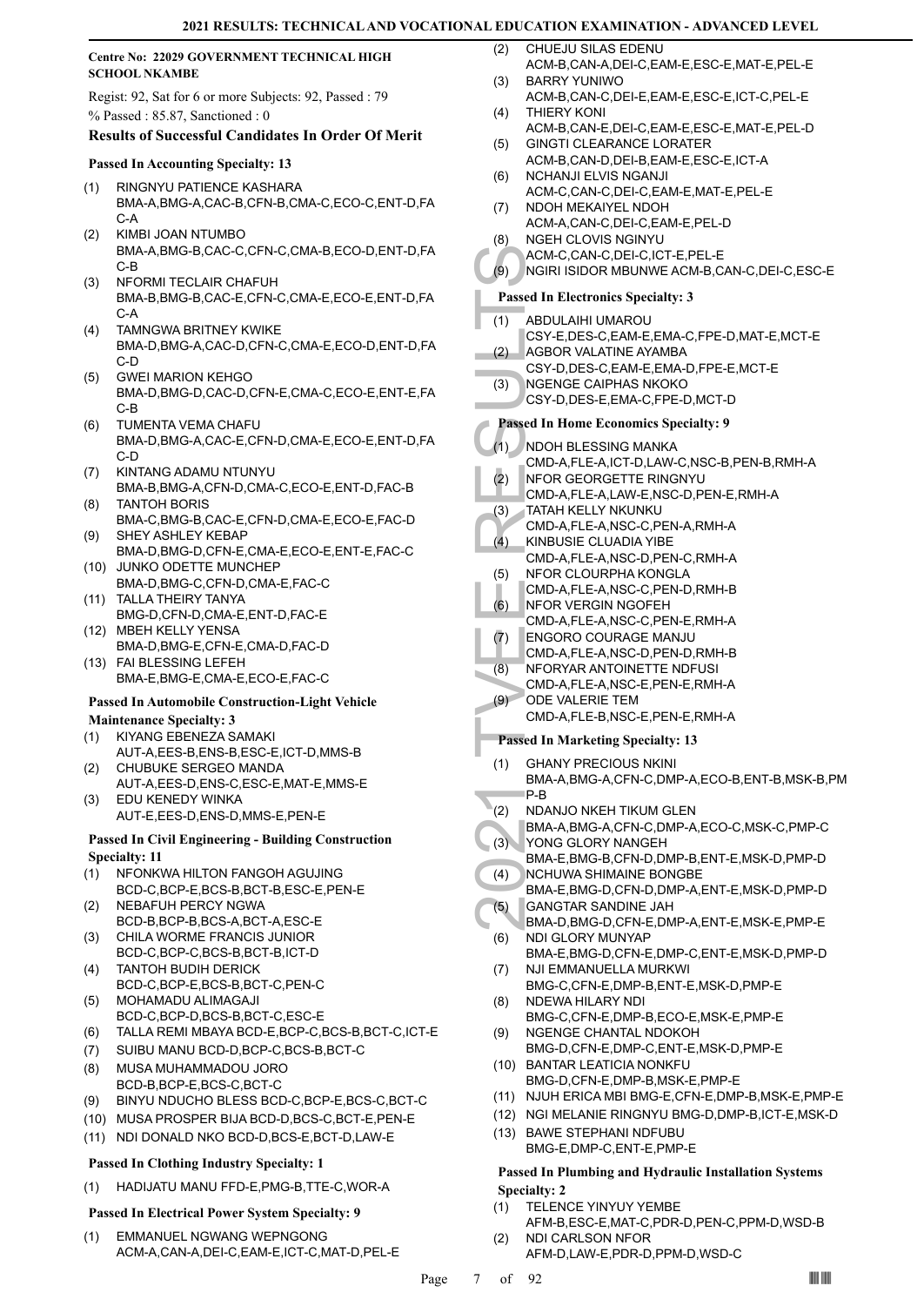# **Centre No: 22029 GOVERNMENT TECHNICAL HIGH SCHOOL NKAMBE**

Regist: 92, Sat for 6 or more Subjects: 92, Passed : 79 % Passed : 85.87, Sanctioned : 0

# **Results of Successful Candidates In Order Of Merit**

# **Passed In Accounting Specialty: 13**

- RINGNYU PATIENCE KASHARA BMA-A,BMG-A,CAC-B,CFN-B,CMA-C,ECO-C,ENT-D,FA  $C-A$ (1)
- KIMBI JOAN NTUMBO BMA-A,BMG-B,CAC-C,CFN-C,CMA-B,ECO-D,ENT-D,FA C-B (2)
- NFORMI TECLAIR CHAFUH BMA-B,BMG-B,CAC-E,CFN-C,CMA-E,ECO-E,ENT-D,FA C-A  $(3)$
- TAMNGWA BRITNEY KWIKE BMA-D,BMG-A,CAC-D,CFN-C,CMA-E,ECO-D,ENT-D,FA C-D (4)
- GWEI MARION KEHGO BMA-D,BMG-D,CAC-D,CFN-E,CMA-C,ECO-E,ENT-E,FA C-B (5)
- TUMENTA VEMA CHAFU BMA-D,BMG-A,CAC-E,CFN-D,CMA-E,ECO-E,ENT-D,FA C-D (6)
- KINTANG ADAMU NTUNYU BMA-B,BMG-A,CFN-D,CMA-C,ECO-E,ENT-D,FAC-B (7) TANTOH BORIS (8)
- BMA-C,BMG-B,CAC-E,CFN-D,CMA-E,ECO-E,FAC-D SHEY ASHLEY KEBAP (9)
- BMA-D,BMG-D,CFN-E,CMA-E,ECO-E,ENT-E,FAC-C (10) JUNKO ODETTE MUNCHEP
- BMA-D,BMG-C,CFN-D,CMA-E,FAC-C TALLA THEIRY TANYA (11)
- BMG-D,CFN-D,CMA-E,ENT-D,FAC-E MBEH KELLY YENSA (12)
- BMA-D,BMG-E,CFN-E,CMA-D,FAC-D FAI BLESSING LEFEH (13)
- BMA-E,BMG-E,CMA-E,ECO-E,FAC-C

# **Passed In Automobile Construction-Light Vehicle**

# **Maintenance Specialty: 3**

- KIYANG EBENEZA SAMAKI AUT-A,EES-B,ENS-B,ESC-E,ICT-D,MMS-B (1)
- CHUBUKE SERGEO MANDA AUT-A,EES-D,ENS-C,ESC-E,MAT-E,MMS-E (2)
- EDU KENEDY WINKA AUT-E,EES-D,ENS-D,MMS-E,PEN-E (3)
- **Passed In Civil Engineering Building Construction**

# **Specialty: 11**

- NFONKWA HILTON FANGOH AGUJING BCD-C,BCP-E,BCS-B,BCT-B,ESC-E,PEN-E (1)
- NEBAFUH PERCY NGWA BCD-B,BCP-B,BCS-A,BCT-A,ESC-E (2)
- CHILA WORME FRANCIS JUNIOR BCD-C,BCP-C,BCS-B,BCT-B,ICT-D (3)
- TANTOH BUDIH DERICK BCD-C,BCP-E,BCS-B,BCT-C,PEN-C (4)
- MOHAMADU ALIMAGAJI BCD-C,BCP-D,BCS-B,BCT-C,ESC-E (5)
- (6) TALLA REMI MBAYA BCD-E,BCP-C,BCS-B,BCT-C,ICT-E
- (7) SUIBU MANU BCD-D,BCP-C,BCS-B,BCT-C
- MUSA MUHAMMADOU JORO BCD-B,BCP-E,BCS-C,BCT-C (8)
- (9) BINYU NDUCHO BLESS BCD-C,BCP-E,BCS-C,BCT-C
- (10) MUSA PROSPER BIJA BCD-D,BCS-C,BCT-E,PEN-E
- (11) NDI DONALD NKO BCD-D,BCS-E,BCT-D,LAW-E

# **Passed In Clothing Industry Specialty: 1**

(1) HADIJATU MANU FFD-E,PMG-B,TTE-C,WOR-A

# **Passed In Electrical Power System Specialty: 9**

EMMANUEL NGWANG WEPNGONG ACM-A,CAN-A,DEI-C,EAM-E,ICT-C,MAT-D,PEL-E (1)

- CHUEJU SILAS EDENU ACM-B,CAN-A,DEI-C,EAM-E,ESC-E,MAT-E,PEL-E  $(2)$
- BARRY YUNIWO ACM-B,CAN-C,DEI-E,EAM-E,ESC-E,ICT-C,PEL-E (3)
- THIERY KONI ACM-B,CAN-E,DEI-C,EAM-E,ESC-E,MAT-E,PEL-D (4)
- GINGTI CLEARANCE LORATER ACM-B,CAN-D,DEI-B,EAM-E,ESC-E,ICT-A (5)
- NCHANJI ELVIS NGANJI ACM-C,CAN-C,DEI-C,EAM-E,MAT-E,PEL-E (6)
- NDOH MEKAIYEL NDOH (7)
- ACM-A,CAN-C,DEI-C,EAM-E,PEL-D NGEH CLOVIS NGINYU
- ACM-C,CAN-C,DEI-C,ICT-E,PEL-E (8)
- (9) NGIRI ISIDOR MBUNWE ACM-B,CAN-C,DEI-C,ESC-E

# **Passed In Electronics Specialty: 3**

- ABDULAIHI UMAROU (1)
- CSY-E,DES-C,EAM-E,EMA-C,FPE-D,MAT-E,MCT-E AGBOR VALATINE AYAMBA  $(2)$
- CSY-D,DES-C,EAM-E,EMA-D,FPE-E,MCT-E
- NGENGE CAIPHAS NKOKO CSY-D,DES-E,EMA-C,FPE-D,MCT-D (3)
- 

# **Passed In Home Economics Specialty: 9**

- NDOH BLESSING MANKA (1)
	- CMD-A,FLE-A,ICT-D,LAW-C,NSC-B,PEN-B,RMH-A
- NFOR GEORGETTE RINGNYU (2)
- CMD-A,FLE-A,LAW-E,NSC-D,PEN-E,RMH-A
- TATAH KELLY NKUNKU (3)
- CMD-A,FLE-A,NSC-C,PEN-A,RMH-A
- KINBUSIE CLUADIA YIBE CMD-A,FLE-A,NSC-D,PEN-C,RMH-A (4)
- NFOR CLOURPHA KONGLA (5)
- CMD-A,FLE-A,NSC-C,PEN-D,RMH-B
- NFOR VERGIN NGOFEH (6)
- CMD-A,FLE-A,NSC-C,PEN-E,RMH-A
- ENGORO COURAGE MANJU (7)
- CMD-A,FLE-A,NSC-D,PEN-D,RMH-B
- NFORYAR ANTOINETTE NDFUSI CMD-A,FLE-A,NSC-E,PEN-E,RMH-A (8)
- ODE VALERIE TEM (9)
	- CMD-A,FLE-B,NSC-E,PEN-E,RMH-A

# **Passed In Marketing Specialty: 13**

- ACM-C,<br>
(9) AGM-C,<br>
NGIRI IS<br>
Passed In El<br>
(1) ABDUL/<br>
CSY-E,<br>
(2) AGBOR<br>
CSY-D,<br>
(3) NGENG<br>
CSY-D,<br>
Passed In H(<br>
CMD-A,<br>
MFOR CMD-A,<br>
(4) KINBUS<br>
CMD-A,<br>
(4) KINBUS<br>
CMD-A,<br>
(6) NFOR CMD-A,<br>
(6) NFOR CMD-A,<br>
(7) ENGOR<br> GHANY PRECIOUS NKINI BMA-A,BMG-A,CFN-C,DMP-A,ECO-B,ENT-B,MSK-B,PM P-B (1)
- NDANJO NKEH TIKUM GLEN (2)
- BMA-A,BMG-A,CFN-C,DMP-A,ECO-C,MSK-C,PMP-C
- YONG GLORY NANGEH (3)
- BMA-E,BMG-B,CFN-D,DMP-B,ENT-E,MSK-D,PMP-D NCHUWA SHIMAINE BONGBE (4)
- BMA-E,BMG-D,CFN-D,DMP-A,ENT-E,MSK-D,PMP-D GANGTAR SANDINE JAH (5)
- BMA-D,BMG-D,CFN-E,DMP-A,ENT-E,MSK-E,PMP-E NDI GLORY MUNYAP (6)
	- BMA-E,BMG-D,CFN-E,DMP-C,ENT-E,MSK-D,PMP-D
- NJI EMMANUELLA MURKWI BMG-C,CFN-E,DMP-B,ENT-E,MSK-D,PMP-E (7) NDEWA HILARY NDI (8)
- BMG-C,CFN-E,DMP-B,ECO-E,MSK-E,PMP-E NGENGE CHANTAL NDOKOH (9)
- BMG-D,CFN-E,DMP-C,ENT-E,MSK-D,PMP-E BANTAR LEATICIA NONKFU (10)
- BMG-D,CFN-E,DMP-B,MSK-E,PMP-E
- (11) NJUH ERICA MBI BMG-E,CFN-E,DMP-B,MSK-E,PMP-E
- (12) NGI MELANIE RINGNYU BMG-D,DMP-B,ICT-E,MSK-D
- (13) BAWE STEPHANI NDFUBU BMG-E,DMP-C,ENT-E,PMP-E

# **Passed In Plumbing and Hydraulic Installation Systems Specialty: 2**

- TELENCE YINYUY YEMBE (1)
- AFM-B,ESC-E,MAT-C,PDR-D,PEN-C,PPM-D,WSD-B NDI CARLSON NFOR (2)
	- AFM-D,LAW-E,PDR-D,PPM-D,WSD-C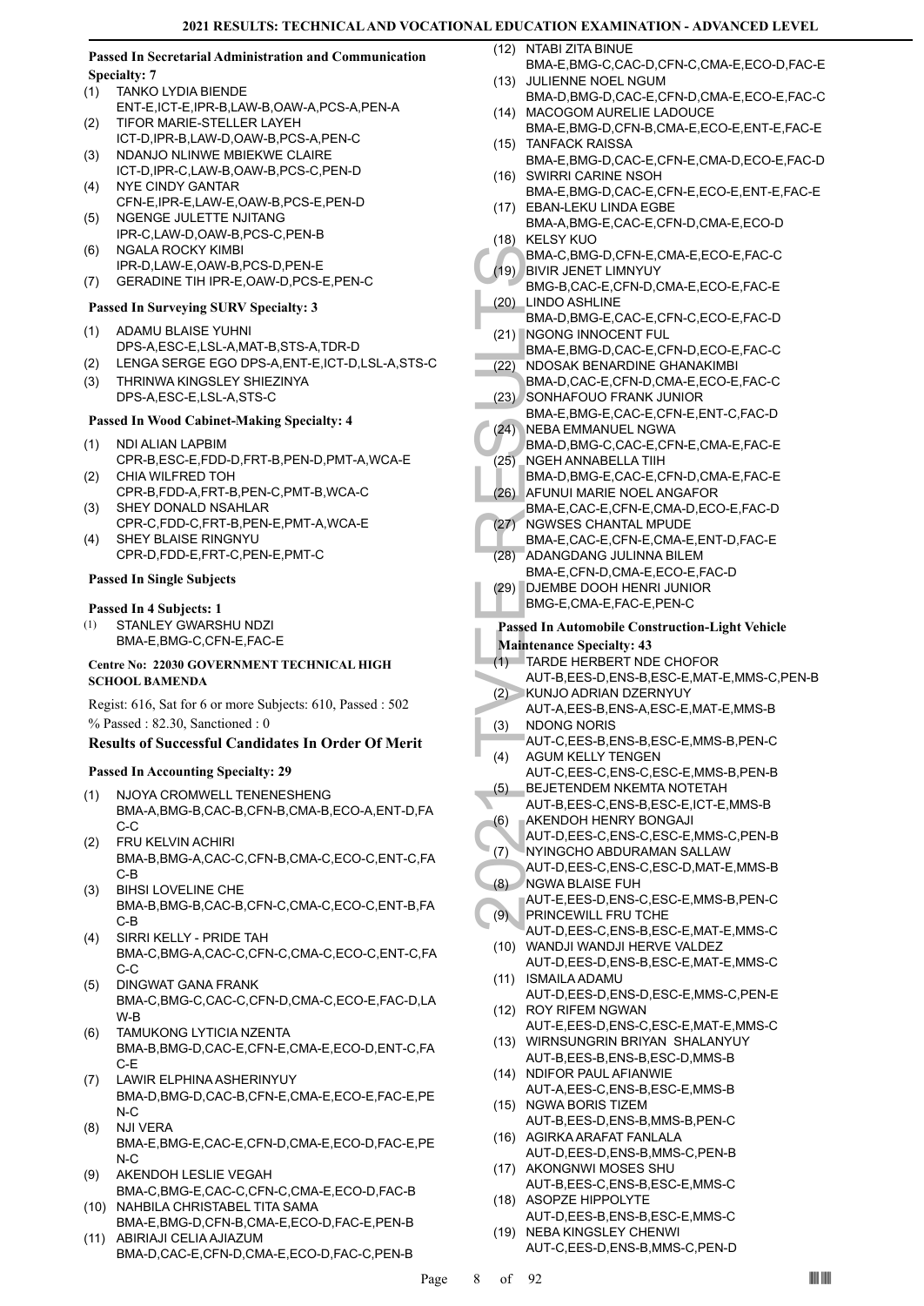# **Passed In Secretarial Administration and Communication Specialty: 7**

- TANKO LYDIA BIENDE ENT-E,ICT-E,IPR-B,LAW-B,OAW-A,PCS-A,PEN-A (1) TIFOR MARIE-STELLER LAYEH (2)
- ICT-D,IPR-B,LAW-D,OAW-B,PCS-A,PEN-C
- NDANJO NLINWE MBIEKWE CLAIRE ICT-D,IPR-C,LAW-B,OAW-B,PCS-C,PEN-D (3) NYE CINDY GANTAR (4)
- CFN-E,IPR-E,LAW-E,OAW-B,PCS-E,PEN-D NGENGE JULETTE NJITANG  $(5)$
- IPR-C,LAW-D,OAW-B,PCS-C,PEN-B
- NGALA ROCKY KIMBI IPR-D,LAW-E,OAW-B,PCS-D,PEN-E (6)
- (7) GERADINE TIH IPR-E,OAW-D,PCS-E,PEN-C

# **Passed In Surveying SURV Specialty: 3**

- ADAMU BLAISE YUHNI DPS-A,ESC-E,LSL-A,MAT-B,STS-A,TDR-D (1)
- (2) LENGA SERGE EGO DPS-A,ENT-E,ICT-D,LSL-A,STS-C
- THRINWA KINGSLEY SHIEZINYA DPS-A,ESC-E,LSL-A,STS-C (3)

# **Passed In Wood Cabinet-Making Specialty: 4**

- NDI ALIAN LAPBIM (1)
- CPR-B,ESC-E,FDD-D,FRT-B,PEN-D,PMT-A,WCA-E CHIA WILFRED TOH (2)
- CPR-B,FDD-A,FRT-B,PEN-C,PMT-B,WCA-C SHEY DONALD NSAHLAR (3)
- CPR-C,FDD-C,FRT-B,PEN-E,PMT-A,WCA-E SHEY BLAISE RINGNYU (4)
- CPR-D,FDD-E,FRT-C,PEN-E,PMT-C

# **Passed In Single Subjects**

# **Passed In 4 Subjects: 1**

STANLEY GWARSHU NDZI BMA-E,BMG-C,CFN-E,FAC-E (1)

# **Centre No: 22030 GOVERNMENT TECHNICAL HIGH SCHOOL BAMENDA**

Regist: 616, Sat for 6 or more Subjects: 610, Passed : 502 % Passed : 82.30, Sanctioned : 0

# **Results of Successful Candidates In Order Of Merit**

# **Passed In Accounting Specialty: 29**

- NJOYA CROMWELL TENENESHENG BMA-A,BMG-B,CAC-B,CFN-B,CMA-B,ECO-A,ENT-D,FA C-C (1)
- FRU KELVIN ACHIRI BMA-B,BMG-A,CAC-C,CFN-B,CMA-C,ECO-C,ENT-C,FA C-B (2)
- BIHSI LOVELINE CHE BMA-B,BMG-B,CAC-B,CFN-C,CMA-C,ECO-C,ENT-B,FA C-B (3)
- SIRRI KELLY PRIDE TAH BMA-C,BMG-A,CAC-C,CFN-C,CMA-C,ECO-C,ENT-C,FA C-C (4)
- DINGWAT GANA FRANK BMA-C,BMG-C,CAC-C,CFN-D,CMA-C,ECO-E,FAC-D,LA W-B (5)
- TAMUKONG LYTICIA NZENTA BMA-B,BMG-D,CAC-E,CFN-E,CMA-E,ECO-D,ENT-C,FA C-E (6)
- LAWIR ELPHINA ASHERINYUY BMA-D,BMG-D,CAC-B,CFN-E,CMA-E,ECO-E,FAC-E,PE N-C (7)
- NJI VERA BMA-E,BMG-E,CAC-E,CFN-D,CMA-E,ECO-D,FAC-E,PE  $N-C$ (8)
- AKENDOH LESLIE VEGAH BMA-C,BMG-E,CAC-C,CFN-C,CMA-E,ECO-D,FAC-B (9) (10) NAHBILA CHRISTABEL TITA SAMA
- BMA-E,BMG-D,CFN-B,CMA-E,ECO-D,FAC-E,PEN-B ABIRIAJI CELIA AJIAZUM (11)

BMA-D,CAC-E,CFN-D,CMA-E,ECO-D,FAC-C,PEN-B

- (12) NTABI ZITA BINUE
	- BMA-E,BMG-C,CAC-D,CFN-C,CMA-E,ECO-D,FAC-E (13) JULIENNE NOEL NGUM
	- BMA-D,BMG-D,CAC-E,CFN-D,CMA-E,ECO-E,FAC-C (14) MACOGOM AURELIE LADOUCE
	- BMA-E,BMG-D,CFN-B,CMA-E,ECO-E,ENT-E,FAC-E (15) TANFACK RAISSA
	- BMA-E,BMG-D,CAC-E,CFN-E,CMA-D,ECO-E,FAC-D (16) SWIRRI CARINE NSOH
	- BMA-E,BMG-D,CAC-E,CFN-E,ECO-E,ENT-E,FAC-E (17) EBAN-LEKU LINDA EGBE
- BMA-A,BMG-E,CAC-E,CFN-D,CMA-E,ECO-D (18) KELSY KUO
- BMA-C,BMG-D,CFN-E,CMA-E,ECO-E,FAC-C BIVIR JENET LIMNYUY (19)
- BMG-B,CAC-E,CFN-D,CMA-E,ECO-E,FAC-E LINDO ASHLINE (20)
- BMA-D,BMG-E,CAC-E,CFN-C,ECO-E,FAC-D (21) NGONG INNOCENT FUL
- BMA-E,BMG-D,CAC-E,CFN-D,ECO-E,FAC-C NDOSAK BENARDINE GHANAKIMBI (22)
- BMA-D,CAC-E,CFN-D,CMA-E,ECO-E,FAC-C SONHAFOUO FRANK JUNIOR (23)
- BMA-E,BMG-E,CAC-E,CFN-E,ENT-C,FAC-D NEBA EMMANUEL NGWA  $(24)$
- BMA-D,BMG-C,CAC-E,CFN-E,CMA-E,FAC-E NGEH ANNABELLA TIIH (25)
- BMA-D,BMG-E,CAC-E,CFN-D,CMA-E,FAC-E AFUNUI MARIE NOEL ANGAFOR (26)
- BMA-E,CAC-E,CFN-E,CMA-D,ECO-E,FAC-D NGWSES CHANTAL MPUDE (27)
- BMA-E,CAC-E,CFN-E,CMA-E,ENT-D,FAC-E ADANGDANG JULINNA BILEM (28)
- BMA-E,CFN-D,CMA-E,ECO-E,FAC-D
- DJEMBE DOOH HENRI JUNIOR BMG-E,CMA-E,FAC-E,PEN-C (29)

# **Passed In Automobile Construction-Light Vehicle Maintenance Specialty: 43**

- TARDE HERBERT NDE CHOFOR (1)
- BMA-C,<br>
(19) BMA-D,<br>
BMG-B,<br>
(20) LINDO / BMA-D,<br>
BMA-D,<br>
(21) NGONC BMA-E,<br>
(22) NDOSA<br>
BMA-D,<br>
22) SONHA<br>
BMA-E,<br>
(23) SONHA BMA-E,<br>
(24) NGEH AMA-D,<br>
AMA-E,<br>
(25) NGEH AMA-D,<br>
BMA-E,<br>
(26) AFUNUI BMA-E,<br>
(26) AFUNUI BMA AUT-B,EES-D,ENS-B,ESC-E,MAT-E,MMS-C,PEN-B KUNJO ADRIAN DZERNYUY  $(2)$ 
	- AUT-A,EES-B,ENS-A,ESC-E,MAT-E,MMS-B NDONG NORIS (3)
	- AUT-C,EES-B,ENS-B,ESC-E,MMS-B,PEN-C AGUM KELLY TENGEN (4)
	- AUT-C,EES-C,ENS-C,ESC-E,MMS-B,PEN-B BEJETENDEM NKEMTA NOTETAH (5)
	- AUT-B,EES-C,ENS-B,ESC-E,ICT-E,MMS-B AKENDOH HENRY BONGAJI (6)
	- AUT-D,EES-C,ENS-C,ESC-E,MMS-C,PEN-B
	- NYINGCHO ABDURAMAN SALLAW (7)
	- AUT-D,EES-C,ENS-C,ESC-D,MAT-E,MMS-B NGWA BLAISE FUH (8)
	- AUT-E,EES-D,ENS-C,ESC-E,MMS-B,PEN-C PRINCEWILL FRU TCHE (9)
	- AUT-D,EES-C,ENS-B,ESC-E,MAT-E,MMS-C WANDJI WANDJI HERVE VALDEZ (10)
	- AUT-D,EES-D,ENS-B,ESC-E,MAT-E,MMS-C ISMAILA ADAMU (11)
	- AUT-D,EES-D,ENS-D,ESC-E,MMS-C,PEN-E (12) ROY RIFEM NGWAN
		- AUT-E,EES-D,ENS-C,ESC-E,MAT-E,MMS-C
	- WIRNSUNGRIN BRIYAN SHALANYUY (13) AUT-B,EES-B,ENS-B,ESC-D,MMS-B
	- (14) NDIFOR PAUL AFIANWIE AUT-A,EES-C,ENS-B,ESC-E,MMS-B
	- (15) NGWA BORIS TIZEM AUT-B,EES-D,ENS-B,MMS-B,PEN-C
	- (16) AGIRKA ARAFAT FANLALA
	- AUT-D,EES-D,ENS-B,MMS-C,PEN-B (17) AKONGNWI MOSES SHU
	- AUT-B,EES-C,ENS-B,ESC-E,MMS-C (18) ASOPZE HIPPOLYTE
	- AUT-D,EES-B,ENS-B,ESC-E,MMS-C (19) NEBA KINGSLEY CHENWI
		- AUT-C,EES-D,ENS-B,MMS-C,PEN-D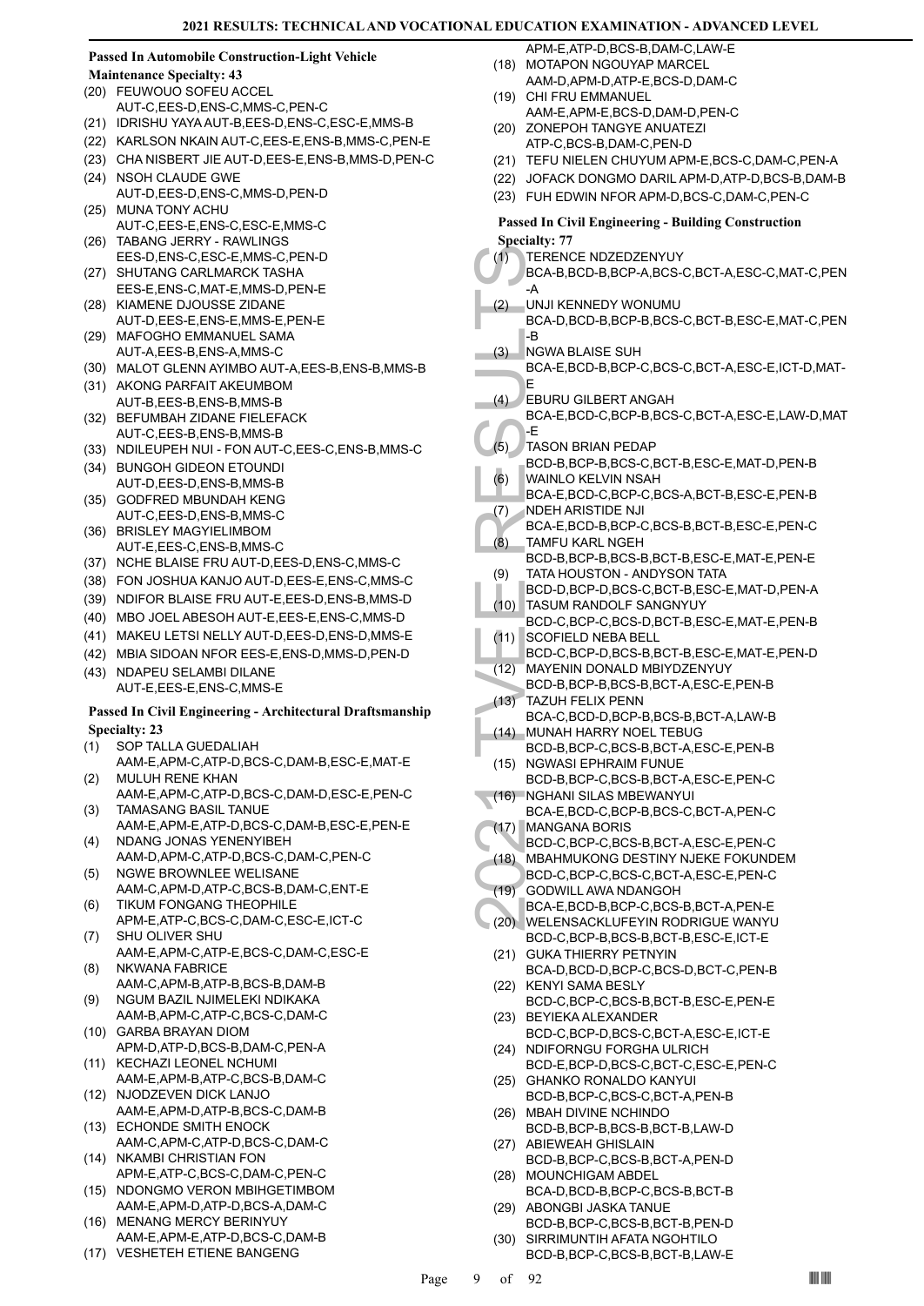# **Passed In Automobile Construction-Light Vehicle**

- **Maintenance Specialty: 43**
- FEUWOUO SOFEU ACCEL (20) AUT-C,EES-D,ENS-C,MMS-C,PEN-C
- (21) IDRISHU YAYA AUT-B,EES-D,ENS-C,ESC-E,MMS-B
- (22) KARLSON NKAIN AUT-C,EES-E,ENS-B,MMS-C,PEN-E
- (23) CHA NISBERT JIE AUT-D,EES-E,ENS-B,MMS-D,PEN-C
- (24) NSOH CLAUDE GWE AUT-D,EES-D,ENS-C,MMS-D,PEN-D
- (25) MUNA TONY ACHU AUT-C,EES-E,ENS-C,ESC-E,MMS-C
- TABANG JERRY RAWLINGS (26)
- EES-D,ENS-C,ESC-E,MMS-C,PEN-D (27) SHUTANG CARLMARCK TASHA
- EES-E,ENS-C,MAT-E,MMS-D,PEN-E (28) KIAMENE DJOUSSE ZIDANE
- AUT-D,EES-E,ENS-E,MMS-E,PEN-E MAFOGHO EMMANUEL SAMA (29)
- AUT-A,EES-B,ENS-A,MMS-C (30) MALOT GLENN AYIMBO AUT-A,EES-B,ENS-B,MMS-B
- (31) AKONG PARFAIT AKEUMBOM
- AUT-B,EES-B,ENS-B,MMS-B (32) BEFUMBAH ZIDANE FIELEFACK AUT-C,EES-B,ENS-B,MMS-B
- (33) NDILEUPEH NUI FON AUT-C,EES-C,ENS-B,MMS-C
- BUNGOH GIDEON ETOUNDI (34) AUT-D,EES-D,ENS-B,MMS-B
- (35) GODFRED MBUNDAH KENG AUT-C,EES-D,ENS-B,MMS-C
- (36) BRISLEY MAGYIELIMBOM AUT-E,EES-C,ENS-B,MMS-C
- (37) NCHE BLAISE FRU AUT-D,EES-D,ENS-C,MMS-C
- (38) FON JOSHUA KANJO AUT-D,EES-E,ENS-C,MMS-C
- (39) NDIFOR BLAISE FRU AUT-E,EES-D,ENS-B,MMS-D
- (40) MBO JOEL ABESOH AUT-E,EES-E,ENS-C,MMS-D
- (41) MAKEU LETSI NELLY AUT-D,EES-D,ENS-D,MMS-E
- (42) MBIA SIDOAN NFOR EES-E,ENS-D,MMS-D,PEN-D
- (43) NDAPEU SELAMBI DILANE AUT-E,EES-E,ENS-C,MMS-E

# **Passed In Civil Engineering - Architectural Draftsmanship Specialty: 23**

- SOP TALLA GUEDALIAH (1)
- AAM-E,APM-C,ATP-D,BCS-C,DAM-B,ESC-E,MAT-E MULUH RENE KHAN (2)
- AAM-E,APM-C,ATP-D,BCS-C,DAM-D,ESC-E,PEN-C TAMASANG BASIL TANUE (3)
- AAM-E,APM-E,ATP-D,BCS-C,DAM-B,ESC-E,PEN-E (4) NDANG JONAS YENENYIBEH
- AAM-D,APM-C,ATP-D,BCS-C,DAM-C,PEN-C NGWE BROWNLEE WELISANE (5)
- AAM-C,APM-D,ATP-C,BCS-B,DAM-C,ENT-E TIKUM FONGANG THEOPHILE (6)
- APM-E,ATP-C,BCS-C,DAM-C,ESC-E,ICT-C SHU OLIVER SHU (7)
- AAM-E,APM-C,ATP-E,BCS-C,DAM-C,ESC-E NKWANA FABRICE (8)
- AAM-C,APM-B,ATP-B,BCS-B,DAM-B NGUM BAZIL NJIMELEKI NDIKAKA (9)
- AAM-B,APM-C,ATP-C,BCS-C,DAM-C GARBA BRAYAN DIOM (10)
- APM-D,ATP-D,BCS-B,DAM-C,PEN-A
- (11) KECHAZI LEONEL NCHUMI AAM-E,APM-B,ATP-C,BCS-B,DAM-C
- (12) NJODZEVEN DICK LANJO AAM-E,APM-D,ATP-B,BCS-C,DAM-B
- (13) ECHONDE SMITH ENOCK AAM-C,APM-C,ATP-D,BCS-C,DAM-C
- (14) NKAMBI CHRISTIAN FON APM-E,ATP-C,BCS-C,DAM-C,PEN-C
- (15) NDONGMO VERON MBIHGETIMBOM AAM-E,APM-D,ATP-D,BCS-A,DAM-C
- (16) MENANG MERCY BERINYUY
- AAM-E,APM-E,ATP-D,BCS-C,DAM-B (17) VESHETEH ETIENE BANGENG
- 
- APM-E,ATP-D,BCS-B,DAM-C,LAW-E
- (18) MOTAPON NGOUYAP MARCEL AAM-D,APM-D,ATP-E,BCS-D,DAM-C
- (19) CHI FRU EMMANUEL AAM-E,APM-E,BCS-D,DAM-D,PEN-C
- (20) ZONEPOH TANGYE ANUATEZI
- ATP-C,BCS-B,DAM-C,PEN-D (21) TEFU NIELEN CHUYUM APM-E,BCS-C,DAM-C,PEN-A
- (22) JOFACK DONGMO DARIL APM-D,ATP-D,BCS-B,DAM-B
- (23) FUH EDWIN NFOR APM-D,BCS-C,DAM-C,PEN-C

# **Passed In Civil Engineering - Building Construction Specialty: 77**

- TERENCE NDZEDZENYUY (1)
- BCA-B,BCD-B,BCP-A,BCS-C,BCT-A,ESC-C,MAT-C,PEN -A
- (1) TERENG BCA-B, (2) TERENG BCA-B, (2) UNJI KE BCA-D, BCA-B, (3) AGWA BCA-E,  $\epsilon$  E BURU BCA-E,  $\epsilon$  E BURU BCA-E,  $\epsilon$  E BURU BCA-E,  $\epsilon$  TASON BCD-B, WAINLC BCA-E, (6) WAINLC BCA-E, (7) NDEH A BCA-E, (8) TATA H(6) BCA-UNJI KENNEDY WONUMU BCA-D,BCD-B,BCP-B,BCS-C,BCT-B,ESC-E,MAT-C,PEN -B (2)
	- NGWA BLAISE SUH (3)
	- BCA-E,BCD-B,BCP-C,BCS-C,BCT-A,ESC-E,ICT-D,MAT-E
	- EBURU GILBERT ANGAH (4)
	- BCA-E,BCD-C,BCP-B,BCS-C,BCT-A,ESC-E,LAW-D,MAT -E
- TASON BRIAN PEDAP (5)
	- BCD-B,BCP-B,BCS-C,BCT-B,ESC-E,MAT-D,PEN-B WAINLO KELVIN NSAH (6)
- BCA-E,BCD-C,BCP-C,BCS-A,BCT-B,ESC-E,PEN-B NDEH ARISTIDE NJI (7)
- BCA-E,BCD-B,BCP-C,BCS-B,BCT-B,ESC-E,PEN-C TAMFU KARL NGEH (8)
- BCD-B,BCP-B,BCS-B,BCT-B,ESC-E,MAT-E,PEN-E TATA HOUSTON - ANDYSON TATA (9)
- BCD-D,BCP-D,BCS-C,BCT-B,ESC-E,MAT-D,PEN-A TASUM RANDOLF SANGNYUY (10)
- BCD-C,BCP-C,BCS-D,BCT-B,ESC-E,MAT-E,PEN-B SCOFIELD NEBA BELL (11)
- BCD-C,BCP-D,BCS-B,BCT-B,ESC-E,MAT-E,PEN-D
- MAYENIN DONALD MBIYDZENYUY  $(12)$
- BCD-B,BCP-B,BCS-B,BCT-A,ESC-E,PEN-B TAZUH FELIX PENN  $(13)$
- BCA-C,BCD-D,BCP-B,BCS-B,BCT-A,LAW-B MUNAH HARRY NOEL TEBUG  $(14)$
- BCD-B,BCP-C,BCS-B,BCT-A,ESC-E,PEN-B NGWASI EPHRAIM FUNUE (15)
- BCD-B,BCP-C,BCS-B,BCT-A,ESC-E,PEN-C NGHANI SILAS MBEWANYUI  $(16)$
- BCA-E,BCD-C,BCP-B,BCS-C,BCT-A,PEN-C MANGANA BORIS (17)
- BCD-C,BCP-C,BCS-B,BCT-A,ESC-E,PEN-C
- MBAHMUKONG DESTINY NJEKE FOKUNDEM (18)
- BCD-C,BCP-C,BCS-C,BCT-A,ESC-E,PEN-C GODWILL AWA NDANGOH (19)
- BCA-E,BCD-B,BCP-C,BCS-B,BCT-A,PEN-E WELENSACKLUFEYIN RODRIGUE WANYU  $(20)$
- BCD-C,BCP-B,BCS-B,BCT-B,ESC-E,ICT-E (21) GUKA THIERRY PETNYIN
- BCA-D,BCD-D,BCP-C,BCS-D,BCT-C,PEN-B (22) KENYI SAMA BESLY
- BCD-C,BCP-C,BCS-B,BCT-B,ESC-E,PEN-E BEYIEKA ALEXANDER (23)
- BCD-C,BCP-D,BCS-C,BCT-A,ESC-E,ICT-E (24) NDIFORNGU FORGHA ULRICH
- BCD-E,BCP-D,BCS-C,BCT-C,ESC-E,PEN-C GHANKO RONALDO KANYUI (25)
- BCD-B,BCP-C,BCS-C,BCT-A,PEN-B (26) MBAH DIVINE NCHINDO
- BCD-B,BCP-B,BCS-B,BCT-B,LAW-D (27) ABIEWEAH GHISLAIN
- BCD-B,BCP-C,BCS-B,BCT-A,PEN-D (28) MOUNCHIGAM ABDEL
- BCA-D,BCD-B,BCP-C,BCS-B,BCT-B (29) ABONGBI JASKA TANUE
- BCD-B,BCP-C,BCS-B,BCT-B,PEN-D (30) SIRRIMUNTIH AFATA NGOHTILO
- BCD-B,BCP-C,BCS-B,BCT-B,LAW-E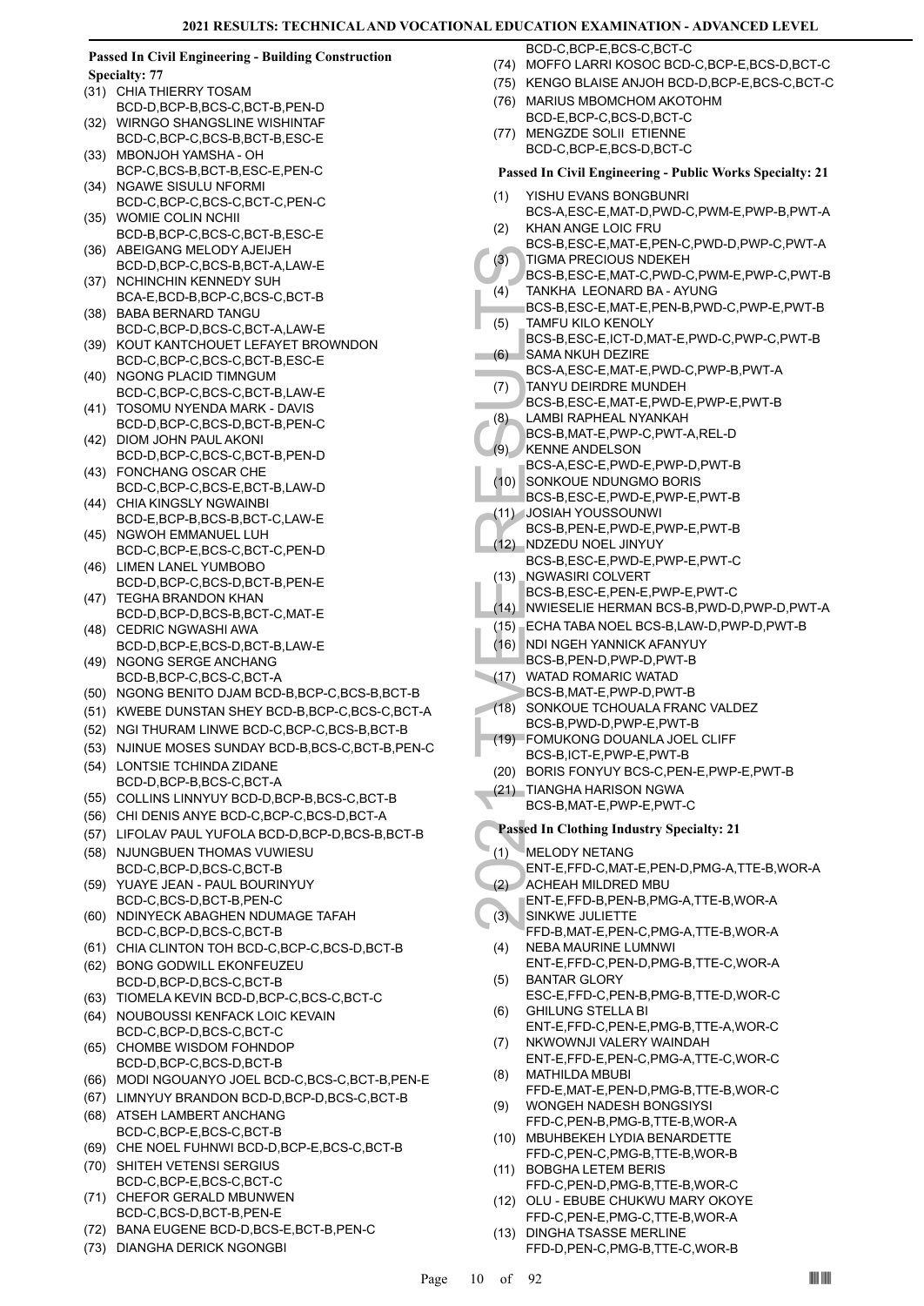### **Passed In Civil Engineering - Building Construction Specialty: 77**

- (31) CHIA THIERRY TOSAM BCD-D,BCP-B,BCS-C,BCT-B,PEN-D
- WIRNGO SHANGSLINE WISHINTAF BCD-C,BCP-C,BCS-B,BCT-B,ESC-E (32)
- (33) MBONJOH YAMSHA OH BCP-C,BCS-B,BCT-B,ESC-E,PEN-C
- (34) NGAWE SISULU NFORMI BCD-C,BCP-C,BCS-C,BCT-C,PEN-C
- WOMIE COLIN NCHII BCD-B,BCP-C,BCS-C,BCT-B,ESC-E (35)
- ABEIGANG MELODY AJEIJEH BCD-D,BCP-C,BCS-B,BCT-A,LAW-E (36)
- (37) NCHINCHIN KENNEDY SUH BCA-E,BCD-B,BCP-C,BCS-C,BCT-B
- BABA BERNARD TANGU BCD-C,BCP-D,BCS-C,BCT-A,LAW-E (38)
- (39) KOUT KANTCHOUET LEFAYET BROWNDON BCD-C,BCP-C,BCS-C,BCT-B,ESC-E
- (40) NGONG PLACID TIMNGUM BCD-C,BCP-C,BCS-C,BCT-B,LAW-E
- TOSOMU NYENDA MARK DAVIS BCD-D,BCP-C,BCS-D,BCT-B,PEN-C (41)
- (42) DIOM JOHN PAUL AKONI BCD-D,BCP-C,BCS-C,BCT-B,PEN-D
- FONCHANG OSCAR CHE (43) BCD-C,BCP-C,BCS-E,BCT-B,LAW-D
- (44) CHIA KINGSLY NGWAINBI BCD-E,BCP-B,BCS-B,BCT-C,LAW-E
- (45) NGWOH EMMANUEL LUH BCD-C,BCP-E,BCS-C,BCT-C,PEN-D
- (46) LIMEN LANEL YUMBOBO BCD-D,BCP-C,BCS-D,BCT-B,PEN-E
- (47) TEGHA BRANDON KHAN BCD-D,BCP-D,BCS-B,BCT-C,MAT-E
- (48) CEDRIC NGWASHI AWA BCD-D,BCP-E,BCS-D,BCT-B,LAW-E
- (49) NGONG SERGE ANCHANG BCD-B,BCP-C,BCS-C,BCT-A
- (50) NGONG BENITO DJAM BCD-B,BCP-C,BCS-B,BCT-B
- (51) KWEBE DUNSTAN SHEY BCD-B,BCP-C,BCS-C,BCT-A
- (52) NGI THURAM LINWE BCD-C,BCP-C,BCS-B,BCT-B
- (53) NJINUE MOSES SUNDAY BCD-B,BCS-C,BCT-B,PEN-C
- LONTSIE TCHINDA ZIDANE BCD-D,BCP-B,BCS-C,BCT-A (54)
- (55) COLLINS LINNYUY BCD-D,BCP-B,BCS-C,BCT-B
- (56) CHI DENIS ANYE BCD-C,BCP-C,BCS-D,BCT-A
- (57) LIFOLAV PAUL YUFOLA BCD-D,BCP-D,BCS-B,BCT-B
- NJUNGBUEN THOMAS VUWIESU BCD-C,BCP-D,BCS-C,BCT-B (58)
- YUAYE JEAN PAUL BOURINYUY BCD-C,BCS-D,BCT-B,PEN-C (59)
- (60) NDINYECK ABAGHEN NDUMAGE TAFAH BCD-C,BCP-D,BCS-C,BCT-B
- (61) CHIA CLINTON TOH BCD-C,BCP-C,BCS-D,BCT-B
- (62) BONG GODWILL EKONFEUZEU BCD-D,BCP-D,BCS-C,BCT-B
- (63) TIOMELA KEVIN BCD-D,BCP-C,BCS-C,BCT-C
- (64) NOUBOUSSI KENFACK LOIC KEVAIN BCD-C,BCP-D,BCS-C,BCT-C
- (65) CHOMBE WISDOM FOHNDOP BCD-D,BCP-C,BCS-D,BCT-B
- (66) MODI NGOUANYO JOEL BCD-C,BCS-C,BCT-B,PEN-E
- (67) LIMNYUY BRANDON BCD-D,BCP-D,BCS-C,BCT-B
- ATSEH LAMBERT ANCHANG BCD-C,BCP-E,BCS-C,BCT-B (68)
- (69) CHE NOEL FUHNWI BCD-D,BCP-E,BCS-C,BCT-B
- SHITEH VETENSI SERGIUS BCD-C,BCP-E,BCS-C,BCT-C (70)
- CHEFOR GERALD MBUNWEN BCD-C,BCS-D,BCT-B,PEN-E (71)
- (72) BANA EUGENE BCD-D,BCS-E,BCT-B,PEN-C
- (73) DIANGHA DERICK NGONGBI

BCD-C,BCP-E,BCS-C,BCT-C

- (74) MOFFO LARRI KOSOC BCD-C,BCP-E,BCS-D,BCT-C
- (75) KENGO BLAISE ANJOH BCD-D,BCP-E,BCS-C,BCT-C
- (76) MARIUS MBOMCHOM AKOTOHM
- BCD-E,BCP-C,BCS-D,BCT-C (77) MENGZDE SOLII ETIENNE
- BCD-C,BCP-E,BCS-D,BCT-C **Passed In Civil Engineering - Public Works Specialty: 21** YISHU EVANS BONGBUNRI (1) BCS-A,ESC-E,MAT-D,PWD-C,PWM-E,PWP-B,PWT-A KHAN ANGE LOIC FRU (2) BCS-B,ESC-E,MAT-E,PEN-C,PWD-D,PWP-C,PWT-A (3) TIGMA BCS-B, (4) TANKH, BCS-B, (4) TANKH, BCS-B, TANKH, BCS-B, TANKH, BCS-B, TANKH, BCS-B, SAMA NCS-B, (6) SAMA NCS-B, (8) LAMBI FCS-B, (8) LAMBI FCS-B, (9) CS-B, INDISIAH RCS-B, (11) JOSIAH BCS-B, (12) NCS-B, (12) NCS (3) TIGMA PRECIOUS NDEKEH BCS-B,ESC-E,MAT-C,PWD-C,PWM-E,PWP-C,PWT-B (4) TANKHA LEONARD BA - AYUNG BCS-B,ESC-E,MAT-E,PEN-B,PWD-C,PWP-E,PWT-B  $(5)$ TAMFU KILO KENOLY BCS-B,ESC-E,ICT-D,MAT-E,PWD-C,PWP-C,PWT-B (6) SAMA NKUH DEZIRE BCS-A,ESC-E,MAT-E,PWD-C,PWP-B,PWT-A TANYU DEIRDRE MUNDEH (7) BCS-B,ESC-E,MAT-E,PWD-E,PWP-E,PWT-B × (8) LAMBI RAPHEAL NYANKAH BCS-B,MAT-E,PWP-C,PWT-A,REL-D KENNE ANDELSON  $(9)$ BCS-A,ESC-E,PWD-E,PWP-D,PWT-B (10) SONKOUE NDUNGMO BORIS BCS-B,ESC-E,PWD-E,PWP-E,PWT-B JOSIAH YOUSSOUNWI (11) BCS-B,PEN-E,PWD-E,PWP-E,PWT-B NDZEDU NOEL JINYUY  $(12)$ BCS-B,ESC-E,PWD-E,PWP-E,PWT-C (13) NGWASIRI COLVERT BCS-B,ESC-E,PEN-E,PWP-E,PWT-C (14) NWIESELIE HERMAN BCS-B,PWD-D,PWP-D,PWT-A (15) ECHA TABA NOEL BCS-B,LAW-D,PWP-D,PWT-B (16) NDI NGEH YANNICK AFANYUY BCS-B,PEN-D,PWP-D,PWT-B (17) WATAD ROMARIC WATAD BCS-B,MAT-E,PWP-D,PWT-B (18) SONKOUE TCHOUALA FRANC VALDEZ BCS-B,PWD-D,PWP-E,PWT-B FOMUKONG DOUANLA JOEL CLIFF (19) BCS-B,ICT-E,PWP-E,PWT-B (20) BORIS FONYUY BCS-C,PEN-E,PWP-E,PWT-B TIANGHA HARISON NGWA (21) BCS-B,MAT-E,PWP-E,PWT-C **Passed In Clothing Industry Specialty: 21** MELODY NETANG (1) ENT-E,FFD-C,MAT-E,PEN-D,PMG-A,TTE-B,WOR-A (2) ACHEAH MILDRED MBU ENT-E,FFD-B,PEN-B,PMG-A,TTE-B,WOR-A (3) SINKWE JULIETTE FFD-B,MAT-E,PEN-C,PMG-A,TTE-B,WOR-A (4) NEBA MAURINE LUMNWI ENT-E,FFD-C,PEN-D,PMG-B,TTE-C,WOR-A (5) BANTAR GLORY ESC-E,FFD-C,PEN-B,PMG-B,TTE-D,WOR-C GHILUNG STELLA BI (6) ENT-E,FFD-C,PEN-E,PMG-B,TTE-A,WOR-C (7) NKWOWNJI VALERY WAINDAH ENT-E,FFD-E,PEN-C,PMG-A,TTE-C,WOR-C (8) MATHILDA MBUBI FFD-E,MAT-E,PEN-D,PMG-B,TTE-B,WOR-C WONGEH NADESH BONGSIYSI (9) FFD-C,PEN-B,PMG-B,TTE-B,WOR-A MBUHBEKEH LYDIA BENARDETTE (10) FFD-C,PEN-C,PMG-B,TTE-B,WOR-B
	- BOBGHA LETEM BERIS (11) FFD-C,PEN-D,PMG-B,TTE-B,WOR-C
	- OLU EBUBE CHUKWU MARY OKOYE FFD-C,PEN-E,PMG-C,TTE-B,WOR-A (12)
	- (13) DINGHA TSASSE MERLINE FFD-D,PEN-C,PMG-B,TTE-C,WOR-B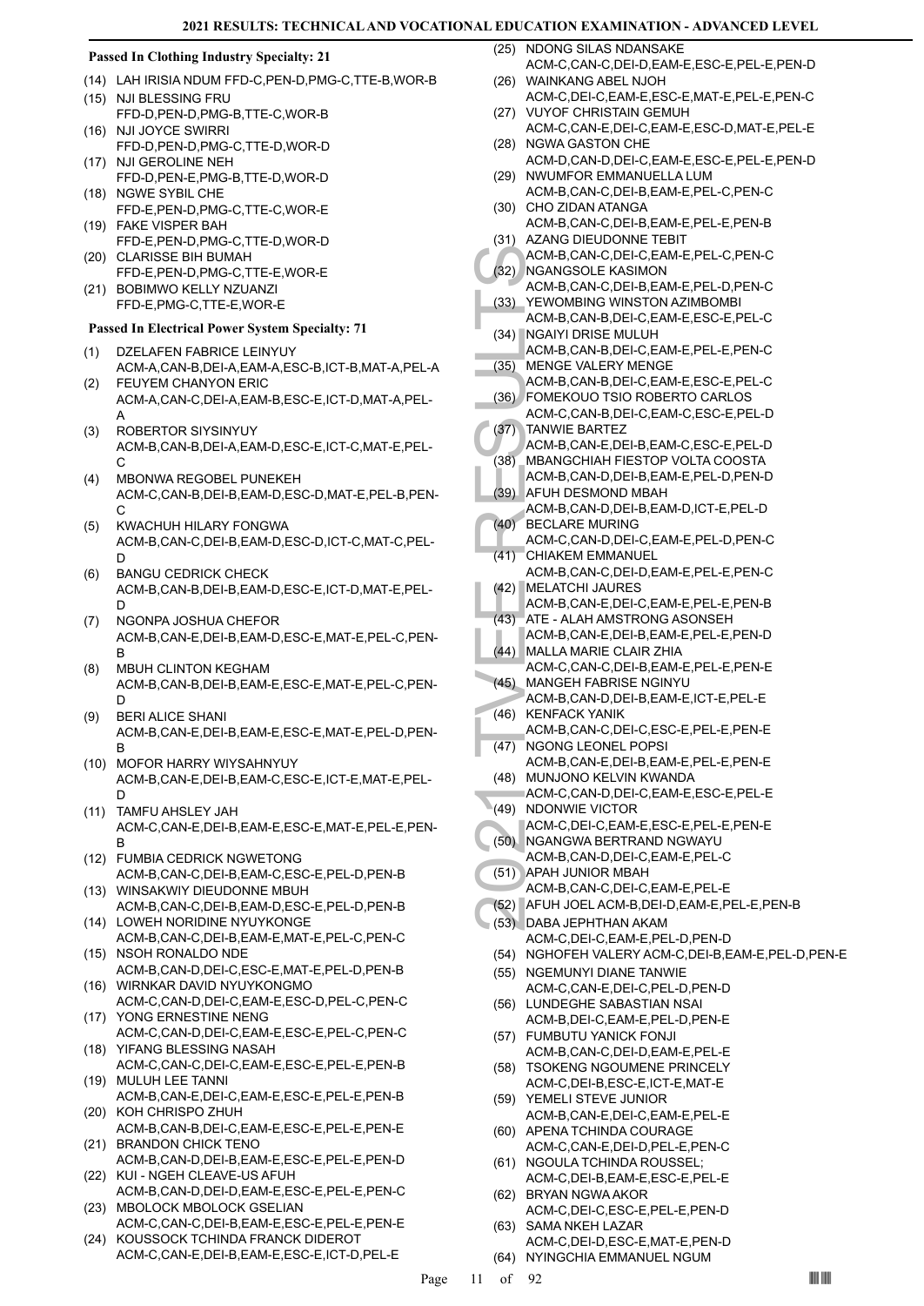# **Passed In Clothing Industry Specialty: 21**

- (14) LAH IRISIA NDUM FFD-C,PEN-D,PMG-C,TTE-B,WOR-B
- (15) NJI BLESSING FRU FFD-D,PEN-D,PMG-B,TTE-C,WOR-B (16) NJI JOYCE SWIRRI
- FFD-D,PEN-D,PMG-C,TTE-D,WOR-D (17) NJI GEROLINE NEH
- FFD-D,PEN-E,PMG-B,TTE-D,WOR-D (18) NGWE SYBIL CHE
- FFD-E,PEN-D,PMG-C,TTE-C,WOR-E FAKE VISPER BAH (19)
- FFD-E,PEN-D,PMG-C,TTE-D,WOR-D (20) CLARISSE BIH BUMAH
- FFD-E,PEN-D,PMG-C,TTE-E,WOR-E (21) BOBIMWO KELLY NZUANZI
- FFD-E,PMG-C,TTE-E,WOR-E

# **Passed In Electrical Power System Specialty: 71**

- DZELAFEN FABRICE LEINYUY ACM-A,CAN-B,DEI-A,EAM-A,ESC-B,ICT-B,MAT-A,PEL-A (1)
- FEUYEM CHANYON ERIC ACM-A,CAN-C,DEI-A,EAM-B,ESC-E,ICT-D,MAT-A,PEL-A (2)
- ROBERTOR SIYSINYUY ACM-B,CAN-B,DEI-A,EAM-D,ESC-E,ICT-C,MAT-E,PEL-C (3)
- MBONWA REGOBEL PUNEKEH ACM-C,CAN-B,DEI-B,EAM-D,ESC-D,MAT-E,PEL-B,PEN- $\mathcal{C}$ (4)
- KWACHUH HILARY FONGWA ACM-B,CAN-C,DEI-B,EAM-D,ESC-D,ICT-C,MAT-C,PEL-D (5)
- BANGU CEDRICK CHECK ACM-B,CAN-B,DEI-B,EAM-D,ESC-E,ICT-D,MAT-E,PEL-D (6)
- NGONPA JOSHUA CHEFOR ACM-B,CAN-E,DEI-B,EAM-D,ESC-E,MAT-E,PEL-C,PEN-B (7)
- MBUH CLINTON KEGHAM ACM-B,CAN-B,DEI-B,EAM-E,ESC-E,MAT-E,PEL-C,PEN-D (8)
- BERI ALICE SHANI ACM-B,CAN-E,DEI-B,EAM-E,ESC-E,MAT-E,PEL-D,PEN-B (9)
- (10) MOFOR HARRY WIYSAHNYUY ACM-B,CAN-E,DEI-B,EAM-C,ESC-E,ICT-E,MAT-E,PEL-D
- (11) TAMFU AHSLEY JAH ACM-C,CAN-E,DEI-B,EAM-E,ESC-E,MAT-E,PEL-E,PEN-B
- FUMBIA CEDRICK NGWETONG (12) ACM-B,CAN-C,DEI-B,EAM-C,ESC-E,PEL-D,PEN-B
- (13) WINSAKWIY DIEUDONNE MBUH ACM-B,CAN-C,DEI-B,EAM-D,ESC-E,PEL-D,PEN-B
- (14) LOWEH NORIDINE NYUYKONGE ACM-B,CAN-C,DEI-B,EAM-E,MAT-E,PEL-C,PEN-C
- (15) NSOH RONALDO NDE ACM-B,CAN-D,DEI-C,ESC-E,MAT-E,PEL-D,PEN-B
- (16) WIRNKAR DAVID NYUYKONGMO ACM-C,CAN-D,DEI-C,EAM-E,ESC-D,PEL-C,PEN-C (17) YONG ERNESTINE NENG
- ACM-C,CAN-D,DEI-C,EAM-E,ESC-E,PEL-C,PEN-C YIFANG BLESSING NASAH (18)
- ACM-C,CAN-C,DEI-C,EAM-E,ESC-E,PEL-E,PEN-B MULUH LEE TANNI (19)
- ACM-B,CAN-E,DEI-C,EAM-E,ESC-E,PEL-E,PEN-B (20) KOH CHRISPO ZHUH
- ACM-B,CAN-B,DEI-C,EAM-E,ESC-E,PEL-E,PEN-E (21) BRANDON CHICK TENO
- ACM-B,CAN-D,DEI-B,EAM-E,ESC-E,PEL-E,PEN-D (22) KUI - NGEH CLEAVE-US AFUH
- ACM-B,CAN-D,DEI-D,EAM-E,ESC-E,PEL-E,PEN-C (23) MBOLOCK MBOLOCK GSELIAN
- ACM-C,CAN-C,DEI-B,EAM-E,ESC-E,PEL-E,PEN-E (24) KOUSSOCK TCHINDA FRANCK DIDEROT
- ACM-C,CAN-E,DEI-B,EAM-E,ESC-E,ICT-D,PEL-E

NDONG SILAS NDANSAKE ACM-C,CAN-C,DEI-D,EAM-E,ESC-E,PEL-E,PEN-D (25)

- WAINKANG ABEL NJOH (26) ACM-C,DEI-C,EAM-E,ESC-E,MAT-E,PEL-E,PEN-C
- (27) VUYOF CHRISTAIN GEMUH ACM-C,CAN-E,DEI-C,EAM-E,ESC-D,MAT-E,PEL-E
- (28) NGWA GASTON CHE
- ACM-D,CAN-D,DEI-C,EAM-E,ESC-E,PEL-E,PEN-D (29) NWUMFOR EMMANUELLA LUM
- ACM-B,CAN-C,DEI-B,EAM-E,PEL-C,PEN-C (30) CHO ZIDAN ATANGA
- ACM-B,CAN-C,DEI-B,EAM-E,PEL-E,PEN-B (31) AZANG DIEUDONNE TEBIT
- ACM-B,CAN-C,DEI-C,EAM-E,PEL-C,PEN-C (32) NGANGSOLE KASIMON
- ACM-B,CAN-C,DEI-B,EAM-E,PEL-D,PEN-C YEWOMBING WINSTON AZIMBOMBI (33)
- ACM-B,CAN-B,DEI-C,EAM-E,ESC-E,PEL-C (34) NGAIYI DRISE MULUH
- ACM-B,CAN-B,DEI-C,EAM-E,PEL-E,PEN-C MENGE VALERY MENGE (35)
	- ACM-B,CAN-B,DEI-C,EAM-E,ESC-E,PEL-C
- ACM-B,<br>
(32) NGANG<br>
ACM-B,<br>
ACM-B,<br>
(33) YEWON<br>
ACM-B,<br>
(34) NGAIYI<br>
ACM-B,<br>
(35) MENGE<br>
ACM-B,<br>
ACM-B,<br>
ACM-B,<br>
ACM-B,<br>
ACM-B,<br>
ACM-B,<br>
ACM-B,<br>
ACM-B,<br>
ACM-B,<br>
ACM-B,<br>
ACM-B,<br>
ACM-B,<br>
ACM-B,<br>
ACM-B,<br>
ACM-B,<br>
ACM-B,<br>
ACM-B FOMEKOUO TSIO ROBERTO CARLOS (36) ACM-C,CAN-B,DEI-C,EAM-C,ESC-E,PEL-D TANWIE BARTEZ (37)
	- ACM-B,CAN-E,DEI-B,EAM-C,ESC-E,PEL-D
	- MBANGCHIAH FIESTOP VOLTA COOSTA ACM-B,CAN-D,DEI-B,EAM-E,PEL-D,PEN-D (38) AFUH DESMOND MBAH (39)
	- ACM-B,CAN-D,DEI-B,EAM-D,ICT-E,PEL-D BECLARE MURING (40)
	- ACM-C,CAN-D,DEI-C,EAM-E,PEL-D,PEN-C CHIAKEM EMMANUEL (41)
	- ACM-B,CAN-C,DEI-D,EAM-E,PEL-E,PEN-C MELATCHI JAURES (42)
	- ACM-B,CAN-E,DEI-C,EAM-E,PEL-E,PEN-B ATE - ALAH AMSTRONG ASONSEH (43)
	- ACM-B,CAN-E,DEI-B,EAM-E,PEL-E,PEN-D MALLA MARIE CLAIR ZHIA (44)
	- ACM-C,CAN-C,DEI-B,EAM-E,PEL-E,PEN-E MANGEH FABRISE NGINYU (45)
	- ACM-B,CAN-D,DEI-B,EAM-E,ICT-E,PEL-E (46) KENFACK YANIK
- ACM-B,CAN-C,DEI-C,ESC-E,PEL-E,PEN-E (47) NGONG LEONEL POPSI
- ACM-B,CAN-E,DEI-B,EAM-E,PEL-E,PEN-E (48) MUNJONO KELVIN KWANDA
- ACM-C,CAN-D,DEI-C,EAM-E,ESC-E,PEL-E (49) NDONWIE VICTOR
- ACM-C,DEI-C,EAM-E,ESC-E,PEL-E,PEN-E
- (50) NGANGWA BERTRAND NGWAYU ACM-B,CAN-D,DEI-C,EAM-E,PEL-C
- APAH JUNIOR MBAH (51)
	- ACM-B,CAN-C,DEI-C,EAM-E,PEL-E
- (52) AFUH JOEL ACM-B,DEI-D,EAM-E,PEL-E,PEN-B
- DABA JEPHTHAN AKAM (53)
- ACM-C,DEI-C,EAM-E,PEL-D,PEN-D
- (54) NGHOFEH VALERY ACM-C,DEI-B,EAM-E,PEL-D,PEN-E
- (55) NGEMUNYI DIANE TANWIE ACM-C,CAN-E,DEI-C,PEL-D,PEN-D
- LUNDEGHE SABASTIAN NSAI (56) ACM-B,DEI-C,EAM-E,PEL-D,PEN-E
- FUMBUTU YANICK FONJI (57) ACM-B,CAN-C,DEI-D,EAM-E,PEL-E
- (58) TSOKENG NGOUMENE PRINCELY ACM-C,DEI-B,ESC-E,ICT-E,MAT-E
- (59) YEMELI STEVE JUNIOR ACM-B,CAN-E,DEI-C,EAM-E,PEL-E
- (60) APENA TCHINDA COURAGE
- ACM-C,CAN-E,DEI-D,PEL-E,PEN-C (61) NGOULA TCHINDA ROUSSEL;
- ACM-C,DEI-B,EAM-E,ESC-E,PEL-E (62) BRYAN NGWA AKOR
- ACM-C,DEI-C,ESC-E,PEL-E,PEN-D (63) SAMA NKEH LAZAR
- ACM-C,DEI-D,ESC-E,MAT-E,PEN-D
- (64) NYINGCHIA EMMANUEL NGUM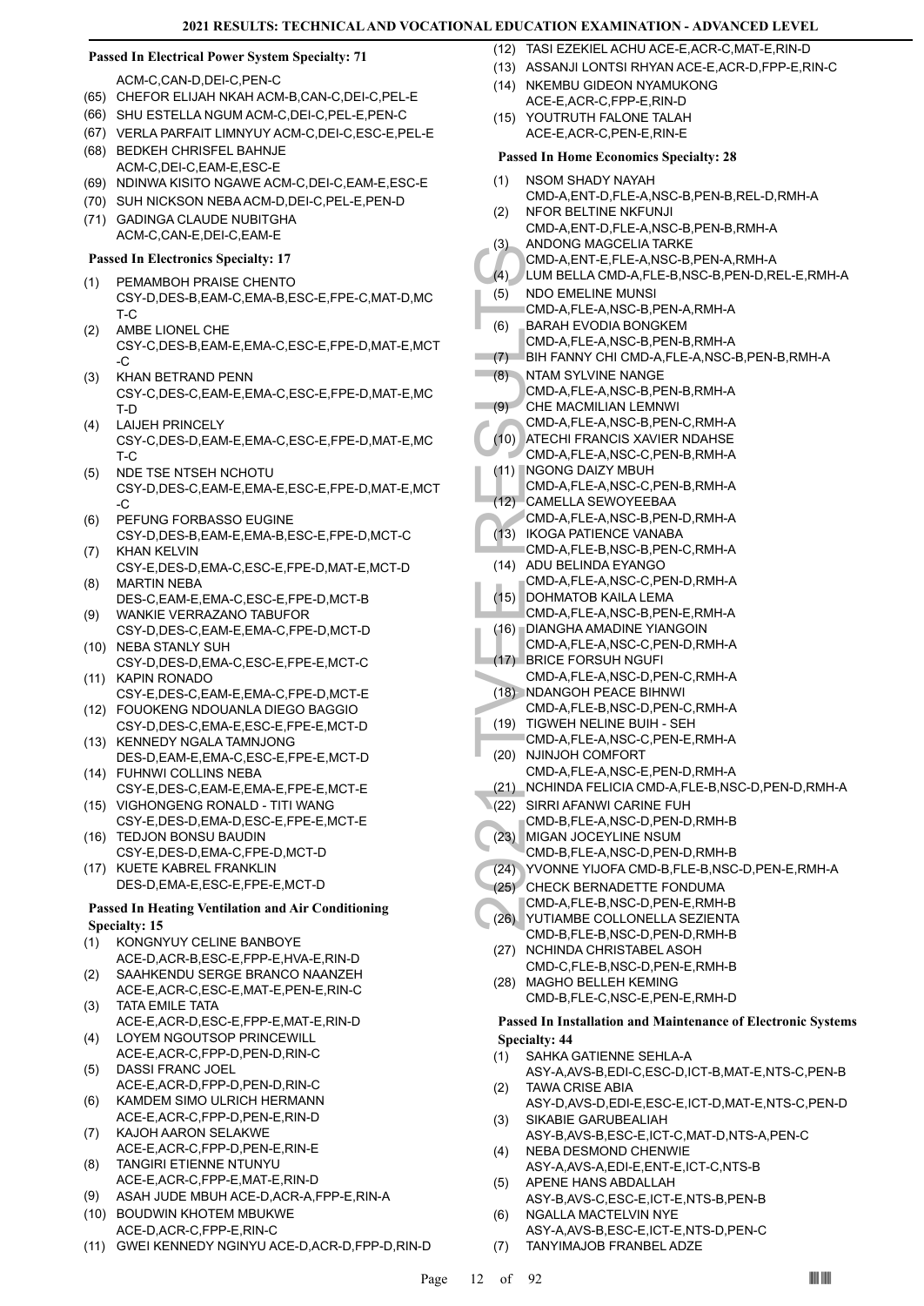# **Passed In Electrical Power System Specialty: 71**

ACM-C,CAN-D,DEI-C,PEN-C

- (65) CHEFOR ELIJAH NKAH ACM-B,CAN-C,DEI-C,PEL-E
- (66) SHU ESTELLA NGUM ACM-C,DEI-C,PEL-E,PEN-C
- (67) VERLA PARFAIT LIMNYUY ACM-C,DEI-C,ESC-E,PEL-E
- (68) BEDKEH CHRISFEL BAHNJE ACM-C,DEI-C,EAM-E,ESC-E
- (69) NDINWA KISITO NGAWE ACM-C,DEI-C,EAM-E,ESC-E
- (70) SUH NICKSON NEBA ACM-D,DEI-C,PEL-E,PEN-D
- (71) GADINGA CLAUDE NUBITGHA ACM-C,CAN-E,DEI-C,EAM-E

# **Passed In Electronics Specialty: 17**

- PEMAMBOH PRAISE CHENTO CSY-D,DES-B,EAM-C,EMA-B,ESC-E,FPE-C,MAT-D,MC T-C (1)
- AMBE LIONEL CHE CSY-C,DES-B,EAM-E,EMA-C,ESC-E,FPE-D,MAT-E,MCT -C  $(2)$
- KHAN BETRAND PENN CSY-C,DES-C,EAM-E,EMA-C,ESC-E,FPE-D,MAT-E,MC T-D (3)
- LAIJEH PRINCELY CSY-C,DES-D,EAM-E,EMA-C,ESC-E,FPE-D,MAT-E,MC T-C (4)
- NDE TSE NTSEH NCHOTU CSY-D,DES-C,EAM-E,EMA-E,ESC-E,FPE-D,MAT-E,MCT -C (5)
- PEFUNG FORBASSO EUGINE CSY-D,DES-B,EAM-E,EMA-B,ESC-E,FPE-D,MCT-C (6)
- KHAN KELVIN CSY-E,DES-D,EMA-C,ESC-E,FPE-D,MAT-E,MCT-D (7)
- MARTIN NEBA DES-C,EAM-E,EMA-C,ESC-E,FPE-D,MCT-B (8)
- WANKIE VERRAZANO TABUFOR CSY-D,DES-C,EAM-E,EMA-C,FPE-D,MCT-D (9) (10) NEBA STANLY SUH
- CSY-D,DES-D,EMA-C,ESC-E,FPE-E,MCT-C (11) KAPIN RONADO
- CSY-E,DES-C,EAM-E,EMA-C,FPE-D,MCT-E FOUOKENG NDOUANLA DIEGO BAGGIO (12)
- CSY-D,DES-C,EMA-E,ESC-E,FPE-E,MCT-D (13) KENNEDY NGALA TAMNJONG
- DES-D,EAM-E,EMA-C,ESC-E,FPE-E,MCT-D FUHNWI COLLINS NEBA (14)
- CSY-E,DES-C,EAM-E,EMA-E,FPE-E,MCT-E (15) VIGHONGENG RONALD - TITI WANG
- CSY-E,DES-D,EMA-D,ESC-E,FPE-E,MCT-E (16) TEDJON BONSU BAUDIN
- CSY-E,DES-D,EMA-C,FPE-D,MCT-D KUETE KABREL FRANKLIN
- DES-D,EMA-E,ESC-E,FPE-E,MCT-D (17)

# **Passed In Heating Ventilation and Air Conditioning Specialty: 15**

- KONGNYUY CELINE BANBOYE ACE-D,ACR-B,ESC-E,FPP-E,HVA-E,RIN-D (1)
- SAAHKENDU SERGE BRANCO NAANZEH ACE-E,ACR-C,ESC-E,MAT-E,PEN-E,RIN-C (2) TATA EMILE TATA (3)
- ACE-E,ACR-D,ESC-E,FPP-E,MAT-E,RIN-D LOYEM NGOUTSOP PRINCEWILL (4)
- ACE-E,ACR-C,FPP-D,PEN-D,RIN-C
- DASSI FRANC JOEL ACE-E,ACR-D,FPP-D,PEN-D,RIN-C (5)
- KAMDEM SIMO ULRICH HERMANN ACE-E,ACR-C,FPP-D,PEN-E,RIN-D (6)
- KAJOH AARON SELAKWE ACE-E,ACR-C,FPP-D,PEN-E,RIN-E (7) TANGIRI ETIENNE NTUNYU
- ACE-E,ACR-C,FPP-E,MAT-E,RIN-D (8)
- (9) ASAH JUDE MBUH ACE-D,ACR-A,FPP-E,RIN-A
- BOUDWIN KHOTEM MBUKWE (10) ACE-D,ACR-C,FPP-E,RIN-C
- (11) GWEI KENNEDY NGINYU ACE-D,ACR-D,FPP-D,RIN-D
- (12) TASI EZEKIEL ACHU ACE-E ACR-C, MAT-E, RIN-D
- (13) ASSANJI LONTSI RHYAN ACE-E,ACR-D,FPP-E,RIN-C
- NKEMBU GIDEON NYAMUKONG ACE-E,ACR-C,FPP-E,RIN-D  $(14)$
- YOUTRUTH FALONE TALAH ACE-E,ACR-C,PEN-E,RIN-E (15)

# **Passed In Home Economics Specialty: 28**

- NSOM SHADY NAYAH (1)
- CMD-A,ENT-D,FLE-A,NSC-B,PEN-B,REL-D,RMH-A NFOR BELTINE NKFUNJI (2)
- CMD-A,ENT-D,FLE-A,NSC-B,PEN-B,RMH-A ANDONG MAGCELIA TARKE (3)
- CMD-A,ENT-E,FLE-A,NSC-B,PEN-A,RMH-A
- (4) LUM BELLA CMD-A,FLE-B,NSC-B,PEN-D,REL-E,RMH-A
- NDO EMELINE MUNSI (5)
- CMD-A,FLE-A,NSC-B,PEN-A,RMH-A
- BARAH EVODIA BONGKEM (6)
	- CMD-A,FLE-A,NSC-B,PEN-B,RMH-A
- (7) BIH FANNY CHI CMD-A,FLE-A,NSC-B,PEN-B,RMH-A
- NTAM SYLVINE NANGE CMD-A,FLE-A,NSC-B,PEN-B,RMH-A (8)
- CHE MACMILIAN LEMNWI  $(9)$ 
	- CMD-A,FLE-A,NSC-B,PEN-C,RMH-A
	- (10) ATECHI FRANCIS XAVIER NDAHSE
	- CMD-A,FLE-A,NSC-C,PEN-B,RMH-A
	- NGONG DAIZY MBUH (11)
	- CMD-A,FLE-A,NSC-C,PEN-B,RMH-A
	- (12) CAMELLA SEWOYEEBAA
	- CMD-A,FLE-A,NSC-B,PEN-D,RMH-A
	- (13) IKOGA PATIENCE VANABA CMD-A,FLE-B,NSC-B,PEN-C,RMH-A
	- (14) ADU BELINDA EYANGO
	- CMD-A,FLE-A,NSC-C,PEN-D,RMH-A (15) DOHMATOB KAILA LEMA
	- CMD-A,FLE-A,NSC-B,PEN-E,RMH-A
	- DIANGHA AMADINE YIANGOIN (16) CMD-A,FLE-A,NSC-C,PEN-D,RMH-A
- (17) BRICE FORSUH NGUFI
- (4) COMPA (5) NDO EN BARAH<br>
(6) NDO EN BARAH<br>
(6) NDO EN BARAH<br>
(7) COMPA COMPA COMPA (12) COMPA COMPA COMPA COMPA COMPA COMPA COMPA COMPA COMPA COMPA COMPA COMPA COMPA COMPA COMPA COMPA COMPA COMPA COMPA COMPA COMPA COMPA CMD-A,FLE-A,NSC-D,PEN-C,RMH-A (18) NDANGOH PEACE BIHNWI
	- CMD-A,FLE-B,NSC-D,PEN-C,RMH-A
- (19) TIGWEH NELINE BUIH SEH
- CMD-A,FLE-A,NSC-C,PEN-E,RMH-A
- (20) NJINJOH COMFORT
	- CMD-A,FLE-A,NSC-E,PEN-D,RMH-A (21) NCHINDA FELICIA CMD-A,FLE-B,NSC-D,PEN-D,RMH-A
- (22) SIRRI AFANWI CARINE FUH
	- CMD-B,FLE-A,NSC-D,PEN-D,RMH-B
- MIGAN JOCEYLINE NSUM (23)
- CMD-B,FLE-A,NSC-D,PEN-D,RMH-B
- (24) YVONNE YIJOFA CMD-B,FLE-B,NSC-D,PEN-E,RMH-A
- (25) CHECK BERNADETTE FONDUMA
- CMD-A,FLE-B,NSC-D,PEN-E,RMH-B
- YUTIAMBE COLLONELLA SEZIENTA (26) CMD-B,FLE-B,NSC-D,PEN-D,RMH-B
- (27) NCHINDA CHRISTABEL ASOH CMD-C,FLE-B,NSC-D,PEN-E,RMH-B MAGHO BELLEH KEMING (28)
- CMD-B,FLE-C,NSC-E,PEN-E,RMH-D

# **Passed In Installation and Maintenance of Electronic Systems Specialty: 44**

- SAHKA GATIENNE SEHLA-A (1)
- ASY-A,AVS-B,EDI-C,ESC-D,ICT-B,MAT-E,NTS-C,PEN-B TAWA CRISE ABIA (2)
- ASY-D,AVS-D,EDI-E,ESC-E,ICT-D,MAT-E,NTS-C,PEN-D SIKABIE GARUBEALIAH (3)
- ASY-B,AVS-B,ESC-E,ICT-C,MAT-D,NTS-A,PEN-C NEBA DESMOND CHENWIE (4)
- ASY-A,AVS-A,EDI-E,ENT-E,ICT-C,NTS-B APENE HANS ABDALLAH (5)
	- ASY-B,AVS-C,ESC-E,ICT-E,NTS-B,PEN-B NGALLA MACTELVIN NYE
- ASY-A,AVS-B,ESC-E,ICT-E,NTS-D,PEN-C (6)
- (7) TANYIMAJOB FRANBEL ADZE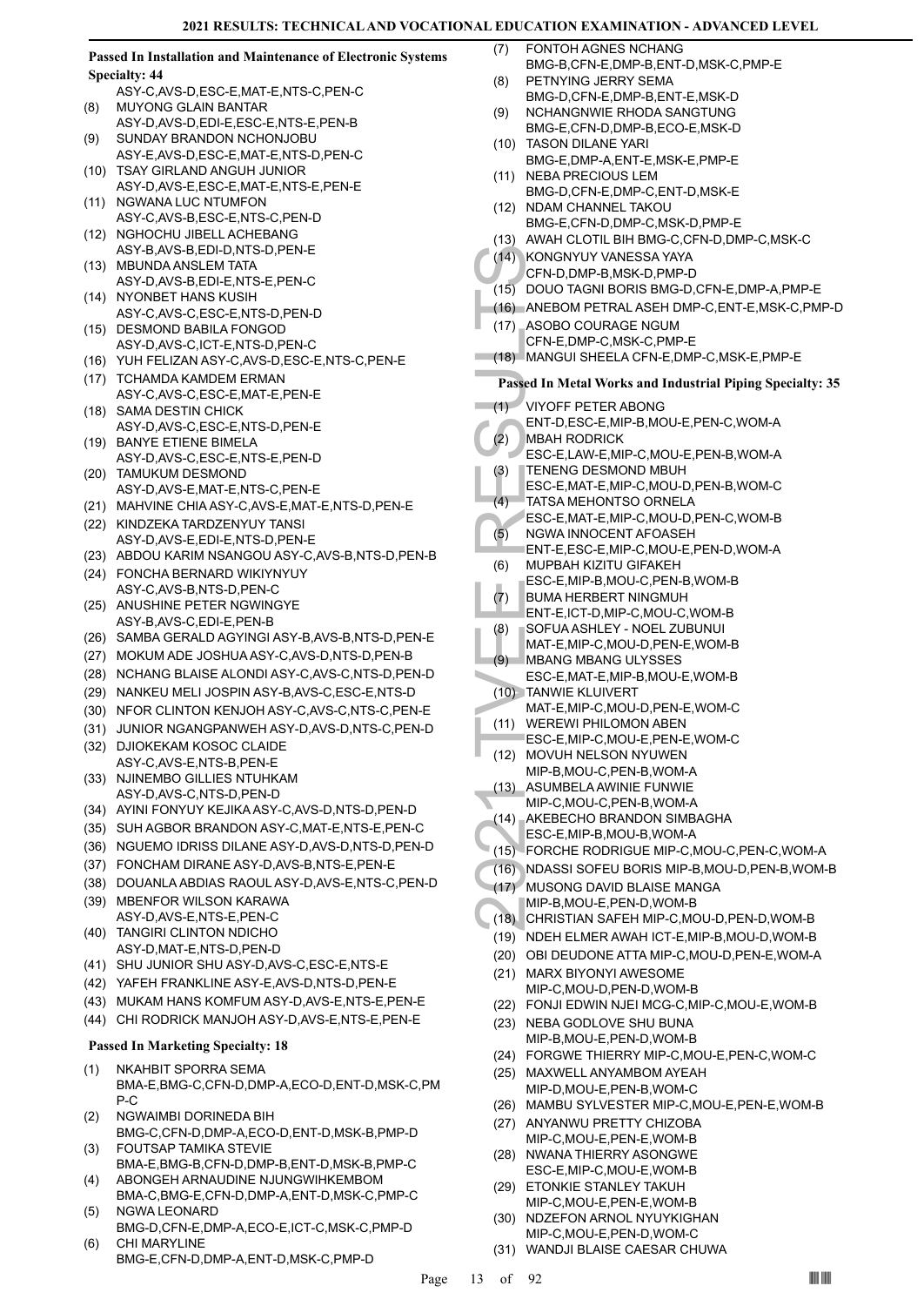**Passed In Installation and Maintenance of Electronic Systems Specialty: 44**

- ASY-C,AVS-D,ESC-E,MAT-E,NTS-C,PEN-C MUYONG GLAIN BANTAR (8)
- ASY-D,AVS-D,EDI-E,ESC-E,NTS-E,PEN-B SUNDAY BRANDON NCHONJOBU (9)
- ASY-E,AVS-D,ESC-E,MAT-E,NTS-D,PEN-C (10) TSAY GIRLAND ANGUH JUNIOR
- ASY-D,AVS-E,ESC-E,MAT-E,NTS-E,PEN-E (11) NGWANA LUC NTUMFON
- ASY-C,AVS-B,ESC-E,NTS-C,PEN-D NGHOCHU JIBELL ACHEBANG  $(12)$
- ASY-B,AVS-B,EDI-D,NTS-D,PEN-E
- MBUNDA ANSLEM TATA (13) ASY-D,AVS-B,EDI-E,NTS-E,PEN-C (14) NYONBET HANS KUSIH
- ASY-C,AVS-C,ESC-E,NTS-D,PEN-D
- DESMOND BABILA FONGOD ASY-D,AVS-C,ICT-E,NTS-D,PEN-C (15)
- (16) YUH FELIZAN ASY-C,AVS-D,ESC-E,NTS-C,PEN-E
- (17) TCHAMDA KAMDEM ERMAN ASY-C,AVS-C,ESC-E,MAT-E,PEN-E
- (18) SAMA DESTIN CHICK ASY-D,AVS-C,ESC-E,NTS-D,PEN-E
- (19) BANYE ETIENE BIMELA ASY-D,AVS-C,ESC-E,NTS-E,PEN-D
- (20) TAMUKUM DESMOND ASY-D,AVS-E,MAT-E,NTS-C,PEN-E
- (21) MAHVINE CHIA ASY-C,AVS-E,MAT-E,NTS-D,PEN-E
- (22) KINDZEKA TARDZENYUY TANSI ASY-D,AVS-E,EDI-E,NTS-D,PEN-E
- (23) ABDOU KARIM NSANGOU ASY-C,AVS-B,NTS-D,PEN-B
- FONCHA BERNARD WIKIYNYUY (24) ASY-C,AVS-B,NTS-D,PEN-C
- (25) ANUSHINE PETER NGWINGYE ASY-B,AVS-C,EDI-E,PEN-B
- (26) SAMBA GERALD AGYINGI ASY-B,AVS-B,NTS-D,PEN-E
- (27) MOKUM ADE JOSHUA ASY-C,AVS-D,NTS-D,PEN-B
- (28) NCHANG BLAISE ALONDI ASY-C,AVS-C,NTS-D,PEN-D
- (29) NANKEU MELI JOSPIN ASY-B,AVS-C,ESC-E,NTS-D
- (30) NFOR CLINTON KENJOH ASY-C,AVS-C,NTS-C,PEN-E
- (31) JUNIOR NGANGPANWEH ASY-D,AVS-D,NTS-C,PEN-D
- (32) DJIOKEKAM KOSOC CLAIDE ASY-C,AVS-E,NTS-B,PEN-E (33) NJINEMBO GILLIES NTUHKAM
- ASY-D,AVS-C,NTS-D,PEN-D (34) AYINI FONYUY KEJIKA ASY-C,AVS-D,NTS-D,PEN-D
- (35) SUH AGBOR BRANDON ASY-C,MAT-E,NTS-E,PEN-C
- (36) NGUEMO IDRISS DILANE ASY-D,AVS-D,NTS-D,PEN-D
- (37) FONCHAM DIRANE ASY-D,AVS-B,NTS-E,PEN-E
- (38) DOUANLA ABDIAS RAOUL ASY-D,AVS-E,NTS-C,PEN-D
- (39) MBENFOR WILSON KARAWA ASY-D,AVS-E,NTS-E,PEN-C
- TANGIRI CLINTON NDICHO (40) ASY-D,MAT-E,NTS-D,PEN-D
- (41) SHU JUNIOR SHU ASY-D,AVS-C,ESC-E,NTS-E
- (42) YAFEH FRANKLINE ASY-E,AVS-D,NTS-D,PEN-E
- (43) MUKAM HANS KOMFUM ASY-D,AVS-E,NTS-E,PEN-E
- (44) CHI RODRICK MANJOH ASY-D,AVS-E,NTS-E,PEN-E

# **Passed In Marketing Specialty: 18**

- NKAHBIT SPORRA SEMA BMA-E,BMG-C,CFN-D,DMP-A,ECO-D,ENT-D,MSK-C,PM P-C (1)
- NGWAIMBI DORINEDA BIH BMG-C,CFN-D,DMP-A,ECO-D,ENT-D,MSK-B,PMP-D (2)
- FOUTSAP TAMIKA STEVIE BMA-E,BMG-B,CFN-D,DMP-B,ENT-D,MSK-B,PMP-C (3) ABONGEH ARNAUDINE NJUNGWIHKEMBOM
- BMA-C,BMG-E,CFN-D,DMP-A,ENT-D,MSK-C,PMP-C (4) NGWA LEONARD (5)
- BMG-D,CFN-E,DMP-A,ECO-E,ICT-C,MSK-C,PMP-D CHI MARYLINE (6)
- BMG-E,CFN-D,DMP-A,ENT-D,MSK-C,PMP-D
- FONTOH AGNES NCHANG BMG-B,CFN-E,DMP-B,ENT-D,MSK-C,PMP-E (7)
- PETNYING JERRY SEMA BMG-D,CFN-E,DMP-B,ENT-E,MSK-D (8)
- NCHANGNWIE RHODA SANGTUNG BMG-E,CFN-D,DMP-B,ECO-E,MSK-D (9)
- TASON DILANE YARI (10) BMG-E,DMP-A,ENT-E,MSK-E,PMP-E
- (11) NEBA PRECIOUS LEM BMG-D,CFN-E,DMP-C,ENT-D,MSK-E
- (12) NDAM CHANNEL TAKOU
- BMG-E,CFN-D,DMP-C,MSK-D,PMP-E (13) AWAH CLOTIL BIH BMG-C,CFN-D,DMP-C,MSK-C
- 
- (14) KONGNYUY VANESSA YAYA
- CFN-D,DMP-B,MSK-D,PMP-D
- (15) DOUO TAGNI BORIS BMG-D,CFN-E,DMP-A,PMP-E
- (16) ANEBOM PETRAL ASEH DMP-C,ENT-E,MSK-C,PMP-D
- (17) ASOBO COURAGE NGUM CFN-E,DMP-C,MSK-C,PMP-E
- (18) MANGUI SHEELA CFN-E,DMP-C,MSK-E,PMP-E

# **Passed In Metal Works and Industrial Piping Specialty: 35**

- VIYOFF PETER ABONG  $(1)$ 
	- ENT-D,ESC-E,MIP-B,MOU-E,PEN-C,WOM-A
- MBAH RODRICK (2)
	- ESC-E,LAW-E,MIP-C,MOU-E,PEN-B,WOM-A TENENG DESMOND MBUH
	- ESC-E,MAT-E,MIP-C,MOU-D,PEN-B,WOM-C (3)
- TATSA MEHONTSO ORNELA (4)
- ESC-E,MAT-E,MIP-C,MOU-D,PEN-C,WOM-B
- NGWA INNOCENT AFOASEH  $(5)$
- ENT-E,ESC-E,MIP-C,MOU-E,PEN-D,WOM-A
- MUPBAH KIZITU GIFAKEH (6)
- ESC-E,MIP-B,MOU-C,PEN-B,WOM-B
- BUMA HERBERT NINGMUH (7)
- ENT-E,ICT-D,MIP-C,MOU-C,WOM-B
- SOFUA ASHLEY NOEL ZUBUNUI (8)
- MAT-E,MIP-C,MOU-D,PEN-E,WOM-B
- MBANG MBANG ULYSSES (9)
- ESC-E,MAT-E,MIP-B,MOU-E,WOM-B TANWIE KLUIVERT (10)
- MAT-E,MIP-C,MOU-D,PEN-E,WOM-C
- WEREWI PHILOMON ABEN (11)
- ESC-E,MIP-C,MOU-E,PEN-E,WOM-C
- (14) KONGN<br>
CFN-D, (15) DOUO 1<br>
(16) ANEBO<br>
(17) ASOBO<br>
CFN-E, I<br>
(18) MANGU<br>
Passed In M<br>
(11) VIYOFF<br>
ENT-D, MBAH F<br>
ESC-E, TATSAN<br>
ESC-E, TATSAN<br>
ESC-E, NGWAI<br>
ENT-E, (6) MUPBA<br>
ESC-E, BUMA F ENT-E, (6) MUPBA<br>
ESC-E, BU (12) MOVUH NELSON NYUWEN MIP-B,MOU-C,PEN-B,WOM-A
- ASUMBELA AWINIE FUNWIE MIP-C,MOU-C,PEN-B,WOM-A (13)
- AKEBECHO BRANDON SIMBAGHA (14)
- ESC-E,MIP-B,MOU-B,WOM-A
- (15) FORCHE RODRIGUE MIP-C,MOU-C,PEN-C,WOM-A
- (16) NDASSI SOFEU BORIS MIP-B,MOU-D,PEN-B,WOM-B
- MUSONG DAVID BLAISE MANGA (17)
- MIP-B,MOU-E,PEN-D,WOM-B
- (18) CHRISTIAN SAFEH MIP-C,MOU-D,PEN-D,WOM-B
- (19) NDEH ELMER AWAH ICT-E,MIP-B,MOU-D,WOM-B
- (20) OBI DEUDONE ATTA MIP-C,MOU-D,PEN-E,WOM-A
- MARX BIYONYI AWESOME (21)
- MIP-C,MOU-D,PEN-D,WOM-B (22) FONJI EDWIN NJEI MCG-C,MIP-C,MOU-E,WOM-B
- (23) NEBA GODLOVE SHU BUNA
- MIP-B,MOU-E,PEN-D,WOM-B
- (24) FORGWE THIERRY MIP-C,MOU-E,PEN-C,WOM-C
- (25) MAXWELL ANYAMBOM AYEAH

(27) ANYANWU PRETTY CHIZOBA MIP-C,MOU-E,PEN-E,WOM-B (28) NWANA THIERRY ASONGWE ESC-E,MIP-C,MOU-E,WOM-B (29) ETONKIE STANLEY TAKUH MIP-C,MOU-E,PEN-E,WOM-B NDZEFON ARNOL NYUYKIGHAN MIP-C,MOU-E,PEN-D,WOM-C

(31) WANDJI BLAISE CAESAR CHUWA

Page 13 of 92  $\blacksquare$ 

(30)

- MIP-D,MOU-E,PEN-B,WOM-C
- (26) MAMBU SYLVESTER MIP-C,MOU-E,PEN-E,WOM-B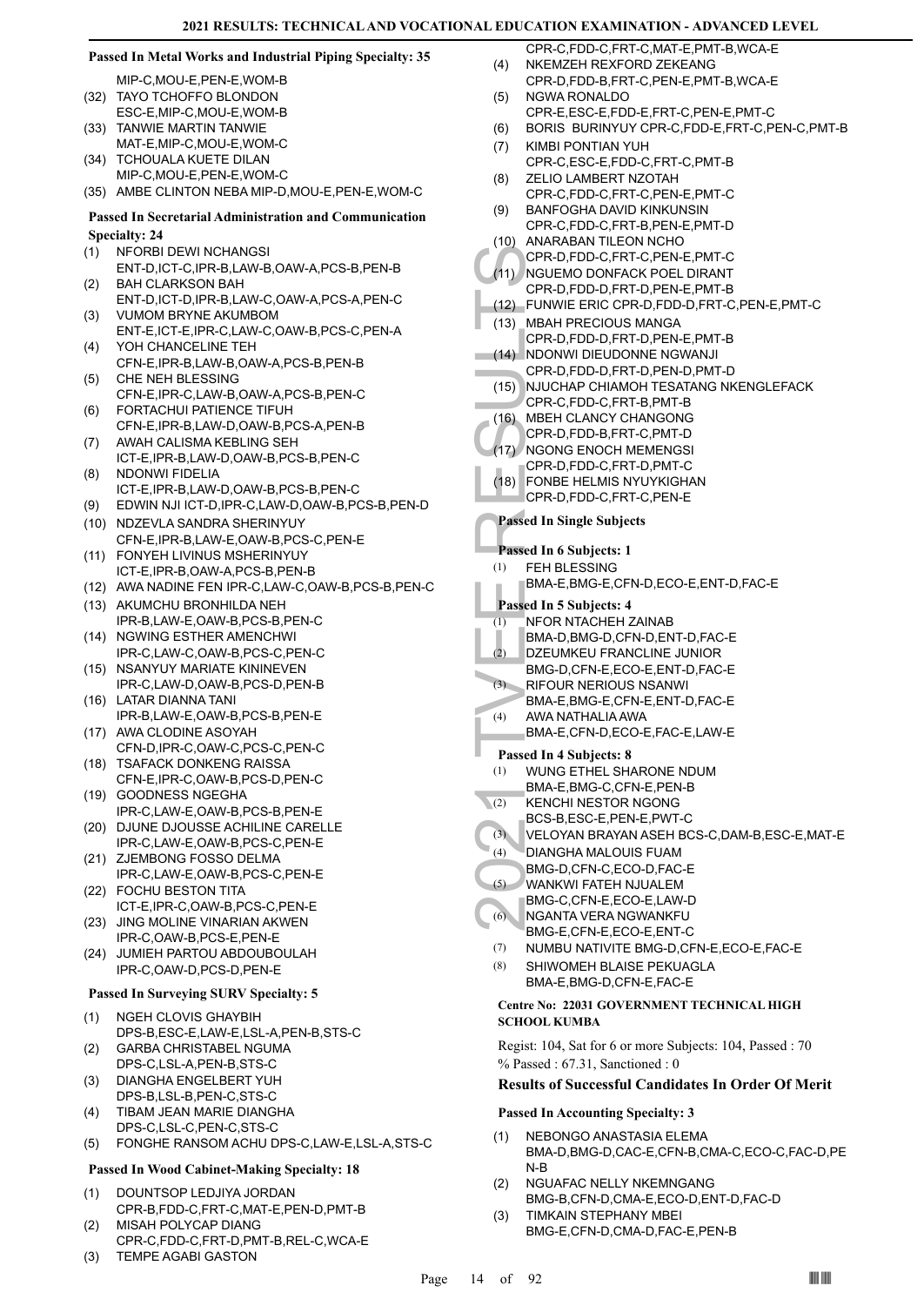# **Passed In Metal Works and Industrial Piping Specialty: 35**

MIP-C,MOU-E,PEN-E,WOM-B (32) TAYO TCHOFFO BLONDON

- ESC-E,MIP-C,MOU-E,WOM-B TANWIE MARTIN TANWIE (33)
- MAT-E,MIP-C,MOU-E,WOM-C
- (34) TCHOUALA KUETE DILAN MIP-C,MOU-E,PEN-E,WOM-C
- (35) AMBE CLINTON NEBA MIP-D,MOU-E,PEN-E,WOM-C

# **Passed In Secretarial Administration and Communication Specialty: 24**

- NFORBI DEWI NCHANGSI (1)
- ENT-D,ICT-C,IPR-B,LAW-B,OAW-A,PCS-B,PEN-B BAH CLARKSON BAH (2)
- ENT-D,ICT-D,IPR-B,LAW-C,OAW-A,PCS-A,PEN-C VUMOM BRYNE AKUMBOM (3)
- ENT-E,ICT-E,IPR-C,LAW-C,OAW-B,PCS-C,PEN-A YOH CHANCELINE TEH (4)
- CFN-E,IPR-B,LAW-B,OAW-A,PCS-B,PEN-B CHE NEH BLESSING (5)
- CFN-E,IPR-C,LAW-B,OAW-A,PCS-B,PEN-C FORTACHUI PATIENCE TIFUH (6)
- CFN-E,IPR-B,LAW-D,OAW-B,PCS-A,PEN-B AWAH CALISMA KEBLING SEH (7)
- ICT-E,IPR-B,LAW-D,OAW-B,PCS-B,PEN-C NDONWI FIDELIA (8)
- ICT-E,IPR-B,LAW-D,OAW-B,PCS-B,PEN-C
- (9) EDWIN NJI ICT-D,IPR-C,LAW-D,OAW-B,PCS-B,PEN-D
- (10) NDZEVLA SANDRA SHERINYUY CFN-E,IPR-B,LAW-E,OAW-B,PCS-C,PEN-E
- FONYEH LIVINUS MSHERINYUY ICT-E,IPR-B,OAW-A,PCS-B,PEN-B (11)
- (12) AWA NADINE FEN IPR-C,LAW-C,OAW-B,PCS-B,PEN-C
- (13) AKUMCHU BRONHILDA NEH IPR-B,LAW-E,OAW-B,PCS-B,PEN-C
- (14) NGWING ESTHER AMENCHWI IPR-C,LAW-C,OAW-B,PCS-C,PEN-C
- (15) NSANYUY MARIATE KININEVEN IPR-C,LAW-D,OAW-B,PCS-D,PEN-B
- LATAR DIANNA TANI (16) IPR-B,LAW-E,OAW-B,PCS-B,PEN-E
- (17) AWA CLODINE ASOYAH
- CFN-D,IPR-C,OAW-C,PCS-C,PEN-C (18) TSAFACK DONKENG RAISSA
- CFN-E,IPR-C,OAW-B,PCS-D,PEN-C (19) GOODNESS NGEGHA
- IPR-C,LAW-E,OAW-B,PCS-B,PEN-E (20) DJUNE DJOUSSE ACHILINE CARELLE
- IPR-C,LAW-E,OAW-B,PCS-C,PEN-E
- (21) ZJEMBONG FOSSO DELMA IPR-C,LAW-E,OAW-B,PCS-C,PEN-E FOCHU BESTON TITA (22)
- ICT-E,IPR-C,OAW-B,PCS-C,PEN-E JING MOLINE VINARIAN AKWEN (23)
- IPR-C,OAW-B,PCS-E,PEN-E JUMIEH PARTOU ABDOUBOULAH (24)
- IPR-C,OAW-D,PCS-D,PEN-E

# **Passed In Surveying SURV Specialty: 5**

- NGEH CLOVIS GHAYBIH DPS-B,ESC-E,LAW-E,LSL-A,PEN-B,STS-C (1)
- GARBA CHRISTABEL NGUMA DPS-C,LSL-A,PEN-B,STS-C (2)
- DIANGHA ENGELBERT YUH DPS-B,LSL-B,PEN-C,STS-C (3)
- TIBAM JEAN MARIE DIANGHA DPS-C,LSL-C,PEN-C,STS-C (4)
- (5) FONGHE RANSOM ACHU DPS-C,LAW-E,LSL-A,STS-C

# **Passed In Wood Cabinet-Making Specialty: 18**

- DOUNTSOP LEDJIYA JORDAN CPR-B,FDD-C,FRT-C,MAT-E,PEN-D,PMT-B (1)
- MISAH POLYCAP DIANG CPR-C,FDD-C,FRT-D,PMT-B,REL-C,WCA-E (2)
- (3) TEMPE AGABI GASTON
- CPR-C,FDD-C,FRT-C,MAT-E,PMT-B,WCA-E NKEMZEH REXFORD ZEKEANG (4)
- CPR-D,FDD-B,FRT-C,PEN-E,PMT-B,WCA-E NGWA RONALDO (5)
	- CPR-E,ESC-E,FDD-E,FRT-C,PEN-E,PMT-C
- (6) BORIS BURINYUY CPR-C,FDD-E,FRT-C,PEN-C,PMT-B
- KIMBI PONTIAN YUH (7)
	- CPR-C, ESC-E, FDD-C, FRT-C, PMT-B
- ZELIO LAMBERT NZOTAH CPR-C,FDD-C,FRT-C,PEN-E,PMT-C (8)
- BANFOGHA DAVID KINKUNSIN CPR-C,FDD-C,FRT-B,PEN-E,PMT-D (9)
- ANARABAN TILEON NCHO (10)
- CPR-D,FDD-C,FRT-C,PEN-E,PMT-C
- NGUEMO DONFACK POEL DIRANT CPR-D,FDD-D,FRT-D,PEN-E,PMT-B  $(11)$
- (12) FUNWIE ERIC CPR-D,FDD-D,FRT-C,PEN-E,PMT-C
- CPR-D, (11)<br>
CPR-D, NGUEM<br>
CPR-D, NDUCH<br>
CPR-D, NDONW<br>
CPR-D, NDONW<br>
CPR-D, NDONW<br>
CPR-D, NDONW<br>
CPR-D, NGONC<br>
CPR-D, NGONC<br>
CPR-D, NGONC<br>
CPR-D, NGONC<br>
CPR-D, NGONC<br>
CPR-D, NGONC<br>
CPR-D, NGONC<br>
CPR-D, NGONC<br>
CPR-D, NGONC<br> (13) \_MBAH PRECIOUS MANGA CPR-D,FDD-D,FRT-D,PEN-E,PMT-B
- (14) NDONWI DIEUDONNE NGWANJI
- CPR-D,FDD-D,FRT-D,PEN-D,PMT-D
- (15) NJUCHAP CHIAMOH TESATANG NKENGLEFACK CPR-C,FDD-C,FRT-B,PMT-B
- MBEH CLANCY CHANGONG  $(16)$
- CPR-D,FDD-B,FRT-C,PMT-D
- (17) NGONG ENOCH MEMENGSI
- CPR-D,FDD-C,FRT-D,PMT-C
- FONBE HELMIS NYUYKIGHAN (18) CPR-D,FDD-C,FRT-C,PEN-E

# **Passed In Single Subjects**

- **Passed In 6 Subjects: 1**
- FEH BLESSING (1)
	- BMA-E,BMG-E,CFN-D,ECO-E,ENT-D,FAC-E

# **Passed In 5 Subjects: 4**

- NFOR NTACHEH ZAINAB  $(1)$
- BMA-D,BMG-D,CFN-D,ENT-D,FAC-E
- DZEUMKEU FRANCLINE JUNIOR (2)
- BMG-D,CFN-E,ECO-E,ENT-D,FAC-E  $(3)$
- RIFOUR NERIOUS NSANWI BMA-E,BMG-E,CFN-E,ENT-D,FAC-E
- AWA NATHALIA AWA (4)
- BMA-E,CFN-D,ECO-E,FAC-E,LAW-E
- **Passed In 4 Subjects: 8**
- WUNG FTHEL SHARONE NDUM (1)
- BMA-E,BMG-C,CFN-E,PEN-B
- KENCHI NESTOR NGONG BCS-B,ESC-E,PEN-E,PWT-C  $(2)$
- (3) VELOYAN BRAYAN ASEH BCS-C,DAM-B,ESC-E,MAT-E
- DIANGHA MALOUIS FUAM (4)
- BMG-D,CFN-C,ECO-D,FAC-E
- WANKWI FATEH NJUALEM (5)
- BMG-C,CFN-E,ECO-E,LAW-D NGANTA VERA NGWANKFU (6)
	- BMG-E,CFN-E,ECO-E,ENT-C
	- (7) NUMBU NATIVITE BMG-D,CFN-E,ECO-E,FAC-E
	- SHIWOMEH BLAISE PEKUAGLA BMA-E,BMG-D,CFN-E,FAC-E (8)

# **Centre No: 22031 GOVERNMENT TECHNICAL HIGH SCHOOL KUMBA**

Regist: 104, Sat for 6 or more Subjects: 104, Passed : 70 % Passed : 67.31, Sanctioned : 0

# **Results of Successful Candidates In Order Of Merit**

### **Passed In Accounting Specialty: 3**

- NEBONGO ANASTASIA ELEMA BMA-D,BMG-D,CAC-E,CFN-B,CMA-C,ECO-C,FAC-D,PE N-B (1)
- NGUAFAC NELLY NKEMNGANG BMG-B,CFN-D,CMA-E,ECO-D,ENT-D,FAC-D (2)
- TIMKAIN STEPHANY MBEI BMG-E,CFN-D,CMA-D,FAC-E,PEN-B (3)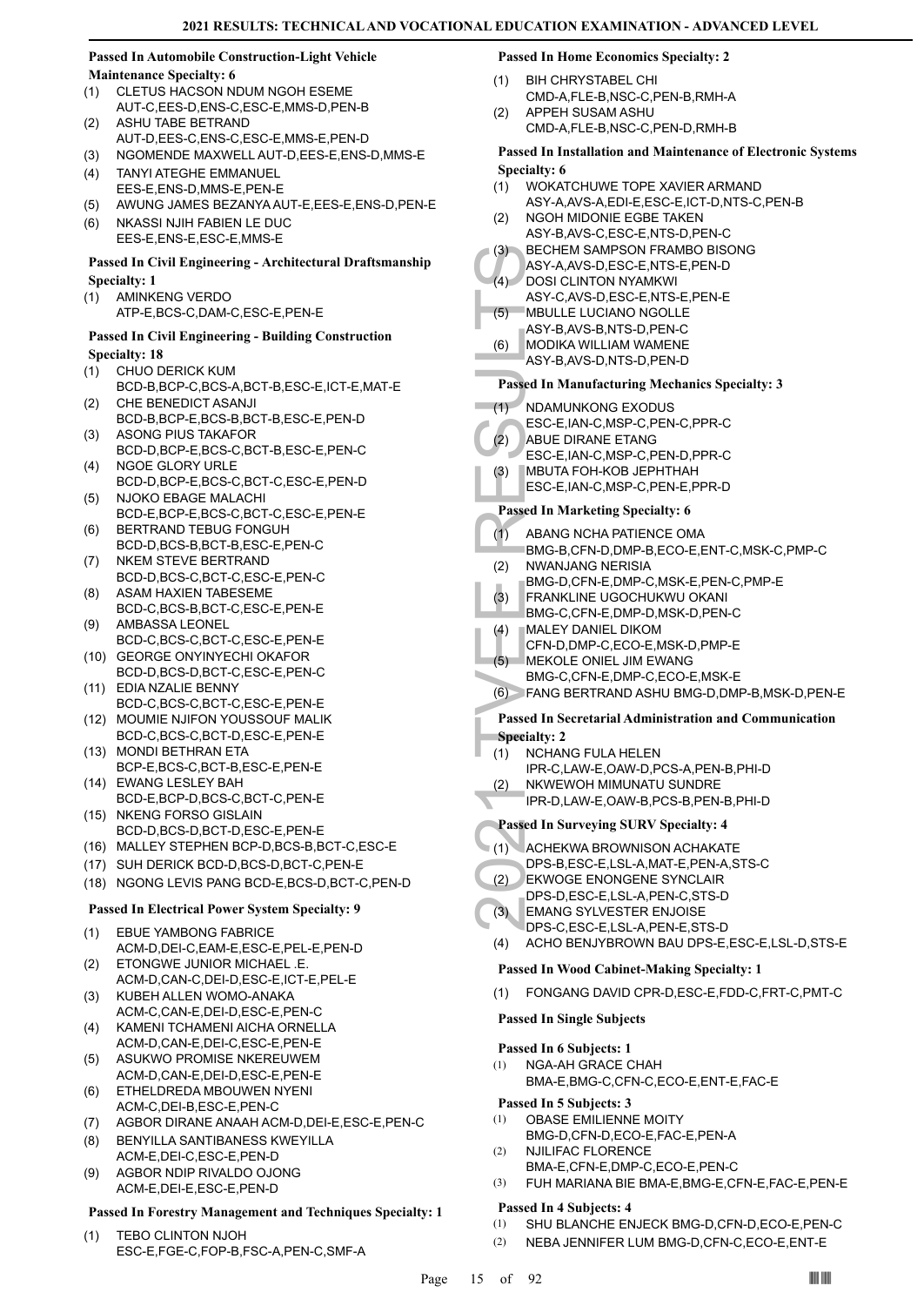# **Passed In Automobile Construction-Light Vehicle Maintenance Specialty: 6**

- CLETUS HACSON NDUM NGOH ESEME AUT-C,EES-D,ENS-C,ESC-E,MMS-D,PEN-B (1) ASHU TABE BETRAND
- AUT-D,EES-C,ENS-C,ESC-E,MMS-E,PEN-D (2)
- (3) NGOMENDE MAXWELL AUT-D,EES-E,ENS-D,MMS-E TANYI ATEGHE EMMANUEL (4)
- EES-E,ENS-D,MMS-E,PEN-E
- (5) AWUNG JAMES BEZANYA AUT-E,EES-E,ENS-D,PEN-E
- NKASSI NJIH FABIEN LE DUC EES-E,ENS-E,ESC-E,MMS-E (6)

# **Passed In Civil Engineering - Architectural Draftsmanship Specialty: 1**

AMINKENG VERDO (1) ATP-E,BCS-C,DAM-C,ESC-E,PEN-E

# **Passed In Civil Engineering - Building Construction Specialty: 18**

- CHUO DERICK KUM (1)
- BCD-B,BCP-C,BCS-A,BCT-B,ESC-E,ICT-E,MAT-E CHE BENEDICT ASANJI (2)
- BCD-B,BCP-E,BCS-B,BCT-B,ESC-E,PEN-D ASONG PIUS TAKAFOR (3)
- BCD-D,BCP-E,BCS-C,BCT-B,ESC-E,PEN-C NGOE GLORY URLE (4)
- BCD-D,BCP-E,BCS-C,BCT-C,ESC-E,PEN-D NJOKO EBAGE MALACHI (5)
- BCD-E,BCP-E,BCS-C,BCT-C,ESC-E,PEN-E BERTRAND TEBUG FONGUH (6)
- BCD-D,BCS-B,BCT-B,ESC-E,PEN-C (7) NKEM STEVE BERTRAND
- BCD-D,BCS-C,BCT-C,ESC-E,PEN-C ASAM HAXIEN TABESEME (8)
- BCD-C,BCS-B,BCT-C,ESC-E,PEN-E AMBASSA LEONEL (9)
- BCD-C,BCS-C,BCT-C,ESC-E,PEN-E
- GEORGE ONYINYECHI OKAFOR (10) BCD-D,BCS-D,BCT-C,ESC-E,PEN-C
- EDIA NZALIE BENNY (11) BCD-C,BCS-C,BCT-C,ESC-E,PEN-E
- (12) MOUMIE NJIFON YOUSSOUF MALIK BCD-C,BCS-C,BCT-D,ESC-E,PEN-E
- (13) MONDI BETHRAN ETA BCP-E,BCS-C,BCT-B,ESC-E,PEN-E
- EWANG LESLEY BAH (14) BCD-E,BCP-D,BCS-C,BCT-C,PEN-E (15) NKENG FORSO GISLAIN
- BCD-D,BCS-D,BCT-D,ESC-E,PEN-E
- (16) MALLEY STEPHEN BCP-D,BCS-B,BCT-C,ESC-E
- (17) SUH DERICK BCD-D,BCS-D,BCT-C,PEN-E
- (18) NGONG LEVIS PANG BCD-E,BCS-D,BCT-C,PEN-D

# **Passed In Electrical Power System Specialty: 9**

- EBUE YAMBONG FABRICE ACM-D,DEI-C,EAM-E,ESC-E,PEL-E,PEN-D (1)
- ETONGWE JUNIOR MICHAEL .E. ACM-D,CAN-C,DEI-D,ESC-E,ICT-E,PEL-E (2) KUBEH ALLEN WOMO-ANAKA (3)
- ACM-C,CAN-E,DEI-D,ESC-E,PEN-C
- KAMENI TCHAMENI AICHA ORNELLA ACM-D,CAN-E,DEI-C,ESC-E,PEN-E (4)
- ASUKWO PROMISE NKEREUWEM ACM-D,CAN-E,DEI-D,ESC-E,PEN-E (5)
- ETHELDREDA MBOUWEN NYENI ACM-C,DEI-B,ESC-E,PEN-C (6)
- (7) AGBOR DIRANE ANAAH ACM-D,DEI-E,ESC-E,PEN-C
- BENYILLA SANTIBANESS KWEYILLA ACM-E,DEI-C,ESC-E,PEN-D (8)
- AGBOR NDIP RIVALDO OJONG ACM-E,DEI-E,ESC-E,PEN-D (9)

# **Passed In Forestry Management and Techniques Specialty: 1**

TEBO CLINTON NJOH ESC-E,FGE-C,FOP-B,FSC-A,PEN-C,SMF-A (1)

# **Passed In Home Economics Specialty: 2**

- BIH CHRYSTABEL CHI CMD-A,FLE-B,NSC-C,PEN-B,RMH-A (1)
- APPEH SUSAM ASHU CMD-A,FLE-B,NSC-C,PEN-D,RMH-B  $(2)$

# **Passed In Installation and Maintenance of Electronic Systems Specialty: 6**

- WOKATCHUWE TOPE XAVIER ARMAND (1)
- ASY-A,AVS-A,EDI-E,ESC-E,ICT-D,NTS-C,PEN-B NGOH MIDONIE EGBE TAKEN (2)
- ASY-B,AVS-C,ESC-E,NTS-D,PEN-C
- BECHEM SAMPSON FRAMBO BISONG  $(3)$
- ASY-A,AVS-D,ESC-E,NTS-E,PEN-D **DOSI CLINTON NYAMKWI**  $(4)$
- ASY-C,AVS-D,ESC-E,NTS-E,PEN-E MBULLE LUCIANO NGOLLE (5)
- (3) BECHE<br>
ASY-A, DOSI CI<br>
ASY-A, MODIK<br>
ASY-B, MODIK<br>
ASY-B, MODIK<br>
ASY-B, MODIK<br>
ASY-B, MODIK<br>
ASY-B, MODIK<br>
ASY-B, MODIK<br>
ASY-B, MODIK<br>
ASY-B, MODIK<br>
ASY-B, MODIK<br>
ESC-E, PABUE D<br>
ESC-E, MBUTA<br>
ESC-E, MBUTA<br>
ESC-E, MBUT ASY-B,AVS-B,NTS-D,PEN-C MODIKA WILLIAM WAMENE (6)
	- ASY-B,AVS-D,NTS-D,PEN-D

# **Passed In Manufacturing Mechanics Specialty: 3**

(1) NDAMUNKONG EXODUS

- ESC-E,IAN-C,MSP-C,PEN-C,PPR-C
- ABUE DIRANE ETANG  $(2)$
- ESC-E,IAN-C,MSP-C,PEN-D,PPR-C
- MBUTA FOH-KOB JEPHTHAH (3)
- ESC-E,IAN-C,MSP-C,PEN-E,PPR-D

# **Passed In Marketing Specialty: 6**

- ABANG NCHA PATIENCE OMA  $(1)$
- BMG-B,CFN-D,DMP-B,ECO-E,ENT-C,MSK-C,PMP-C NWANJANG NERISIA (2)
- BMG-D,CFN-E,DMP-C,MSK-E,PEN-C,PMP-E
- FRANKLINE UGOCHUKWU OKANI (3)
- BMG-C,CFN-E,DMP-D,MSK-D,PEN-C
- MALEY DANIEL DIKOM (4)
- CFN-D,DMP-C,ECO-E,MSK-D,PMP-E
- MEKOLE ONIEL JIM EWANG (5)
	- BMG-C,CFN-E,DMP-C,ECO-E,MSK-E
	- (6) FANG BERTRAND ASHU BMG-D,DMP-B,MSK-D,PEN-E

# **Passed In Secretarial Administration and Communication**

**Specialty: 2**

- NCHANG FULA HELEN (1)
	- IPR-C,LAW-E,OAW-D,PCS-A,PEN-B,PHI-D NKWEWOH MIMUNATU SUNDRE
- IPR-D,LAW-E,OAW-B,PCS-B,PEN-B,PHI-D (2)

# **Passed In Surveying SURV Specialty: 4**

- ACHEKWA BROWNISON ACHAKATE (1)
- DPS-B,ESC-E,LSL-A,MAT-E,PEN-A,STS-C
- EKWOGE ENONGENE SYNCLAIR (2)
- DPS-D,ESC-E,LSL-A,PEN-C,STS-D
- EMANG SYLVESTER ENJOISE (3)
- DPS-C,ESC-E,LSL-A,PEN-E,STS-D (4) ACHO BENJYBROWN BAU DPS-E,ESC-E,LSL-D,STS-E

# **Passed In Wood Cabinet-Making Specialty: 1**

(1) FONGANG DAVID CPR-D,ESC-E,FDD-C,FRT-C,PMT-C

# **Passed In Single Subjects**

# **Passed In 6 Subjects: 1**

NGA-AH GRACE CHAH BMA-E,BMG-C,CFN-C,ECO-E,ENT-E,FAC-E (1)

# **Passed In 5 Subjects: 3**

- OBASE EMILIENNE MOITY BMG-D,CFN-D,ECO-E,FAC-E,PEN-A (1)
- NJILIFAC FLORENCE BMA-E,CFN-E,DMP-C,ECO-E,PEN-C (2)
- (3) FUH MARIANA BIE BMA-E,BMG-E,CFN-E,FAC-E,PEN-E

# **Passed In 4 Subjects: 4**

- (1) SHU BLANCHE ENJECK BMG-D,CFN-D,ECO-E,PEN-C
- (2) NEBA JENNIFER LUM BMG-D,CFN-C,ECO-E,ENT-E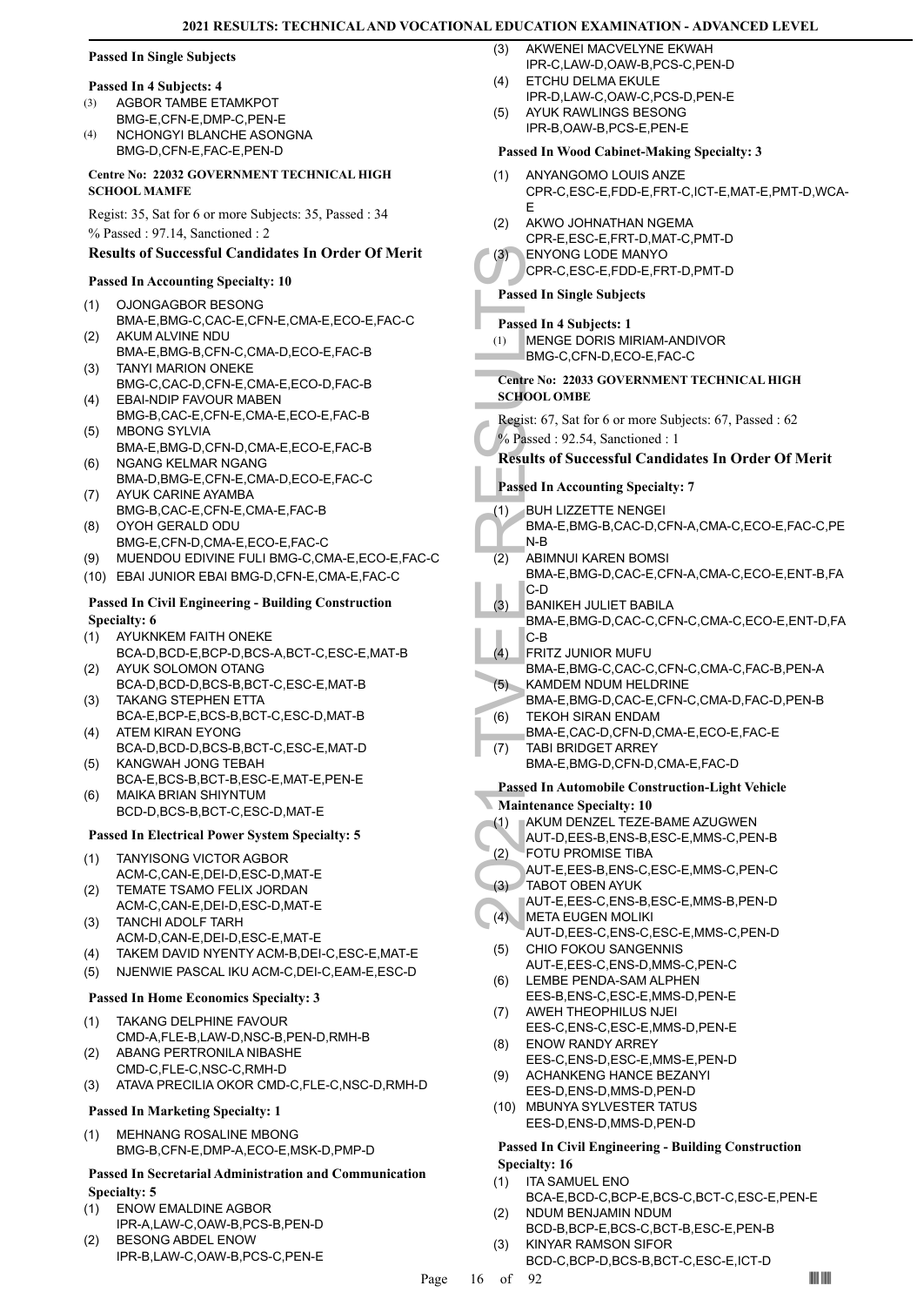# **Passed In Single Subjects**

### **Passed In 4 Subjects: 4**

- AGBOR TAMBE ETAMKPOT BMG-E,CFN-E,DMP-C,PEN-E (3)
- NCHONGYI BLANCHE ASONGNA BMG-D,CFN-E,FAC-E,PEN-D  $(4)$

# **Centre No: 22032 GOVERNMENT TECHNICAL HIGH SCHOOL MAMFE**

Regist: 35, Sat for 6 or more Subjects: 35, Passed : 34 % Passed : 97.14, Sanctioned : 2

# **Results of Successful Candidates In Order Of Merit**

# **Passed In Accounting Specialty: 10**

- OJONGAGBOR BESONG BMA-E,BMG-C,CAC-E,CFN-E,CMA-E,ECO-E,FAC-C (1)
- AKUM ALVINE NDU BMA-E,BMG-B,CFN-C,CMA-D,ECO-E,FAC-B (2)
- TANYI MARION ONEKE BMG-C,CAC-D,CFN-E,CMA-E,ECO-D,FAC-B (3)
- EBAI-NDIP FAVOUR MABEN BMG-B,CAC-E,CFN-E,CMA-E,ECO-E,FAC-B (4) MBONG SYLVIA (5)
- BMA-E,BMG-D,CFN-D,CMA-E,ECO-E,FAC-B (6) NGANG KELMAR NGANG
- BMA-D,BMG-E,CFN-E,CMA-D,ECO-E,FAC-C AYUK CARINE AYAMBA (7)
- BMG-B,CAC-E,CFN-E,CMA-E,FAC-B OYOH GERALD ODU (8)
- BMG-E,CFN-D,CMA-E,ECO-E,FAC-C
- (9) MUENDOU EDIVINE FULI BMG-C,CMA-E,ECO-E,FAC-C
- (10) EBAI JUNIOR EBAI BMG-D,CFN-E,CMA-E,FAC-C

# **Passed In Civil Engineering - Building Construction Specialty: 6**

- AYUKNKEM FAITH ONEKE (1)
- BCA-D,BCD-E,BCP-D,BCS-A,BCT-C,ESC-E,MAT-B AYUK SOLOMON OTANG (2)
- BCA-D,BCD-D,BCS-B,BCT-C,ESC-E,MAT-B TAKANG STEPHEN ETTA (3)
- BCA-E,BCP-E,BCS-B,BCT-C,ESC-D,MAT-B (4) ATEM KIRAN EYONG
- BCA-D,BCD-D,BCS-B,BCT-C,ESC-E,MAT-D KANGWAH JONG TEBAH (5)
- BCA-E,BCS-B,BCT-B,ESC-E,MAT-E,PEN-E MAIKA BRIAN SHIYNTUM (6)
- BCD-D,BCS-B,BCT-C,ESC-D,MAT-E

# **Passed In Electrical Power System Specialty: 5**

- TANYISONG VICTOR AGBOR ACM-C,CAN-E,DEI-D,ESC-D,MAT-E (1)
- TEMATE TSAMO FELIX JORDAN ACM-C,CAN-E,DEI-D,ESC-D,MAT-E (2)
- TANCHI ADOLF TARH ACM-D,CAN-E,DEI-D,ESC-E,MAT-E (3)
- (4) TAKEM DAVID NYENTY ACM-B,DEI-C,ESC-E,MAT-E
- (5) NJENWIE PASCAL IKU ACM-C,DEI-C,EAM-E,ESC-D

# **Passed In Home Economics Specialty: 3**

- TAKANG DELPHINE FAVOUR CMD-A,FLE-B,LAW-D,NSC-B,PEN-D,RMH-B (1)
- ABANG PERTRONILA NIBASHE CMD-C,FLE-C,NSC-C,RMH-D (2)
- (3) ATAVA PRECILIA OKOR CMD-C,FLE-C,NSC-D,RMH-D

# **Passed In Marketing Specialty: 1**

MEHNANG ROSALINE MBONG BMG-B,CFN-E,DMP-A,ECO-E,MSK-D,PMP-D (1)

# **Passed In Secretarial Administration and Communication Specialty: 5**

- ENOW EMALDINE AGBOR IPR-A,LAW-C,OAW-B,PCS-B,PEN-D (1)
- BESONG ABDEL ENOW IPR-B,LAW-C,OAW-B,PCS-C,PEN-E (2)
- AKWENEI MACVELYNE EKWAH IPR-C,LAW-D,OAW-B,PCS-C,PEN-D  $(3)$
- ETCHU DELMA EKULE IPR-D,LAW-C,OAW-C,PCS-D,PEN-E  $(4)$
- AYUK RAWLINGS BESONG IPR-B,OAW-B,PCS-E,PEN-E (5)

# **Passed In Wood Cabinet-Making Specialty: 3**

- ANYANGOMO LOUIS ANZE CPR-C,ESC-E,FDD-E,FRT-C,ICT-E,MAT-E,PMT-D,WCA-E (1)
- AKWO JOHNATHAN NGEMA CPR-E,ESC-E,FRT-D,MAT-C,PMT-D (2)
- ENYONG LODE MANYO (3)
	- CPR-C,ESC-E,FDD-E,FRT-D,PMT-D

# **Passed In Single Subjects**

- **Passed In 4 Subjects: 1**
- MENGE DORIS MIRIAM-ANDIVOR BMG-C,CFN-D,ECO-E,FAC-C (1)

# **Centre No: 22033 GOVERNMENT TECHNICAL HIGH SCHOOL OMBE**

Regist: 67, Sat for 6 or more Subjects: 67, Passed : 62 % Passed : 92.54, Sanctioned : 1

# **Results of Successful Candidates In Order Of Merit**

- **Passed In Accounting Specialty: 7**
- BUH LIZZETTE NENGEI (1)

# BMA-E,BMG-B,CAC-D,CFN-A,CMA-C,ECO-E,FAC-C,PE N-B

- ABIMNUI KAREN BOMSI BMA-E,BMG-D,CAC-E,CFN-A,CMA-C,ECO-E,ENT-B,FA (2)
- (3) ENYON<br>CPR-C,<br>Centre No: 22<br>SCHOOL ON<br>Regist: 67, S.<br>SCHOOL ON<br>Regist: 67, S.<br>Results of S<br>Passed In Ac<br>Passed In Ac<br>(1) BUH LIZ<br>BMA-E,<br>IN-B<br>ABIMNL BMA-E,<br>C.<br>D BANIKE,<br>C.<br>D BANIKE,<br>C.<br>D BANIKE,<br>C.<br>D BANIKE,<br>C.<br>D BANIKE, C-D BANIKEH JULIET BABILA (3)
	- BMA-E,BMG-D,CAC-C,CFN-C,CMA-C,ECO-E,ENT-D,FA C-B
	- FRITZ JUNIOR MUFU BMA-E,BMG-C,CAC-C,CFN-C,CMA-C,FAC-B,PEN-A (4)
	- KAMDEM NDUM HELDRINE BMA-E,BMG-D,CAC-E,CFN-C,CMA-D,FAC-D,PEN-B (5)
	- TEKOH SIRAN ENDAM  $(6)$
- BMA-E,CAC-D,CFN-D,CMA-E,ECO-E,FAC-E TABI BRIDGET ARREY (7)
	- BMA-E,BMG-D,CFN-D,CMA-E,FAC-D

# **Passed In Automobile Construction-Light Vehicle**

- **Maintenance Specialty: 10**
- AKUM DENZEL TEZE-BAME AZUGWEN (1)
- AUT-D,EES-B,ENS-B,ESC-E,MMS-C,PEN-B
- FOTU PROMISE TIBA (2)
- AUT-E,EES-B,ENS-C,ESC-E,MMS-C,PEN-C TABOT OBEN AYUK (3)
- AUT-E,EES-C,ENS-B,ESC-E,MMS-B,PEN-D META EUGEN MOLIKI  $(4)$
- AUT-D,EES-C,ENS-C,ESC-E,MMS-C,PEN-D CHIO FOKOU SANGENNIS (5)
- AUT-E,EES-C,ENS-D,MMS-C,PEN-C LEMBE PENDA-SAM ALPHEN (6)
- EES-B,ENS-C,ESC-E,MMS-D,PEN-E AWEH THEOPHILUS NJEI (7)
- EES-C,ENS-C,ESC-E,MMS-D,PEN-E
- ENOW RANDY ARREY EES-C,ENS-D,ESC-E,MMS-E,PEN-D (8)
- ACHANKENG HANCE BEZANYI (9)
- EES-D,ENS-D,MMS-D,PEN-D (10) MBUNYA SYLVESTER TATUS EES-D,ENS-D,MMS-D,PEN-D

# **Passed In Civil Engineering - Building Construction**

# **Specialty: 16**

- ITA SAMUEL ENO (1)
- BCA-E,BCD-C,BCP-E,BCS-C,BCT-C,ESC-E,PEN-E NDUM BENJAMIN NDUM (2)
- BCD-B,BCP-E,BCS-C,BCT-B,ESC-E,PEN-B KINYAR RAMSON SIFOR (3)
	- BCD-C,BCP-D,BCS-B,BCT-C,ESC-E,ICT-D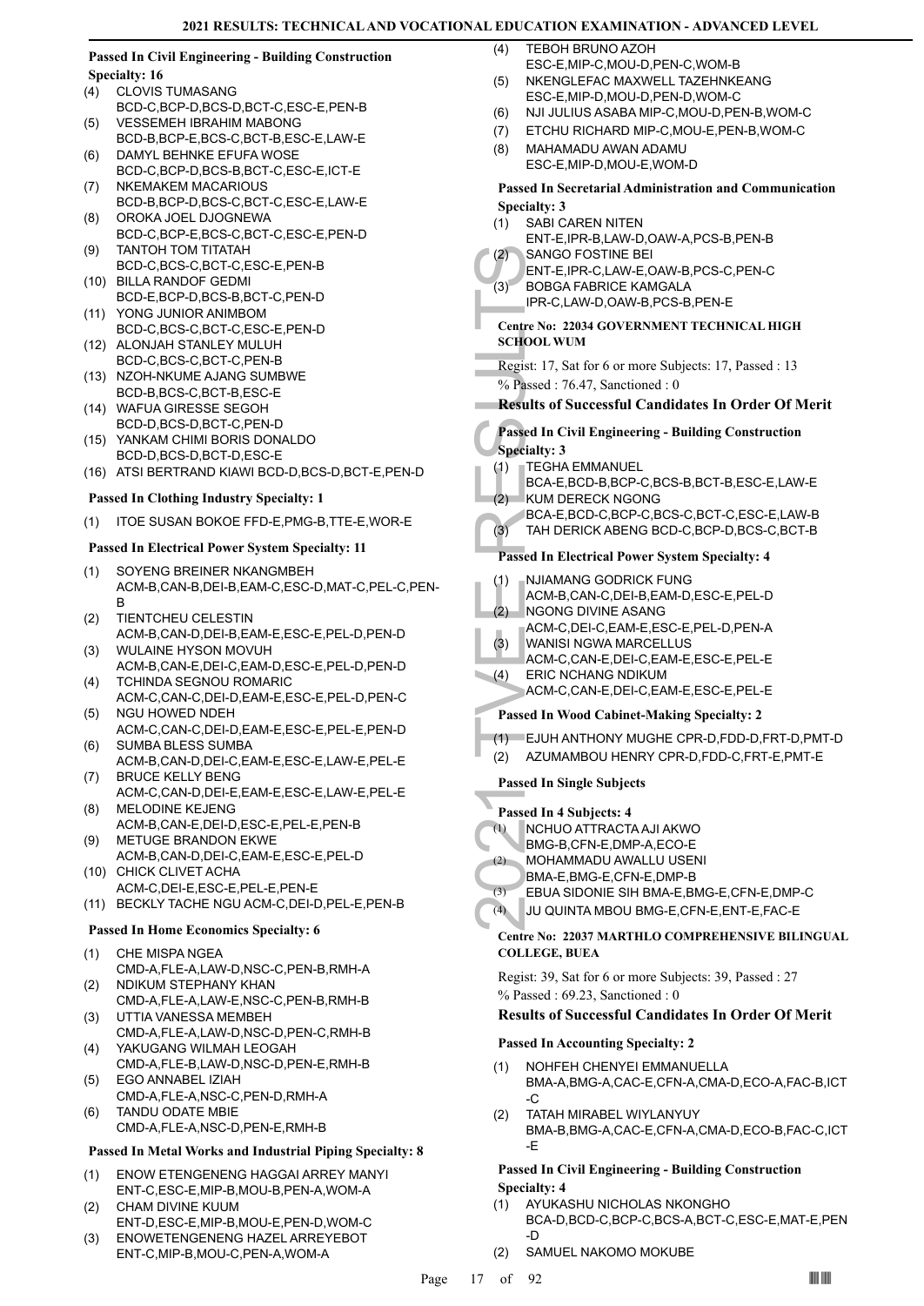# **Passed In Civil Engineering - Building Construction Specialty: 16**

- CLOVIS TUMASANG BCD-C,BCP-D,BCS-D,BCT-C,ESC-E,PEN-B (4)
- VESSEMEH IBRAHIM MABONG BCD-B,BCP-E,BCS-C,BCT-B,ESC-E,LAW-E (5)
- DAMYL BEHNKE EFUFA WOSE BCD-C,BCP-D,BCS-B,BCT-C,ESC-E,ICT-E (6)
- NKEMAKEM MACARIOUS BCD-B,BCP-D,BCS-C,BCT-C,ESC-E,LAW-E (7) OROKA JOEL DJOGNEWA (8)
- BCD-C,BCP-E,BCS-C,BCT-C,ESC-E,PEN-D TANTOH TOM TITATAH (9)
- BCD-C,BCS-C,BCT-C,ESC-E,PEN-B
- BILLA RANDOF GEDMI (10) BCD-E,BCP-D,BCS-B,BCT-C,PEN-D
- YONG JUNIOR ANIMBOM (11) BCD-C,BCS-C,BCT-C,ESC-E,PEN-D (12) ALONJAH STANLEY MULUH
- BCD-C,BCS-C,BCT-C,PEN-B (13) NZOH-NKUME AJANG SUMBWE
- BCD-B,BCS-C,BCT-B,ESC-E
- WAFUA GIRESSE SEGOH (14) BCD-D,BCS-D,BCT-C,PEN-D
- (15) YANKAM CHIMI BORIS DONALDO BCD-D,BCS-D,BCT-D,ESC-E
- (16) ATSI BERTRAND KIAWI BCD-D,BCS-D,BCT-E,PEN-D

# **Passed In Clothing Industry Specialty: 1**

(1) ITOE SUSAN BOKOE FFD-E,PMG-B,TTE-E,WOR-E

# **Passed In Electrical Power System Specialty: 11**

- SOYENG BREINER NKANGMBEH ACM-B,CAN-B,DEI-B,EAM-C,ESC-D,MAT-C,PEL-C,PEN-B (1)
- TIENTCHEU CELESTIN ACM-B,CAN-D,DEI-B,EAM-E,ESC-E,PEL-D,PEN-D (2)
- WULAINE HYSON MOVUH ACM-B,CAN-E,DEI-C,EAM-D,ESC-E,PEL-D,PEN-D (3)
- TCHINDA SEGNOU ROMARIC ACM-C,CAN-C,DEI-D,EAM-E,ESC-E,PEL-D,PEN-C (4)
- (5) NGU HOWED NDEH ACM-C,CAN-C,DEI-D,EAM-E,ESC-E,PEL-E,PEN-D SUMBA BLESS SUMBA (6)
- ACM-B,CAN-D,DEI-C,EAM-E,ESC-E,LAW-E,PEL-E BRUCE KELLY BENG (7)
- ACM-C,CAN-D,DEI-E,EAM-E,ESC-E,LAW-E,PEL-E MELODINE KEJENG (8)
- ACM-B,CAN-E,DEI-D,ESC-E,PEL-E,PEN-B METUGE BRANDON EKWE (9)
- ACM-B,CAN-D,DEI-C,EAM-E,ESC-E,PEL-D (10) CHICK CLIVET ACHA
- ACM-C,DEI-E,ESC-E,PEL-E,PEN-E
- (11) BECKLY TACHE NGU ACM-C,DEI-D,PEL-E,PEN-B

# **Passed In Home Economics Specialty: 6**

- CHE MISPA NGEA (1)
- CMD-A,FLE-A,LAW-D,NSC-C,PEN-B,RMH-A NDIKUM STEPHANY KHAN (2)
- CMD-A,FLE-A,LAW-E,NSC-C,PEN-B,RMH-B (3) UTTIA VANESSA MEMBEH
- CMD-A,FLE-A,LAW-D,NSC-D,PEN-C,RMH-B YAKUGANG WILMAH LEOGAH (4)
- CMD-A,FLE-B,LAW-D,NSC-D,PEN-E,RMH-B EGO ANNABEL IZIAH (5)
- CMD-A,FLE-A,NSC-C,PEN-D,RMH-A TANDU ODATE MBIE (6)
- CMD-A,FLE-A,NSC-D,PEN-E,RMH-B

# **Passed In Metal Works and Industrial Piping Specialty: 8**

- ENOW ETENGENENG HAGGAI ARREY MANYI ENT-C,ESC-E,MIP-B,MOU-B,PEN-A,WOM-A (1)
- CHAM DIVINE KUUM ENT-D,ESC-E,MIP-B,MOU-E,PEN-D,WOM-C (2)
- ENOWETENGENENG HAZEL ARREYEBOT ENT-C,MIP-B,MOU-C,PEN-A,WOM-A (3)
- TEBOH BRUNO AZOH  $(4)$
- ESC-E,MIP-C,MOU-D,PEN-C,WOM-B NKENGLEFAC MAXWELL TAZEHNKEANG ESC-E,MIP-D,MOU-D,PEN-D,WOM-C (5)
- (6) NJI JULIUS ASABA MIP-C,MOU-D,PEN-B,WOM-C
- (7) ETCHU RICHARD MIP-C,MOU-E,PEN-B,WOM-C
- MAHAMADU AWAN ADAMU ESC-E,MIP-D,MOU-E,WOM-D (8)

# **Passed In Secretarial Administration and Communication Specialty: 3**

- SABI CAREN NITEN ENT-E,IPR-B,LAW-D,OAW-A,PCS-B,PEN-B (1)
- SANGO FOSTINE BEI ENT-E,IPR-C,LAW-E,OAW-B,PCS-C,PEN-C  $(2)$
- BOBGA FABRICE KAMGALA  $(3)$ 
	- IPR-C,LAW-D,OAW-B,PCS-B,PEN-E
- **Centre No: 22034 GOVERNMENT TECHNICAL HIGH SCHOOL WUM**
- Regist: 17, Sat for 6 or more Subjects: 17, Passed : 13  $\%$  Passed : 76.47, Sanctioned : 0

# **Results of Successful Candidates In Order Of Merit**

# (2) SANGO<br>
ENT-E,I<br>
(3) BOBGA<br>
IPR-C,L<br>
Centre No: 22<br>
SCHOOL WI<br>
Regist: 17, S.<br>
% Passed In Ci<br>
Specialty: 3<br>
(4) TAH DE<br>
Passed In El<br>
(2) NUMAMA<br>
ACM-B,<br>
(2) NGONC<br>
ACM-C,<br>
(3) TAH DE<br>
Passed In El<br>
(1) NJIAMA<br>
ACM-B,<br> **Passed In Civil Engineering - Building Construction Specialty: 3**

- TEGHA EMMANUEL (1)
- BCA-E,BCD-B,BCP-C,BCS-B,BCT-B,ESC-E,LAW-E KUM DERECK NGONG  $(2)$
- BCA-E,BCD-C,BCP-C,BCS-C,BCT-C,ESC-E,LAW-B
- (3) TAH DERICK ABENG BCD-C,BCP-D,BCS-C,BCT-B

# **Passed In Electrical Power System Specialty: 4**

- NJIAMANG GODRICK FUNG (1)
- ACM-B,CAN-C,DEI-B,EAM-D,ESC-E,PEL-D
- NGONG DIVINE ASANG (2)
- ACM-C,DEI-C,EAM-E,ESC-E,PEL-D,PEN-A
- WANISI NGWA MARCELLUS ACM-C,CAN-E,DEI-C,EAM-E,ESC-E,PEL-E (3)
- ERIC NCHANG NDIKUM (4)
	- ACM-C,CAN-E,DEI-C,EAM-E,ESC-E,PEL-E

# **Passed In Wood Cabinet-Making Specialty: 2**

- (1) EJUH ANTHONY MUGHE CPR-D,FDD-D,FRT-D,PMT-D
- (2) AZUMAMBOU HENRY CPR-D,FDD-C,FRT-E,PMT-E

# **Passed In Single Subjects**

- **Passed In 4 Subjects: 4**
- NCHUO ATTRACTA AJI AKWO (1)
- BMG-B,CFN-E,DMP-A,ECO-E
- MOHAMMADU AWALLU USENI  $(2)$
- BMA-E,BMG-E,CFN-E,DMP-B
- (3) EBUA SIDONIE SIH BMA-E,BMG-E,CFN-E,DMP-C
- (4) JU QUINTA MBOU BMG-E,CFN-E,ENT-E,FAC-E

# **Centre No: 22037 MARTHLO COMPREHENSIVE BILINGUAL COLLEGE, BUEA**

Regist: 39, Sat for 6 or more Subjects: 39, Passed : 27 % Passed : 69.23, Sanctioned : 0

# **Results of Successful Candidates In Order Of Merit**

# **Passed In Accounting Specialty: 2**

- NOHFEH CHENYEI EMMANUELLA BMA-A,BMG-A,CAC-E,CFN-A,CMA-D,ECO-A,FAC-B,ICT -C (1)
- TATAH MIRABEL WIYLANYUY BMA-B,BMG-A,CAC-E,CFN-A,CMA-D,ECO-B,FAC-C,ICT -E (2)

# **Passed In Civil Engineering - Building Construction Specialty: 4**

- AYUKASHU NICHOLAS NKONGHO BCA-D,BCD-C,BCP-C,BCS-A,BCT-C,ESC-E,MAT-E,PEN -D (1)
- (2) SAMUEL NAKOMO MOKUBE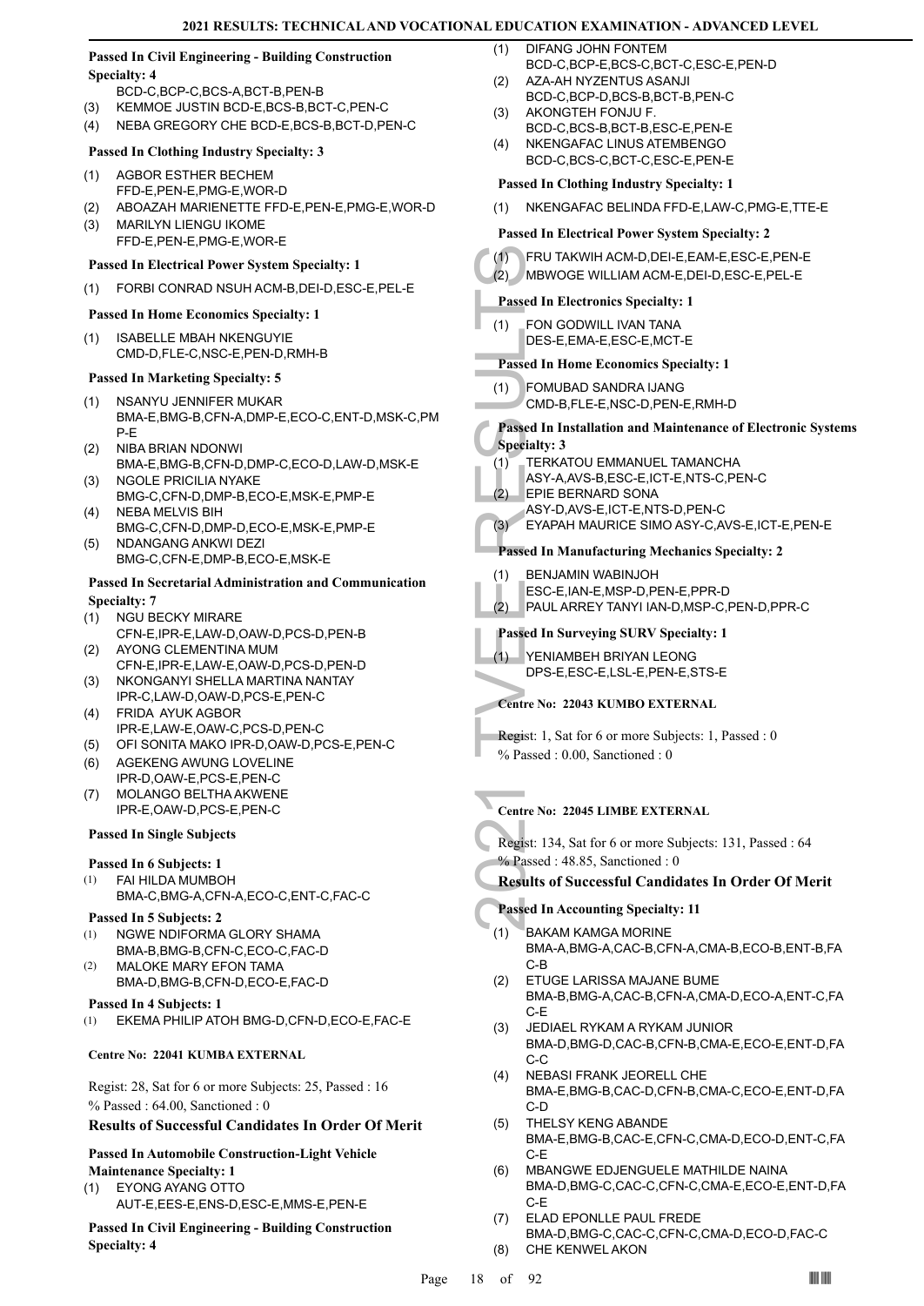# **Passed In Civil Engineering - Building Construction Specialty: 4**

- BCD-C,BCP-C,BCS-A,BCT-B,PEN-B
- (3) KEMMOE JUSTIN BCD-E,BCS-B,BCT-C,PEN-C
- (4) NEBA GREGORY CHE BCD-E,BCS-B,BCT-D,PEN-C

# **Passed In Clothing Industry Specialty: 3**

### AGBOR ESTHER BECHEM (1)

- FFD-E,PEN-E,PMG-E,WOR-D
- (2) ABOAZAH MARIENETTE FFD-E,PEN-E,PMG-E,WOR-D MARILYN LIENGU IKOME (3)
- FFD-E,PEN-E,PMG-E,WOR-E

# **Passed In Electrical Power System Specialty: 1**

(1) FORBI CONRAD NSUH ACM-B,DEI-D,ESC-E,PEL-E

# **Passed In Home Economics Specialty: 1**

ISABELLE MBAH NKENGUYIE CMD-D,FLE-C,NSC-E,PEN-D,RMH-B (1)

# **Passed In Marketing Specialty: 5**

- NSANYU JENNIFER MUKAR BMA-E,BMG-B,CFN-A,DMP-E,ECO-C,ENT-D,MSK-C,PM P-E (1)
- NIBA BRIAN NDONWI BMA-E,BMG-B,CFN-D,DMP-C,ECO-D,LAW-D,MSK-E  $(2)$
- (3) NGOLE PRICILIA NYAKE BMG-C,CFN-D,DMP-B,ECO-E,MSK-E,PMP-E NEBA MELVIS BIH
- BMG-C,CFN-D,DMP-D,ECO-E,MSK-E,PMP-E (4) NDANGANG ANKWI DEZI (5)
- BMG-C,CFN-E,DMP-B,ECO-E,MSK-E

### **Passed In Secretarial Administration and Communication Specialty: 7**

- NGU BECKY MIRARE (1)
- CFN-E,IPR-E,LAW-D,OAW-D,PCS-D,PEN-B AYONG CLEMENTINA MUM (2)
- CFN-E,IPR-E,LAW-E,OAW-D,PCS-D,PEN-D (3) NKONGANYI SHELLA MARTINA NANTAY
- IPR-C,LAW-D,OAW-D,PCS-E,PEN-C FRIDA AYUK AGBOR (4)
- IPR-E,LAW-E,OAW-C,PCS-D,PEN-C
- (5) OFI SONITA MAKO IPR-D,OAW-D,PCS-E,PEN-C
- (6) AGEKENG AWUNG LOVELINE IPR-D,OAW-E,PCS-E,PEN-C
- MOLANGO BELTHA AKWENE (7) IPR-E,OAW-D,PCS-E,PEN-C

# **Passed In Single Subjects**

# **Passed In 6 Subjects: 1**

- FAI HILDA MUMBOH (1)
	- BMA-C,BMG-A,CFN-A,ECO-C,ENT-C,FAC-C

# **Passed In 5 Subjects: 2**

- NGWE NDIFORMA GLORY SHAMA BMA-B,BMG-B,CFN-C,ECO-C,FAC-D (1)
- MALOKE MARY EFON TAMA BMA-D,BMG-B,CFN-D,ECO-E,FAC-D (2)

**Passed In 4 Subjects: 1**

(1) EKEMA PHILIP ATOH BMG-D,CFN-D,ECO-E,FAC-E

# **Centre No: 22041 KUMBA EXTERNAL**

Regist: 28, Sat for 6 or more Subjects: 25, Passed : 16 % Passed : 64.00, Sanctioned : 0

# **Results of Successful Candidates In Order Of Merit**

# **Passed In Automobile Construction-Light Vehicle Maintenance Specialty: 1**

EYONG AYANG OTTO AUT-E,EES-E,ENS-D,ESC-E,MMS-E,PEN-E (1)

**Passed In Civil Engineering - Building Construction Specialty: 4**

- DIFANG JOHN FONTEM BCD-C,BCP-E,BCS-C,BCT-C,ESC-E,PEN-D  $(1)$
- AZA-AH NYZENTUS ASANJI (2)
- BCD-C,BCP-D,BCS-B,BCT-B,PEN-C AKONGTEH FONJU F. (3)
- BCD-C,BCS-B,BCT-B,ESC-E,PEN-E NKENGAFAC LINUS ATEMBENGO (4)
- BCD-C,BCS-C,BCT-C,ESC-E,PEN-E

# **Passed In Clothing Industry Specialty: 1**

(1) NKENGAFAC BELINDA FFD-E,LAW-C,PMG-E,TTE-E

# **Passed In Electrical Power System Specialty: 2**

| (1)<br>(2) | FRU TAKWIH ACM-D, DEI-E, EAM-E, ESC-E, PEN-E<br>MBWOGE WILLIAM ACM-E, DEI-D, ESC-E, PEL-E                                        |
|------------|----------------------------------------------------------------------------------------------------------------------------------|
|            | <b>Passed In Electronics Specialty: 1</b>                                                                                        |
| (1)        | FON GODWILL IVAN TANA<br>DES-E, EMA-E, ESC-E, MCT-E                                                                              |
|            | <b>Passed In Home Economics Specialty: 1</b>                                                                                     |
| (1)        | <b>FOMUBAD SANDRA IJANG</b><br>CMD-B,FLE-E,NSC-D,PEN-E,RMH-D                                                                     |
|            | Passed In Installation and Maintenance of Electronic S<br><b>Specialty: 3</b>                                                    |
| (1)<br>(2) | TERKATOU EMMANUEL TAMANCHA<br>ASY-A, AVS-B, ESC-E, ICT-E, NTS-C, PEN-C<br>EPIE BERNARD SONA<br>ASY-D, AVS-E, ICT-E, NTS-D, PEN-C |
| (3)        | EYAPAH MAURICE SIMO ASY-C, AVS-E, ICT-E, PEN                                                                                     |
|            | Passed In Manufacturing Mechanics Specialty: 2                                                                                   |
| (1)<br>(2) | <b>BENJAMIN WABINJOH</b><br>ESC-E,IAN-E,MSP-D,PEN-E,PPR-D<br>PAUL ARREY TANYI IAN-D, MSP-C, PEN-D, PPR-C                         |
|            | <b>Passed In Surveying SURV Specialty: 1</b>                                                                                     |
| (1)        | YENIAMBEH BRIYAN LEONG<br>DPS-E,ESC-E,LSL-E,PEN-E,STS-E                                                                          |
|            | <b>Centre No: 22043 KUMBO EXTERNAL</b>                                                                                           |
|            | <b>Regist:</b> 1, Sat for 6 or more Subjects: 1, Passed: 0<br>% Passed: 0.00, Sanctioned: 0                                      |
|            | <b>Centre No: 22045 LIMBE EXTERNAL</b>                                                                                           |
|            | Regist: 134, Sat for 6 or more Subjects: 131, Passed: 64<br>% Passed: 48.85, Sanctioned: 0                                       |
|            | <b>Results of Successful Candidates In Order Of Me</b>                                                                           |
|            | <b>Passed In Accounting Specialty: 11</b>                                                                                        |
|            | 1111110111011                                                                                                                    |

# **Passed In Electronics Specialty: 1**

# **Passed In Home Economics Specialty: 1**

- FOMUBAD SANDRA IJANG (1)
	- CMD-B,FLE-E,NSC-D,PEN-E,RMH-D

# **Passed In Installation and Maintenance of Electronic Systems Specialty: 3**

- TERKATOU EMMANUEL TAMANCHA  $(1)$ 
	- ASY-A,AVS-B,ESC-E,ICT-E,NTS-C,PEN-C
- EPIE BERNARD SONA (2)
	- ASY-D,AVS-E,ICT-E,NTS-D,PEN-C
- (3) EYAPAH MAURICE SIMO ASY-C,AVS-E,ICT-E,PEN-E

# **Passed In Manufacturing Mechanics Specialty: 2**

- BENJAMIN WABINJOH (1)
	- ESC-E,IAN-E,MSP-D,PEN-E,PPR-D
- (2) PAUL ARREY TANYI IAN-D,MSP-C,PEN-D,PPR-C

# **Passed In Surveying SURV Specialty: 1**

# **Centre No: 22043 KUMBO EXTERNAL**

# **Centre No: 22045 LIMBE EXTERNAL**

- Regist: 134, Sat for 6 or more Subjects: 131, Passed : 64
- % Passed : 48.85, Sanctioned : 0

# **Results of Successful Candidates In Order Of Merit**

# **Passed In Accounting Specialty: 11**

- BAKAM KAMGA MORINE BMA-A,BMG-A,CAC-B,CFN-A,CMA-B,ECO-B,ENT-B,FA C-B (1)
- ETUGE LARISSA MAJANE BUME BMA-B,BMG-A,CAC-B,CFN-A,CMA-D,ECO-A,ENT-C,FA C-E (2)
- JEDIAEL RYKAM A RYKAM JUNIOR BMA-D,BMG-D,CAC-B,CFN-B,CMA-E,ECO-E,ENT-D,FA C-C (3)
- NEBASI FRANK JEORELL CHE BMA-E,BMG-B,CAC-D,CFN-B,CMA-C,ECO-E,ENT-D,FA C-D (4)
- THELSY KENG ABANDE BMA-E,BMG-B,CAC-E,CFN-C,CMA-D,ECO-D,ENT-C,FA C-E (5)
- MBANGWE EDJENGUELE MATHILDE NAINA BMA-D,BMG-C,CAC-C,CFN-C,CMA-E,ECO-E,ENT-D,FA C-E (6)
- ELAD EPONLLE PAUL FREDE BMA-D,BMG-C,CAC-C,CFN-C,CMA-D,ECO-D,FAC-C (7) (8) CHE KENWEL AKON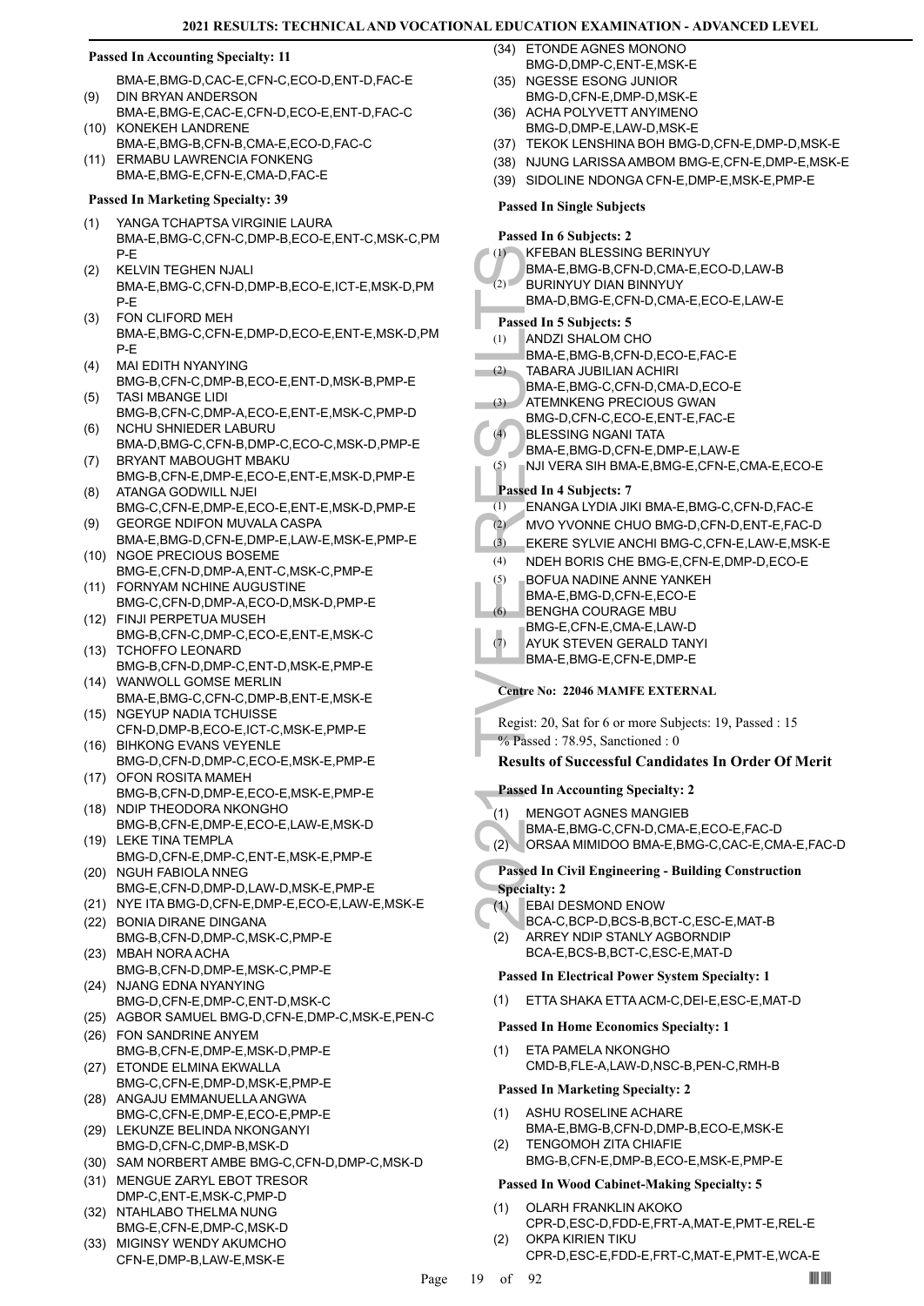### **Passed In Accounting Specialty: 11**

BMA-E,BMG-D,CAC-E,CFN-C,ECO-D,ENT-D,FAC-E DIN BRYAN ANDERSON (9)

- BMA-E,BMG-E,CAC-E,CFN-D,ECO-E,ENT-D,FAC-C (10) KONEKEH LANDRENE
- BMA-E,BMG-B,CFN-B,CMA-E,ECO-D,FAC-C (11) ERMABU LAWRENCIA FONKENG BMA-E,BMG-E,CFN-E,CMA-D,FAC-E
- **Passed In Marketing Specialty: 39**
- YANGA TCHAPTSA VIRGINIE LAURA BMA-E,BMG-C,CFN-C,DMP-B,ECO-E,ENT-C,MSK-C,PM P-E (1)
- KELVIN TEGHEN NJALI BMA-E,BMG-C,CFN-D,DMP-B,ECO-E,ICT-E,MSK-D,PM P-E (2)
- FON CLIFORD MEH BMA-E,BMG-C,CFN-E,DMP-D,ECO-E,ENT-E,MSK-D,PM P-E (3)
- MAI EDITH NYANYING BMG-B,CFN-C,DMP-B,ECO-E,ENT-D,MSK-B,PMP-E (4)
- TASI MBANGE LIDI BMG-B,CFN-C,DMP-A,ECO-E,ENT-E,MSK-C,PMP-D (5)
- NCHU SHNIEDER LABURU BMA-D,BMG-C,CFN-B,DMP-C,ECO-C,MSK-D,PMP-E (6)
- BRYANT MABOUGHT MBAKU BMG-B,CFN-E,DMP-E,ECO-E,ENT-E,MSK-D,PMP-E (7) ATANGA GODWILL NJEI (8)
- BMG-C,CFN-E,DMP-E,ECO-E,ENT-E,MSK-D,PMP-E GEORGE NDIFON MUVALA CASPA (9)
- BMA-E,BMG-D,CFN-E,DMP-E,LAW-E,MSK-E,PMP-E (10) NGOE PRECIOUS BOSEME
- BMG-E,CFN-D,DMP-A,ENT-C,MSK-C,PMP-E FORNYAM NCHINE AUGUSTINE (11)
- BMG-C,CFN-D,DMP-A,ECO-D,MSK-D,PMP-E FINJI PERPETUA MUSEH (12)
- BMG-B,CFN-C,DMP-C,ECO-E,ENT-E,MSK-C (13) TCHOFFO LEONARD
- BMG-B,CFN-D,DMP-C,ENT-D,MSK-E,PMP-E WANWOLL GOMSE MERLIN (14)
- BMA-E,BMG-C,CFN-C,DMP-B,ENT-E,MSK-E (15) NGEYUP NADIA TCHUISSE
- CFN-D,DMP-B,ECO-E,ICT-C,MSK-E,PMP-E (16) BIHKONG EVANS VEYENLE
- BMG-D,CFN-D,DMP-C,ECO-E,MSK-E,PMP-E (17) OFON ROSITA MAMEH
- BMG-B,CFN-D,DMP-E,ECO-E,MSK-E,PMP-E (18) NDIP THEODORA NKONGHO
- BMG-B,CFN-E,DMP-E,ECO-E,LAW-E,MSK-D (19) LEKE TINA TEMPLA
- BMG-D,CFN-E,DMP-C,ENT-E,MSK-E,PMP-E (20) NGUH FABIOLA NNEG
- BMG-E,CFN-D,DMP-D,LAW-D,MSK-E,PMP-E
- (21) NYE ITA BMG-D,CFN-E,DMP-E,ECO-E,LAW-E,MSK-E
- (22) BONIA DIRANE DINGANA BMG-B,CFN-D,DMP-C,MSK-C,PMP-E (23) MBAH NORA ACHA
- BMG-B,CFN-D,DMP-E,MSK-C,PMP-E (24) NJANG EDNA NYANYING
- BMG-D,CFN-E,DMP-C,ENT-D,MSK-C
- (25) AGBOR SAMUEL BMG-D,CFN-E,DMP-C,MSK-E,PEN-C
- FON SANDRINE ANYEM (26) BMG-B,CFN-E,DMP-E,MSK-D,PMP-E
- (27) ETONDE ELMINA EKWALLA BMG-C,CFN-E,DMP-D,MSK-E,PMP-E
- (28) ANGAJU EMMANUELLA ANGWA BMG-C,CFN-E,DMP-E,ECO-E,PMP-E
- (29) LEKUNZE BELINDA NKONGANYI BMG-D,CFN-C,DMP-B,MSK-D
- (30) SAM NORBERT AMBE BMG-C,CFN-D,DMP-C,MSK-D
- (31) MENGUE ZARYL EBOT TRESOR DMP-C,ENT-E,MSK-C,PMP-D
- (32) NTAHLABO THELMA NUNG BMG-E,CFN-E,DMP-C,MSK-D
- (33) MIGINSY WENDY AKUMCHO CFN-E,DMP-B,LAW-E,MSK-E
- ETONDE AGNES MONONO BMG-D,DMP-C,ENT-E,MSK-E (34)
- (35) NGESSE ESONG JUNIOR BMG-D,CFN-E,DMP-D,MSK-E
- (36) ACHA POLYVETT ANYIMENO BMG-D,DMP-E,LAW-D,MSK-E
- (37) TEKOK LENSHINA BOH BMG-D,CFN-E,DMP-D,MSK-E
- (38) NJUNG LARISSA AMBOM BMG-E,CFN-E,DMP-E,MSK-E
- (39) SIDOLINE NDONGA CFN-E,DMP-E,MSK-E,PMP-E
- **Passed In Single Subjects**

(1) KFEBAT<br>
BMA-E,<br>
BMA-E,<br>
BMA-E,<br>
BMA-E,<br>
2) BMA-E,<br>
2) TABARA<br>
BMA-E,<br>
2) TABARA<br>
BMA-E,<br>
2) TABARA<br>
BMA-E,<br>
MUVE RMA-E,<br>
ATEMNI BMA-E,<br>
ATEMNI BMA-E,<br>
ATEMNI BMA-E,<br>
2) NVO Y\<br>
3) EKERE<br>
(4) NVO Y\<br>
3) EKERE<br>
(4) NVO Y **Passed In 6 Subjects: 2** KFEBAN BLESSING BERINYUY BMA-E,BMG-B,CFN-D,CMA-E,ECO-D,LAW-B (1) BURINYUY DIAN BINNYUY BMA-D,BMG-E,CFN-D,CMA-E,ECO-E,LAW-E (2) **Passed In 5 Subjects: 5** ANDZI SHALOM CHO BMA-E,BMG-B,CFN-D,ECO-E,FAC-E (1) TABARA JUBILIAN ACHIRI BMA-E,BMG-C,CFN-D,CMA-D,ECO-E (2) ATEMNKENG PRECIOUS GWAN BMG-D,CFN-C,ECO-E,ENT-E,FAC-E  $(3)$ BLESSING NGANI TATA BMA-E,BMG-D,CFN-E,DMP-E,LAW-E  $(4)$ (5) NJI VERA SIH BMA-E,BMG-E,CFN-E,CMA-E,ECO-E **Passed In 4 Subjects: 7** (1) ENANGA LYDIA JIKI BMA-E,BMG-C,CFN-D,FAC-E (2) MVO YVONNE CHUO BMG-D,CFN-D,ENT-E,FAC-D (3) EKERE SYLVIE ANCHI BMG-C,CFN-E,LAW-E,MSK-E (4) NDEH BORIS CHE BMG-E,CFN-E,DMP-D,ECO-E BOFUA NADINE ANNE YANKEH BMA-E,BMG-D,CFN-E,ECO-E (5) BENGHA COURAGE MBU BMG-E,CFN-E,CMA-E,LAW-D (6) AYUK STEVEN GERALD TANYI BMA-E,BMG-E,CFN-E,DMP-E (7) **Centre No: 22046 MAMFE EXTERNAL** 

Regist: 20, Sat for 6 or more Subjects: 19, Passed : 15 % Passed : 78.95, Sanctioned : 0

# **Results of Successful Candidates In Order Of Merit**

# **Passed In Accounting Specialty: 2**

- MENGOT AGNES MANGIEB (1)
- BMA-E,BMG-C,CFN-D,CMA-E,ECO-E,FAC-D
- (2) ORSAA MIMIDOO BMA-E,BMG-C,CAC-E,CMA-E,FAC-D

# **Passed In Civil Engineering - Building Construction Specialty: 2**

- EBAI DESMOND ENOW (1)
	- BCA-C,BCP-D,BCS-B,BCT-C,ESC-E,MAT-B
- ARREY NDIP STANLY AGBORNDIP BCA-E,BCS-B,BCT-C,ESC-E,MAT-D (2)

# **Passed In Electrical Power System Specialty: 1**

(1) ETTA SHAKA ETTA ACM-C,DEI-E,ESC-E,MAT-D

# **Passed In Home Economics Specialty: 1**

ETA PAMELA NKONGHO CMD-B,FLE-A,LAW-D,NSC-B,PEN-C,RMH-B (1)

# **Passed In Marketing Specialty: 2**

- ASHU ROSELINE ACHARE BMA-E,BMG-B,CFN-D,DMP-B,ECO-E,MSK-E (1)
- TENGOMOH ZITA CHIAFIE BMG-B,CFN-E,DMP-B,ECO-E,MSK-E,PMP-E (2)

# **Passed In Wood Cabinet-Making Specialty: 5**

- OLARH FRANKLIN AKOKO CPR-D,ESC-D,FDD-E,FRT-A,MAT-E,PMT-E,REL-E (1) OKPA KIRIEN TIKU (2)
	- CPR-D,ESC-E,FDD-E,FRT-C,MAT-E,PMT-E,WCA-E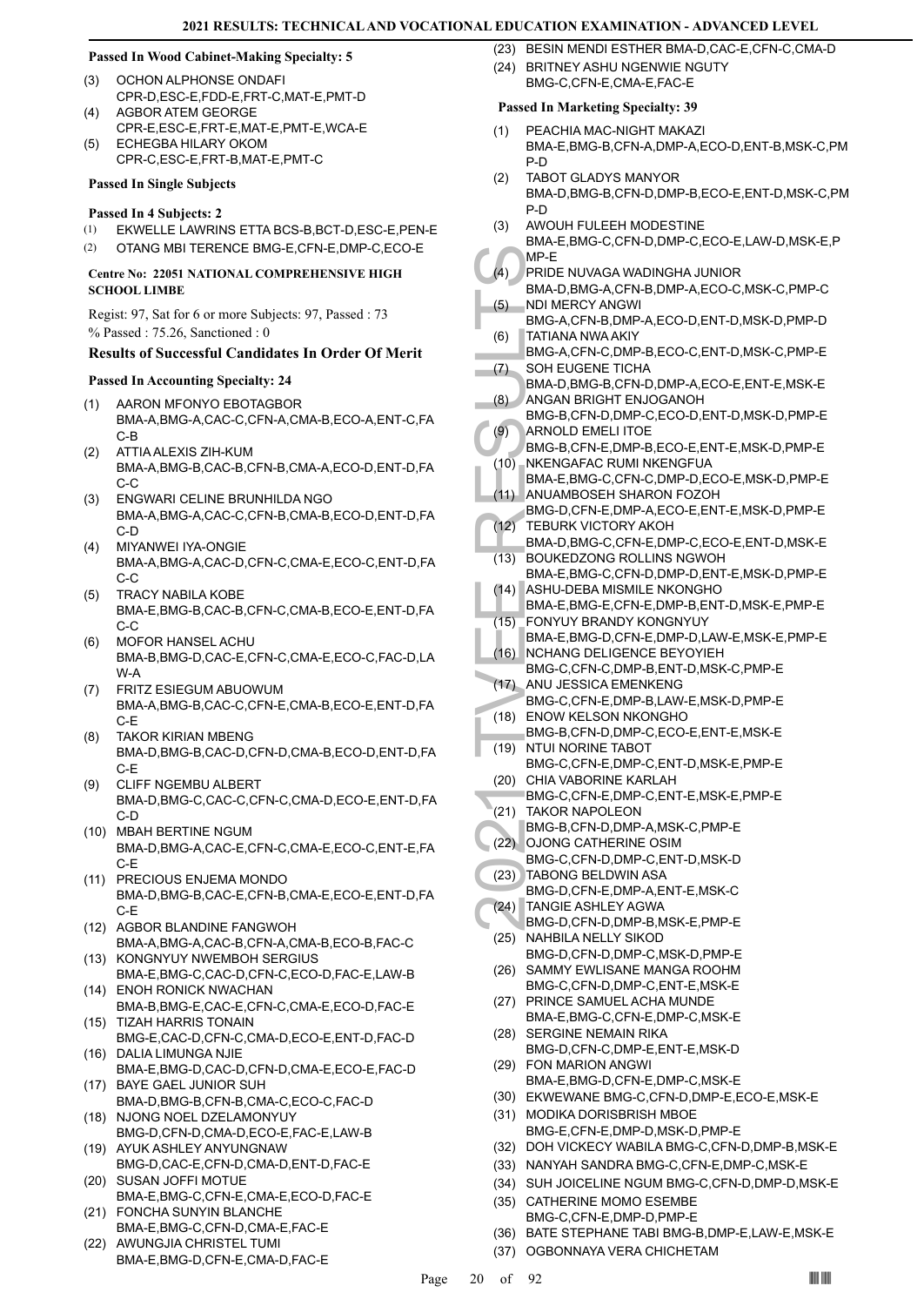# **Passed In Wood Cabinet-Making Specialty: 5**

- OCHON ALPHONSE ONDAFI CPR-D,ESC-E,FDD-E,FRT-C,MAT-E,PMT-D (3)
- AGBOR ATEM GEORGE CPR-E,ESC-E,FRT-E,MAT-E,PMT-E,WCA-E  $(4)$
- ECHEGBA HILARY OKOM CPR-C,ESC-E,FRT-B,MAT-E,PMT-C (5)

### **Passed In Single Subjects**

- **Passed In 4 Subjects: 2**
- (1) EKWELLE LAWRINS ETTA BCS-B,BCT-D,ESC-E,PEN-E
- (2) OTANG MBI TERENCE BMG-E,CFN-E,DMP-C,ECO-E

# **Centre No: 22051 NATIONAL COMPREHENSIVE HIGH SCHOOL LIMBE**

Regist: 97, Sat for 6 or more Subjects: 97, Passed : 73 % Passed : 75.26, Sanctioned : 0

# **Results of Successful Candidates In Order Of Merit**

# **Passed In Accounting Specialty: 24**

- AARON MFONYO EBOTAGBOR BMA-A,BMG-A,CAC-C,CFN-A,CMA-B,ECO-A,ENT-C,FA C-B (1)
- ATTIA ALEXIS ZIH-KUM BMA-A,BMG-B,CAC-B,CFN-B,CMA-A,ECO-D,ENT-D,FA  $C-C$ (2)
- ENGWARI CELINE BRUNHILDA NGO BMA-A,BMG-A,CAC-C,CFN-B,CMA-B,ECO-D,ENT-D,FA C-D (3)
- MIYANWEI IYA-ONGIE BMA-A,BMG-A,CAC-D,CFN-C,CMA-E,ECO-C,ENT-D,FA C-C (4)
- TRACY NABILA KOBE BMA-E,BMG-B,CAC-B,CFN-C,CMA-B,ECO-E,ENT-D,FA C-C (5)
- MOFOR HANSEL ACHU BMA-B,BMG-D,CAC-E,CFN-C,CMA-E,ECO-C,FAC-D,LA W-A (6)
- FRITZ ESIEGUM ABUOWUM BMA-A,BMG-B,CAC-C,CFN-E,CMA-B,ECO-E,ENT-D,FA C-E (7)
- TAKOR KIRIAN MBENG BMA-D,BMG-B,CAC-D,CFN-D,CMA-B,ECO-D,ENT-D,FA C-E (8)
- CLIFF NGEMBU ALBERT BMA-D,BMG-C,CAC-C,CFN-C,CMA-D,ECO-E,ENT-D,FA C-D (9)
- MBAH BERTINE NGUM (10) BMA-D,BMG-A,CAC-E,CFN-C,CMA-E,ECO-C,ENT-E,FA C-E
- (11) PRECIOUS ENJEMA MONDO BMA-D,BMG-B,CAC-E,CFN-B,CMA-E,ECO-E,ENT-D,FA C-E
- (12) AGBOR BLANDINE FANGWOH BMA-A,BMG-A,CAC-B,CFN-A,CMA-B,ECO-B,FAC-C
- KONGNYUY NWEMBOH SERGIUS BMA-E,BMG-C,CAC-D,CFN-C,ECO-D,FAC-E,LAW-B (13)
- (14) ENOH RONICK NWACHAN BMA-B,BMG-E,CAC-E,CFN-C,CMA-E,ECO-D,FAC-E (15) TIZAH HARRIS TONAIN
- BMG-E,CAC-D,CFN-C,CMA-D,ECO-E,ENT-D,FAC-D (16) DALIA LIMUNGA NJIE
- BMA-E,BMG-D,CAC-D,CFN-D,CMA-E,ECO-E,FAC-D BAYE GAEL JUNIOR SUH (17)
- BMA-D,BMG-B,CFN-B,CMA-C,ECO-C,FAC-D (18) NJONG NOEL DZELAMONYUY
- BMG-D,CFN-D,CMA-D,ECO-E,FAC-E,LAW-B (19) AYUK ASHLEY ANYUNGNAW
- BMG-D,CAC-E,CFN-D,CMA-D,ENT-D,FAC-E (20) SUSAN JOFFI MOTUE
- BMA-E,BMG-C,CFN-E,CMA-E,ECO-D,FAC-E (21) FONCHA SUNYIN BLANCHE
- BMA-E,BMG-C,CFN-D,CMA-E,FAC-E
- AWUNGJIA CHRISTEL TUMI BMA-E,BMG-D,CFN-E,CMA-D,FAC-E (22)

(23) BESIN MENDI ESTHER BMA-D,CAC-E,CFN-C,CMA-D (24) BRITNEY ASHU NGENWIE NGUTY BMG-C,CFN-E,CMA-E,FAC-E

- PEACHIA MAC-NIGHT MAKAZI BMA-E,BMG-B,CFN-A,DMP-A,ECO-D,ENT-B,MSK-C,PM P-D (1)
- TABOT GLADYS MANYOR BMA-D,BMG-B,CFN-D,DMP-B,ECO-E,ENT-D,MSK-C,PM P-D (2)
- AWOUH FULEEH MODESTINE (3)
- BMA-E,BMG-C,CFN-D,DMP-C,ECO-E,LAW-D,MSK-E,P MP-E
- PRIDE NUVAGA WADINGHA JUNIOR BMA-D,BMG-A,CFN-B,DMP-A,ECO-C,MSK-C,PMP-C  $(4)$
- NDI MERCY ANGWI BMG-A,CFN-B,DMP-A,ECO-D,ENT-D,MSK-D,PMP-D (5)
- TATIANA NWA AKIY (6)
- MP-E<br>
(4) PRIDE I<br>
BMA-D,<br>
(5) NDI ME<br>
BMA-D,<br>
(6) TATIAN, BMG-A,<br>
CRIP SMA-D,<br>
CRIP SMA-D,<br>
ANGAN<br>
BMG-B,<br>
ANGAN<br>
BMG-B,<br>
ANDAM BMG-D,<br>
MKENG BMA-E,<br>
(11) ANUAM BMG-D,<br>
CRIP SMA-D,<br>
EMA-D,<br>
CRIP SMA-D,<br>
CRIP SMA-D,<br>
CRIP BMG-A,CFN-C,DMP-B,ECO-C,ENT-D,MSK-C,PMP-E SOH EUGENE TICHA (7)
	- BMA-D,BMG-B,CFN-D,DMP-A,ECO-E,ENT-E,MSK-E ANGAN BRIGHT ENJOGANOH (8)
- BMG-B,CFN-D,DMP-C,ECO-D,ENT-D,MSK-D,PMP-E ARNOLD EMELI ITOE (9)
- BMG-B,CFN-E,DMP-B,ECO-E,ENT-E,MSK-D,PMP-E NKENGAFAC RUMI NKENGFUA  $(10)$
- BMA-E,BMG-C,CFN-C,DMP-D,ECO-E,MSK-D,PMP-E ANUAMBOSEH SHARON FOZOH (11)
- BMG-D,CFN-E,DMP-A,ECO-E,ENT-E,MSK-D,PMP-E (12) TEBURK VICTORY AKOH
- BMA-D,BMG-C,CFN-E,DMP-C,ECO-E,ENT-D,MSK-E BOUKEDZONG ROLLINS NGWOH  $(13)$
- BMA-E,BMG-C,CFN-D,DMP-D,ENT-E,MSK-D,PMP-E ASHU-DEBA MISMILE NKONGHO (14)
- BMA-E,BMG-E,CFN-E,DMP-B,ENT-D,MSK-E,PMP-E FONYUY BRANDY KONGNYUY (15)
- BMA-E,BMG-D,CFN-E,DMP-D,LAW-E,MSK-E,PMP-E NCHANG DELIGENCE BEYOYIEH (16)
- BMG-C,CFN-C,DMP-B,ENT-D,MSK-C,PMP-E (17) ANU JESSICA EMENKENG
- BMG-C,CFN-E,DMP-B,LAW-E,MSK-D,PMP-E (18) ENOW KELSON NKONGHO
- BMG-B,CFN-D,DMP-C,ECO-E,ENT-E,MSK-E NTUI NORINE TABOT (19)
- BMG-C,CFN-E,DMP-C,ENT-D,MSK-E,PMP-E (20) CHIA VABORINE KARLAH
- BMG-C,CFN-E,DMP-C,ENT-E,MSK-E,PMP-E
- (21) TAKOR NAPOLEON
	- BMG-B,CFN-D,DMP-A,MSK-C,PMP-E
- (22) OJONG CATHERINE OSIM BMG-C,CFN-D,DMP-C,ENT-D,MSK-D
- TABONG BELDWIN ASA (23)
- BMG-D,CFN-E,DMP-A,ENT-E,MSK-C TANGIE ASHLEY AGWA (24)
- BMG-D,CFN-D,DMP-B,MSK-E,PMP-E
- (25) NAHBILA NELLY SIKOD BMG-D,CFN-D,DMP-C,MSK-D,PMP-E
- (26) SAMMY EWLISANE MANGA ROOHM BMG-C,CFN-D,DMP-C,ENT-E,MSK-E
- (27) PRINCE SAMUEL ACHA MUNDE
- BMA-E,BMG-C,CFN-E,DMP-C,MSK-E (28) SERGINE NEMAIN RIKA
- BMG-D,CFN-C,DMP-E,ENT-E,MSK-D FON MARION ANGWI (29)
	- BMA-E,BMG-D,CFN-E,DMP-C,MSK-E
- (30) EKWEWANE BMG-C,CFN-D,DMP-E,ECO-E,MSK-E
- (31) MODIKA DORISBRISH MBOE BMG-E,CFN-E,DMP-D,MSK-D,PMP-E
- (32) DOH VICKECY WABILA BMG-C,CFN-D,DMP-B,MSK-E
- (33) NANYAH SANDRA BMG-C,CFN-E,DMP-C,MSK-E
- (34) SUH JOICELINE NGUM BMG-C,CFN-D,DMP-D,MSK-E
- (35) CATHERINE MOMO ESEMBE BMG-C,CFN-E,DMP-D,PMP-E
- (36) BATE STEPHANE TABI BMG-B,DMP-E,LAW-E,MSK-E
- (37) OGBONNAYA VERA CHICHETAM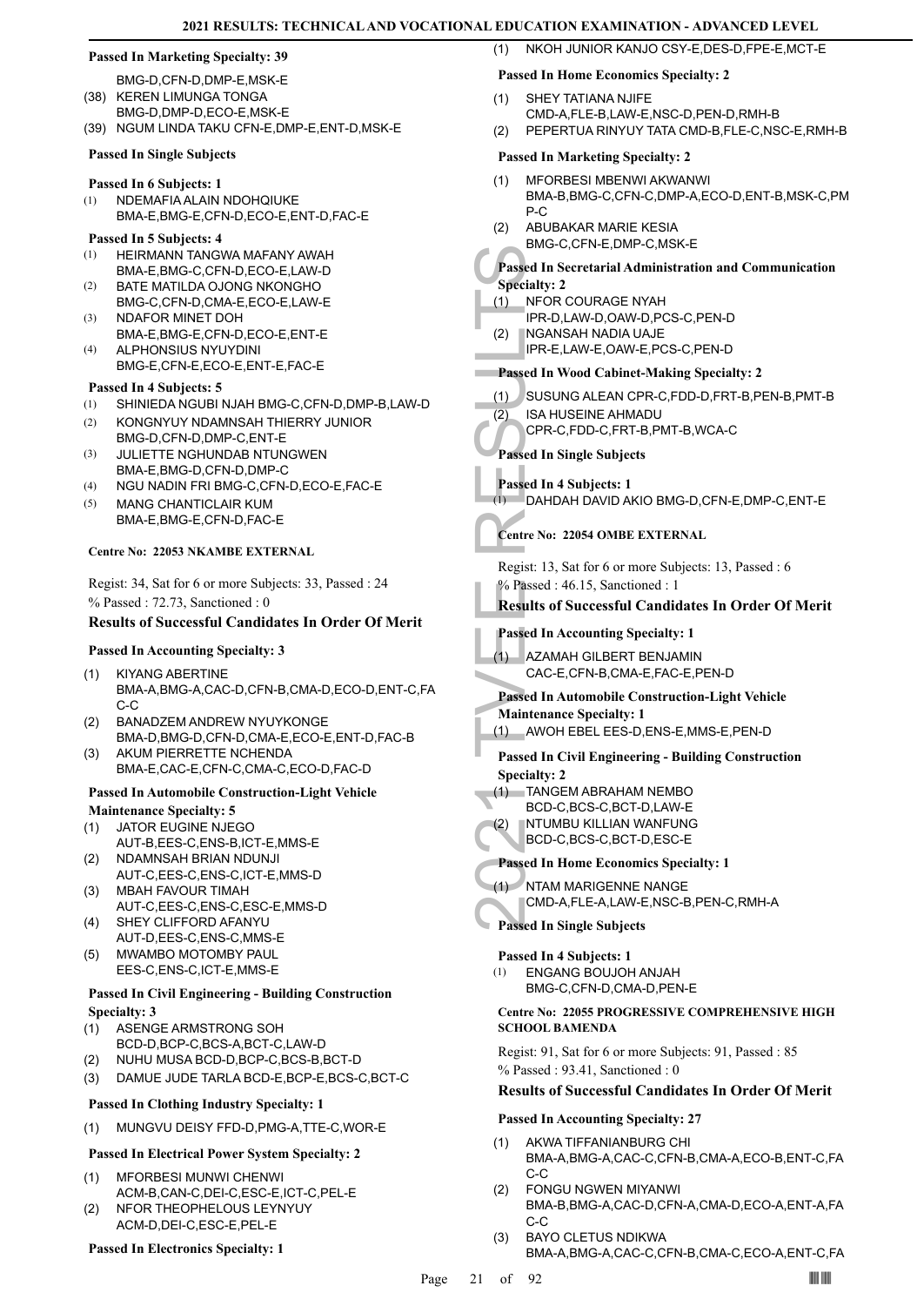### **Passed In Marketing Specialty: 39**

- BMG-D,CFN-D,DMP-E,MSK-E (38) KEREN LIMUNGA TONGA
- BMG-D,DMP-D,ECO-E,MSK-E
- (39) NGUM LINDA TAKU CFN-E,DMP-E,ENT-D,MSK-E

### **Passed In Single Subjects**

# **Passed In 6 Subjects: 1**

NDEMAFIA ALAIN NDOHQIUKE BMA-E,BMG-E,CFN-D,ECO-E,ENT-D,FAC-E (1)

### **Passed In 5 Subjects: 4**

- HEIRMANN TANGWA MAFANY AWAH BMA-E,BMG-C,CFN-D,ECO-E,LAW-D (1)
- BATE MATILDA OJONG NKONGHO (2)
- BMG-C,CFN-D,CMA-E,ECO-E,LAW-E NDAFOR MINET DOH (3)
- BMA-E,BMG-E,CFN-D,ECO-E,ENT-E ALPHONSIUS NYUYDINI (4)
- BMG-E,CFN-E,ECO-E,ENT-E,FAC-E

# **Passed In 4 Subjects: 5**

- (1) SHINIEDA NGUBI NJAH BMG-C,CFN-D,DMP-B,LAW-D
- KONGNYUY NDAMNSAH THIERRY JUNIOR (2)
- BMG-D,CFN-D,DMP-C,ENT-E JULIETTE NGHUNDAB NTUNGWEN (3)
- BMA-E,BMG-D,CFN-D,DMP-C (4) NGU NADIN FRI BMG-C,CFN-D,ECO-E,FAC-E
- MANG CHANTICLAIR KUM BMA-E,BMG-E,CFN-D,FAC-E (5)

# **Centre No: 22053 NKAMBE EXTERNAL**

Regist: 34, Sat for 6 or more Subjects: 33, Passed : 24 % Passed : 72.73, Sanctioned : 0

# **Results of Successful Candidates In Order Of Merit**

- **Passed In Accounting Specialty: 3**
- KIYANG ABERTINE BMA-A,BMG-A,CAC-D,CFN-B,CMA-D,ECO-D,ENT-C,FA C-C (1)
- BANADZEM ANDREW NYUYKONGE BMA-D,BMG-D,CFN-D,CMA-E,ECO-E,ENT-D,FAC-B (2)
- AKUM PIERRETTE NCHENDA BMA-E,CAC-E,CFN-C,CMA-C,ECO-D,FAC-D (3)

# **Passed In Automobile Construction-Light Vehicle**

- **Maintenance Specialty: 5**
- JATOR EUGINE NJEGO AUT-B,EES-C,ENS-B,ICT-E,MMS-E (1)
- NDAMNSAH BRIAN NDUNJI (2)
- AUT-C,EES-C,ENS-C,ICT-E,MMS-D MBAH FAVOUR TIMAH (3)
- AUT-C,EES-C,ENS-C,ESC-E,MMS-D SHEY CLIFFORD AFANYU (4)
- AUT-D,EES-C,ENS-C,MMS-E MWAMBO MOTOMBY PAUL (5)
- EES-C,ENS-C,ICT-E,MMS-E

# **Passed In Civil Engineering - Building Construction Specialty: 3**

- ASENGE ARMSTRONG SOH (1)
- BCD-D,BCP-C,BCS-A,BCT-C,LAW-D
- (2) NUHU MUSA BCD-D,BCP-C,BCS-B,BCT-D
- (3) DAMUE JUDE TARLA BCD-E,BCP-E,BCS-C,BCT-C

# **Passed In Clothing Industry Specialty: 1**

(1) MUNGVU DEISY FFD-D,PMG-A,TTE-C,WOR-E

# **Passed In Electrical Power System Specialty: 2**

- MFORBESI MUNWI CHENWI ACM-B,CAN-C,DEI-C,ESC-E,ICT-C,PEL-E (1)
- NFOR THEOPHELOUS LEYNYUY ACM-D,DEI-C,ESC-E,PEL-E (2)

# **Passed In Electronics Specialty: 1**

# **Passed In Home Economics Specialty: 2**

- SHEY TATIANA NJIFE (1)
- CMD-A,FLE-B,LAW-E,NSC-D,PEN-D,RMH-B
- (2) PEPERTUA RINYUY TATA CMD-B,FLE-C,NSC-E,RMH-B

(1) NKOH JUNIOR KANJO CSY-E,DES-D,FPE-E,MCT-E

# **Passed In Marketing Specialty: 2**

- MFORBESI MBENWI AKWANWI BMA-B,BMG-C,CFN-C,DMP-A,ECO-D,ENT-B,MSK-C,PM P-C (1)
- ABUBAKAR MARIE KESIA BMG-C,CFN-E,DMP-C,MSK-E (2)
- **Passed In Secretarial Administration and Communication**

# **Specialty: 2**

- NFOR COURAGE NYAH (1)
	- IPR-D,LAW-D,OAW-D,PCS-C,PEN-D
- NGANSAH NADIA UAJE (2)
	- IPR-E,LAW-E,OAW-E,PCS-C,PEN-D

# **Passed In Wood Cabinet-Making Specialty: 2**

- (1) SUSUNG ALEAN CPR-C,FDD-D,FRT-B,PEN-B,PMT-B
- ISA HUSEINE AHMADU (2)
	- CPR-C,FDD-C,FRT-B,PMT-B,WCA-C

# **Passed In Single Subjects**

**Passed In 4 Subjects: 1** (1) DAHDAH DAVID AKIO BMG-D,CFN-E,DMP-C,ENT-E

# **Centre No: 22054 OMBE EXTERNAL**

Regist: 13, Sat for 6 or more Subjects: 13, Passed : 6 % Passed : 46.15, Sanctioned : 1

# **Results of Successful Candidates In Order Of Merit**

# **Passed In Accounting Specialty: 1**

AZAMAH GILBERT BENJAMIN CAC-E,CFN-B,CMA-E,FAC-E,PEN-D (1)

# **Passed In Automobile Construction-Light Vehicle**

**Maintenance Specialty: 1** (1) AWOH EBEL EES-D,ENS-E,MMS-E,PEN-D

# **Passed In Civil Engineering - Building Construction Specialty: 2**

- TANGEM ABRAHAM NEMBO (1)
- BCD-C,BCS-C,BCT-D,LAW-E
- NTUMBU KILLIAN WANFUNG (2)
- BCD-C,BCS-C,BCT-D,ESC-E

# **Passed In Home Economics Specialty: 1**

- Passed In Second In Second In Second In Second In Second In Second In Second In Second In Second In Second In Second In Second In Second In Second In Accept C. Passed In Accept C. Passed In Accept C. Passed In Accept C. Pa NTAM MARIGENNE NANGE CMD-A,FLE-A,LAW-E,NSC-B,PEN-C,RMH-A (1)
	- **Passed In Single Subjects**

# **Passed In 4 Subjects: 1**

ENGANG BOUJOH ANJAH BMG-C,CFN-D,CMA-D,PEN-E (1)

# **Centre No: 22055 PROGRESSIVE COMPREHENSIVE HIGH SCHOOL BAMENDA**

Regist: 91, Sat for 6 or more Subjects: 91, Passed : 85 % Passed : 93.41, Sanctioned : 0

# **Results of Successful Candidates In Order Of Merit**

### **Passed In Accounting Specialty: 27**

- AKWA TIFFANIANBURG CHI BMA-A,BMG-A,CAC-C,CFN-B,CMA-A,ECO-B,ENT-C,FA C-C (1)
- FONGU NGWEN MIYANWI BMA-B,BMG-A,CAC-D,CFN-A,CMA-D,ECO-A,ENT-A,FA C-C (2)
- BAYO CLETUS NDIKWA BMA-A,BMG-A,CAC-C,CFN-B,CMA-C,ECO-A,ENT-C,FA (3)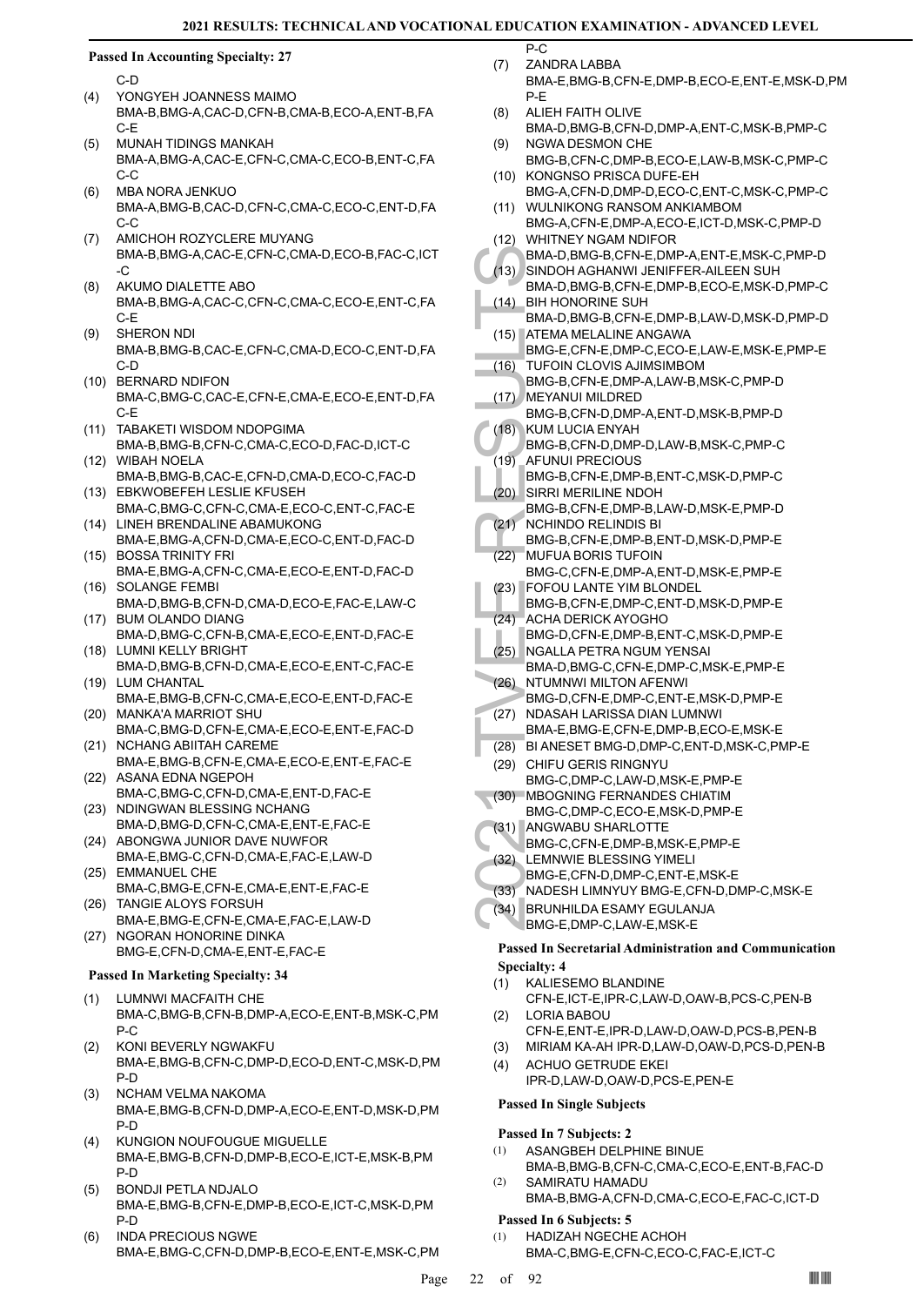$\overline{P_{-C}}$ 

# **Passed In Accounting Specialty: 27**

C-D

- YONGYEH JOANNESS MAIMO BMA-B,BMG-A,CAC-D,CFN-B,CMA-B,ECO-A,ENT-B,FA C-E (4)
- MUNAH TIDINGS MANKAH BMA-A,BMG-A,CAC-E,CFN-C,CMA-C,ECO-B,ENT-C,FA  $C-C$ (5)
- MBA NORA JENKUO BMA-A,BMG-B,CAC-D,CFN-C,CMA-C,ECO-C,ENT-D,FA C-C (6)
- AMICHOH ROZYCLERE MUYANG BMA-B,BMG-A,CAC-E,CFN-C,CMA-D,ECO-B,FAC-C,ICT -C (7)
- AKUMO DIALETTE ABO BMA-B,BMG-A,CAC-C,CFN-C,CMA-C,ECO-E,ENT-C,FA C-E (8)
- SHERON NDI BMA-B,BMG-B,CAC-E,CFN-C,CMA-D,ECO-C,ENT-D,FA C-D (9)
- (10) BERNARD NDIFON BMA-C,BMG-C,CAC-E,CFN-E,CMA-E,ECO-E,ENT-D,FA C-E
- (11) TABAKETI WISDOM NDOPGIMA BMA-B,BMG-B,CFN-C,CMA-C,ECO-D,FAC-D,ICT-C
- WIBAH NOELA (12) BMA-B,BMG-B,CAC-E,CFN-D,CMA-D,ECO-C,FAC-D
- EBKWOBEFEH LESLIE KFUSEH (13) BMA-C,BMG-C,CFN-C,CMA-E,ECO-C,ENT-C,FAC-E
- (14) LINEH BRENDALINE ABAMUKONG BMA-E,BMG-A,CFN-D,CMA-E,ECO-C,ENT-D,FAC-D
- BOSSA TRINITY FRI (15) BMA-E,BMG-A,CFN-C,CMA-E,ECO-E,ENT-D,FAC-D
- (16) SOLANGE FEMBI
- BMA-D,BMG-B,CFN-D,CMA-D,ECO-E,FAC-E,LAW-C BUM OLANDO DIANG (17)
- BMA-D,BMG-C,CFN-B,CMA-E,ECO-E,ENT-D,FAC-E (18) LUMNI KELLY BRIGHT
- BMA-D,BMG-B,CFN-D,CMA-E,ECO-E,ENT-C,FAC-E (19) LUM CHANTAL
- BMA-E,BMG-B,CFN-C,CMA-E,ECO-E,ENT-D,FAC-E MANKA'A MARRIOT SHU (20)
- BMA-C,BMG-D,CFN-E,CMA-E,ECO-E,ENT-E,FAC-D (21) NCHANG ABIITAH CAREME
- BMA-E,BMG-B,CFN-E,CMA-E,ECO-E,ENT-E,FAC-E (22) ASANA EDNA NGEPOH
- BMA-C,BMG-C,CFN-D,CMA-E,ENT-D,FAC-E (23) NDINGWAN BLESSING NCHANG
- BMA-D,BMG-D,CFN-C,CMA-E,ENT-E,FAC-E (24) ABONGWA JUNIOR DAVE NUWFOR
- BMA-E,BMG-C,CFN-D,CMA-E,FAC-E,LAW-D (25) EMMANUEL CHE
- BMA-C,BMG-E,CFN-E,CMA-E,ENT-E,FAC-E TANGIE ALOYS FORSUH (26)
- BMA-E,BMG-E,CFN-E,CMA-E,FAC-E,LAW-D (27) NGORAN HONORINE DINKA
	- BMG-E,CFN-D,CMA-E,ENT-E,FAC-E
- **Passed In Marketing Specialty: 34**
- LUMNWI MACFAITH CHE BMA-C,BMG-B,CFN-B,DMP-A,ECO-E,ENT-B,MSK-C,PM P-C (1)
- KONI BEVERLY NGWAKFU BMA-E,BMG-B,CFN-C,DMP-D,ECO-D,ENT-C,MSK-D,PM P-D (2)
- NCHAM VELMA NAKOMA BMA-E,BMG-B,CFN-D,DMP-A,ECO-E,ENT-D,MSK-D,PM P-D (3)
- KUNGION NOUFOUGUE MIGUELLE BMA-E,BMG-B,CFN-D,DMP-B,ECO-E,ICT-E,MSK-B,PM P-D (4)
- BONDJI PETLA NDJALO BMA-E,BMG-B,CFN-E,DMP-B,ECO-E,ICT-C,MSK-D,PM P-D (5)
- INDA PRECIOUS NGWE BMA-E,BMG-C,CFN-D,DMP-B,ECO-E,ENT-E,MSK-C,PM (6)
- ZANDRA LABBA (7)
	- BMA-E,BMG-B,CFN-E,DMP-B,ECO-E,ENT-E,MSK-D,PM P-E
- ALIEH FAITH OLIVE BMA-D,BMG-B,CFN-D,DMP-A,ENT-C,MSK-B,PMP-C (8) NGWA DESMON CHE (9)
- BMG-B,CFN-C,DMP-B,ECO-E,LAW-B,MSK-C,PMP-C (10) KONGNSO PRISCA DUFE-EH
- BMG-A,CFN-D,DMP-D,ECO-C,ENT-C,MSK-C,PMP-C WULNIKONG RANSOM ANKIAMBOM (11)
- BMG-A,CFN-E,DMP-A,ECO-E,ICT-D,MSK-C,PMP-D WHITNEY NGAM NDIFOR (12)
- BMA-D,BMG-B,CFN-E,DMP-A,ENT-E,MSK-C,PMP-D SINDOH AGHANWI JENIFFER-AILEEN SUH (13)
- BMA-D,BMG-B,CFN-E,DMP-B,ECO-E,MSK-D,PMP-C BIH HONORINE SUH (14)
- BMA-D,BMG-B,CFN-E,DMP-B,LAW-D,MSK-D,PMP-D (15) ATEMA MELALINE ANGAWA
- BMG-E,CFN-E,DMP-C,ECO-E,LAW-E,MSK-E,PMP-E TUFOIN CLOVIS AJIMSIMBOM (16)
	- BMG-B,CFN-E,DMP-A,LAW-B,MSK-C,PMP-D MEYANUI MILDRED
- BMG-B,CFN-D,DMP-A,ENT-D,MSK-B,PMP-D (17)
- KUM LUCIA ENYAH BMG-B,CFN-D,DMP-D,LAW-B,MSK-C,PMP-C (18)
- BMA-D,<br>
SINDOH<br>
BMA-D,<br>
BMA-D,<br>
BMA-D,<br>
BMA-D,<br>
BMA-D,<br>
BMA-D,<br>
BMA-D,<br>
BMA-D,<br>
BMA-D,<br>
BMA-D,<br>
BMG-E,<br>
TUFOING-B,<br>
MEYAN<br>
BMG-B,<br>
KUM LL,<br>
BMG-B,<br>
AFUNU BMG-B,<br>
AFUNU BMG-B,<br>
SING-B,<br>
SING-B,<br>
SING-B,<br>
ACHINE<br>
BMG-B,<br>
C21 AFUNUI PRECIOUS BMG-B,CFN-E,DMP-B,ENT-C,MSK-D,PMP-C (19) SIRRI MERILINE NDOH (20)
- BMG-B,CFN-E,DMP-B,LAW-D,MSK-E,PMP-D NCHINDO RELINDIS BI (21)
- BMG-B,CFN-E,DMP-B,ENT-D,MSK-D,PMP-E MUFUA BORIS TUFOIN (22)
- BMG-C,CFN-E,DMP-A,ENT-D,MSK-E,PMP-E FOFOU LANTE YIM BLONDEL (23)
	- BMG-B,CFN-E,DMP-C,ENT-D,MSK-D,PMP-E
- ACHA DERICK AYOGHO BMG-D,CFN-E,DMP-B,ENT-C,MSK-D,PMP-E (24)
- (25) NGALLA PETRA NGUM YENSAI BMA-D,BMG-C,CFN-E,DMP-C,MSK-E,PMP-E (26) NTUMNWI MILTON AFENWI
- BMG-D,CFN-E,DMP-C,ENT-E,MSK-D,PMP-E (27) NDASAH LARISSA DIAN LUMNWI
- BMA-E,BMG-E,CFN-E,DMP-B,ECO-E,MSK-E
- (28) BI ANESET BMG-D,DMP-C,ENT-D,MSK-C,PMP-E
- (29) CHIFU GERIS RINGNYU BMG-C,DMP-C,LAW-D,MSK-E,PMP-E
- MBOGNING FERNANDES CHIATIM BMG-C,DMP-C,ECO-E,MSK-D,PMP-E (30)
- (31) ANGWABU SHARLOTTE
- BMG-C,CFN-E,DMP-B,MSK-E,PMP-E
- LEMNWIE BLESSING YIMELI (32)
- BMG-E,CFN-D,DMP-C,ENT-E,MSK-E
- (33) NADESH LIMNYUY BMG-E,CFN-D,DMP-C,MSK-E
- (34) BRUNHILDA ESAMY EGULANJA
	- BMG-E,DMP-C,LAW-E,MSK-E

# **Passed In Secretarial Administration and Communication Specialty: 4**

- KALIESEMO BLANDINE CFN-E,ICT-E,IPR-C,LAW-D,OAW-B,PCS-C,PEN-B (1)
- LORIA BABOU CFN-E,ENT-E,IPR-D,LAW-D,OAW-D,PCS-B,PEN-B (2)
- (3) MIRIAM KA-AH IPR-D,LAW-D,OAW-D,PCS-D,PEN-B
- ACHUO GETRUDE EKEI IPR-D,LAW-D,OAW-D,PCS-E,PEN-E (4)

# **Passed In Single Subjects**

# **Passed In 7 Subjects: 2**

- ASANGBEH DELPHINE BINUE BMA-B,BMG-B,CFN-C,CMA-C,ECO-E,ENT-B,FAC-D (1)
- SAMIRATU HAMADU BMA-B,BMG-A,CFN-D,CMA-C,ECO-E,FAC-C,ICT-D (2)

# **Passed In 6 Subjects: 5**

- HADIZAH NGECHE ACHOH (1)
	- BMA-C,BMG-E,CFN-C,ECO-C,FAC-E,ICT-C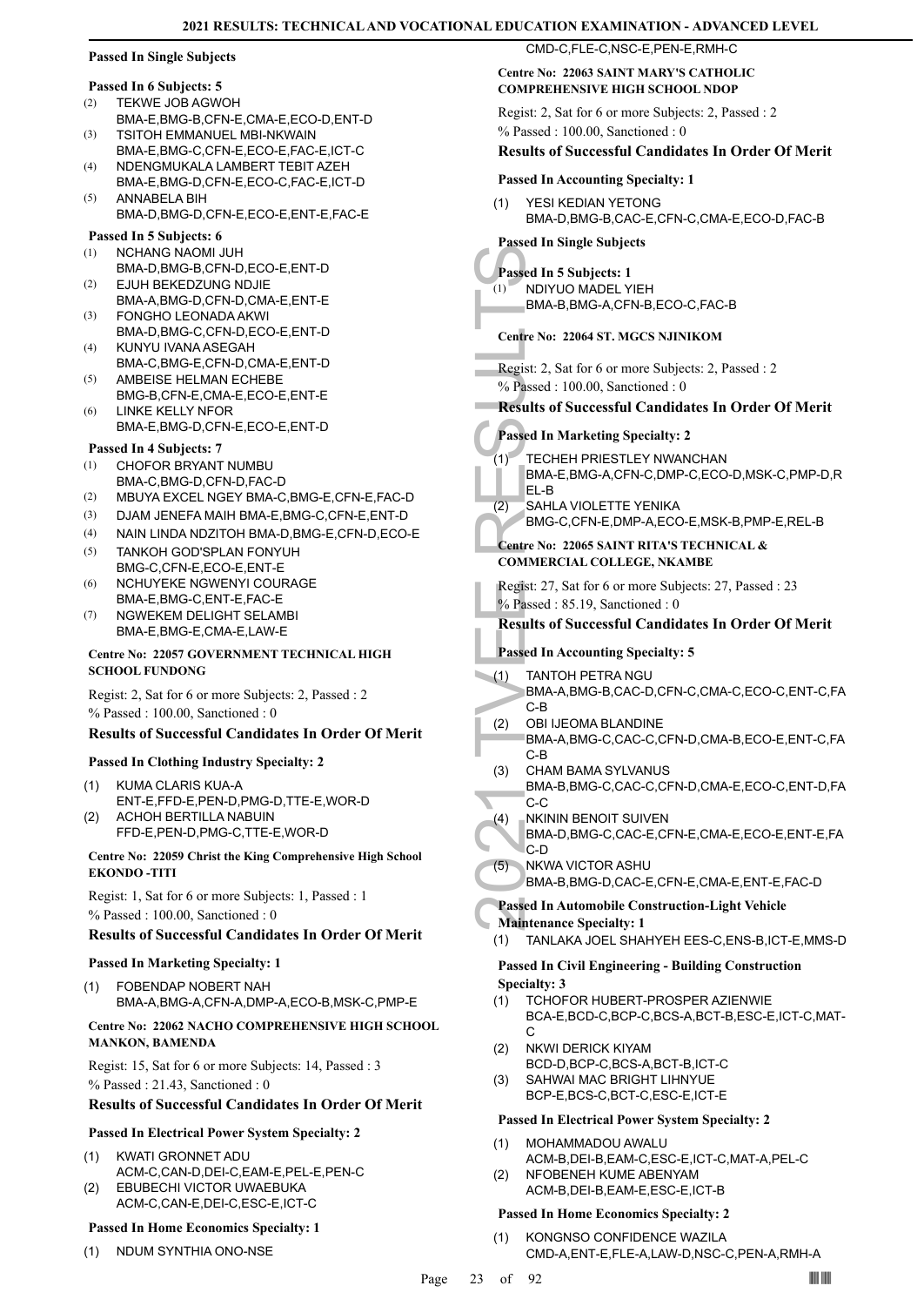# **Passed In Single Subjects**

### **Passed In 6 Subjects: 5**

- TEKWE JOB AGWOH (2)
- BMA-E,BMG-B,CFN-E,CMA-E,ECO-D,ENT-D TSITOH EMMANUEL MBI-NKWAIN (3)
- BMA-E,BMG-C,CFN-E,ECO-E,FAC-E,ICT-C NDENGMUKALA LAMBERT TEBIT AZEH (4)
- BMA-E,BMG-D,CFN-E,ECO-C,FAC-E,ICT-D ANNABELA BIH (5)
- BMA-D,BMG-D,CFN-E,ECO-E,ENT-E,FAC-E

### **Passed In 5 Subjects: 6**

- NCHANG NAOMI JUH (1)
- BMA-D,BMG-B,CFN-D,ECO-E,ENT-D EJUH BEKEDZUNG NDJIE (2)
- BMA-A,BMG-D,CFN-D,CMA-E,ENT-E FONGHO LEONADA AKWI (3)
- BMA-D,BMG-C,CFN-D,ECO-E,ENT-D KUNYU IVANA ASEGAH (4)
- BMA-C,BMG-E,CFN-D,CMA-E,ENT-D AMBEISE HELMAN ECHEBE (5)
- BMG-B,CFN-E,CMA-E,ECO-E,ENT-E LINKE KELLY NFOR (6)
- BMA-E,BMG-D,CFN-E,ECO-E,ENT-D

# **Passed In 4 Subjects: 7**

- CHOFOR BRYANT NUMBU BMA-C,BMG-D,CFN-D,FAC-D (1)
- (2) MBUYA EXCEL NGEY BMA-C,BMG-E,CFN-E,FAC-D
- (3) DJAM JENEFA MAIH BMA-E,BMG-C,CFN-E,ENT-D
- (4) NAIN LINDA NDZITOH BMA-D,BMG-E,CFN-D,ECO-E
- TANKOH GOD'SPLAN FONYUH BMG-C,CFN-E,ECO-E,ENT-E (5)
- NCHUYEKE NGWENYI COURAGE BMA-E,BMG-C,ENT-E,FAC-E (6)
- NGWEKEM DELIGHT SELAMBI BMA-E,BMG-E,CMA-E,LAW-E (7)

# **Centre No: 22057 GOVERNMENT TECHNICAL HIGH SCHOOL FUNDONG**

Regist: 2, Sat for 6 or more Subjects: 2, Passed : 2 % Passed : 100.00, Sanctioned : 0

# **Results of Successful Candidates In Order Of Merit**

# **Passed In Clothing Industry Specialty: 2**

- KUMA CLARIS KUA-A ENT-E,FFD-E,PEN-D,PMG-D,TTE-E,WOR-D (1) ACHOH BERTILLA NABUIN (2)
- FFD-E,PEN-D,PMG-C,TTE-E,WOR-D

# **Centre No: 22059 Christ the King Comprehensive High School EKONDO -TITI**

Regist: 1, Sat for 6 or more Subjects: 1, Passed : 1 % Passed : 100.00, Sanctioned : 0

# **Results of Successful Candidates In Order Of Merit**

# **Passed In Marketing Specialty: 1**

FOBENDAP NOBERT NAH BMA-A,BMG-A,CFN-A,DMP-A,ECO-B,MSK-C,PMP-E (1)

# **Centre No: 22062 NACHO COMPREHENSIVE HIGH SCHOOL MANKON, BAMENDA**

Regist: 15, Sat for 6 or more Subjects: 14, Passed : 3 % Passed : 21.43, Sanctioned : 0

# **Results of Successful Candidates In Order Of Merit**

# **Passed In Electrical Power System Specialty: 2**

- KWATI GRONNET ADU ACM-C,CAN-D,DEI-C,EAM-E,PEL-E,PEN-C (1)
- EBUBECHI VICTOR UWAEBUKA ACM-C,CAN-E,DEI-C,ESC-E,ICT-C (2)

# **Passed In Home Economics Specialty: 1**

(1) NDUM SYNTHIA ONO-NSE

# CMD-C,FLE-C,NSC-E,PEN-E,RMH-C

# **Centre No: 22063 SAINT MARY'S CATHOLIC COMPREHENSIVE HIGH SCHOOL NDOP**

Regist: 2, Sat for 6 or more Subjects: 2, Passed : 2 % Passed : 100.00, Sanctioned : 0

# **Results of Successful Candidates In Order Of Merit**

# **Passed In Accounting Specialty: 1**

YESI KEDIAN YETONG BMA-D,BMG-B,CAC-E,CFN-C,CMA-E,ECO-D,FAC-B (1)

# **Passed In Single Subjects**

- **Passed In 5 Subjects: 1**
- NDIYUO MADEL YIEH BMA-B,BMG-A,CFN-B,ECO-C,FAC-B  $(1)$

# **Centre No: 22064 ST. MGCS NJINIKOM**

Regist: 2, Sat for 6 or more Subjects: 2, Passed : 2 % Passed : 100.00, Sanctioned : 0

# **Results of Successful Candidates In Order Of Merit**

# **Passed In Marketing Specialty: 2**

- TECHEH PRIESTLEY NWANCHAN BMA-E,BMG-A,CFN-C,DMP-C,ECO-D,MSK-C,PMP-D,R EL-B  $(1)$
- SAHLA VIOLETTE YENIKA BMG-C,CFN-E,DMP-A,ECO-E,MSK-B,PMP-E,REL-B (2)

# **Centre No: 22065 SAINT RITA'S TECHNICAL &**

**COMMERCIAL COLLEGE, NKAMBE**  Regist: 27, Sat for 6 or more Subjects: 27, Passed : 23

% Passed : 85.19, Sanctioned : 0

# **Results of Successful Candidates In Order Of Merit**

- **Passed In Accounting Specialty: 5**
- TANTOH PETRA NGU BMA-A,BMG-B,CAC-D,CFN-C,CMA-C,ECO-C,ENT-C,FA C-B (1)
- OBI IJEOMA BLANDINE BMA-A,BMG-C,CAC-C,CFN-D,CMA-B,ECO-E,ENT-C,FA (2)
	- C-B CHAM BAMA SYLVANUS
- Passed In 5<br>
(1) NDIYUC<br>
BMA-B,<br>
Centre No: 2:<br>
Regist: 2, Sat<br>
% Passed : 10<br>
Results of S<br>
Passed In M<br>
(1) TECHEL<br>
BMA-E,<br>
EL-B<br>
2) SAHLA<br>
Centre No: 2:<br>
COMMERCI<br>
Regist: 27, S,<br>
% Passed In Ac<br>
(2) DBI UE<br>
BMA-A,<br>
C-B BMA-B,BMG-C,CAC-C,CFN-D,CMA-E,ECO-C,ENT-D,FA C-C (3)
	- NKININ BENOIT SUIVEN (4)
	- BMA-D,BMG-C,CAC-E,CFN-E,CMA-E,ECO-E,ENT-E,FA C-D

### NKWA VICTOR ASHU (5)

BMA-B,BMG-D,CAC-E,CFN-E,CMA-E,ENT-E,FAC-D

# **Passed In Automobile Construction-Light Vehicle**

**Maintenance Specialty: 1**

(1) TANLAKA JOEL SHAHYEH EES-C,ENS-B,ICT-E,MMS-D

# **Passed In Civil Engineering - Building Construction Specialty: 3**

- TCHOFOR HUBERT-PROSPER AZIENWIE BCA-E,BCD-C,BCP-C,BCS-A,BCT-B,ESC-E,ICT-C,MAT-C (1)
- NKWI DERICK KIYAM (2)
- BCD-D,BCP-C,BCS-A,BCT-B,ICT-C
- SAHWAI MAC BRIGHT LIHNYUE BCP-E,BCS-C,BCT-C,ESC-E,ICT-E (3)

# **Passed In Electrical Power System Specialty: 2**

- MOHAMMADOU AWALU (1)
- ACM-B,DEI-B,EAM-C,ESC-E,ICT-C,MAT-A,PEL-C NFOBENEH KUME ABENYAM (2)
	- ACM-B,DEI-B,EAM-E,ESC-E,ICT-B

# **Passed In Home Economics Specialty: 2**

KONGNSO CONFIDENCE WAZILA CMD-A,ENT-E,FLE-A,LAW-D,NSC-C,PEN-A,RMH-A (1)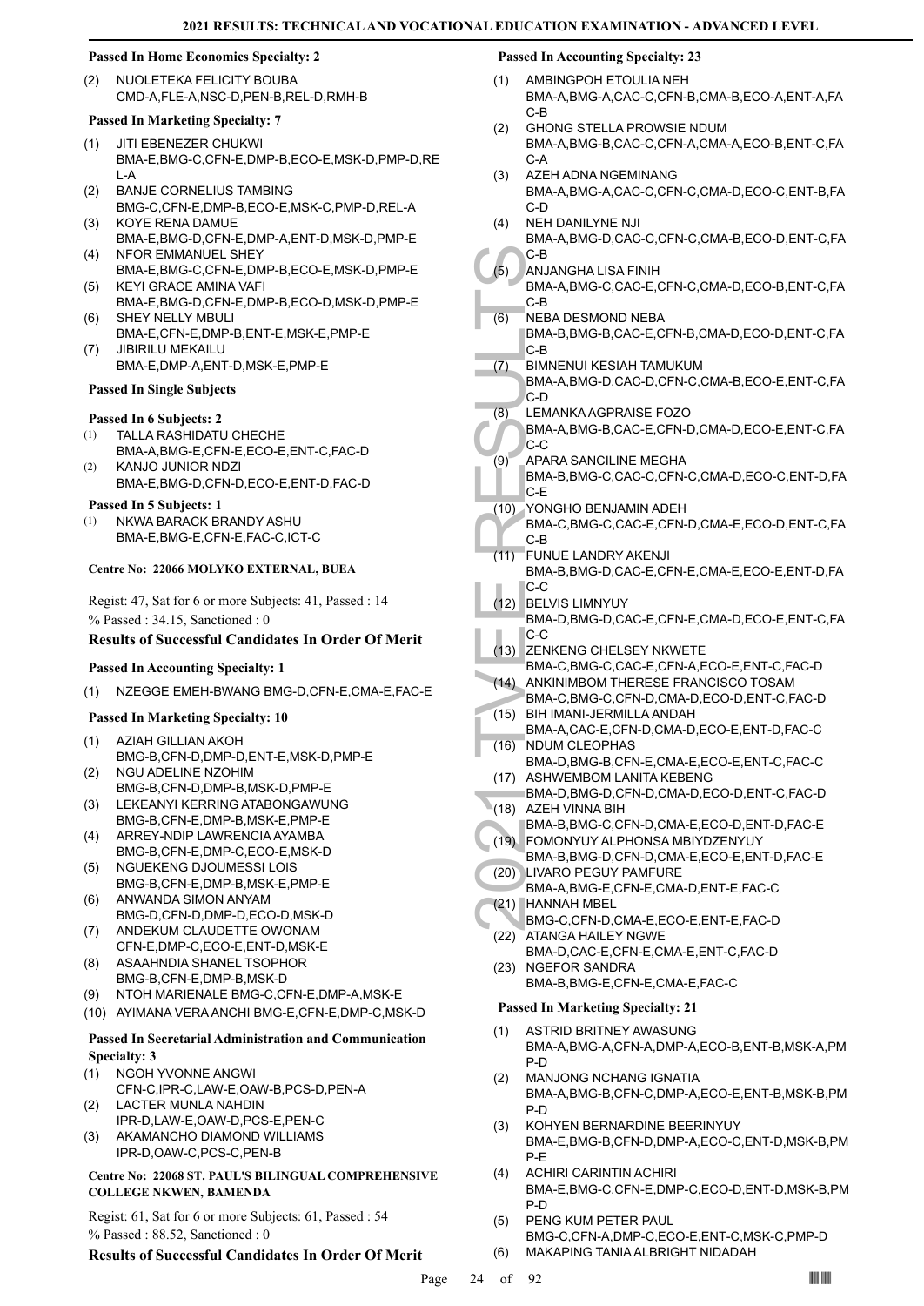# **Passed In Home Economics Specialty: 2**

NUOLETEKA FELICITY BOUBA CMD-A,FLE-A,NSC-D,PEN-B,REL-D,RMH-B (2)

### **Passed In Marketing Specialty: 7**

- JITI EBENEZER CHUKWI BMA-E,BMG-C,CFN-E,DMP-B,ECO-E,MSK-D,PMP-D,RE L-A (1)
- BANJE CORNELIUS TAMBING BMG-C,CFN-E,DMP-B,ECO-E,MSK-C,PMP-D,REL-A (2)
- (3) KOYE RENA DAMUE BMA-E,BMG-D,CFN-E,DMP-A,ENT-D,MSK-D,PMP-E (4) NFOR EMMANUEL SHEY
- BMA-E,BMG-C,CFN-E,DMP-B,ECO-E,MSK-D,PMP-E KEYI GRACE AMINA VAFI (5)
- BMA-E,BMG-D,CFN-E,DMP-B,ECO-D,MSK-D,PMP-E SHEY NELLY MBULI (6)
- BMA-E,CFN-E,DMP-B,ENT-E,MSK-E,PMP-E JIBIRILU MEKAILU (7)
- BMA-E,DMP-A,ENT-D,MSK-E,PMP-E

# **Passed In Single Subjects**

# **Passed In 6 Subjects: 2**

- TALLA RASHIDATU CHECHE (1)
- BMA-A,BMG-E,CFN-E,ECO-E,ENT-C,FAC-D KANJO JUNIOR NDZI (2)
- BMA-E,BMG-D,CFN-D,ECO-E,ENT-D,FAC-D **Passed In 5 Subjects: 1**
- NKWA BARACK BRANDY ASHU BMA-E,BMG-E,CFN-E,FAC-C,ICT-C (1)

# **Centre No: 22066 MOLYKO EXTERNAL, BUEA**

Regist: 47, Sat for 6 or more Subjects: 41, Passed : 14 % Passed : 34.15, Sanctioned : 0

# **Results of Successful Candidates In Order Of Merit**

# **Passed In Accounting Specialty: 1**

(1) NZEGGE EMEH-BWANG BMG-D,CFN-E,CMA-E,FAC-E

# **Passed In Marketing Specialty: 10**

- AZIAH GILLIAN AKOH BMG-B,CFN-D,DMP-D,ENT-E,MSK-D,PMP-E (1)
- NGU ADELINE NZOHIM BMG-B,CFN-D,DMP-B,MSK-D,PMP-E (2)
- LEKEANYI KERRING ATABONGAWUNG BMG-B,CFN-E,DMP-B,MSK-E,PMP-E (3)
- ARREY-NDIP LAWRENCIA AYAMBA BMG-B,CFN-E,DMP-C,ECO-E,MSK-D (4)
- (5) NGUEKENG DJOUMESSI LOIS
- BMG-B,CFN-E,DMP-B,MSK-E,PMP-E ANWANDA SIMON ANYAM (6)
- BMG-D,CFN-D,DMP-D,ECO-D,MSK-D (7) ANDEKUM CLAUDETTE OWONAM
- CFN-E,DMP-C,ECO-E,ENT-D,MSK-E ASAAHNDIA SHANEL TSOPHOR (8)
- BMG-B,CFN-E,DMP-B,MSK-D
- (9) NTOH MARIENALE BMG-C,CFN-E,DMP-A,MSK-E
- (10) AYIMANA VERA ANCHI BMG-E,CFN-E,DMP-C,MSK-D

# **Passed In Secretarial Administration and Communication Specialty: 3**

- NGOH YVONNE ANGWI (1)
- CFN-C,IPR-C,LAW-E,OAW-B,PCS-D,PEN-A LACTER MUNLA NAHDIN (2)
- IPR-D,LAW-E,OAW-D,PCS-E,PEN-C
- AKAMANCHO DIAMOND WILLIAMS IPR-D,OAW-C,PCS-C,PEN-B (3)

# **Centre No: 22068 ST. PAUL'S BILINGUAL COMPREHENSIVE COLLEGE NKWEN, BAMENDA**

Regist: 61, Sat for 6 or more Subjects: 61, Passed : 54 % Passed : 88.52, Sanctioned : 0

# **Results of Successful Candidates In Order Of Merit**

# **Passed In Accounting Specialty: 23**

- AMBINGPOH ETOULIA NEH BMA-A,BMG-A,CAC-C,CFN-B,CMA-B,ECO-A,ENT-A,FA C-B (1)
- GHONG STELLA PROWSIE NDUM BMA-A,BMG-B,CAC-C,CFN-A,CMA-A,ECO-B,ENT-C,FA C-A (2)
- AZEH ADNA NGEMINANG BMA-A,BMG-A,CAC-C,CFN-C,CMA-D,ECO-C,ENT-B,FA C-D (3)
- NEH DANILYNE NJI BMA-A,BMG-D,CAC-C,CFN-C,CMA-B,ECO-D,ENT-C,FA (4)
- C-B (5)
	- ANJANGHA LISA FINIH BMA-A,BMG-C,CAC-E,CFN-C,CMA-D,ECO-B,ENT-C,FA C-B
- NEBA DESMOND NEBA (6)
	- BMA-B,BMG-B,CAC-E,CFN-B,CMA-D,ECO-D,ENT-C,FA C-B
- BIMNENUI KESIAH TAMUKUM (7)
- BMA-A,BMG-D,CAC-D,CFN-C,CMA-B,ECO-E,ENT-C,FA C-D
- LEMANKA AGPRAISE FOZO (8)
- BMA-A,BMG-B,CAC-E,CFN-D,CMA-D,ECO-E,ENT-C,FA C-C
- C-B<br>
(5) ANJAN( BMA-A, C-B<br>
(6) NEBA D<br>
BMA-A, C-B<br>
2021 MMA-A, C-D<br>
(8) LEMAN( BMA-A, C-C<br>
(8) LEMAN( BMA-A, C-C<br>
(9) APARA BMA-B, C-C<br>
(9) APARA BMA-B, C-C<br>
(10) YONGH<br>
BMA-B, C-C<br>
(11) FUNUE BMA-D, C-C<br>
(12) BELVIS BMA-APARA SANCILINE MEGHA BMA-B,BMG-C,CAC-C,CFN-C,CMA-D,ECO-C,ENT-D,FA  $C-F$ (9)
	- YONGHO BENJAMIN ADEH (10)
	- BMA-C,BMG-C,CAC-E,CFN-D,CMA-E,ECO-D,ENT-C,FA C-B
	- FUNUE LANDRY AKENJI (11)
		- BMA-B,BMG-D,CAC-E,CFN-E,CMA-E,ECO-E,ENT-D,FA C-C
	- BELVIS LIMNYUY (12) BMA-D,BMG-D,CAC-E,CFN-E,CMA-D,ECO-E,ENT-C,FA C-C
- (13) ZENKENG CHELSEY NKWETE
- BMA-C,BMG-C,CAC-E,CFN-A,ECO-E,ENT-C,FAC-D (14) ANKINIMBOM THERESE FRANCISCO TOSAM
- BMA-C,BMG-C,CFN-D,CMA-D,ECO-D,ENT-C,FAC-D BIH IMANI-JERMILLA ANDAH (15)
- BMA-A,CAC-E,CFN-D,CMA-D,ECO-E,ENT-D,FAC-C (16) NDUM CLEOPHAS
- BMA-D,BMG-B,CFN-E,CMA-E,ECO-E,ENT-C,FAC-C (17) ASHWEMBOM LANITA KEBENG
- BMA-D,BMG-D,CFN-D,CMA-D,ECO-D,ENT-C,FAC-D (18) AZEH VINNA BIH
- BMA-B,BMG-C,CFN-D,CMA-E,ECO-D,ENT-D,FAC-E FOMONYUY ALPHONSA MBIYDZENYUY (19)
- BMA-B,BMG-D,CFN-D,CMA-E,ECO-E,ENT-D,FAC-E (20) LIVARO PEGUY PAMFURE
- BMA-A,BMG-E,CFN-E,CMA-D,ENT-E,FAC-C HANNAH MBEL (21)
- BMG-C,CFN-D,CMA-E,ECO-E,ENT-E,FAC-D (22) ATANGA HAILEY NGWE
- BMA-D,CAC-E,CFN-E,CMA-E,ENT-C,FAC-D (23) NGEFOR SANDRA
	- BMA-B,BMG-E,CFN-E,CMA-E,FAC-C

- ASTRID BRITNEY AWASUNG BMA-A,BMG-A,CFN-A,DMP-A,ECO-B,ENT-B,MSK-A,PM P-D (1)
- MANJONG NCHANG IGNATIA BMA-A,BMG-B,CFN-C,DMP-A,ECO-E,ENT-B,MSK-B,PM P-D (2)
- KOHYEN BERNARDINE BEERINYUY BMA-E,BMG-B,CFN-D,DMP-A,ECO-C,ENT-D,MSK-B,PM P-E (3)
- ACHIRI CARINTIN ACHIRI BMA-E,BMG-C,CFN-E,DMP-C,ECO-D,ENT-D,MSK-B,PM P-D (4)
- PENG KUM PETER PAUL BMG-C,CFN-A,DMP-C,ECO-E,ENT-C,MSK-C,PMP-D (5) (6) MAKAPING TANIA ALBRIGHT NIDADAH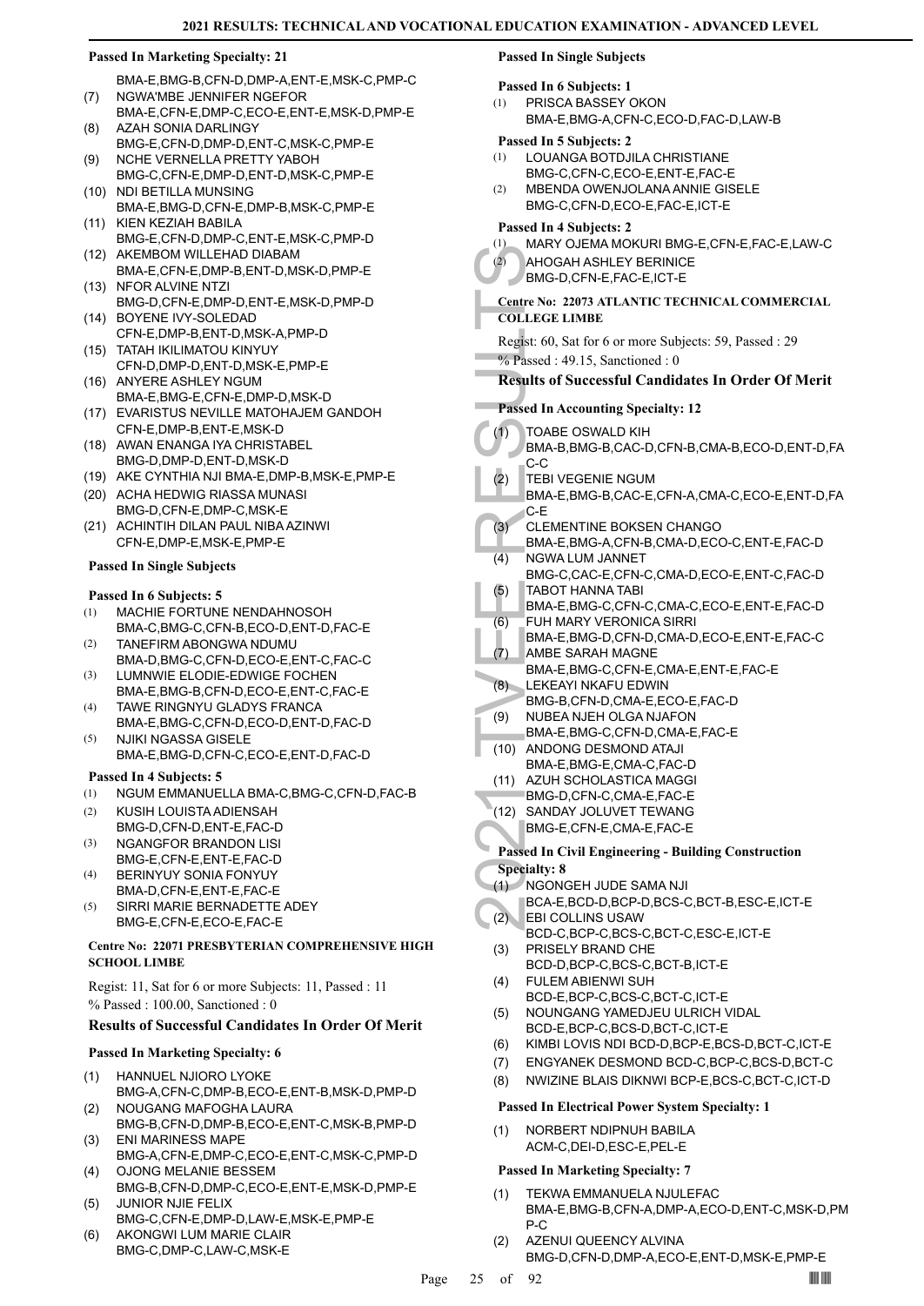# **Passed In Marketing Specialty: 21**

BMA-E,BMG-B,CFN-D,DMP-A,ENT-E,MSK-C,PMP-C NGWA'MBE JENNIFER NGEFOR (7)

- BMA-E,CFN-E,DMP-C,ECO-E,ENT-E,MSK-D,PMP-E AZAH SONIA DARLINGY (8)
- BMG-E,CFN-D,DMP-D,ENT-C,MSK-C,PMP-E NCHE VERNELLA PRETTY YABOH (9)
- BMG-C,CFN-E,DMP-D,ENT-D,MSK-C,PMP-E (10) NDI BETILLA MUNSING
- BMA-E,BMG-D,CFN-E,DMP-B,MSK-C,PMP-E (11) KIEN KEZIAH BABILA
- BMG-E,CFN-D,DMP-C,ENT-E,MSK-C,PMP-D (12) AKEMBOM WILLEHAD DIABAM
- BMA-E,CFN-E,DMP-B,ENT-D,MSK-D,PMP-E (13) NFOR ALVINE NTZI
- BMG-D,CFN-E,DMP-D,ENT-E,MSK-D,PMP-D (14) BOYENE IVY-SOLEDAD
- CFN-E,DMP-B,ENT-D,MSK-A,PMP-D TATAH IKILIMATOU KINYUY (15)
- CFN-D,DMP-D,ENT-D,MSK-E,PMP-E (16) ANYERE ASHLEY NGUM
- BMA-E,BMG-E,CFN-E,DMP-D,MSK-D
- EVARISTUS NEVILLE MATOHAJEM GANDOH (17) CFN-E,DMP-B,ENT-E,MSK-D
- (18) AWAN ENANGA IYA CHRISTABEL BMG-D,DMP-D,ENT-D,MSK-D
- (19) AKE CYNTHIA NJI BMA-E,DMP-B,MSK-E,PMP-E
- (20) ACHA HEDWIG RIASSA MUNASI BMG-D,CFN-E,DMP-C,MSK-E
- (21) ACHINTIH DILAN PAUL NIBA AZINWI CFN-E,DMP-E,MSK-E,PMP-E

# **Passed In Single Subjects**

# **Passed In 6 Subjects: 5**

- MACHIE FORTUNE NENDAHNOSOH BMA-C,BMG-C,CFN-B,ECO-D,ENT-D,FAC-E (1)
- TANEFIRM ABONGWA NDUMU BMA-D,BMG-C,CFN-D,ECO-E,ENT-C,FAC-C (2) LUMNWIE ELODIE-EDWIGE FOCHEN (3)
- BMA-E,BMG-B,CFN-D,ECO-E,ENT-C,FAC-E TAWE RINGNYU GLADYS FRANCA (4)
- BMA-E,BMG-C,CFN-D,ECO-D,ENT-D,FAC-D NJIKI NGASSA GISELE (5)
- BMA-E,BMG-D,CFN-C,ECO-E,ENT-D,FAC-D

# **Passed In 4 Subjects: 5**

- (1) NGUM EMMANUELLA BMA-C,BMG-C,CFN-D,FAC-B
- KUSIH LOUISTA ADIENSAH BMG-D,CFN-D,ENT-E,FAC-D (2)
- NGANGFOR BRANDON LISI BMG-E,CFN-E,ENT-E,FAC-D (3)
- BERINYUY SONIA FONYUY BMA-D,CFN-E,ENT-E,FAC-E (4)
- SIRRI MARIE BERNADETTE ADEY BMG-E,CFN-E,ECO-E,FAC-E (5)

# **Centre No: 22071 PRESBYTERIAN COMPREHENSIVE HIGH SCHOOL LIMBE**

Regist: 11, Sat for 6 or more Subjects: 11, Passed : 11 % Passed : 100.00, Sanctioned : 0

# **Results of Successful Candidates In Order Of Merit**

# **Passed In Marketing Specialty: 6**

- HANNUEL NJIORO LYOKE BMG-A,CFN-C,DMP-B,ECO-E,ENT-B,MSK-D,PMP-D (1)
- NOUGANG MAFOGHA LAURA BMG-B,CFN-D,DMP-B,ECO-E,ENT-C,MSK-B,PMP-D (2)
- ENI MARINESS MAPE BMG-A,CFN-E,DMP-C,ECO-E,ENT-C,MSK-C,PMP-D (3)
- OJONG MELANIE BESSEM BMG-B,CFN-D,DMP-C,ECO-E,ENT-E,MSK-D,PMP-E (4) JUNIOR NJIE FELIX (5)
- BMG-C,CFN-E,DMP-D,LAW-E,MSK-E,PMP-E
- AKONGWI LUM MARIE CLAIR BMG-C,DMP-C,LAW-C,MSK-E (6)

# **Passed In Single Subjects**

# **Passed In 6 Subjects: 1**

- PRISCA BASSEY OKON (1)
	- BMA-E,BMG-A,CFN-C,ECO-D,FAC-D,LAW-B

# **Passed In 5 Subjects: 2**

- LOUANGA BOTDJILA CHRISTIANE BMG-C,CFN-C,ECO-E,ENT-E,FAC-E (1)
- MBENDA OWENJOLANA ANNIE GISELE BMG-C,CFN-D,ECO-E,FAC-E,ICT-E (2)

# **Passed In 4 Subjects: 2**

- (1) MARY OJEMA MOKURI BMG-E,CFN-E,FAC-E,LAW-C
	- AHOGAH ASHLEY BERINICE
- BMG-D,CFN-E,FAC-E,ICT-E  $(2)$

# **Centre No: 22073 ATLANTIC TECHNICAL COMMERCIAL COLLEGE LIMBE**

- Regist: 60, Sat for 6 or more Subjects: 59, Passed : 29
- % Passed : 49.15, Sanctioned : 0

# **Results of Successful Candidates In Order Of Merit**

- **Passed In Accounting Specialty: 12**
- $(1)$ 
	- TOABE OSWALD KIH BMA-B,BMG-B,CAC-D,CFN-B,CMA-B,ECO-D,ENT-D,FA C-C
	- TEBI VEGENIE NGUM (2)
		- BMA-E,BMG-B,CAC-E,CFN-A,CMA-C,ECO-E,ENT-D,FA C-E
	- CLEMENTINE BOKSEN CHANGO (3)
	- BMA-E,BMG-A,CFN-B,CMA-D,ECO-C,ENT-E,FAC-D NGWA LUM JANNET (4)
	- BMG-C,CAC-E,CFN-C,CMA-D,ECO-E,ENT-C,FAC-D TABOT HANNA TABI (5)
	- BMA-E,BMG-C,CFN-C,CMA-C,ECO-E,ENT-E,FAC-D FUH MARY VERONICA SIRRI (6)
	- BMA-E,BMG-D,CFN-D,CMA-D,ECO-E,ENT-E,FAC-C AMBE SARAH MAGNE (7)
- 2021 AHOGA<br>
BMG-D, 22<br>
COLLEGE L<br>
Regist: 60, S.<br>
2021 Exercise 1: 49<br>
Results of S<br>
Passed In Ac<br>
(1) TOABE<br>
BMA-B, C-C<br>
EBIVE BMA-B, C-C<br>
(2) TEBIVE BMA-E, C-E<br>
MG-C, TABOT<br>
EMA-E, C-E<br>
(3) CLEME BMA-E, C-E<br>
MG-C, TABOT<br> BMA-E,BMG-C,CFN-E,CMA-E,ENT-E,FAC-E LEKEAYI NKAFU EDWIN (8)
	- BMG-B,CFN-D,CMA-E,ECO-E,FAC-D
- NUBEA NJEH OLGA NJAFON (9)
- BMA-E,BMG-C,CFN-D,CMA-E,FAC-E ANDONG DESMOND ATAJI (10)
- BMA-E,BMG-E,CMA-C,FAC-D
- (11) AZUH SCHOLASTICA MAGGI
- BMG-D,CFN-C,CMA-E,FAC-E
- (12) SANDAY JOLUVET TEWANG BMG-E,CFN-E,CMA-E,FAC-E
- **Passed In Civil Engineering Building Construction**

# **Specialty: 8**

- NGONGEH JUDE SAMA NJI (1)
- BCA-E,BCD-D,BCP-D,BCS-C,BCT-B,ESC-E,ICT-E EBI COLLINS USAW  $(2)$
- BCD-C,BCP-C,BCS-C,BCT-C,ESC-E,ICT-E PRISELY BRAND CHE (3)
- BCD-D,BCP-C,BCS-C,BCT-B,ICT-E FULEM ABIENWI SUH (4)
- BCD-E,BCP-C,BCS-C,BCT-C,ICT-E
- NOUNGANG YAMEDJEU ULRICH VIDAL BCD-E,BCP-C,BCS-D,BCT-C,ICT-E (5)
- (6) KIMBI LOVIS NDI BCD-D,BCP-E,BCS-D,BCT-C,ICT-E
- (7) ENGYANEK DESMOND BCD-C,BCP-C,BCS-D,BCT-C
- (8) NWIZINE BLAIS DIKNWI BCP-E,BCS-C,BCT-C,ICT-D

# **Passed In Electrical Power System Specialty: 1**

NORBERT NDIPNUH BABILA ACM-C,DEI-D,ESC-E,PEL-E (1)

- TEKWA EMMANUELA NJULEFAC BMA-E,BMG-B,CFN-A,DMP-A,ECO-D,ENT-C,MSK-D,PM P-C (1)
- AZENUI QUEENCY ALVINA BMG-D,CFN-D,DMP-A,ECO-E,ENT-D,MSK-E,PMP-E (2)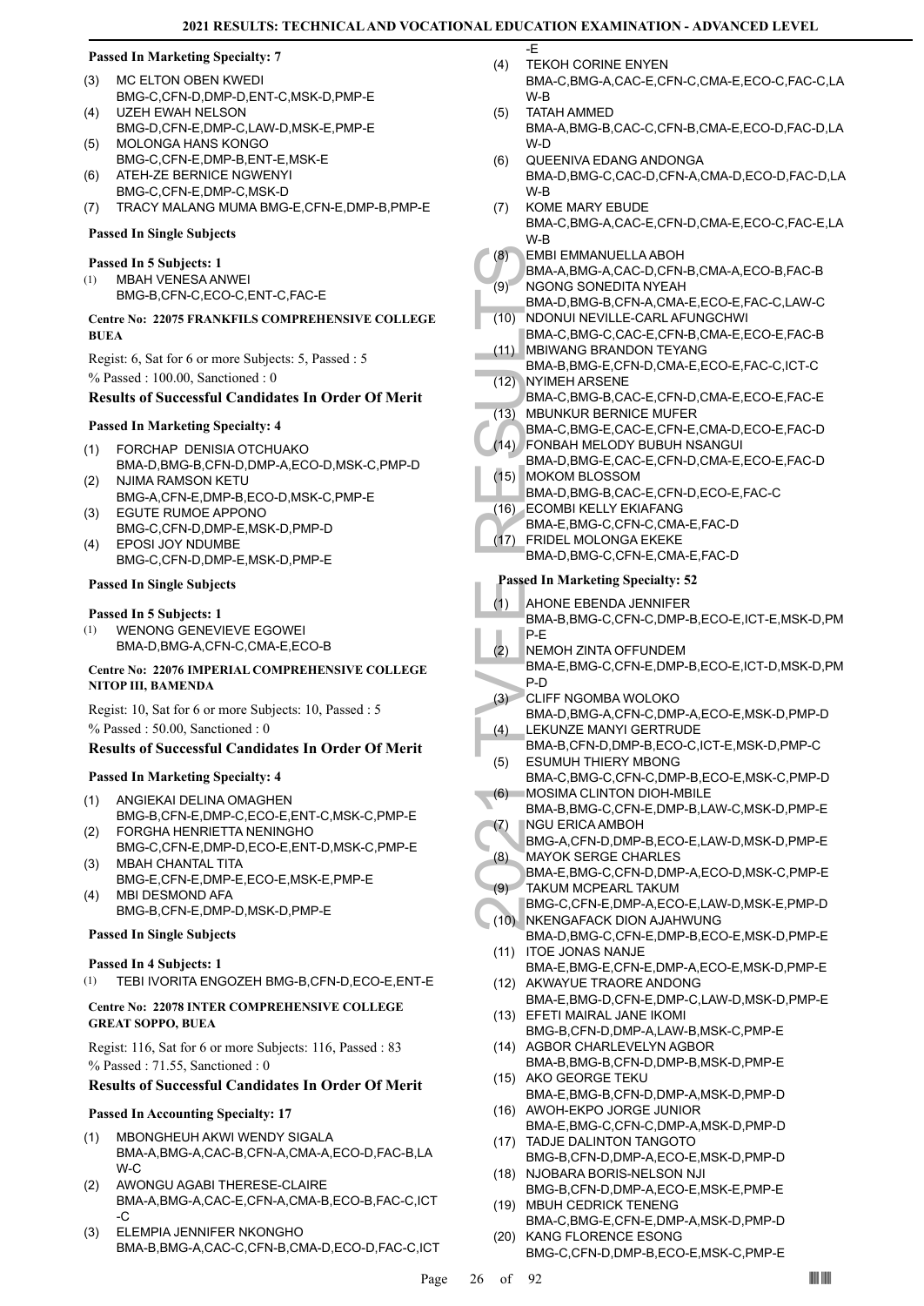$F$ 

# **Passed In Marketing Specialty: 7**

- MC ELTON OBEN KWEDI BMG-C,CFN-D,DMP-D,ENT-C,MSK-D,PMP-E (3)
- UZEH EWAH NELSON BMG-D,CFN-E,DMP-C,LAW-D,MSK-E,PMP-E  $(4)$
- MOLONGA HANS KONGO BMG-C,CFN-E,DMP-B,ENT-E,MSK-E (5)
- ATEH-ZE BERNICE NGWENYI (6)
- BMG-C,CFN-E,DMP-C,MSK-D
- (7) TRACY MALANG MUMA BMG-E,CFN-E,DMP-B,PMP-E

# **Passed In Single Subjects**

# **Passed In 5 Subjects: 1**

MBAH VENESA ANWEI BMG-B,CFN-C,ECO-C,ENT-C,FAC-E (1)

# **Centre No: 22075 FRANKFILS COMPREHENSIVE COLLEGE BUEA**

Regist: 6, Sat for 6 or more Subjects: 5, Passed : 5 % Passed : 100.00, Sanctioned : 0

# **Results of Successful Candidates In Order Of Merit**

# **Passed In Marketing Specialty: 4**

- FORCHAP DENISIA OTCHUAKO BMA-D,BMG-B,CFN-D,DMP-A,ECO-D,MSK-C,PMP-D (1)
- NJIMA RAMSON KETU BMG-A,CFN-E,DMP-B,ECO-D,MSK-C,PMP-E (2) EGUTE RUMOE APPONO
- BMG-C,CFN-D,DMP-E,MSK-D,PMP-D (3) EPOSI JOY NDUMBE (4)
- BMG-C,CFN-D,DMP-E,MSK-D,PMP-E

# **Passed In Single Subjects**

# **Passed In 5 Subjects: 1**

WENONG GENEVIEVE EGOWEI BMA-D,BMG-A,CFN-C,CMA-E,ECO-B (1)

# **Centre No: 22076 IMPERIAL COMPREHENSIVE COLLEGE NITOP III, BAMENDA**

Regist: 10, Sat for 6 or more Subjects: 10, Passed : 5 % Passed : 50.00, Sanctioned : 0

# **Results of Successful Candidates In Order Of Merit**

# **Passed In Marketing Specialty: 4**

- ANGIEKAI DELINA OMAGHEN BMG-B,CFN-E,DMP-C,ECO-E,ENT-C,MSK-C,PMP-E (1)
- FORGHA HENRIETTA NENINGHO BMG-C,CFN-E,DMP-D,ECO-E,ENT-D,MSK-C,PMP-E (2)
- MBAH CHANTAL TITA BMG-E,CFN-E,DMP-E,ECO-E,MSK-E,PMP-E (3) MBI DESMOND AFA (4)
- BMG-B,CFN-E,DMP-D,MSK-D,PMP-E

# **Passed In Single Subjects**

# **Passed In 4 Subjects: 1**

(1) TEBI IVORITA ENGOZEH BMG-B,CFN-D,ECO-E,ENT-E

# **Centre No: 22078 INTER COMPREHENSIVE COLLEGE GREAT SOPPO, BUEA**

Regist: 116, Sat for 6 or more Subjects: 116, Passed : 83 % Passed : 71.55, Sanctioned : 0

# **Results of Successful Candidates In Order Of Merit**

# **Passed In Accounting Specialty: 17**

- MBONGHEUH AKWI WENDY SIGALA BMA-A,BMG-A,CAC-B,CFN-A,CMA-A,ECO-D,FAC-B,LA  $W-C$ (1)
- AWONGU AGABI THERESE-CLAIRE BMA-A,BMG-A,CAC-E,CFN-A,CMA-B,ECO-B,FAC-C,ICT -C (2)
- ELEMPIA JENNIFER NKONGHO BMA-B,BMG-A,CAC-C,CFN-B,CMA-D,ECO-D,FAC-C,ICT (3)
- TEKOH CORINE ENYEN BMA-C,BMG-A,CAC-E,CFN-C,CMA-E,ECO-C,FAC-C,LA W-B  $(4)$
- TATAH AMMED BMA-A,BMG-B,CAC-C,CFN-B,CMA-E,ECO-D,FAC-D,LA W-D (5)
- QUEENIVA EDANG ANDONGA BMA-D,BMG-C,CAC-D,CFN-A,CMA-D,ECO-D,FAC-D,LA W-B (6)
- KOME MARY EBUDE (7)
- BMA-C,BMG-A,CAC-E,CFN-D,CMA-E,ECO-C,FAC-E,LA W-B
- EMBI EMMANUELLA ABOH (8)
- BMA-A,BMG-A,CAC-D,CFN-B,CMA-A,ECO-B,FAC-B NGONG SONEDITA NYEAH (9)
- BMA-D,BMG-B,CFN-A,CMA-E,ECO-E,FAC-C,LAW-C NDONUI NEVILLE-CARL AFUNGCHWI (10)
- BMA-C,BMG-C,CAC-E,CFN-B,CMA-E,ECO-E,FAC-B MBIWANG BRANDON TEYANG (11)
- BMA-B,BMG-E,CFN-D,CMA-E,ECO-E,FAC-C,ICT-C NYIMEH ARSENE (12)
- BMA-C,BMG-B,CAC-E,CFN-D,CMA-E,ECO-E,FAC-E MBUNKUR BERNICE MUFER  $(13)$
- BMA-C,BMG-E,CAC-E,CFN-E,CMA-D,ECO-E,FAC-D FONBAH MELODY BUBUH NSANGUI  $(14)$
- (8) EMBI EI<br>
BMA-A, NGONC<br>
BMA-A, NGONC<br>
BMA-D, NDONU<br>
BMA-C, MBIWAI<br>
BMA-B, NYIMEH<br>
BMA-B, NYIMEH<br>
BMA-C, TAD MBUNK<br>
BMA-D, FONBA<br>
BMA-D, ECOMB<br>
BMA-D, ECOMB<br>
BMA-D, ECOMB<br>
BMA-D, ECOMB<br>
BMA-B, P-E<br>
(17) FRIDEL<br>
BMA-B, P-BMA-D,BMG-E,CAC-E,CFN-D,CMA-E,ECO-E,FAC-D MOKOM BLOSSOM (15)
	- BMA-D,BMG-B,CAC-E,CFN-D,ECO-E,FAC-C
- ECOMBI KELLY EKIAFANG (16)
- BMA-E,BMG-C,CFN-C,CMA-E,FAC-D
- FRIDEL MOLONGA EKEKE BMA-D,BMG-C,CFN-E,CMA-E,FAC-D  $(17)$

- AHONE EBENDA JENNIFER (1)
- BMA-B,BMG-C,CFN-C,DMP-B,ECO-E,ICT-E,MSK-D,PM P-E
- NEMOH ZINTA OFFUNDEM (2)
- BMA-E,BMG-C,CFN-E,DMP-B,ECO-E,ICT-D,MSK-D,PM P-D
- CLIFF NGOMBA WOLOKO  $(3)$
- BMA-D,BMG-A,CFN-C,DMP-A,ECO-E,MSK-D,PMP-D LEKUNZE MANYI GERTRUDE (4)
- BMA-B,CFN-D,DMP-B,ECO-C,ICT-E,MSK-D,PMP-C ESUMUH THIERY MBONG (5)
- BMA-C,BMG-C,CFN-C,DMP-B,ECO-E,MSK-C,PMP-D MOSIMA CLINTON DIOH-MBILE (6)
- BMA-B,BMG-C,CFN-E,DMP-B,LAW-C,MSK-D,PMP-E NGU ERICA AMBOH (7)
- BMG-A,CFN-D,DMP-B,ECO-E,LAW-D,MSK-D,PMP-E MAYOK SERGE CHARLES (8)
- BMA-E,BMG-C,CFN-D,DMP-A,ECO-D,MSK-C,PMP-E TAKUM MCPEARL TAKUM (9)
- BMG-C,CFN-E,DMP-A,ECO-E,LAW-D,MSK-E,PMP-D NKENGAFACK DION AJAHWUNG  $(10)$
- BMA-D,BMG-C,CFN-E,DMP-B,ECO-E,MSK-D,PMP-E (11) ITOE JONAS NANJE
- BMA-E,BMG-E,CFN-E,DMP-A,ECO-E,MSK-D,PMP-E (12) AKWAYUE TRAORE ANDONG
- BMA-E,BMG-D,CFN-E,DMP-C,LAW-D,MSK-D,PMP-E EFETI MAIRAL JANE IKOMI (13)
- BMG-B,CFN-D,DMP-A,LAW-B,MSK-C,PMP-E
- (14) AGBOR CHARLEVELYN AGBOR BMA-B,BMG-B,CFN-D,DMP-B,MSK-D,PMP-E (15) AKO GEORGE TEKU
- BMA-E,BMG-B,CFN-D,DMP-A,MSK-D,PMP-D (16) AWOH-EKPO JORGE JUNIOR
- BMA-E,BMG-C,CFN-C,DMP-A,MSK-D,PMP-D (17) TADJE DALINTON TANGOTO
- BMG-B,CFN-D,DMP-A,ECO-E,MSK-D,PMP-D (18) NJOBARA BORIS-NELSON NJI
- BMG-B,CFN-D,DMP-A,ECO-E,MSK-E,PMP-E (19) MBUH CEDRICK TENENG
- BMA-C,BMG-E,CFN-E,DMP-A,MSK-D,PMP-D KANG FLORENCE ESONG (20)
	- BMG-C,CFN-D,DMP-B,ECO-E,MSK-C,PMP-E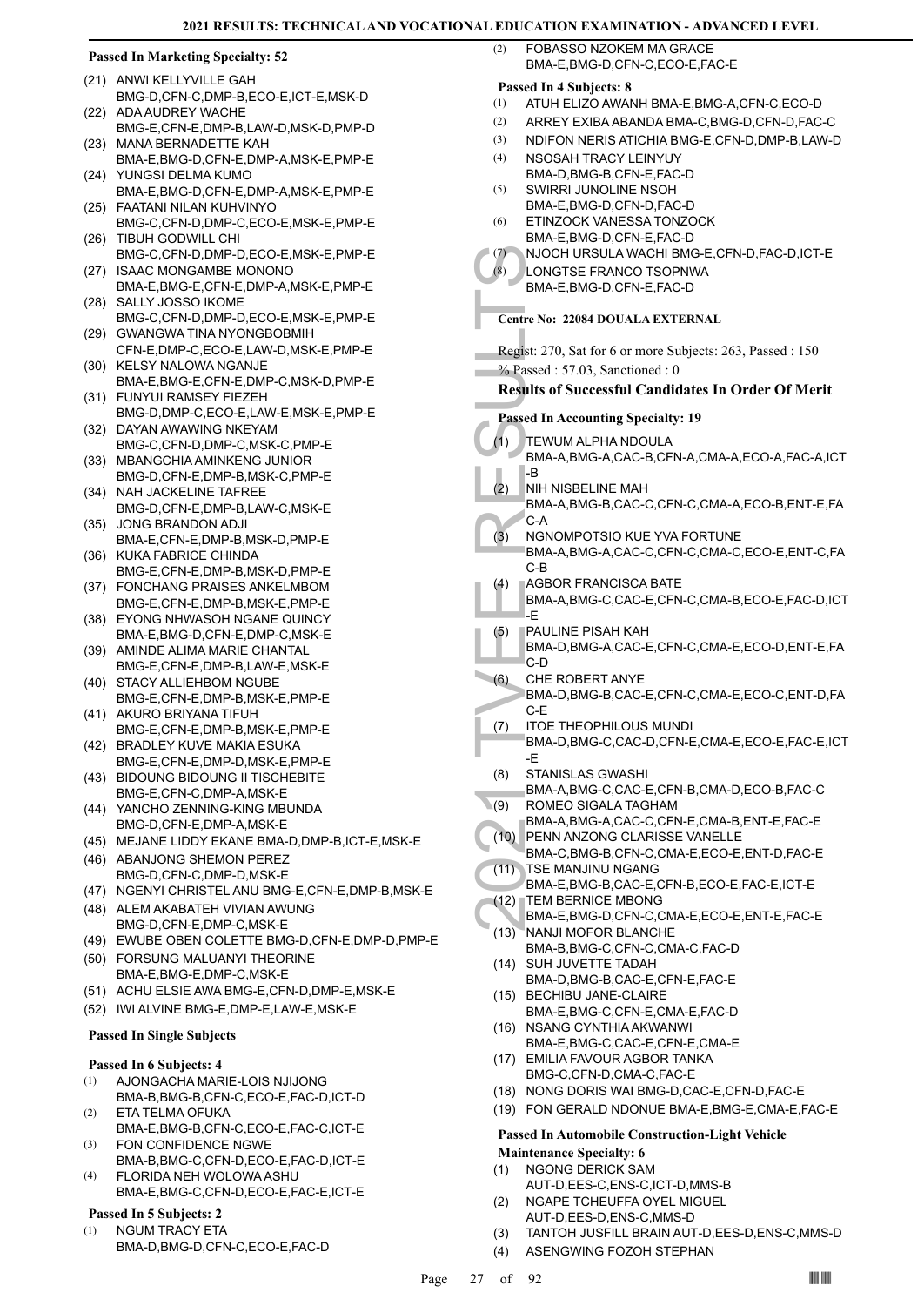# **Passed In Marketing Specialty: 52**

- (21) ANWI KELLYVILLE GAH BMG-D,CFN-C,DMP-B,ECO-E,ICT-E,MSK-D ADA AUDREY WACHE  $(22)$
- BMG-E,CFN-E,DMP-B,LAW-D,MSK-D,PMP-D (23) MANA BERNADETTE KAH
- BMA-E,BMG-D,CFN-E,DMP-A,MSK-E,PMP-E YUNGSI DELMA KUMO (24)
- BMA-E,BMG-D,CFN-E,DMP-A,MSK-E,PMP-E FAATANI NILAN KUHVINYO (25)
- BMG-C,CFN-D,DMP-C,ECO-E,MSK-E,PMP-E TIBUH GODWILL CHI (26)
- BMG-C,CFN-D,DMP-D,ECO-E,MSK-E,PMP-E ISAAC MONGAMBE MONONO  $(27)$
- BMA-E,BMG-E,CFN-E,DMP-A,MSK-E,PMP-E SALLY JOSSO IKOME (28)
- BMG-C,CFN-D,DMP-D,ECO-E,MSK-E,PMP-E (29) GWANGWA TINA NYONGBOBMIH
- CFN-E,DMP-C,ECO-E,LAW-D,MSK-E,PMP-E (30) KELSY NALOWA NGANJE
- BMA-E,BMG-E,CFN-E,DMP-C,MSK-D,PMP-E FUNYUI RAMSEY FIEZEH (31)
- BMG-D,DMP-C,ECO-E,LAW-E,MSK-E,PMP-E (32) DAYAN AWAWING NKEYAM
- BMG-C,CFN-D,DMP-C,MSK-C,PMP-E (33) MBANGCHIA AMINKENG JUNIOR
- BMG-D,CFN-E,DMP-B,MSK-C,PMP-E (34) NAH JACKELINE TAFREE
- BMG-D,CFN-E,DMP-B,LAW-C,MSK-E JONG BRANDON ADJI (35)
- BMA-E,CFN-E,DMP-B,MSK-D,PMP-E (36) KUKA FABRICE CHINDA
- BMG-E,CFN-E,DMP-B,MSK-D,PMP-E FONCHANG PRAISES ANKELMBOM (37)
- BMG-E,CFN-E,DMP-B,MSK-E,PMP-E (38) EYONG NHWASOH NGANE QUINCY
- BMA-E,BMG-D,CFN-E,DMP-C,MSK-E (39) AMINDE ALIMA MARIE CHANTAL
- BMG-E,CFN-E,DMP-B,LAW-E,MSK-E (40) STACY ALLIEHBOM NGUBE
- BMG-E,CFN-E,DMP-B,MSK-E,PMP-E
- (41) AKURO BRIYANA TIFUH BMG-E,CFN-E,DMP-B,MSK-E,PMP-E
- (42) BRADLEY KUVE MAKIA ESUKA BMG-E,CFN-E,DMP-D,MSK-E,PMP-E BIDOUNG BIDOUNG II TISCHEBITE (43)
- BMG-E,CFN-C,DMP-A,MSK-E YANCHO ZENNING-KING MBUNDA (44)
- BMG-D,CFN-E,DMP-A,MSK-E
- (45) MEJANE LIDDY EKANE BMA-D,DMP-B,ICT-E,MSK-E
- (46) ABANJONG SHEMON PEREZ BMG-D,CFN-C,DMP-D,MSK-E
- (47) NGENYI CHRISTEL ANU BMG-E,CFN-E,DMP-B,MSK-E
- (48) ALEM AKABATEH VIVIAN AWUNG BMG-D,CFN-E,DMP-C,MSK-E
- (49) EWUBE OBEN COLETTE BMG-D,CFN-E,DMP-D,PMP-E
- FORSUNG MALUANYI THEORINE (50) BMA-E,BMG-E,DMP-C,MSK-E
- (51) ACHU ELSIE AWA BMG-E,CFN-D,DMP-E,MSK-E
- (52) IWI ALVINE BMG-E,DMP-E,LAW-E,MSK-E

### **Passed In Single Subjects**

### **Passed In 6 Subjects: 4**

- AJONGACHA MARIE-LOIS NJIJONG (1)
- BMA-B,BMG-B,CFN-C,ECO-E,FAC-D,ICT-D ETA TELMA OFUKA (2)
- BMA-E,BMG-B,CFN-C,ECO-E,FAC-C,ICT-E FON CONFIDENCE NGWE (3)
- BMA-B,BMG-C,CFN-D,ECO-E,FAC-D,ICT-E FLORIDA NEH WOLOWA ASHU (4)
- BMA-E,BMG-C,CFN-D,ECO-E,FAC-E,ICT-E

# **Passed In 5 Subjects: 2**

NGUM TRACY ETA BMA-D,BMG-D,CFN-C,ECO-E,FAC-D (1)

FOBASSO NZOKEM MA GRACE BMA-E,BMG-D,CFN-C,ECO-E,FAC-E (2)

# **Passed In 4 Subjects: 8**

- (1) ATUH ELIZO AWANH BMA-E,BMG-A,CFN-C,ECO-D
- (2) ARREY EXIBA ABANDA BMA-C,BMG-D,CFN-D,FAC-C
- (3) NDIFON NERIS ATICHIA BMG-E,CFN-D,DMP-B,LAW-D
- NSOSAH TRACY LEINYUY BMA-D,BMG-B,CFN-E,FAC-D (4) SWIRRI JUNOLINE NSOH (5)
	- BMA-E,BMG-D,CFN-D,FAC-D
- ETINZOCK VANESSA TONZOCK BMA-E,BMG-D,CFN-E,FAC-D (6)
- (7) NJOCH URSULA WACHI BMG-E,CFN-D,FAC-D,ICT-E
	- LONGTSE FRANCO TSOPNWA BMA-E,BMG-D,CFN-E,FAC-D

# **Centre No: 22084 DOUALA EXTERNAL**

- Regist: 270, Sat for 6 or more Subjects: 263, Passed : 150
- % Passed : 57.03, Sanctioned : 0

# **Results of Successful Candidates In Order Of Merit**

| (7)                             | NJOCH URSULA WACHI BMG-E,CFN-D,FAC-D,ICT-E                |  |  |
|---------------------------------|-----------------------------------------------------------|--|--|
| (8)                             | LONGTSE FRANCO TSOPNWA                                    |  |  |
|                                 | BMA-E, BMG-D, CFN-E, FAC-D                                |  |  |
|                                 |                                                           |  |  |
|                                 | <b>Centre No: 22084 DOUALA EXTERNAL</b>                   |  |  |
|                                 |                                                           |  |  |
|                                 | Regist: 270, Sat for 6 or more Subjects: 263, Passed: 150 |  |  |
|                                 | $%$ Passed: 57.03, Sanctioned: 0                          |  |  |
|                                 |                                                           |  |  |
|                                 | <b>Results of Successful Candidates In Order Of Merit</b> |  |  |
|                                 | <b>Passed In Accounting Specialty: 19</b>                 |  |  |
|                                 |                                                           |  |  |
| (1)                             | TEWUM ALPHA NDOULA                                        |  |  |
|                                 | BMA-A, BMG-A, CAC-B, CFN-A, CMA-A, ECO-A, FAC-A, ICT      |  |  |
|                                 | -B                                                        |  |  |
| (2)                             | NIH NISBELINE MAH                                         |  |  |
|                                 | BMA-A, BMG-B, CAC-C, CFN-C, CMA-A, ECO-B, ENT-E, FA       |  |  |
|                                 | C-A                                                       |  |  |
| (3)                             | NGNOMPOTSIO KUE YVA FORTUNE                               |  |  |
|                                 | BMA-A,BMG-A,CAC-C,CFN-C,CMA-C,ECO-E,ENT-C,FA              |  |  |
|                                 | C-B                                                       |  |  |
| (4)                             | AGBOR FRANCISCA BATE                                      |  |  |
|                                 | BMA-A,BMG-C,CAC-E,CFN-C,CMA-B,ECO-E,FAC-D,ICT             |  |  |
|                                 | -E                                                        |  |  |
| (5)                             | PAULINE PISAH KAH                                         |  |  |
|                                 | BMA-D, BMG-A, CAC-E, CFN-C, CMA-E, ECO-D, ENT-E, FA       |  |  |
|                                 | $C-D$                                                     |  |  |
| (6)                             | <b>CHE ROBERT ANYE</b>                                    |  |  |
|                                 | BMA-D, BMG-B, CAC-E, CFN-C, CMA-E, ECO-C, ENT-D, FA       |  |  |
|                                 | C-E                                                       |  |  |
| (7)                             | <b>ITOE THEOPHILOUS MUNDI</b>                             |  |  |
|                                 | BMA-D, BMG-C, CAC-D, CFN-E, CMA-E, ECO-E, FAC-E, ICT      |  |  |
|                                 | -E                                                        |  |  |
| (8)                             | STANISLAS GWASHI                                          |  |  |
|                                 | BMA-A, BMG-C, CAC-E, CFN-B, CMA-D, ECO-B, FAC-C           |  |  |
| (9)                             | ROMEO SIGALA TAGHAM                                       |  |  |
|                                 | BMA-A, BMG-A, CAC-C, CFN-E, CMA-B, ENT-E, FAC-E           |  |  |
| (10)                            | PENN ANZONG CLARISSE VANELLE                              |  |  |
|                                 | BMA-C, BMG-B, CFN-C, CMA-E, ECO-E, ENT-D, FAC-E           |  |  |
| (11)                            | TSE MANJINU NGANG                                         |  |  |
|                                 | BMA-E,BMG-B,CAC-E,CFN-B,ECO-E,FAC-E,ICT-E                 |  |  |
| (12)                            | <b>TEM BERNICE MBONG</b>                                  |  |  |
|                                 | BMA-E,BMG-D,CFN-C,CMA-E,ECO-E,ENT-E,FAC-E                 |  |  |
| (13)                            | NANJI MOFOR BLANCHE                                       |  |  |
|                                 |                                                           |  |  |
|                                 | BMA-B,BMG-C,CFN-C,CMA-C,FAC-D                             |  |  |
| (14)                            | SUH JUVETTE TADAH<br>BMA-D, BMG-B, CAC-E, CFN-E, FAC-E    |  |  |
|                                 |                                                           |  |  |
| (15)                            | <b>BECHIBU JANE-CLAIRE</b>                                |  |  |
|                                 | BMA-E,BMG-C,CFN-E,CMA-E,FAC-D                             |  |  |
| (16)                            | <b>NSANG CYNTHIA AKWANWI</b>                              |  |  |
|                                 | BMA-E,BMG-C,CAC-E,CFN-E,CMA-E                             |  |  |
|                                 | (17) EMILIA FAVOUR AGBOR TANKA                            |  |  |
|                                 | BMG-C,CFN-D,CMA-C,FAC-E                                   |  |  |
| (18)                            | NONG DORIS WAI BMG-D, CAC-E, CFN-D, FAC-E                 |  |  |
| (19)                            | FON GERALD NDONUE BMA-E, BMG-E, CMA-E, FAC-E              |  |  |
|                                 | <b>Passed In Automobile Construction-Light Vehicle</b>    |  |  |
| <b>Maintenance Specialty: 6</b> |                                                           |  |  |
|                                 | NGONG DERICK SAM                                          |  |  |
| (1)                             |                                                           |  |  |

- AUT-D,EES-C,ENS-C,ICT-D,MMS-B NGAPE TCHEUFFA OYEL MIGUEL (2)
- AUT-D,EES-D,ENS-C,MMS-D
- (3) TANTOH JUSFILL BRAIN AUT-D,EES-D,ENS-C,MMS-D
- (4) ASENGWING FOZOH STEPHAN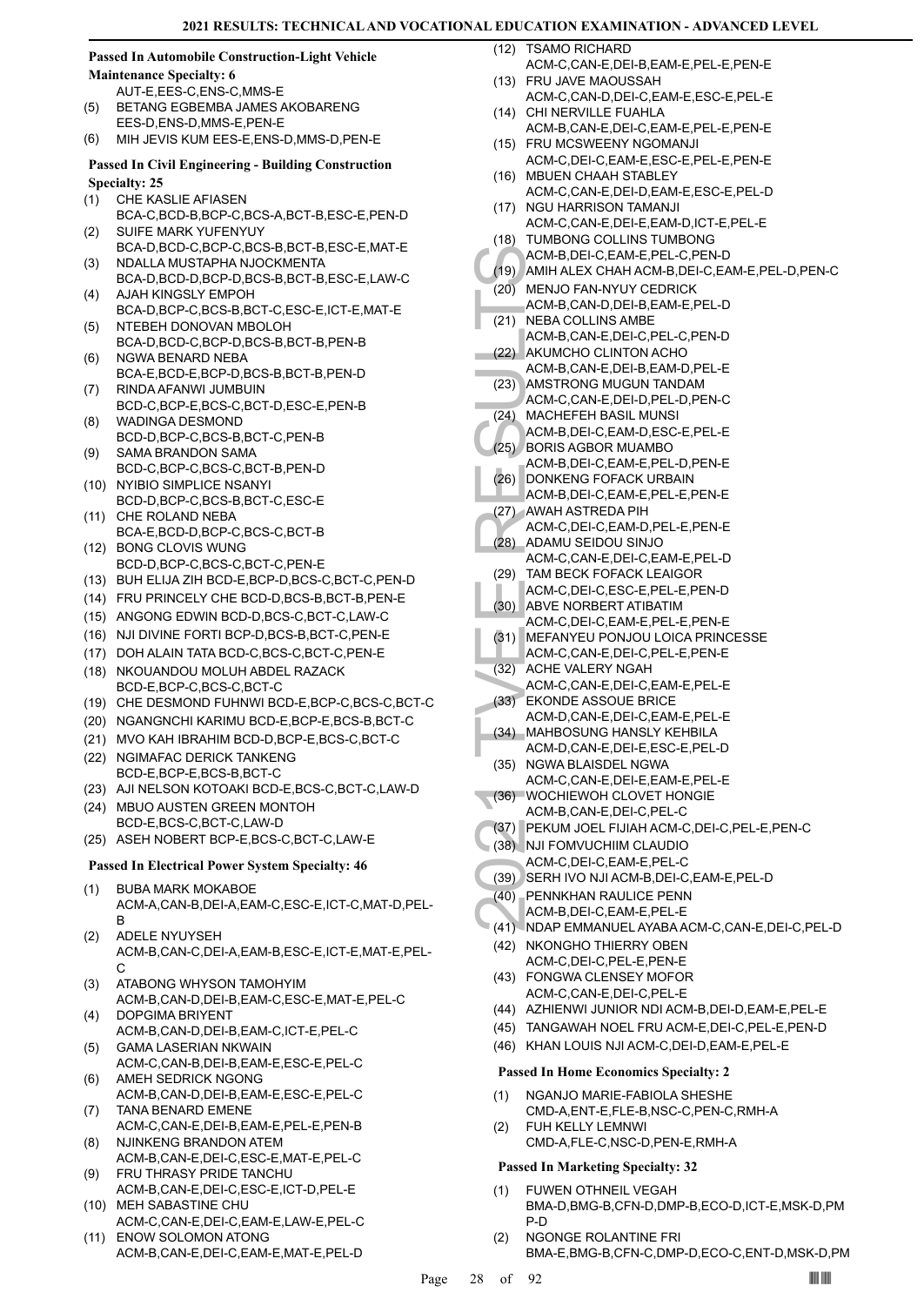# **Passed In Automobile Construction-Light Vehicle**

**Maintenance Specialty: 6** AUT-E,EES-C,ENS-C,MMS-E

- BETANG EGBEMBA JAMES AKOBARENG EES-D,ENS-D,MMS-E,PEN-E (5)
- (6) MIH JEVIS KUM EES-E,ENS-D,MMS-D,PEN-E

# **Passed In Civil Engineering - Building Construction Specialty: 25**

- CHE KASLIE AFIASEN (1)
- BCA-C,BCD-B,BCP-C,BCS-A,BCT-B,ESC-E,PEN-D SUIFE MARK YUFENYUY (2)
- BCA-D,BCD-C,BCP-C,BCS-B,BCT-B,ESC-E,MAT-E NDALLA MUSTAPHA NJOCKMENTA (3)
- BCA-D,BCD-D,BCP-D,BCS-B,BCT-B,ESC-E,LAW-C AJAH KINGSLY EMPOH (4)
- BCA-D,BCP-C,BCS-B,BCT-C,ESC-E,ICT-E,MAT-E NTEBEH DONOVAN MBOLOH (5)
- BCA-D,BCD-C,BCP-D,BCS-B,BCT-B,PEN-B NGWA BENARD NEBA (6)
- BCA-E,BCD-E,BCP-D,BCS-B,BCT-B,PEN-D RINDA AFANWI JUMBUIN (7)
- BCD-C,BCP-E,BCS-C,BCT-D,ESC-E,PEN-B WADINGA DESMOND (8)
- BCD-D,BCP-C,BCS-B,BCT-C,PEN-B SAMA BRANDON SAMA (9)
- BCD-C,BCP-C,BCS-C,BCT-B,PEN-D (10) NYIBIO SIMPLICE NSANYI
- BCD-D,BCP-C,BCS-B,BCT-C,ESC-E (11) CHE ROLAND NEBA
- BCA-E,BCD-D,BCP-C,BCS-C,BCT-B BONG CLOVIS WUNG (12)
- BCD-D,BCP-C,BCS-C,BCT-C,PEN-E
- (13) BUH ELIJA ZIH BCD-E,BCP-D,BCS-C,BCT-C,PEN-D
- (14) FRU PRINCELY CHE BCD-D,BCS-B,BCT-B,PEN-E
- (15) ANGONG EDWIN BCD-D,BCS-C,BCT-C,LAW-C
- (16) NJI DIVINE FORTI BCP-D,BCS-B,BCT-C,PEN-E
- (17) DOH ALAIN TATA BCD-C,BCS-C,BCT-C,PEN-E
- NKOUANDOU MOLUH ABDEL RAZACK BCD-E,BCP-C,BCS-C,BCT-C (18)
- (19) CHE DESMOND FUHNWI BCD-E,BCP-C,BCS-C,BCT-C
- (20) NGANGNCHI KARIMU BCD-E,BCP-E,BCS-B,BCT-C
- (21) MVO KAH IBRAHIM BCD-D,BCP-E,BCS-C,BCT-C
- (22) NGIMAFAC DERICK TANKENG BCD-E,BCP-E,BCS-B,BCT-C
- (23) AJI NELSON KOTOAKI BCD-E,BCS-C,BCT-C,LAW-D
- (24) MBUO AUSTEN GREEN MONTOH BCD-E,BCS-C,BCT-C,LAW-D (25) ASEH NOBERT BCP-E,BCS-C,BCT-C,LAW-E

# **Passed In Electrical Power System Specialty: 46**

- BUBA MARK MOKABOE ACM-A,CAN-B,DEI-A,EAM-C,ESC-E,ICT-C,MAT-D,PEL-B (1)
- ADELE NYUYSEH ACM-B,CAN-C,DEI-A,EAM-B,ESC-E,ICT-E,MAT-E,PEL-C (2)
- ATABONG WHYSON TAMOHYIM ACM-B,CAN-D,DEI-B,EAM-C,ESC-E,MAT-E,PEL-C (3)
- DOPGIMA BRIYENT ACM-B,CAN-D,DEI-B,EAM-C,ICT-E,PEL-C (4) GAMA LASERIAN NKWAIN (5)
- ACM-C,CAN-B,DEI-B,EAM-E,ESC-E,PEL-C AMEH SEDRICK NGONG (6)
- ACM-B,CAN-D,DEI-B,EAM-E,ESC-E,PEL-C TANA BENARD EMENE (7)
- ACM-C,CAN-E,DEI-B,EAM-E,PEL-E,PEN-B NJINKENG BRANDON ATEM (8)
- ACM-B,CAN-E,DEI-C,ESC-E,MAT-E,PEL-C FRU THRASY PRIDE TANCHU (9)
- ACM-B,CAN-E,DEI-C,ESC-E,ICT-D,PEL-E (10) MEH SABASTINE CHU
- ACM-C,CAN-E,DEI-C,EAM-E,LAW-E,PEL-C (11) ENOW SOLOMON ATONG
- ACM-B,CAN-E,DEI-C,EAM-E,MAT-E,PEL-D

TSAMO RICHARD ACM-C,CAN-E,DEI-B,EAM-E,PEL-E,PEN-E  $(12)$ 

- FRU JAVE MAOUSSAH (13) ACM-C,CAN-D,DEI-C,EAM-E,ESC-E,PEL-E
- (14) CHI NERVILLE FUAHLA ACM-B,CAN-E,DEI-C,EAM-E,PEL-E,PEN-E
- FRU MCSWEENY NGOMANJI (15) ACM-C,DEI-C,EAM-E,ESC-E,PEL-E,PEN-E
- (16) MBUEN CHAAH STABLEY ACM-C,CAN-E,DEI-D,EAM-E,ESC-E,PEL-D (17) NGU HARRISON TAMANJI
- ACM-C,CAN-E,DEI-E,EAM-D,ICT-E,PEL-E (18) TUMBONG COLLINS TUMBONG
- ACM-B,DEI-C,EAM-E,PEL-C,PEN-D
- (19) AMIH ALEX CHAH ACM-B,DEI-C,EAM-E,PEL-D,PEN-C
- (20) MENJO FAN-NYUY CEDRICK
- ACM-B,CAN-D,DEI-B,EAM-E,PEL-D
- (21) NEBA COLLINS AMBE ACM-B,CAN-E,DEI-C,PEL-C,PEN-D
- AKUMCHO CLINTON ACHO (22)
- ACM-B,CAN-E,DEI-B,EAM-D,PEL-E
- AMSTRONG MUGUN TANDAM ACM-C,CAN-E,DEI-D,PEL-D,PEN-C (23)
- (24) MACHEFEH BASIL MUNSI
- ACM-B,DEI-C,EAM-D,ESC-E,PEL-E (25) BORIS AGBOR MUAMBO
- ACM-B,DEI-C,EAM-E,PEL-D,PEN-E
- (26) DONKENG FOFACK URBAIN
- ACM-B,DEI-C,EAM-E,PEL-E,PEN-E
- AWAH ASTREDA PIH (27) ACM-C,DEI-C,EAM-D,PEL-E,PEN-E
- ADAMU SEIDOU SINJO (28)
- ACM-C,CAN-E,DEI-C,EAM-E,PEL-D TAM BECK FOFACK LEAIGOR (29)
	- ACM-C,DEI-C,ESC-E,PEL-E,PEN-D
- ABVE NORBERT ATIBATIM ACM-C,DEI-C,EAM-E,PEL-E,PEN-E (30)
- (31) MEFANYEU PONJOU LOICA PRINCESSE
- ACM-C,CAN-E,DEI-C,PEL-E,PEN-E
- (32) ACHE VALERY NGAH
- ACM-B,<br>
(20) MENJO<br>
ACM-B,<br>
(20) MENJO<br>
ACM-B,<br>
(21) MEBAC<br>
ACM-B,<br>
ACM-B,<br>
ACM-B,<br>
ACM-B,<br>
ACM-B,<br>
ACM-B,<br>
ACM-B,<br>
ACM-B,<br>
ACM-B,<br>
ACM-B,<br>
ACM-B,<br>
ACM-B,<br>
ACM-B,<br>
ACM-B,<br>
ACM-B,<br>
ACM-B,<br>
ACM-B,<br>
ACM-B,<br>
ACM-B,<br>
ACM-B,<br>
AC ACM-C,CAN-E,DEI-C,EAM-E,PEL-E EKONDE ASSOUE BRICE (33)
	- ACM-D,CAN-E,DEI-C,EAM-E,PEL-E MAHBOSUNG HANSLY KEHBILA (34)
	- ACM-D,CAN-E,DEI-E,ESC-E,PEL-D
	- NGWA BLAISDEL NGWA ACM-C,CAN-E,DEI-E,EAM-E,PEL-E (35)
	- (36) WOCHIEWOH CLOVET HONGIE ACM-B,CAN-E,DEI-C,PEL-C
- (37) PEKUM JOEL FIJIAH ACM-C,DEI-C,PEL-E,PEN-C
- (38) NJI FOMVUCHIIM CLAUDIO
- ACM-C,DEI-C,EAM-E,PEL-C
- (39) SERH IVO NJI ACM-B,DEI-C,EAM-E,PEL-D
- PENNKHAN RAULICE PENN (40)
- ACM-B,DEI-C,EAM-E,PEL-E
- (41) NDAP EMMANUEL AYABA ACM-C,CAN-E,DEI-C,PEL-D (42) NKONGHO THIERRY OBEN
	- ACM-C,DEI-C,PEL-E,PEN-E (43) FONGWA CLENSEY MOFOR
	- ACM-C,CAN-E,DEI-C,PEL-E
	- (44) AZHIENWI JUNIOR NDI ACM-B,DEI-D,EAM-E,PEL-E (45) TANGAWAH NOEL FRU ACM-E,DEI-C,PEL-E,PEN-D
	- (46) KHAN LOUIS NJI ACM-C,DEI-D,EAM-E,PEL-E

# **Passed In Home Economics Specialty: 2**

- NGANJO MARIE-FABIOLA SHESHE CMD-A,ENT-E,FLE-B,NSC-C,PEN-C,RMH-A (1)
- FUH KELLY LEMNWI CMD-A,FLE-C,NSC-D,PEN-E,RMH-A (2)

- FUWEN OTHNEIL VEGAH (1)
- BMA-D,BMG-B,CFN-D,DMP-B,ECO-D,ICT-E,MSK-D,PM P-D
- NGONGE ROLANTINE FRI BMA-E,BMG-B,CFN-C,DMP-D,ECO-C,ENT-D,MSK-D,PM (2)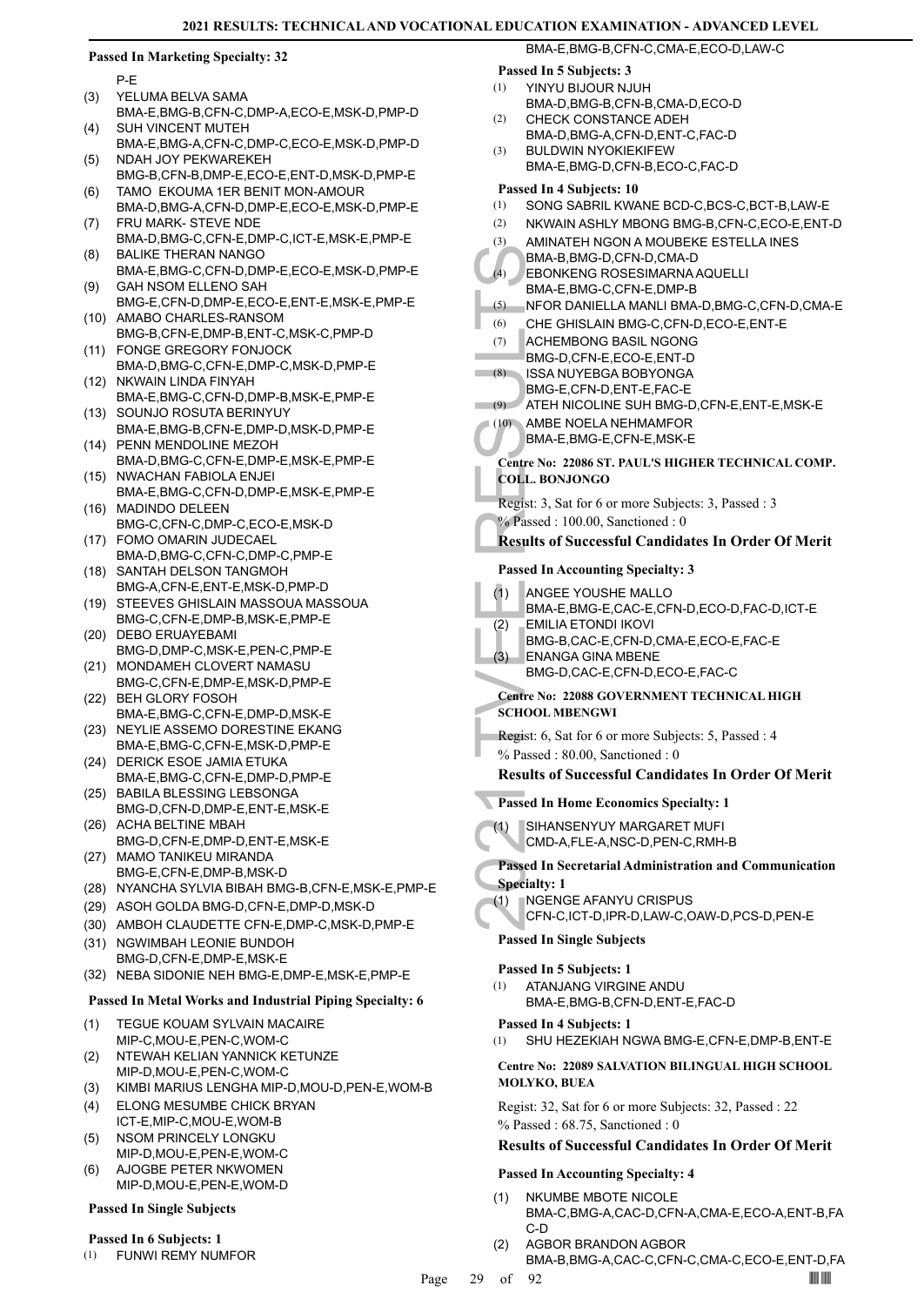### **Passed In Marketing Specialty: 32**

P-E

- 
- YELUMA BELVA SAMA BMA-E,BMG-B,CFN-C,DMP-A,ECO-E,MSK-D,PMP-D (3) SUH VINCENT MUTEH
- BMA-E,BMG-A,CFN-C,DMP-C,ECO-E,MSK-D,PMP-D (4) NDAH JOY PEKWAREKEH (5)
- BMG-B,CFN-B,DMP-E,ECO-E,ENT-D,MSK-D,PMP-E TAMO EKOUMA 1ER BENIT MON-AMOUR (6)
- BMA-D,BMG-A,CFN-D,DMP-E,ECO-E,MSK-D,PMP-E FRU MARK- STEVE NDE (7)
- BMA-D,BMG-C,CFN-E,DMP-C,ICT-E,MSK-E,PMP-E BALIKE THERAN NANGO (8)
- BMA-E,BMG-C,CFN-D,DMP-E,ECO-E,MSK-D,PMP-E GAH NSOM ELLENO SAH (9)
- BMG-E,CFN-D,DMP-E,ECO-E,ENT-E,MSK-E,PMP-E (10) AMABO CHARLES-RANSOM
- BMG-B,CFN-E,DMP-B,ENT-C,MSK-C,PMP-D FONGE GREGORY FONJOCK (11)
- BMA-D,BMG-C,CFN-E,DMP-C,MSK-D,PMP-E (12) NKWAIN LINDA FINYAH
- BMA-E,BMG-C,CFN-D,DMP-B,MSK-E,PMP-E (13) SOUNJO ROSUTA BERINYUY
- BMA-E,BMG-B,CFN-E,DMP-D,MSK-D,PMP-E (14) PENN MENDOLINE MEZOH
- BMA-D,BMG-C,CFN-E,DMP-E,MSK-E,PMP-E (15) NWACHAN FABIOLA ENJEI
- BMA-E,BMG-C,CFN-D,DMP-E,MSK-E,PMP-E (16) MADINDO DELEEN
- BMG-C,CFN-C,DMP-C,ECO-E,MSK-D FOMO OMARIN JUDECAEL (17)
- BMA-D,BMG-C,CFN-C,DMP-C,PMP-E (18) SANTAH DELSON TANGMOH
- BMG-A,CFN-E,ENT-E,MSK-D,PMP-D
- (19) STEEVES GHISLAIN MASSOUA MASSOUA BMG-C,CFN-E,DMP-B,MSK-E,PMP-E
- (20) DEBO ERUAYEBAMI BMG-D,DMP-C,MSK-E,PEN-C,PMP-E
- (21) MONDAMEH CLOVERT NAMASU BMG-C,CFN-E,DMP-E,MSK-D,PMP-E
- BEH GLORY FOSOH (22) BMA-E,BMG-C,CFN-E,DMP-D,MSK-E
- (23) NEYLIE ASSEMO DORESTINE EKANG BMA-E,BMG-C,CFN-E,MSK-D,PMP-E
- (24) DERICK ESOE JAMIA ETUKA BMA-E,BMG-C,CFN-E,DMP-D,PMP-E
- (25) BABILA BLESSING LEBSONGA BMG-D,CFN-D,DMP-E,ENT-E,MSK-E
- (26) ACHA BELTINE MBAH BMG-D,CFN-E,DMP-D,ENT-E,MSK-E
- (27) MAMO TANIKEU MIRANDA BMG-E,CFN-E,DMP-B,MSK-D
- (28) NYANCHA SYLVIA BIBAH BMG-B,CFN-E,MSK-E,PMP-E
- (29) ASOH GOLDA BMG-D,CFN-E,DMP-D,MSK-D
- (30) AMBOH CLAUDETTE CFN-E,DMP-C,MSK-D,PMP-E
- (31) NGWIMBAH LEONIE BUNDOH BMG-D,CFN-E,DMP-E,MSK-E
- (32) NEBA SIDONIE NEH BMG-E,DMP-E,MSK-E,PMP-E

# **Passed In Metal Works and Industrial Piping Specialty: 6**

- TEGUE KOUAM SYLVAIN MACAIRE MIP-C,MOU-E,PEN-C,WOM-C (1)
- NTEWAH KELIAN YANNICK KETUNZE MIP-D,MOU-E,PEN-C,WOM-C (2)
- (3) KIMBI MARIUS LENGHA MIP-D,MOU-D,PEN-E,WOM-B
- ELONG MESUMBE CHICK BRYAN ICT-E,MIP-C,MOU-E,WOM-B (4)
- NSOM PRINCELY LONGKU MIP-D,MOU-E,PEN-E,WOM-C (5)
- AJOGBE PETER NKWOMEN MIP-D,MOU-E,PEN-E,WOM-D (6)

# **Passed In Single Subjects**

# **Passed In 6 Subjects: 1**

(1) FUNWI REMY NUMFOR

# **Passed In 5 Subjects: 3**

- YINYU BIJOUR NJUH (1)
- BMA-D,BMG-B,CFN-B,CMA-D,ECO-D
- CHECK CONSTANCE ADEH BMA-D,BMG-A,CFN-D,ENT-C,FAC-D  $(2)$
- BULDWIN NYOKIEKIFEW BMA-E,BMG-D,CFN-B,ECO-C,FAC-D (3)

### **Passed In 4 Subjects: 10**

(1) SONG SABRIL KWANE BCD-C,BCS-C,BCT-B,LAW-E

BMA-E,BMG-B,CFN-C,CMA-E,ECO-D,LAW-C

- (2) NKWAIN ASHLY MBONG BMG-B,CFN-C,ECO-E,ENT-D
- AMINATEH NGON A MOUBEKE ESTELLA INES (3)
- (4) BMA-B,<br>
EBONK<br>
BMA-B,<br>
EBONK<br>
BMA-E,<br>
(6) CHE GH<br>
ACHEM<br>
BMG-D,<br>
ISSA NU<br>
BMG-E,<br>
(10) AMBE N<br>
BMA-E,<br>
(2) ATEH N<br>
BMA-E,<br>
Centre No: 2<br>
COLL. BONJ<br>
Regist: 3, Sat<br>
(4) ANGEE<br>
BMA-E,<br>
(2) EMILIA BMA-E,<br>
(2) EMILIA BMA-BMA-B,BMG-D,CFN-D,CMA-D EBONKENG ROSESIMARNA AQUELLI BMA-E,BMG-C,CFN-E,DMP-B  $(4)$ (5) NFOR DANIELLA MANLI BMA-D,BMG-C,CFN-D,CMA-E
- (6) CHE GHISLAIN BMG-C,CFN-D,ECO-E,ENT-E
- ACHEMBONG BASIL NGONG BMG-D,CFN-E,ECO-E,ENT-D (7)
- ISSA NUYEBGA BOBYONGA (8)
- BMG-E,CFN-D,ENT-E,FAC-E
- (9) ATEH NICOLINE SUH BMG-D,CFN-E,ENT-E,MSK-E
	- AMBE NOELA NEHMAMFOR  $(10)$ 
		- BMA-E,BMG-E,CFN-E,MSK-E

# **Centre No: 22086 ST. PAUL'S HIGHER TECHNICAL COMP. COLL. BONJONGO**

Regist: 3, Sat for 6 or more Subjects: 3, Passed : 3 % Passed : 100.00, Sanctioned : 0

# **Results of Successful Candidates In Order Of Merit**

**Passed In Accounting Specialty: 3**

- ANGEE YOUSHE MALLO (1)
- BMA-E,BMG-E,CAC-E,CFN-D,ECO-D,FAC-D,ICT-E
- EMILIA ETONDI IKOVI (2)
- BMG-B,CAC-E,CFN-D,CMA-E,ECO-E,FAC-E
- ENANGA GINA MBENE (3)
	- BMG-D,CAC-E,CFN-D,ECO-E,FAC-C

# **Centre No: 22088 GOVERNMENT TECHNICAL HIGH SCHOOL MBENGWI**

Regist: 6, Sat for 6 or more Subjects: 5, Passed : 4

% Passed : 80.00, Sanctioned : 0

# **Results of Successful Candidates In Order Of Merit**

- **Passed In Home Economics Specialty: 1**
	- SIHANSENYUY MARGARET MUFI (1)
		- CMD-A,FLE-A,NSC-D,PEN-C,RMH-B

# **Passed In Secretarial Administration and Communication**

- **Specialty: 1** NGENGE AFANYU CRISPUS
	- CFN-C,ICT-D,IPR-D,LAW-C,OAW-D,PCS-D,PEN-E

# **Passed In Single Subjects**

### **Passed In 5 Subjects: 1**

(1)

ATANJANG VIRGINE ANDU BMA-E,BMG-B,CFN-D,ENT-E,FAC-D (1)

### **Passed In 4 Subjects: 1**

(1) SHU HEZEKIAH NGWA BMG-E,CFN-E,DMP-B,ENT-E

# **Centre No: 22089 SALVATION BILINGUAL HIGH SCHOOL MOLYKO, BUEA**

Regist: 32, Sat for 6 or more Subjects: 32, Passed : 22 % Passed : 68.75, Sanctioned : 0

# **Results of Successful Candidates In Order Of Merit**

### **Passed In Accounting Specialty: 4**

- NKUMBE MBOTE NICOLE BMA-C,BMG-A,CAC-D,CFN-A,CMA-E,ECO-A,ENT-B,FA C-D (1)
- AGBOR BRANDON AGBOR (2)
	- BMA-B,BMG-A,CAC-C,CFN-C,CMA-C,ECO-E,ENT-D,FA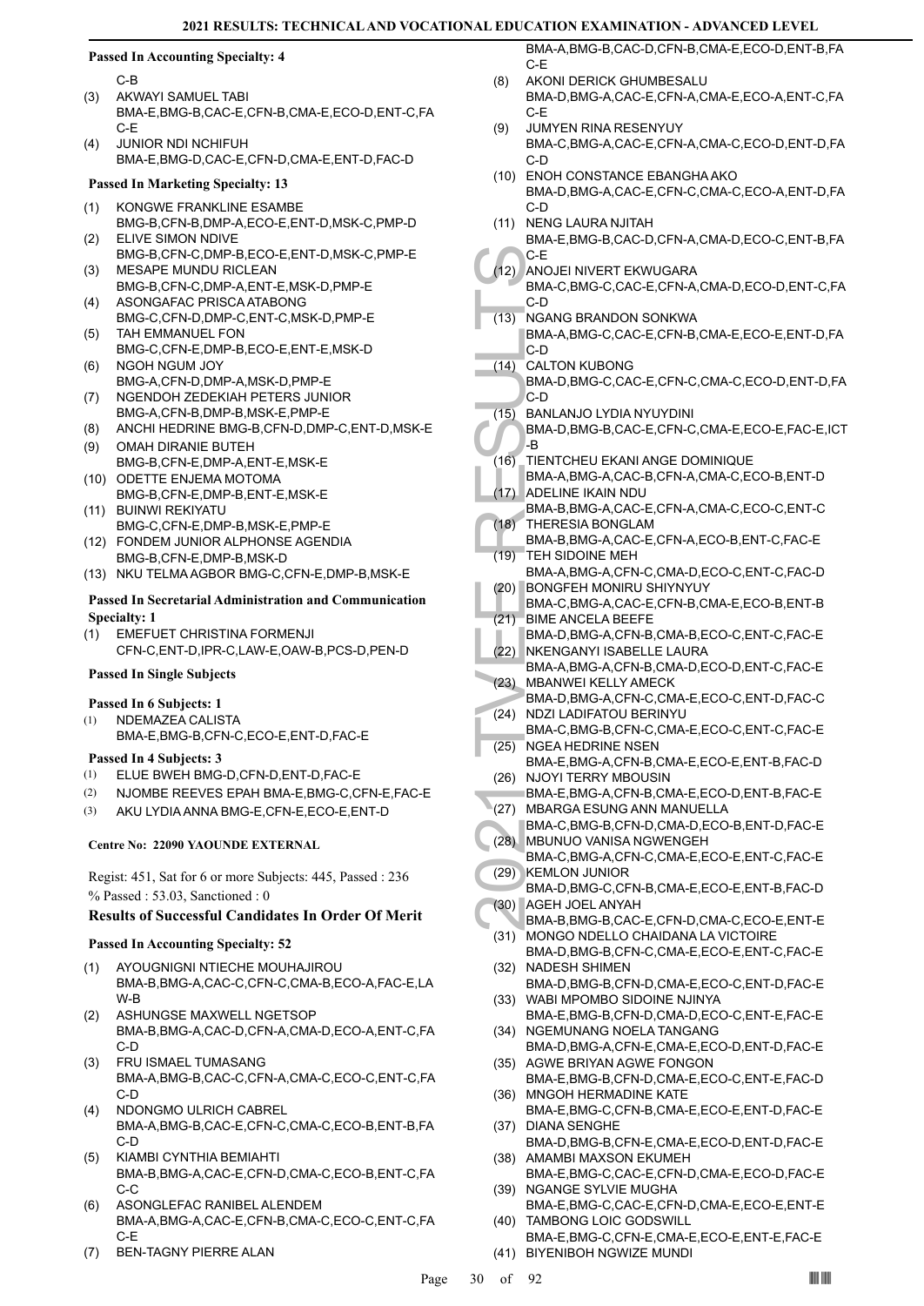# **Passed In Accounting Specialty: 4**

C-B

- AKWAYI SAMUEL TABI BMA-E,BMG-B,CAC-E,CFN-B,CMA-E,ECO-D,ENT-C,FA C-E (3)
- JUNIOR NDI NCHIFUH BMA-E,BMG-D,CAC-E,CFN-D,CMA-E,ENT-D,FAC-D (4)

# **Passed In Marketing Specialty: 13**

- KONGWE FRANKLINE ESAMBE (1)
- BMG-B,CFN-B,DMP-A,ECO-E,ENT-D,MSK-C,PMP-D ELIVE SIMON NDIVE (2)
- BMG-B,CFN-C,DMP-B,ECO-E,ENT-D,MSK-C,PMP-E MESAPE MUNDU RICLEAN (3)
- BMG-B,CFN-C,DMP-A,ENT-E,MSK-D,PMP-E ASONGAFAC PRISCA ATABONG (4)
- BMG-C,CFN-D,DMP-C,ENT-C,MSK-D,PMP-E TAH EMMANUEL FON (5)
- BMG-C,CFN-E,DMP-B,ECO-E,ENT-E,MSK-D NGOH NGUM JOY (6)
- BMG-A,CFN-D,DMP-A,MSK-D,PMP-E NGENDOH ZEDEKIAH PETERS JUNIOR (7)
- BMG-A,CFN-B,DMP-B,MSK-E,PMP-E (8) ANCHI HEDRINE BMG-B,CFN-D,DMP-C,ENT-D,MSK-E
- (9) OMAH DIRANIE BUTEH BMG-B,CFN-E,DMP-A,ENT-E,MSK-E
- (10) ODETTE ENJEMA MOTOMA BMG-B,CFN-E,DMP-B,ENT-E,MSK-E
- BUINWI REKIYATU (11) BMG-C,CFN-E,DMP-B,MSK-E,PMP-E
- FONDEM JUNIOR ALPHONSE AGENDIA (12) BMG-B,CFN-E,DMP-B,MSK-D
- (13) NKU TELMA AGBOR BMG-C,CFN-E,DMP-B,MSK-E

# **Passed In Secretarial Administration and Communication Specialty: 1**

EMEFUET CHRISTINA FORMENJI CFN-C,ENT-D,IPR-C,LAW-E,OAW-B,PCS-D,PEN-D (1)

# **Passed In Single Subjects**

# **Passed In 6 Subjects: 1**

NDEMAZEA CALISTA BMA-E,BMG-B,CFN-C,ECO-E,ENT-D,FAC-E (1)

# **Passed In 4 Subjects: 3**

- (1) ELUE BWEH BMG-D,CFN-D,ENT-D,FAC-E
- (2) NJOMBE REEVES EPAH BMA-E,BMG-C,CFN-E,FAC-E
- (3) AKU LYDIA ANNA BMG-E,CFN-E,ECO-E,ENT-D

# **Centre No: 22090 YAOUNDE EXTERNAL**

Regist: 451, Sat for 6 or more Subjects: 445, Passed : 236 % Passed : 53.03, Sanctioned : 0

# **Results of Successful Candidates In Order Of Merit**

# **Passed In Accounting Specialty: 52**

- AYOUGNIGNI NTIECHE MOUHAJIROU BMA-B,BMG-A,CAC-C,CFN-C,CMA-B,ECO-A,FAC-E,LA W-B (1)
- (2) ASHUNGSE MAXWELL NGETSOP BMA-B,BMG-A,CAC-D,CFN-A,CMA-D,ECO-A,ENT-C,FA C-D
- FRU ISMAEL TUMASANG BMA-A,BMG-B,CAC-C,CFN-A,CMA-C,ECO-C,ENT-C,FA C-D (3)
- NDONGMO ULRICH CABREL BMA-A,BMG-B,CAC-E,CFN-C,CMA-C,ECO-B,ENT-B,FA C-D (4)
- KIAMBI CYNTHIA BEMIAHTI BMA-B,BMG-A,CAC-E,CFN-D,CMA-C,ECO-B,ENT-C,FA C-C (5)
- ASONGLEFAC RANIBEL ALENDEM BMA-A,BMG-A,CAC-E,CFN-B,CMA-C,ECO-C,ENT-C,FA C-E (6)
- (7) BEN-TAGNY PIERRE ALAN

BMA-A,BMG-B,CAC-D,CFN-B,CMA-E,ECO-D,ENT-B,FA C-E

- AKONI DERICK GHUMBESALU BMA-D,BMG-A,CAC-E,CFN-A,CMA-E,ECO-A,ENT-C,FA C-E (8)
- JUMYEN RINA RESENYUY BMA-C,BMG-A,CAC-E,CFN-A,CMA-C,ECO-D,ENT-D,FA C-D (9)
- (10) ENOH CONSTANCE EBANGHA AKO BMA-D,BMG-A,CAC-E,CFN-C,CMA-C,ECO-A,ENT-D,FA C-D
- (11) NENG LAURA NJITAH BMA-E,BMG-B,CAC-D,CFN-A,CMA-D,ECO-C,ENT-B,FA
- C-E
- ANOJEI NIVERT EKWUGARA (12) BMA-C,BMG-C,CAC-E,CFN-A,CMA-D,ECO-D,ENT-C,FA C-D
- NGANG BRANDON SONKWA (13)
	- BMA-A,BMG-C,CAC-E,CFN-B,CMA-E,ECO-E,ENT-D,FA C-D
- CALTON KUBONG  $(14)$ 
	- BMA-D,BMG-C,CAC-E,CFN-C,CMA-C,ECO-D,ENT-D,FA C-D
- BANLANJO LYDIA NYUYDINI  $(15)$ 
	- BMA-D,BMG-B,CAC-E,CFN-C,CMA-E,ECO-E,FAC-E,ICT -B
- TIENTCHEU EKANI ANGE DOMINIQUE BMA-A,BMG-A,CAC-B,CFN-A,CMA-C,ECO-B,ENT-D  $(16)$
- ADELINE IKAIN NDU  $(17)$
- BMA-B,BMG-A,CAC-E,CFN-A,CMA-C,ECO-C,ENT-C THERESIA BONGLAM (18)
- BMA-B,BMG-A,CAC-E,CFN-A,ECO-B,ENT-C,FAC-E TEH SIDOINE MEH (19)
- BMA-A,BMG-A,CFN-C,CMA-D,ECO-C,ENT-C,FAC-D BONGFEH MONIRU SHIYNYUY (20)
- BMA-C,BMG-A,CAC-E,CFN-B,CMA-E,ECO-B,ENT-B BIME ANCELA BEEFE (21)
- BMA-D,BMG-A,CFN-B,CMA-B,ECO-C,ENT-C,FAC-E (22) NKENGANYI ISABELLE LAURA
- BMA-A,BMG-A,CFN-B,CMA-D,ECO-D,ENT-C,FAC-E MBANWEI KELLY AMECK (23)
- BMA-D,BMG-A,CFN-C,CMA-E,ECO-C,ENT-D,FAC-C NDZI LADIFATOU BERINYU (24)
- BMA-C,BMG-B,CFN-C,CMA-E,ECO-C,ENT-C,FAC-E (25) NGEA HEDRINE NSEN
- BMA-E,BMG-A,CFN-B,CMA-E,ECO-E,ENT-B,FAC-D (26) NJOYI TERRY MBOUSIN
- C-E<br>
(12) ANOJEI<br>
BMA-C,<br>
C-D NGANG<br>
BMA-A,<br>
C-D CALTON<br>
BMA-A,<br>
C-D CALTON<br>
BMA-D,<br>
C-D BANLAN<br>
D-BMA-D,<br>
C-D BMA-A,<br>
BMA-A,<br>
BMA-A,<br>
(17) ADELIN<br>
BMA-A,<br>
(17) ADELIN<br>
BMA-A,<br>
SMA-A,<br>
SMA-A,<br>
SMA-A,<br>
SMA-A,<br>
SMA-A,<br>
SMA-A BMA-E,BMG-A,CFN-B,CMA-E,ECO-D,ENT-B,FAC-E (27) MBARGA ESUNG ANN MANUELLA
- BMA-C,BMG-B,CFN-D,CMA-D,ECO-B,ENT-D,FAC-E MBUNUO VANISA NGWENGEH (28)
- BMA-C,BMG-A,CFN-C,CMA-E,ECO-E,ENT-C,FAC-E (29) KEMLON JUNIOR
- BMA-D,BMG-C,CFN-B,CMA-E,ECO-E,ENT-B,FAC-D (30) AGEH JOEL ANYAH
- BMA-B,BMG-B,CAC-E,CFN-D,CMA-C,ECO-E,ENT-E (31) MONGO NDELLO CHAIDANA LA VICTOIRE
- BMA-D,BMG-B,CFN-C,CMA-E,ECO-E,ENT-C,FAC-E (32) NADESH SHIMEN
- BMA-D,BMG-B,CFN-D,CMA-E,ECO-C,ENT-D,FAC-E (33) WABI MPOMBO SIDOINE NJINYA
- BMA-E,BMG-B,CFN-D,CMA-D,ECO-C,ENT-E,FAC-E (34) NGEMUNANG NOELA TANGANG
- BMA-D,BMG-A,CFN-E,CMA-E,ECO-D,ENT-D,FAC-E (35) AGWE BRIYAN AGWE FONGON
- BMA-E,BMG-B,CFN-D,CMA-E,ECO-C,ENT-E,FAC-D (36) MNGOH HERMADINE KATE
- BMA-E,BMG-C,CFN-B,CMA-E,ECO-E,ENT-D,FAC-E (37) DIANA SENGHE
- BMA-D,BMG-B,CFN-E,CMA-E,ECO-D,ENT-D,FAC-E (38) AMAMBI MAXSON EKUMEH
- BMA-E,BMG-C,CAC-E,CFN-D,CMA-E,ECO-D,FAC-E (39) NGANGE SYLVIE MUGHA
- BMA-E,BMG-C,CAC-E,CFN-D,CMA-E,ECO-E,ENT-E (40) TAMBONG LOIC GODSWILL
- BMA-E,BMG-C,CFN-E,CMA-E,ECO-E,ENT-E,FAC-E (41) BIYENIBOH NGWIZE MUNDI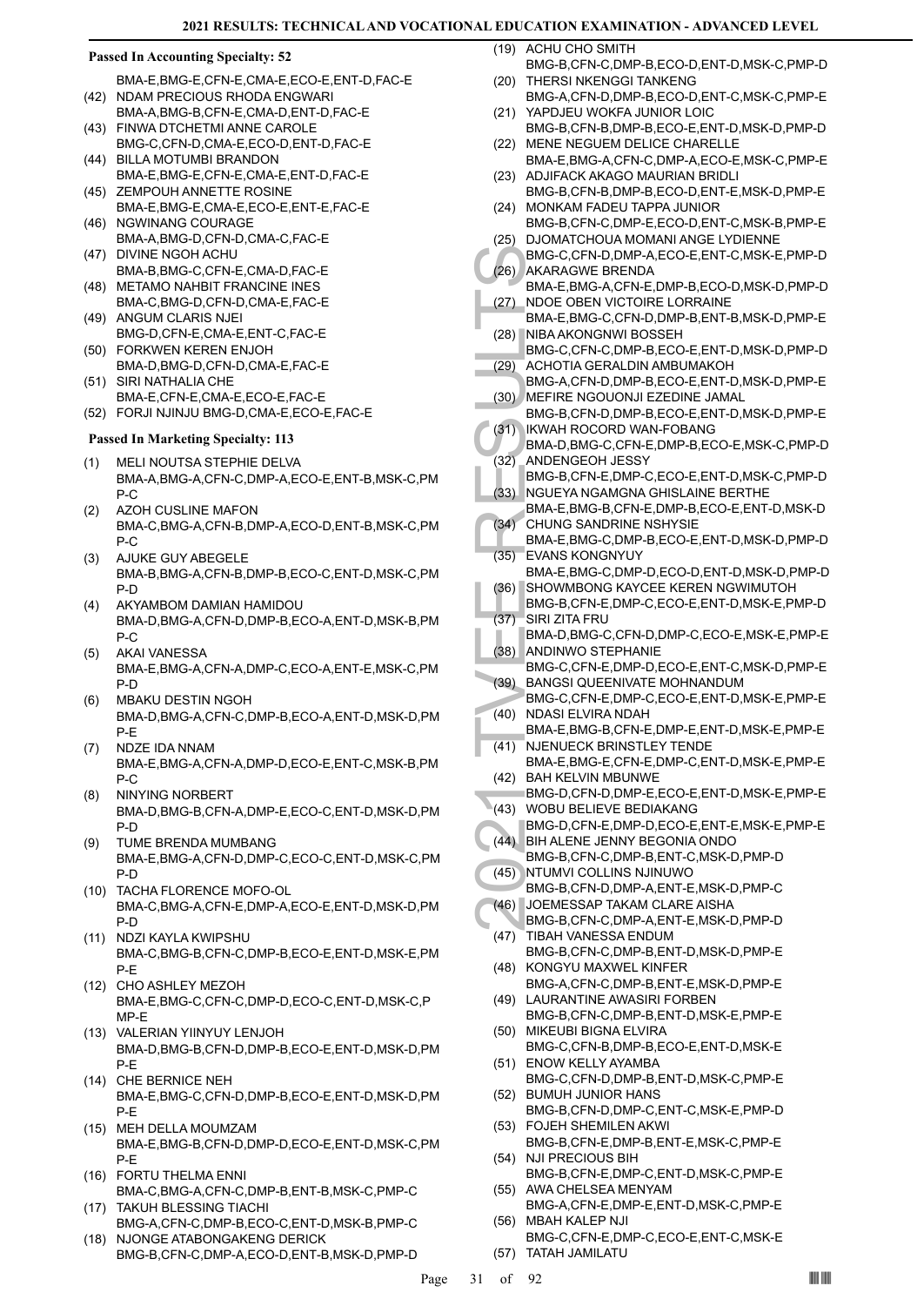### **Passed In Accounting Specialty: 52**

- BMA-E,BMG-E,CFN-E,CMA-E,ECO-E,ENT-D,FAC-E (42) NDAM PRECIOUS RHODA ENGWARI
- BMA-A,BMG-B,CFN-E,CMA-D,ENT-D,FAC-E FINWA DTCHETMI ANNE CAROLE (43)
- BMG-C,CFN-D,CMA-E,ECO-D,ENT-D,FAC-E BILLA MOTUMBI BRANDON (44)
- BMA-E,BMG-E,CFN-E,CMA-E,ENT-D,FAC-E ZEMPOUH ANNETTE ROSINE  $(45)$
- BMA-E,BMG-E,CMA-E,ECO-E,ENT-E,FAC-E (46) NGWINANG COURAGE
- BMA-A,BMG-D,CFN-D,CMA-C,FAC-E (47) DIVINE NGOH ACHU
- BMA-B,BMG-C,CFN-E,CMA-D,FAC-E (48) METAMO NAHBIT FRANCINE INES
- BMA-C,BMG-D,CFN-D,CMA-E,FAC-E (49) ANGUM CLARIS NJEI
- BMG-D,CFN-E,CMA-E,ENT-C,FAC-E (50) FORKWEN KEREN ENJOH
- BMA-D,BMG-D,CFN-D,CMA-E,FAC-E
- SIRI NATHALIA CHE BMA-E,CFN-E,CMA-E,ECO-E,FAC-E (51)
- (52) FORJI NJINJU BMG-D,CMA-E,ECO-E,FAC-E

# **Passed In Marketing Specialty: 113**

- MELI NOUTSA STEPHIE DELVA BMA-A,BMG-A,CFN-C,DMP-A,ECO-E,ENT-B,MSK-C,PM P-C (1)
- AZOH CUSLINE MAFON BMA-C,BMG-A,CFN-B,DMP-A,ECO-D,ENT-B,MSK-C,PM P-C (2)
- AJUKE GUY ABEGELE BMA-B,BMG-A,CFN-B,DMP-B,ECO-C,ENT-D,MSK-C,PM P-D (3)
- AKYAMBOM DAMIAN HAMIDOU BMA-D,BMG-A,CFN-D,DMP-B,ECO-A,ENT-D,MSK-B,PM P-C (4)
- AKAI VANESSA BMA-E,BMG-A,CFN-A,DMP-C,ECO-A,ENT-E,MSK-C,PM P-D (5)
- MBAKU DESTIN NGOH BMA-D,BMG-A,CFN-C,DMP-B,ECO-A,ENT-D,MSK-D,PM P-E (6)
- NDZE IDA NNAM BMA-E,BMG-A,CFN-A,DMP-D,ECO-E,ENT-C,MSK-B,PM P-C (7)
- NINYING NORBERT BMA-D,BMG-B,CFN-A,DMP-E,ECO-C,ENT-D,MSK-D,PM P-D (8)
- TUME BRENDA MUMBANG BMA-E,BMG-A,CFN-D,DMP-C,ECO-C,ENT-D,MSK-C,PM P-D (9)
- (10) TACHA FLORENCE MOFO-OL BMA-C,BMG-A,CFN-E,DMP-A,ECO-E,ENT-D,MSK-D,PM P-D
- (11) NDZI KAYLA KWIPSHU BMA-C,BMG-B,CFN-C,DMP-B,ECO-E,ENT-D,MSK-E,PM P-E
- (12) CHO ASHLEY MEZOH BMA-E,BMG-C,CFN-C,DMP-D,ECO-C,ENT-D,MSK-C,P MP-E
- (13) VALERIAN YIINYUY LENJOH BMA-D,BMG-B,CFN-D,DMP-B,ECO-E,ENT-D,MSK-D,PM P-E
- (14) CHE BERNICE NEH BMA-E,BMG-C,CFN-D,DMP-B,ECO-E,ENT-D,MSK-D,PM P-E
- MEH DELLA MOUMZAM (15) BMA-E,BMG-B,CFN-D,DMP-D,ECO-E,ENT-D,MSK-C,PM P-E
- FORTU THELMA ENNI (16) BMA-C,BMG-A,CFN-C,DMP-B,ENT-B,MSK-C,PMP-C (17) TAKUH BLESSING TIACHI
- BMG-A,CFN-C,DMP-B,ECO-C,ENT-D,MSK-B,PMP-C (18) NJONGE ATABONGAKENG DERICK
- BMG-B,CFN-C,DMP-A,ECO-D,ENT-B,MSK-D,PMP-D

(19) ACHU CHO SMITH

- BMG-B,CFN-C,DMP-B,ECO-D,ENT-D,MSK-C,PMP-D (20) THERSI NKENGGI TANKENG
- BMG-A,CFN-D,DMP-B,ECO-D,ENT-C,MSK-C,PMP-E (21) YAPDJEU WOKFA JUNIOR LOIC
- BMG-B,CFN-B,DMP-B,ECO-E,ENT-D,MSK-D,PMP-D MENE NEGUEM DELICE CHARELLE (22)
- BMA-E,BMG-A,CFN-C,DMP-A,ECO-E,MSK-C,PMP-E (23) ADJIFACK AKAGO MAURIAN BRIDLI
- BMG-B,CFN-B,DMP-B,ECO-D,ENT-E,MSK-D,PMP-E (24) MONKAM FADEU TAPPA JUNIOR
- BMG-B,CFN-C,DMP-E,ECO-D,ENT-C,MSK-B,PMP-E (25) DJOMATCHOUA MOMANI ANGE LYDIENNE
- BMG-C,CFN-D,DMP-A,ECO-E,ENT-C,MSK-E,PMP-D AKARAGWE BRENDA (26)
- BMA-E,BMG-A,CFN-E,DMP-B,ECO-D,MSK-D,PMP-D NDOE OBEN VICTOIRE LORRAINE (27)
- BMA-E,BMG-C,CFN-D,DMP-B,ENT-B,MSK-D,PMP-E (28) NIBA AKONGNWI BOSSEH
- BMG-C,CFN-C,DMP-B,ECO-E,ENT-D,MSK-D,PMP-D ACHOTIA GERALDIN AMBUMAKOH (29)
- BMG-A,CFN-D,DMP-B,ECO-E,ENT-D,MSK-D,PMP-E MEFIRE NGOUONJI EZEDINE JAMAL (30)
- BMG-B,CFN-D,DMP-B,ECO-E,ENT-D,MSK-D,PMP-E IKWAH ROCORD WAN-FOBANG (31)
- BMG-C,<br>
(26) AKARA(<br>
BMA-E,<br>
(27) NDOE (<br>
BMA-E,<br>
(27) NDOE (<br>
BMA-E,<br>
BMA-E,<br>
BMG-C,<br>
BMG-A,<br>
BMG-C,<br>
(30) ACHOT<br>
BMG-B,<br>
MEFIRE BMG-B,<br>
(31) LKWAH<br>
BMA-D,<br>
ANDEN<br>
BMA-D,<br>
BMA-D,<br>
BMA-E,<br>
(32) ANDEN<br>
BMA-E,<br>
(32) ANDEN<br>
B BMA-D,BMG-C,CFN-E,DMP-B,ECO-E,MSK-C,PMP-D ANDENGEOH JESSY BMG-B,CFN-E,DMP-C,ECO-E,ENT-D,MSK-C,PMP-D (32)
	- NGUEYA NGAMGNA GHISLAINE BERTHE BMA-E,BMG-B,CFN-E,DMP-B,ECO-E,ENT-D,MSK-D (33)
	- CHUNG SANDRINE NSHYSIE BMA-E,BMG-C,DMP-B,ECO-E,ENT-D,MSK-D,PMP-D (34)
	- EVANS KONGNYUY BMA-E,BMG-C,DMP-D,ECO-D,ENT-D,MSK-D,PMP-D (35)
	- SHOWMBONG KAYCEE KEREN NGWIMUTOH (36)
	- BMG-B,CFN-E,DMP-C,ECO-E,ENT-D,MSK-E,PMP-D SIRI ZITA FRU (37)
	- BMA-D,BMG-C,CFN-D,DMP-C,ECO-E,MSK-E,PMP-E (38) ANDINWO STEPHANIE
	- BMG-C,CFN-E,DMP-D,ECO-E,ENT-C,MSK-D,PMP-E BANGSI QUEENIVATE MOHNANDUM (39)
	- BMG-C,CFN-E,DMP-C,ECO-E,ENT-D,MSK-E,PMP-E NDASI ELVIRA NDAH (40)
- BMA-E,BMG-B,CFN-E,DMP-E,ENT-D,MSK-E,PMP-E (41) NJENUECK BRINSTLEY TENDE
- BMA-E,BMG-E,CFN-E,DMP-C,ENT-D,MSK-E,PMP-E (42) BAH KELVIN MBUNWE
- BMG-D,CFN-D,DMP-E,ECO-E,ENT-D,MSK-E,PMP-E (43) WOBU BELIEVE BEDIAKANG
- BMG-D,CFN-E,DMP-D,ECO-E,ENT-E,MSK-E,PMP-E BIH ALENE JENNY BEGONIA ONDO (44)
- BMG-B,CFN-C,DMP-B,ENT-C,MSK-D,PMP-D NTUMVI COLLINS NJINUWO  $(45)$
- BMG-B,CFN-D,DMP-A,ENT-E,MSK-D,PMP-C JOEMESSAP TAKAM CLARE AISHA (46)
- BMG-B,CFN-C,DMP-A,ENT-E,MSK-D,PMP-D
- TIBAH VANESSA ENDUM BMG-B,CFN-C,DMP-B,ENT-D,MSK-D,PMP-E (47)
- (48) KONGYU MAXWEL KINFER BMG-A,CFN-C,DMP-B,ENT-E,MSK-D,PMP-E
- (49) LAURANTINE AWASIRI FORBEN BMG-B,CFN-C,DMP-B,ENT-D,MSK-E,PMP-E
- (50) MIKEUBI BIGNA ELVIRA BMG-C,CFN-B,DMP-B,ECO-E,ENT-D,MSK-E (51) ENOW KELLY AYAMBA
- BMG-C,CFN-D,DMP-B,ENT-D,MSK-C,PMP-E BUMUH JUNIOR HANS (52)
- BMG-B,CFN-D,DMP-C,ENT-C,MSK-E,PMP-D FOJEH SHEMILEN AKWI (53)
- BMG-B,CFN-E,DMP-B,ENT-E,MSK-C,PMP-E (54) NJI PRECIOUS BIH
- BMG-B,CFN-E,DMP-C,ENT-D,MSK-C,PMP-E (55) AWA CHELSEA MENYAM
- BMG-A,CFN-E,DMP-E,ENT-D,MSK-C,PMP-E MBAH KALEP NJI (56)
- BMG-C,CFN-E,DMP-C,ECO-E,ENT-C,MSK-E (57) TATAH JAMILATU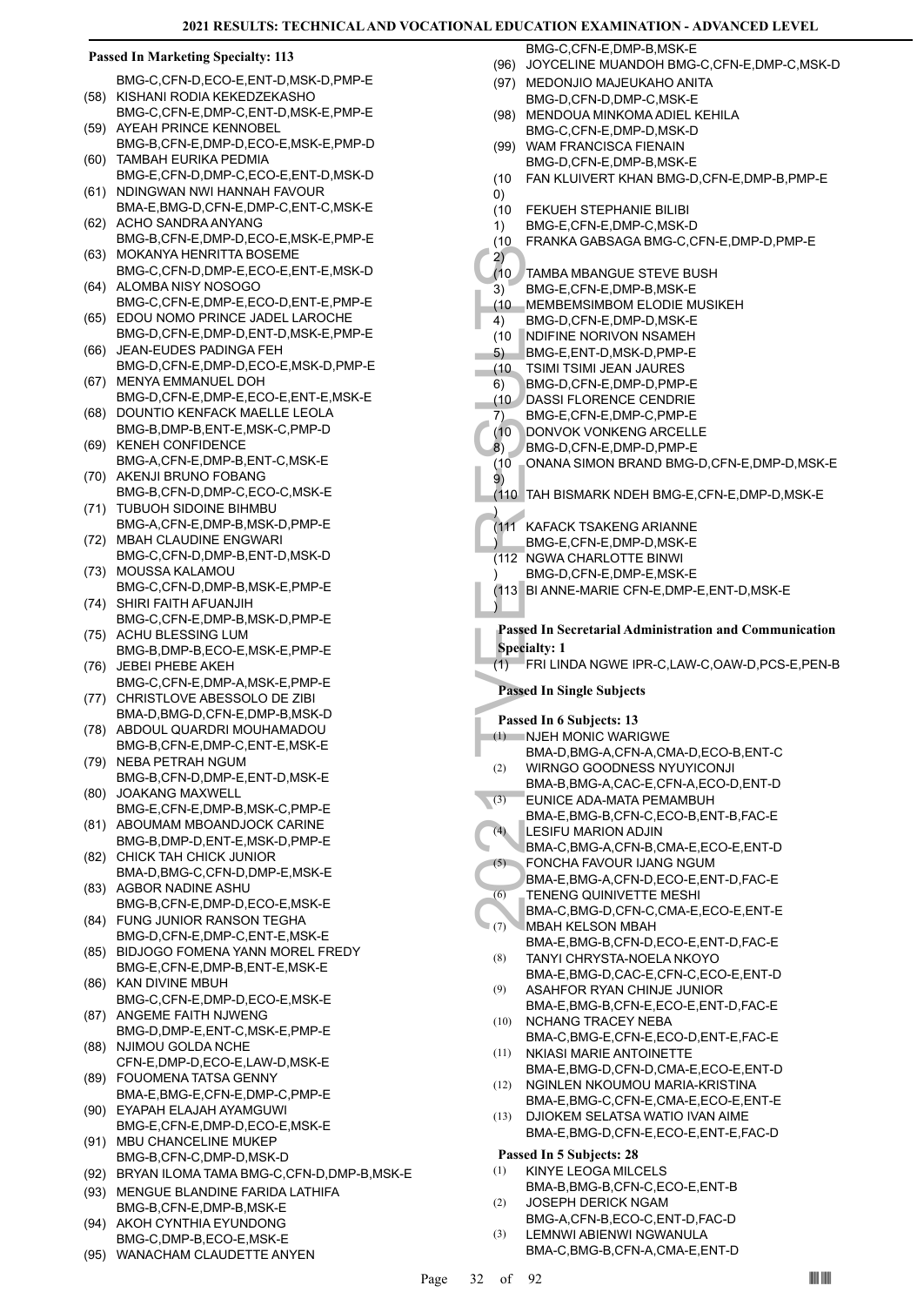### **Passed In Marketing Specialty: 113**

BMG-C,CFN-D,ECO-E,ENT-D,MSK-D,PMP-E (58) KISHANI RODIA KEKEDZEKASHO

- BMG-C,CFN-E,DMP-C,ENT-D,MSK-E,PMP-E (59) AYEAH PRINCE KENNOBEL
- BMG-B,CFN-E,DMP-D,ECO-E,MSK-E,PMP-D TAMBAH EURIKA PEDMIA (60)
- BMG-E,CFN-D,DMP-C,ECO-E,ENT-D,MSK-D NDINGWAN NWI HANNAH FAVOUR (61)
- BMA-E,BMG-D,CFN-E,DMP-C,ENT-C,MSK-E ACHO SANDRA ANYANG (62)
- BMG-B,CFN-E,DMP-D,ECO-E,MSK-E,PMP-E MOKANYA HENRITTA BOSEME (63)
- BMG-C,CFN-D,DMP-E,ECO-E,ENT-E,MSK-D ALOMBA NISY NOSOGO (64)
- BMG-C,CFN-E,DMP-E,ECO-D,ENT-E,PMP-E (65) EDOU NOMO PRINCE JADEL LAROCHE
- BMG-D,CFN-E,DMP-D,ENT-D,MSK-E,PMP-E JEAN-EUDES PADINGA FEH (66)
- BMG-D,CFN-E,DMP-D,ECO-E,MSK-D,PMP-E MENYA EMMANUEL DOH (67)
- BMG-D,CFN-E,DMP-E,ECO-E,ENT-E,MSK-E (68) DOUNTIO KENFACK MAELLE LEOLA
- BMG-B,DMP-B,ENT-E,MSK-C,PMP-D KENEH CONFIDENCE (69)
- BMG-A,CFN-E,DMP-B,ENT-C,MSK-E (70) AKENJI BRUNO FOBANG
- BMG-B,CFN-D,DMP-C,ECO-C,MSK-E (71) TUBUOH SIDOINE BIHMBU
- BMG-A,CFN-E,DMP-B,MSK-D,PMP-E MBAH CLAUDINE ENGWARI (72)
- BMG-C,CFN-D,DMP-B,ENT-D,MSK-D (73) MOUSSA KALAMOU
- BMG-C,CFN-D,DMP-B,MSK-E,PMP-E SHIRI FAITH AFUANJIH (74)
- BMG-C,CFN-E,DMP-B,MSK-D,PMP-E ACHU BLESSING LUM (75)
- BMG-B,DMP-B,ECO-E,MSK-E,PMP-E (76) JEBEI PHEBE AKEH
- BMG-C,CFN-E,DMP-A,MSK-E,PMP-E (77) CHRISTLOVE ABESSOLO DE ZIBI
- BMA-D,BMG-D,CFN-E,DMP-B,MSK-D ABDOUL QUARDRI MOUHAMADOU (78)
- BMG-B,CFN-E,DMP-C,ENT-E,MSK-E (79) NEBA PETRAH NGUM
- BMG-B,CFN-D,DMP-E,ENT-D,MSK-E JOAKANG MAXWELL (80)
- BMG-E,CFN-E,DMP-B,MSK-C,PMP-E
- ABOUMAM MBOANDJOCK CARINE BMG-B,DMP-D,ENT-E,MSK-D,PMP-E (81)
- (82) CHICK TAH CHICK JUNIOR BMA-D,BMG-C,CFN-D,DMP-E,MSK-E
- AGBOR NADINE ASHU BMG-B,CFN-E,DMP-D,ECO-E,MSK-E (83)
- FUNG JUNIOR RANSON TEGHA (84) BMG-D,CFN-E,DMP-C,ENT-E,MSK-E
- (85) BIDJOGO FOMENA YANN MOREL FREDY BMG-E,CFN-E,DMP-B,ENT-E,MSK-E
- KAN DIVINE MBUH BMG-C,CFN-E,DMP-D,ECO-E,MSK-E (86)
- (87) ANGEME FAITH NJWENG BMG-D,DMP-E,ENT-C,MSK-E,PMP-E
- (88) NJIMOU GOLDA NCHE CFN-E,DMP-D,ECO-E,LAW-D,MSK-E
- FOUOMENA TATSA GENNY (89)
- BMA-E,BMG-E,CFN-E,DMP-C,PMP-E EYAPAH ELAJAH AYAMGUWI (90)
- BMG-E,CFN-E,DMP-D,ECO-E,MSK-E (91) MBU CHANCELINE MUKEP
- BMG-B,CFN-C,DMP-D,MSK-D
- (92) BRYAN ILOMA TAMA BMG-C,CFN-D,DMP-B,MSK-E
- (93) MENGUE BLANDINE FARIDA LATHIFA BMG-B,CFN-E,DMP-B,MSK-E AKOH CYNTHIA EYUNDONG (94)
- BMG-C,DMP-B,ECO-E,MSK-E
- (95) WANACHAM CLAUDETTE ANYEN

BMG-C,CFN-E,DMP-B,MSK-E

- (96) JOYCELINE MUANDOH BMG-C,CFN-E,DMP-C,MSK-D
- (97) MEDONJIO MAJEUKAHO ANITA BMG-D,CFN-D,DMP-C,MSK-E
- MENDOUA MINKOMA ADIEL KEHILA BMG-C,CFN-E,DMP-D,MSK-D (98)
- WAM FRANCISCA FIENAIN BMG-D, CFN-F, DMP-B, MSK-F (99)
- (10 FAN KLUIVERT KHAN BMG-D,CFN-E,DMP-B,PMP-E
- 0)
- FEKUEH STEPHANIE BILIBI (10
- BMG-E,CFN-E,DMP-C,MSK-D 1)
- (10 FRANKA GABSAGA BMG-C,CFN-E,DMP-D,PMP-E 2)
- TAMBA MBANGUE STEVE BUSH (10
- BMG-E,CFN-E,DMP-B,MSK-E 3)
- MEMBEMSIMBOM ELODIE MUSIKEH  $(10)$
- BMG-D,CFN-E,DMP-D,MSK-E 4)
- (10 NDIFINE NORIVON NSAMEH
- BMG-E,ENT-D,MSK-D,PMP-E 5)
- TSIMI TSIMI JEAN JAURES (10
- BMG-D,CFN-E,DMP-D,PMP-E 6)
- DASSI FLORENCE CENDRIE (10
- BMG-E,CFN-E,DMP-C,PMP-E 7)
- DONVOK VONKENG ARCELLE  $(10)$
- BMG-D,CFN-E,DMP-D,PMP-E 8)
- (10 ONANA SIMON BRAND BMG-D,CFN-E,DMP-D,MSK-E 9)
- (110 TAH BISMARK NDEH BMG-E,CFN-E,DMP-D,MSK-E
- ) (111 KAFACK TSAKENG ARIANNE
- BMG-E,CFN-E,DMP-D,MSK-E )
- (112 NGWA CHARLOTTE BINWI
- BMG-D,CFN-E,DMP-E,MSK-E )
- (113 BI ANNE-MARIE CFN-E,DMP-E,ENT-D,MSK-E )

# **Passed In Secretarial Administration and Communication Specialty: 1**

(1) FRI LINDA NGWE IPR-C,LAW-C,OAW-D,PCS-E,PEN-B

# **Passed In Single Subjects**

2)<br>
(10 TAMBA BMG-E,<br>
(10 MEMBE<br>
4) BMG-D,<br>
(10 NDIFINIT 6) BMG-E,<br>
(10 TSIMIT 6) BMG-D,<br>
(10 DASSIF BMG-D,<br>
(10 DASSIF BMG-E,<br>
(10 DANA BISSIF TO DONANA<br>
9)<br>
(110 TAH BISSE TO DONANA<br>
9)<br>
(111 KAFACC BMG-E,<br>
(112 NGWA (BM **Passed In 6 Subjects: 13** (1) NJEH MONIC WARIGWE BMA-D,BMG-A,CFN-A,CMA-D,ECO-B,ENT-C WIRNGO GOODNESS NYUYICONJI BMA-B,BMG-A,CAC-E,CFN-A,ECO-D,ENT-D (2)

- EUNICE ADA-MATA PEMAMBUH BMA-E,BMG-B,CFN-C,ECO-B,ENT-B,FAC-E  $\sqrt{3}$
- LESIFU MARION ADJIN (4)
- BMA-C,BMG-A,CFN-B,CMA-E,ECO-E,ENT-D
- FONCHA FAVOUR IJANG NGUM BMA-E,BMG-A,CFN-D,ECO-E,ENT-D,FAC-E (5)
- TENENG QUINIVETTE MESHI (6)
- BMA-C,BMG-D,CFN-C,CMA-E,ECO-E,ENT-E MBAH KELSON MBAH (7)
- BMA-E,BMG-B,CFN-D,ECO-E,ENT-D,FAC-E TANYI CHRYSTA-NOELA NKOYO (8)
- BMA-E,BMG-D,CAC-E,CFN-C,ECO-E,ENT-D ASAHFOR RYAN CHINJE JUNIOR (9)
- BMA-E,BMG-B,CFN-E,ECO-E,ENT-D,FAC-E NCHANG TRACEY NEBA (10)
- BMA-C,BMG-E,CFN-E,ECO-D,ENT-E,FAC-E NKIASI MARIE ANTOINETTE (11)
- BMA-E,BMG-D,CFN-D,CMA-E,ECO-E,ENT-D NGINLEN NKOUMOU MARIA-KRISTINA (12)
- BMA-E,BMG-C,CFN-E,CMA-E,ECO-E,ENT-E DJIOKEM SELATSA WATIO IVAN AIME (13)
- BMA-E,BMG-D,CFN-E,ECO-E,ENT-E,FAC-D

# **Passed In 5 Subjects: 28**

- KINYE LEOGA MILCELS BMA-B,BMG-B,CFN-C,ECO-E,ENT-B (1) JOSEPH DERICK NGAM (2)
- BMG-A,CFN-B,ECO-C,ENT-D,FAC-D LEMNWI ABIENWI NGWANULA (3)
- BMA-C,BMG-B,CFN-A,CMA-E,ENT-D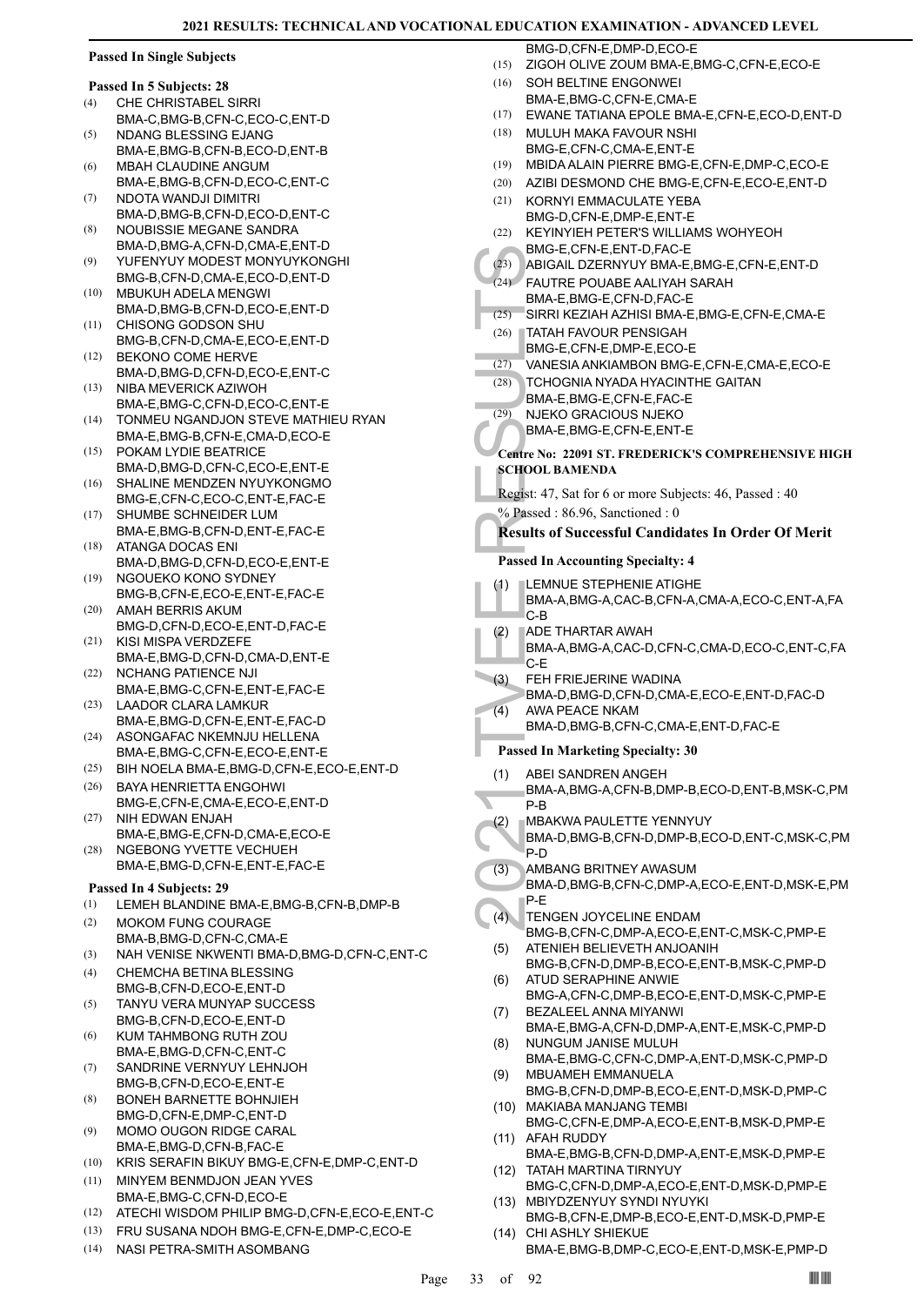BMG-D,CFN-E,DMP-D,ECO-E

|  | <b>Passed In Single Subjects</b> |  |
|--|----------------------------------|--|
|  |                                  |  |

|     | Passed In 5 Subjects: 28    |  |
|-----|-----------------------------|--|
| (4) | <b>CHE CHRISTABEL SIRRI</b> |  |

- BMA-C,BMG-B,CFN-C,ECO-C,ENT-D NDANG BLESSING EJANG (5)
- BMA-E,BMG-B,CFN-B,ECO-D,ENT-B MBAH CLAUDINE ANGUM (6)
- BMA-E,BMG-B,CFN-D,ECO-C,ENT-C NDOTA WANDJI DIMITRI (7)
- BMA-D, BMG-B, CEN-D, ECO-D, ENT-C NOUBISSIE MEGANE SANDRA (8)
- BMA-D,BMG-A,CFN-D,CMA-E,ENT-D YUFENYUY MODEST MONYUYKONGHI (9)
- BMG-B,CFN-D,CMA-E,ECO-D,ENT-D MBUKUH ADELA MENGWI (10)
- BMA-D,BMG-B,CFN-D,ECO-E,ENT-D CHISONG GODSON SHU (11)
- BMG-B,CFN-D,CMA-E,ECO-E,ENT-D BEKONO COME HERVE (12)
- BMA-D,BMG-D,CFN-D,ECO-E,ENT-C NIBA MEVERICK AZIWOH (13)
- BMA-E,BMG-C,CFN-D,ECO-C,ENT-E TONMEU NGANDJON STEVE MATHIEU RYAN (14)
- BMA-E,BMG-B,CFN-E,CMA-D,ECO-E POKAM LYDIE BEATRICE (15)
- BMA-D, BMG-D, CEN-C, ECO-E, ENT-E SHALINE MENDZEN NYUYKONGMO  $(16)$
- BMG-E,CFN-C,ECO-C,ENT-E,FAC-E SHUMBE SCHNEIDER LUM (17)
- BMA-E,BMG-B,CFN-D,ENT-E,FAC-E ATANGA DOCAS ENI (18)
- BMA-D,BMG-D,CFN-D,ECO-E,ENT-E NGOUEKO KONO SYDNEY (19)
- BMG-B,CFN-E,ECO-E,ENT-E,FAC-E AMAH BERRIS AKUM (20)
- BMG-D,CFN-D,ECO-E,ENT-D,FAC-E KISI MISPA VERDZEFE (21)
- BMA-E,BMG-D,CFN-D,CMA-D,ENT-E NCHANG PATIENCE NJI (22)
- BMA-E,BMG-C,CFN-E,ENT-E,FAC-E LAADOR CLARA LAMKUR (23)
- BMA-E,BMG-D,CFN-E,ENT-E,FAC-D ASONGAFAC NKEMNJU HELLENA (24)
- BMA-E,BMG-C,CFN-E,ECO-E,ENT-E (25) BIH NOELA BMA-E,BMG-D,CFN-E,ECO-E,ENT-D
- BAYA HENRIETTA ENGOHWI BMG-E,CFN-E,CMA-E,ECO-E,ENT-D (26)
- NIH EDWAN ENJAH BMA-E,BMG-E,CFN-D,CMA-E,ECO-E (27)
- NGEBONG YVETTE VECHUEH BMA-E,BMG-D,CFN-E,ENT-E,FAC-E (28)

# **Passed In 4 Subjects: 29**

- (1) LEMEH BLANDINE BMA-E,BMG-B,CFN-B,DMP-B
- MOKOM FUNG COURAGE BMA-B,BMG-D,CFN-C,CMA-E (2)
- (3) NAH VENISE NKWENTI BMA-D,BMG-D,CFN-C,ENT-C
- CHEMCHA BETINA BLESSING BMG-B,CFN-D,ECO-E,ENT-D (4)
- TANYU VERA MUNYAP SUCCESS BMG-B,CFN-D,ECO-E,ENT-D (5)
- KUM TAHMBONG RUTH ZOU BMA-E,BMG-D,CFN-C,ENT-C (6)
- SANDRINE VERNYUY LEHNJOH BMG-B,CFN-D,ECO-E,ENT-E (7)
- BONEH BARNETTE BOHNJIEH BMG-D,CFN-E,DMP-C,ENT-D (8)
- MOMO OUGON RIDGE CARAL BMA-E,BMG-D,CFN-B,FAC-E (9)
- (10) KRIS SERAFIN BIKUY BMG-E,CFN-E,DMP-C,ENT-D
- MINYEM BENMDJON JEAN YVES BMA-E,BMG-C,CFN-D,ECO-E (11)
- (12) ATECHI WISDOM PHILIP BMG-D,CFN-E,ECO-E,ENT-C
- (13) FRU SUSANA NDOH BMG-E,CFN-E,DMP-C,ECO-E
- (14) NASI PETRA-SMITH ASOMBANG
- BMG-E,<br>
(23) ABIGAIL<br>
(24) FAUTRE BMA-E,<br>
(26) TATAH I BMG-E,<br>
(27) VANESI TCHOG BMA-E,<br>
(27) VANESI TCHOG BMA-E,<br>
(29) NJEKO BMA-E,<br>
(29) NJEKO BMA-E,<br>
Centre No: 22<br>
SCHOOL BA<br>
Regist: 47, S.<br>
% Passed In Ac<br>
(4) LEMNU B (15) ZIGOH OLIVE ZOUM BMA-E,BMG-C,CFN-E,ECO-E SOH BELTINE ENGONWEI BMA-E,BMG-C,CFN-E,CMA-E  $(16)$ (17) EWANE TATIANA EPOLE BMA-E,CFN-E,ECO-D,ENT-D MULUH MAKA FAVOUR NSHI BMG-E,CFN-C,CMA-E,ENT-E (18) (19) MBIDA ALAIN PIERRE BMG-E,CFN-E,DMP-C,ECO-E (20) AZIBI DESMOND CHE BMG-E,CFN-E,ECO-E,ENT-D KORNYI EMMACULATE YEBA BMG-D,CFN-E,DMP-E,ENT-E (21) KEYINYIEH PETER'S WILLIAMS WOHYEOH BMG-F,CFN-F, FNT-D, FAC-F (22) (23) ABIGAIL DZERNYUY BMA-E,BMG-E,CFN-E,ENT-D FAUTRE POUABE AALIYAH SARAH BMA-E,BMG-E,CFN-D,FAC-E  $(24)$ (25) SIRRI KEZIAH AZHISI BMA-E,BMG-E,CFN-E,CMA-E TATAH FAVOUR PENSIGAH BMG-E,CFN-E,DMP-E,ECO-E (26) (27) VANESIA ANKIAMBON BMG-E,CFN-E,CMA-E,ECO-E TCHOGNIA NYADA HYACINTHE GAITAN BMA-E,BMG-E,CFN-E,FAC-E (28) NJEKO GRACIOUS NJEKO BMA-E,BMG-E,CFN-E,ENT-E (29) **Centre No: 22091 ST. FREDERICK'S COMPREHENSIVE HIGH SCHOOL BAMENDA**  Regist: 47, Sat for 6 or more Subjects: 46, Passed : 40 % Passed : 86.96, Sanctioned : 0 **Results of Successful Candidates In Order Of Merit Passed In Accounting Specialty: 4** LEMNUE STEPHENIE ATIGHE BMA-A,BMG-A,CAC-B,CFN-A,CMA-A,ECO-C,ENT-A,FA  $C - B$ (1) ADE THARTAR AWAH BMA-A,BMG-A,CAC-D,CFN-C,CMA-D,ECO-C,ENT-C,FA C-E (2) FEH FRIEJERINE WADINA BMA-D,BMG-D,CFN-D,CMA-E,ECO-E,ENT-D,FAC-D (3) AWA PEACE NKAM BMA-D,BMG-B,CFN-C,CMA-E,ENT-D,FAC-E (4) **Passed In Marketing Specialty: 30** ABEI SANDREN ANGEH BMA-A,BMG-A,CFN-B,DMP-B,ECO-D,ENT-B,MSK-C,PM P-B (1) MBAKWA PAULETTE YENNYUY BMA-D,BMG-B,CFN-D,DMP-B,ECO-D,ENT-C,MSK-C,PM P-D (2) AMBANG BRITNEY AWASUM BMA-D,BMG-B,CFN-C,DMP-A,ECO-E,ENT-D,MSK-E,PM P-E (3) TENGEN JOYCELINE ENDAM BMG-B,CFN-C,DMP-A,ECO-E,ENT-C,MSK-C,PMP-E  $(4)$ ATENIEH BELIEVETH ANJOANIH BMG-B,CFN-D,DMP-B,ECO-E,ENT-B,MSK-C,PMP-D (5) ATUD SERAPHINE ANWIE BMG-A,CFN-C,DMP-B,ECO-E,ENT-D,MSK-C,PMP-E (6) BEZALEEL ANNA MIYANWI BMA-E,BMG-A,CFN-D,DMP-A,ENT-E,MSK-C,PMP-D (7) NUNGUM JANISE MULUH (8)
	- BMA-E,BMG-C,CFN-C,DMP-A,ENT-D,MSK-C,PMP-D MBUAMEH EMMANUELA (9)
	- BMG-B,CFN-D,DMP-B,ECO-E,ENT-D,MSK-D,PMP-C MAKIABA MANJANG TEMBI (10)
	- BMG-C,CFN-E,DMP-A,ECO-E,ENT-B,MSK-D,PMP-E (11) AFAH RUDDY
	- BMA-E,BMG-B,CFN-D,DMP-A,ENT-E,MSK-D,PMP-E TATAH MARTINA TIRNYUY (12)
	- BMG-C,CFN-D,DMP-A,ECO-E,ENT-D,MSK-D,PMP-E MBIYDZENYUY SYNDI NYUYKI (13)
	- BMG-B,CFN-E,DMP-B,ECO-E,ENT-D,MSK-D,PMP-E CHI ASHLY SHIEKUE (14)
		- BMA-E,BMG-B,DMP-C,ECO-E,ENT-D,MSK-E,PMP-D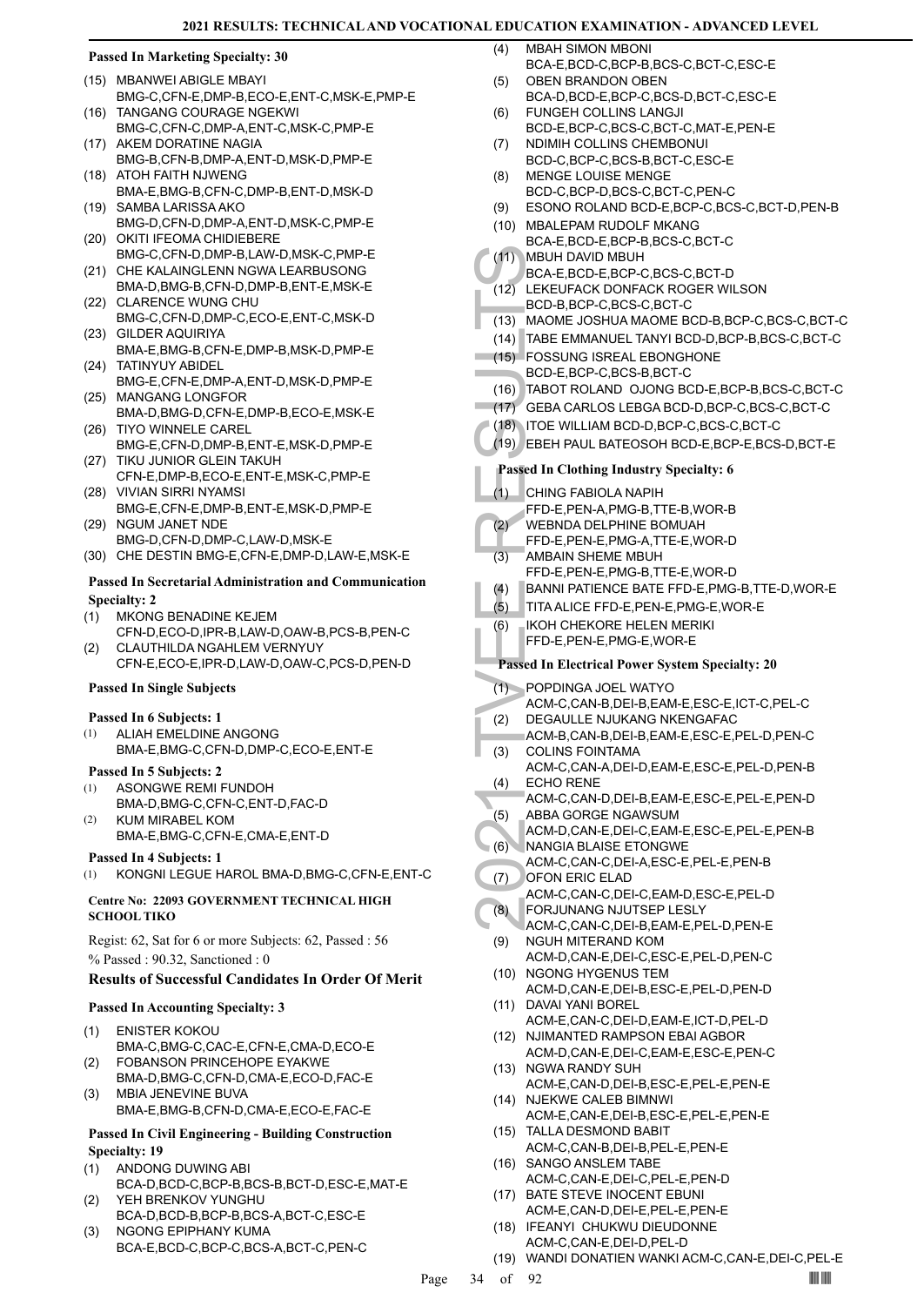### **Passed In Marketing Specialty: 30**

- MBANWEI ABIGLE MBAYI (15)
- BMG-C,CFN-E,DMP-B,ECO-E,ENT-C,MSK-E,PMP-E (16) TANGANG COURAGE NGEKWI
- BMG-C,CFN-C,DMP-A,ENT-C,MSK-C,PMP-E (17) AKEM DORATINE NAGIA
- BMG-B,CFN-B,DMP-A,ENT-D,MSK-D,PMP-E (18) ATOH FAITH NJWENG
- BMA-E,BMG-B,CFN-C,DMP-B,ENT-D,MSK-D SAMBA LARISSA AKO (19)
- BMG-D,CFN-D,DMP-A,ENT-D,MSK-C,PMP-E (20) OKITI IFEOMA CHIDIEBERE
- BMG-C,CFN-D,DMP-B,LAW-D,MSK-C,PMP-E (21) CHE KALAINGLENN NGWA LEARBUSONG
- BMA-D,BMG-B,CFN-D,DMP-B,ENT-E,MSK-E (22) CLARENCE WUNG CHU
- BMG-C,CFN-D,DMP-C,ECO-E,ENT-C,MSK-D GILDER AQUIRIYA (23)
- BMA-E,BMG-B,CFN-E,DMP-B,MSK-D,PMP-E TATINYUY ABIDEL (24)
- BMG-E,CFN-E,DMP-A,ENT-D,MSK-D,PMP-E (25) MANGANG LONGFOR
- BMA-D,BMG-D,CFN-E,DMP-B,ECO-E,MSK-E (26) TIYO WINNELE CAREL
- BMG-E,CFN-D,DMP-B,ENT-E,MSK-D,PMP-E (27) TIKU JUNIOR GLEIN TAKUH
- CFN-E,DMP-B,ECO-E,ENT-E,MSK-C,PMP-E VIVIAN SIRRI NYAMSI (28)
- BMG-E,CFN-E,DMP-B,ENT-E,MSK-D,PMP-E (29) NGUM JANET NDE
- BMG-D,CFN-D,DMP-C,LAW-D,MSK-E
- (30) CHE DESTIN BMG-E,CFN-E,DMP-D,LAW-E,MSK-E

# **Passed In Secretarial Administration and Communication Specialty: 2**

- MKONG BENADINE KEJEM (1)
- CFN-D,ECO-D,IPR-B,LAW-D,OAW-B,PCS-B,PEN-C CLAUTHILDA NGAHLEM VERNYUY (2)
- CFN-E,ECO-E,IPR-D,LAW-D,OAW-C,PCS-D,PEN-D

# **Passed In Single Subjects**

# **Passed In 6 Subjects: 1**

ALIAH EMELDINE ANGONG BMA-E,BMG-C,CFN-D,DMP-C,ECO-E,ENT-E (1)

# **Passed In 5 Subjects: 2**

- ASONGWE REMI FUNDOH BMA-D,BMG-C,CFN-C,ENT-D,FAC-D (1)
- KUM MIRABEL KOM BMA-E,BMG-C,CFN-E,CMA-E,ENT-D (2)

# **Passed In 4 Subjects: 1**

(1) KONGNI LEGUE HAROL BMA-D,BMG-C,CFN-E,ENT-C

# **Centre No: 22093 GOVERNMENT TECHNICAL HIGH SCHOOL TIKO**

Regist: 62, Sat for 6 or more Subjects: 62, Passed : 56 % Passed : 90.32, Sanctioned : 0

# **Results of Successful Candidates In Order Of Merit**

# **Passed In Accounting Specialty: 3**

- ENISTER KOKOU BMA-C,BMG-C,CAC-E,CFN-E,CMA-D,ECO-E (1)
- FOBANSON PRINCEHOPE EYAKWE BMA-D,BMG-C,CFN-D,CMA-E,ECO-D,FAC-E (2)
- MBIA JENEVINE BUVA BMA-E,BMG-B,CFN-D,CMA-E,ECO-E,FAC-E (3)

# **Passed In Civil Engineering - Building Construction Specialty: 19**

- ANDONG DUWING ABI (1)
- BCA-D,BCD-C,BCP-B,BCS-B,BCT-D,ESC-E,MAT-E YEH BRENKOV YUNGHU (2)
- BCA-D,BCD-B,BCP-B,BCS-A,BCT-C,ESC-E (3)
- NGONG EPIPHANY KUMA BCA-E,BCD-C,BCP-C,BCS-A,BCT-C,PEN-C
- MBAH SIMON MBONI BCA-E,BCD-C,BCP-B,BCS-C,BCT-C,ESC-E  $(4)$
- OBEN BRANDON OBEN  $(5)$
- BCA-D,BCD-E,BCP-C,BCS-D,BCT-C,ESC-E FUNGEH COLLINS LANGJI (6)
- BCD-E,BCP-C,BCS-C,BCT-C,MAT-E,PEN-E NDIMIH COLLINS CHEMBONUI (7)
- BCD-C,BCP-C,BCS-B,BCT-C,ESC-E
- MENGE LOUISE MENGE BCD-C,BCP-D,BCS-C,BCT-C,PEN-C (8)
- (9) ESONO ROLAND BCD-E,BCP-C,BCS-C,BCT-D,PEN-B
- (10) MBALEPAM RUDOLF MKANG
- BCA-E,BCD-E,BCP-B,BCS-C,BCT-C MBUH DAVID MBUH  $(11)$
- BCA-E,BCD-E,BCP-C,BCS-C,BCT-D
- LEKEUFACK DONFACK ROGER WILSON (12)
- BCD-B,BCP-C,BCS-C,BCT-C
- (13) MAOME JOSHUA MAOME BCD-B,BCP-C,BCS-C,BCT-C
- (14) TABE EMMANUEL TANYI BCD-D,BCP-B,BCS-C,BCT-C
- FOSSUNG ISREAL EBONGHONE (15) BCD-E,BCP-C,BCS-B,BCT-C
- (16) TABOT ROLAND OJONG BCD-E,BCP-B,BCS-C,BCT-C
- (17) GEBA CARLOS LEBGA BCD-D,BCP-C,BCS-C,BCT-C
- (18) ITOE WILLIAM BCD-D,BCP-C,BCS-C,BCT-C
- (19) EBEH PAUL BATEOSOH BCD-E,BCP-E,BCS-D,BCT-E

# **Passed In Clothing Industry Specialty: 6**

- CHING FABIOLA NAPIH  $(1)$
- FFD-E,PEN-A,PMG-B,TTE-B,WOR-B
- WEBNDA DELPHINE BOMUAH (2)
- FFD-E,PEN-E,PMG-A,TTE-E,WOR-D
- AMBAIN SHEME MBUH FFD-E,PEN-E,PMG-B,TTE-E,WOR-D (3)
- (4) BANNI PATIENCE BATE FFD-E,PMG-B,TTE-D,WOR-E
- (5) TITA ALICE FFD-E,PEN-E,PMG-E,WOR-E
- IKOH CHEKORE HELEN MERIKI (6)
- FFD-E,PEN-E,PMG-E,WOR-E

# **Passed In Electrical Power System Specialty: 20**

POPDINGA JOEL WATYO (1)

- ACM-C,CAN-B,DEI-B,EAM-E,ESC-E,ICT-C,PEL-C
- DEGAULLE NJUKANG NKENGAFAC ACM-B,CAN-B,DEI-B,EAM-E,ESC-E,PEL-D,PEN-C (2)
- COLINS FOINTAMA (3)
- ACM-C,CAN-A,DEI-D,EAM-E,ESC-E,PEL-D,PEN-B ECHO RENE (4)
- (11) MBUH I BCA-E, (12) LEKEUF BCD-B, (13) MAOME<br>
BCD-B, (13) MAOME E CD-B, (13) MAOME E CD-B, (14) TABE E FOSSU<br>
(16) TABOT (17) GEBA C (18) ITOE W<br>
(18) ITOE W<br>
(19) EBEH P Passed In CI<br>
(1) CHING FFD-E, WEBND FFD-E, WEB ACM-C,CAN-D,DEI-B,EAM-E,ESC-E,PEL-E,PEN-D ABBA GORGE NGAWSUM (5)
- ACM-D,CAN-E,DEI-C,EAM-E,ESC-E,PEL-E,PEN-B NANGIA BLAISE ETONGWE (6)
- ACM-C,CAN-C,DEI-A,ESC-E,PEL-E,PEN-B
- OFON ERIC ELAD (7)
- ACM-C,CAN-C,DEI-C,EAM-D,ESC-E,PEL-D FORJUNANG NJUTSEP LESLY (8)
- ACM-C,CAN-C,DEI-B,EAM-E,PEL-D,PEN-E NGUH MITERAND KOM (9)
- ACM-D,CAN-E,DEI-C,ESC-E,PEL-D,PEN-C (10) NGONG HYGENUS TEM
- ACM-D,CAN-E,DEI-B,ESC-E,PEL-D,PEN-D (11) DAVAI YANI BOREL
- ACM-E,CAN-C,DEI-D,EAM-E,ICT-D,PEL-D (12) NJIMANTED RAMPSON EBAI AGBOR
- ACM-D,CAN-E,DEI-C,EAM-E,ESC-E,PEN-C (13) NGWA RANDY SUH
- ACM-E,CAN-D,DEI-B,ESC-E,PEL-E,PEN-E (14) NJEKWE CALEB BIMNWI
- ACM-E,CAN-E,DEI-B,ESC-E,PEL-E,PEN-E (15) TALLA DESMOND BABIT
- ACM-C,CAN-B,DEI-B,PEL-E,PEN-E (16) SANGO ANSLEM TABE
- ACM-C,CAN-E,DEI-C,PEL-E,PEN-D (17) BATE STEVE INOCENT EBUNI
- ACM-E,CAN-D,DEI-E,PEL-E,PEN-E
- (18) IFEANYI CHUKWU DIEUDONNE ACM-C,CAN-E,DEI-D,PEL-D
- (19) WANDI DONATIEN WANKI ACM-C,CAN-E,DEI-C,PEL-E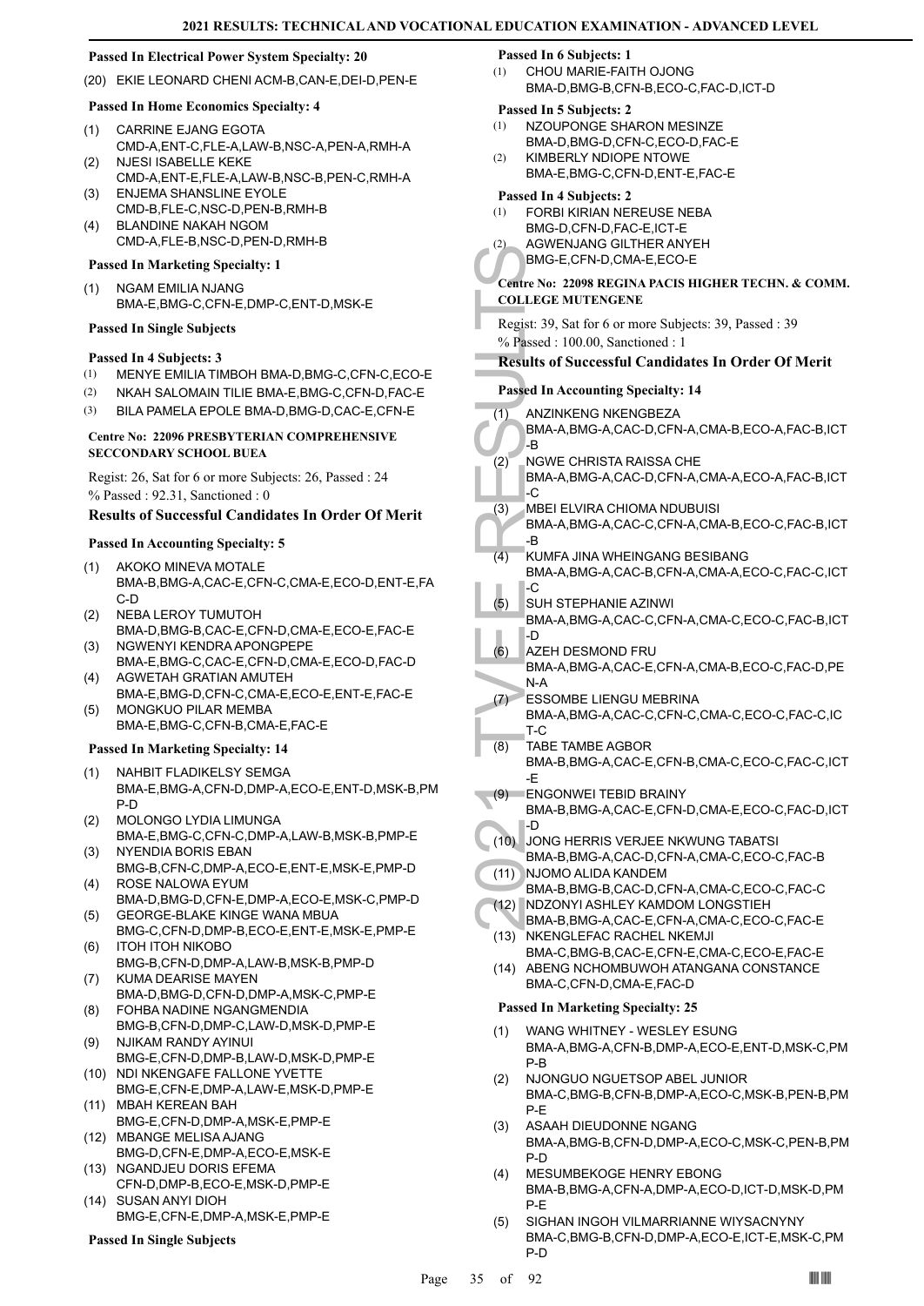# **Passed In Electrical Power System Specialty: 20**

(20) EKIE LEONARD CHENI ACM-B,CAN-E,DEI-D,PEN-E

# **Passed In Home Economics Specialty: 4**

- CARRINE EJANG EGOTA CMD-A,ENT-C,FLE-A,LAW-B,NSC-A,PEN-A,RMH-A (1) NJESI ISABELLE KEKE (2)
- CMD-A,ENT-E,FLE-A,LAW-B,NSC-B,PEN-C,RMH-A ENJEMA SHANSLINE EYOLE (3)
- CMD-B,FLE-C,NSC-D,PEN-B,RMH-B BLANDINE NAKAH NGOM (4)
- CMD-A,FLE-B,NSC-D,PEN-D,RMH-B

# **Passed In Marketing Specialty: 1**

NGAM EMILIA NJANG BMA-E,BMG-C,CFN-E,DMP-C,ENT-D,MSK-E (1)

### **Passed In Single Subjects**

# **Passed In 4 Subjects: 3**

- (1) MENYE EMILIA TIMBOH BMA-D,BMG-C,CFN-C,ECO-E
- (2) NKAH SALOMAIN TILIE BMA-E,BMG-C,CFN-D,FAC-E
- (3) BILA PAMELA EPOLE BMA-D,BMG-D,CAC-E,CFN-E

# **Centre No: 22096 PRESBYTERIAN COMPREHENSIVE SECCONDARY SCHOOL BUEA**

Regist: 26, Sat for 6 or more Subjects: 26, Passed : 24 % Passed : 92.31, Sanctioned : 0

# **Results of Successful Candidates In Order Of Merit**

# **Passed In Accounting Specialty: 5**

- AKOKO MINEVA MOTALE BMA-B,BMG-A,CAC-E,CFN-C,CMA-E,ECO-D,ENT-E,FA C-D (1)
- NEBA LEROY TUMUTOH (2)
- BMA-D,BMG-B,CAC-E,CFN-D,CMA-E,ECO-E,FAC-E NGWENYI KENDRA APONGPEPE (3)
- BMA-E,BMG-C,CAC-E,CFN-D,CMA-E,ECO-D,FAC-D AGWETAH GRATIAN AMUTEH (4)
- BMA-E,BMG-D,CFN-C,CMA-E,ECO-E,ENT-E,FAC-E MONGKUO PILAR MEMBA (5)
- BMA-E,BMG-C,CFN-B,CMA-E,FAC-E

# **Passed In Marketing Specialty: 14**

- NAHBIT FLADIKELSY SEMGA BMA-E,BMG-A,CFN-D,DMP-A,ECO-E,ENT-D,MSK-B,PM P-D (1)
- MOLONGO LYDIA LIMUNGA BMA-E,BMG-C,CFN-C,DMP-A,LAW-B,MSK-B,PMP-E (2)
- NYENDIA BORIS EBAN BMG-B,CFN-C,DMP-A,ECO-E,ENT-E,MSK-E,PMP-D (3) ROSE NALOWA EYUM (4)
- BMA-D,BMG-D,CFN-E,DMP-A,ECO-E,MSK-C,PMP-D GEORGE-BLAKE KINGE WANA MBUA (5)
- BMG-C,CFN-D,DMP-B,ECO-E,ENT-E,MSK-E,PMP-E ITOH ITOH NIKOBO (6)
- BMG-B,CFN-D,DMP-A,LAW-B,MSK-B,PMP-D KUMA DEARISE MAYEN (7)
- BMA-D,BMG-D,CFN-D,DMP-A,MSK-C,PMP-E FOHBA NADINE NGANGMENDIA (8)
- BMG-B,CFN-D,DMP-C,LAW-D,MSK-D,PMP-E NJIKAM RANDY AYINUI (9)
- BMG-E,CFN-D,DMP-B,LAW-D,MSK-D,PMP-E (10) NDI NKENGAFE FALLONE YVETTE
- BMG-E,CFN-E,DMP-A,LAW-E,MSK-D,PMP-E MBAH KEREAN BAH (11)
- BMG-E,CFN-D,DMP-A,MSK-E,PMP-E (12) MBANGE MELISA AJANG
- BMG-D,CFN-E,DMP-A,ECO-E,MSK-E (13) NGANDJEU DORIS EFEMA
- CFN-D,DMP-B,ECO-E,MSK-D,PMP-E SUSAN ANYI DIOH  $(14)$
- BMG-E,CFN-E,DMP-A,MSK-E,PMP-E

# **Passed In Single Subjects**

### **Passed In 6 Subjects: 1**

CHOU MARIE-FAITH OJONG BMA-D,BMG-B,CFN-B,ECO-C,FAC-D,ICT-D (1)

# **Passed In 5 Subjects: 2**

- NZOUPONGE SHARON MESINZE BMA-D,BMG-D,CFN-C,ECO-D,FAC-E (1)
- KIMBERLY NDIOPE NTOWE (2)
- BMA-E,BMG-C,CFN-D,ENT-E,FAC-E

# **Passed In 4 Subjects: 2**

- FORBI KIRIAN NEREUSE NEBA (1)
- BMG-D,CFN-D,FAC-E,ICT-E AGWENJANG GILTHER ANYEH (2)
	- BMG-E,CFN-D,CMA-E,ECO-E

### **Centre No: 22098 REGINA PACIS HIGHER TECHN. & COMM. COLLEGE MUTENGENE**

Regist: 39, Sat for 6 or more Subjects: 39, Passed : 39 % Passed : 100.00, Sanctioned : 1

# **Results of Successful Candidates In Order Of Merit**

# **Passed In Accounting Specialty: 14**

- ANZINKENG NKENGBEZA (1)
- BMA-A,BMG-A,CAC-D,CFN-A,CMA-B,ECO-A,FAC-B,ICT -B
- NGWE CHRISTA RAISSA CHE BMA-A,BMG-A,CAC-D,CFN-A,CMA-A,ECO-A,FAC-B,ICT  $-c$ (2)
- MBEI ELVIRA CHIOMA NDUBUISI (3)
	- BMA-A,BMG-A,CAC-C,CFN-A,CMA-B,ECO-C,FAC-B,ICT -B
- KUMFA JINA WHEINGANG BESIBANG BMA-A,BMG-A,CAC-B,CFN-A,CMA-A,ECO-C,FAC-C,ICT  $\overline{C}$ (4)
- SUH STEPHANIE AZINWI BMA-A,BMG-A,CAC-C,CFN-A,CMA-C,ECO-C,FAC-B,ICT -D (5)
- AZEH DESMOND FRU BMA-A,BMG-A,CAC-E,CFN-A,CMA-B,ECO-C,FAC-D,PE N-A (6)
- ERICAL BANG-E,<br>
Centre No: 22<br>
COLLEGE M<br>
Regist: 39, S.<br>
% Passed : 11<br>
Results of S<br>
Passed In Ac<br>
(1) ANZINK<br>
BMA-A,<br>
BMA-A,<br>
-C<br>
BMA-A,<br>
-C<br>
(3) MBEI EI<br>
BMA-A,<br>
-C<br>
(3) MBEI EI<br>
BMA-A,<br>
-C<br>
BMA-A,<br>
-C<br>
BMA-A,<br>
-C<br>
BMA ESSOMBE LIENGU MEBRINA BMA-A,BMG-A,CAC-C,CFN-C,CMA-C,ECO-C,FAC-C,IC T-C  $(7)$
- TABE TAMBE AGBOR BMA-B,BMG-A,CAC-E,CFN-B,CMA-C,ECO-C,FAC-C,ICT -E (8)
- ENGONWEI TEBID BRAINY BMA-B,BMG-A,CAC-E,CFN-D,CMA-E,ECO-C,FAC-D,ICT -D  $(9)$
- JONG HERRIS VERJEE NKWUNG TABATSI (10) BMA-B,BMG-A,CAC-D,CFN-A,CMA-C,ECO-C,FAC-B
- (11) NJOMO ALIDA KANDEM
- BMA-B,BMG-B,CAC-D,CFN-A,CMA-C,ECO-C,FAC-C NDZONYI ASHLEY KAMDOM LONGSTIEH  $(12)$
- BMA-B,BMG-A,CAC-E,CFN-A,CMA-C,ECO-C,FAC-E (13) NKENGLEFAC RACHEL NKEMJI
- BMA-C,BMG-B,CAC-E,CFN-E,CMA-C,ECO-E,FAC-E (14) ABENG NCHOMBUWOH ATANGANA CONSTANCE BMA-C,CFN-D,CMA-E,FAC-D

- WANG WHITNEY WESLEY ESUNG BMA-A,BMG-A,CFN-B,DMP-A,ECO-E,ENT-D,MSK-C,PM P-B (1)
- NJONGUO NGUETSOP ABEL JUNIOR BMA-C,BMG-B,CFN-B,DMP-A,ECO-C,MSK-B,PEN-B,PM P-E (2)
- ASAAH DIEUDONNE NGANG BMA-A,BMG-B,CFN-D,DMP-A,ECO-C,MSK-C,PEN-B,PM P-D (3)
- MESUMBEKOGE HENRY EBONG BMA-B,BMG-A,CFN-A,DMP-A,ECO-D,ICT-D,MSK-D,PM P-E (4)
- SIGHAN INGOH VILMARRIANNE WIYSACNYNY BMA-C,BMG-B,CFN-D,DMP-A,ECO-E,ICT-E,MSK-C,PM P-D (5)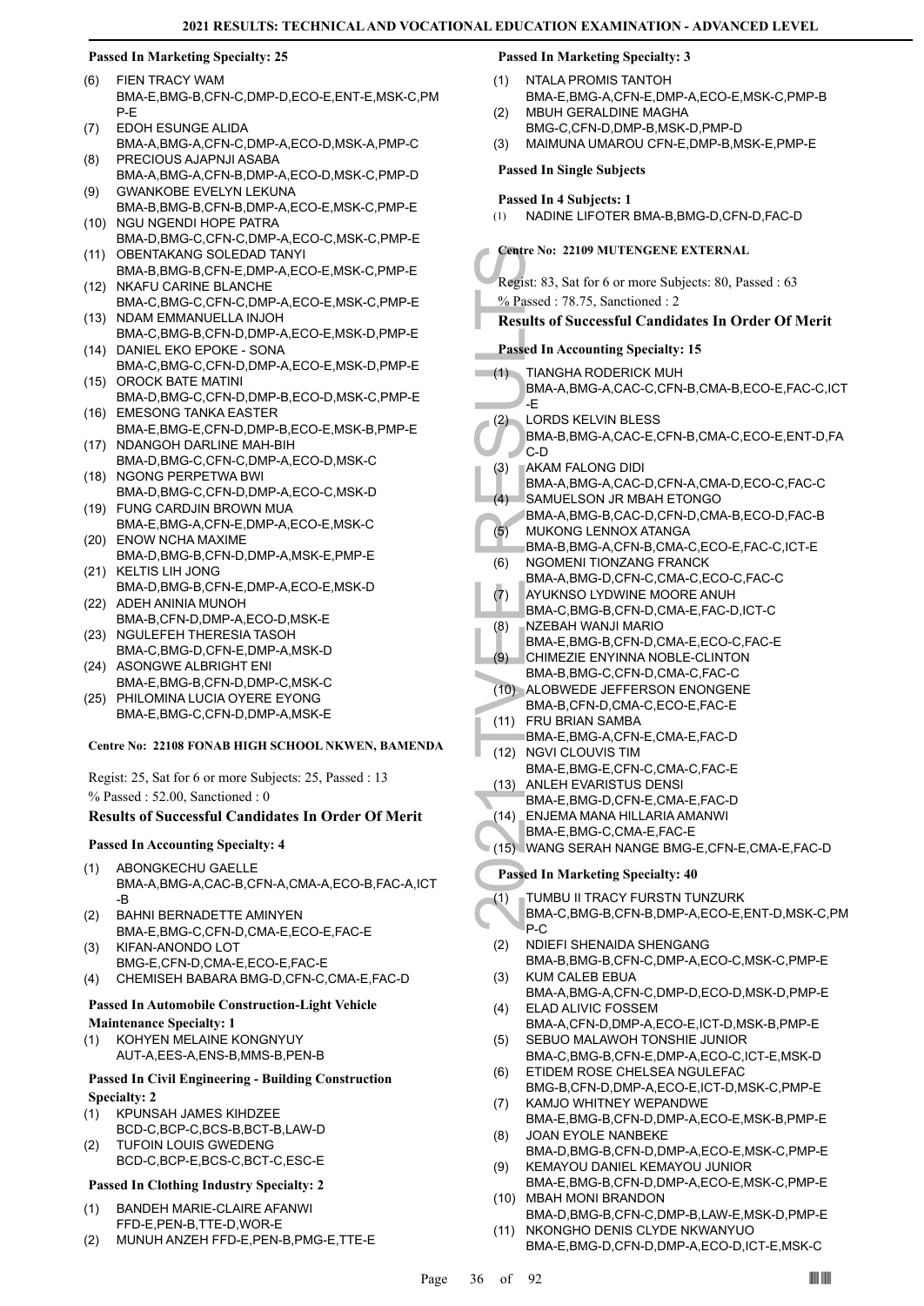# **Passed In Marketing Specialty: 25**

- FIEN TRACY WAM BMA-E,BMG-B,CFN-C,DMP-D,ECO-E,ENT-E,MSK-C,PM P-E (6)
- EDOH ESUNGE ALIDA BMA-A,BMG-A,CFN-C,DMP-A,ECO-D,MSK-A,PMP-C (7)
- PRECIOUS AJAPNJI ASABA BMA-A,BMG-A,CFN-B,DMP-A,ECO-D,MSK-C,PMP-D (8)
- GWANKOBE EVELYN LEKUNA BMA-B,BMG-B,CFN-B,DMP-A,ECO-E,MSK-C,PMP-E (9)
- (10) NGU NGENDI HOPE PATRA BMA-D,BMG-C,CFN-C,DMP-A,ECO-C,MSK-C,PMP-E (11) OBENTAKANG SOLEDAD TANYI
- BMA-B,BMG-B,CFN-E,DMP-A,ECO-E,MSK-C,PMP-E (12) NKAFU CARINE BLANCHE
- BMA-C,BMG-C,CFN-C,DMP-A,ECO-E,MSK-C,PMP-E (13) NDAM EMMANUELLA INJOH
- BMA-C,BMG-B,CFN-D,DMP-A,ECO-E,MSK-D,PMP-E (14) DANIEL EKO EPOKE - SONA
- BMA-C,BMG-C,CFN-D,DMP-A,ECO-E,MSK-D,PMP-E (15) OROCK BATE MATINI
- BMA-D,BMG-C,CFN-D,DMP-B,ECO-D,MSK-C,PMP-E EMESONG TANKA EASTER (16)
- BMA-E,BMG-E,CFN-D,DMP-B,ECO-E,MSK-B,PMP-E (17) NDANGOH DARLINE MAH-BIH
- BMA-D,BMG-C,CFN-C,DMP-A,ECO-D,MSK-C (18) NGONG PERPETWA BWI
- BMA-D,BMG-C,CFN-D,DMP-A,ECO-C,MSK-D FUNG CARDJIN BROWN MUA (19)
- BMA-E,BMG-A,CFN-E,DMP-A,ECO-E,MSK-C ENOW NCHA MAXIME (20)
- BMA-D,BMG-B,CFN-D,DMP-A,MSK-E,PMP-E (21) KELTIS LIH JONG
- BMA-D,BMG-B,CFN-E,DMP-A,ECO-E,MSK-D (22) ADEH ANINIA MUNOH
- BMA-B,CFN-D,DMP-A,ECO-D,MSK-E (23) NGULEFEH THERESIA TASOH
- BMA-C,BMG-D,CFN-E,DMP-A,MSK-D (24) ASONGWE ALBRIGHT ENI
- BMA-E,BMG-B,CFN-D,DMP-C,MSK-C (25) PHILOMINA LUCIA OYERE EYONG
- BMA-E,BMG-C,CFN-D,DMP-A,MSK-E

# **Centre No: 22108 FONAB HIGH SCHOOL NKWEN, BAMENDA**

Regist: 25, Sat for 6 or more Subjects: 25, Passed : 13 % Passed : 52.00, Sanctioned : 0

# **Results of Successful Candidates In Order Of Merit**

# **Passed In Accounting Specialty: 4**

- ABONGKECHU GAELLE BMA-A,BMG-A,CAC-B,CFN-A,CMA-A,ECO-B,FAC-A,ICT -B (1)
- BAHNI BERNADETTE AMINYEN BMA-E,BMG-C,CFN-D,CMA-E,ECO-E,FAC-E (2) KIFAN-ANONDO LOT (3)
- BMG-E,CFN-D,CMA-E,ECO-E,FAC-E (4) CHEMISEH BABARA BMG-D,CFN-C,CMA-E,FAC-D

# **Passed In Automobile Construction-Light Vehicle**

- **Maintenance Specialty: 1** KOHYEN MELAINE KONGNYUY (1)
	- AUT-A,EES-A,ENS-B,MMS-B,PEN-B

# **Passed In Civil Engineering - Building Construction Specialty: 2**

- KPUNSAH JAMES KIHDZEE BCD-C,BCP-C,BCS-B,BCT-B,LAW-D (1)
- TUFOIN LOUIS GWEDENG BCD-C,BCP-E,BCS-C,BCT-C,ESC-E (2)

# **Passed In Clothing Industry Specialty: 2**

- BANDEH MARIE-CLAIRE AFANWI FFD-E,PEN-B,TTE-D,WOR-E (1)
- (2) MUNUH ANZEH FFD-E,PEN-B,PMG-E,TTE-E

# **Passed In Marketing Specialty: 3**

- NTALA PROMIS TANTOH BMA-E,BMG-A,CFN-E,DMP-A,ECO-E,MSK-C,PMP-B (1) MBUH GERALDINE MAGHA  $(2)$
- BMG-C,CFN-D,DMP-B,MSK-D,PMP-D
- (3) MAIMUNA UMAROU CFN-E,DMP-B,MSK-E,PMP-E

# **Passed In Single Subjects**

# **Passed In 4 Subjects: 1**

(1) NADINE LIFOTER BMA-B,BMG-D,CFN-D,FAC-D

# **Centre No: 22109 MUTENGENE EXTERNAL**

# **Results of Successful Candidates In Order Of Merit**

# **Passed In Accounting Specialty: 15**

|      | <b>Centre No: 22109 MUTENGENE EXTERNAL</b>                             |
|------|------------------------------------------------------------------------|
|      | Regist: 83, Sat for 6 or more Subjects: 80, Passed : 63                |
|      | % Passed: 78.75, Sanctioned: 2                                         |
|      | <b>Results of Successful Candidates In Order Of Merit</b>              |
|      |                                                                        |
|      | <b>Passed In Accounting Specialty: 15</b>                              |
| (1)  | <b>TIANGHA RODERICK MUH</b>                                            |
|      | BMA-A,BMG-A,CAC-C,CFN-B,CMA-B,ECO-E,FAC-C,ICT                          |
|      | -E                                                                     |
| (2)  | <b>LORDS KELVIN BLESS</b>                                              |
|      | BMA-B, BMG-A, CAC-E, CFN-B, CMA-C, ECO-E, ENT-D, FA<br>C-D             |
| (3)  | <b>AKAM FALONG DIDI</b>                                                |
|      | BMA-A, BMG-A, CAC-D, CFN-A, CMA-D, ECO-C, FAC-C                        |
| (4)  | SAMUELSON JR MBAH ETONGO                                               |
|      | BMA-A, BMG-B, CAC-D, CFN-D, CMA-B, ECO-D, FAC-B                        |
| (5)  | <b>MUKONG LENNOX ATANGA</b>                                            |
|      | BMA-B, BMG-A, CFN-B, CMA-C, ECO-E, FAC-C, ICT-E                        |
| (6)  | <b>NGOMENI TIONZANG FRANCK</b>                                         |
| (7)  | BMA-A, BMG-D, CFN-C, CMA-C, ECO-C, FAC-C<br>AYUKNSO LYDWINE MOORE ANUH |
|      | BMA-C, BMG-B, CFN-D, CMA-E, FAC-D, ICT-C                               |
| (8)  | NZEBAH WANJI MARIO                                                     |
|      | BMA-E, BMG-B, CFN-D, CMA-E, ECO-C, FAC-E                               |
| (9)  | CHIMEZIE ENYINNA NOBLE-CLINTON                                         |
|      | BMA-B, BMG-C, CFN-D, CMA-C, FAC-C                                      |
|      | (10) ALOBWEDE JEFFERSON ENONGENE                                       |
| (11) | BMA-B,CFN-D,CMA-C,ECO-E,FAC-E<br>FRU BRIAN SAMBA                       |
|      | BMA-E,BMG-A,CFN-E,CMA-E,FAC-D                                          |
| (12) | <b>NGVI CLOUVIS TIM</b>                                                |
|      | BMA-E,BMG-E,CFN-C,CMA-C,FAC-E                                          |
| (13) | <b>ANLEH EVARISTUS DENSI</b>                                           |
|      | BMA-E,BMG-D,CFN-E,CMA-E,FAC-D                                          |
| (14) | ENJEMA MANA HILLARIA AMANWI                                            |
|      | BMA-E,BMG-C,CMA-E,FAC-E                                                |
|      | (15) WANG SERAH NANGE BMG-E, CFN-E, CMA-E, FAC-D                       |
|      | <b>Passed In Marketing Specialty: 40</b>                               |
| (1)  | TUMBU II TRACY FURSTN TUNZURK                                          |
|      | BMA-C, BMG-B, CFN-B, DMP-A, ECO-E, ENT-D, MSK-C, PM<br>∩∟ם             |

- BMA-B,BMG-A,CAC-E,CFN-B,CMA-C,ECO-E,ENT-D,FA C-D
- AKAM FALONG DIDI (3)
	- BMA-A,BMG-A,CAC-D,CFN-A,CMA-D,ECO-C,FAC-C SAMUELSON JR MBAH ETONGO  $(4)$
- BMA-A,BMG-B,CAC-D,CFN-D,CMA-B,ECO-D,FAC-B MUKONG LENNOX ATANGA (5)
- BMA-B,BMG-A,CFN-B,CMA-C,ECO-E,FAC-C,ICT-E NGOMENI TIONZANG FRANCK (6)
- BMA-A,BMG-D,CFN-C,CMA-C,ECO-C,FAC-C AYUKNSO LYDWINE MOORE ANUH (7)
- BMA-C,BMG-B,CFN-D,CMA-E,FAC-D,ICT-C NZEBAH WANJI MARIO (8)
- BMA-E,BMG-B,CFN-D,CMA-E,ECO-C,FAC-E
- CHIMEZIE ENYINNA NOBLE-CLINTON BMA-B,BMG-C,CFN-D,CMA-C,FAC-C (9)
- (10) ALOBWEDE JEFFERSON ENONGENE BMA-B,CFN-D,CMA-C,ECO-E,FAC-E
- FRU BRIAN SAMBA (11)
- BMA-E,BMG-A,CFN-E,CMA-E,FAC-D
- (12) NGVI CLOUVIS TIM
- BMA-E,BMG-E,CFN-C,CMA-C,FAC-E
- (13) ANLEH EVARISTUS DENSI
- BMA-E,BMG-D,CFN-E,CMA-E,FAC-D
- ENJEMA MANA HILLARIA AMANWI (14)
- BMA-E,BMG-C,CMA-E,FAC-E (15) WANG SERAH NANGE BMG-E,CFN-E,CMA-E,FAC-D

- TUMBU II TRACY FURSTN TUNZURK BMA-C,BMG-B,CFN-B,DMP-A,ECO-E,ENT-D,MSK-C,PM P-C (1)
- NDIEFI SHENAIDA SHENGANG BMA-B,BMG-B,CFN-C,DMP-A,ECO-C,MSK-C,PMP-E (2) KUM CALEB EBUA (3)
- BMA-A,BMG-A,CFN-C,DMP-D,ECO-D,MSK-D,PMP-E ELAD ALIVIC FOSSEM (4)
- BMA-A,CFN-D,DMP-A,ECO-E,ICT-D,MSK-B,PMP-E SEBUO MALAWOH TONSHIE JUNIOR (5)
- BMA-C,BMG-B,CFN-E,DMP-A,ECO-C,ICT-E,MSK-D ETIDEM ROSE CHELSEA NGULEFAC (6)
- BMG-B,CFN-D,DMP-A,ECO-E,ICT-D,MSK-C,PMP-E KAMJO WHITNEY WEPANDWE (7)
- BMA-E,BMG-B,CFN-D,DMP-A,ECO-E,MSK-B,PMP-E JOAN EYOLE NANBEKE (8)
- BMA-D,BMG-B,CFN-D,DMP-A,ECO-E,MSK-C,PMP-E KEMAYOU DANIEL KEMAYOU JUNIOR (9)
- BMA-E,BMG-B,CFN-D,DMP-A,ECO-E,MSK-C,PMP-E (10) MBAH MONI BRANDON
- BMA-D,BMG-B,CFN-C,DMP-B,LAW-E,MSK-D,PMP-E (11) NKONGHO DENIS CLYDE NKWANYUO
- BMA-E,BMG-D,CFN-D,DMP-A,ECO-D,ICT-E,MSK-C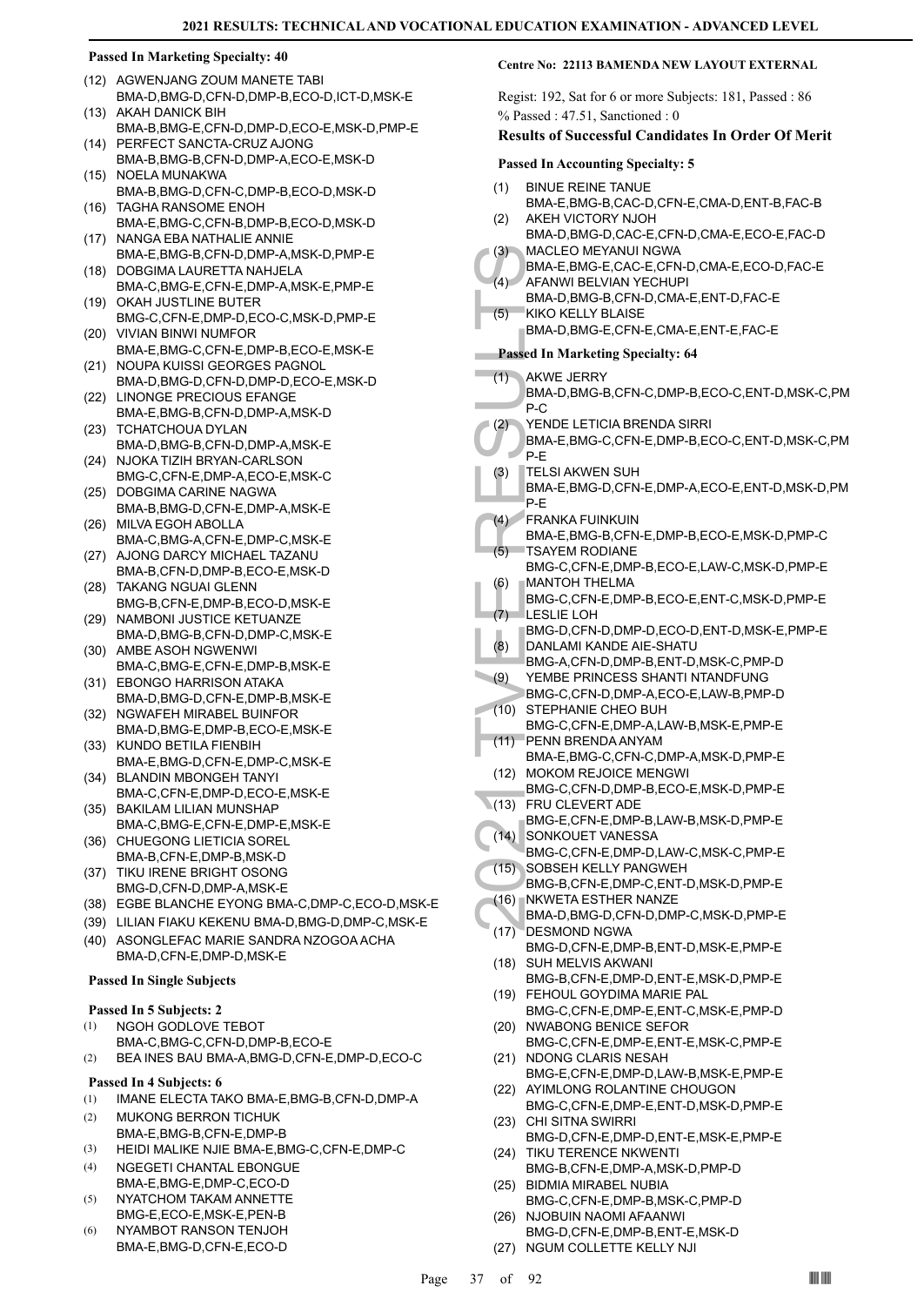- (12) AGWENJANG ZOUM MANETE TABI BMA-D,BMG-D,CFN-D,DMP-B,ECO-D,ICT-D,MSK-E
- AKAH DANICK BIH BMA-B,BMG-E,CFN-D,DMP-D,ECO-E,MSK-D,PMP-E (13) (14) PERFECT SANCTA-CRUZ AJONG
- BMA-B,BMG-B,CFN-D,DMP-A,ECO-E,MSK-D (15) NOELA MUNAKWA
- BMA-B,BMG-D,CFN-C,DMP-B,ECO-D,MSK-D (16) TAGHA RANSOME ENOH
- BMA-E,BMG-C,CFN-B,DMP-B,ECO-D,MSK-D (17) NANGA EBA NATHALIE ANNIE
- BMA-E,BMG-B,CFN-D,DMP-A,MSK-D,PMP-E (18) DOBGIMA LAURETTA NAHJELA
- BMA-C,BMG-E,CFN-E,DMP-A,MSK-E,PMP-E (19) OKAH JUSTLINE BUTER
- BMG-C,CFN-E,DMP-D,ECO-C,MSK-D,PMP-E (20) VIVIAN BINWI NUMFOR
- BMA-E,BMG-C,CFN-E,DMP-B,ECO-E,MSK-E (21) NOUPA KUISSI GEORGES PAGNOL
- BMA-D,BMG-D,CFN-D,DMP-D,ECO-E,MSK-D (22) LINONGE PRECIOUS EFANGE
- BMA-E,BMG-B,CFN-D,DMP-A,MSK-D (23) TCHATCHOUA DYLAN
- BMA-D,BMG-B,CFN-D,DMP-A,MSK-E
- (24) NJOKA TIZIH BRYAN-CARLSON BMG-C,CFN-E,DMP-A,ECO-E,MSK-C
- (25) DOBGIMA CARINE NAGWA BMA-B,BMG-D,CFN-E,DMP-A,MSK-E
- MILVA EGOH ABOLLA (26) BMA-C,BMG-A,CFN-E,DMP-C,MSK-E
- AJONG DARCY MICHAEL TAZANU BMA-B,CFN-D,DMP-B,ECO-E,MSK-D (27)
- (28) TAKANG NGUAI GLENN BMG-B,CFN-E,DMP-B,ECO-D,MSK-E
- (29) NAMBONI JUSTICE KETUANZE BMA-D,BMG-B,CFN-D,DMP-C,MSK-E
- (30) AMBE ASOH NGWENWI BMA-C,BMG-E,CFN-E,DMP-B,MSK-E
- EBONGO HARRISON ATAKA (31) BMA-D,BMG-D,CFN-E,DMP-B,MSK-E
- NGWAFEH MIRABEL BUINFOR BMA-D,BMG-E,DMP-B,ECO-E,MSK-E (32)
- (33) KUNDO BETILA FIENBIH BMA-E,BMG-D,CFN-E,DMP-C,MSK-E
- BLANDIN MBONGEH TANYI (34) BMA-C,CFN-E,DMP-D,ECO-E,MSK-E
- (35) BAKILAM LILIAN MUNSHAP BMA-C,BMG-E,CFN-E,DMP-E,MSK-E
- (36) CHUEGONG LIETICIA SOREL BMA-B,CFN-E,DMP-B,MSK-D (37) TIKU IRENE BRIGHT OSONG
- BMG-D,CFN-D,DMP-A,MSK-E
- (38) EGBE BLANCHE EYONG BMA-C,DMP-C,ECO-D,MSK-E
- (39) LILIAN FIAKU KEKENU BMA-D,BMG-D,DMP-C,MSK-E ASONGLEFAC MARIE SANDRA NZOGOA ACHA BMA-D,CFN-E,DMP-D,MSK-E (40)

## **Passed In Single Subjects**

## **Passed In 5 Subjects: 2**

- NGOH GODLOVE TEBOT (1)
- BMA-C,BMG-C,CFN-D,DMP-B,ECO-E
- (2) BEA INES BAU BMA-A,BMG-D,CFN-E,DMP-D,ECO-C **Passed In 4 Subjects: 6**
- (1) IMANE ELECTA TAKO BMA-E,BMG-B,CFN-D,DMP-A
- MUKONG BERRON TICHUK BMA-E,BMG-B,CFN-E,DMP-B (2)
- (3) HEIDI MALIKE NJIE BMA-E,BMG-C,CFN-E,DMP-C
- NGEGETI CHANTAL EBONGUE BMA-E,BMG-E,DMP-C,ECO-D (4)
- NYATCHOM TAKAM ANNETTE BMG-E,ECO-E,MSK-E,PEN-B (5)
- NYAMBOT RANSON TENJOH BMA-E,BMG-D,CFN-E,ECO-D (6)

## **Centre No: 22113 BAMENDA NEW LAYOUT EXTERNAL**

Regist: 192, Sat for 6 or more Subjects: 181, Passed : 86 % Passed : 47.51, Sanctioned : 0

## **Results of Successful Candidates In Order Of Merit**

## **Passed In Accounting Specialty: 5**

- BINUE REINE TANUE (1)
- BMA-E,BMG-B,CAC-D,CFN-E,CMA-D,ENT-B,FAC-B AKEH VICTORY NJOH (2)
- BMA-D,BMG-D,CAC-E,CFN-D,CMA-E,ECO-E,FAC-D MACLEO MEYANUI NGWA (3)
- BMA-E,BMG-E,CAC-E,CFN-D,CMA-E,ECO-D,FAC-E AFANWI BELVIAN YECHUPI  $(4)$
- BMA-D,BMG-B,CFN-D,CMA-E,ENT-D,FAC-E
- KIKO KELLY BLAISE  $(5)$ 
	- BMA-D,BMG-E,CFN-E,CMA-E,ENT-E,FAC-E

- AKWE JERRY (1)
	- BMA-D,BMG-B,CFN-C,DMP-B,ECO-C,ENT-D,MSK-C,PM P-C
- YENDE LETICIA BRENDA SIRRI (2)
- BMA-E,BMG-C,CFN-E,DMP-B,ECO-C,ENT-D,MSK-C,PM P-E
- TELSI AKWEN SUH (3)
- BMA-E,BMG-D,CFN-E,DMP-A,ECO-E,ENT-D,MSK-D,PM P-E
- FRANKA FUINKUIN (4)
- BMA-E,BMG-B,CFN-E,DMP-B,ECO-E,MSK-D,PMP-C TSAYEM RODIANE  $(5)$
- BMG-C,CFN-E,DMP-B,ECO-E,LAW-C,MSK-D,PMP-E MANTOH THELMA (6)
- BMG-C,CFN-E,DMP-B,ECO-E,ENT-C,MSK-D,PMP-E LESLIE LOH (7)
- BMG-D,CFN-D,DMP-D,ECO-D,ENT-D,MSK-E,PMP-E
- DANLAMI KANDE AIE-SHATU (8)
	- BMG-A,CFN-D,DMP-B,ENT-D,MSK-C,PMP-D
- (3) MACLE<br>
BMA-E, BMA-D, BMA-D, ENANY<br>
BMA-D, ENANY<br>
BMA-D, ENANY<br>
BMA-D, Passed In M<br>
(1) AKWE J<br>
BMA-D, PC<br>
PMA-D, PC<br>
PLE SIA BMA-E, TELSIA<br>
PLE SIA BMA-E, TELSIA<br>
PLE STAYER BMG-C, UESLIE<br>
BMG-C, LESLIE BMG-C, LESLIE<br> YEMBE PRINCESS SHANTI NTANDFUNG BMG-C,CFN-D,DMP-A,ECO-E,LAW-B,PMP-D (9) STEPHANIE CHEO BUH (10)
- BMG-C,CFN-E,DMP-A,LAW-B,MSK-E,PMP-E PENN BRENDA ANYAM (11)
- BMA-E,BMG-C,CFN-C,DMP-A,MSK-D,PMP-E (12) MOKOM REJOICE MENGWI
- BMG-C,CFN-D,DMP-B,ECO-E,MSK-D,PMP-E FRU CLEVERT ADE (13)
- 
- BMG-E,CFN-E,DMP-B,LAW-B,MSK-D,PMP-E SONKOUET VANESSA (14)
- BMG-C,CFN-E,DMP-D,LAW-C,MSK-C,PMP-E (15) SOBSEH KELLY PANGWEH
	- BMG-B,CFN-E,DMP-C,ENT-D,MSK-D,PMP-E
- (16) NKWETA ESTHER NANZE BMA-D,BMG-D,CFN-D,DMP-C,MSK-D,PMP-E
- DESMOND NGWA BMG-D,CFN-E,DMP-B,ENT-D,MSK-E,PMP-E  $(17)$
- (18) SUH MELVIS AKWANI
- BMG-B,CFN-E,DMP-D,ENT-E,MSK-D,PMP-E FEHOUL GOYDIMA MARIE PAL (19)
- BMG-C,CFN-E,DMP-E,ENT-C,MSK-E,PMP-D NWABONG BENICE SEFOR (20)
- BMG-C,CFN-E,DMP-E,ENT-E,MSK-C,PMP-E (21) NDONG CLARIS NESAH
- BMG-E,CFN-E,DMP-D,LAW-B,MSK-E,PMP-E (22) AYIMLONG ROLANTINE CHOUGON
- BMG-C,CFN-E,DMP-E,ENT-D,MSK-D,PMP-E (23) CHI SITNA SWIRRI
- BMG-D,CFN-E,DMP-D,ENT-E,MSK-E,PMP-E (24) TIKU TERENCE NKWENTI
- BMG-B,CFN-E,DMP-A,MSK-D,PMP-D BIDMIA MIRABEL NUBIA (25)
- BMG-C,CFN-E,DMP-B,MSK-C,PMP-D (26) NJOBUIN NAOMI AFAANWI
- BMG-D,CFN-E,DMP-B,ENT-E,MSK-D (27) NGUM COLLETTE KELLY NJI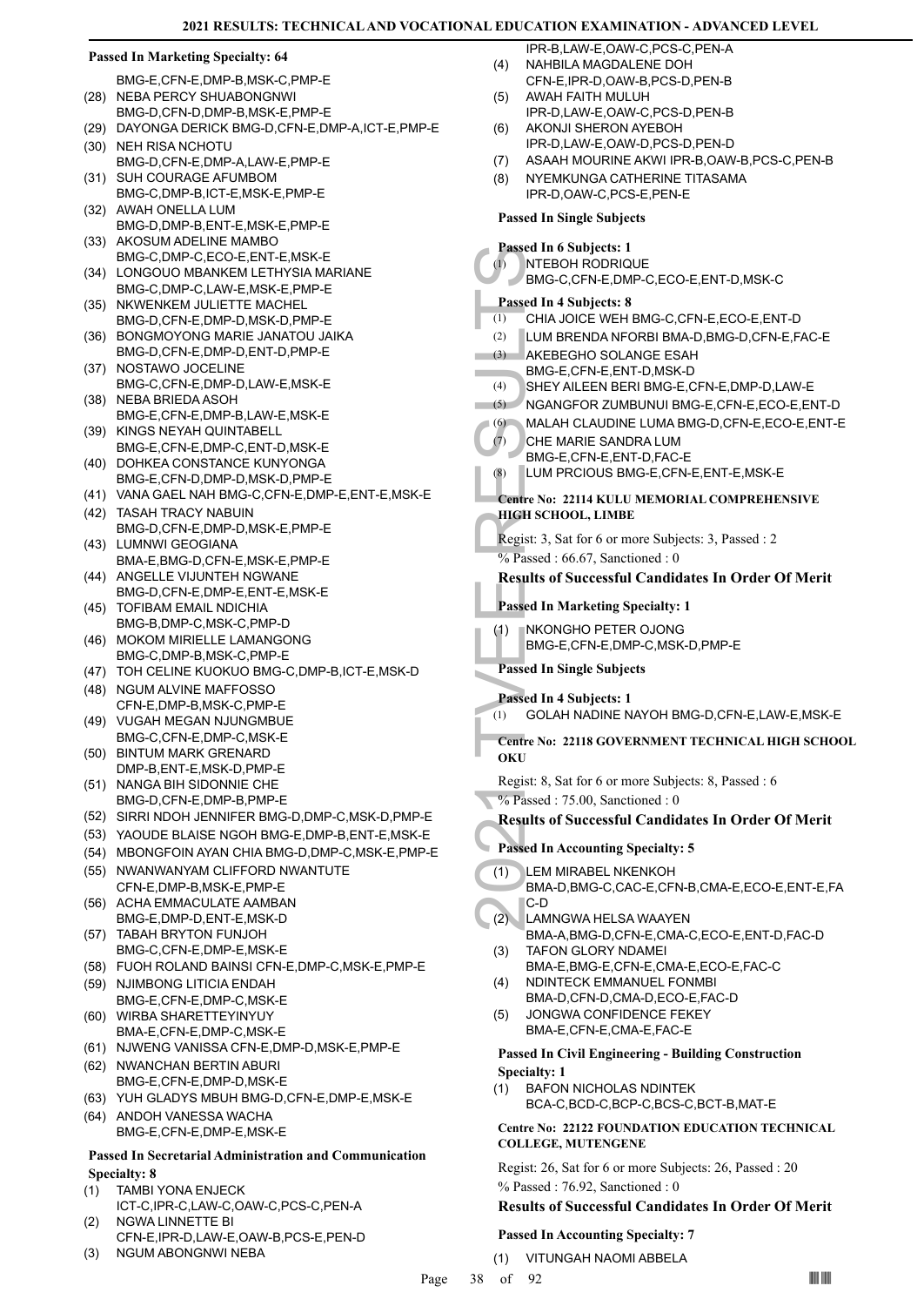#### Passed In 4 S<br>
(1) NTEBO<br>
BMG-C,<br>
Passed In 4 S<br>
(3) LUM BF<br>
(3) AKEBE<br>
BMG-E,<br>
(4) SHEYA<br>
NGANG<br>
(6) MALAH<br>
(7) CHE MA<br>
BMG-E,<br>
(8) LUM PF<br>
Centre No: 2:<br>
HIGH SCHO<br>
Regist: 3, Sat<br>
% Passed In M<br>
(1) NKONG<br>
BMG-E,<br>
Passe **Passed In Marketing Specialty: 64** BMG-E,CFN-E,DMP-B,MSK-C,PMP-E (28) NEBA PERCY SHUABONGNWI BMG-D,CFN-D,DMP-B,MSK-E,PMP-E (29) DAYONGA DERICK BMG-D,CFN-E,DMP-A,ICT-E,PMP-E (30) NEH RISA NCHOTU BMG-D,CFN-E,DMP-A,LAW-E,PMP-E (31) SUH COURAGE AFUMBOM BMG-C,DMP-B,ICT-E,MSK-E,PMP-E (32) AWAH ONELLA LUM BMG-D,DMP-B,ENT-E,MSK-E,PMP-E (33) AKOSUM ADELINE MAMBO BMG-C,DMP-C,ECO-E,ENT-E,MSK-E (34) LONGOUO MBANKEM LETHYSIA MARIANE BMG-C,DMP-C,LAW-E,MSK-E,PMP-E (35) NKWENKEM JULIETTE MACHEL BMG-D,CFN-E,DMP-D,MSK-D,PMP-E (36) BONGMOYONG MARIE JANATOU JAIKA BMG-D,CFN-E,DMP-D,ENT-D,PMP-E (37) NOSTAWO JOCELINE BMG-C,CFN-E,DMP-D,LAW-E,MSK-E (38) NEBA BRIEDA ASOH BMG-E,CFN-E,DMP-B,LAW-E,MSK-E (39) KINGS NEYAH QUINTABELL BMG-E,CFN-E,DMP-C,ENT-D,MSK-E (40) DOHKEA CONSTANCE KUNYONGA BMG-E,CFN-D,DMP-D,MSK-D,PMP-E (41) VANA GAEL NAH BMG-C,CFN-E,DMP-E,ENT-E,MSK-E (42) TASAH TRACY NABUIN BMG-D,CFN-E,DMP-D,MSK-E,PMP-E (43) LUMNWI GEOGIANA BMA-E,BMG-D,CFN-E,MSK-E,PMP-E (44) ANGELLE VIJUNTEH NGWANE BMG-D,CFN-E,DMP-E,ENT-E,MSK-E TOFIBAM EMAIL NDICHIA BMG-B,DMP-C,MSK-C,PMP-D (45) (46) MOKOM MIRIELLE LAMANGONG BMG-C,DMP-B,MSK-C,PMP-E (47) TOH CELINE KUOKUO BMG-C,DMP-B,ICT-E,MSK-D (48) NGUM ALVINE MAFFOSSO CFN-E,DMP-B,MSK-C,PMP-E (49) VUGAH MEGAN NJUNGMBUE BMG-C,CFN-E,DMP-C,MSK-E (50) BINTUM MARK GRENARD DMP-B,ENT-E,MSK-D,PMP-E (51) NANGA BIH SIDONNIE CHE BMG-D,CFN-E,DMP-B,PMP-E (52) SIRRI NDOH JENNIFER BMG-D,DMP-C,MSK-D,PMP-E (53) YAOUDE BLAISE NGOH BMG-E,DMP-B,ENT-E,MSK-E (54) MBONGFOIN AYAN CHIA BMG-D,DMP-C,MSK-E,PMP-E (55) NWANWANYAM CLIFFORD NWANTUTE CFN-E,DMP-B,MSK-E,PMP-E ACHA EMMACULATE AAMBAN BMG-E,DMP-D,ENT-E,MSK-D (56) (57) TABAH BRYTON FUNJOH BMG-C,CFN-E,DMP-E,MSK-E (58) FUOH ROLAND BAINSI CFN-E,DMP-C,MSK-E,PMP-E (59) NJIMBONG LITICIA ENDAH BMG-E,CFN-E,DMP-C,MSK-E WIRBA SHARETTEYINYUY (60) BMA-E,CFN-E,DMP-C,MSK-E (61) NJWENG VANISSA CFN-E,DMP-D,MSK-E,PMP-E (62) NWANCHAN BERTIN ABURI BMG-E,CFN-E,DMP-D,MSK-E (63) YUH GLADYS MBUH BMG-D,CFN-E,DMP-E,MSK-E (64) ANDOH VANESSA WACHA BMG-E,CFN-E,DMP-E,MSK-E **Passed In Secretarial Administration and Communication Specialty: 8** TAMBI YONA ENJECK ICT-C,IPR-C,LAW-C,OAW-C,PCS-C,PEN-A (1) NGWA LINNETTE BI (2) IPR-B,LAW-E,OAW-C,PCS-C,PEN-A NAHBILA MAGDALENE DOH CFN-E,IPR-D,OAW-B,PCS-D,PEN-B (4) AWAH FAITH MULUH IPR-D,LAW-E,OAW-C,PCS-D,PEN-B (5) AKONJI SHERON AYEBOH IPR-D,LAW-E,OAW-D,PCS-D,PEN-D (6) (8) (1) (3) (7) (1) **OKU**  C-D (1) (2) (3) (4) (5) **Specialty: 1** (1)

CFN-E,IPR-D,LAW-E,OAW-B,PCS-E,PEN-D

(3) NGUM ABONGNWI NEBA

(7) ASAAH MOURINE AKWI IPR-B,OAW-B,PCS-C,PEN-B NYEMKUNGA CATHERINE TITASAMA IPR-D,OAW-C,PCS-E,PEN-E **Passed In Single Subjects Passed In 6 Subjects: 1** NTEBOH RODRIQUE BMG-C,CFN-E,DMP-C,ECO-E,ENT-D,MSK-C **Passed In 4 Subjects: 8** (1) CHIA JOICE WEH BMG-C,CFN-E,ECO-E,ENT-D (2) LUM BRENDA NFORBI BMA-D,BMG-D,CFN-E,FAC-E AKEBEGHO SOLANGE ESAH BMG-E,CFN-E,ENT-D,MSK-D (4) SHEY AILEEN BERI BMG-E,CFN-E,DMP-D,LAW-E (5) NGANGFOR ZUMBUNUI BMG-E,CFN-E,ECO-E,ENT-D (6) MALAH CLAUDINE LUMA BMG-D,CFN-E,ECO-E,ENT-E CHE MARIE SANDRA LUM BMG-E,CFN-E,ENT-D,FAC-E (8) LUM PRCIOUS BMG-E,CFN-E,ENT-E,MSK-E **Centre No: 22114 KULU MEMORIAL COMPREHENSIVE HIGH SCHOOL, LIMBE**  Regist: 3, Sat for 6 or more Subjects: 3, Passed : 2  $\frac{6}{96}$  Passed: 66.67, Sanctioned: 0 **Results of Successful Candidates In Order Of Merit Passed In Marketing Specialty: 1** NKONGHO PETER OJONG BMG-E,CFN-E,DMP-C,MSK-D,PMP-E **Passed In Single Subjects Passed In 4 Subjects: 1** (1) GOLAH NADINE NAYOH BMG-D,CFN-E,LAW-E,MSK-E **Centre No: 22118 GOVERNMENT TECHNICAL HIGH SCHOOL**  Regist: 8, Sat for 6 or more Subjects: 8, Passed : 6 % Passed: 75.00, Sanctioned: 0 **Results of Successful Candidates In Order Of Merit Passed In Accounting Specialty: 5** LEM MIRABEL NKENKOH BMA-D,BMG-C,CAC-E,CFN-B,CMA-E,ECO-E,ENT-E,FA LAMNGWA HELSA WAAYEN BMA-A,BMG-D,CFN-E,CMA-C,ECO-E,ENT-D,FAC-D TAFON GLORY NDAMEI BMA-E,BMG-E,CFN-E,CMA-E,ECO-E,FAC-C NDINTECK EMMANUEL FONMBI BMA-D,CFN-D,CMA-D,ECO-E,FAC-D JONGWA CONFIDENCE FEKEY BMA-E,CFN-E,CMA-E,FAC-E **Passed In Civil Engineering - Building Construction**  BAFON NICHOLAS NDINTEK BCA-C,BCD-C,BCP-C,BCS-C,BCT-B,MAT-E **Centre No: 22122 FOUNDATION EDUCATION TECHNICAL COLLEGE, MUTENGENE** 

Regist: 26, Sat for 6 or more Subjects: 26, Passed : 20 % Passed : 76.92, Sanctioned : 0

## **Results of Successful Candidates In Order Of Merit**

## **Passed In Accounting Specialty: 7**

(1) VITUNGAH NAOMI ABBELA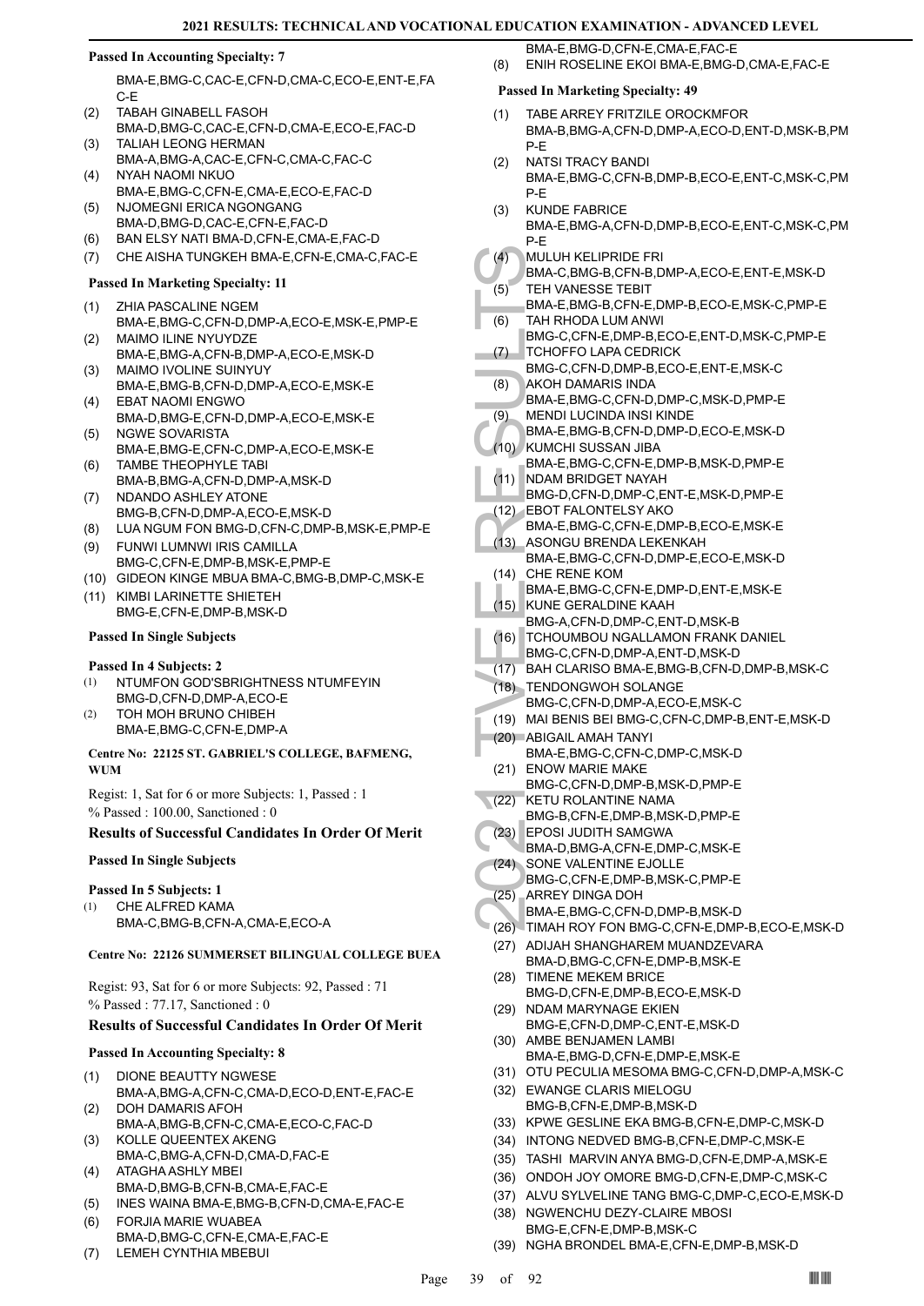## **Passed In Accounting Specialty: 7**

BMA-E,BMG-C,CAC-E,CFN-D,CMA-C,ECO-E,ENT-E,FA C-E

- TABAH GINABELL FASOH BMA-D,BMG-C,CAC-E,CFN-D,CMA-E,ECO-E,FAC-D (2)
- TALIAH LEONG HERMAN BMA-A,BMG-A,CAC-E,CFN-C,CMA-C,FAC-C (3) NYAH NAOMI NKUO (4)
- BMA-E,BMG-C,CFN-E,CMA-E,ECO-E,FAC-D NJOMEGNI ERICA NGONGANG (5)
- BMA-D,BMG-D,CAC-E,CFN-E,FAC-D
- (6) BAN ELSY NATI BMA-D,CFN-E,CMA-E,FAC-D
- (7) CHE AISHA TUNGKEH BMA-E,CFN-E,CMA-C,FAC-E

## **Passed In Marketing Specialty: 11**

- ZHIA PASCALINE NGEM (1)
- BMA-E,BMG-C,CFN-D,DMP-A,ECO-E,MSK-E,PMP-E MAIMO ILINE NYUYDZE (2)
- BMA-E,BMG-A,CFN-B,DMP-A,ECO-E,MSK-D MAIMO IVOLINE SUINYUY (3)
- BMA-E,BMG-B,CFN-D,DMP-A,ECO-E,MSK-E EBAT NAOMI ENGWO (4)
- BMA-D,BMG-E,CFN-D,DMP-A,ECO-E,MSK-E NGWE SOVARISTA (5)
- BMA-E,BMG-E,CFN-C,DMP-A,ECO-E,MSK-E TAMBE THEOPHYLE TABI (6)
- BMA-B,BMG-A,CFN-D,DMP-A,MSK-D
- NDANDO ASHLEY ATONE BMG-B,CFN-D,DMP-A,ECO-E,MSK-D (7)
- (8) LUA NGUM FON BMG-D,CFN-C,DMP-B,MSK-E,PMP-E
- FUNWI LUMNWI IRIS CAMILLA BMG-C,CFN-E,DMP-B,MSK-E,PMP-E (9)
- (10) GIDEON KINGE MBUA BMA-C,BMG-B,DMP-C,MSK-E
- (11) KIMBI LARINETTE SHIETEH BMG-E,CFN-E,DMP-B,MSK-D

## **Passed In Single Subjects**

## **Passed In 4 Subjects: 2**

- NTUMFON GOD'SBRIGHTNESS NTUMFEYIN BMG-D,CFN-D,DMP-A,ECO-E (1)
- TOH MOH BRUNO CHIBEH BMA-E,BMG-C,CFN-E,DMP-A (2)

## **Centre No: 22125 ST. GABRIEL'S COLLEGE, BAFMENG, WUM**

Regist: 1, Sat for 6 or more Subjects: 1, Passed : 1 % Passed : 100.00, Sanctioned : 0

## **Results of Successful Candidates In Order Of Merit**

## **Passed In Single Subjects**

## **Passed In 5 Subjects: 1**

- CHE ALFRED KAMA (1)
	- BMA-C,BMG-B,CFN-A,CMA-E,ECO-A

## **Centre No: 22126 SUMMERSET BILINGUAL COLLEGE BUEA**

Regist: 93, Sat for 6 or more Subjects: 92, Passed : 71 % Passed : 77.17, Sanctioned : 0

## **Results of Successful Candidates In Order Of Merit**

## **Passed In Accounting Specialty: 8**

- DIONE BEAUTTY NGWESE BMA-A,BMG-A,CFN-C,CMA-D,ECO-D,ENT-E,FAC-E (1)
- DOH DAMARIS AFOH BMA-A,BMG-B,CFN-C,CMA-E,ECO-C,FAC-D (2) (3)
- KOLLE QUEENTEX AKENG BMA-C,BMG-A,CFN-D,CMA-D,FAC-E ATAGHA ASHLY MBEI (4)
- BMA-D,BMG-B,CFN-B,CMA-E,FAC-E
- (5) INES WAINA BMA-E,BMG-B,CFN-D,CMA-E,FAC-E
- FORJIA MARIE WUABEA BMA-D,BMG-C,CFN-E,CMA-E,FAC-E (6)
- (7) LEMEH CYNTHIA MBEBUI

BMA-E,BMG-D,CFN-E,CMA-E,FAC-E (8) ENIH ROSELINE EKOI BMA-E,BMG-D,CMA-E,FAC-E

- TABE ARREY FRITZILE OROCKMFOR BMA-B,BMG-A,CFN-D,DMP-A,ECO-D,ENT-D,MSK-B,PM P-E (1)
- NATSI TRACY BANDI BMA-E,BMG-C,CFN-B,DMP-B,ECO-E,ENT-C,MSK-C,PM P-E (2)
- KUNDE FABRICE (3)
- BMA-E,BMG-A,CFN-D,DMP-B,ECO-E,ENT-C,MSK-C,PM P-E
- MULUH KELIPRIDE FRI  $(4)$ 
	- BMA-C,BMG-B,CFN-B,DMP-A,ECO-E,ENT-E,MSK-D TEH VANESSE TEBIT (5)
- BMA-E,BMG-B,CFN-E,DMP-B,ECO-E,MSK-C,PMP-E TAH RHODA LUM ANWI (6)
- BMG-C,CFN-E,DMP-B,ECO-E,ENT-D,MSK-C,PMP-E TCHOFFO LAPA CEDRICK (7)
- BMG-C,CFN-D,DMP-B,ECO-E,ENT-E,MSK-C
- AKOH DAMARIS INDA BMA-E,BMG-C,CFN-D,DMP-C,MSK-D,PMP-E (8)
- MENDI LUCINDA INSI KINDE BMA-E,BMG-B,CFN-D,DMP-D,ECO-E,MSK-D (9)
- KUMCHI SUSSAN JIBA  $(10)$
- BMA-E,BMG-C,CFN-E,DMP-B,MSK-D,PMP-E NDAM BRIDGET NAYAH (11)
- BMG-D,CFN-D,DMP-C,ENT-E,MSK-D,PMP-E
- EBOT FALONTELSY AKO (12) BMA-E,BMG-C,CFN-E,DMP-B,ECO-E,MSK-E
- (4) MULUH BMA-C, TCHOF BMA-C, TCHOF BMA-C, TCHOF BMA-C, TCHOF BMG-C, TCHOF BMG-C, TCHOF BMA-E, (9) AKOH LE BMA-E, (9) MENDI BMA-E, (10) MENDI BMA-E, (10) MENDI BMA-E, (12) EBOT F BMA-E, (12) EBOT F BMA-E, (12) EBOT F BMA-E ASONGU BRENDA LEKENKAH BMA-E,BMG-C,CFN-D,DMP-E,ECO-E,MSK-D  $(13)$ 
	- CHE RENE KOM BMA-E,BMG-C,CFN-E,DMP-D,ENT-E,MSK-E (14)
- KUNE GERALDINE KAAH BMG-A,CFN-D,DMP-C,ENT-D,MSK-B (15)
- (16) TCHOUMBOU NGALLAMON FRANK DANIEL
- BMG-C,CFN-D,DMP-A,ENT-D,MSK-D
- (17) BAH CLARISO BMA-E,BMG-B,CFN-D,DMP-B,MSK-C
- TENDONGWOH SOLANGE (18)
- BMG-C,CFN-D,DMP-A,ECO-E,MSK-C
- (19) MAI BENIS BEI BMG-C,CFN-C,DMP-B,ENT-E,MSK-D
- (20) ABIGAIL AMAH TANYI
- BMA-E,BMG-C,CFN-C,DMP-C,MSK-D (21) ENOW MARIE MAKE
- BMG-C,CFN-D,DMP-B,MSK-D,PMP-E
- KETU ROLANTINE NAMA BMG-B,CFN-E,DMP-B,MSK-D,PMP-E  $\sqrt{22}$
- EPOSI JUDITH SAMGWA (23)
- BMA-D,BMG-A,CFN-E,DMP-C,MSK-E
- (24) SONE VALENTINE EJOLLE
- BMG-C,CFN-E,DMP-B,MSK-C,PMP-E
- (25) ARREY DINGA DOH
- BMA-E,BMG-C,CFN-D,DMP-B,MSK-D
- (26) TIMAH ROY FON BMG-C,CFN-E,DMP-B,ECO-E,MSK-D
- (27) ADIJAH SHANGHAREM MUANDZEVARA BMA-D,BMG-C,CFN-E,DMP-B,MSK-E (28) TIMENE MEKEM BRICE
- BMG-D,CFN-E,DMP-B,ECO-E,MSK-D NDAM MARYNAGE EKIEN (29)
- BMG-E,CFN-D,DMP-C,ENT-E,MSK-D (30) AMBE BENJAMEN LAMBI
- BMA-E,BMG-D,CFN-E,DMP-E,MSK-E
- (31) OTU PECULIA MESOMA BMG-C,CFN-D,DMP-A,MSK-C
- EWANGE CLARIS MIELOGU (32) BMG-B,CFN-E,DMP-B,MSK-D
- (33) KPWE GESLINE EKA BMG-B,CFN-E,DMP-C,MSK-D
- (34) INTONG NEDVED BMG-B,CFN-E,DMP-C,MSK-E
- (35) TASHI MARVIN ANYA BMG-D,CFN-E,DMP-A,MSK-E
- (36) ONDOH JOY OMORE BMG-D,CFN-E,DMP-C,MSK-C
- (37) ALVU SYLVELINE TANG BMG-C,DMP-C,ECO-E,MSK-D
- (38) NGWENCHU DEZY-CLAIRE MBOSI BMG-E,CFN-E,DMP-B,MSK-C
- (39) NGHA BRONDEL BMA-E,CFN-E,DMP-B,MSK-D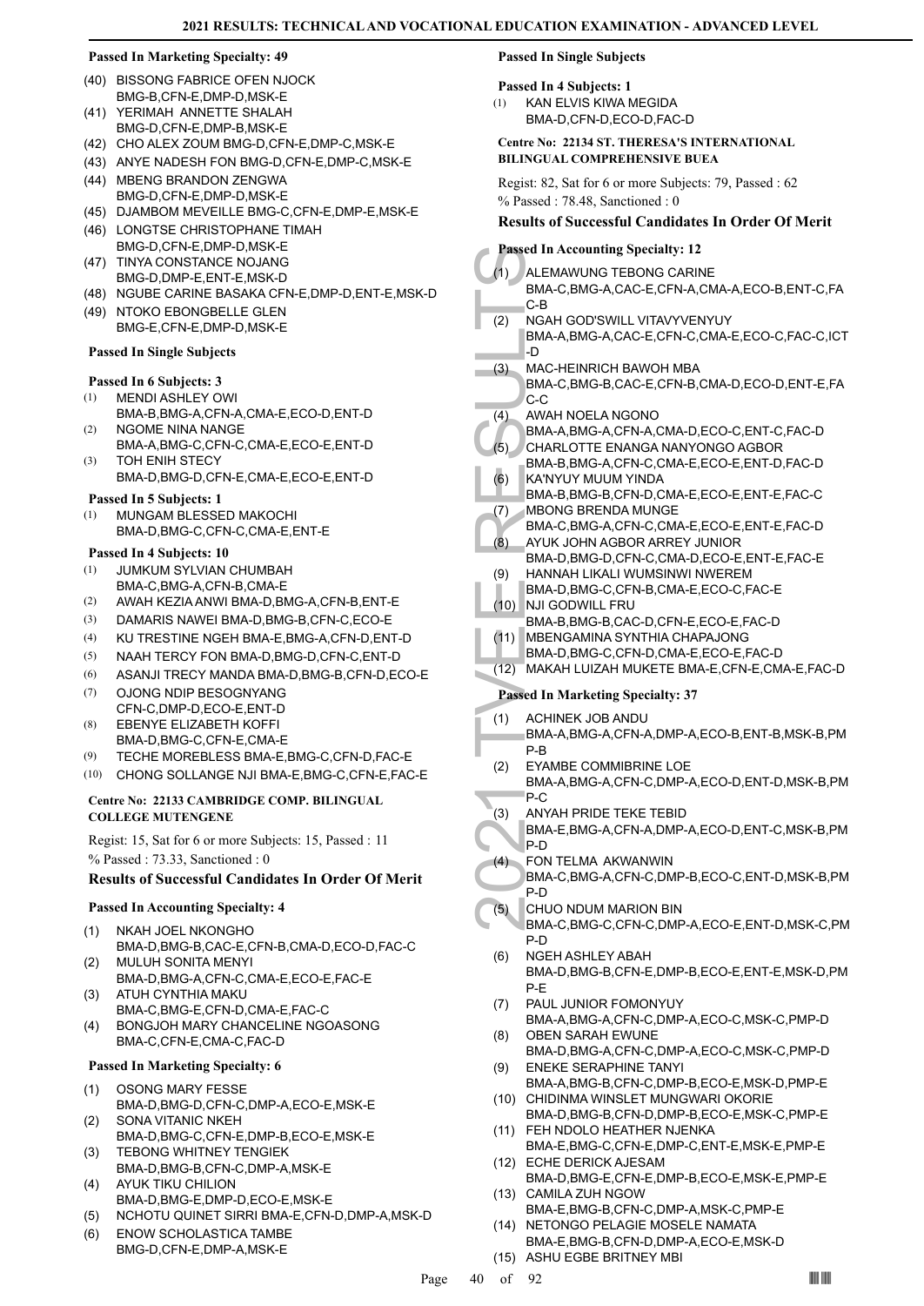- (40) BISSONG FABRICE OFEN NJOCK BMG-B,CFN-E,DMP-D,MSK-E
- (41) YERIMAH ANNETTE SHALAH BMG-D,CFN-E,DMP-B,MSK-E
- (42) CHO ALEX ZOUM BMG-D,CFN-E,DMP-C,MSK-E
- (43) ANYE NADESH FON BMG-D,CFN-E,DMP-C,MSK-E
- (44) MBENG BRANDON ZENGWA BMG-D,CFN-E,DMP-D,MSK-E
- (45) DJAMBOM MEVEILLE BMG-C,CFN-E,DMP-E,MSK-E
- (46) LONGTSE CHRISTOPHANE TIMAH BMG-D,CFN-E,DMP-D,MSK-E TINYA CONSTANCE NOJANG (47)
- BMG-D,DMP-E,ENT-E,MSK-D
- (48) NGUBE CARINE BASAKA CFN-E,DMP-D,ENT-E,MSK-D (49) NTOKO EBONGBELLE GLEN
- BMG-E,CFN-E,DMP-D,MSK-E

## **Passed In Single Subjects**

## **Passed In 6 Subjects: 3**

- MENDI ASHLEY OWI (1)
- BMA-B,BMG-A,CFN-A,CMA-E,ECO-D,ENT-D NGOME NINA NANGE (2)
- BMA-A,BMG-C,CFN-C,CMA-E,ECO-E,ENT-D TOH ENIH STECY (3)
- BMA-D,BMG-D,CFN-E,CMA-E,ECO-E,ENT-D

## **Passed In 5 Subjects: 1**

MUNGAM BLESSED MAKOCHI BMA-D,BMG-C,CFN-C,CMA-E,ENT-E (1)

## **Passed In 4 Subjects: 10**

- JUMKUM SYLVIAN CHUMBAH BMA-C,BMG-A,CFN-B,CMA-E (1)
- (2) AWAH KEZIA ANWI BMA-D,BMG-A,CFN-B,ENT-E
- (3) DAMARIS NAWEI BMA-D,BMG-B,CFN-C,ECO-E
- (4) KU TRESTINE NGEH BMA-E,BMG-A,CFN-D,ENT-D
- (5) NAAH TERCY FON BMA-D,BMG-D,CFN-C,ENT-D
- (6) ASANJI TRECY MANDA BMA-D,BMG-B,CFN-D,ECO-E
- OJONG NDIP BESOGNYANG CFN-C,DMP-D,ECO-E,ENT-D (7)
- EBENYE ELIZABETH KOFFI (8)
- BMA-D,BMG-C,CFN-E,CMA-E
- (9) TECHE MOREBLESS BMA-E,BMG-C,CFN-D,FAC-E (10) CHONG SOLLANGE NJI BMA-E,BMG-C,CFN-E,FAC-E

## **Centre No: 22133 CAMBRIDGE COMP. BILINGUAL COLLEGE MUTENGENE**

Regist: 15, Sat for 6 or more Subjects: 15, Passed : 11 % Passed : 73.33, Sanctioned : 0

## **Results of Successful Candidates In Order Of Merit**

## **Passed In Accounting Specialty: 4**

- NKAH JOEL NKONGHO BMA-D,BMG-B,CAC-E,CFN-B,CMA-D,ECO-D,FAC-C (1)
- MULUH SONITA MENYI BMA-D,BMG-A,CFN-C,CMA-E,ECO-E,FAC-E (2) ATUH CYNTHIA MAKU (3)
- BMA-C,BMG-E,CFN-D,CMA-E,FAC-C BONGJOH MARY CHANCELINE NGOASONG (4)
- BMA-C,CFN-E,CMA-C,FAC-D

## **Passed In Marketing Specialty: 6**

- OSONG MARY FESSE BMA-D,BMG-D,CFN-C,DMP-A,ECO-E,MSK-E (1) SONA VITANIC NKEH
- BMA-D,BMG-C,CFN-E,DMP-B,ECO-E,MSK-E (2) TEBONG WHITNEY TENGIEK (3)
- BMA-D,BMG-B,CFN-C,DMP-A,MSK-E AYUK TIKU CHILION (4)
- BMA-D,BMG-E,DMP-D,ECO-E,MSK-E
- (5) NCHOTU QUINET SIRRI BMA-E,CFN-D,DMP-A,MSK-D
- ENOW SCHOLASTICA TAMBE BMG-D,CFN-E,DMP-A,MSK-E (6)

## **Passed In Single Subjects**

## **Passed In 4 Subjects: 1**

KAN ELVIS KIWA MEGIDA BMA-D,CFN-D,ECO-D,FAC-D (1)

## **Centre No: 22134 ST. THERESA'S INTERNATIONAL BILINGUAL COMPREHENSIVE BUEA**

Regist: 82, Sat for 6 or more Subjects: 79, Passed : 62 % Passed : 78.48, Sanctioned : 0

## **Results of Successful Candidates In Order Of Merit**

## **Passed In Accounting Specialty: 12**

- Passed In Ace (1)<br>
ALEMAN<br>
BMA-C, C-B<br>
C-B<br>
NAC-H<br>
BMA-A, D<br>
C-C<br>
(3) MAC-H<br>
BMA-C, C-C<br>
(4) MAC-H<br>
BMA-A, C-C<br>
(4) MAC-H<br>
BMA-A, CHARL<br>
BMA-A, CHARL<br>
BMA-A, CHARL<br>
BMA-B, KA'NYU BMA-B, KA'NYU BMA-B, C<br>
(6) KA'NYU BMA-B, M ALEMAWUNG TEBONG CARINE BMA-C,BMG-A,CAC-E,CFN-A,CMA-A,ECO-B,ENT-C,FA C-B (1) NGAH GOD'SWILL VITAVYVENYUY BMA-A,BMG-A,CAC-E,CFN-C,CMA-E,ECO-C,FAC-C,ICT -D (2) MAC-HEINRICH BAWOH MBA BMA-C,BMG-B,CAC-E,CFN-B,CMA-D,ECO-D,ENT-E,FA C-C (3) AWAH NOELA NGONO BMA-A,BMG-A,CFN-A,CMA-D,ECO-C,ENT-C,FAC-D (4) CHARLOTTE ENANGA NANYONGO AGBOR BMA-B,BMG-A,CFN-C,CMA-E,ECO-E,ENT-D,FAC-D (5) KA'NYUY MUUM YINDA BMA-B,BMG-B,CFN-D,CMA-E,ECO-E,ENT-E,FAC-C (6) MBONG BRENDA MUNGE BMA-C,BMG-A,CFN-C,CMA-E,ECO-E,ENT-E,FAC-D (7) AYUK JOHN AGBOR ARREY JUNIOR BMA-D,BMG-D,CFN-C,CMA-D,ECO-E,ENT-E,FAC-E (8) HANNAH LIKALI WUMSINWI NWEREM BMA-D,BMG-C,CFN-B,CMA-E,ECO-C,FAC-E (9) NJI GODWILL FRU BMA-B,BMG-B,CAC-D,CFN-E,ECO-E,FAC-D (10) MBENGAMINA SYNTHIA CHAPAJONG BMA-D,BMG-C,CFN-D,CMA-E,ECO-E,FAC-D (11) (12) MAKAH LUIZAH MUKETE BMA-E,CFN-E,CMA-E,FAC-D **Passed In Marketing Specialty: 37** ACHINEK JOB ANDU BMA-A,BMG-A,CFN-A,DMP-A,ECO-B,ENT-B,MSK-B,PM P-B (1) EYAMBE COMMIBRINE LOE BMA-A,BMG-A,CFN-C,DMP-A,ECO-D,ENT-D,MSK-B,PM P-C (2) ANYAH PRIDE TEKE TEBID BMA-E,BMG-A,CFN-A,DMP-A,ECO-D,ENT-C,MSK-B,PM P-D  $(3)$ FON TELMA AKWANWIN BMA-C,BMG-A,CFN-C,DMP-B,ECO-C,ENT-D,MSK-B,PM P-D (4) CHUO NDUM MARION BIN BMA-C,BMG-C,CFN-C,DMP-A,ECO-E,ENT-D,MSK-C,PM P-D (5) NGEH ASHLEY ABAH BMA-D,BMG-B,CFN-E,DMP-B,ECO-E,ENT-E,MSK-D,PM P-E (6) PAUL JUNIOR FOMONYUY BMA-A,BMG-A,CFN-C,DMP-A,ECO-C,MSK-C,PMP-D (7)
	- OBEN SARAH EWUNE BMA-D,BMG-A,CFN-C,DMP-A,ECO-C,MSK-C,PMP-D (8) ENEKE SERAPHINE TANYI (9)
	- BMA-A,BMG-B,CFN-C,DMP-B,ECO-E,MSK-D,PMP-E (10) CHIDINMA WINSLET MUNGWARI OKORIE
	- BMA-D,BMG-B,CFN-D,DMP-B,ECO-E,MSK-C,PMP-E FEH NDOLO HEATHER NJENKA (11)
	- BMA-E,BMG-C,CFN-E,DMP-C,ENT-E,MSK-E,PMP-E (12) ECHE DERICK AJESAM
	- BMA-D,BMG-E,CFN-E,DMP-B,ECO-E,MSK-E,PMP-E (13) CAMILA ZUH NGOW
	- BMA-E,BMG-B,CFN-C,DMP-A,MSK-C,PMP-E (14) NETONGO PELAGIE MOSELE NAMATA
	- BMA-E,BMG-B,CFN-D,DMP-A,ECO-E,MSK-D (15) ASHU EGBE BRITNEY MBI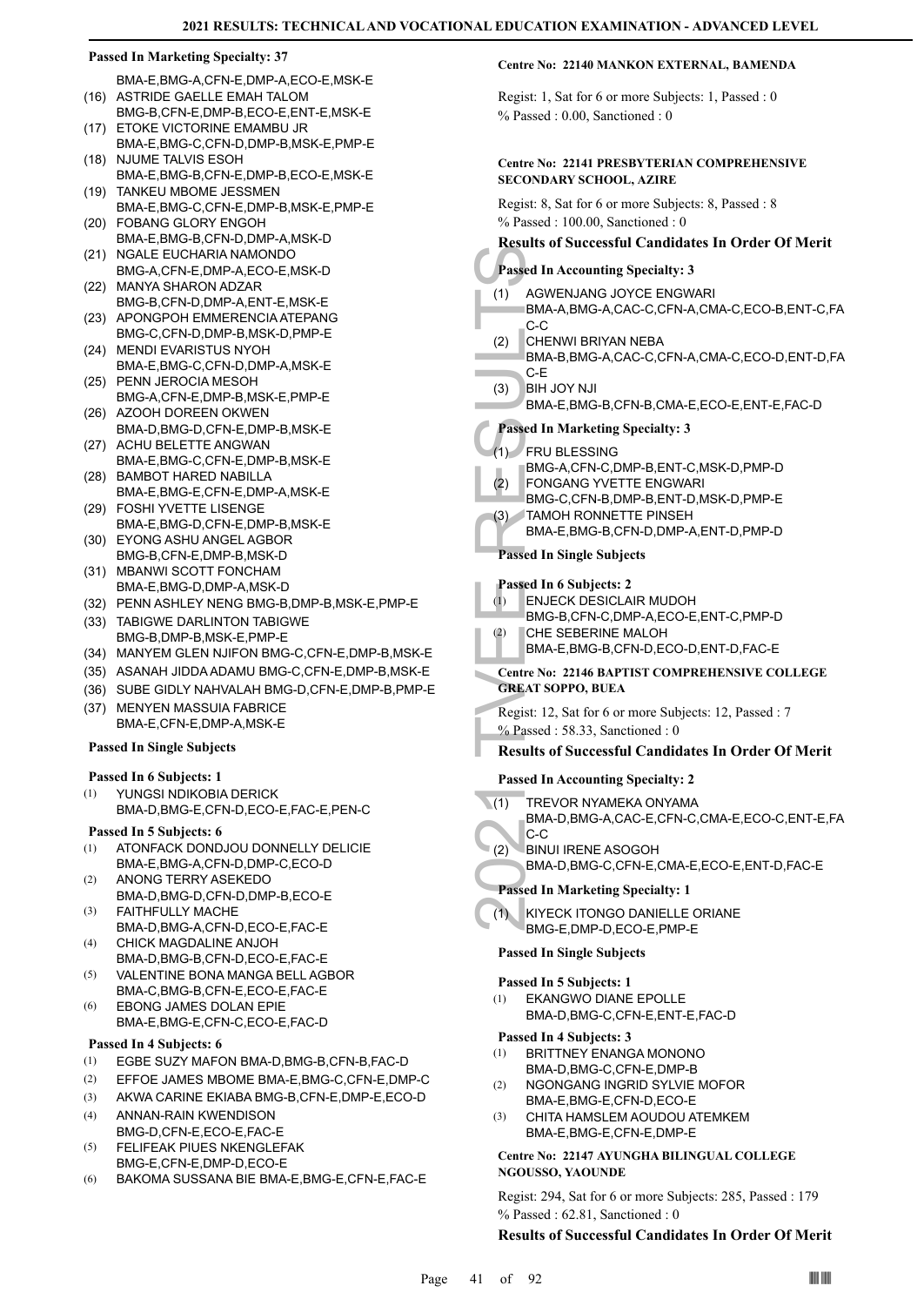BMA-E,BMG-A,CFN-E,DMP-A,ECO-E,MSK-E (16) ASTRIDE GAELLE EMAH TALOM

- BMG-B,CFN-E,DMP-B,ECO-E,ENT-E,MSK-E (17) ETOKE VICTORINE EMAMBU JR
- BMA-E,BMG-C,CFN-D,DMP-B,MSK-E,PMP-E (18) NJUME TALVIS ESOH
- BMA-E,BMG-B,CFN-E,DMP-B,ECO-E,MSK-E TANKEU MBOME JESSMEN (19)
- BMA-E,BMG-C,CFN-E,DMP-B,MSK-E,PMP-E FOBANG GLORY ENGOH (20)
- BMA-E,BMG-B,CFN-D,DMP-A,MSK-D
- (21) NGALE EUCHARIA NAMONDO BMG-A,CFN-E,DMP-A,ECO-E,MSK-D
- MANYA SHARON ADZAR BMG-B,CFN-D,DMP-A,ENT-E,MSK-E (22)
- (23) APONGPOH EMMERENCIA ATEPANG BMG-C,CFN-D,DMP-B,MSK-D,PMP-E
- (24) MENDI EVARISTUS NYOH BMA-E,BMG-C,CFN-D,DMP-A,MSK-E
- (25) PENN JEROCIA MESOH BMG-A,CFN-E,DMP-B,MSK-E,PMP-E
- (26) AZOOH DOREEN OKWEN BMA-D,BMG-D,CFN-E,DMP-B,MSK-E
- (27) ACHU BELETTE ANGWAN BMA-E,BMG-C,CFN-E,DMP-B,MSK-E
- (28) BAMBOT HARED NABILLA BMA-E,BMG-E,CFN-E,DMP-A,MSK-E
- FOSHI YVETTE LISENGE (29)
- BMA-E,BMG-D,CFN-E,DMP-B,MSK-E EYONG ASHU ANGEL AGBOR (30)
- BMG-B,CFN-E,DMP-B,MSK-D (31) MBANWI SCOTT FONCHAM
- BMA-E,BMG-D,DMP-A,MSK-D (32) PENN ASHLEY NENG BMG-B,DMP-B,MSK-E,PMP-E
- (33) TABIGWE DARLINTON TABIGWE
- BMG-B,DMP-B,MSK-E,PMP-E (34) MANYEM GLEN NJIFON BMG-C,CFN-E,DMP-B,MSK-E
- (35) ASANAH JIDDA ADAMU BMG-C,CFN-E,DMP-B,MSK-E
- (36) SUBE GIDLY NAHVALAH BMG-D,CFN-E,DMP-B,PMP-E
- (37) MENYEN MASSUIA FABRICE BMA-E,CFN-E,DMP-A,MSK-E

## **Passed In Single Subjects**

## **Passed In 6 Subjects: 1**

YUNGSI NDIKOBIA DERICK BMA-D,BMG-E,CFN-D,ECO-E,FAC-E,PEN-C (1)

## **Passed In 5 Subjects: 6**

- ATONFACK DONDJOU DONNELLY DELICIE BMA-E,BMG-A,CFN-D,DMP-C,ECO-D (1)
- ANONG TERRY ASEKEDO BMA-D,BMG-D,CFN-D,DMP-B,ECO-E (2)
- FAITHFULLY MACHE BMA-D,BMG-A,CFN-D,ECO-E,FAC-E (3)
- CHICK MAGDALINE ANJOH (4)
- BMA-D,BMG-B,CFN-D,ECO-E,FAC-E VALENTINE BONA MANGA BELL AGBOR BMA-C,BMG-B,CFN-E,ECO-E,FAC-E (5)
- EBONG JAMES DOLAN EPIE BMA-E,BMG-E,CFN-C,ECO-E,FAC-D (6)

## **Passed In 4 Subjects: 6**

- (1) EGBE SUZY MAFON BMA-D,BMG-B,CFN-B,FAC-D
- (2) EFFOE JAMES MBOME BMA-E,BMG-C,CFN-E,DMP-C
- (3) AKWA CARINE EKIABA BMG-B,CFN-E,DMP-E,ECO-D
- ANNAN-RAIN KWENDISON BMG-D,CFN-E,ECO-E,FAC-E (4)
- FELIFEAK PIUES NKENGLEFAK BMG-E,CFN-E,DMP-D,ECO-E (5)
- (6) BAKOMA SUSSANA BIE BMA-E,BMG-E,CFN-E,FAC-E

## **Centre No: 22140 MANKON EXTERNAL, BAMENDA**

Regist: 1, Sat for 6 or more Subjects: 1, Passed : 0 % Passed : 0.00, Sanctioned : 0

## **Centre No: 22141 PRESBYTERIAN COMPREHENSIVE SECONDARY SCHOOL, AZIRE**

Regist: 8, Sat for 6 or more Subjects: 8, Passed : 8 % Passed : 100.00, Sanctioned : 0

## **Results of Successful Candidates In Order Of Merit**

## **Passed In Accounting Specialty: 3**

- AGWENJANG JOYCE ENGWARI (1)
	- BMA-A,BMG-A,CAC-C,CFN-A,CMA-C,ECO-B,ENT-C,FA C-C
- CHENWI BRIYAN NEBA (2)
- BMA-B,BMG-A,CAC-C,CFN-A,CMA-C,ECO-D,ENT-D,FA C-E
- **BIH JOY NJI** (3)
- BMA-E,BMG-B,CFN-B,CMA-E,ECO-E,ENT-E,FAC-D
- **Passed In Marketing Specialty: 3**
- FRU BLESSING (1)
	- BMG-A,CFN-C,DMP-B,ENT-C,MSK-D,PMP-D
- FONGANG YVETTE ENGWARI (2)
- BMG-C,CFN-B,DMP-B,ENT-D,MSK-D,PMP-E TAMOH RONNETTE PINSEH (3)
- BMA-E,BMG-B,CFN-D,DMP-A,ENT-D,PMP-D

## **Passed In Single Subjects**

## **Passed In 6 Subjects: 2**

- ENJECK DESICLAIR MUDOH (1)
- BMG-B,CFN-C,DMP-A,ECO-E,ENT-C,PMP-D
- CHE SEBERINE MALOH (2)
	- BMA-E,BMG-B,CFN-D,ECO-D,ENT-D,FAC-E
- **Centre No: 22146 BAPTIST COMPREHENSIVE COLLEGE GREAT SOPPO, BUEA**
- Regist: 12, Sat for 6 or more Subjects: 12, Passed : 7 % Passed : 58.33, Sanctioned : 0

## **Results of Successful Candidates In Order Of Merit**

## **Passed In Accounting Specialty: 2**

- TREVOR NYAMEKA ONYAMA  $\sqrt{(1)}$
- Passed In Accord (1)<br>
(1) AGWEN<br>
BMA-A, C-C<br>
(2) CHENM<br>
BMA-B, C-E<br>
(3) BMA-E, Passed In M<br>
FRU BL<br>
(1) FRU BL<br>
(2) FONGA<br>
BMG-A, FONGA<br>
BMG-A, FONGA<br>
BMG-C, TAMOH<br>
BMA-E, Passed In 6:<br>
TAMOH<br>
BMA-E, Passed In 6:<br>
ENJECH<br> BMA-D,BMG-A,CAC-E,CFN-C,CMA-E,ECO-C,ENT-E,FA C-C
	- BINUI IRENE ASOGOH BMA-D,BMG-C,CFN-E,CMA-E,ECO-E,ENT-D,FAC-E (2)

## **Passed In Marketing Specialty: 1**

KIYECK ITONGO DANIELLE ORIANE BMG-E,DMP-D,ECO-E,PMP-E (1)

## **Passed In Single Subjects**

## **Passed In 5 Subjects: 1**

EKANGWO DIANE EPOLLE BMA-D,BMG-C,CFN-E,ENT-E,FAC-D (1)

## **Passed In 4 Subjects: 3**

- BRITTNEY ENANGA MONONO (1)
- BMA-D,BMG-C,CFN-E,DMP-B NGONGANG INGRID SYLVIE MOFOR (2)
- BMA-E,BMG-E,CFN-D,ECO-E
- CHITA HAMSLEM AOUDOU ATEMKEM BMA-E,BMG-E,CFN-E,DMP-E (3)

## **Centre No: 22147 AYUNGHA BILINGUAL COLLEGE NGOUSSO, YAOUNDE**

Regist: 294, Sat for 6 or more Subjects: 285, Passed : 179 % Passed : 62.81, Sanctioned : 0

## **Results of Successful Candidates In Order Of Merit**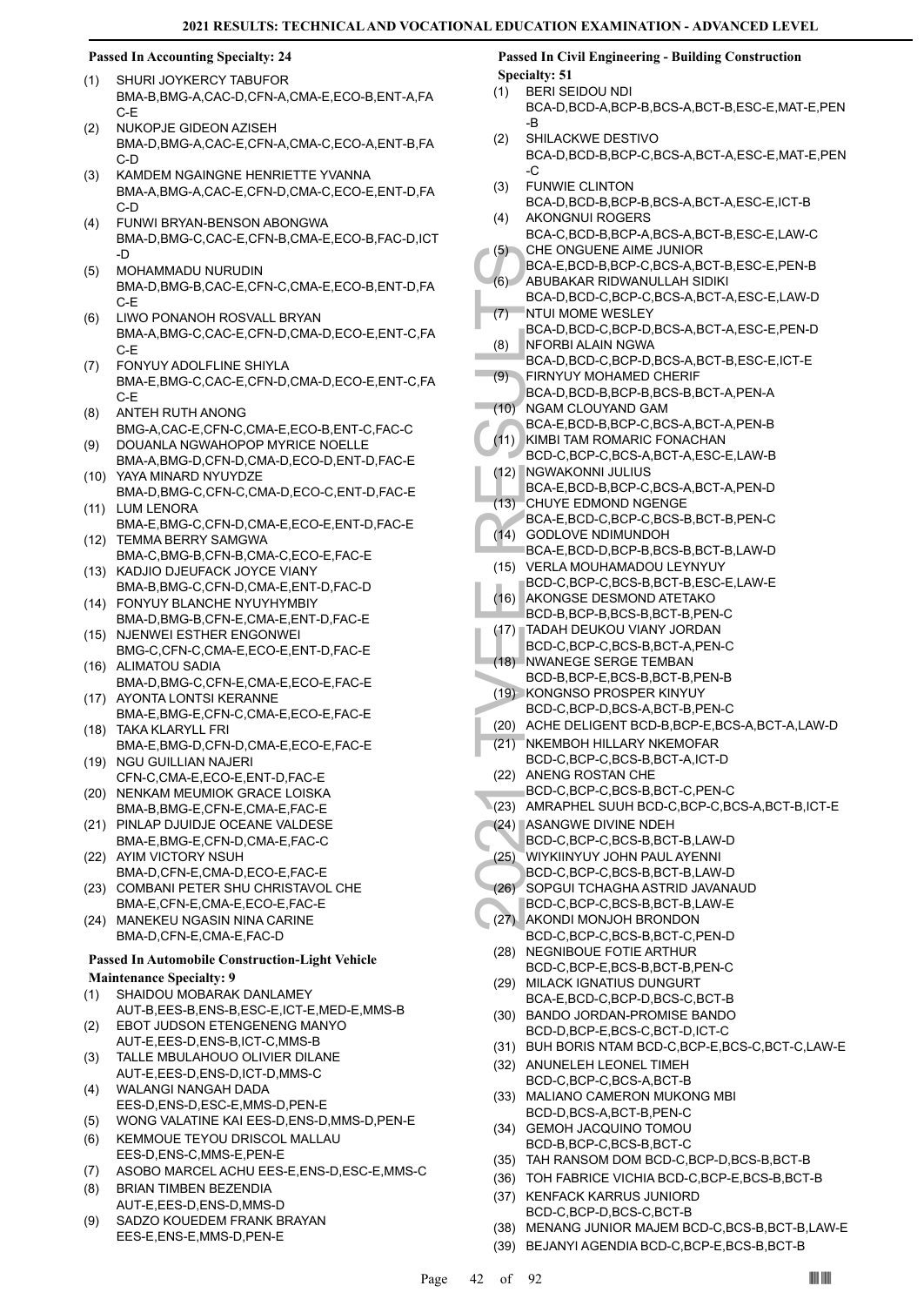## **Passed In Accounting Specialty: 24**

- SHURI JOYKERCY TABUFOR BMA-B,BMG-A,CAC-D,CFN-A,CMA-E,ECO-B,ENT-A,FA C-E (1)
- NUKOPJE GIDEON AZISEH BMA-D,BMG-A,CAC-E,CFN-A,CMA-C,ECO-A,ENT-B,FA C-D (2)
- KAMDEM NGAINGNE HENRIETTE YVANNA BMA-A,BMG-A,CAC-E,CFN-D,CMA-C,ECO-E,ENT-D,FA C-D (3)
- FUNWI BRYAN-BENSON ABONGWA BMA-D,BMG-C,CAC-E,CFN-B,CMA-E,ECO-B,FAC-D,ICT -D (4)
- MOHAMMADU NURUDIN BMA-D,BMG-B,CAC-E,CFN-C,CMA-E,ECO-B,ENT-D,FA C-E  $(5)$
- LIWO PONANOH ROSVALL BRYAN BMA-A,BMG-C,CAC-E,CFN-D,CMA-D,ECO-E,ENT-C,FA C-E (6)
- FONYUY ADOLFLINE SHIYLA BMA-E,BMG-C,CAC-E,CFN-D,CMA-D,ECO-E,ENT-C,FA C-E (7)
- ANTEH RUTH ANONG BMG-A,CAC-E,CFN-C,CMA-E,ECO-B,ENT-C,FAC-C (8)
- DOUANLA NGWAHOPOP MYRICE NOELLE BMA-A,BMG-D,CFN-D,CMA-D,ECO-D,ENT-D,FAC-E (9)
- YAYA MINARD NYUYDZE (10) BMA-D,BMG-C,CFN-C,CMA-D,ECO-C,ENT-D,FAC-E (11) LUM LENORA
- BMA-E,BMG-C,CFN-D,CMA-E,ECO-E,ENT-D,FAC-E TEMMA BERRY SAMGWA (12)
- BMA-C,BMG-B,CFN-B,CMA-C,ECO-E,FAC-E (13) KADJIO DJEUFACK JOYCE VIANY
- BMA-B,BMG-C,CFN-D,CMA-E,ENT-D,FAC-D FONYUY BLANCHE NYUYHYMBIY (14)
- BMA-D,BMG-B,CFN-E,CMA-E,ENT-D,FAC-E (15) NJENWEI ESTHER ENGONWEI
- BMG-C,CFN-C,CMA-E,ECO-E,ENT-D,FAC-E (16) ALIMATOU SADIA
- BMA-D,BMG-C,CFN-E,CMA-E,ECO-E,FAC-E (17) AYONTA LONTSI KERANNE
- BMA-E,BMG-E,CFN-C,CMA-E,ECO-E,FAC-E TAKA KLARYLL FRI (18)
- BMA-E,BMG-D,CFN-D,CMA-E,ECO-E,FAC-E (19) NGU GUILLIAN NAJERI
- CFN-C,CMA-E,ECO-E,ENT-D,FAC-E (20) NENKAM MEUMIOK GRACE LOISKA
- BMA-B,BMG-E,CFN-E,CMA-E,FAC-E (21) PINLAP DJUIDJE OCEANE VALDESE
- BMA-E,BMG-E,CFN-D,CMA-E,FAC-C
- (22) AYIM VICTORY NSUH BMA-D,CFN-E,CMA-D,ECO-E,FAC-E (23)
- COMBANI PETER SHU CHRISTAVOL CHE BMA-E,CFN-E,CMA-E,ECO-E,FAC-E
- (24) MANEKEU NGASIN NINA CARINE BMA-D,CFN-E,CMA-E,FAC-D

## **Passed In Automobile Construction-Light Vehicle**

- **Maintenance Specialty: 9**
- SHAIDOU MOBARAK DANLAMEY (1)
- AUT-B,EES-B,ENS-B,ESC-E,ICT-E,MED-E,MMS-B EBOT JUDSON ETENGENENG MANYO (2)
- AUT-E,EES-D,ENS-B,ICT-C,MMS-B TALLE MBULAHOUO OLIVIER DILANE (3)
- AUT-E,EES-D,ENS-D,ICT-D,MMS-C WALANGI NANGAH DADA (4)
- EES-D,ENS-D,ESC-E,MMS-D,PEN-E
- (5) WONG VALATINE KAI EES-D,ENS-D,MMS-D,PEN-E
- KEMMOUE TEYOU DRISCOL MALLAU EES-D,ENS-C,MMS-E,PEN-E (6)
- (7) ASOBO MARCEL ACHU EES-E,ENS-D,ESC-E,MMS-C
- BRIAN TIMBEN BEZENDIA AUT-E,EES-D,ENS-D,MMS-D (8)
- SADZO KOUEDEM FRANK BRAYAN EES-E,ENS-E,MMS-D,PEN-E (9)

**Passed In Civil Engineering - Building Construction Specialty: 51**

- BERI SEIDOU NDI BCA-D,BCD-A,BCP-B,BCS-A,BCT-B,ESC-E,MAT-E,PEN -B (1)
- SHILACKWE DESTIVO BCA-D,BCD-B,BCP-C,BCS-A,BCT-A,ESC-E,MAT-E,PEN -C (2)
- FUNWIE CLINTON BCA-D,BCD-B,BCP-B,BCS-A,BCT-A,ESC-E,ICT-B (3) AKONGNUI ROGERS
- BCA-C,BCD-B,BCP-A,BCS-A,BCT-B,ESC-E,LAW-C  $(4)$ CHE ONGUENE AIME JUNIOR (5)
- BCA-E,BCD-B,BCP-C,BCS-A,BCT-B,ESC-E,PEN-B ABUBAKAR RIDWANULLAH SIDIKI  $(6)$
- (5) CHE ON BCA-E, (6) ABUBAI<br>
BCA-D, INTUI M<br>
BCA-D, INTUI M<br>
BCA-D, INTUI M<br>
BCA-D, INTORB<br>
BCA-D, INTORB<br>
BCA-D, INTORB<br>
BCA-E, ISOC-C, INTANA BCA-E, ISOC-C, ISOC-C, ISOC-C, INTADAH<br>
(14) NGMAM BCA-E, (14) CODLO<br>
BCA-E, BCA-D,BCD-C,BCP-C,BCS-A,BCT-A,ESC-E,LAW-D **NTUI MOME WESLEY**  $(7)$ 
	- BCA-D,BCD-C,BCP-D,BCS-A,BCT-A,ESC-E,PEN-D NFORBI ALAIN NGWA (8)
- BCA-D,BCD-C,BCP-D,BCS-A,BCT-B,ESC-E,ICT-E FIRNYUY MOHAMED CHERIF (9)
- BCA-D,BCD-B,BCP-B,BCS-B,BCT-A,PEN-A NGAM CLOUYAND GAM  $(10)$ 
	- BCA-E,BCD-B,BCP-C,BCS-A,BCT-A,PEN-B
- (11) KIMBI TAM ROMARIC FONACHAN
- BCD-C,BCP-C,BCS-A,BCT-A,ESC-E,LAW-B NGWAKONNI JULIUS (12)
	- BCA-E,BCD-B,BCP-C,BCS-A,BCT-A,PEN-D CHUYE EDMOND NGENGE (13)
- BCA-E,BCD-C,BCP-C,BCS-B,BCT-B,PEN-C
- (14) GODLOVE NDIMUNDOH
- BCA-E,BCD-D,BCP-B,BCS-B,BCT-B,LAW-D (15) VERLA MOUHAMADOU LEYNYUY
- BCD-C,BCP-C,BCS-B,BCT-B,ESC-E,LAW-E (16) AKONGSE DESMOND ATETAKO
- BCD-B,BCP-B,BCS-B,BCT-B,PEN-C
- TADAH DEUKOU VIANY JORDAN (17) BCD-C,BCP-C,BCS-B,BCT-A,PEN-C
- (18) NWANEGE SERGE TEMBAN
- BCD-B,BCP-E,BCS-B,BCT-B,PEN-B
- (19) KONGNSO PROSPER KINYUY BCD-C,BCP-D,BCS-A,BCT-B,PEN-C
- (20) ACHE DELIGENT BCD-B,BCP-E,BCS-A,BCT-A,LAW-D
- (21) NKEMBOH HILLARY NKEMOFAR
- BCD-C,BCP-C,BCS-B,BCT-A,ICT-D
- (22) ANENG ROSTAN CHE BCD-C,BCP-C,BCS-B,BCT-C,PEN-C
- (23) AMRAPHEL SUUH BCD-C,BCP-C,BCS-A,BCT-B,ICT-E
- (24) ASANGWE DIVINE NDEH
- BCD-C,BCP-C,BCS-B,BCT-B,LAW-D
- WIYKIINYUY JOHN PAUL AYENNI (25)
- BCD-C,BCP-C,BCS-B,BCT-B,LAW-D
- SOPGUI TCHAGHA ASTRID JAVANAUD BCD-C,BCP-C,BCS-B,BCT-B,LAW-E (26)
- AKONDI MONJOH BRONDON BCD-C,BCP-C,BCS-B,BCT-C,PEN-D (27)
- (28) NEGNIBOUE FOTIE ARTHUR BCD-C,BCP-E,BCS-B,BCT-B,PEN-C
- (29) MILACK IGNATIUS DUNGURT BCA-E,BCD-C,BCP-D,BCS-C,BCT-B
- (30) BANDO JORDAN-PROMISE BANDO BCD-D,BCP-E,BCS-C,BCT-D,ICT-C
- (31) BUH BORIS NTAM BCD-C,BCP-E,BCS-C,BCT-C,LAW-E
- (32) ANUNELEH LEONEL TIMEH BCD-C,BCP-C,BCS-A,BCT-B
- (33) MALIANO CAMERON MUKONG MBI BCD-D,BCS-A,BCT-B,PEN-C
- GEMOH JACQUINO TOMOU (34) BCD-B,BCP-C,BCS-B,BCT-C
- (35) TAH RANSOM DOM BCD-C,BCP-D,BCS-B,BCT-B
- (36) TOH FABRICE VICHIA BCD-C,BCP-E,BCS-B,BCT-B
- (37) KENFACK KARRUS JUNIORD BCD-C,BCP-D,BCS-C,BCT-B
- (38) MENANG JUNIOR MAJEM BCD-C,BCS-B,BCT-B,LAW-E
- (39) BEJANYI AGENDIA BCD-C,BCP-E,BCS-B,BCT-B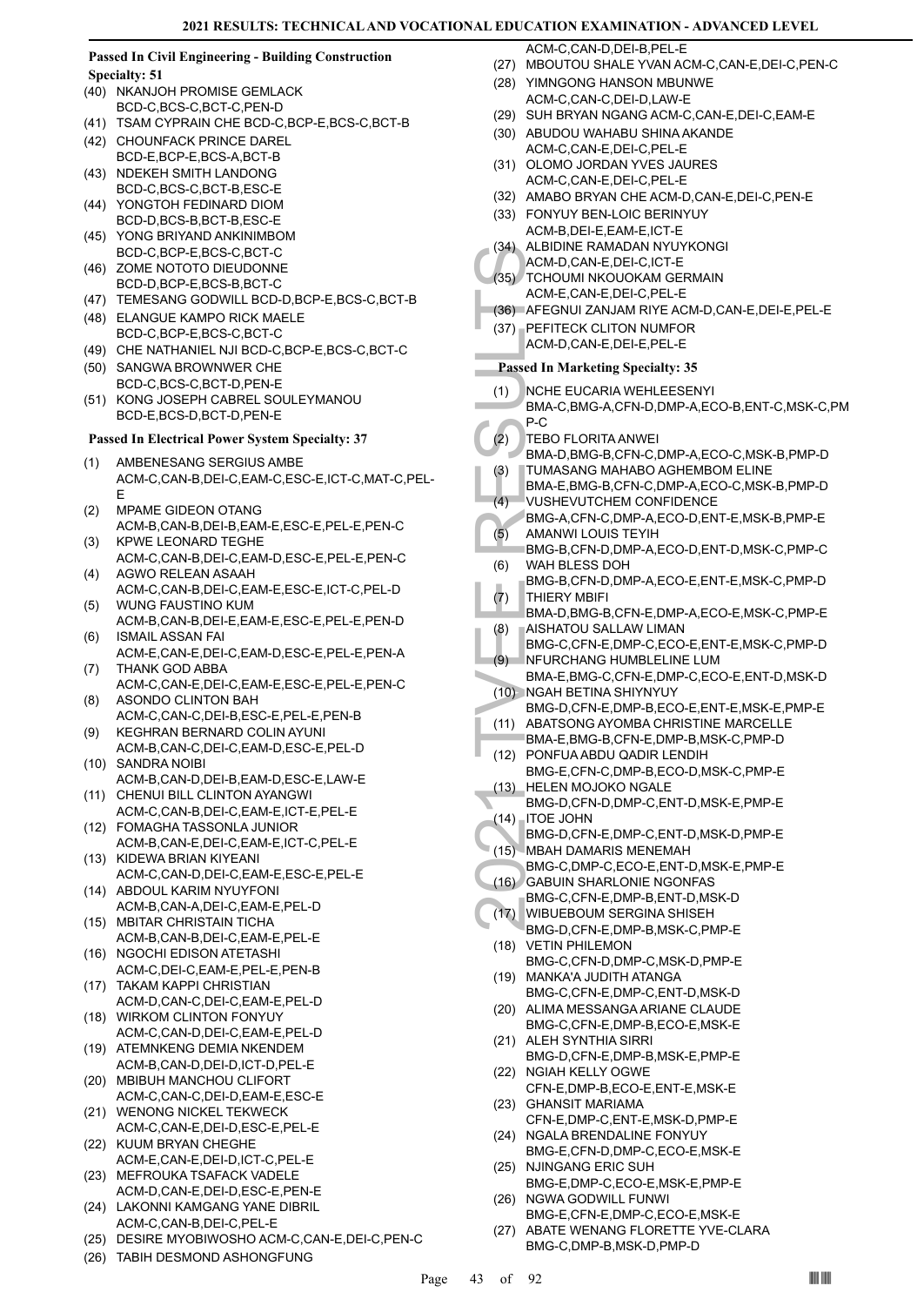#### **Passed In Civil Engineering - Building Construction Specialty: 51**

- (40) NKANJOH PROMISE GEMLACK
- BCD-C,BCS-C,BCT-C,PEN-D (41) TSAM CYPRAIN CHE BCD-C,BCP-E,BCS-C,BCT-B
- (42) CHOUNFACK PRINCE DAREL
- BCD-E,BCP-E,BCS-A,BCT-B NDEKEH SMITH LANDONG (43)
- BCD-C,BCS-C,BCT-B,ESC-E YONGTOH FEDINARD DIOM (44)
- BCD-D,BCS-B,BCT-B,ESC-E YONG BRIYAND ANKINIMBOM (45)
- BCD-C,BCP-E,BCS-C,BCT-C (46) ZOME NOTOTO DIEUDONNE
- BCD-D,BCP-E,BCS-B,BCT-C
- (47) TEMESANG GODWILL BCD-D,BCP-E,BCS-C,BCT-B
- (48) ELANGUE KAMPO RICK MAELE BCD-C,BCP-E,BCS-C,BCT-C
- (49) CHE NATHANIEL NJI BCD-C,BCP-E,BCS-C,BCT-C
- (50) SANGWA BROWNWER CHE BCD-C,BCS-C,BCT-D,PEN-E
- KONG JOSEPH CABREL SOULEYMANOU BCD-E,BCS-D,BCT-D,PEN-E (51)

## **Passed In Electrical Power System Specialty: 37**

- AMBENESANG SERGIUS AMBE ACM-C,CAN-B,DEI-C,EAM-C,ESC-E,ICT-C,MAT-C,PEL-E (1)
- MPAME GIDEON OTANG ACM-B,CAN-B,DEI-B,EAM-E,ESC-E,PEL-E,PEN-C (2)
- KPWE LEONARD TEGHE ACM-C,CAN-B,DEI-C,EAM-D,ESC-E,PEL-E,PEN-C (3)
- AGWO RELEAN ASAAH ACM-C,CAN-B,DEI-C,EAM-E,ESC-E,ICT-C,PEL-D (4)
- WUNG FAUSTINO KUM ACM-B,CAN-B,DEI-E,EAM-E,ESC-E,PEL-E,PEN-D (5) ISMAIL ASSAN FAI (6)
- ACM-E,CAN-E,DEI-C,EAM-D,ESC-E,PEL-E,PEN-A THANK GOD ABBA (7)
- ACM-C,CAN-E,DEI-C,EAM-E,ESC-E,PEL-E,PEN-C ASONDO CLINTON BAH (8)
- ACM-C,CAN-C,DEI-B,ESC-E,PEL-E,PEN-B KEGHRAN BERNARD COLIN AYUNI (9)
- ACM-B,CAN-C,DEI-C,EAM-D,ESC-E,PEL-D (10) SANDRA NOIBI
- ACM-B,CAN-D,DEI-B,EAM-D,ESC-E,LAW-E (11) CHENUI BILL CLINTON AYANGWI
- ACM-C,CAN-B,DEI-C,EAM-E,ICT-E,PEL-E FOMAGHA TASSONLA JUNIOR (12)
- ACM-B,CAN-E,DEI-C,EAM-E,ICT-C,PEL-E KIDEWA BRIAN KIYEANI (13)
- ACM-C,CAN-D,DEI-C,EAM-E,ESC-E,PEL-E (14) ABDOUL KARIM NYUYFONI
- ACM-B,CAN-A,DEI-C,EAM-E,PEL-D MBITAR CHRISTAIN TICHA (15)
- ACM-B,CAN-B,DEI-C,EAM-E,PEL-E (16) NGOCHI EDISON ATETASHI
- ACM-C,DEI-C,EAM-E,PEL-E,PEN-B (17) TAKAM KAPPI CHRISTIAN
- ACM-D,CAN-C,DEI-C,EAM-E,PEL-D (18) WIRKOM CLINTON FONYUY
- ACM-C,CAN-D,DEI-C,EAM-E,PEL-D (19) ATEMNKENG DEMIA NKENDEM
- ACM-B,CAN-D,DEI-D,ICT-D,PEL-E (20) MBIBUH MANCHOU CLIFORT
- ACM-C,CAN-C,DEI-D,EAM-E,ESC-E (21) WENONG NICKEL TEKWECK
- ACM-C,CAN-E,DEI-D,ESC-E,PEL-E (22) KUUM BRYAN CHEGHE
- ACM-E,CAN-E,DEI-D,ICT-C,PEL-E (23) MEFROUKA TSAFACK VADELE
- ACM-D,CAN-E,DEI-D,ESC-E,PEN-E
- (24) LAKONNI KAMGANG YANE DIBRIL ACM-C,CAN-B,DEI-C,PEL-E
- (25) DESIRE MYOBIWOSHO ACM-C,CAN-E,DEI-C,PEN-C
- (26) TABIH DESMOND ASHONGFUNG

ACM-C,CAN-D,DEI-B,PEL-E

- (27) MBOUTOU SHALE YVAN ACM-C,CAN-E,DEI-C,PEN-C
- (28) YIMNGONG HANSON MBUNWE ACM-C,CAN-C,DEI-D,LAW-E
- (29) SUH BRYAN NGANG ACM-C,CAN-E,DEI-C,EAM-E
- (30) ABUDOU WAHABU SHINA AKANDE ACM-C,CAN-E,DEI-C,PEL-E
- (31) OLOMO JORDAN YVES JAURES ACM-C,CAN-E,DEI-C,PEL-E
- (32) AMABO BRYAN CHE ACM-D,CAN-E,DEI-C,PEN-E
- FONYUY BEN-LOIC BERINYUY (33) ACM-B,DEI-E,EAM-E,ICT-E
- (34) ALBIDINE RAMADAN NYUYKONGI
- ACM-D,CAN-E,DEI-C,ICT-E (35) TCHOUMI NKOUOKAM GERMAIN
- ACM-E,CAN-E,DEI-C,PEL-E
- (36) AFEGNUI ZANJAM RIYE ACM-D,CAN-E,DEI-E,PEL-E
- PEFITECK CLITON NUMFOR (37) ACM-D,CAN-E,DEI-E,PEL-E
- **Passed In Marketing Specialty: 35**
- NCHE EUCARIA WEHLEESENYI (1)
- BMA-C,BMG-A,CFN-D,DMP-A,ECO-B,ENT-C,MSK-C,PM P-C
- TEBO FLORITA ANWEI (2)
	- BMA-D,BMG-B,CFN-C,DMP-A,ECO-C,MSK-B,PMP-D
	- TUMASANG MAHABO AGHEMBOM ELINE (3)
	- BMA-E,BMG-B,CFN-C,DMP-A,ECO-C,MSK-B,PMP-D VUSHEVUTCHEM CONFIDENCE  $(4)$
- BMG-A,CFN-C,DMP-A,ECO-D,ENT-E,MSK-B,PMP-E AMANWI LOUIS TEYIH  $(5)$
- BMG-B,CFN-D,DMP-A,ECO-D,ENT-D,MSK-C,PMP-C WAH BLESS DOH (6)
- BMG-B,CFN-D,DMP-A,ECO-E,ENT-E,MSK-C,PMP-D THIERY MBIFI (7)
- BMA-D,BMG-B,CFN-E,DMP-A,ECO-E,MSK-C,PMP-E AISHATOU SALLAW LIMAN (8)
- BMG-C,CFN-E,DMP-C,ECO-E,ENT-E,MSK-C,PMP-D NFURCHANG HUMBLELINE LUM (9)
- (35) TCHOUR (36) ALBIDIN<br>
ACM-D, ACM-E, (37) PEFITE<br>
ACM-D, ACM-E, (37) PEFITE<br>
ACM-D, ACM-D, ACM-D, ACM-D, ACM-D, ACM-D, ACM-D, B<br>
TURAC, P-C TEBO F BMA-D, TUMAS BMA-E, VUSHE<br>
BMA-C, P-C TEBO F BMA-D, TUMAS BMA-E, VUSHE<br> BMA-E,BMG-C,CFN-E,DMP-C,ECO-E,ENT-D,MSK-D (10) NGAH BETINA SHIYNYUY
- BMG-D,CFN-E,DMP-B,ECO-E,ENT-E,MSK-E,PMP-E (11) ABATSONG AYOMBA CHRISTINE MARCELLE
- BMA-E,BMG-B,CFN-E,DMP-B,MSK-C,PMP-D
- PONFUA ABDU QADIR LENDIH (12)
- BMG-E,CFN-C,DMP-B,ECO-D,MSK-C,PMP-E (13) HELEN MOJOKO NGALE
- BMG-D,CFN-D,DMP-C,ENT-D,MSK-E,PMP-E ITOE JOHN  $(14)$
- BMG-D,CFN-E,DMP-C,ENT-D,MSK-D,PMP-E
- (15) MBAH DAMARIS MENEMAH
- BMG-C,DMP-C,ECO-E,ENT-D,MSK-E,PMP-E GABUIN SHARLONIE NGONFAS  $(16)$
- BMG-C,CFN-E,DMP-B,ENT-D,MSK-D
- WIBUEBOUM SERGINA SHISEH (17)
- BMG-D,CFN-E,DMP-B,MSK-C,PMP-E (18) VETIN PHILEMON
- BMG-C,CFN-D,DMP-C,MSK-D,PMP-E MANKA'A JUDITH ATANGA (19)
- BMG-C,CFN-E,DMP-C,ENT-D,MSK-D
- (20) ALIMA MESSANGA ARIANE CLAUDE BMG-C,CFN-E,DMP-B,ECO-E,MSK-E
- (21) ALEH SYNTHIA SIRRI BMG-D,CFN-E,DMP-B,MSK-E,PMP-E
- (22) NGIAH KELLY OGWE CFN-E,DMP-B,ECO-E,ENT-E,MSK-E
- GHANSIT MARIAMA (23)
- CFN-E,DMP-C,ENT-E,MSK-D,PMP-E (24) NGALA BRENDALINE FONYUY
- BMG-E,CFN-D,DMP-C,ECO-E,MSK-E NJINGANG ERIC SUH (25)
- BMG-E,DMP-C,ECO-E,MSK-E,PMP-E (26) NGWA GODWILL FUNWI
- BMG-E,CFN-E,DMP-C,ECO-E,MSK-E
- ABATE WENANG FLORETTE YVE-CLARA BMG-C,DMP-B,MSK-D,PMP-D (27)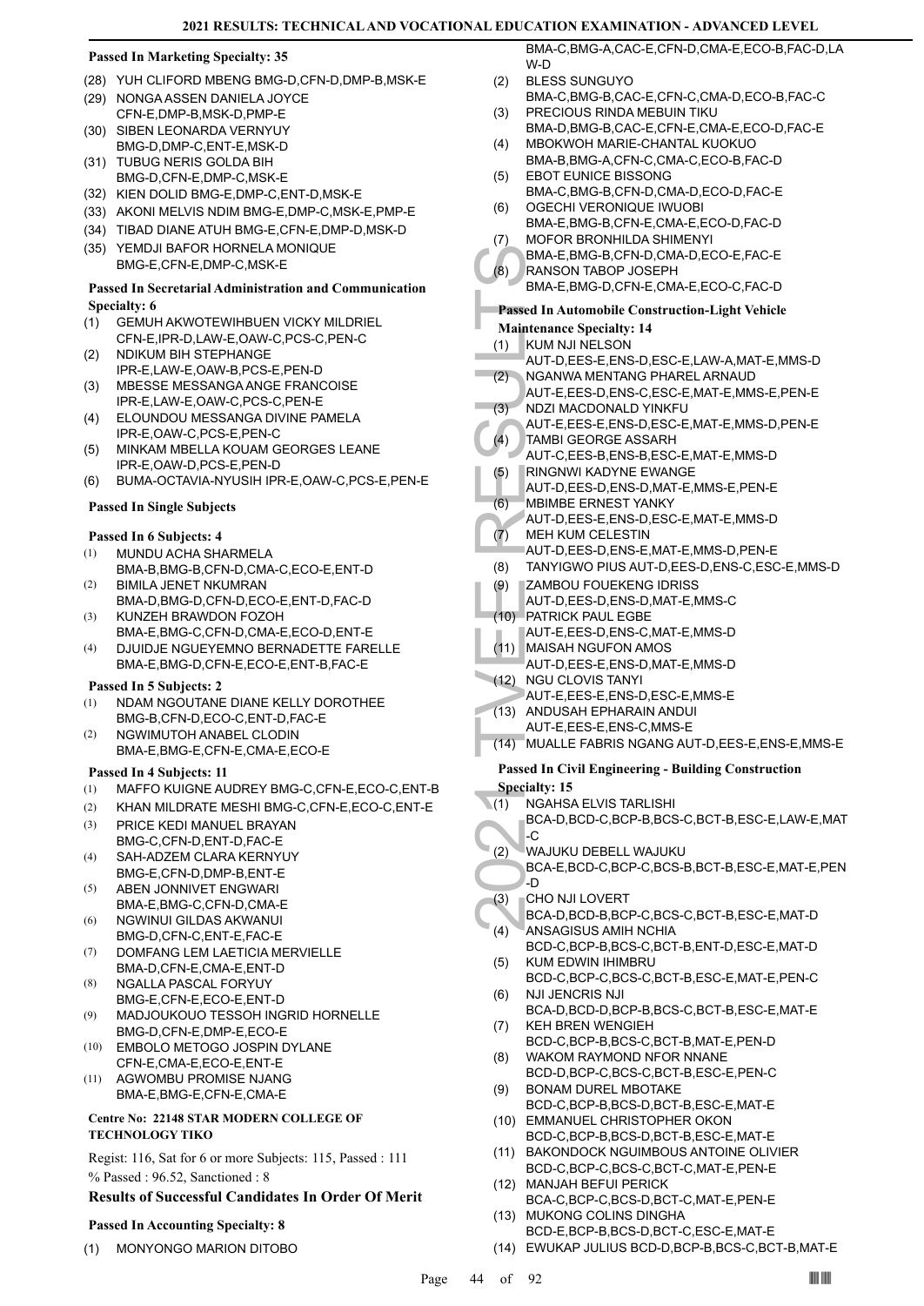## **Passed In Marketing Specialty: 35**

- (28) YUH CLIFORD MBENG BMG-D,CFN-D,DMP-B,MSK-E
- (29) NONGA ASSEN DANIELA JOYCE CFN-E,DMP-B,MSK-D,PMP-E
- (30) SIBEN LEONARDA VERNYUY BMG-D,DMP-C,ENT-E,MSK-D
- (31) TUBUG NERIS GOLDA BIH BMG-D,CFN-E,DMP-C,MSK-E
- (32) KIEN DOLID BMG-E,DMP-C,ENT-D,MSK-E
- (33) AKONI MELVIS NDIM BMG-E,DMP-C,MSK-E,PMP-E
- (34) TIBAD DIANE ATUH BMG-E,CFN-E,DMP-D,MSK-D
- (35) YEMDJI BAFOR HORNELA MONIQUE BMG-E,CFN-E,DMP-C,MSK-E

## **Passed In Secretarial Administration and Communication Specialty: 6**

- GEMUH AKWOTEWIHBUEN VICKY MILDRIEL CFN-E,IPR-D,LAW-E,OAW-C,PCS-C,PEN-C (1)
- NDIKUM BIH STEPHANGE IPR-E,LAW-E,OAW-B,PCS-E,PEN-D (2)
- MBESSE MESSANGA ANGE FRANCOISE IPR-E,LAW-E,OAW-C,PCS-C,PEN-E (3)
- ELOUNDOU MESSANGA DIVINE PAMELA IPR-E,OAW-C,PCS-E,PEN-C (4)
- MINKAM MBELLA KOUAM GEORGES LEANE IPR-E,OAW-D,PCS-E,PEN-D (5)
- (6) BUMA-OCTAVIA-NYUSIH IPR-E,OAW-C,PCS-E,PEN-E

## **Passed In Single Subjects**

## **Passed In 6 Subjects: 4**

- MUNDU ACHA SHARMELA BMA-B,BMG-B,CFN-D,CMA-C,ECO-E,ENT-D (1)
- BIMILA JENET NKUMRAN BMA-D,BMG-D,CFN-D,ECO-E,ENT-D,FAC-D (2) KUNZEH BRAWDON FOZOH (3)
- BMA-E,BMG-C,CFN-D,CMA-E,ECO-D,ENT-E
- DJUIDJE NGUEYEMNO BERNADETTE FARELLE BMA-E,BMG-D,CFN-E,ECO-E,ENT-B,FAC-E (4)

## **Passed In 5 Subjects: 2**

- NDAM NGOUTANE DIANE KELLY DOROTHEE BMG-B,CFN-D,ECO-C,ENT-D,FAC-E (1)
- NGWIMUTOH ANABEL CLODIN BMA-E,BMG-E,CFN-E,CMA-E,ECO-E (2)

## **Passed In 4 Subjects: 11**

- (1) MAFFO KUIGNE AUDREY BMG-C,CFN-E,ECO-C,ENT-B
- (2) KHAN MILDRATE MESHI BMG-C,CFN-E,ECO-C,ENT-E
- PRICE KEDI MANUEL BRAYAN BMG-C,CFN-D,ENT-D,FAC-E (3)
- SAH-ADZEM CLARA KERNYUY BMG-E,CFN-D,DMP-B,ENT-E (4)
- ABEN JONNIVET ENGWARI BMA-E,BMG-C,CFN-D,CMA-E (5)
- NGWINUI GILDAS AKWANUI BMG-D,CFN-C,ENT-E,FAC-E (6)
- DOMFANG LEM LAETICIA MERVIELLE BMA-D,CFN-E,CMA-E,ENT-D (7)
- NGALLA PASCAL FORYUY BMG-E,CFN-E,ECO-E,ENT-D (8)
- MADJOUKOUO TESSOH INGRID HORNELLE BMG-D,CFN-E,DMP-E,ECO-E (9)
- EMBOLO METOGO JOSPIN DYLANE CFN-E,CMA-E,ECO-E,ENT-E (10)
- AGWOMBU PROMISE NJANG BMA-E,BMG-E,CFN-E,CMA-E (11)

## **Centre No: 22148 STAR MODERN COLLEGE OF TECHNOLOGY TIKO**

Regist: 116, Sat for 6 or more Subjects: 115, Passed : 111 % Passed : 96.52, Sanctioned : 8

## **Results of Successful Candidates In Order Of Merit**

## **Passed In Accounting Specialty: 8**

(1) MONYONGO MARION DITOBO

BMA-C,BMG-A,CAC-E,CFN-D,CMA-E,ECO-B,FAC-D,LA W-D

- BLESS SUNGUYO BMA-C, BMG-B, CAC-E, CEN-C, CMA-D, ECO-B, EAC-C  $(2)$
- PRECIOUS RINDA MEBUIN TIKU BMA-D,BMG-B,CAC-E,CFN-E,CMA-E,ECO-D,FAC-E (3)
- MBOKWOH MARIE-CHANTAL KUOKUO (4)
- BMA-B,BMG-A,CFN-C,CMA-C,ECO-B,FAC-D EBOT EUNICE BISSONG (5)
- BMA-C,BMG-B,CFN-D,CMA-D,ECO-D,FAC-E OGECHI VERONIQUE IWUOBI (6)
- BMA-E,BMG-B,CFN-E,CMA-E,ECO-D,FAC-D MOFOR BRONHILDA SHIMENYI (7)
	- BMA-E,BMG-B,CFN-D,CMA-D,ECO-E,FAC-E
- RANSON TABOP JOSEPH BMA-E,BMG-D,CFN-E,CMA-E,ECO-C,FAC-D (8)

## **Passed In Automobile Construction-Light Vehicle**

- **Maintenance Specialty: 14**
- KUM NJI NELSON (1)
- AUT-D,EES-E,ENS-D,ESC-E,LAW-A,MAT-E,MMS-D
- NGANWA MENTANG PHAREL ARNAUD (2)
- AUT-E,EES-D,ENS-C,ESC-E,MAT-E,MMS-E,PEN-E NDZI MACDONALD YINKFU (3)
	- AUT-E,EES-E,ENS-D,ESC-E,MAT-E,MMS-D,PEN-E
- TAMBI GEORGE ASSARH  $(4)$
- AUT-C,EES-B,ENS-B,ESC-E,MAT-E,MMS-D
- RINGNWI KADYNE EWANGE AUT-D,EES-D,ENS-D,MAT-E,MMS-E,PEN-E (5)
- MBIMBE ERNEST YANKY (6)
- AUT-D,EES-E,ENS-D,ESC-E,MAT-E,MMS-D
- MEH KUM CELESTIN (7)
- AUT-D,EES-D,ENS-E,MAT-E,MMS-D,PEN-E
- (8) TANYIGWO PIUS AUT-D,EES-D,ENS-C,ESC-E,MMS-D
- ZAMBOU FOUEKENG IDRISS (9)
- AUT-D,EES-D,ENS-D,MAT-E,MMS-C
- PATRICK PAUL EGBE (10)
- AUT-E,EES-D,ENS-C,MAT-E,MMS-D
- (11) MAISAH NGUFON AMOS
- AUT-D,EES-E,ENS-D,MAT-E,MMS-D
- (12) NGU CLOVIS TANYI AUT-E,EES-E,ENS-D,ESC-E,MMS-E
- (13) ANDUSAH EPHARAIN ANDUI
- AUT-E,EES-E,ENS-C,MMS-E
- (14) MUALLE FABRIS NGANG AUT-D,EES-E,ENS-E,MMS-E

## **Passed In Civil Engineering - Building Construction Specialty: 15**

- NGAHSA ELVIS TARLISHI  $(1)$
- BMA-E,<br>
(8) BMA-E,<br>
RANSO<br>
BMA-E,<br>
Passed In At<br>
Maintenance<br>
(1) KUM NJ<br>
AUT-D,<br>
(2) NGANW<br>
AUT-E,<br>
(3) NDZI M.<br>
AUT-E,<br>
(4) TAMBI AUT-D,<br>
(4) TAMBI AUT-D,<br>
(6) RINGN<br>
AUT-D,<br>
(6) TANYIG<br>
(9) ZAMBO<br>
AUT-D,<br>
(7) MEH KUT-D, BCA-D,BCD-C,BCP-B,BCS-C,BCT-B,ESC-E,LAW-E,MAT -C
	- WAJUKU DEBELL WAJUKU (2)
		- BCA-E,BCD-C,BCP-C,BCS-B,BCT-B,ESC-E,MAT-E,PEN -D
- CHO NJI LOVERT (3)
- BCA-D,BCD-B,BCP-C,BCS-C,BCT-B,ESC-E,MAT-D ANSAGISUS AMIH NCHIA (4)
- BCD-C,BCP-B,BCS-C,BCT-B,ENT-D,ESC-E,MAT-D KUM EDWIN IHIMBRU (5)
- BCD-C,BCP-C,BCS-C,BCT-B,ESC-E,MAT-E,PEN-C NJI JENCRIS NJI (6)
- BCA-D,BCD-D,BCP-B,BCS-C,BCT-B,ESC-E,MAT-E KEH BREN WENGIEH (7)
- BCD-C,BCP-B,BCS-C,BCT-B,MAT-E,PEN-D WAKOM RAYMOND NFOR NNANE (8)
- BCD-D,BCP-C,BCS-C,BCT-B,ESC-E,PEN-C BONAM DUREL MBOTAKE (9)
- BCD-C,BCP-B,BCS-D,BCT-B,ESC-E,MAT-E (10) EMMANUEL CHRISTOPHER OKON
- BCD-C,BCP-B,BCS-D,BCT-B,ESC-E,MAT-E (11) BAKONDOCK NGUIMBOUS ANTOINE OLIVIER
- BCD-C,BCP-C,BCS-C,BCT-C,MAT-E,PEN-E MANJAH BEFUI PERICK (12)
- BCA-C,BCP-C,BCS-D,BCT-C,MAT-E,PEN-E (13) MUKONG COLINS DINGHA
- BCD-E,BCP-B,BCS-D,BCT-C,ESC-E,MAT-E (14) EWUKAP JULIUS BCD-D,BCP-B,BCS-C,BCT-B,MAT-E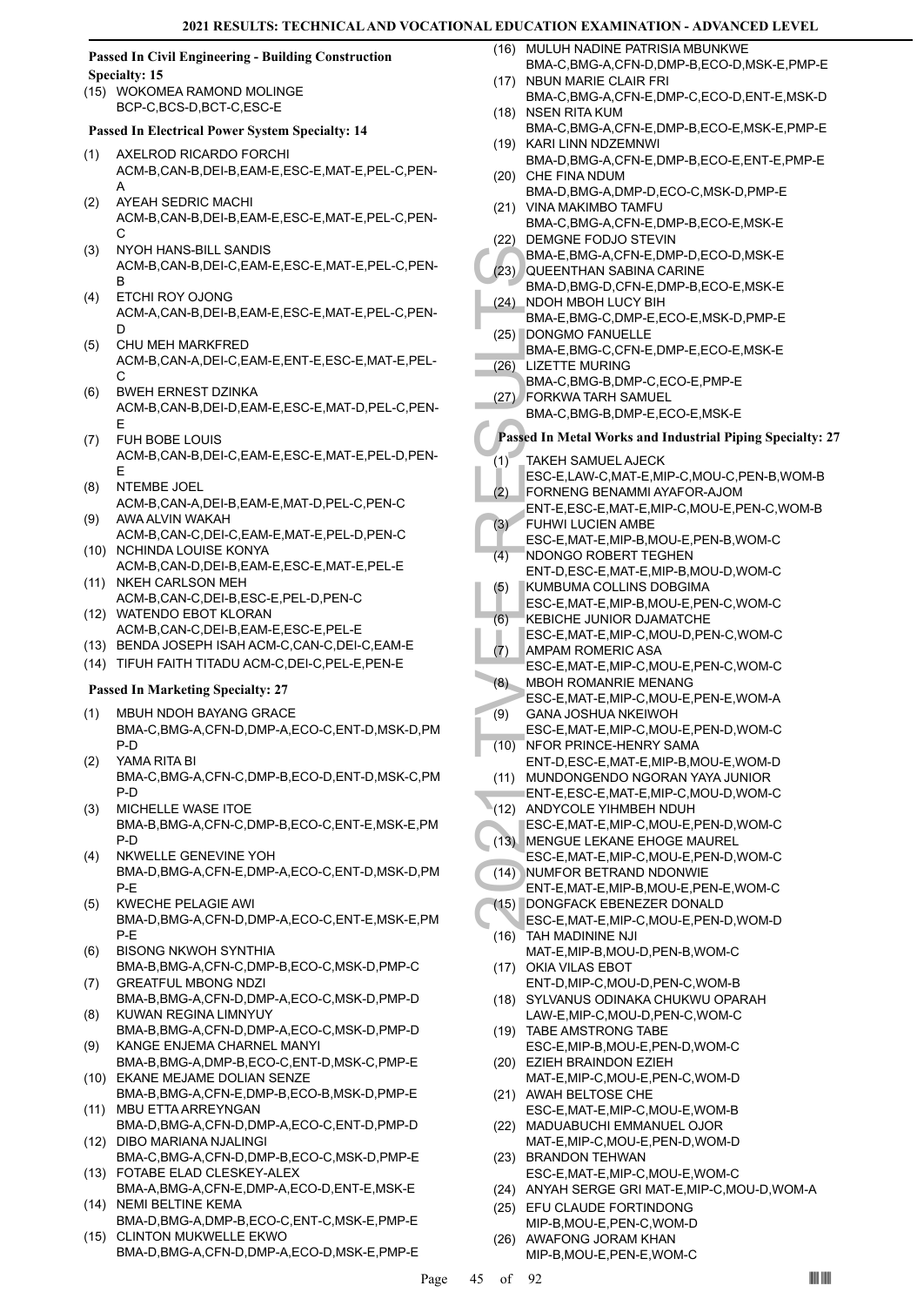## **Passed In Civil Engineering - Building Construction Specialty: 15**

(15) WOKOMEA RAMOND MOLINGE BCP-C,BCS-D,BCT-C,ESC-E

## **Passed In Electrical Power System Specialty: 14**

- AXELROD RICARDO FORCHI ACM-B,CAN-B,DEI-B,EAM-E,ESC-E,MAT-E,PEL-C,PEN-A (1)
- AYEAH SEDRIC MACHI ACM-B,CAN-B,DEI-B,EAM-E,ESC-E,MAT-E,PEL-C,PEN-C (2)
- NYOH HANS-BILL SANDIS ACM-B,CAN-B,DEI-C,EAM-E,ESC-E,MAT-E,PEL-C,PEN-B (3)
- ETCHI ROY OJONG ACM-A,CAN-B,DEI-B,EAM-E,ESC-E,MAT-E,PEL-C,PEN-D (4)
- CHU MEH MARKFRED ACM-B,CAN-A,DEI-C,EAM-E,ENT-E,ESC-E,MAT-E,PEL- $\mathcal{C}$ (5)
- BWEH ERNEST DZINKA ACM-B,CAN-B,DEI-D,EAM-E,ESC-E,MAT-D,PEL-C,PEN-E (6)
- FUH BOBE LOUIS ACM-B,CAN-B,DEI-C,EAM-E,ESC-E,MAT-E,PEL-D,PEN-E (7)
- NTEMBE JOEL ACM-B,CAN-A,DEI-B,EAM-E,MAT-D,PEL-C,PEN-C (8)
- AWA ALVIN WAKAH ACM-B,CAN-C,DEI-C,EAM-E,MAT-E,PEL-D,PEN-C (9)
- (10) NCHINDA LOUISE KONYA ACM-B,CAN-D,DEI-B,EAM-E,ESC-E,MAT-E,PEL-E
- (11) NKEH CARLSON MEH ACM-B,CAN-C,DEI-B,ESC-E,PEL-D,PEN-C (12) WATENDO EBOT KLORAN
- ACM-B,CAN-C,DEI-B,EAM-E,ESC-E,PEL-E
- (13) BENDA JOSEPH ISAH ACM-C,CAN-C,DEI-C,EAM-E
- (14) TIFUH FAITH TITADU ACM-C,DEI-C,PEL-E,PEN-E

- MBUH NDOH BAYANG GRACE BMA-C,BMG-A,CFN-D,DMP-A,ECO-C,ENT-D,MSK-D,PM P-D (1)
- YAMA RITA BI BMA-C,BMG-A,CFN-C,DMP-B,ECO-D,ENT-D,MSK-C,PM P-D (2)
- MICHELLE WASE ITOE BMA-B,BMG-A,CFN-C,DMP-B,ECO-C,ENT-E,MSK-E,PM P-D (3)
- NKWELLE GENEVINE YOH BMA-D,BMG-A,CFN-E,DMP-A,ECO-C,ENT-D,MSK-D,PM P-E (4)
- KWECHE PELAGIE AWI BMA-D,BMG-A,CFN-D,DMP-A,ECO-C,ENT-E,MSK-E,PM P-E (5)
- BISONG NKWOH SYNTHIA BMA-B,BMG-A,CFN-C,DMP-B,ECO-C,MSK-D,PMP-C (6) GREATFUL MBONG NDZI (7)
- BMA-B,BMG-A,CFN-D,DMP-A,ECO-C,MSK-D,PMP-D KUWAN REGINA LIMNYUY (8)
- BMA-B,BMG-A,CFN-D,DMP-A,ECO-C,MSK-D,PMP-D KANGE ENJEMA CHARNEL MANYI (9)
- BMA-B,BMG-A,DMP-B,ECO-C,ENT-D,MSK-C,PMP-E (10) EKANE MEJAME DOLIAN SENZE
- BMA-B,BMG-A,CFN-E,DMP-B,ECO-B,MSK-D,PMP-E (11) MBU ETTA ARREYNGAN
- BMA-D,BMG-A,CFN-D,DMP-A,ECO-C,ENT-D,PMP-D (12) DIBO MARIANA NJALINGI
- BMA-C,BMG-A,CFN-D,DMP-B,ECO-C,MSK-D,PMP-E FOTABE ELAD CLESKEY-ALEX (13)
- BMA-A,BMG-A,CFN-E,DMP-A,ECO-D,ENT-E,MSK-E (14) NEMI BELTINE KEMA
- BMA-D,BMG-A,DMP-B,ECO-C,ENT-C,MSK-E,PMP-E CLINTON MUKWELLE EKWO (15)
- BMA-D,BMG-A,CFN-D,DMP-A,ECO-D,MSK-E,PMP-E
- (16) MULUH NADINE PATRISIA MBUNKWE BMA-C,BMG-A,CFN-D,DMP-B,ECO-D,MSK-E,PMP-E
- NBUN MARIE CLAIR FRI BMA-C,BMG-A,CFN-E,DMP-C,ECO-D,ENT-E,MSK-D  $(17)$ (18) NSEN RITA KUM
- BMA-C,BMG-A,CFN-E,DMP-B,ECO-E,MSK-E,PMP-E (19) KARI LINN NDZEMNWI
- BMA-D,BMG-A,CFN-E,DMP-B,ECO-E,ENT-E,PMP-E (20) CHE FINA NDUM
- BMA-D,BMG-A,DMP-D,ECO-C,MSK-D,PMP-E (21) VINA MAKIMBO TAMFU
- BMA-C,BMG-A,CFN-E,DMP-B,ECO-E,MSK-E (22) DEMGNE FODJO STEVIN
- BMA-E,BMG-A,CFN-E,DMP-D,ECO-D,MSK-E QUEENTHAN SABINA CARINE (23)
- BMA-D,BMG-D,CFN-E,DMP-B,ECO-E,MSK-E NDOH MBOH LUCY BIH (24)
- BMA-E,BMG-C,DMP-E,ECO-E,MSK-D,PMP-E (25) DONGMO FANUELLE
- BMA-E,BMG-C,CFN-E,DMP-E,ECO-E,MSK-E LIZETTE MURING (26)
- BMA-C,BMG-B,DMP-C,ECO-E,PMP-E
- FORKWA TARH SAMUEL (27)
	- BMA-C,BMG-B,DMP-E,ECO-E,MSK-E
	- **Passed In Metal Works and Industrial Piping Specialty: 27**
- TAKEH SAMUEL AJECK ESC-E,LAW-C,MAT-E,MIP-C,MOU-C,PEN-B,WOM-B (1)
- BMA-E, QUEEN<br>
BMA-E, QUEEN<br>
BMA-D, NDOH N<br>
BMA-E, CAP<br>
BMA-E, BMA-C, BMA-E, BMA-C, BMA-E, BMA-E, BMA-E, BMA-C, BMA-C, BMA-C, EXC-E, TORKW<br>
BMA-C, FORKW BMA-C, FORNE ENT-E, FUHWI ESC-E, FUHWI ESC-E, FUHWI ESC-E, FUHWI ESC-E FORNENG BENAMMI AYAFOR-AJOM ENT-E,ESC-E,MAT-E,MIP-C,MOU-E,PEN-C,WOM-B (2) FUHWI LUCIEN AMBE (3)
	- ESC-E,MAT-E,MIP-B,MOU-E,PEN-B,WOM-C NDONGO ROBERT TEGHEN (4)
	- ENT-D,ESC-E,MAT-E,MIP-B,MOU-D,WOM-C
	- KUMBUMA COLLINS DOBGIMA ESC-E,MAT-E,MIP-B,MOU-E,PEN-C,WOM-C (5)
- KEBICHE JUNIOR DJAMATCHE (6)
- ESC-E,MAT-E,MIP-C,MOU-D,PEN-C,WOM-C AMPAM ROMERIC ASA (7)
- ESC-E,MAT-E,MIP-C,MOU-E,PEN-C,WOM-C MBOH ROMANRIE MENANG (8)
- ESC-E,MAT-E,MIP-C,MOU-E,PEN-E,WOM-A GANA JOSHUA NKEIWOH (9)
- ESC-E,MAT-E,MIP-C,MOU-E,PEN-D,WOM-C NFOR PRINCE-HENRY SAMA (10)
	- ENT-D,ESC-E,MAT-E,MIP-B,MOU-E,WOM-D
- (11) MUNDONGENDO NGORAN YAYA JUNIOR ENT-E,ESC-E,MAT-E,MIP-C,MOU-D,WOM-C
- (12) ANDYCOLE YIHMBEH NDUH
- ESC-E,MAT-E,MIP-C,MOU-E,PEN-D,WOM-C (13) MENGUE LEKANE EHOGE MAUREL
- ESC-E,MAT-E,MIP-C,MOU-E,PEN-D,WOM-C (14) NUMFOR BETRAND NDONWIE
- ENT-E,MAT-E,MIP-B,MOU-E,PEN-E,WOM-C DONGFACK EBENEZER DONALD (15)
- ESC-E,MAT-E,MIP-C,MOU-E,PEN-D,WOM-D TAH MADININE NJI (16)
- MAT-E,MIP-B,MOU-D,PEN-B,WOM-C (17) OKIA VILAS EBOT
- ENT-D,MIP-C,MOU-D,PEN-C,WOM-B (18) SYLVANUS ODINAKA CHUKWU OPARAH
- LAW-E,MIP-C,MOU-D,PEN-C,WOM-C (19) TABE AMSTRONG TABE
- ESC-E,MIP-B,MOU-E,PEN-D,WOM-C (20) EZIEH BRAINDON EZIEH
- MAT-E,MIP-C,MOU-E,PEN-C,WOM-D (21) AWAH BELTOSE CHE
- ESC-E,MAT-E,MIP-C,MOU-E,WOM-B (22) MADUABUCHI EMMANUEL OJOR
- MAT-E,MIP-C,MOU-E,PEN-D,WOM-D (23) BRANDON TEHWAN
- ESC-E,MAT-E,MIP-C,MOU-E,WOM-C (24) ANYAH SERGE GRI MAT-E,MIP-C,MOU-D,WOM-A
- (25) EFU CLAUDE FORTINDONG MIP-B,MOU-E,PEN-C,WOM-D
- (26) AWAFONG JORAM KHAN MIP-B,MOU-E,PEN-E,WOM-C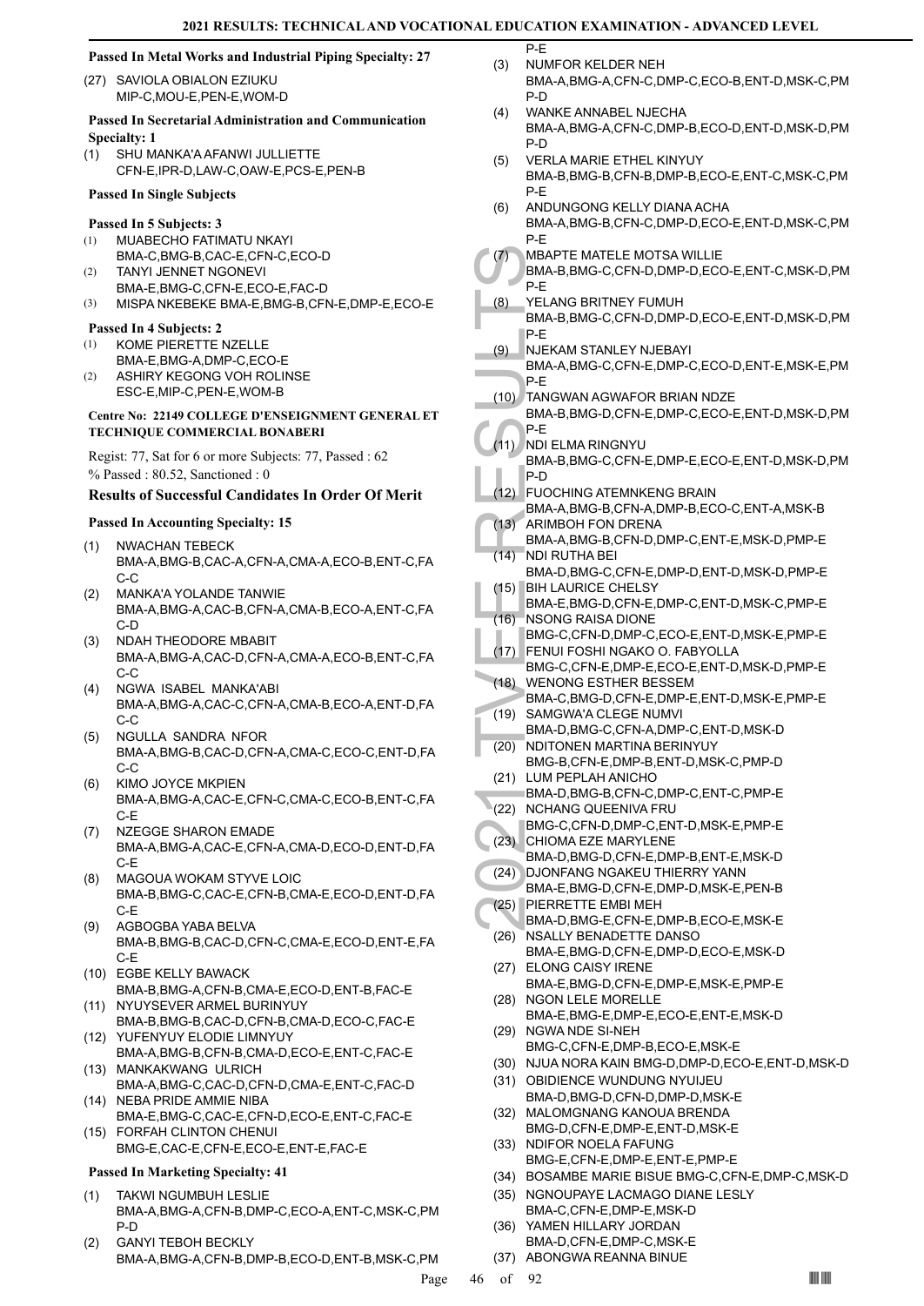$\overline{P-F}$ 

## **Passed In Metal Works and Industrial Piping Specialty: 27**

(27) SAVIOLA OBIALON EZIUKU MIP-C,MOU-E,PEN-E,WOM-D

## **Passed In Secretarial Administration and Communication Specialty: 1**

SHU MANKA'A AFANWI JULLIETTE CFN-E,IPR-D,LAW-C,OAW-E,PCS-E,PEN-B (1)

## **Passed In Single Subjects**

## **Passed In 5 Subjects: 3**

- MUABECHO FATIMATU NKAYI BMA-C,BMG-B,CAC-E,CFN-C,ECO-D (1)
- TANYI JENNET NGONEVI BMA-E,BMG-C,CFN-E,ECO-E,FAC-D (2)
- (3) MISPA NKEBEKE BMA-E,BMG-B,CFN-E,DMP-E,ECO-E

## **Passed In 4 Subjects: 2**

- KOME PIERETTE NZELLE (1)
- BMA-E,BMG-A,DMP-C,ECO-E ASHIRY KEGONG VOH ROLINSE (2)
- ESC-E,MIP-C,PEN-E,WOM-B

## **Centre No: 22149 COLLEGE D'ENSEIGNMENT GENERAL ET TECHNIQUE COMMERCIAL BONABERI**

Regist: 77, Sat for 6 or more Subjects: 77, Passed : 62 % Passed : 80.52, Sanctioned : 0

## **Results of Successful Candidates In Order Of Merit**

## **Passed In Accounting Specialty: 15**

- (1) NWACHAN TEBECK BMA-A,BMG-B,CAC-A,CFN-A,CMA-A,ECO-B,ENT-C,FA C-C
- MANKA'A YOLANDE TANWIE BMA-A,BMG-A,CAC-B,CFN-A,CMA-B,ECO-A,ENT-C,FA C-D (2)
- NDAH THEODORE MBABIT BMA-A,BMG-A,CAC-D,CFN-A,CMA-A,ECO-B,ENT-C,FA C-C (3)
- NGWA ISABEL MANKA'ABI BMA-A,BMG-A,CAC-C,CFN-A,CMA-B,ECO-A,ENT-D,FA  $C-C$ (4)
- NGULLA SANDRA NFOR BMA-A,BMG-B,CAC-D,CFN-A,CMA-C,ECO-C,ENT-D,FA C-C (5)
- KIMO JOYCE MKPIEN BMA-A,BMG-A,CAC-E,CFN-C,CMA-C,ECO-B,ENT-C,FA C-E (6)
- NZEGGE SHARON EMADE BMA-A,BMG-A,CAC-E,CFN-A,CMA-D,ECO-D,ENT-D,FA C-E (7)
- MAGOUA WOKAM STYVE LOIC BMA-B,BMG-C,CAC-E,CFN-B,CMA-E,ECO-D,ENT-D,FA C-E (8)
- AGBOGBA YABA BELVA BMA-B,BMG-B,CAC-D,CFN-C,CMA-E,ECO-D,ENT-E,FA C-E (9)
- EGBE KELLY BAWACK (10) BMA-B,BMG-A,CFN-B,CMA-E,ECO-D,ENT-B,FAC-E
- (11) NYUYSEVER ARMEL BURINYUY BMA-B,BMG-B,CAC-D,CFN-B,CMA-D,ECO-C,FAC-E
- YUFENYUY ELODIE LIMNYUY (12) BMA-A,BMG-B,CFN-B,CMA-D,ECO-E,ENT-C,FAC-E (13) MANKAKWANG ULRICH
- BMA-A,BMG-C,CAC-D,CFN-D,CMA-E,ENT-C,FAC-D (14) NEBA PRIDE AMMIE NIBA
- BMA-E,BMG-C,CAC-E,CFN-D,ECO-E,ENT-C,FAC-E FORFAH CLINTON CHENUI (15)
- BMG-E,CAC-E,CFN-E,ECO-E,ENT-E,FAC-E

- TAKWI NGUMBUH LESLIE BMA-A,BMG-A,CFN-B,DMP-C,ECO-A,ENT-C,MSK-C,PM P-D (1)
- GANYI TEBOH BECKLY BMA-A,BMG-A,CFN-B,DMP-B,ECO-D,ENT-B,MSK-C,PM (2)
- NUMFOR KELDER NEH BMA-A,BMG-A,CFN-C,DMP-C,ECO-B,ENT-D,MSK-C,PM P-D (3)
- WANKE ANNABEL NJECHA BMA-A,BMG-A,CFN-C,DMP-B,ECO-D,ENT-D,MSK-D,PM P-D (4)
- VERLA MARIE ETHEL KINYUY BMA-B,BMG-B,CFN-B,DMP-B,ECO-E,ENT-C,MSK-C,PM P-E (5)
- ANDUNGONG KELLY DIANA ACHA (6)
- BMA-A,BMG-B,CFN-C,DMP-D,ECO-E,ENT-D,MSK-C,PM P-E
- MBAPTE MATELE MOTSA WILLIE (7)
- BMA-B,BMG-C,CFN-D,DMP-D,ECO-E,ENT-C,MSK-D,PM P-E
- (1) MBAPT<br>
BMA-B, P-E<br>
(8) YELAN( BMA-B, P-E<br>
P-E<br>
(9) NJEKA BMA-A, P-E<br>
(10) TANGW BMA-B, P-E<br>
(11) NDI ELN<br>
BMA-B, P-E<br>
(11) NDI RLI<br>
BMA-A, P-E<br>
(12) FUOCH BMA-A, RIMB( BMA-A, P-D<br>
(13) ARIMB( BMA-A, RIMB( BMA-A, RIMB<br> YELANG BRITNEY FUMUH BMA-B,BMG-C,CFN-D,DMP-D,ECO-E,ENT-D,MSK-D,PM P-E (8)
- NJEKAM STANLEY NJEBAYI (9)
- BMA-A,BMG-C,CFN-E,DMP-C,ECO-D,ENT-E,MSK-E,PM P-E
- TANGWAN AGWAFOR BRIAN NDZE (10)
- BMA-B,BMG-D,CFN-E,DMP-C,ECO-E,ENT-D,MSK-D,PM P-E
- (11) NDI ELMA RINGNYU
- BMA-B,BMG-C,CFN-E,DMP-E,ECO-E,ENT-D,MSK-D,PM P-D
- FUOCHING ATEMNKENG BRAIN (12)
- BMA-A,BMG-B,CFN-A,DMP-B,ECO-C,ENT-A,MSK-B ARIMBOH FON DRENA  $(13)$
- BMA-A,BMG-B,CFN-D,DMP-C,ENT-E,MSK-D,PMP-E NDI RUTHA BEI (14)
- BMA-D,BMG-C,CFN-E,DMP-D,ENT-D,MSK-D,PMP-E **BIH LAURICE CHELSY** (15)
- BMA-E,BMG-D,CFN-E,DMP-C,ENT-D,MSK-C,PMP-E NSONG RAISA DIONE (16)
- BMG-C,CFN-D,DMP-C,ECO-E,ENT-D,MSK-E,PMP-E FENUI FOSHI NGAKO O. FABYOLLA (17)
- BMG-C,CFN-E,DMP-E,ECO-E,ENT-D,MSK-D,PMP-E WENONG ESTHER BESSEM (18)
- BMA-C,BMG-D,CFN-E,DMP-E,ENT-D,MSK-E,PMP-E (19) SAMGWA'A CLEGE NUMVI
- BMA-D,BMG-C,CFN-A,DMP-C,ENT-D,MSK-D
- (20) NDITONEN MARTINA BERINYUY BMG-B,CFN-E,DMP-B,ENT-D,MSK-C,PMP-D
- (21) LUM PEPLAH ANICHO BMA-D,BMG-B,CFN-C,DMP-C,ENT-C,PMP-E
- (22) NCHANG QUEENIVA FRU
- BMG-C,CFN-D,DMP-C,ENT-D,MSK-E,PMP-E (23) CHIOMA EZE MARYLENE
	- BMA-D,BMG-D,CFN-E,DMP-B,ENT-E,MSK-D (24) DJONFANG NGAKEU THIERRY YANN
- BMA-E,BMG-D,CFN-E,DMP-D,MSK-E,PEN-B PIERRETTE EMBI MEH (25)
- BMA-D,BMG-E,CFN-E,DMP-B,ECO-E,MSK-E (26) NSALLY BENADETTE DANSO
- BMA-E,BMG-D,CFN-E,DMP-D,ECO-E,MSK-D (27) ELONG CAISY IRENE
- BMA-E,BMG-D,CFN-E,DMP-E,MSK-E,PMP-E (28) NGON LELE MORELLE
- BMA-E,BMG-E,DMP-E,ECO-E,ENT-E,MSK-D (29) NGWA NDE SI-NEH
- BMG-C,CFN-E,DMP-B,ECO-E,MSK-E
- (30) NJUA NORA KAIN BMG-D,DMP-D,ECO-E,ENT-D,MSK-D
- (31) OBIDIENCE WUNDUNG NYUIJEU BMA-D,BMG-D,CFN-D,DMP-D,MSK-E
- (32) MALOMGNANG KANOUA BRENDA BMG-D,CFN-E,DMP-E,ENT-D,MSK-E
- (33) NDIFOR NOELA FAFUNG BMG-E,CFN-E,DMP-E,ENT-E,PMP-E
- (34) BOSAMBE MARIE BISUE BMG-C,CFN-E,DMP-C,MSK-D
- (35) NGNOUPAYE LACMAGO DIANE LESLY BMA-C,CFN-E,DMP-E,MSK-D
- (36) YAMEN HILLARY JORDAN BMA-D,CFN-E,DMP-C,MSK-E
- (37) ABONGWA REANNA BINUE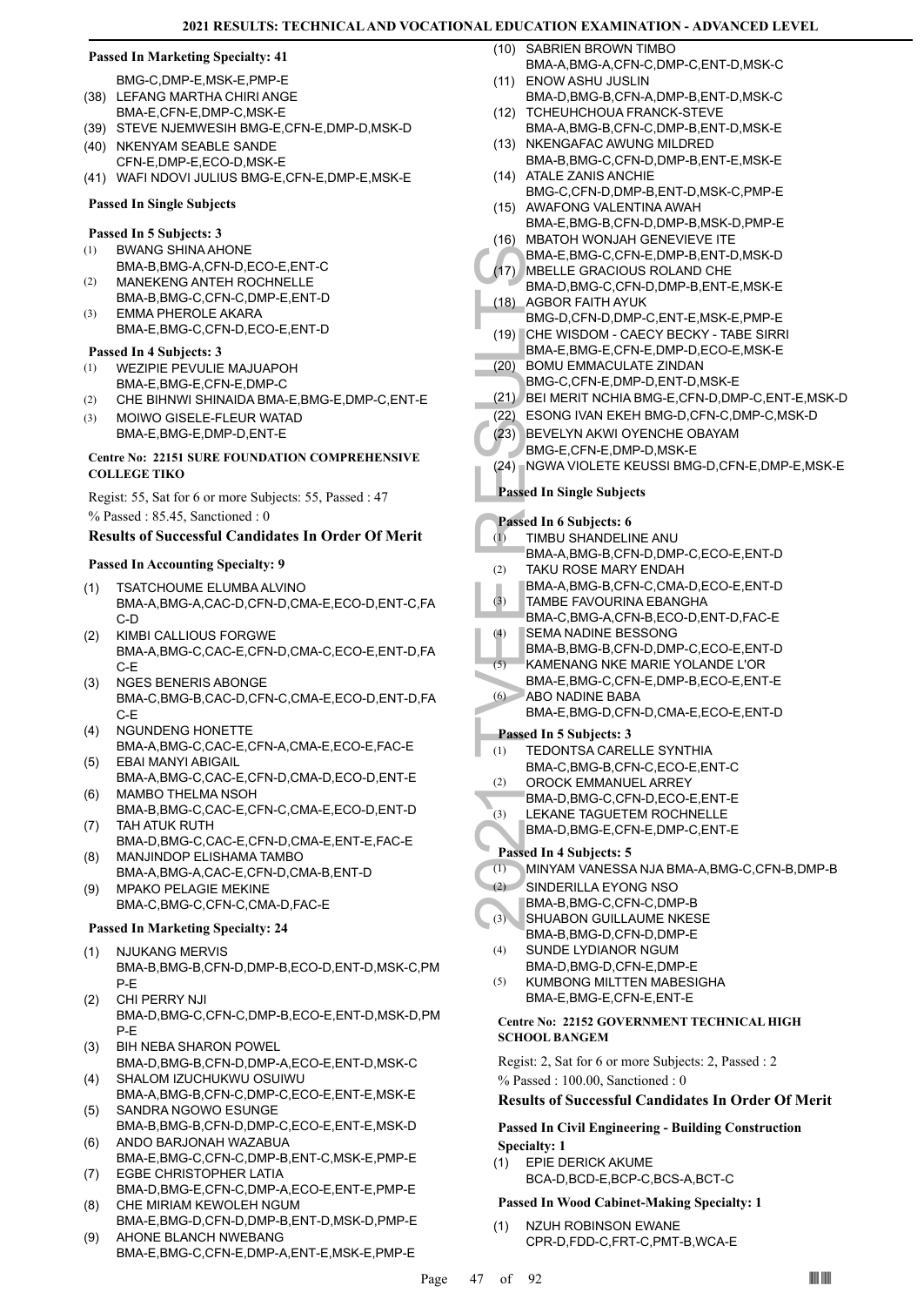## **Passed In Marketing Specialty: 41**

BMG-C,DMP-E,MSK-E,PMP-E (38) LEFANG MARTHA CHIRI ANGE

- BMA-E,CFN-E,DMP-C,MSK-E
- (39) STEVE NJEMWESIH BMG-E,CFN-E,DMP-D,MSK-D (40) NKENYAM SEABLE SANDE
- CFN-E,DMP-E,ECO-D,MSK-E
- (41) WAFI NDOVI JULIUS BMG-E,CFN-E,DMP-E,MSK-E

#### **Passed In Single Subjects**

#### **Passed In 5 Subjects: 3**

- BWANG SHINA AHONE (1)
- BMA-B,BMG-A,CFN-D,ECO-E,ENT-C
- MANEKENG ANTEH ROCHNELLE BMA-B,BMG-C,CFN-C,DMP-E,ENT-D (2) (3)
	- EMMA PHEROLE AKARA BMA-E,BMG-C,CFN-D,ECO-E,ENT-D

## **Passed In 4 Subjects: 3**

- WEZIPIE PEVULIE MAJUAPOH (1)
- BMA-E,BMG-E,CFN-E,DMP-C
- (2) CHE BIHNWI SHINAIDA BMA-E,BMG-E,DMP-C,ENT-E (3)
- MOIWO GISELE-FLEUR WATAD BMA-E,BMG-E,DMP-D,ENT-E

## **Centre No: 22151 SURE FOUNDATION COMPREHENSIVE COLLEGE TIKO**

Regist: 55, Sat for 6 or more Subjects: 55, Passed : 47 % Passed : 85.45, Sanctioned : 0

## **Results of Successful Candidates In Order Of Merit**

## **Passed In Accounting Specialty: 9**

- TSATCHOUME ELUMBA ALVINO BMA-A,BMG-A,CAC-D,CFN-D,CMA-E,ECO-D,ENT-C,FA C-D (1)
- KIMBI CALLIOUS FORGWE BMA-A,BMG-C,CAC-E,CFN-D,CMA-C,ECO-E,ENT-D,FA C-E (2)
- NGES BENERIS ABONGE BMA-C,BMG-B,CAC-D,CFN-C,CMA-E,ECO-D,ENT-D,FA C-E (3)
- NGUNDENG HONETTE BMA-A,BMG-C,CAC-E,CFN-A,CMA-E,ECO-E,FAC-E (4)
- EBAI MANYI ABIGAIL BMA-A,BMG-C,CAC-E,CFN-D,CMA-D,ECO-D,ENT-E (5)
- MAMBO THELMA NSOH BMA-B,BMG-C,CAC-E,CFN-C,CMA-E,ECO-D,ENT-D (6)
- TAH ATUK RUTH BMA-D,BMG-C,CAC-E,CFN-D,CMA-E,ENT-E,FAC-E (7)
- MANJINDOP ELISHAMA TAMBO BMA-A,BMG-A,CAC-E,CFN-D,CMA-B,ENT-D (8)
- MPAKO PELAGIE MEKINE BMA-C,BMG-C,CFN-C,CMA-D,FAC-E (9)

## **Passed In Marketing Specialty: 24**

- NJUKANG MERVIS BMA-B,BMG-B,CFN-D,DMP-B,ECO-D,ENT-D,MSK-C,PM P-E (1)
- CHI PERRY NJI BMA-D,BMG-C,CFN-C,DMP-B,ECO-E,ENT-D,MSK-D,PM P-E (2)
- BIH NEBA SHARON POWEL (3)
- BMA-D,BMG-B,CFN-D,DMP-A,ECO-E,ENT-D,MSK-C SHALOM IZUCHUKWU OSUIWU (4)
- BMA-A,BMG-B,CFN-C,DMP-C,ECO-E,ENT-E,MSK-E SANDRA NGOWO ESUNGE (5)
- BMA-B,BMG-B,CFN-D,DMP-C,ECO-E,ENT-E,MSK-D ANDO BARJONAH WAZABUA (6)
- BMA-E,BMG-C,CFN-C,DMP-B,ENT-C,MSK-E,PMP-E EGBE CHRISTOPHER LATIA (7)
- BMA-D,BMG-E,CFN-C,DMP-A,ECO-E,ENT-E,PMP-E CHE MIRIAM KEWOLEH NGUM (8)
- BMA-E,BMG-D,CFN-D,DMP-B,ENT-D,MSK-D,PMP-E AHONE BLANCH NWEBANG (9)
- BMA-E,BMG-C,CFN-E,DMP-A,ENT-E,MSK-E,PMP-E
- SABRIEN BROWN TIMBO BMA-A,BMG-A,CFN-C,DMP-C,ENT-D,MSK-C  $(10)$
- ENOW ASHU JUSLIN BMA-D,BMG-B,CFN-A,DMP-B,ENT-D,MSK-C  $(11)$
- (12) TCHEUHCHOUA FRANCK-STEVE
- BMA-A,BMG-B,CFN-C,DMP-B,ENT-D,MSK-E (13) NKENGAFAC AWUNG MILDRED
- BMA-B,BMG-C,CFN-D,DMP-B,ENT-E,MSK-E (14) ATALE ZANIS ANCHIE
- BMG-C,CFN-D,DMP-B,ENT-D,MSK-C,PMP-E (15) AWAFONG VALENTINA AWAH
- BMA-E,BMG-B,CFN-D,DMP-B,MSK-D,PMP-E MBATOH WONJAH GENEVIEVE ITE (16)
- BMA-E,BMG-C,CFN-E,DMP-B,ENT-D,MSK-D MBELLE GRACIOUS ROLAND CHE (17)
- BMA-D,BMG-C,CFN-D,DMP-B,ENT-E,MSK-E AGBOR FAITH AYUK (18)
- BMG-D,CFN-D,DMP-C,ENT-E,MSK-E,PMP-E
- CHE WISDOM CAECY BECKY TABE SIRRI (19) BMA-E,BMG-E,CFN-E,DMP-D,ECO-E,MSK-E
- BOMU EMMACULATE ZINDAN (20)
- BMG-C,CFN-E,DMP-D,ENT-D,MSK-E
- (21) BEI MERIT NCHIA BMG-E,CFN-D,DMP-C,ENT-E,MSK-D
- (22) ESONG IVAN EKEH BMG-D,CFN-C,DMP-C,MSK-D
- BEVELYN AKWI OYENCHE OBAYAM (23)
- BMG-E,CFN-E,DMP-D,MSK-E
- (24) NGWA VIOLETE KEUSSI BMG-D, CFN-E, DMP-E, MSK-E

**Passed In Single Subjects**

BMA-E,<br>
(17) MBELLE<br>
BMA-D,<br>
CONUTE BMA-D,<br>
(18) GHE WI<br>
BMA-E,<br>
(20) BOMUTE BMA-E,<br>
(20) BOMUTE BMA-E,<br>
(22) ESONG<br>
(23) BEVELY<br>
BMG-E,<br>
(24) NGWA Passed In Si<br>
Passed In Si<br>
(1) TIMBUTE BMA-A,<br>
(3) TAKUR BMA-A,<br>
(3) TAKU **Passed In 6 Subjects: 6** TIMBU SHANDELINE ANU BMA-A,BMG-B,CFN-D,DMP-C,ECO-E,ENT-D (1) TAKU ROSE MARY ENDAH BMA-A,BMG-B,CFN-C,CMA-D,ECO-E,ENT-D (2) TAMBE FAVOURINA EBANGHA BMA-C,BMG-A,CFN-B,ECO-D,ENT-D,FAC-E (3) SEMA NADINE BESSONG BMA-B,BMG-B,CFN-D,DMP-C,ECO-E,ENT-D (4) KAMENANG NKE MARIE YOLANDE L'OR BMA-E,BMG-C,CFN-E,DMP-B,ECO-E,ENT-E  $(5)$ ABO NADINE BABA BMA-E,BMG-D,CFN-D,CMA-E,ECO-E,ENT-D  $(6)$ **Passed In 5 Subjects: 3** TEDONTSA CARELLE SYNTHIA BMA-C,BMG-B,CFN-C,ECO-E,ENT-C (1) OROCK EMMANUEL ARREY BMA-D,BMG-C,CFN-D,ECO-E,ENT-E (2) LEKANE TAGUETEM ROCHNELLE BMA-D,BMG-E,CFN-E,DMP-C,ENT-E  $^{\circ}(3)$ **Passed In 4 Subjects: 5** (1) MINYAM VANESSA NJA BMA-A,BMG-C,CFN-B,DMP-B SINDERILLA EYONG NSO BMA-B,BMG-C,CFN-C,DMP-B (2) SHUABON GUILLAUME NKESE BMA-B,BMG-D,CFN-D,DMP-E  $(3)$ SUNDE LYDIANOR NGUM BMA-D,BMG-D,CFN-E,DMP-E  $(4)$ KUMBONG MILTTEN MABESIGHA BMA-E,BMG-E,CFN-E,ENT-E (5) **Centre No: 22152 GOVERNMENT TECHNICAL HIGH SCHOOL BANGEM**  Regist: 2, Sat for 6 or more Subjects: 2, Passed : 2 % Passed : 100.00, Sanctioned : 0

## **Results of Successful Candidates In Order Of Merit**

**Passed In Civil Engineering - Building Construction Specialty: 1**

EPIE DERICK AKUME BCA-D,BCD-E,BCP-C,BCS-A,BCT-C (1)

## **Passed In Wood Cabinet-Making Specialty: 1**

NZUH ROBINSON EWANE CPR-D,FDD-C,FRT-C,PMT-B,WCA-E (1)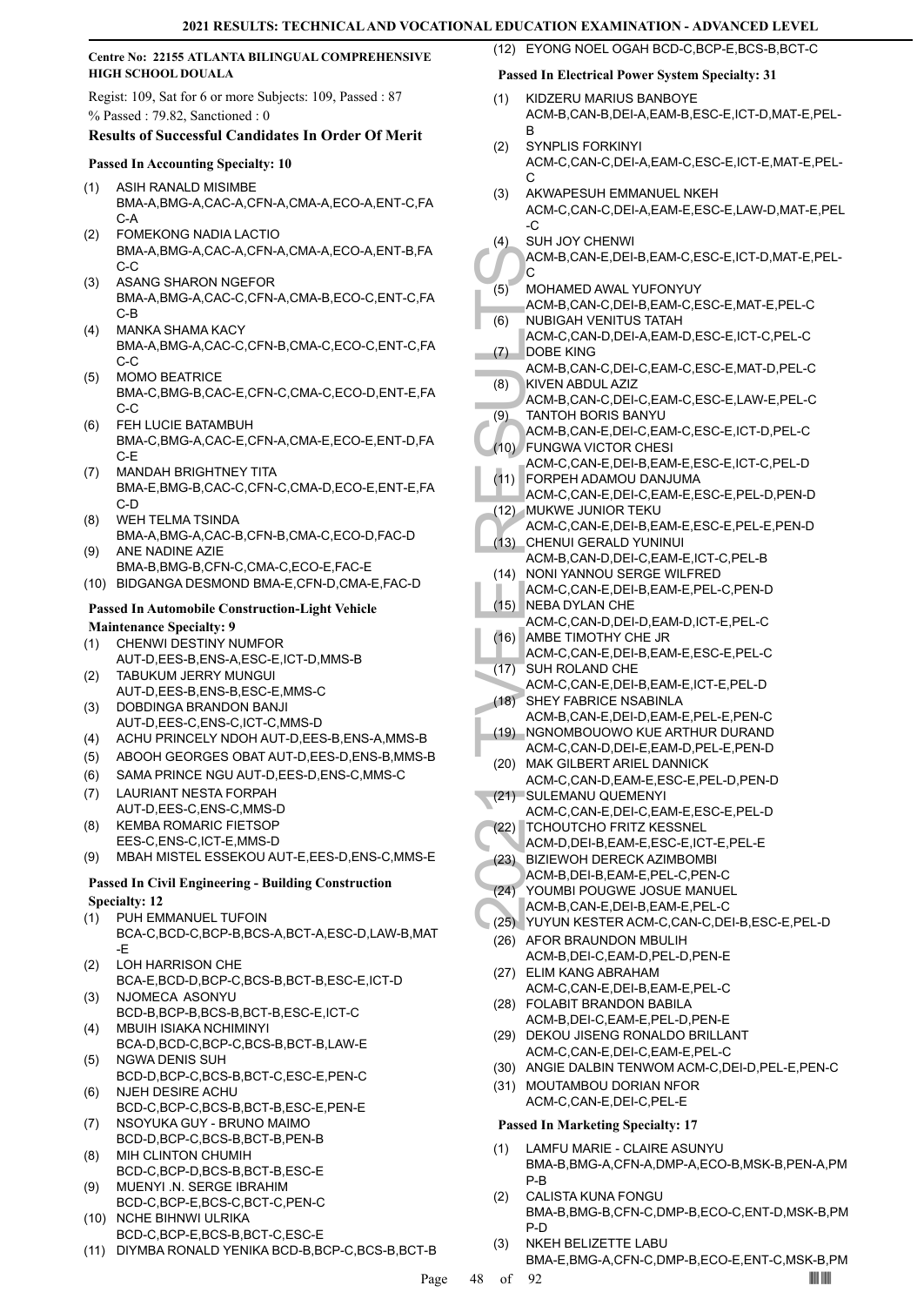## **Centre No: 22155 ATLANTA BILINGUAL COMPREHENSIVE HIGH SCHOOL DOUALA**

Regist: 109, Sat for 6 or more Subjects: 109, Passed : 87 % Passed : 79.82, Sanctioned : 0

## **Results of Successful Candidates In Order Of Merit**

## **Passed In Accounting Specialty: 10**

- ASIH RANALD MISIMBE BMA-A,BMG-A,CAC-A,CFN-A,CMA-A,ECO-A,ENT-C,FA  $C-A$ (1)
- FOMEKONG NADIA LACTIO BMA-A,BMG-A,CAC-A,CFN-A,CMA-A,ECO-A,ENT-B,FA C-C (2)
- ASANG SHARON NGEFOR BMA-A,BMG-A,CAC-C,CFN-A,CMA-B,ECO-C,ENT-C,FA C-B (3)
- MANKA SHAMA KACY BMA-A,BMG-A,CAC-C,CFN-B,CMA-C,ECO-C,ENT-C,FA C-C (4)
- MOMO BEATRICE BMA-C,BMG-B,CAC-E,CFN-C,CMA-C,ECO-D,ENT-E,FA C-C (5)
- FEH LUCIE BATAMBUH BMA-C,BMG-A,CAC-E,CFN-A,CMA-E,ECO-E,ENT-D,FA C-E (6)
- MANDAH BRIGHTNEY TITA BMA-E,BMG-B,CAC-C,CFN-C,CMA-D,ECO-E,ENT-E,FA C-D (7)
- WEH TELMA TSINDA BMA-A,BMG-A,CAC-B,CFN-B,CMA-C,ECO-D,FAC-D (8)
- ANE NADINE AZIE BMA-B,BMG-B,CFN-C,CMA-C,ECO-E,FAC-E (9)
- (10) BIDGANGA DESMOND BMA-E,CFN-D,CMA-E,FAC-D

## **Passed In Automobile Construction-Light Vehicle**

- **Maintenance Specialty: 9**
- CHENWI DESTINY NUMFOR AUT-D,EES-B,ENS-A,ESC-E,ICT-D,MMS-B (1)
- TABUKUM JERRY MUNGUI AUT-D,EES-B,ENS-B,ESC-E,MMS-C (2)
- DOBDINGA BRANDON BANJI AUT-D,EES-C,ENS-C,ICT-C,MMS-D (3)
- (4) ACHU PRINCELY NDOH AUT-D,EES-B,ENS-A,MMS-B
- (5) ABOOH GEORGES OBAT AUT-D,EES-D,ENS-B,MMS-B
- (6) SAMA PRINCE NGU AUT-D,EES-D,ENS-C,MMS-C
- LAURIANT NESTA FORPAH AUT-D,EES-C,ENS-C,MMS-D (7)
- KEMBA ROMARIC FIETSOP (8)
- EES-C,ENS-C,ICT-E,MMS-D
- (9) MBAH MISTEL ESSEKOU AUT-E,EES-D,ENS-C,MMS-E

# **Passed In Civil Engineering - Building Construction**

- PUH EMMANUEL TUFOIN (1)
- BCA-C,BCD-C,BCP-B,BCS-A,BCT-A,ESC-D,LAW-B,MAT -E
- LOH HARRISON CHE BCA-E,BCD-D,BCP-C,BCS-B,BCT-B,ESC-E,ICT-D (2)
- NJOMECA ASONYU BCD-B,BCP-B,BCS-B,BCT-B,ESC-E,ICT-C (3)
- MBUIH ISIAKA NCHIMINYI BCA-D,BCD-C,BCP-C,BCS-B,BCT-B,LAW-E (4)
- NGWA DENIS SUH BCD-D,BCP-C,BCS-B,BCT-C,ESC-E,PEN-C (5)
- NJEH DESIRE ACHU BCD-C,BCP-C,BCS-B,BCT-B,ESC-E,PEN-E (6) NSOYUKA GUY - BRUNO MAIMO (7)
- BCD-D,BCP-C,BCS-B,BCT-B,PEN-B MIH CLINTON CHUMIH (8)
- BCD-C,BCP-D,BCS-B,BCT-B,ESC-E MUENYI .N. SERGE IBRAHIM (9)
- BCD-C,BCP-E,BCS-C,BCT-C,PEN-C NCHE BIHNWI ULRIKA (10)
- BCD-C,BCP-E,BCS-B,BCT-C,ESC-E (11) DIYMBA RONALD YENIKA BCD-B,BCP-C,BCS-B,BCT-B
- (12) EYONG NOEL OGAH BCD-C,BCP-E,BCS-B,BCT-C **Passed In Electrical Power System Specialty: 31**
- KIDZERU MARIUS BANBOYE ACM-B,CAN-B,DEI-A,EAM-B,ESC-E,ICT-D,MAT-E,PEL-B (1)
- SYNPLIS FORKINYI ACM-C,CAN-C,DEI-A,EAM-C,ESC-E,ICT-E,MAT-E,PEL-C (2)
- AKWAPESUH EMMANUEL NKEH ACM-C,CAN-C,DEI-A,EAM-E,ESC-E,LAW-D,MAT-E,PEL -C (3)
- SUH JOY CHENWI (4)

ACM-B,CAN-E,DEI-B,EAM-C,ESC-E,ICT-D,MAT-E,PEL-C

- MOHAMED AWAL YUFONYUY (5)
- ACM-B,CAN-C,DEI-B,EAM-C,ESC-E,MAT-E,PEL-C NUBIGAH VENITUS TATAH (6)
- ACM-C,CAN-D,DEI-A,EAM-D,ESC-E,ICT-C,PEL-C DOBE KING (7)
- ACM-B,CAN-C,DEI-C,EAM-C,ESC-E,MAT-D,PEL-C KIVEN ABDUL AZIZ (8)
- ACM-B,CAN-C,DEI-C,EAM-C,ESC-E,LAW-E,PEL-C TANTOH BORIS BANYU (9)
- ACM-B,CAN-E,DEI-C,EAM-C,ESC-E,ICT-D,PEL-C FUNGWA VICTOR CHESI (10)
- ACM-C,CAN-E,DEI-B,EAM-E,ESC-E,ICT-C,PEL-D FORPEH ADAMOU DANJUMA (11)
- ACM-C,CAN-E,DEI-C,EAM-E,ESC-E,PEL-D,PEN-D
- MUKWE JUNIOR TEKU (12)
- ACM-C,CAN-E,DEI-B,EAM-E,ESC-E,PEL-E,PEN-D (13) CHENUI GERALD YUNINUI
- ACM-B,CAN-D,DEI-C,EAM-E,ICT-C,PEL-B
- NONI YANNOU SERGE WILFRED  $(14)$
- ACM-C,CAN-E,DEI-B,EAM-E,PEL-C,PEN-D (15) NEBA DYLAN CHE
- ACM-C,CAN-D,DEI-D,EAM-D,ICT-E,PEL-C
- (16) AMBE TIMOTHY CHE JR ACM-C,CAN-E,DEI-B,EAM-E,ESC-E,PEL-C
- (17) SUH ROLAND CHE
- ACM-C,CAN-E,DEI-B,EAM-E,ICT-E,PEL-D (18) SHEY FABRICE NSABINLA
- ACM-B,<br>
(5) MOHAN<br>
ACM-B,<br>
(6) MOHAN<br>
ACM-B,<br>
(7) DOBE K<br>
ACM-B,<br>
(8) KIVEN/<br>
ACM-B,<br>
(8) TANTON<br>
ACM-B,<br>
(9) TANTON<br>
ACM-C,<br>
(11) FORPE ACM-C,<br>
(12) MUKWE<br>
ACM-C,<br>
(12) MUKWE<br>
ACM-C,<br>
(13) CHENU<br>
ACM-C,<br>
(15) NEBAD<br>
ACM-C ACM-B,CAN-E,DEI-D,EAM-E,PEL-E,PEN-C NGNOMBOUOWO KUE ARTHUR DURAND (19)
	- ACM-C,CAN-D,DEI-E,EAM-D,PEL-E,PEN-D MAK GILBERT ARIEL DANNICK (20)
	- ACM-C,CAN-D,EAM-E,ESC-E,PEL-D,PEN-D (21) SULEMANU QUEMENYI
	- ACM-C,CAN-E,DEI-C,EAM-E,ESC-E,PEL-D TCHOUTCHO FRITZ KESSNEL (22)
	- ACM-D,DEI-B,EAM-E,ESC-E,ICT-E,PEL-E
	- BIZIEWOH DERECK AZIMBOMBI (23)
	- ACM-B,DEI-B,EAM-E,PEL-C,PEN-C
	- YOUMBI POUGWE JOSUE MANUEL  $(24)$
	- ACM-B,CAN-E,DEI-B,EAM-E,PEL-C
	- (25) YUYUN KESTER ACM-C,CAN-C,DEI-B,ESC-E,PEL-D
	- (26) AFOR BRAUNDON MBULIH ACM-B,DEI-C,EAM-D,PEL-D,PEN-E
	- ELIM KANG ABRAHAM (27) ACM-C,CAN-E,DEI-B,EAM-E,PEL-C
	- FOLABIT BRANDON BABILA (28) ACM-B,DEI-C,EAM-E,PEL-D,PEN-E
	- (29) DEKOU JISENG RONALDO BRILLANT ACM-C,CAN-E,DEI-C,EAM-E,PEL-C
	- (30) ANGIE DALBIN TENWOM ACM-C,DEI-D,PEL-E,PEN-C
	- (31) MOUTAMBOU DORIAN NFOR ACM-C,CAN-E,DEI-C,PEL-E

## **Passed In Marketing Specialty: 17**

- LAMFU MARIE CLAIRE ASUNYU BMA-B,BMG-A,CFN-A,DMP-A,ECO-B,MSK-B,PEN-A,PM P-B (1)
- CALISTA KUNA FONGU BMA-B,BMG-B,CFN-C,DMP-B,ECO-C,ENT-D,MSK-B,PM P-D (2)
- NKEH BELIZETTE LABU (3)
	- BMA-E,BMG-A,CFN-C,DMP-B,ECO-E,ENT-C,MSK-B,PM

**Specialty: 12**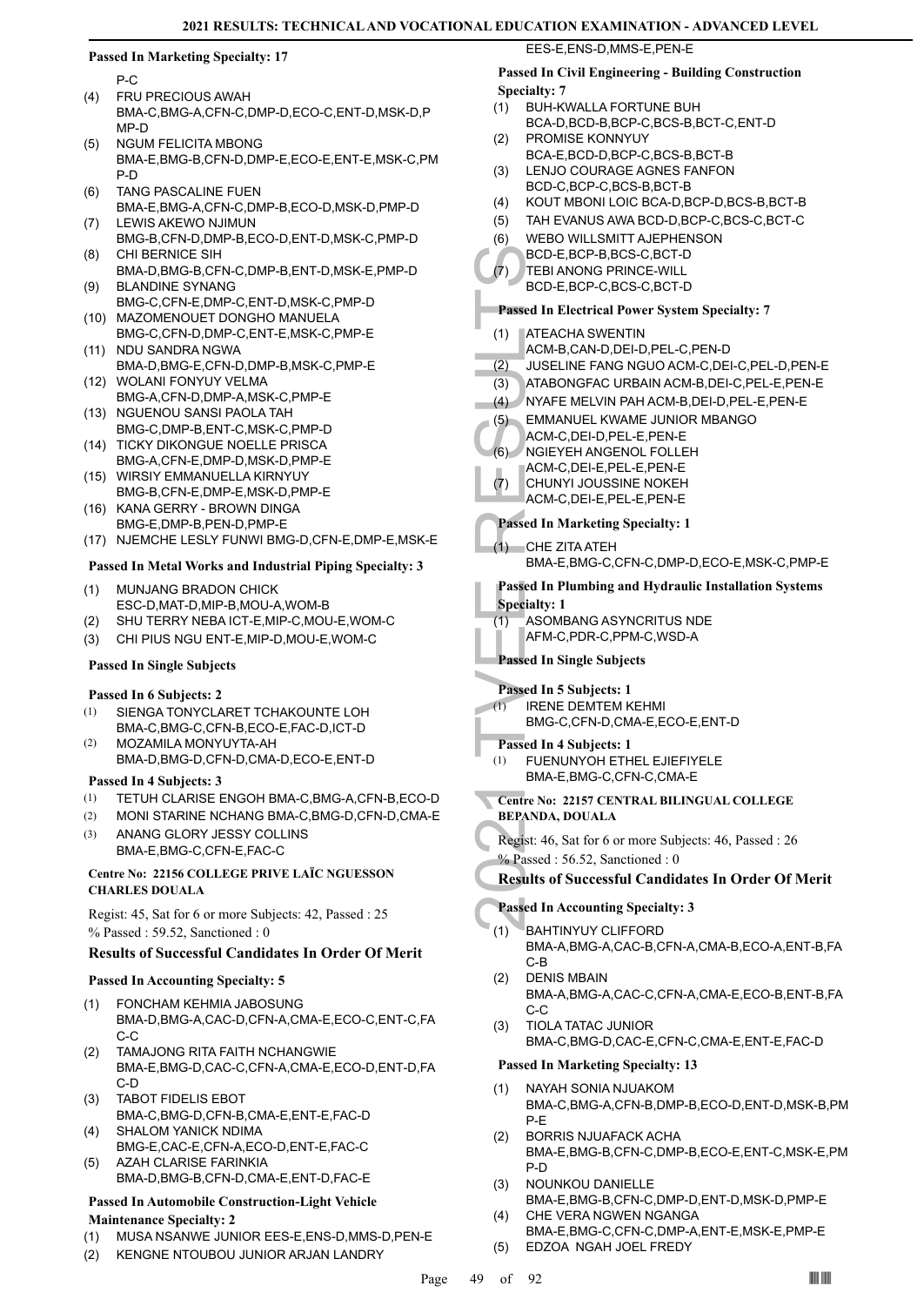P-C

- FRU PRECIOUS AWAH BMA-C,BMG-A,CFN-C,DMP-D,ECO-C,ENT-D,MSK-D,P MP-D (4)
- NGUM FELICITA MBONG BMA-E,BMG-B,CFN-D,DMP-E,ECO-E,ENT-E,MSK-C,PM P-D (5)
- TANG PASCALINE FUEN BMA-E,BMG-A,CFN-C,DMP-B,ECO-D,MSK-D,PMP-D (6)
- LEWIS AKEWO NJIMUN BMG-B,CFN-D,DMP-B,ECO-D,ENT-D,MSK-C,PMP-D (7) CHI BERNICE SIH (8)
- BMA-D,BMG-B,CFN-C,DMP-B,ENT-D,MSK-E,PMP-D BLANDINE SYNANG (9)
- BMG-C,CFN-E,DMP-C,ENT-D,MSK-C,PMP-D (10) MAZOMENOUET DONGHO MANUELA
- BMG-C,CFN-D,DMP-C,ENT-E,MSK-C,PMP-E (11) NDU SANDRA NGWA
- BMA-D,BMG-E,CFN-D,DMP-B,MSK-C,PMP-E (12) WOLANI FONYUY VELMA
- BMG-A,CFN-D,DMP-A,MSK-C,PMP-E (13) NGUENOU SANSI PAOLA TAH
- BMG-C,DMP-B,ENT-C,MSK-C,PMP-D
- (14) TICKY DIKONGUE NOELLE PRISCA BMG-A,CFN-E,DMP-D,MSK-D,PMP-E
- WIRSIY EMMANUELLA KIRNYUY (15) BMG-B,CFN-E,DMP-E,MSK-D,PMP-E (16) KANA GERRY - BROWN DINGA
- BMG-E,DMP-B,PEN-D,PMP-E
- (17) NJEMCHE LESLY FUNWI BMG-D,CFN-E,DMP-E,MSK-E

## **Passed In Metal Works and Industrial Piping Specialty: 3**

- MUNJANG BRADON CHICK ESC-D,MAT-D,MIP-B,MOU-A,WOM-B (1)
- (2) SHU TERRY NEBA ICT-E,MIP-C,MOU-E,WOM-C
- (3) CHI PIUS NGU ENT-E,MIP-D,MOU-E,WOM-C

## **Passed In Single Subjects**

## **Passed In 6 Subjects: 2**

- SIENGA TONYCLARET TCHAKOUNTE LOH BMA-C,BMG-C,CFN-B,ECO-E,FAC-D,ICT-D (1)
- MOZAMILA MONYUYTA-AH BMA-D,BMG-D,CFN-D,CMA-D,ECO-E,ENT-D (2)

## **Passed In 4 Subjects: 3**

- (1) TETUH CLARISE ENGOH BMA-C,BMG-A,CFN-B,ECO-D
- (2) MONI STARINE NCHANG BMA-C,BMG-D,CFN-D,CMA-E
- ANANG GLORY JESSY COLLINS BMA-E,BMG-C,CFN-E,FAC-C (3)

## **Centre No: 22156 COLLEGE PRIVE LAÏC NGUESSON CHARLES DOUALA**

Regist: 45, Sat for 6 or more Subjects: 42, Passed : 25 % Passed : 59.52, Sanctioned : 0

## **Results of Successful Candidates In Order Of Merit**

## **Passed In Accounting Specialty: 5**

- FONCHAM KEHMIA JABOSUNG BMA-D,BMG-A,CAC-D,CFN-A,CMA-E,ECO-C,ENT-C,FA C-C (1)
- TAMAJONG RITA FAITH NCHANGWIE BMA-E,BMG-D,CAC-C,CFN-A,CMA-E,ECO-D,ENT-D,FA C-D (2)
- TABOT FIDELIS EBOT BMA-C,BMG-D,CFN-B,CMA-E,ENT-E,FAC-D (3)
- SHALOM YANICK NDIMA BMG-E,CAC-E,CFN-A,ECO-D,ENT-E,FAC-C (4)
- AZAH CLARISE FARINKIA BMA-D,BMG-B,CFN-D,CMA-E,ENT-D,FAC-E (5)

#### **Passed In Automobile Construction-Light Vehicle Maintenance Specialty: 2**

- (1) MUSA NSANWE JUNIOR EES-E,ENS-D,MMS-D,PEN-E
- (2) KENGNE NTOUBOU JUNIOR ARJAN LANDRY

## EES-E,ENS-D,MMS-E,PEN-E

## **Passed In Civil Engineering - Building Construction Specialty: 7**

- BUH-KWALLA FORTUNE BUH BCA-D,BCD-B,BCP-C,BCS-B,BCT-C,ENT-D (1)
- PROMISE KONNYUY BCA-E,BCD-D,BCP-C,BCS-B,BCT-B  $(2)$
- LENJO COURAGE AGNES FANFON BCD-C,BCP-C,BCS-B,BCT-B (3)
- (4) KOUT MBONI LOIC BCA-D,BCP-D,BCS-B,BCT-B
- (5) TAH EVANUS AWA BCD-D,BCP-C,BCS-C,BCT-C
- WEBO WILLSMITT AJEPHENSON (6)
- BCD-E,BCP-B,BCS-C,BCT-D
- TEBI ANONG PRINCE-WILL (7)
	- BCD-E,BCP-C,BCS-C,BCT-D

## **Passed In Electrical Power System Specialty: 7**

- ATEACHA SWENTIN (1)
- ACM-B,CAN-D,DEI-D,PEL-C,PEN-D
- (2) JUSELINE FANG NGUO ACM-C,DEI-C,PEL-D,PEN-E
- (3) ATABONGFAC URBAIN ACM-B,DEI-C,PEL-E,PEN-E
- (4) NYAFE MELVIN PAH ACM-B,DEI-D,PEL-E,PEN-E
- EMMANUEL KWAME JUNIOR MBANGO (5)
- ACM-C,DEI-D,PEL-E,PEN-E
- NGIEYEH ANGENOL FOLLEH (6)
- ACM-C,DEI-E,PEL-E,PEN-E
- CHUNYI JOUSSINE NOKEH (7)
- ACM-C,DEI-E,PEL-E,PEN-E

## **Passed In Marketing Specialty: 1**

CHE ZITA ATEH BMA-E,BMG-C,CFN-C,DMP-D,ECO-E,MSK-C,PMP-E (1)

## **Passed In Plumbing and Hydraulic Installation Systems**

## **Specialty: 1**

- ASOMBANG ASYNCRITUS NDE (1)
- AFM-C,PDR-C,PPM-C,WSD-A

## **Passed In Single Subjects**

## **Passed In 5 Subjects: 1**

- IRENE DEMTEM KEHMI (1)
	- BMG-C,CFN-D,CMA-E,ECO-E,ENT-D

## **Passed In 4 Subjects: 1**

- FUENUNYOH ETHEL EJIEFIYELE BMA-E,BMG-C,CFN-C,CMA-E (1)
- BCD-E,<br>
FEBI AN<br>
BCD-E,<br>
FEBI AN<br>
BCD-E,<br>
Passed In El<br>
(1) ATEACH<br>
ACM-B,<br>
(2) JUSELII<br>
(3) ATABON<br>
(4) NYAFE<br>
(5) EMMAN<br>
ACM-C,<br>
CHUNY ACM-C,<br>
CHUNY ACM-C,<br>
CHUNY ACM-C,<br>
Passed In M<br>
(1) CHE ZIT<br>
BMA-E,<br>
Passed In Pl<br>
S **Centre No: 22157 CENTRAL BILINGUAL COLLEGE BEPANDA, DOUALA** 
	- Regist: 46, Sat for 6 or more Subjects: 46, Passed : 26
	- % Passed : 56.52, Sanctioned : 0

## **Results of Successful Candidates In Order Of Merit**

## **Passed In Accounting Specialty: 3**

- BAHTINYUY CLIFFORD BMA-A,BMG-A,CAC-B,CFN-A,CMA-B,ECO-A,ENT-B,FA C-B (1)
- DENIS MBAIN BMA-A,BMG-A,CAC-C,CFN-A,CMA-E,ECO-B,ENT-B,FA C-C (2)
- TIOLA TATAC JUNIOR BMA-C,BMG-D,CAC-E,CFN-C,CMA-E,ENT-E,FAC-D (3)

- NAYAH SONIA NJUAKOM BMA-C,BMG-A,CFN-B,DMP-B,ECO-D,ENT-D,MSK-B,PM P-E (1)
- BORRIS NJUAFACK ACHA BMA-E,BMG-B,CFN-C,DMP-B,ECO-E,ENT-C,MSK-E,PM P-D (2)
- NOUNKOU DANIELLE BMA-E,BMG-B,CFN-C,DMP-D,ENT-D,MSK-D,PMP-E (3)
- CHE VERA NGWEN NGANGA (4)
- BMA-E,BMG-C,CFN-C,DMP-A,ENT-E,MSK-E,PMP-E (5) EDZOA NGAH JOEL FREDY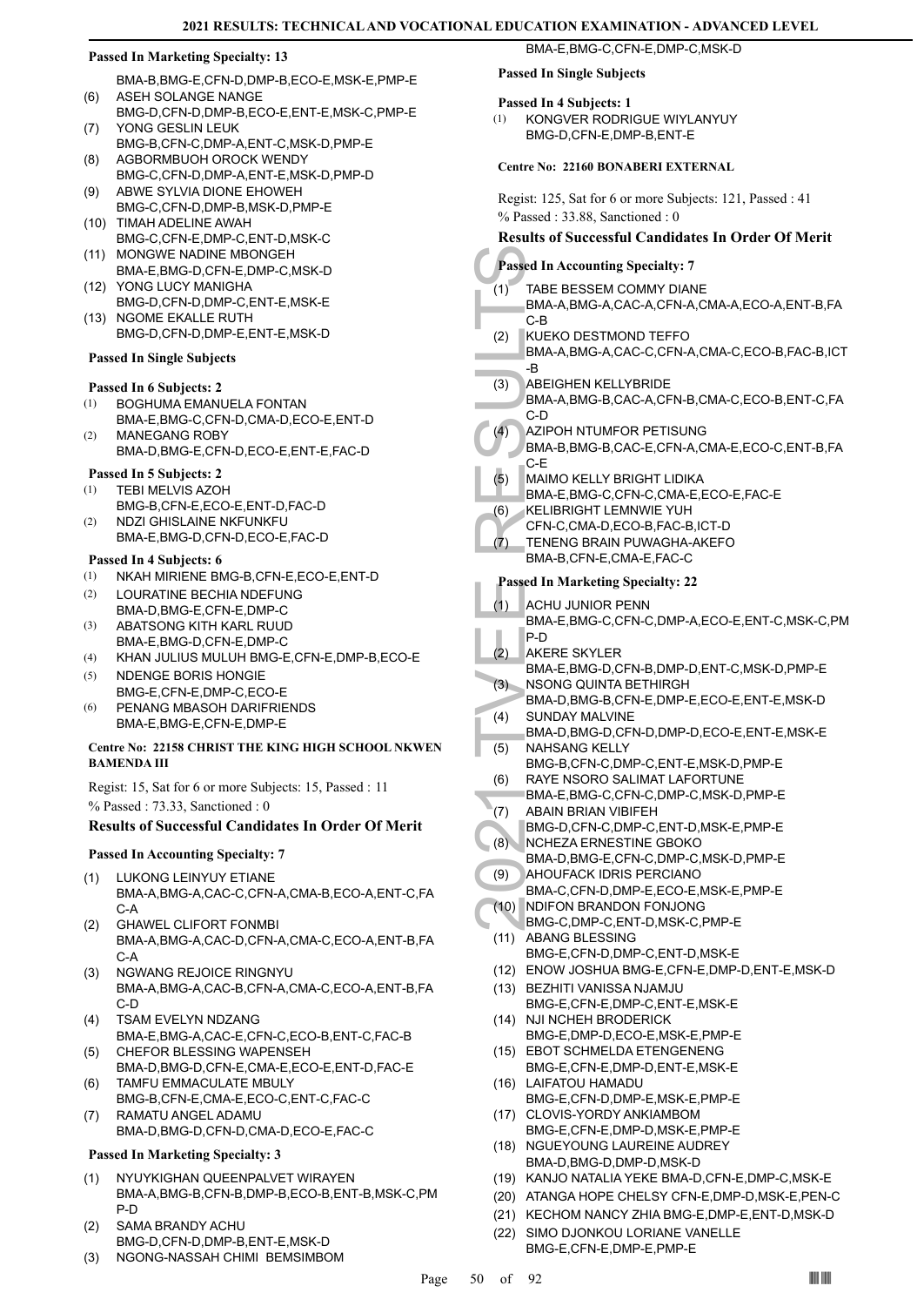BMA-B,BMG-E,CFN-D,DMP-B,ECO-E,MSK-E,PMP-E ASEH SOLANGE NANGE (6)

- BMG-D,CFN-D,DMP-B,ECO-E,ENT-E,MSK-C,PMP-E YONG GESLIN LEUK (7)
- BMG-B,CFN-C,DMP-A,ENT-C,MSK-D,PMP-E AGBORMBUOH OROCK WENDY (8)
- BMG-C,CFN-D,DMP-A,ENT-E,MSK-D,PMP-D ABWE SYLVIA DIONE EHOWEH (9)
- BMG-C,CFN-D,DMP-B,MSK-D,PMP-E (10) TIMAH ADELINE AWAH
- BMG-C,CFN-E,DMP-C,ENT-D,MSK-C (11) MONGWE NADINE MBONGEH
- BMA-E,BMG-D,CFN-E,DMP-C,MSK-D YONG LUCY MANIGHA (12)
- BMG-D,CFN-D,DMP-C,ENT-E,MSK-E (13) NGOME EKALLE RUTH
- BMG-D,CFN-D,DMP-E,ENT-E,MSK-D

## **Passed In Single Subjects**

## **Passed In 6 Subjects: 2**

- BOGHUMA EMANUELA FONTAN (1)
- BMA-E,BMG-C,CFN-D,CMA-D,ECO-E,ENT-D MANEGANG ROBY (2)
- BMA-D,BMG-E,CFN-D,ECO-E,ENT-E,FAC-D

## **Passed In 5 Subjects: 2**

- TEBI MELVIS AZOH BMG-B,CFN-E,ECO-E,ENT-D,FAC-D (1) (2)
- NDZI GHISLAINE NKFUNKFU BMA-E,BMG-D,CFN-D,ECO-E,FAC-D

## **Passed In 4 Subjects: 6**

- (1) NKAH MIRIENE BMG-B,CFN-E,ECO-E,ENT-D
- LOURATINE BECHIA NDEFUNG BMA-D,BMG-E,CFN-E,DMP-C (2)
- ABATSONG KITH KARL RUUD BMA-E,BMG-D,CFN-E,DMP-C (3)
- (4) KHAN JULIUS MULUH BMG-E,CFN-E,DMP-B,ECO-E
- NDENGE BORIS HONGIE BMG-E,CFN-E,DMP-C,ECO-E (5)
- PENANG MBASOH DARIFRIENDS BMA-E,BMG-E,CFN-E,DMP-E (6)

## **Centre No: 22158 CHRIST THE KING HIGH SCHOOL NKWEN BAMENDA III**

Regist: 15, Sat for 6 or more Subjects: 15, Passed : 11 % Passed : 73.33, Sanctioned : 0

## **Results of Successful Candidates In Order Of Merit**

## **Passed In Accounting Specialty: 7**

- LUKONG LEINYUY ETIANE (1)
- BMA-A,BMG-A,CAC-C,CFN-A,CMA-B,ECO-A,ENT-C,FA C-A
- GHAWEL CLIFORT FONMBI BMA-A,BMG-A,CAC-D,CFN-A,CMA-C,ECO-A,ENT-B,FA C-A (2)
- NGWANG REJOICE RINGNYU BMA-A,BMG-A,CAC-B,CFN-A,CMA-C,ECO-A,ENT-B,FA C-D (3)
- TSAM EVELYN NDZANG BMA-E,BMG-A,CAC-E,CFN-C,ECO-B,ENT-C,FAC-B (4)
- CHEFOR BLESSING WAPENSEH BMA-D,BMG-D,CFN-E,CMA-E,ECO-E,ENT-D,FAC-E (5)
- TAMFU EMMACULATE MBULY BMG-B,CFN-E,CMA-E,ECO-C,ENT-C,FAC-C (6)
- RAMATU ANGEL ADAMU BMA-D,BMG-D,CFN-D,CMA-D,ECO-E,FAC-C (7)

## **Passed In Marketing Specialty: 3**

- NYUYKIGHAN QUEENPALVET WIRAYEN BMA-A,BMG-B,CFN-B,DMP-B,ECO-B,ENT-B,MSK-C,PM P-D (1)
- SAMA BRANDY ACHU BMG-D,CFN-D,DMP-B,ENT-E,MSK-D (2)
- (3) NGONG-NASSAH CHIMI BEMSIMBOM

## **Passed In Single Subjects**

## **Passed In 4 Subjects: 1**

KONGVER RODRIGUE WIYLANYUY BMG-D,CFN-E,DMP-B,ENT-E (1)

BMA-E,BMG-C,CFN-E,DMP-C,MSK-D

## **Centre No: 22160 BONABERI EXTERNAL**

Regist: 125, Sat for 6 or more Subjects: 121, Passed : 41 % Passed : 33.88, Sanctioned : 0

## **Results of Successful Candidates In Order Of Merit**

- **Passed In Accounting Specialty: 7**
- (1) TABE B<br>
BMA-A, C-B<br>
BMA-A, C-B<br>
EMA-A, B<br>
C-B<br>
KUEKO<br>
BMA-A, B<br>
C-B<br>
MA-A, B<br>
C-B<br>
MA-A, C-D<br>
BMA-A, C-D<br>
BMA-A, C-D<br>
ABEIGH<br>
BMA-B, C-E<br>
MAIMO<br>
BMA-E, CFN-C, TENENG<br>
(6) KELIBR<br>
CFN-C, TENENG<br>
EMA-E, PASSed In M<br>
(1) TABE BESSEM COMMY DIANE BMA-A,BMG-A,CAC-A,CFN-A,CMA-A,ECO-A,ENT-B,FA (1)
	- C-B KUEKO DESTMOND TEFFO (2)
	- BMA-A,BMG-A,CAC-C,CFN-A,CMA-C,ECO-B,FAC-B,ICT -B
	- ABEIGHEN KELLYBRIDE (3)
	- BMA-A,BMG-B,CAC-A,CFN-B,CMA-C,ECO-B,ENT-C,FA C-D
	- AZIPOH NTUMFOR PETISUNG (4)
	- BMA-B,BMG-B,CAC-E,CFN-A,CMA-E,ECO-C,ENT-B,FA C-E
	- MAIMO KELLY BRIGHT LIDIKA (5)
	- BMA-E,BMG-C,CFN-C,CMA-E,ECO-E,FAC-E
	- KELIBRIGHT LEMNWIE YUH (6)
	- CFN-C,CMA-D,ECO-B,FAC-B,ICT-D
	- TENENG BRAIN PUWAGHA-AKEFO (7)
	- BMA-B,CFN-E,CMA-E,FAC-C

- ACHU JUNIOR PENN (1)
- BMA-E,BMG-C,CFN-C,DMP-A,ECO-E,ENT-C,MSK-C,PM P-D
- AKERE SKYLER (2)
	- BMA-E,BMG-D,CFN-B,DMP-D,ENT-C,MSK-D,PMP-E NSONG QUINTA BETHIRGH (3)
- BMA-D,BMG-B,CFN-E,DMP-E,ECO-E,ENT-E,MSK-D SUNDAY MALVINE (4)
- BMA-D,BMG-D,CFN-D,DMP-D,ECO-E,ENT-E,MSK-E NAHSANG KELLY (5)
- BMG-B,CFN-C,DMP-C,ENT-E,MSK-D,PMP-E
- RAYE NSORO SALIMAT LAFORTUNE (6)
- BMA-E,BMG-C,CFN-C,DMP-C,MSK-D,PMP-E
- ABAIN BRIAN VIBIFEH (7)
- BMG-D,CFN-C,DMP-C,ENT-D,MSK-E,PMP-E NCHEZA ERNESTINE GBOKO (8)
	- BMA-D,BMG-E,CFN-C,DMP-C,MSK-D,PMP-E
- AHOUFACK IDRIS PERCIANO (9)
- BMA-C,CFN-D,DMP-E,ECO-E,MSK-E,PMP-E NDIFON BRANDON FONJONG (10)
- BMG-C,DMP-C,ENT-D,MSK-C,PMP-E
- ABANG BLESSING BMG-E,CFN-D,DMP-C,ENT-D,MSK-E (11)
- (12) ENOW JOSHUA BMG-E,CFN-E,DMP-D,ENT-E,MSK-D
- BEZHITI VANISSA NJAMJU (13) BMG-E,CFN-E,DMP-C,ENT-E,MSK-E
- (14) NJI NCHEH BRODERICK
- BMG-E,DMP-D,ECO-E,MSK-E,PMP-E (15) EBOT SCHMELDA ETENGENENG
- BMG-E,CFN-E,DMP-D,ENT-E,MSK-E LAIFATOU HAMADU (16)
- BMG-E,CFN-D,DMP-E,MSK-E,PMP-E (17) CLOVIS-YORDY ANKIAMBOM
- BMG-E,CFN-E,DMP-D,MSK-E,PMP-E (18) NGUEYOUNG LAUREINE AUDREY
- BMA-D,BMG-D,DMP-D,MSK-D
- (19) KANJO NATALIA YEKE BMA-D,CFN-E,DMP-C,MSK-E
- (20) ATANGA HOPE CHELSY CFN-E,DMP-D,MSK-E,PEN-C (21) KECHOM NANCY ZHIA BMG-E,DMP-E,ENT-D,MSK-D
- (22) SIMO DJONKOU LORIANE VANELLE
- BMG-E,CFN-E,DMP-E,PMP-E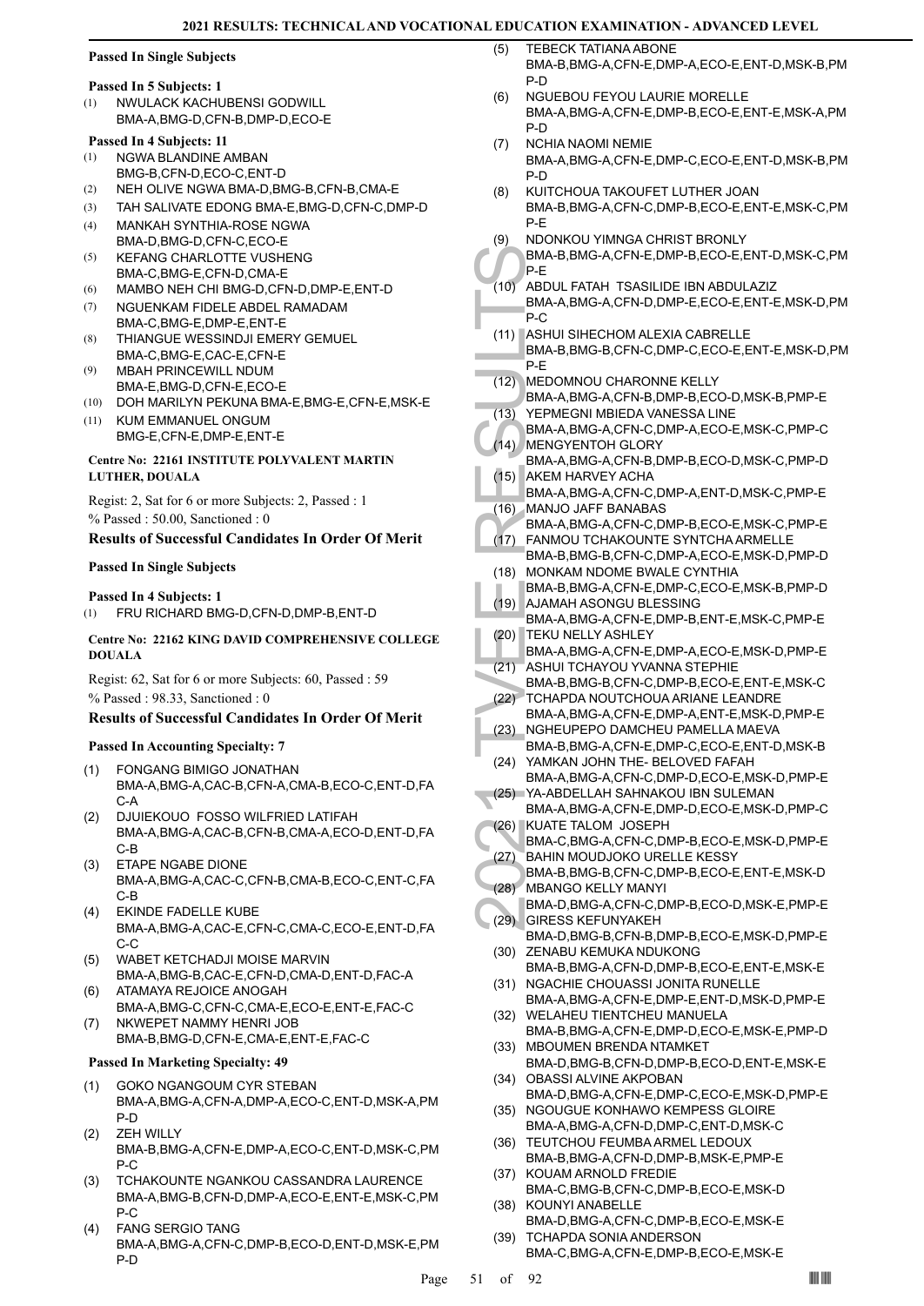## **Passed In Single Subjects**

## **Passed In 5 Subjects: 1**

NWULACK KACHUBENSI GODWILL BMA-A,BMG-D,CFN-B,DMP-D,ECO-E (1)

## **Passed In 4 Subjects: 11**

- NGWA BLANDINE AMBAN BMG-B,CFN-D,ECO-C,ENT-D (1)
- (2) NEH OLIVE NGWA BMA-D,BMG-B,CFN-B,CMA-E
- (3) TAH SALIVATE EDONG BMA-E,BMG-D,CFN-C,DMP-D
- MANKAH SYNTHIA-ROSE NGWA BMA-D,BMG-D,CFN-C,ECO-E (4)
- KEFANG CHARLOTTE VUSHENG BMA-C,BMG-E,CFN-D,CMA-E (5)
- (6) MAMBO NEH CHI BMG-D,CFN-D,DMP-E,ENT-D
- NGUENKAM FIDELE ABDEL RAMADAM BMA-C,BMG-E,DMP-E,ENT-E (7)
- THIANGUE WESSINDJI EMERY GEMUEL BMA-C,BMG-E,CAC-E,CFN-E (8)
- MBAH PRINCEWILL NDUM BMA-E,BMG-D,CFN-E,ECO-E (9)
- (10) DOH MARILYN PEKUNA BMA-E,BMG-E,CFN-E,MSK-E
- KUM EMMANUEL ONGUM BMG-E,CFN-E,DMP-E,ENT-E (11)

## **Centre No: 22161 INSTITUTE POLYVALENT MARTIN LUTHER, DOUALA**

Regist: 2, Sat for 6 or more Subjects: 2, Passed : 1 % Passed : 50.00, Sanctioned : 0

## **Results of Successful Candidates In Order Of Merit**

## **Passed In Single Subjects**

## **Passed In 4 Subjects: 1**

(1) FRU RICHARD BMG-D,CFN-D,DMP-B,ENT-D

## **Centre No: 22162 KING DAVID COMPREHENSIVE COLLEGE DOUALA**

Regist: 62, Sat for 6 or more Subjects: 60, Passed : 59 % Passed : 98.33, Sanctioned : 0

## **Results of Successful Candidates In Order Of Merit**

## **Passed In Accounting Specialty: 7**

- FONGANG BIMIGO JONATHAN BMA-A,BMG-A,CAC-B,CFN-A,CMA-B,ECO-C,ENT-D,FA  $C-A$ (1)
- DJUIEKOUO FOSSO WILFRIED LATIFAH BMA-A,BMG-A,CAC-B,CFN-B,CMA-A,ECO-D,ENT-D,FA C-B (2)
- ETAPE NGABE DIONE BMA-A,BMG-A,CAC-C,CFN-B,CMA-B,ECO-C,ENT-C,FA C-B (3)
- EKINDE FADELLE KUBE BMA-A,BMG-A,CAC-E,CFN-C,CMA-C,ECO-E,ENT-D,FA C-C (4)
- WABET KETCHADJI MOISE MARVIN BMA-A,BMG-B,CAC-E,CFN-D,CMA-D,ENT-D,FAC-A (5)
- ATAMAYA REJOICE ANOGAH BMA-A,BMG-C,CFN-C,CMA-E,ECO-E,ENT-E,FAC-C (6) NKWEPET NAMMY HENRI JOB
- BMA-B,BMG-D,CFN-E,CMA-E,ENT-E,FAC-C (7)

- GOKO NGANGOUM CYR STEBAN BMA-A,BMG-A,CFN-A,DMP-A,ECO-C,ENT-D,MSK-A,PM P-D (1)
- ZEH WILLY BMA-B,BMG-A,CFN-E,DMP-A,ECO-C,ENT-D,MSK-C,PM P-C (2)
- TCHAKOUNTE NGANKOU CASSANDRA LAURENCE BMA-A,BMG-B,CFN-D,DMP-A,ECO-E,ENT-E,MSK-C,PM P-C (3)
- FANG SERGIO TANG BMA-A,BMG-A,CFN-C,DMP-B,ECO-D,ENT-D,MSK-E,PM P-D (4)
- TEBECK TATIANA ABONE BMA-B,BMG-A,CFN-E,DMP-A,ECO-E,ENT-D,MSK-B,PM P-D  $(5)$
- NGUEBOU FEYOU LAURIE MORELLE BMA-A,BMG-A,CFN-E,DMP-B,ECO-E,ENT-E,MSK-A,PM P-D (6)
- NCHIA NAOMI NEMIE BMA-A,BMG-A,CFN-E,DMP-C,ECO-E,ENT-D,MSK-B,PM P-D (7)
- KUITCHOUA TAKOUFET LUTHER JOAN BMA-B,BMG-A,CFN-C,DMP-B,ECO-E,ENT-E,MSK-C,PM P-E (8)
- NDONKOU YIMNGA CHRIST BRONLY (9)
- BMA-B,BMG-A,CFN-E,DMP-B,ECO-E,ENT-D,MSK-C,PM P-E
- BMA-B, P-E<br>
(10) ABDUL<br>
BMA-A, P-C<br>
(11) BMA-A, P-C<br>
(11) BMA-B, P-E<br>
(12) MEDON<br>
BMA-A, YEPME<br>
BMA-A, WENGY<br>
BMA-A, MENGY<br>
BMA-A, MENGY<br>
BMA-A, MANJO<br>
BMA-A, HANMO BMA-A, BMA-A, BMA-A, BMA-A, BMA-A, BMA-A, BMA-B, 20)<br>
(17 ABDUL FATAH TSASILIDE IBN ABDULAZIZ BMA-A,BMG-A,CFN-D,DMP-E,ECO-E,ENT-E,MSK-D,PM P-C (10)
- (11) ASHUI SIHECHOM ALEXIA CABRELLE BMA-B,BMG-B,CFN-C,DMP-C,ECO-E,ENT-E,MSK-D,PM P-E
- MEDOMNOU CHARONNE KELLY BMA-A,BMG-A,CFN-B,DMP-B,ECO-D,MSK-B,PMP-E (12)
- YEPMEGNI MBIEDA VANESSA LINE BMA-A,BMG-A,CFN-C,DMP-A,ECO-E,MSK-C,PMP-C  $(13)$
- MENGYENTOH GLORY (14)
- BMA-A,BMG-A,CFN-B,DMP-B,ECO-D,MSK-C,PMP-D AKEM HARVEY ACHA (15)
- BMA-A,BMG-A,CFN-C,DMP-A,ENT-D,MSK-C,PMP-E MANJO JAFF BANABAS (16)
- BMA-A,BMG-A,CFN-C,DMP-B,ECO-E,MSK-C,PMP-E
- FANMOU TCHAKOUNTE SYNTCHA ARMELLE BMA-B,BMG-B,CFN-C,DMP-A,ECO-E,MSK-D,PMP-D  $(17)$
- MONKAM NDOME BWALE CYNTHIA BMA-B,BMG-A,CFN-E,DMP-C,ECO-E,MSK-B,PMP-D (18)
- AJAMAH ASONGU BLESSING (19) BMA-A,BMG-A,CFN-E,DMP-B,ENT-E,MSK-C,PMP-E TEKU NELLY ASHLEY (20)
- BMA-A,BMG-A,CFN-E,DMP-A,ECO-E,MSK-D,PMP-E
- ASHUI TCHAYOU YVANNA STEPHIE (21)
- BMA-B,BMG-B,CFN-C,DMP-B,ECO-E,ENT-E,MSK-C (22) TCHAPDA NOUTCHOUA ARIANE LEANDRE
- BMA-A,BMG-A,CFN-E,DMP-A,ENT-E,MSK-D,PMP-E NGHEUPEPO DAMCHEU PAMELLA MAEVA (23)
- BMA-B,BMG-A,CFN-E,DMP-C,ECO-E,ENT-D,MSK-B YAMKAN JOHN THE- BELOVED FAFAH (24)
- BMA-A,BMG-A,CFN-C,DMP-D,ECO-E,MSK-D,PMP-E YA-ABDELLAH SAHNAKOU IBN SULEMAN (25)
- BMA-A,BMG-A,CFN-E,DMP-D,ECO-E,MSK-D,PMP-C (26) KUATE TALOM JOSEPH
- BMA-C,BMG-A,CFN-C,DMP-B,ECO-E,MSK-D,PMP-E BAHIN MOUDJOKO URELLE KESSY (27)
- BMA-B,BMG-B,CFN-C,DMP-B,ECO-E,ENT-E,MSK-D MBANGO KELLY MANYI (28)
- BMA-D,BMG-A,CFN-C,DMP-B,ECO-D,MSK-E,PMP-E GIRESS KEFUNYAKEH (29)
- BMA-D,BMG-B,CFN-B,DMP-B,ECO-E,MSK-D,PMP-E (30) ZENABU KEMUKA NDUKONG
- BMA-B,BMG-A,CFN-D,DMP-B,ECO-E,ENT-E,MSK-E (31) NGACHIE CHOUASSI JONITA RUNELLE
- BMA-A,BMG-A,CFN-E,DMP-E,ENT-D,MSK-D,PMP-E (32) WELAHEU TIENTCHEU MANUELA
- BMA-B,BMG-A,CFN-E,DMP-D,ECO-E,MSK-E,PMP-D (33) MBOUMEN BRENDA NTAMKET
- BMA-D,BMG-B,CFN-D,DMP-B,ECO-D,ENT-E,MSK-E OBASSI ALVINE AKPOBAN (34)
- BMA-D,BMG-A,CFN-E,DMP-C,ECO-E,MSK-D,PMP-E (35) NGOUGUE KONHAWO KEMPESS GLOIRE
- BMA-A,BMG-A,CFN-D,DMP-C,ENT-D,MSK-C (36) TEUTCHOU FEUMBA ARMEL LEDOUX
- BMA-B,BMG-A,CFN-D,DMP-B,MSK-E,PMP-E (37) KOUAM ARNOLD FREDIE
- BMA-C,BMG-B,CFN-C,DMP-B,ECO-E,MSK-D (38) KOUNYI ANABELLE
- BMA-D,BMG-A,CFN-C,DMP-B,ECO-E,MSK-E TCHAPDA SONIA ANDERSON (39)
	- BMA-C,BMG-A,CFN-E,DMP-B,ECO-E,MSK-E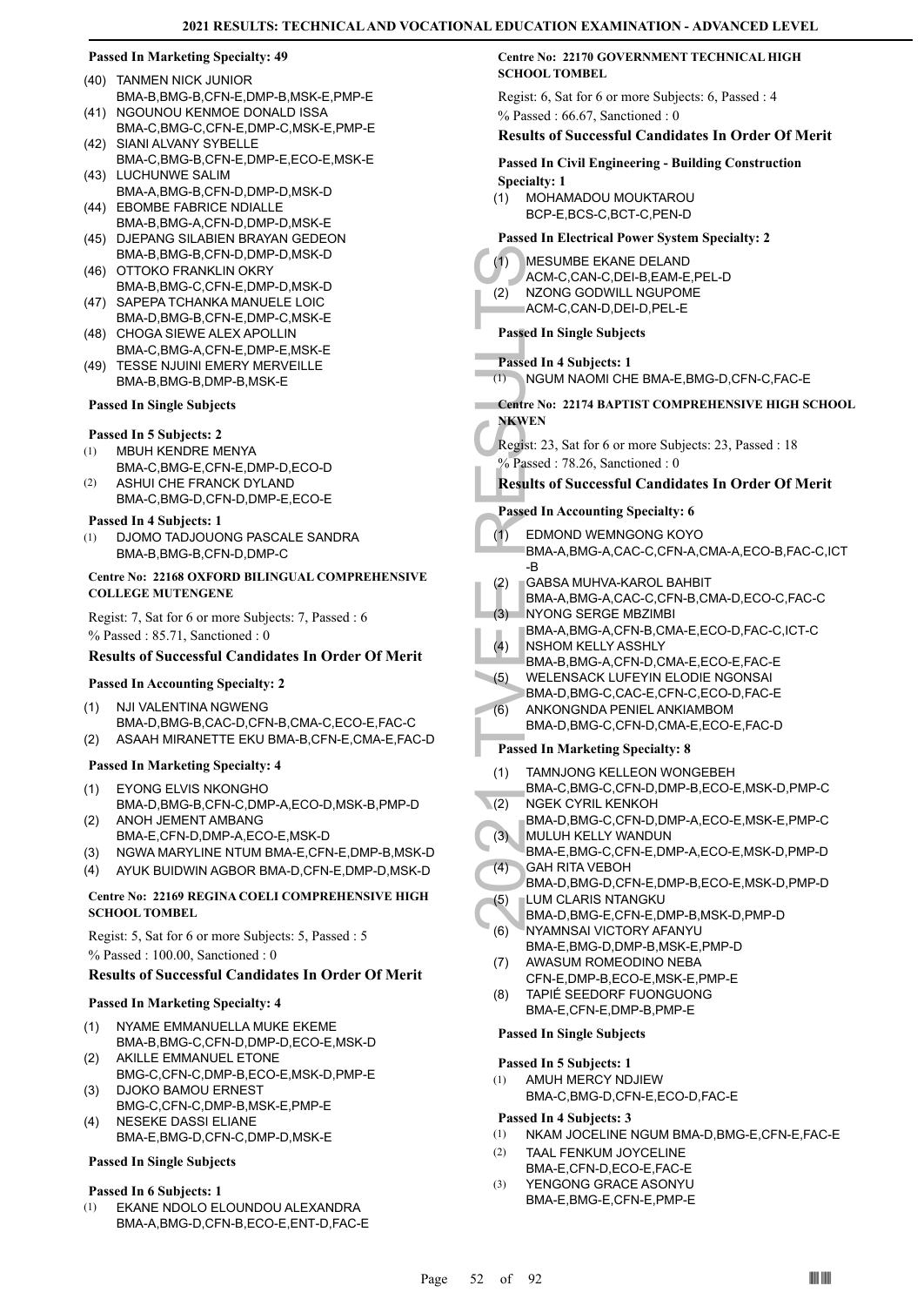#### (40) TANMEN NICK JUNIOR BMA-B,BMG-B,CFN-E,DMP-B,MSK-E,PMP-E

- (41) NGOUNOU KENMOE DONALD ISSA BMA-C,BMG-C,CFN-E,DMP-C,MSK-E,PMP-E
- (42) SIANI ALVANY SYBELLE BMA-C,BMG-B,CFN-E,DMP-E,ECO-E,MSK-E
- (43) LUCHUNWE SALIM BMA-A,BMG-B,CFN-D,DMP-D,MSK-D
- (44) EBOMBE FABRICE NDIALLE BMA-B,BMG-A,CFN-D,DMP-D,MSK-E
- (45) DJEPANG SILABIEN BRAYAN GEDEON BMA-B,BMG-B,CFN-D,DMP-D,MSK-D
- (46) OTTOKO FRANKLIN OKRY BMA-B,BMG-C,CFN-E,DMP-D,MSK-D
- (47) SAPEPA TCHANKA MANUELE LOIC BMA-D,BMG-B,CFN-E,DMP-C,MSK-E
- (48) CHOGA SIEWE ALEX APOLLIN BMA-C,BMG-A,CFN-E,DMP-E,MSK-E
- TESSE NJUINI EMERY MERVEILLE BMA-B,BMG-B,DMP-B,MSK-E  $(49)$

## **Passed In Single Subjects**

## **Passed In 5 Subjects: 2**

- MBUH KENDRE MENYA (1)
- BMA-C,BMG-E,CFN-E,DMP-D,ECO-D ASHUI CHE FRANCK DYLAND (2)
	- BMA-C,BMG-D,CFN-D,DMP-E,ECO-E

## **Passed In 4 Subjects: 1**

DJOMO TADJOUONG PASCALE SANDRA BMA-B,BMG-B,CFN-D,DMP-C (1)

## **Centre No: 22168 OXFORD BILINGUAL COMPREHENSIVE COLLEGE MUTENGENE**

Regist: 7, Sat for 6 or more Subjects: 7, Passed : 6 % Passed : 85.71, Sanctioned : 0

## **Results of Successful Candidates In Order Of Merit**

## **Passed In Accounting Specialty: 2**

- NJI VALENTINA NGWENG BMA-D,BMG-B,CAC-D,CFN-B,CMA-C,ECO-E,FAC-C (1)
- (2) ASAAH MIRANETTE EKU BMA-B,CFN-E,CMA-E,FAC-D

## **Passed In Marketing Specialty: 4**

- EYONG ELVIS NKONGHO BMA-D,BMG-B,CFN-C,DMP-A,ECO-D,MSK-B,PMP-D (1)
- ANOH JEMENT AMBANG BMA-E,CFN-D,DMP-A,ECO-E,MSK-D (2)
- (3) NGWA MARYLINE NTUM BMA-E,CFN-E,DMP-B,MSK-D
- (4) AYUK BUIDWIN AGBOR BMA-D,CFN-E,DMP-D,MSK-D

## **Centre No: 22169 REGINA COELI COMPREHENSIVE HIGH SCHOOL TOMBEL**

Regist: 5, Sat for 6 or more Subjects: 5, Passed : 5 % Passed : 100.00, Sanctioned : 0

## **Results of Successful Candidates In Order Of Merit**

## **Passed In Marketing Specialty: 4**

- NYAME EMMANUELLA MUKE EKEME (1)
- BMA-B,BMG-C,CFN-D,DMP-D,ECO-E,MSK-D AKILLE EMMANUEL ETONE (2)
- BMG-C,CFN-C,DMP-B,ECO-E,MSK-D,PMP-E DJOKO BAMOU ERNEST (3)
- BMG-C,CFN-C,DMP-B,MSK-E,PMP-E NESEKE DASSI ELIANE (4)
- BMA-E,BMG-D,CFN-C,DMP-D,MSK-E

## **Passed In Single Subjects**

## **Passed In 6 Subjects: 1**

EKANE NDOLO ELOUNDOU ALEXANDRA BMA-A,BMG-D,CFN-B,ECO-E,ENT-D,FAC-E (1)

## **Centre No: 22170 GOVERNMENT TECHNICAL HIGH SCHOOL TOMBEL**

Regist: 6, Sat for 6 or more Subjects: 6, Passed : 4 % Passed : 66.67, Sanctioned : 0

## **Results of Successful Candidates In Order Of Merit**

## **Passed In Civil Engineering - Building Construction Specialty: 1**

MOHAMADOU MOUKTAROU BCP-E,BCS-C,BCT-C,PEN-D (1)

## **Passed In Electrical Power System Specialty: 2**

- (1) MESUM<br>ACM-C, NZONG<br>ACM-C, NZONG<br>ACM-C, Passed In Si<br>Passed In 4 8<br>(1) NGUM I<br>Centre No: 22<br>NKWEN<br>Regist: 23, S.<br>S.<br>S.<br>Results of S<br>Passed In Ac<br>(1) EDMON<br>BMA-A, B<br>GABSA<br>BMA-A, B<br>(2) GABSA<br>BMA-A, NYONG<br>BMA-A, NYONG<br>BMA MESUMBE EKANE DELAND ACM-C,CAN-C,DEI-B,EAM-E,PEL-D  $(1)$ NZONG GODWILL NGUPOME ACM-C,CAN-D,DEI-D,PEL-E (2)
	- **Passed In Single Subjects**
- **Passed In 4 Subjects: 1**
- (1) NGUM NAOMI CHE BMA-E,BMG-D,CFN-C,FAC-E

## **Centre No: 22174 BAPTIST COMPREHENSIVE HIGH SCHOOL NKWEN**

Regist: 23, Sat for 6 or more Subjects: 23, Passed : 18 % Passed : 78.26, Sanctioned : 0

## **Results of Successful Candidates In Order Of Merit**

## **Passed In Accounting Specialty: 6**

- EDMOND WEMNGONG KOYO BMA-A,BMG-A,CAC-C,CFN-A,CMA-A,ECO-B,FAC-C,ICT -B  $(1)$
- GABSA MUHVA-KAROL BAHBIT (2)
- BMA-A,BMG-A,CAC-C,CFN-B,CMA-D,ECO-C,FAC-C
- NYONG SERGE MBZIMBI (3)
- BMA-A,BMG-A,CFN-B,CMA-E,ECO-D,FAC-C,ICT-C NSHOM KELLY ASSHLY
- (4)
- BMA-B,BMG-A,CFN-D,CMA-E,ECO-E,FAC-E WELENSACK LUFEYIN ELODIE NGONSAI (5)
- BMA-D,BMG-C,CAC-E,CFN-C,ECO-D,FAC-E
- ANKONGNDA PENIEL ANKIAMBOM BMA-D,BMG-C,CFN-D,CMA-E,ECO-E,FAC-D (6)

## **Passed In Marketing Specialty: 8**

- TAMNJONG KELLEON WONGEBEH (1)
- BMA-C,BMG-C,CFN-D,DMP-B,ECO-E,MSK-D,PMP-C NGEK CYRIL KENKOH  $(2)$
- BMA-D,BMG-C,CFN-D,DMP-A,ECO-E,MSK-E,PMP-C MULUH KELLY WANDUN (3)
- BMA-E,BMG-C,CFN-E,DMP-A,ECO-E,MSK-D,PMP-D GAH RITA VEBOH (4)
- BMA-D,BMG-D,CFN-E,DMP-B,ECO-E,MSK-D,PMP-D LUM CLARIS NTANGKU (5)
- BMA-D,BMG-E,CFN-E,DMP-B,MSK-D,PMP-D
- NYAMNSAI VICTORY AFANYU BMA-E,BMG-D,DMP-B,MSK-E,PMP-D (6)
- AWASUM ROMEODINO NEBA CFN-E,DMP-B,ECO-E,MSK-E,PMP-E (7)
- TAPIÉ SEEDORF FUONGUONG BMA-E,CFN-E,DMP-B,PMP-E (8)

## **Passed In Single Subjects**

- **Passed In 5 Subjects: 1**
- AMUH MERCY NDJIEW (1)
	- BMA-C,BMG-D,CFN-E,ECO-D,FAC-E

## **Passed In 4 Subjects: 3**

- (1) NKAM JOCELINE NGUM BMA-D,BMG-E,CFN-E,FAC-E
- TAAL FENKUM JOYCELINE BMA-E,CFN-D,ECO-E,FAC-E (2)
- YENGONG GRACE ASONYU BMA-E,BMG-E,CFN-E,PMP-E (3)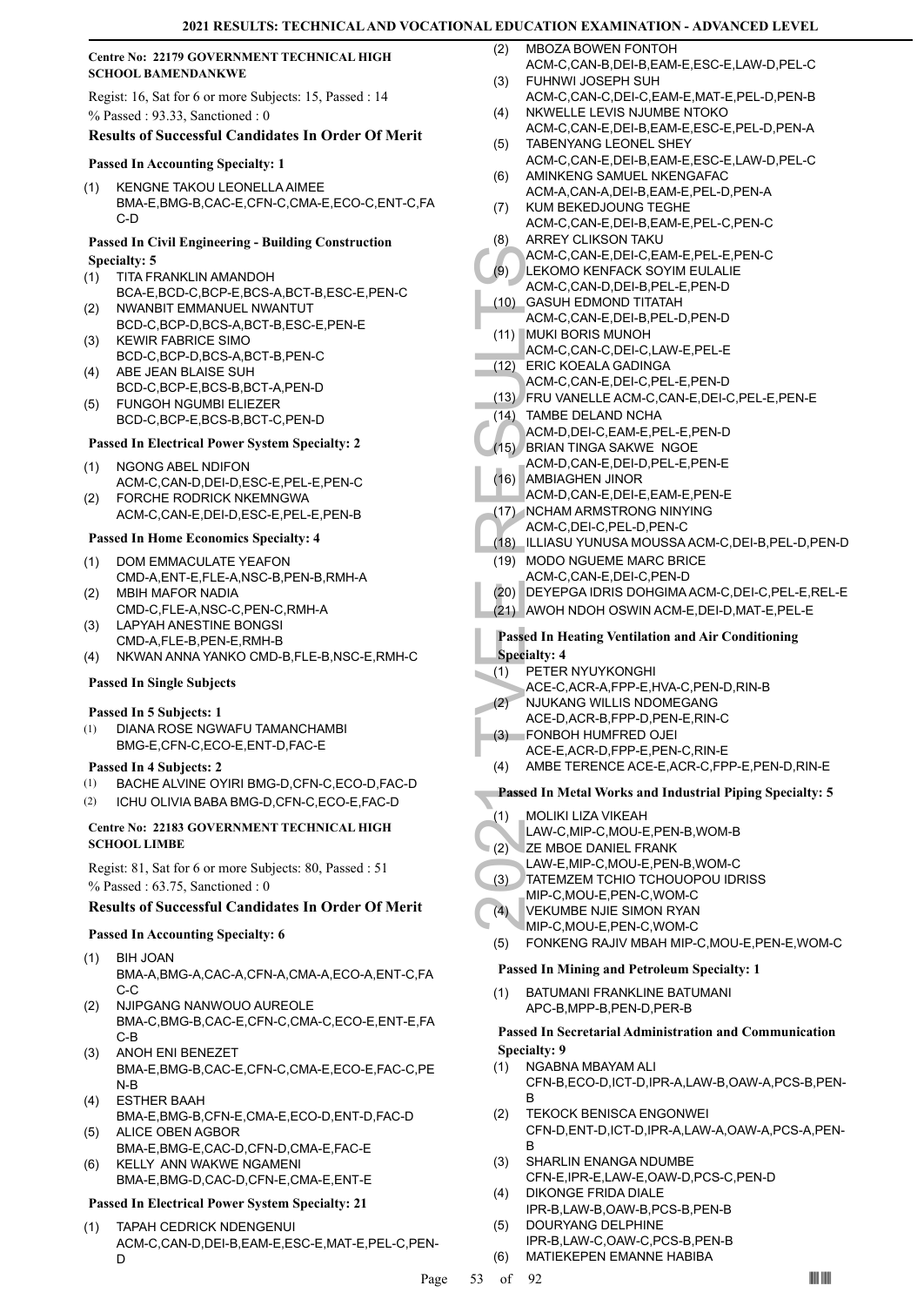## **Centre No: 22179 GOVERNMENT TECHNICAL HIGH SCHOOL BAMENDANKWE**

Regist: 16, Sat for 6 or more Subjects: 15, Passed : 14 % Passed : 93.33, Sanctioned : 0

## **Results of Successful Candidates In Order Of Merit**

## **Passed In Accounting Specialty: 1**

KENGNE TAKOU LEONELLA AIMEE BMA-E,BMG-B,CAC-E,CFN-C,CMA-E,ECO-C,ENT-C,FA C-D (1)

## **Passed In Civil Engineering - Building Construction Specialty: 5**

- TITA FRANKLIN AMANDOH BCA-E,BCD-C,BCP-E,BCS-A,BCT-B,ESC-E,PEN-C (1) NWANBIT EMMANUEL NWANTUT (2)
- BCD-C,BCP-D,BCS-A,BCT-B,ESC-E,PEN-E KEWIR FABRICE SIMO (3)
- BCD-C,BCP-D,BCS-A,BCT-B,PEN-C ABE JEAN BLAISE SUH (4)
- BCD-C,BCP-E,BCS-B,BCT-A,PEN-D FUNGOH NGUMBI ELIEZER (5)
- BCD-C,BCP-E,BCS-B,BCT-C,PEN-D

## **Passed In Electrical Power System Specialty: 2**

- NGONG ABEL NDIFON ACM-C,CAN-D,DEI-D,ESC-E,PEL-E,PEN-C (1)
- FORCHE RODRICK NKEMNGWA ACM-C,CAN-E,DEI-D,ESC-E,PEL-E,PEN-B (2)

## **Passed In Home Economics Specialty: 4**

- DOM EMMACULATE YEAFON CMD-A,ENT-E,FLE-A,NSC-B,PEN-B,RMH-A (1) MBIH MAFOR NADIA (2)
- CMD-C,FLE-A,NSC-C,PEN-C,RMH-A LAPYAH ANESTINE BONGSI (3)
- CMD-A,FLE-B,PEN-E,RMH-B
- (4) NKWAN ANNA YANKO CMD-B,FLE-B,NSC-E,RMH-C

## **Passed In Single Subjects**

## **Passed In 5 Subjects: 1**

DIANA ROSE NGWAFU TAMANCHAMBI BMG-E,CFN-C,ECO-E,ENT-D,FAC-E (1)

## **Passed In 4 Subjects: 2**

- (1) BACHE ALVINE OYIRI BMG-D,CFN-C,ECO-D,FAC-D
- (2) ICHU OLIVIA BABA BMG-D,CFN-C,ECO-E,FAC-D

## **Centre No: 22183 GOVERNMENT TECHNICAL HIGH SCHOOL LIMBE**

Regist: 81, Sat for 6 or more Subjects: 80, Passed : 51

% Passed : 63.75, Sanctioned : 0 **Results of Successful Candidates In Order Of Merit**

## **Passed In Accounting Specialty: 6**

- BIH JOAN BMA-A,BMG-A,CAC-A,CFN-A,CMA-A,ECO-A,ENT-C,FA C-C (1)
- NJIPGANG NANWOUO AUREOLE BMA-C,BMG-B,CAC-E,CFN-C,CMA-C,ECO-E,ENT-E,FA C-B (2)
- ANOH ENI BENEZET BMA-E,BMG-B,CAC-E,CFN-C,CMA-E,ECO-E,FAC-C,PE N-B (3)
- ESTHER BAAH BMA-E,BMG-B,CFN-E,CMA-E,ECO-D,ENT-D,FAC-D (4)
- ALICE OBEN AGBOR BMA-E,BMG-E,CAC-D,CFN-D,CMA-E,FAC-E (5) KELLY ANN WAKWE NGAMENI
- BMA-E,BMG-D,CAC-D,CFN-E,CMA-E,ENT-E (6)

## **Passed In Electrical Power System Specialty: 21**

TAPAH CEDRICK NDENGENUI ACM-C,CAN-D,DEI-B,EAM-E,ESC-E,MAT-E,PEL-C,PEN-D (1)

- MBOZA BOWEN FONTOH ACM-C,CAN-B,DEI-B,EAM-E,ESC-E,LAW-D,PEL-C  $(2)$
- FUHNWI JOSEPH SUH ACM-C,CAN-C,DEI-C,EAM-E,MAT-E,PEL-D,PEN-B (3)
- NKWELLE LEVIS NJUMBE NTOKO (4)
- ACM-C,CAN-E,DEI-B,EAM-E,ESC-E,PEL-D,PEN-A TABENYANG LEONEL SHEY (5)
- ACM-C,CAN-E,DEI-B,EAM-E,ESC-E,LAW-D,PEL-C AMINKENG SAMUEL NKENGAFAC (6)
- ACM-A,CAN-A,DEI-B,EAM-E,PEL-D,PEN-A KUM BEKEDJOUNG TEGHE (7)
- ACM-C,CAN-E,DEI-B,EAM-E,PEL-C,PEN-C ARREY CLIKSON TAKU (8)
- ACM-C,CAN-E,DEI-C,EAM-E,PEL-E,PEN-C
- LEKOMO KENFACK SOYIM EULALIE (9)
- ACM-C,CAN-D,DEI-B,PEL-E,PEN-D GASUH EDMOND TITATAH (10)
- ACM-C,CAN-E,DEI-B,PEL-D,PEN-D
- MUKI BORIS MUNOH (11) ACM-C,CAN-C,DEI-C,LAW-E,PEL-E
- (12) ERIC KOEALA GADINGA
- ACM-C,CAN-E,DEI-C,PEL-E,PEN-D
- (13) FRU VANELLE ACM-C,CAN-E,DEI-C,PEL-E,PEN-E
- (14) TAMBE DELAND NCHA
- ACM-D,DEI-C,EAM-E,PEL-E,PEN-D
- BRIAN TINGA SAKWE NGOE (15)
- ACM-D,CAN-E,DEI-D,PEL-E,PEN-E
- AMBIAGHEN JINOR (16)
- ACM-D,CAN-E,DEI-E,EAM-E,PEN-E
- (17) NCHAM ARMSTRONG NINYING ACM-C,DEI-C,PEL-D,PEN-C
- (18) ILLIASU YUNUSA MOUSSA ACM-C,DEI-B,PEL-D,PEN-D
- (19) MODO NGUEME MARC BRICE
- ACM-C,<br>
(9) ACM-C,<br>
LEKOM<br>
ACM-C,<br>
(11) MUKI B<br>
ACM-C,<br>
(11) MUKI B<br>
ACM-C,<br>
(12) ERIC K<br>
ACM-C,<br>
(2) ERIC K<br>
ACM-D,<br>
(14) TAMBE<br>
ACM-D,<br>
ACM-D,<br>
ACM-D,<br>
ACM-D,<br>
ACM-D,<br>
ACM-D,<br>
ACM-D,<br>
ACM-D,<br>
ACM-D,<br>
ACM-D,<br>
ACM-D,<br>
ACM-ACM-C,CAN-E,DEI-C,PEN-D (20) DEYEPGA IDRIS DOHGIMA ACM-C,DEI-C,PEL-E,REL-E
	- (21) AWOH NDOH OSWIN ACM-E,DEI-D,MAT-E,PEL-E
	-

## **Passed In Heating Ventilation and Air Conditioning Specialty: 4**

- PETER NYUYKONGHI (1)
	- ACE-C,ACR-A,FPP-E,HVA-C,PEN-D,RIN-B
- NJUKANG WILLIS NDOMEGANG (2)
- ACE-D,ACR-B,FPP-D,PEN-E,RIN-C FONBOH HUMFRED OJEI (3)
- ACE-E,ACR-D,FPP-E,PEN-C,RIN-E
- (4) AMBE TERENCE ACE-E,ACR-C,FPP-E,PEN-D,RIN-E
- **Passed In Metal Works and Industrial Piping Specialty: 5**
- MOLIKI LIZA VIKEAH (1)
- LAW-C,MIP-C,MOU-E,PEN-B,WOM-B
- ZE MBOE DANIEL FRANK (2)
- LAW-E,MIP-C,MOU-E,PEN-B,WOM-C
- TATEMZEM TCHIO TCHOUOPOU IDRISS (3)
- MIP-C,MOU-E,PEN-C,WOM-C
- VEKUMBE NJIE SIMON RYAN (4)
- MIP-C,MOU-E,PEN-C,WOM-C
- (5) FONKENG RAJIV MBAH MIP-C,MOU-E,PEN-E,WOM-C

## **Passed In Mining and Petroleum Specialty: 1**

BATUMANI FRANKLINE BATUMANI APC-B,MPP-B,PEN-D,PER-B (1)

## **Passed In Secretarial Administration and Communication Specialty: 9**

- NGABNA MBAYAM ALI CFN-B,ECO-D,ICT-D,IPR-A,LAW-B,OAW-A,PCS-B,PEN-B (1)
- TEKOCK BENISCA ENGONWEI CFN-D,ENT-D,ICT-D,IPR-A,LAW-A,OAW-A,PCS-A,PEN-B (2)
- SHARLIN ENANGA NDUMBE CFN-E,IPR-E,LAW-E,OAW-D,PCS-C,PEN-D (3)
- DIKONGE FRIDA DIALE IPR-B,LAW-B,OAW-B,PCS-B,PEN-B (4)
- DOURYANG DELPHINE IPR-B,LAW-C,OAW-C,PCS-B,PEN-B (5)
- (6) MATIEKEPEN EMANNE HABIBA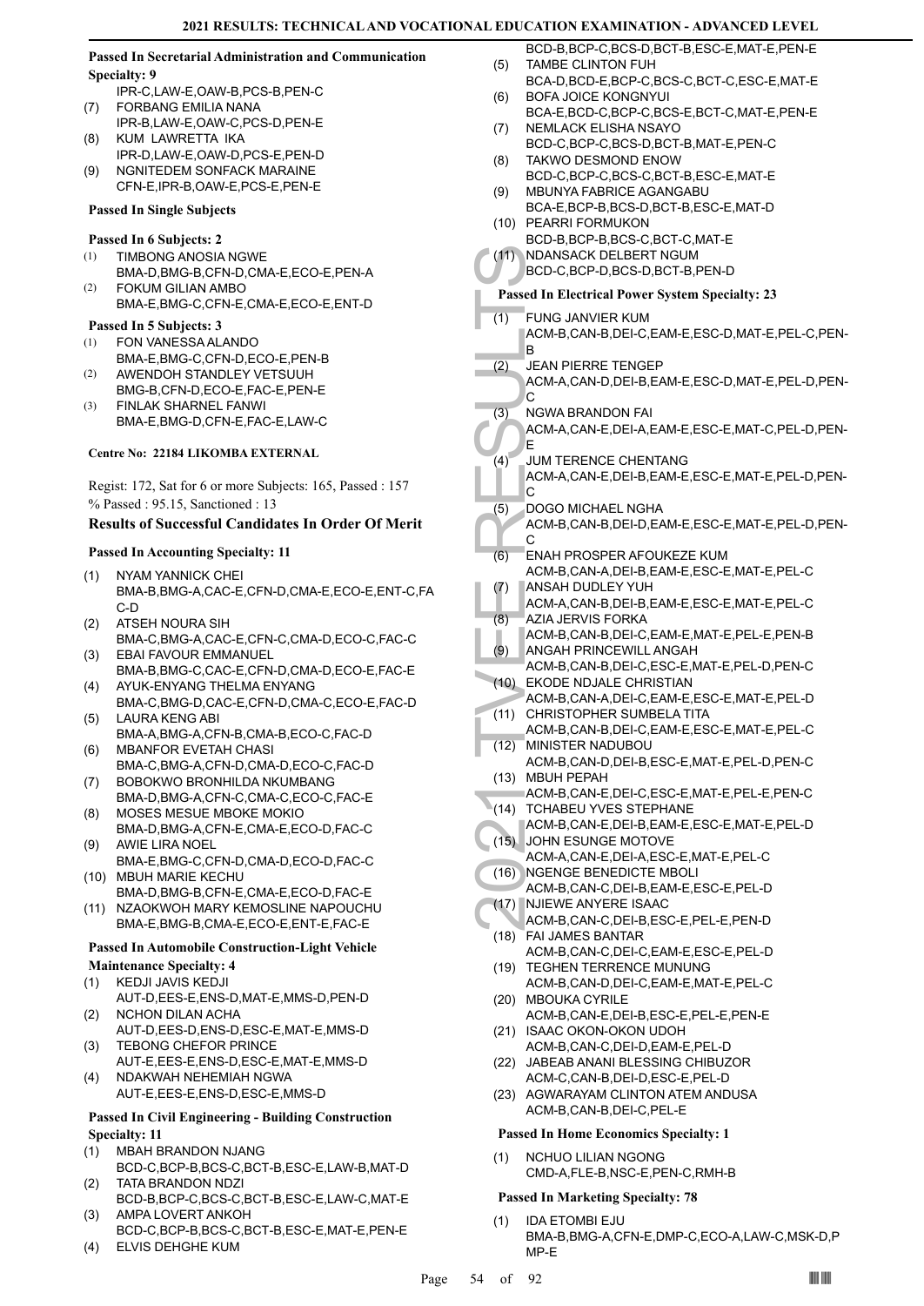## **Passed In Secretarial Administration and Communication Specialty: 9**

- IPR-C,LAW-E,OAW-B,PCS-B,PEN-C FORBANG EMILIA NANA (7)
- IPR-B,LAW-E,OAW-C,PCS-D,PEN-E KUM LAWRETTA IKA (8)
- IPR-D,LAW-E,OAW-D,PCS-E,PEN-D
- NGNITEDEM SONFACK MARAINE CFN-E,IPR-B,OAW-E,PCS-E,PEN-E (9)

## **Passed In Single Subjects**

## **Passed In 6 Subjects: 2**

- TIMBONG ANOSIA NGWE (1)
- BMA-D,BMG-B,CFN-D,CMA-E,ECO-E,PEN-A FOKUM GILIAN AMBO BMA-E,BMG-C,CFN-E,CMA-E,ECO-E,ENT-D  $(2)$

## **Passed In 5 Subjects: 3**

- FON VANESSA ALANDO (1)
- BMA-E,BMG-C,CFN-D,ECO-E,PEN-B AWENDOH STANDLEY VETSUUH (2)
- BMG-B,CFN-D,ECO-E,FAC-E,PEN-E FINLAK SHARNEL FANWI (3)
- BMA-E,BMG-D,CFN-E,FAC-E,LAW-C

## **Centre No: 22184 LIKOMBA EXTERNAL**

Regist: 172, Sat for 6 or more Subjects: 165, Passed : 157 % Passed : 95.15, Sanctioned : 13

## **Results of Successful Candidates In Order Of Merit**

## **Passed In Accounting Specialty: 11**

- NYAM YANNICK CHEI BMA-B,BMG-A,CAC-E,CFN-D,CMA-E,ECO-E,ENT-C,FA C-D (1)
- ATSEH NOURA SIH BMA-C,BMG-A,CAC-E,CFN-C,CMA-D,ECO-C,FAC-C (2) EBAI FAVOUR EMMANUEL (3)
- BMA-B,BMG-C,CAC-E,CFN-D,CMA-D,ECO-E,FAC-E AYUK-ENYANG THELMA ENYANG (4)
- BMA-C,BMG-D,CAC-E,CFN-D,CMA-C,ECO-E,FAC-D LAURA KENG ABI (5)
- BMA-A,BMG-A,CFN-B,CMA-B,ECO-C,FAC-D MBANFOR EVETAH CHASI (6)
- BMA-C,BMG-A,CFN-D,CMA-D,ECO-C,FAC-D BOBOKWO BRONHILDA NKUMBANG (7)
- BMA-D,BMG-A,CFN-C,CMA-C,ECO-C,FAC-E MOSES MESUE MBOKE MOKIO (8)
- BMA-D,BMG-A,CFN-E,CMA-E,ECO-D,FAC-C AWIE LIRA NOEL (9)
- BMA-E,BMG-C,CFN-D,CMA-D,ECO-D,FAC-C MBUH MARIE KECHU (10)
- BMA-D,BMG-B,CFN-E,CMA-E,ECO-D,FAC-E (11) NZAOKWOH MARY KEMOSLINE NAPOUCHU

## BMA-E,BMG-B,CMA-E,ECO-E,ENT-E,FAC-E **Passed In Automobile Construction-Light Vehicle**

## **Maintenance Specialty: 4**

- KEDJI JAVIS KEDJI (1)
- AUT-D,EES-E,ENS-D,MAT-E,MMS-D,PEN-D NCHON DILAN ACHA (2)
- AUT-D,EES-D,ENS-D,ESC-E,MAT-E,MMS-D TEBONG CHEFOR PRINCE (3)
- AUT-E,EES-E,ENS-D,ESC-E,MAT-E,MMS-D NDAKWAH NEHEMIAH NGWA (4)
- AUT-E,EES-E,ENS-D,ESC-E,MMS-D

## **Passed In Civil Engineering - Building Construction Specialty: 11**

- MBAH BRANDON NJANG BCD-C,BCP-B,BCS-C,BCT-B,ESC-E,LAW-B,MAT-D (1)
- TATA BRANDON NDZI (2)
- BCD-B,BCP-C,BCS-C,BCT-B,ESC-E,LAW-C,MAT-E AMPA LOVERT ANKOH (3)
- BCD-C,BCP-B,BCS-C,BCT-B,ESC-E,MAT-E,PEN-E (4) ELVIS DEHGHE KUM
- BCD-B,BCP-C,BCS-D,BCT-B,ESC-E,MAT-E,PEN-E TAMBE CLINTON FUH (5)
- BCA-D,BCD-E,BCP-C,BCS-C,BCT-C,ESC-E,MAT-E BOFA JOICE KONGNYUI (6)
- BCA-E,BCD-C,BCP-C,BCS-E,BCT-C,MAT-E,PEN-E NEMLACK ELISHA NSAYO (7)
- BCD-C,BCP-C,BCS-D,BCT-B,MAT-E,PEN-C TAKWO DESMOND ENOW (8)
- BCD-C,BCP-C,BCS-C,BCT-B,ESC-E,MAT-E MBUNYA FABRICE AGANGABU (9)
- BCA-E,BCP-B,BCS-D,BCT-B,ESC-E,MAT-D
- (10) PEARRI FORMUKON BCD-B,BCP-B,BCS-C,BCT-C,MAT-E
- NDANSACK DELBERT NGUM  $(11)$
- BCD-C,BCP-D,BCS-D,BCT-B,PEN-D

## **Passed In Electrical Power System Specialty: 23**

- FUNG JANVIER KUM (1)
	- ACM-B,CAN-B,DEI-C,EAM-E,ESC-D,MAT-E,PEL-C,PEN-B
- JEAN PIERRE TENGEP (2)
	- ACM-A,CAN-D,DEI-B,EAM-E,ESC-D,MAT-E,PEL-D,PEN- $\overline{C}$
- NGWA BRANDON FAI (3)
- ACM-A,CAN-E,DEI-A,EAM-E,ESC-E,MAT-C,PEL-D,PEN-E
- JUM TERENCE CHENTANG ACM-A,CAN-E,DEI-B,EAM-E,ESC-E,MAT-E,PEL-D,PEN- $\overline{C}$ (4)
- DOGO MICHAEL NGHA (5)
	- ACM-B,CAN-B,DEI-D,EAM-E,ESC-E,MAT-E,PEL-D,PEN-C
- (11) NDANS, BCD-C, Passed In El<br>
(1) FUNG J<br>
ACM-B, B<br>
22) JEAN P<br>
ACM-A, C<br>
32) JEAN TE ACM-A, C<br>
32) JEAN TE ACM-A, C<br>
42) JUM TE ACM-A, C<br>
42 JUM TE ACM-A, C<br>
42 JUM TE ACM-A, C<br>
42 JUM TE ACM-A, C<br>
42 JUM TE ACM-B, C<br> ENAH PROSPER AFOUKEZE KUM ACM-B,CAN-A,DEI-B,EAM-E,ESC-E,MAT-E,PEL-C (6)
	- ANSAH DUDLEY YUH (7)
	- ACM-A,CAN-B,DEI-B,EAM-E,ESC-E,MAT-E,PEL-C AZIA JERVIS FORKA (8)
	- ACM-B,CAN-B,DEI-C,EAM-E,MAT-E,PEL-E,PEN-B
- ANGAH PRINCEWILL ANGAH (9)
- ACM-B,CAN-B,DEI-C,ESC-E,MAT-E,PEL-D,PEN-C EKODE NDJALE CHRISTIAN (10)
- ACM-B,CAN-A,DEI-C,EAM-E,ESC-E,MAT-E,PEL-D (11) CHRISTOPHER SUMBELA TITA
- ACM-B,CAN-B,DEI-C,EAM-E,ESC-E,MAT-E,PEL-C MINISTER NADUBOU (12)
- ACM-B,CAN-D,DEI-B,ESC-E,MAT-E,PEL-D,PEN-C (13) MBUH PEPAH
- ACM-B,CAN-E,DEI-C,ESC-E,MAT-E,PEL-E,PEN-C (14) TCHABEU YVES STEPHANE
- ACM-B,CAN-E,DEI-B,EAM-E,ESC-E,MAT-E,PEL-D (15) JOHN ESUNGE MOTOVE
- ACM-A,CAN-E,DEI-A,ESC-E,MAT-E,PEL-C
- NGENGE BENEDICTE MBOLI (16)
- ACM-B,CAN-C,DEI-B,EAM-E,ESC-E,PEL-D (17) NJIEWE ANYERE ISAAC
- ACM-B,CAN-C,DEI-B,ESC-E,PEL-E,PEN-D FAI JAMES BANTAR (18)
- ACM-B,CAN-C,DEI-C,EAM-E,ESC-E,PEL-D (19) TEGHEN TERRENCE MUNUNG
- ACM-B,CAN-D,DEI-C,EAM-E,MAT-E,PEL-C (20) MBOUKA CYRILE
- ACM-B,CAN-E,DEI-B,ESC-E,PEL-E,PEN-E (21) ISAAC OKON-OKON UDOH
- ACM-B,CAN-C,DEI-D,EAM-E,PEL-D
- (22) JABEAB ANANI BLESSING CHIBUZOR ACM-C,CAN-B,DEI-D,ESC-E,PEL-D
- (23) AGWARAYAM CLINTON ATEM ANDUSA ACM-B,CAN-B,DEI-C,PEL-E

## **Passed In Home Economics Specialty: 1**

NCHUO LILIAN NGONG CMD-A,FLE-B,NSC-E,PEN-C,RMH-B (1)

## **Passed In Marketing Specialty: 78**

IDA ETOMBI EJU BMA-B,BMG-A,CFN-E,DMP-C,ECO-A,LAW-C,MSK-D,P MP-E (1)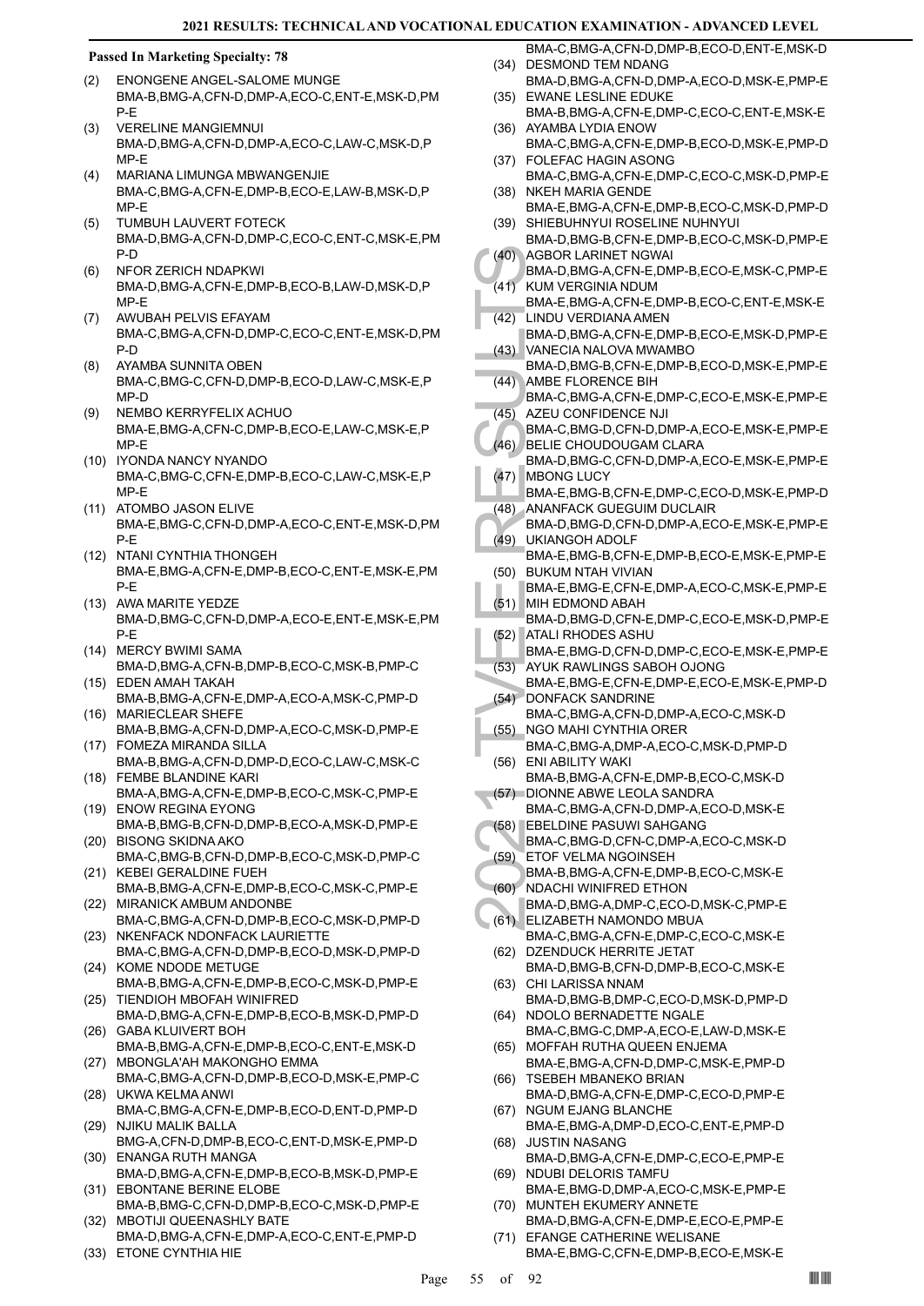- ENONGENE ANGEL-SALOME MUNGE BMA-B,BMG-A,CFN-D,DMP-A,ECO-C,ENT-E,MSK-D,PM P-E (2)
- VERELINE MANGIEMNUI BMA-D,BMG-A,CFN-D,DMP-A,ECO-C,LAW-C,MSK-D,P MP-E (3)
- MARIANA LIMUNGA MBWANGENJIE BMA-C,BMG-A,CFN-E,DMP-B,ECO-E,LAW-B,MSK-D,P MP-E (4)
- TUMBUH LAUVERT FOTECK BMA-D,BMG-A,CFN-D,DMP-C,ECO-C,ENT-C,MSK-E,PM P-D (5)
- NFOR ZERICH NDAPKWI BMA-D,BMG-A,CFN-E,DMP-B,ECO-B,LAW-D,MSK-D,P MP-E (6)
- AWUBAH PELVIS EFAYAM BMA-C,BMG-A,CFN-D,DMP-C,ECO-C,ENT-E,MSK-D,PM P-D (7)
- AYAMBA SUNNITA OBEN BMA-C,BMG-C,CFN-D,DMP-B,ECO-D,LAW-C,MSK-E,P MP-D (8)
- NEMBO KERRYFELIX ACHUO BMA-E,BMG-A,CFN-C,DMP-B,ECO-E,LAW-C,MSK-E,P MP-E (9)
- (10) IYONDA NANCY NYANDO BMA-C,BMG-C,CFN-E,DMP-B,ECO-C,LAW-C,MSK-E,P MP-E
- (11) ATOMBO JASON ELIVE BMA-E,BMG-C,CFN-D,DMP-A,ECO-C,ENT-E,MSK-D,PM P-E
- (12) NTANI CYNTHIA THONGEH BMA-E,BMG-A,CFN-E,DMP-B,ECO-C,ENT-E,MSK-E,PM P-E
- (13) AWA MARITE YEDZE BMA-D,BMG-C,CFN-D,DMP-A,ECO-E,ENT-E,MSK-E,PM P-E
- (14) MERCY BWIMI SAMA BMA-D,BMG-A,CFN-B,DMP-B,ECO-C,MSK-B,PMP-C
- EDEN AMAH TAKAH (15) BMA-B,BMG-A,CFN-E,DMP-A,ECO-A,MSK-C,PMP-D MARIECLEAR SHEFE (16)
- BMA-B,BMG-A,CFN-D,DMP-A,ECO-C,MSK-D,PMP-E FOMEZA MIRANDA SILLA (17)
- BMA-B,BMG-A,CFN-D,DMP-D,ECO-C,LAW-C,MSK-C FEMBE BLANDINE KARI (18)
- BMA-A,BMG-A,CFN-E,DMP-B,ECO-C,MSK-C,PMP-E (19) ENOW REGINA EYONG
- BMA-B,BMG-B,CFN-D,DMP-B,ECO-A,MSK-D,PMP-E BISONG SKIDNA AKO (20)
- BMA-C,BMG-B,CFN-D,DMP-B,ECO-C,MSK-D,PMP-C (21) KEBEI GERALDINE FUEH
- BMA-B,BMG-A,CFN-E,DMP-B,ECO-C,MSK-C,PMP-E (22) MIRANICK AMBUM ANDONBE
- BMA-C,BMG-A,CFN-D,DMP-B,ECO-C,MSK-D,PMP-D (23) NKENFACK NDONFACK LAURIETTE
- BMA-C,BMG-A,CFN-D,DMP-B,ECO-D,MSK-D,PMP-D (24) KOME NDODE METUGE
- BMA-B,BMG-A,CFN-E,DMP-B,ECO-C,MSK-D,PMP-E (25) TIENDIOH MBOFAH WINIFRED
- BMA-D,BMG-A,CFN-E,DMP-B,ECO-B,MSK-D,PMP-D (26) GABA KLUIVERT BOH
- BMA-B,BMG-A,CFN-E,DMP-B,ECO-C,ENT-E,MSK-D (27) MBONGLA'AH MAKONGHO EMMA
- BMA-C,BMG-A,CFN-D,DMP-B,ECO-D,MSK-E,PMP-C UKWA KELMA ANWI (28)
- BMA-C,BMG-A,CFN-E,DMP-B,ECO-D,ENT-D,PMP-D (29) NJIKU MALIK BALLA
- BMG-A,CFN-D,DMP-B,ECO-C,ENT-D,MSK-E,PMP-D ENANGA RUTH MANGA (30)
- BMA-D,BMG-A,CFN-E,DMP-B,ECO-B,MSK-D,PMP-E (31) EBONTANE BERINE ELOBE
- BMA-B,BMG-C,CFN-D,DMP-B,ECO-C,MSK-D,PMP-E MBOTIJI QUEENASHLY BATE (32)
- BMA-D,BMG-A,CFN-E,DMP-A,ECO-C,ENT-E,PMP-D (33) ETONE CYNTHIA HIE
- BMA-C,BMG-A,CFN-D,DMP-B,ECO-D,ENT-E,MSK-D (34) DESMOND TEM NDANG
- BMA-D,BMG-A,CFN-D,DMP-A,ECO-D,MSK-E,PMP-E EWANE LESLINE EDUKE (35)
- BMA-B,BMG-A,CFN-E,DMP-C,ECO-C,ENT-E,MSK-E (36) AYAMBA LYDIA ENOW
- BMA-C,BMG-A,CFN-E,DMP-B,ECO-D,MSK-E,PMP-D FOLEFAC HAGIN ASONG (37)
- BMA-C,BMG-A,CFN-E,DMP-C,ECO-C,MSK-D,PMP-E NKEH MARIA GENDE (38)
- BMA-E,BMG-A,CFN-E,DMP-B,ECO-C,MSK-D,PMP-D SHIEBUHNYUI ROSELINE NUHNYUI (39)
- BMA-D,BMG-B,CFN-E,DMP-B,ECO-C,MSK-D,PMP-E AGBOR LARINET NGWAI (40)
- BMA-D,BMG-A,CFN-E,DMP-B,ECO-E,MSK-C,PMP-E KUM VERGINIA NDUM  $(41)$
- BMA-E,BMG-A,CFN-E,DMP-B,ECO-C,ENT-E,MSK-E LINDU VERDIANA AMEN  $(42)$
- BMA-D,BMG-A,CFN-E,DMP-B,ECO-E,MSK-D,PMP-E VANECIA NALOVA MWAMBO (43)
- BMA-D,BMG-B,CFN-E,DMP-B,ECO-D,MSK-E,PMP-E AMBE FLORENCE BIH (44)
- BMA-C,BMG-A,CFN-E,DMP-C,ECO-E,MSK-E,PMP-E AZEU CONFIDENCE NJI  $(45)$
- BMA-C,BMG-D,CFN-D,DMP-A,ECO-E,MSK-E,PMP-E BELIE CHOUDOUGAM CLARA  $(46)$
- (40) AGBOR<br>
BMA-D,<br>
EMA-D,<br>
EMA-D,<br>
EMA-D,<br>
CASDANGE<br>
EMA-D,<br>
CASDANGE<br>
BMA-D,<br>
AMBE F BMA-D,<br>
AMBE F BMA-C,<br>
ANDER BMA-C,<br>
(46) BELIE C<br>
BMA-D,<br>
MBONG BMA-E,<br>
(47) MBONG BMA-E,<br>
(48) ANANF,<br>
BMA-D,<br>
MHA-D,<br>
BMA-D,<br>
MHA-D, BMA-D,BMG-C,CFN-D,DMP-A,ECO-E,MSK-E,PMP-E MBONG LUCY (47)
	- BMA-E,BMG-B,CFN-E,DMP-C,ECO-D,MSK-E,PMP-D ANANFACK GUEGUIM DUCLAIR (48)
	- BMA-D,BMG-D,CFN-D,DMP-A,ECO-E,MSK-E,PMP-E UKIANGOH ADOLF  $(49)$
	- BMA-E,BMG-B,CFN-E,DMP-B,ECO-E,MSK-E,PMP-E BUKUM NTAH VIVIAN (50)
	- BMA-E,BMG-E,CFN-E,DMP-A,ECO-C,MSK-E,PMP-E (51) MIH EDMOND ABAH
	- BMA-D,BMG-D,CFN-E,DMP-C,ECO-E,MSK-D,PMP-E ATALI RHODES ASHU (52)
	- BMA-E,BMG-D,CFN-D,DMP-C,ECO-E,MSK-E,PMP-E
- AYUK RAWLINGS SABOH OJONG (53)
- BMA-E,BMG-E,CFN-E,DMP-E,ECO-E,MSK-E,PMP-D (54) DONFACK SANDRINE
- BMA-C,BMG-A,CFN-D,DMP-A,ECO-C,MSK-D NGO MAHI CYNTHIA ORER (55)
- BMA-C,BMG-A,DMP-A,ECO-C,MSK-D,PMP-D (56) ENI ABILITY WAKI
- BMA-B,BMG-A,CFN-E,DMP-B,ECO-C,MSK-D (57) DIONNE ABWE LEOLA SANDRA
- BMA-C,BMG-A,CFN-D,DMP-A,ECO-D,MSK-E EBELDINE PASUWI SAHGANG (58)
- BMA-C,BMG-D,CFN-C,DMP-A,ECO-C,MSK-D ETOF VELMA NGOINSEH (59)
- BMA-B,BMG-A,CFN-E,DMP-B,ECO-C,MSK-E NDACHI WINIFRED ETHON (60)
- BMA-D,BMG-A,DMP-C,ECO-D,MSK-C,PMP-E ELIZABETH NAMONDO MBUA (61)
- BMA-C,BMG-A,CFN-E,DMP-C,ECO-C,MSK-E
- (62) DZENDUCK HERRITE JETAT BMA-D,BMG-B,CFN-D,DMP-B,ECO-C,MSK-E CHI LARISSA NNAM (63)
- BMA-D,BMG-B,DMP-C,ECO-D,MSK-D,PMP-D (64) NDOLO BERNADETTE NGALE
- BMA-C,BMG-C,DMP-A,ECO-E,LAW-D,MSK-E MOFFAH RUTHA QUEEN ENJEMA (65)
- BMA-E,BMG-A,CFN-D,DMP-C,MSK-E,PMP-D TSEBEH MBANEKO BRIAN (66)
- BMA-D,BMG-A,CFN-E,DMP-C,ECO-D,PMP-E (67) NGUM EJANG BLANCHE
- BMA-E,BMG-A,DMP-D,ECO-C,ENT-E,PMP-D JUSTIN NASANG (68)
- BMA-D,BMG-A,CFN-E,DMP-C,ECO-E,PMP-E (69) NDUBI DELORIS TAMFU
- BMA-E,BMG-D,DMP-A,ECO-C,MSK-E,PMP-E (70) MUNTEH EKUMERY ANNETE
- BMA-D,BMG-A,CFN-E,DMP-E,ECO-E,PMP-E EFANGE CATHERINE WELISANE (71)
- BMA-E,BMG-C,CFN-E,DMP-B,ECO-E,MSK-E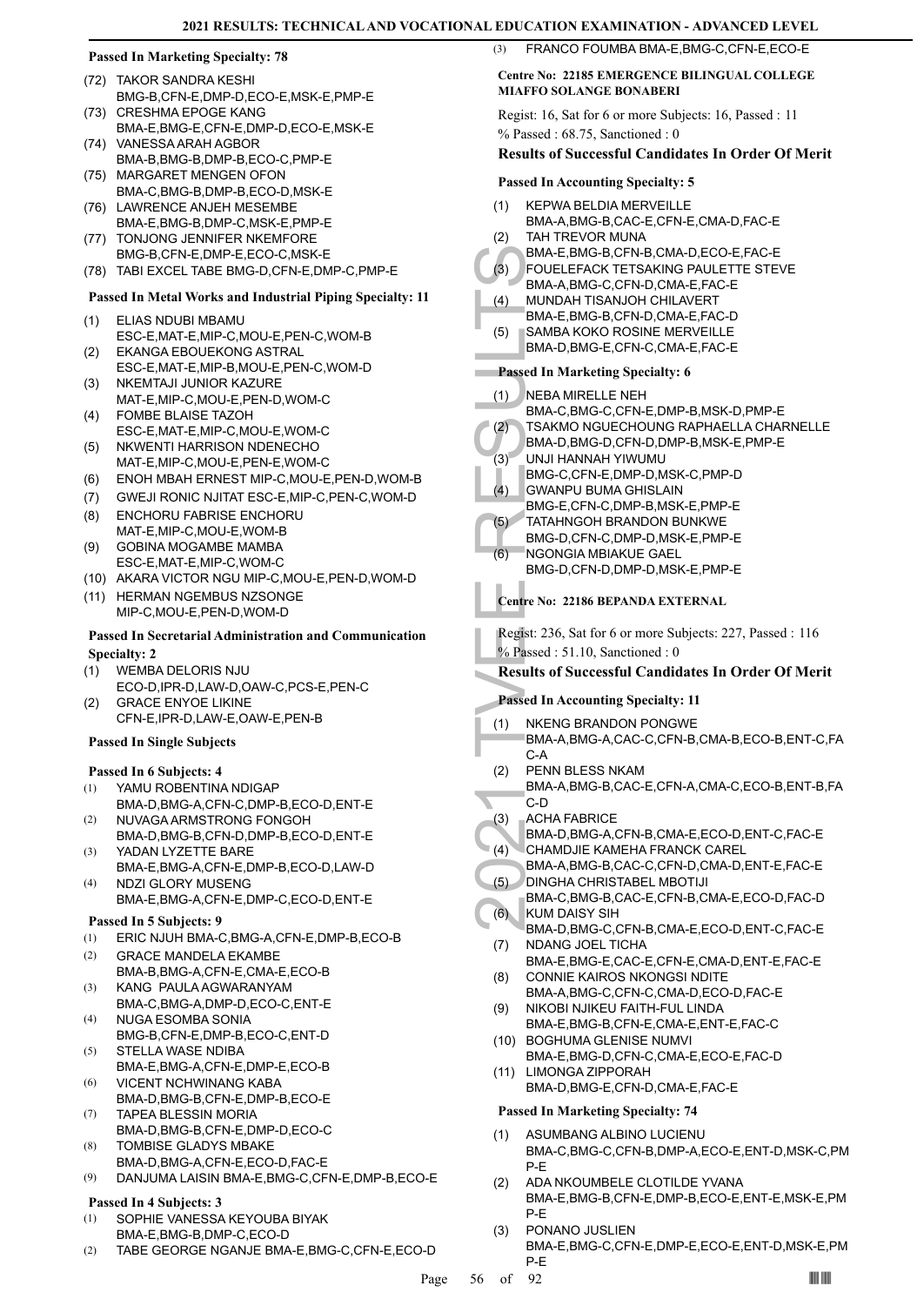- TAKOR SANDRA KESHI (72) BMG-B,CFN-E,DMP-D,ECO-E,MSK-E,PMP-E
- (73) CRESHMA EPOGE KANG BMA-E,BMG-E,CFN-E,DMP-D,ECO-E,MSK-E (74) VANESSA ARAH AGBOR
- BMA-B,BMG-B,DMP-B,ECO-C,PMP-E (75) MARGARET MENGEN OFON
- BMA-C,BMG-B,DMP-B,ECO-D,MSK-E (76) LAWRENCE ANJEH MESEMBE
- BMA-E,BMG-B,DMP-C,MSK-E,PMP-E TONJONG JENNIFER NKEMFORE (77)
- BMG-B,CFN-E,DMP-E,ECO-C,MSK-E
- (78) TABI EXCEL TABE BMG-D,CFN-E,DMP-C,PMP-E

## **Passed In Metal Works and Industrial Piping Specialty: 11**

- ELIAS NDUBI MBAMU ESC-E,MAT-E,MIP-C,MOU-E,PEN-C,WOM-B (1)
- EKANGA EBOUEKONG ASTRAL ESC-E,MAT-E,MIP-B,MOU-E,PEN-C,WOM-D (2)
- NKEMTAJI JUNIOR KAZURE MAT-E,MIP-C,MOU-E,PEN-D,WOM-C (3)
- FOMBE BLAISE TAZOH ESC-E,MAT-E,MIP-C,MOU-E,WOM-C (4)
- (5) NKWENTI HARRISON NDENECHO MAT-E,MIP-C,MOU-E,PEN-E,WOM-C
- (6) ENOH MBAH ERNEST MIP-C,MOU-E,PEN-D,WOM-B
- (7) GWEJI RONIC NJITAT ESC-E,MIP-C,PEN-C,WOM-D
- ENCHORU FABRISE ENCHORU (8) MAT-E,MIP-C,MOU-E,WOM-B
- GOBINA MOGAMBE MAMBA ESC-E,MAT-E,MIP-C,WOM-C (9)
- (10) AKARA VICTOR NGU MIP-C,MOU-E,PEN-D,WOM-D
- (11) HERMAN NGEMBUS NZSONGE MIP-C,MOU-E,PEN-D,WOM-D

## **Passed In Secretarial Administration and Communication Specialty: 2**

- WEMBA DELORIS NJU (1)
- ECO-D,IPR-D,LAW-D,OAW-C,PCS-E,PEN-C GRACE ENYOE LIKINE (2)
- CFN-E,IPR-D,LAW-E,OAW-E,PEN-B

## **Passed In Single Subjects**

## **Passed In 6 Subjects: 4**

- YAMU ROBENTINA NDIGAP BMA-D,BMG-A,CFN-C,DMP-B,ECO-D,ENT-E (1)
- NUVAGA ARMSTRONG FONGOH BMA-D,BMG-B,CFN-D,DMP-B,ECO-D,ENT-E (2)
- YADAN LYZETTE BARE BMA-E,BMG-A,CFN-E,DMP-B,ECO-D,LAW-D (3) (4)
	- NDZI GLORY MUSENG BMA-E,BMG-A,CFN-E,DMP-C,ECO-D,ENT-E

## **Passed In 5 Subjects: 9**

- (1) ERIC NJUH BMA-C,BMG-A,CFN-E,DMP-B,ECO-B
- GRACE MANDELA EKAMBE BMA-B,BMG-A,CFN-E,CMA-E,ECO-B (2)
- KANG PAULA AGWARANYAM BMA-C,BMG-A,DMP-D,ECO-C,ENT-E (3)
- NUGA ESOMBA SONIA (4)
- BMG-B,CFN-E,DMP-B,ECO-C,ENT-D STELLA WASE NDIBA BMA-E,BMG-A,CFN-E,DMP-E,ECO-B (5)
- VICENT NCHWINANG KABA (6)
- BMA-D,BMG-B,CFN-E,DMP-B,ECO-E TAPEA BLESSIN MORIA (7)
- BMA-D,BMG-B,CFN-E,DMP-D,ECO-C TOMBISE GLADYS MBAKE (8)
- BMA-D,BMG-A,CFN-E,ECO-D,FAC-E
- (9) DANJUMA LAISIN BMA-E,BMG-C,CFN-E,DMP-B,ECO-E

## **Passed In 4 Subjects: 3**

- SOPHIE VANESSA KEYOUBA BIYAK BMA-E,BMG-B,DMP-C,ECO-D (1)
- (2) TABE GEORGE NGANJE BMA-E,BMG-C,CFN-E,ECO-D

(3) FRANCO FOUMBA BMA-E,BMG-C,CFN-E,ECO-E

## **Centre No: 22185 EMERGENCE BILINGUAL COLLEGE MIAFFO SOLANGE BONABERI**

Regist: 16, Sat for 6 or more Subjects: 16, Passed : 11 % Passed : 68.75, Sanctioned : 0

## **Results of Successful Candidates In Order Of Merit**

## **Passed In Accounting Specialty: 5**

- KEPWA BELDIA MERVEILLE (1)
- BMA-A,BMG-B,CAC-E,CFN-E,CMA-D,FAC-E TAH TREVOR MUNA (2)
- BMA-E,BMG-B,CFN-B,CMA-D,ECO-E,FAC-E
- FOUELEFACK TETSAKING PAULETTE STEVE (3)
- BMA-A,BMG-C,CFN-D,CMA-E,FAC-E MUNDAH TISANJOH CHILAVERT (4)
- BMA-E,BMG-B,CFN-D,CMA-E,FAC-D
- SAMBA KOKO ROSINE MERVEILLE BMA-D,BMG-E,CFN-C,CMA-E,FAC-E (5)

## **Passed In Marketing Specialty: 6**

BMA-E,<br>
(3) POUELI<br>
BMA-A,<br>
(4) MUNDA<br>
BMA-A,<br>
BMA-E,<br>
SAMBA<br>
BMA-D,<br>
BMA-D,<br>
BMA-D,<br>
BMA-D,<br>
BMA-D,<br>
TATAHN<br>
BMA-D,<br>
COURING-C,<br>
COURING-C,<br>
GNA-D,<br>
BMG-C,<br>
GNA-D,<br>
BMG-C,<br>
GNA-D,<br>
BMG-D,<br>
RMG-D,<br>
RG-O,<br>
RG-O,<br>
RG-O,<br>
Cen NEBA MIRELLE NEH BMA-C,BMG-C,CFN-E,DMP-B,MSK-D,PMP-E (1) TSAKMO NGUECHOUNG RAPHAELLA CHARNELLE BMA-D,BMG-D,CFN-D,DMP-B,MSK-E,PMP-E (2) UNJI HANNAH YIWUMU BMG-C,CFN-E,DMP-D,MSK-C,PMP-D (3) GWANPU BUMA GHISLAIN BMG-E,CFN-C,DMP-B,MSK-E,PMP-E (4) TATAHNGOH BRANDON BUNKWE BMG-D,CFN-C,DMP-D,MSK-E,PMP-E (5) NGONGIA MBIAKUE GAEL BMG-D,CFN-D,DMP-D,MSK-E,PMP-E (6) **Centre No: 22186 BEPANDA EXTERNAL**  Regist: 236, Sat for 6 or more Subjects: 227, Passed : 116 % Passed : 51.10, Sanctioned : 0

## **Results of Successful Candidates In Order Of Merit**

## **Passed In Accounting Specialty: 11**

- NKENG BRANDON PONGWE (1)
	- BMA-A,BMG-A,CAC-C,CFN-B,CMA-B,ECO-B,ENT-C,FA C-A
- PENN BLESS NKAM BMA-A,BMG-B,CAC-E,CFN-A,CMA-C,ECO-B,ENT-B,FA (2)
- C-D
- ACHA FABRICE (3)
- BMA-D,BMG-A,CFN-B,CMA-E,ECO-D,ENT-C,FAC-E
- CHAMDJIE KAMEHA FRANCK CAREL BMA-A,BMG-B,CAC-C,CFN-D,CMA-D,ENT-E,FAC-E (4)
- DINGHA CHRISTABEL MBOTIJI (5)
- BMA-C,BMG-B,CAC-E,CFN-B,CMA-E,ECO-D,FAC-D KUM DAISY SIH (6)
- BMA-D,BMG-C,CFN-B,CMA-E,ECO-D,ENT-C,FAC-E NDANG JOEL TICHA (7)
- BMA-E,BMG-E,CAC-E,CFN-E,CMA-D,ENT-E,FAC-E CONNIE KAIROS NKONGSI NDITE (8)
- BMA-A,BMG-C,CFN-C,CMA-D,ECO-D,FAC-E NIKOBI NJIKEU FAITH-FUL LINDA (9)
- BMA-E,BMG-B,CFN-E,CMA-E,ENT-E,FAC-C (10) BOGHUMA GLENISE NUMVI
- BMA-E,BMG-D,CFN-C,CMA-E,ECO-E,FAC-D (11) LIMONGA ZIPPORAH
- BMA-D,BMG-E,CFN-D,CMA-E,FAC-E

- ASUMBANG ALBINO LUCIENU BMA-C,BMG-C,CFN-B,DMP-A,ECO-E,ENT-D,MSK-C,PM P-E (1)
- ADA NKOUMBELE CLOTILDE YVANA BMA-E,BMG-B,CFN-E,DMP-B,ECO-E,ENT-E,MSK-E,PM P-E (2)
- PONANO JUSLIEN BMA-E,BMG-C,CFN-E,DMP-E,ECO-E,ENT-D,MSK-E,PM P-E (3)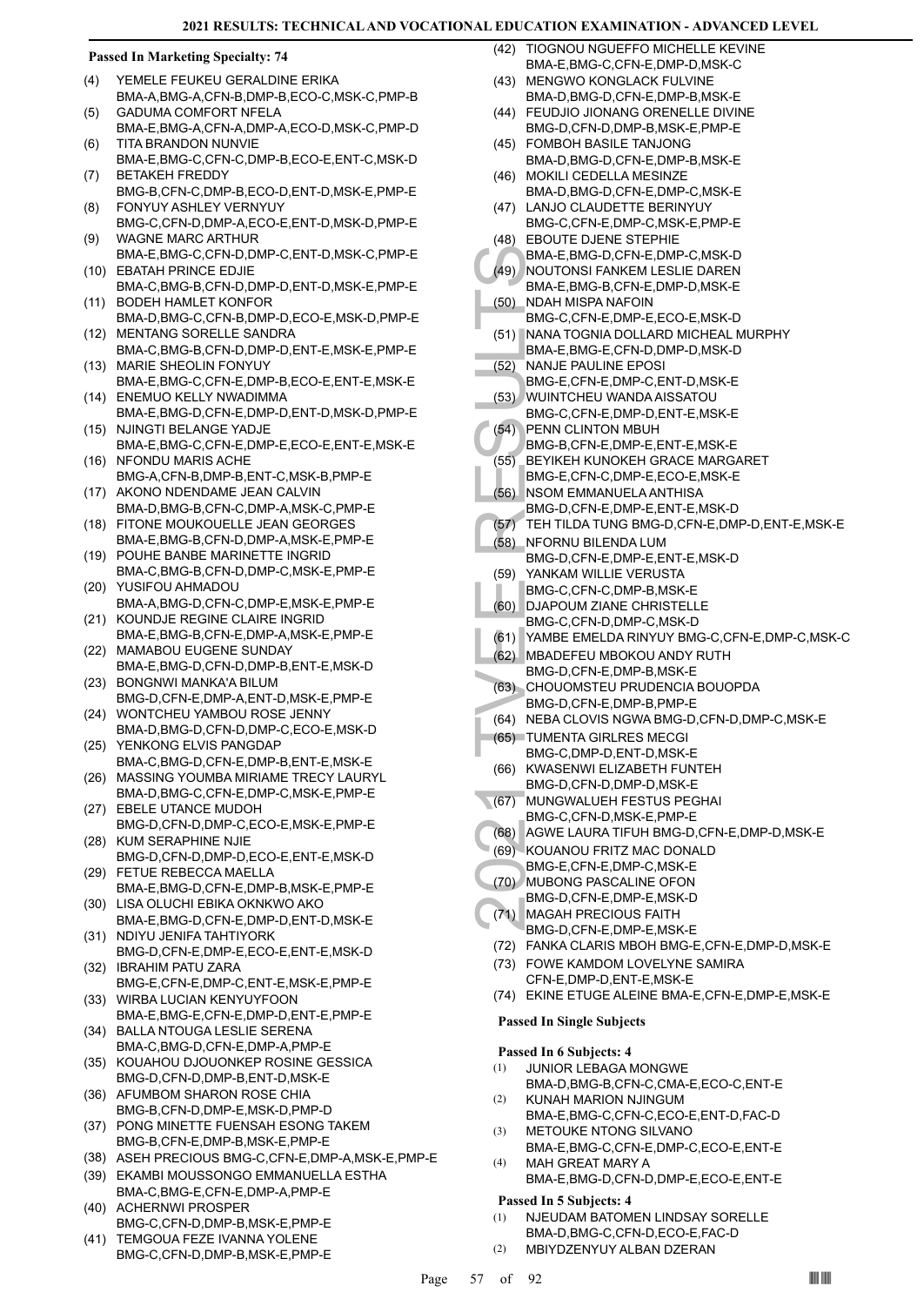## **Passed In Marketing Specialty: 74**

- YEMELE FEUKEU GERALDINE ERIKA BMA-A,BMG-A,CFN-B,DMP-B,ECO-C,MSK-C,PMP-B (4)
- GADUMA COMFORT NFELA BMA-E,BMG-A,CFN-A,DMP-A,ECO-D,MSK-C,PMP-D  $(5)$ TITA BRANDON NUNVIE (6)
- BMA-E,BMG-C,CFN-C,DMP-B,ECO-E,ENT-C,MSK-D BETAKEH FREDDY (7)
- BMG-B,CFN-C,DMP-B,ECO-D,ENT-D,MSK-E,PMP-E FONYUY ASHLEY VERNYUY (8)
- BMG-C,CFN-D,DMP-A,ECO-E,ENT-D,MSK-D,PMP-E WAGNE MARC ARTHUR (9)
- BMA-E,BMG-C,CFN-D,DMP-C,ENT-D,MSK-C,PMP-E (10) EBATAH PRINCE EDJIE
- BMA-C,BMG-B,CFN-D,DMP-D,ENT-D,MSK-E,PMP-E (11) BODEH HAMLET KONFOR
- BMA-D,BMG-C,CFN-B,DMP-D,ECO-E,MSK-D,PMP-E (12) MENTANG SORELLE SANDRA
- BMA-C,BMG-B,CFN-D,DMP-D,ENT-E,MSK-E,PMP-E MARIE SHEOLIN FONYUY (13)
- BMA-E,BMG-C,CFN-E,DMP-B,ECO-E,ENT-E,MSK-E (14) ENEMUO KELLY NWADIMMA
- BMA-E,BMG-D,CFN-E,DMP-D,ENT-D,MSK-D,PMP-E (15) NJINGTI BELANGE YADJE
- BMA-E,BMG-C,CFN-E,DMP-E,ECO-E,ENT-E,MSK-E (16) NFONDU MARIS ACHE
- BMG-A,CFN-B,DMP-B,ENT-C,MSK-B,PMP-E (17) AKONO NDENDAME JEAN CALVIN
- BMA-D,BMG-B,CFN-C,DMP-A,MSK-C,PMP-E FITONE MOUKOUELLE JEAN GEORGES (18)
- BMA-E,BMG-B,CFN-D,DMP-A,MSK-E,PMP-E POUHE BANBE MARINETTE INGRID (19)
- BMA-C,BMG-B,CFN-D,DMP-C,MSK-E,PMP-E YUSIFOU AHMADOU (20)
- BMA-A,BMG-D,CFN-C,DMP-E,MSK-E,PMP-E (21) KOUNDJE REGINE CLAIRE INGRID
- BMA-E,BMG-B,CFN-E,DMP-A,MSK-E,PMP-E (22) MAMABOU EUGENE SUNDAY
- BMA-E,BMG-D,CFN-D,DMP-B,ENT-E,MSK-D (23) BONGNWI MANKA'A BILUM
- BMG-D,CFN-E,DMP-A,ENT-D,MSK-E,PMP-E WONTCHEU YAMBOU ROSE JENNY (24)
- BMA-D,BMG-D,CFN-D,DMP-C,ECO-E,MSK-D (25) YENKONG ELVIS PANGDAP
- BMA-C,BMG-D,CFN-E,DMP-B,ENT-E,MSK-E (26) MASSING YOUMBA MIRIAME TRECY LAURYL
- BMA-D,BMG-C,CFN-E,DMP-C,MSK-E,PMP-E EBELE UTANCE MUDOH (27)
- BMG-D,CFN-D,DMP-C,ECO-E,MSK-E,PMP-E (28) KUM SERAPHINE NJIE
- BMG-D,CFN-D,DMP-D,ECO-E,ENT-E,MSK-D FETUE REBECCA MAELLA (29)
- BMA-E,BMG-D,CFN-E,DMP-B,MSK-E,PMP-E LISA OLUCHI EBIKA OKNKWO AKO (30)
- BMA-E,BMG-D,CFN-E,DMP-D,ENT-D,MSK-E (31) NDIYU JENIFA TAHTIYORK
- BMG-D,CFN-E,DMP-E,ECO-E,ENT-E,MSK-D (32) IBRAHIM PATU ZARA
- BMG-E,CFN-E,DMP-C,ENT-E,MSK-E,PMP-E (33) WIRBA LUCIAN KENYUYFOON
- BMA-E,BMG-E,CFN-E,DMP-D,ENT-E,PMP-E (34) BALLA NTOUGA LESLIE SERENA
- BMA-C,BMG-D,CFN-E,DMP-A,PMP-E
- KOUAHOU DJOUONKEP ROSINE GESSICA BMG-D,CFN-D,DMP-B,ENT-D,MSK-E (35)
- (36) AFUMBOM SHARON ROSE CHIA BMG-B,CFN-D,DMP-E,MSK-D,PMP-D
- PONG MINETTE FUENSAH ESONG TAKEM BMG-B,CFN-E,DMP-B,MSK-E,PMP-E (37)
- (38) ASEH PRECIOUS BMG-C,CFN-E,DMP-A,MSK-E,PMP-E
- EKAMBI MOUSSONGO EMMANUELLA ESTHA (39) BMA-C,BMG-E,CFN-E,DMP-A,PMP-E
- (40) ACHERNWI PROSPER BMG-C,CFN-D,DMP-B,MSK-E,PMP-E
- (41) TEMGOUA FEZE IVANNA YOLENE BMG-C,CFN-D,DMP-B,MSK-E,PMP-E
- TIOGNOU NGUEFFO MICHELLE KEVINE BMA-E,BMG-C,CFN-E,DMP-D,MSK-C (42) MENGWO KONGLACK FULVINE  $(43)$
- BMA-D,BMG-D,CFN-E,DMP-B,MSK-E
- FEUDJIO JIONANG ORENELLE DIVINE (44) BMG-D,CFN-D,DMP-B,MSK-E,PMP-E
- FOMBOH BASILE TANJONG (45) BMA-D,BMG-D,CFN-E,DMP-B,MSK-E
- MOKILI CEDELLA MESINZE BMA-D,BMG-D,CFN-E,DMP-C,MSK-E (46) LANJO CLAUDETTE BERINYUY (47)
- BMG-C,CFN-E,DMP-C,MSK-E,PMP-E (48) EBOUTE DJENE STEPHIE BMA-E,BMG-D,CFN-E,DMP-C,MSK-D (49) NOUTONSI FANKEM LESLIE DAREN BMA-E,BMG-B,CFN-E,DMP-D,MSK-E
- BMA-E, (49) BMA-E, (60) MDAH N<br>
BMA-E, NOUTO BMA-E, NOUTO BMA-E, (50) NDAH N<br>
BMA-E, (62) NANAT BMA-E, BMG-C, (51) NANAT BMA-E, BMG-E, MSOM BMG-C, (53) WUINT(<br>
(52) NANJE BMG-B, WUINT(C, BMG-B, BEYIKE, BMG-B, BEYIKE, BMG-B NDAH MISPA NAFOIN BMG-C,CFN-E,DMP-E,ECO-E,MSK-D (50)
	- (51) NANA TOGNIA DOLLARD MICHEAL MURPHY BMA-E,BMG-E,CFN-D,DMP-D,MSK-D
	- NANJE PAULINE EPOSI (52)
- BMG-E,CFN-E,DMP-C,ENT-D,MSK-E
- WUINTCHEU WANDA AISSATOU BMG-C,CFN-E,DMP-D,ENT-E,MSK-E (53)
- PENN CLINTON MBUH (54)
- BMG-B,CFN-E,DMP-E,ENT-E,MSK-E
- BEYIKEH KUNOKEH GRACE MARGARET (55)
- BMG-E,CFN-C,DMP-E,ECO-E,MSK-E NSOM EMMANUELA ANTHISA (56)
- BMG-D,CFN-E,DMP-E,ENT-E,MSK-D
- (57) TEH TILDA TUNG BMG-D,CFN-E,DMP-D,ENT-E,MSK-E
- NFORNU BILENDA LUM BMG-D,CFN-E,DMP-E,ENT-E,MSK-D (58)
- YANKAM WILLIE VERUSTA (59)
	- BMG-C,CFN-C,DMP-B,MSK-E
- DJAPOUM ZIANE CHRISTELLE BMG-C,CFN-D,DMP-C,MSK-D (60)
- (61) YAMBE EMELDA RINYUY BMG-C,CFN-E,DMP-C,MSK-C
- MBADEFEU MBOKOU ANDY RUTH (62)
- BMG-D,CFN-E,DMP-B,MSK-E
- (63) CHOUOMSTEU PRUDENCIA BOUOPDA BMG-D,CFN-E,DMP-B,PMP-E
- (64) NEBA CLOVIS NGWA BMG-D,CFN-D,DMP-C,MSK-E
- (65) TUMENTA GIRLRES MECGI BMG-C,DMP-D,ENT-D,MSK-E
- KWASENWI ELIZABETH FUNTEH BMG-D,CFN-D,DMP-D,MSK-E (66)
- MUNGWALUEH FESTUS PEGHAI BMG-C,CFN-D,MSK-E,PMP-E  $(67)$
- (68) AGWE LAURA TIFUH BMG-D,CFN-E,DMP-D,MSK-E
- (69) KOUANOU FRITZ MAC DONALD
- BMG-E,CFN-E,DMP-C,MSK-E
- MUBONG PASCALINE OFON (70)
- BMG-D,CFN-E,DMP-E,MSK-D
- MAGAH PRECIOUS FAITH BMG-D,CFN-E,DMP-E,MSK-E (71)
- (72) FANKA CLARIS MBOH BMG-E,CFN-E,DMP-D,MSK-E
- (73) FOWE KAMDOM LOVELYNE SAMIRA
- CFN-E,DMP-D,ENT-E,MSK-E (74) EKINE ETUGE ALEINE BMA-E,CFN-E,DMP-E,MSK-E
- **Passed In Single Subjects**

## **Passed In 6 Subjects: 4**

- JUNIOR LEBAGA MONGWE BMA-D,BMG-B,CFN-C,CMA-E,ECO-C,ENT-E (1)
- KUNAH MARION NJINGUM BMA-E,BMG-C,CFN-C,ECO-E,ENT-D,FAC-D (2)
- METOUKE NTONG SILVANC (3)
- BMA-E,BMG-C,CFN-E,DMP-C,ECO-E,ENT-E MAH GREAT MARY A (4)
	- BMA-E,BMG-D,CFN-D,DMP-E,ECO-E,ENT-E

## **Passed In 5 Subjects: 4**

- NJEUDAM BATOMEN LINDSAY SORELLE BMA-D,BMG-C,CFN-D,ECO-E,FAC-D (1)
- (2) MBIYDZENYUY ALBAN DZERAN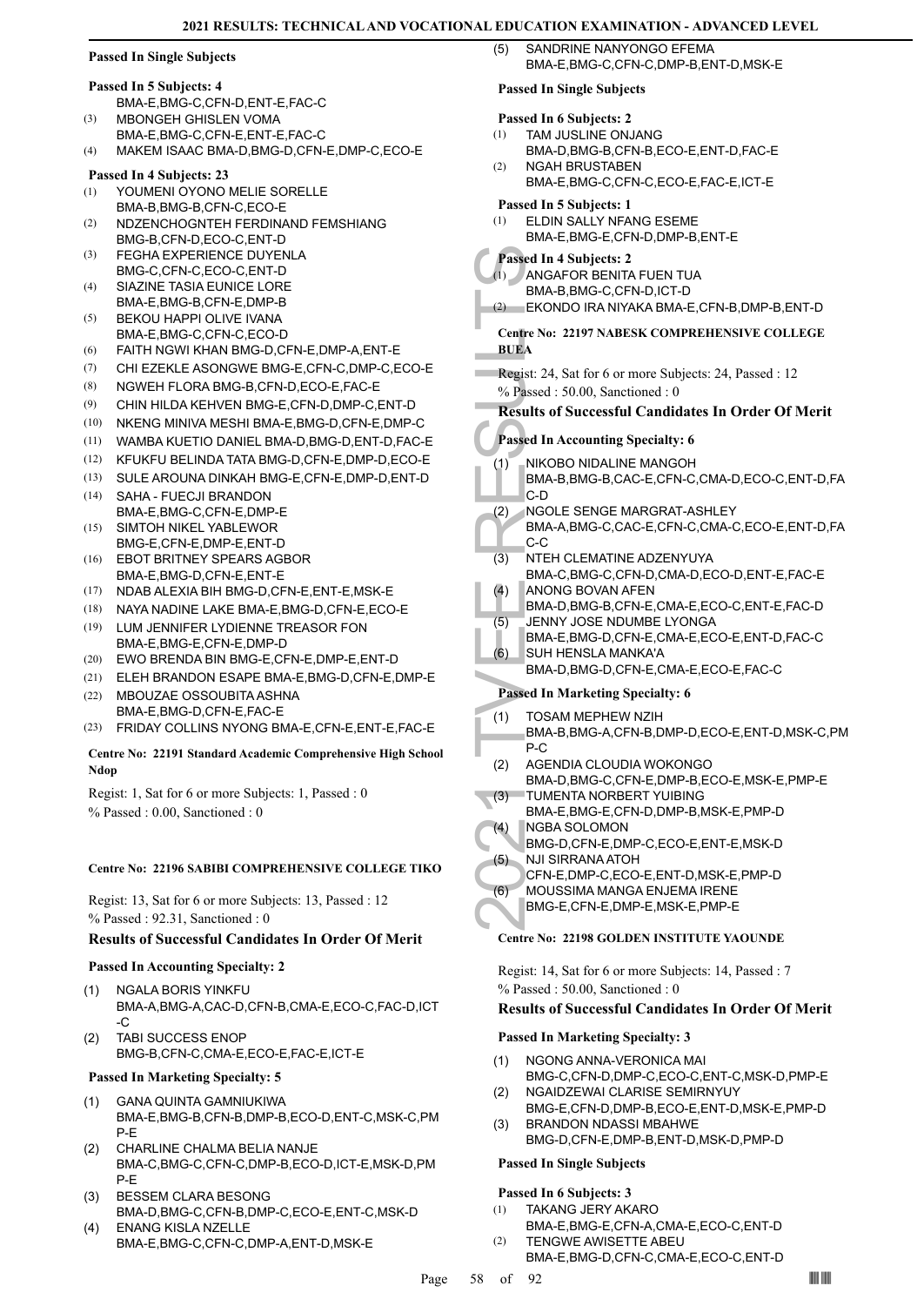## **Passed In Single Subjects**

## **Passed In 5 Subjects: 4**

- BMA-E,BMG-C,CFN-D,ENT-E,FAC-C
- MBONGEH GHISLEN VOMA BMA-E,BMG-C,CFN-E,ENT-E,FAC-C (3)
- (4) MAKEM ISAAC BMA-D,BMG-D,CFN-E,DMP-C,ECO-E

## **Passed In 4 Subjects: 23**

- YOUMENI OYONO MELIE SORELLE BMA-B,BMG-B,CFN-C,ECO-E (1)
- NDZENCHOGNTEH FERDINAND FEMSHIANG BMG-B,CFN-D,ECO-C,ENT-D (2)
- FEGHA EXPERIENCE DUYENLA BMG-C,CFN-C,ECO-C,ENT-D (3)
- SIAZINE TASIA EUNICE LORE BMA-E,BMG-B,CFN-E,DMP-B (4)
- BEKOU HAPPI OLIVE IVANA BMA-E,BMG-C,CFN-C,ECO-D  $(5)$
- (6) FAITH NGWI KHAN BMG-D,CFN-E,DMP-A,ENT-E
- (7) CHI EZEKLE ASONGWE BMG-E,CFN-C,DMP-C,ECO-E
- (8) NGWEH FLORA BMG-B,CFN-D,ECO-E,FAC-E
- (9) CHIN HILDA KEHVEN BMG-E,CFN-D,DMP-C,ENT-D
- (10) NKENG MINIVA MESHI BMA-E,BMG-D,CFN-E,DMP-C
- (11) WAMBA KUETIO DANIEL BMA-D,BMG-D,ENT-D,FAC-E
- (12) KFUKFU BELINDA TATA BMG-D,CFN-E,DMP-D,ECO-E
- (13) SULE AROUNA DINKAH BMG-E,CFN-E,DMP-D,ENT-D
- SAHA FUECJI BRANDON BMA-E,BMG-C,CFN-E,DMP-E (14)
- SIMTOH NIKEL YABLEWOR BMG-E,CFN-E,DMP-E,ENT-D (15)
- EBOT BRITNEY SPEARS AGBOR BMA-E,BMG-D,CFN-E,ENT-E (16)
- (17) NDAB ALEXIA BIH BMG-D,CFN-E,ENT-E,MSK-E
- (18) NAYA NADINE LAKE BMA-E,BMG-D,CFN-E,ECO-E
- LUM JENNIFER LYDIENNE TREASOR FON BMA-E,BMG-E,CFN-E,DMP-D (19)
- (20) EWO BRENDA BIN BMG-E,CFN-E,DMP-E,ENT-D
- (21) ELEH BRANDON ESAPE BMA-E,BMG-D,CFN-E,DMP-E MBOUZAE OSSOUBITA ASHNA (22)
- BMA-E,BMG-D,CFN-E,FAC-E

## (23) FRIDAY COLLINS NYONG BMA-E,CFN-E,ENT-E,FAC-E

## **Centre No: 22191 Standard Academic Comprehensive High School Ndop**

Regist: 1, Sat for 6 or more Subjects: 1, Passed : 0 % Passed : 0.00, Sanctioned : 0

## **Centre No: 22196 SABIBI COMPREHENSIVE COLLEGE TIKO**

Regist: 13, Sat for 6 or more Subjects: 13, Passed : 12 % Passed : 92.31, Sanctioned : 0

## **Results of Successful Candidates In Order Of Merit**

## **Passed In Accounting Specialty: 2**

- NGALA BORIS YINKFU BMA-A,BMG-A,CAC-D,CFN-B,CMA-E,ECO-C,FAC-D,ICT -C (1)
- TABI SUCCESS ENOP BMG-B,CFN-C,CMA-E,ECO-E,FAC-E,ICT-E (2)

## **Passed In Marketing Specialty: 5**

- GANA QUINTA GAMNIUKIWA BMA-E,BMG-B,CFN-B,DMP-B,ECO-D,ENT-C,MSK-C,PM P-E (1)
- CHARLINE CHALMA BELIA NANJE BMA-C,BMG-C,CFN-C,DMP-B,ECO-D,ICT-E,MSK-D,PM P-E (2)
- BESSEM CLARA BESONG BMA-D,BMG-C,CFN-B,DMP-C,ECO-E,ENT-C,MSK-D (3) ENANG KISLA NZELLE (4)
- BMA-E,BMG-C,CFN-C,DMP-A,ENT-D,MSK-E

SANDRINE NANYONGO EFEMA BMA-E,BMG-C,CFN-C,DMP-B,ENT-D,MSK-E  $(5)$ 

## **Passed In Single Subjects**

## **Passed In 6 Subjects: 2**

- TAM JUSLINE ONJANG (1)
- BMA-D,BMG-B,CFN-B,ECO-E,ENT-D,FAC-E NGAH BRUSTABEN  $(2)$
- BMA-E,BMG-C,CFN-C,ECO-E,FAC-E,ICT-E

## **Passed In 5 Subjects: 1**

ELDIN SALLY NFANG ESEME BMA-E,BMG-E,CFN-D,DMP-B,ENT-E (1)

## **Passed In 4 Subjects: 2**

- ANGAFOR BENITA FUEN TUA BMA-B,BMG-C,CFN-D,ICT-D (1)
- (2) EKONDO IRA NIYAKA BMA-E,CFN-B,DMP-B,ENT-D
- **Centre No: 22197 NABESK COMPREHENSIVE COLLEGE BUEA**
- Regist: 24, Sat for 6 or more Subjects: 24, Passed : 12 % Passed : 50.00, Sanctioned : 0

## **Results of Successful Candidates In Order Of Merit**

## **Passed In Accounting Specialty: 6**

- Passed In 4 SANGAFI<br>
(1) ANGAFI<br>
BMA-B, EKOND<br>
Centre No: 22<br>
BUEA<br>
Regist: 24, S, S<br>
% Passed In Ac<br>
Results of S<br>
Results of S<br>
Passed In Ac<br>
(1) NIKOBC<br>
BMA-B, C-D<br>
(2) NGOLE<br>
BMA-A, C-C<br>
(3) NTEH C<br>
BMA-A, C-C<br>
(3) NTE NIKOBO NIDALINE MANGOH BMA-B,BMG-B,CAC-E,CFN-C,CMA-D,ECO-C,ENT-D,FA C-D (1)
	- NGOLE SENGE MARGRAT-ASHLEY (2)
		- BMA-A,BMG-C,CAC-E,CFN-C,CMA-C,ECO-E,ENT-D,FA C-C
	- NTEH CLEMATINE ADZENYUYA BMA-C,BMG-C,CFN-D,CMA-D,ECO-D,ENT-E,FAC-E (3)
	- ANONG BOVAN AFEN (4)
	- BMA-D,BMG-B,CFN-E,CMA-E,ECO-C,ENT-E,FAC-D
	- JENNY JOSE NDUMBE LYONGA (5)
	- BMA-E,BMG-D,CFN-E,CMA-E,ECO-E,ENT-D,FAC-C SUH HENSLA MANKA'A (6)
	- BMA-D,BMG-D,CFN-E,CMA-E,ECO-E,FAC-C

## **Passed In Marketing Specialty: 6**

- TOSAM MEPHEW NZIH (1)
- BMA-B,BMG-A,CFN-B,DMP-D,ECO-E,ENT-D,MSK-C,PM P-C
- AGENDIA CLOUDIA WOKONGO BMA-D,BMG-C,CFN-E,DMP-B,ECO-E,MSK-E,PMP-E (2)
- TUMENTA NORBERT YUIBING BMA-E,BMG-E,CFN-D,DMP-B,MSK-E,PMP-D (3)
- NGBA SOLOMON (4)
- BMG-D,CFN-E,DMP-C,ECO-E,ENT-E,MSK-D NJI SIRRANA ATOH (5)
- CFN-E,DMP-C,ECO-E,ENT-D,MSK-E,PMP-D
- MOUSSIMA MANGA ENJEMA IRENE (6)
	- BMG-E,CFN-E,DMP-E,MSK-E,PMP-E

## **Centre No: 22198 GOLDEN INSTITUTE YAOUNDE**

Regist: 14, Sat for 6 or more Subjects: 14, Passed : 7 % Passed : 50.00, Sanctioned : 0

## **Results of Successful Candidates In Order Of Merit**

## **Passed In Marketing Specialty: 3**

- NGONG ANNA-VERONICA MAI BMG-C,CFN-D,DMP-C,ECO-C,ENT-C,MSK-D,PMP-E (1)
- NGAIDZEWAI CLARISE SEMIRNYUY BMG-E,CFN-D,DMP-B,ECO-E,ENT-D,MSK-E,PMP-D (2)
- BRANDON NDASSI MBAHWE BMG-D,CFN-E,DMP-B,ENT-D,MSK-D,PMP-D (3)

# **Passed In Single Subjects**

- **Passed In 6 Subjects: 3** (1)
	- TAKANG JERY AKARO BMA-E,BMG-E,CFN-A,CMA-E,ECO-C,ENT-D
		- TENGWE AWISETTE ABEU BMA-E,BMG-D,CFN-C,CMA-E,ECO-C,ENT-D

(2)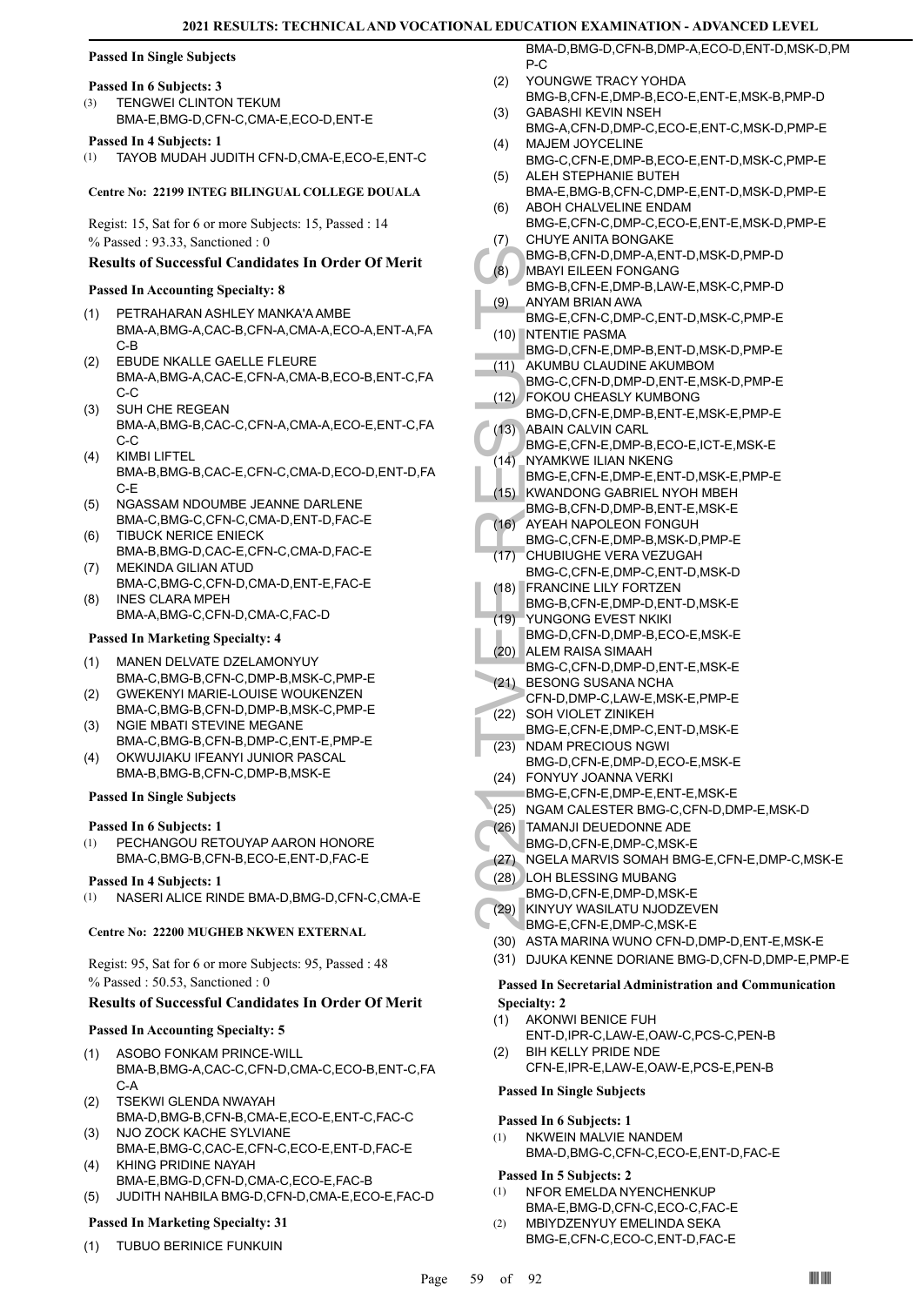## **Passed In Single Subjects**

## **Passed In 6 Subjects: 3**

TENGWEI CLINTON TEKUM BMA-E,BMG-D,CFN-C,CMA-E,ECO-D,ENT-E (3)

## **Passed In 4 Subjects: 1**

(1) TAYOB MUDAH JUDITH CFN-D,CMA-E,ECO-E,ENT-C

## **Centre No: 22199 INTEG BILINGUAL COLLEGE DOUALA**

Regist: 15, Sat for 6 or more Subjects: 15, Passed : 14 % Passed : 93.33, Sanctioned : 0

## **Results of Successful Candidates In Order Of Merit**

## **Passed In Accounting Specialty: 8**

- PETRAHARAN ASHLEY MANKA'A AMBE BMA-A,BMG-A,CAC-B,CFN-A,CMA-A,ECO-A,ENT-A,FA C-B (1)
- EBUDE NKALLE GAELLE FLEURE BMA-A,BMG-A,CAC-E,CFN-A,CMA-B,ECO-B,ENT-C,FA C-C (2)
- SUH CHE REGEAN BMA-A,BMG-B,CAC-C,CFN-A,CMA-A,ECO-E,ENT-C,FA C-C (3)
- KIMBI LIFTEL BMA-B,BMG-B,CAC-E,CFN-C,CMA-D,ECO-D,ENT-D,FA C-E (4)
- NGASSAM NDOUMBE JEANNE DARLENE BMA-C,BMG-C,CFN-C,CMA-D,ENT-D,FAC-E (5)
- TIBUCK NERICE ENIECK BMA-B,BMG-D,CAC-E,CFN-C,CMA-D,FAC-E (6) MEKINDA GILIAN ATUD
- BMA-C,BMG-C,CFN-D,CMA-D,ENT-E,FAC-E (7) INES CLARA MPEH (8)
- BMA-A,BMG-C,CFN-D,CMA-C,FAC-D

## **Passed In Marketing Specialty: 4**

- MANEN DELVATE DZELAMONYUY BMA-C,BMG-B,CFN-C,DMP-B,MSK-C,PMP-E (1)
- GWEKENYI MARIE-LOUISE WOUKENZEN BMA-C,BMG-B,CFN-D,DMP-B,MSK-C,PMP-E (2)
- NGIE MBATI STEVINE MEGANE (3)
- BMA-C,BMG-B,CFN-B,DMP-C,ENT-E,PMP-E OKWUJIAKU IFEANYI JUNIOR PASCAL (4)
- BMA-B,BMG-B,CFN-C,DMP-B,MSK-E

## **Passed In Single Subjects**

## **Passed In 6 Subjects: 1**

PECHANGOU RETOUYAP AARON HONORE BMA-C,BMG-B,CFN-B,ECO-E,ENT-D,FAC-E (1)

## **Passed In 4 Subjects: 1**

(1) NASERI ALICE RINDE BMA-D,BMG-D,CFN-C,CMA-E

## **Centre No: 22200 MUGHEB NKWEN EXTERNAL**

Regist: 95, Sat for 6 or more Subjects: 95, Passed : 48 % Passed : 50.53, Sanctioned : 0

## **Results of Successful Candidates In Order Of Merit**

## **Passed In Accounting Specialty: 5**

- ASOBO FONKAM PRINCE-WILL BMA-B,BMG-A,CAC-C,CFN-D,CMA-C,ECO-B,ENT-C,FA C-A (1)
- TSEKWI GLENDA NWAYAH BMA-D,BMG-B,CFN-B,CMA-E,ECO-E,ENT-C,FAC-C (2)
- NJO ZOCK KACHE SYLVIANE BMA-E,BMG-C,CAC-E,CFN-C,ECO-E,ENT-D,FAC-E (3)
- KHING PRIDINE NAYAH BMA-E,BMG-D,CFN-D,CMA-C,ECO-E,FAC-B (4)
- (5) JUDITH NAHBILA BMG-D,CFN-D,CMA-E,ECO-E,FAC-D

## **Passed In Marketing Specialty: 31**

(1) TUBUO BERINICE FUNKUIN

BMA-D,BMG-D,CFN-B,DMP-A,ECO-D,ENT-D,MSK-D,PM P-C

- YOUNGWE TRACY YOHDA BMG-B,CFN-E,DMP-B,ECO-E,ENT-E,MSK-B,PMP-D  $(2)$
- GABASHI KEVIN NSEH BMG-A,CFN-D,DMP-C,ECO-E,ENT-C,MSK-D,PMP-E (3)
- MAJEM JOYCELINE BMG-C,CFN-E,DMP-B,ECO-E,ENT-D,MSK-C,PMP-E (4) ALEH STEPHANIE BUTEH (5)
- BMA-E,BMG-B,CFN-C,DMP-E,ENT-D,MSK-D,PMP-E ABOH CHALVELINE ENDAM (6)
- BMG-E,CFN-C,DMP-C,ECO-E,ENT-E,MSK-D,PMP-E CHUYE ANITA BONGAKE (7)
- BMG-B,CFN-D,DMP-A,ENT-D,MSK-D,PMP-D MBAYI EILEEN FONGANG (8)
- BMG-B,CFN-E,DMP-B,LAW-E,MSK-C,PMP-D ANYAM BRIAN AWA (9)
- BMG-E,CFN-C,DMP-C,ENT-D,MSK-C,PMP-E (10) NTENTIE PASMA
- BMG-D,CFN-E,DMP-B,ENT-D,MSK-D,PMP-E AKUMBU CLAUDINE AKUMBOM (11)
- BMG-C,CFN-D,DMP-D,ENT-E,MSK-D,PMP-E
- FOKOU CHEASLY KUMBONG (12)
- BMG-D,CFN-E,DMP-B,ENT-E,MSK-E,PMP-E  $(13)$
- **ABAIN CALVIN CARL**
- BMG-E,CFN-E,DMP-B,ECO-E,ICT-E,MSK-E NYAMKWE ILIAN NKENG  $(14)$
- BMG-E,CFN-E,DMP-E,ENT-D,MSK-E,PMP-E KWANDONG GABRIEL NYOH MBEH (15)
- BMG-B,CFN-D,DMP-B,ENT-E,MSK-E
- AYEAH NAPOLEON FONGUH BMG-C,CFN-E,DMP-B,MSK-D,PMP-E (16)
- BMG-B,<br>
(8) MBAYI BMG-B,<br>
(9) ANYAM<br>
BMG-E,<br>
(10) NTENTI BMG-D,<br>
ANYAM<br>
BMG-C,<br>
(11) AKUMB<br>
BMG-C,<br>
(22) FOKOU<br>
BMG-E,<br>
(14) NYAMK<br>
BMG-E,<br>
(15) KWANIC<br>
BMG-B,<br>
(15) KWANIC<br>
(17) CHUBIL<br>
MG-B,<br>
(17) CHUBIL<br>
BMG-C,<br>
(20) AL CHUBIUGHE VERA VEZUGAH BMG-C,CFN-E,DMP-C,ENT-D,MSK-D (17)
	- FRANCINE LILY FORTZEN (18)
	- BMG-B,CFN-E,DMP-D,ENT-D,MSK-E
	- YUNGONG EVEST NKIKI BMG-D,CFN-D,DMP-B,ECO-E,MSK-E (19)
	- ALEM RAISA SIMAAH (20) BMG-C,CFN-D,DMP-D,ENT-E,MSK-E
	- (21) BESONG SUSANA NCHA CFN-D,DMP-C,LAW-E,MSK-E,PMP-E
	- (22) SOH VIOLET ZINIKEH
- BMG-E,CFN-E,DMP-C,ENT-D,MSK-E (23) NDAM PRECIOUS NGWI
	- BMG-D,CFN-E,DMP-D,ECO-E,MSK-E
- FONYUY JOANNA VERKI (24) BMG-E,CFN-E,DMP-E,ENT-E,MSK-E
- (25) NGAM CALESTER BMG-C,CFN-D,DMP-E,MSK-D
- TAMANJI DEUEDONNE ADE (26)
- BMG-D,CFN-E,DMP-C,MSK-E
- (27) NGELA MARVIS SOMAH BMG-E,CFN-E,DMP-C,MSK-E
- (28) LOH BLESSING MUBANG
- BMG-D,CFN-E,DMP-D,MSK-E
- (29) KINYUY WASILATU NJODZEVEN BMG-E,CFN-E,DMP-C,MSK-E
- (30) ASTA MARINA WUNO CFN-D,DMP-D,ENT-E,MSK-E
- (31) DJUKA KENNE DORIANE BMG-D,CFN-D,DMP-E,PMP-E

## **Passed In Secretarial Administration and Communication Specialty: 2**

- AKONWI BENICE FUH (1)
- ENT-D,IPR-C,LAW-E,OAW-C,PCS-C,PEN-B BIH KELLY PRIDE NDE (2)
	- CFN-E,IPR-E,LAW-E,OAW-E,PCS-E,PEN-B

# **Passed In Single Subjects**

- **Passed In 6 Subjects: 1**
- NKWEIN MALVIE NANDEM BMA-D,BMG-C,CFN-C,ECO-E,ENT-D,FAC-E (1)

## **Passed In 5 Subjects: 2**

- NFOR EMELDA NYENCHENKUP (1)
- BMA-E,BMG-D,CFN-C,ECO-C,FAC-E MBIYDZENYUY EMELINDA SEKA BMG-E,CFN-C,ECO-C,ENT-D,FAC-E (2)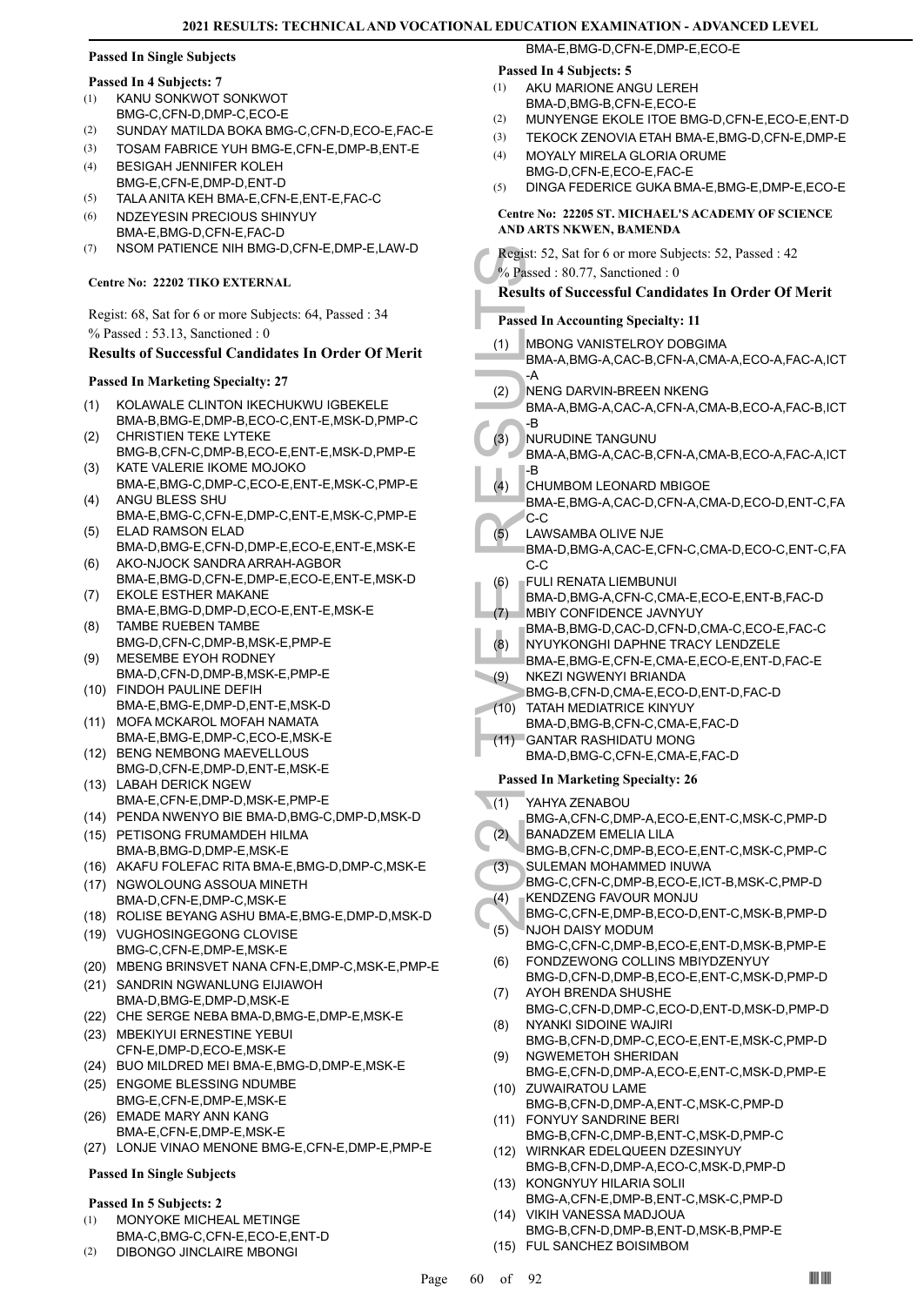## **Passed In Single Subjects**

## **Passed In 4 Subjects: 7**

- KANU SONKWOT SONKWOT BMG-C, CFN-D, DMP-C, ECO-E (1)
- (2) SUNDAY MATILDA BOKA BMG-C,CFN-D,ECO-E,FAC-E
- (3) TOSAM FABRICE YUH BMG-E,CFN-E,DMP-B,ENT-E
- BESIGAH JENNIFER KOLEH BMG-E,CFN-E,DMP-D,ENT-D (4)
- (5) TALA ANITA KEH BMA-E,CFN-E,ENT-E,FAC-C
- NDZEYESIN PRECIOUS SHINYUY BMA-E,BMG-D,CFN-E,FAC-D (6)
- (7) NSOM PATIENCE NIH BMG-D,CFN-E,DMP-E,LAW-D

## **Centre No: 22202 TIKO EXTERNAL**

Regist: 68, Sat for 6 or more Subjects: 64, Passed : 34 % Passed : 53.13, Sanctioned : 0

## **Results of Successful Candidates In Order Of Merit**

## **Passed In Marketing Specialty: 27**

- KOLAWALE CLINTON IKECHUKWU IGBEKELE BMA-B,BMG-E,DMP-B,ECO-C,ENT-E,MSK-D,PMP-C (1)
- CHRISTIEN TEKE LYTEKE BMG-B,CFN-C,DMP-B,ECO-E,ENT-E,MSK-D,PMP-E (2)
- KATE VALERIE IKOME MOJOKO BMA-E,BMG-C,DMP-C,ECO-E,ENT-E,MSK-C,PMP-E (3)
- ANGU BLESS SHU (4)
- BMA-E,BMG-C,CFN-E,DMP-C,ENT-E,MSK-C,PMP-E ELAD RAMSON ELAD (5)
- BMA-D,BMG-E,CFN-D,DMP-E,ECO-E,ENT-E,MSK-E AKO-NJOCK SANDRA ARRAH-AGBOR (6)
- BMA-E,BMG-D,CFN-E,DMP-E,ECO-E,ENT-E,MSK-D EKOLE ESTHER MAKANE (7)
- BMA-E,BMG-D,DMP-D,ECO-E,ENT-E,MSK-E TAMBE RUEBEN TAMBE (8)
- BMG-D,CFN-C,DMP-B,MSK-E,PMP-E MESEMBE EYOH RODNEY
- BMA-D,CFN-D,DMP-B,MSK-E,PMP-E (9)
- FINDOH PAULINE DEFIH (10) BMA-E,BMG-E,DMP-D,ENT-E,MSK-D MOFA MCKAROL MOFAH NAMATA (11)
- BMA-E,BMG-E,DMP-C,ECO-E,MSK-E
- (12) BENG NEMBONG MAEVELLOUS BMG-D,CFN-E,DMP-D,ENT-E,MSK-E (13) LABAH DERICK NGEW
- BMA-E,CFN-E,DMP-D,MSK-E,PMP-E
- (14) PENDA NWENYO BIE BMA-D,BMG-C,DMP-D,MSK-D (15) PETISONG FRUMAMDEH HILMA
- BMA-B,BMG-D,DMP-E,MSK-E (16) AKAFU FOLEFAC RITA BMA-E,BMG-D,DMP-C,MSK-E
- (17) NGWOLOUNG ASSOUA MINETH BMA-D,CFN-E,DMP-C,MSK-E
- (18) ROLISE BEYANG ASHU BMA-E,BMG-E,DMP-D,MSK-D
- (19) VUGHOSINGEGONG CLOVISE BMG-C,CFN-E,DMP-E,MSK-E
- (20) MBENG BRINSVET NANA CFN-E,DMP-C,MSK-E,PMP-E
- (21) SANDRIN NGWANLUNG EIJIAWOH BMA-D,BMG-E,DMP-D,MSK-E
- (22) CHE SERGE NEBA BMA-D,BMG-E,DMP-E,MSK-E
- (23) MBEKIYUI ERNESTINE YEBUI CFN-E,DMP-D,ECO-E,MSK-E
- (24) BUO MILDRED MEI BMA-E,BMG-D,DMP-E,MSK-E
- (25) ENGOME BLESSING NDUMBE BMG-E,CFN-E,DMP-E,MSK-E
- EMADE MARY ANN KANG BMA-E,CFN-E,DMP-E,MSK-E (26)
- (27) LONJE VINAO MENONE BMG-E,CFN-E,DMP-E,PMP-E

## **Passed In Single Subjects**

## **Passed In 5 Subjects: 2**

- MONYOKE MICHEAL METINGE BMA-C,BMG-C,CFN-E,ECO-E,ENT-D (1)
- (2) DIBONGO JINCLAIRE MBONGI

## **Passed In 4 Subjects: 5**

- AKU MARIONE ANGU LEREH BMA-D,BMG-B,CFN-E,ECO-E (1)
- (2) MUNYENGE EKOLE ITOE BMG-D,CFN-E,ECO-E,ENT-D
- (3) TEKOCK ZENOVIA ETAH BMA-E,BMG-D,CFN-E,DMP-E
- MOYALY MIRELA GLORIA ORUME (4)

BMA-E,BMG-D,CFN-E,DMP-E,ECO-E

- BMG-D,CFN-E,ECO-E,FAC-E
- (5) DINGA FEDERICE GUKA BMA-E,BMG-E,DMP-E,ECO-E

## **Centre No: 22205 ST. MICHAEL'S ACADEMY OF SCIENCE AND ARTS NKWEN, BAMENDA**

| AND ARTS NKWEN, BAMENDA                                |                                                                            |
|--------------------------------------------------------|----------------------------------------------------------------------------|
| Regist: 52, Sat for 6 or more Subjects: 52, Passed: 42 |                                                                            |
| % Passed: 80.77, Sanctioned: 0                         |                                                                            |
|                                                        | <b>Results of Successful Candidates In Order Of Merit</b>                  |
| <b>Passed In Accounting Specialty: 11</b>              |                                                                            |
|                                                        | MBONG VANISTELROY DOBGIMA                                                  |
| (1)                                                    | BMA-A, BMG-A, CAC-B, CFN-A, CMA-A, ECO-A, FAC-A, ICT                       |
|                                                        | -A                                                                         |
| (2)                                                    | NENG DARVIN-BREEN NKENG                                                    |
|                                                        | BMA-A, BMG-A, CAC-A, CFN-A, CMA-B, ECO-A, FAC-B, ICT                       |
| (3)                                                    | -B                                                                         |
|                                                        | NURUDINE TANGUNU<br>BMA-A, BMG-A, CAC-B, CFN-A, CMA-B, ECO-A, FAC-A, ICT   |
|                                                        | -B                                                                         |
| (4)                                                    | CHUMBOM LEONARD MBIGOE                                                     |
|                                                        | BMA-E,BMG-A,CAC-D,CFN-A,CMA-D,ECO-D,ENT-C,FA                               |
| (5)                                                    | C-C<br>LAWSAMBA OLIVE NJE                                                  |
|                                                        | BMA-D,BMG-A,CAC-E,CFN-C,CMA-D,ECO-C,ENT-C,FA                               |
|                                                        | C-C                                                                        |
| (6)                                                    | FULI RENATA LIEMBUNUI                                                      |
|                                                        | BMA-D,BMG-A,CFN-C,CMA-E,ECO-E,ENT-B,FAC-D                                  |
| (7)                                                    | MBIY CONFIDENCE JAVNYUY<br>BMA-B, BMG-D, CAC-D, CFN-D, CMA-C, ECO-E, FAC-C |
| (8)                                                    | NYUYKONGHI DAPHNE TRACY LENDZELE                                           |
|                                                        | BMA-E,BMG-E,CFN-E,CMA-E,ECO-E,ENT-D,FAC-E                                  |
| (9)                                                    | NKEZI NGWENYI BRIANDA                                                      |
|                                                        | BMG-B,CFN-D,CMA-E,ECO-D,ENT-D,FAC-D                                        |
| (10)                                                   | <b>TATAH MEDIATRICE KINYUY</b><br>BMA-D, BMG-B, CFN-C, CMA-E, FAC-D        |
| (11)                                                   | <b>GANTAR RASHIDATU MONG</b>                                               |
|                                                        | BMA-D, BMG-C, CFN-E, CMA-E, FAC-D                                          |
| <b>Passed In Marketing Specialty: 26</b>               |                                                                            |
|                                                        |                                                                            |
| (1)                                                    | YAHYA ZENABOU<br>BMG-A,CFN-C,DMP-A,ECO-E,ENT-C,MSK-C,PMP-D                 |
| (2)                                                    | <b>BANADZEM EMELIA LILA</b>                                                |
|                                                        | BMG-B.CFN-C.DMP-B.ECO-E.ENT-C.MSK-C.PMP-C                                  |
| (3)                                                    | SULEMAN MOHAMMED INUWA                                                     |
|                                                        | BMG-C,CFN-C,DMP-B,ECO-E,ICT-B,MSK-C,PMP-D                                  |
| (4)                                                    | KENDZENG FAVOUR MONJU<br>BMG-C,CFN-E,DMP-B,ECO-D,ENT-C,MSK-B,PMP-D         |
| (5)                                                    | NJOH DAISY MODUM                                                           |
|                                                        | BMG-C,CFN-C,DMP-B,ECO-E,ENT-D,MSK-B,PMP-E                                  |
| (6)                                                    | FONDZEWONG COLLINS MBIYDZENYUY                                             |
| (7)                                                    | BMG-D,CFN-D,DMP-B,ECO-E,ENT-C,MSK-D,PMP-D<br>AYOH BRENDA SHUSHE            |
|                                                        | RMC-C CEN-D DMP-C ECO-D ENT-D MSK-D PMP-D                                  |

- BMG-C,CFN-D,DMP-C,ECO-D,ENT-D,MSK-D,PMP-D NYANKI SIDOINE WAJIRI (8)
- BMG-B,CFN-D,DMP-C,ECO-E,ENT-E,MSK-C,PMP-D NGWEMETOH SHERIDAN (9)
- BMG-E,CFN-D,DMP-A,ECO-E,ENT-C,MSK-D,PMP-E (10) ZUWAIRATOU LAME
- BMG-B,CFN-D,DMP-A,ENT-C,MSK-C,PMP-D FONYUY SANDRINE BERI (11)
- BMG-B,CFN-C,DMP-B,ENT-C,MSK-D,PMP-C WIRNKAR EDELQUEEN DZESINYUY (12)
- BMG-B,CFN-D,DMP-A,ECO-C,MSK-D,PMP-D (13) KONGNYUY HILARIA SOLII
- BMG-A,CFN-E,DMP-B,ENT-C,MSK-C,PMP-D VIKIH VANESSA MADJOUA (14)
- BMG-B,CFN-D,DMP-B,ENT-D,MSK-B,PMP-E (15) FUL SANCHEZ BOISIMBOM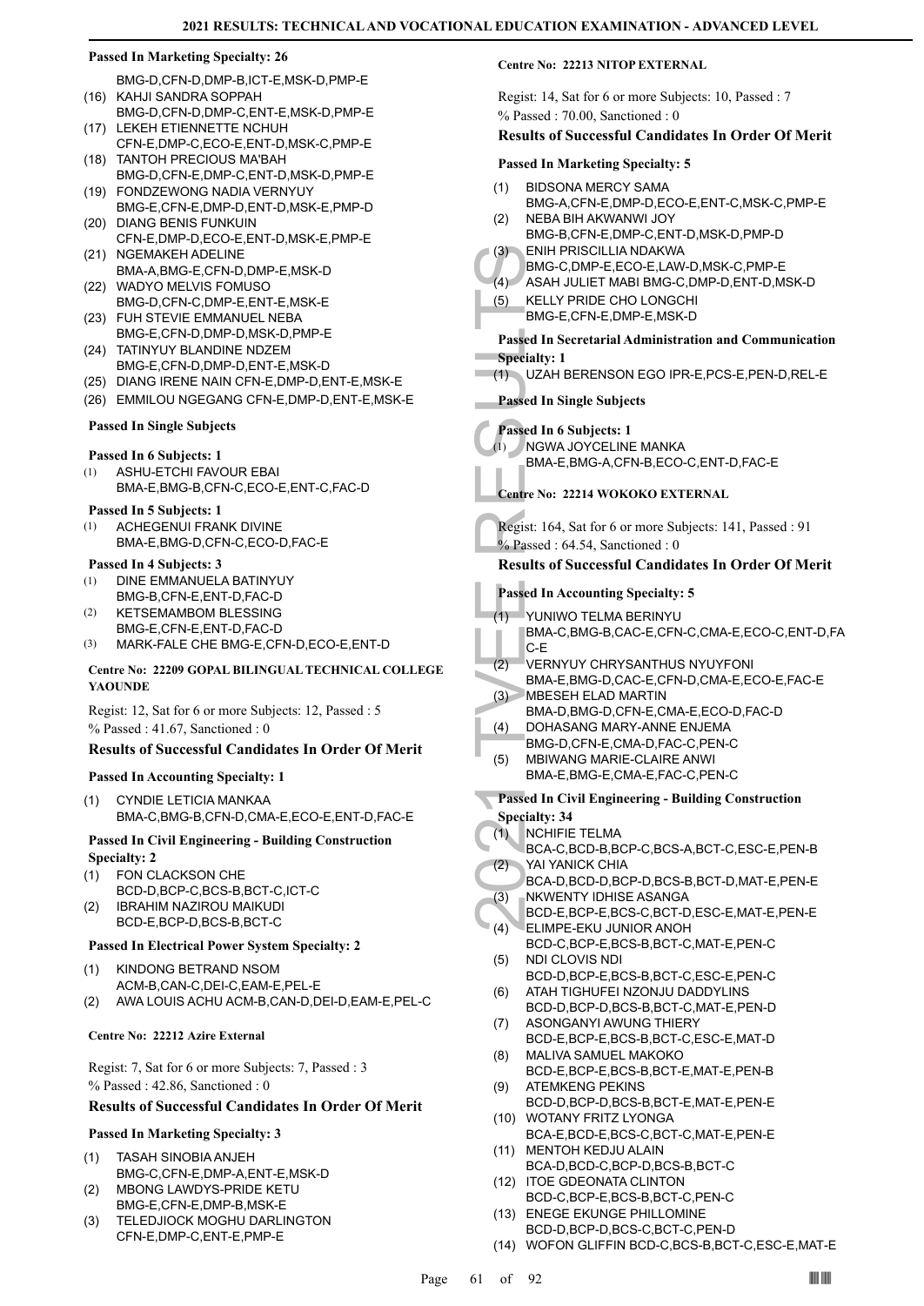- BMG-D,CFN-D,DMP-B,ICT-E,MSK-D,PMP-E (16) KAHJI SANDRA SOPPAH
- BMG-D,CFN-D,DMP-C,ENT-E,MSK-D,PMP-E (17) LEKEH ETIENNETTE NCHUH
- CFN-E,DMP-C,ECO-E,ENT-D,MSK-C,PMP-E TANTOH PRECIOUS MA'BAH (18)
- BMG-D,CFN-E,DMP-C,ENT-D,MSK-D,PMP-E FONDZEWONG NADIA VERNYUY (19)
- BMG-E,CFN-E,DMP-D,ENT-D,MSK-E,PMP-D (20) DIANG BENIS FUNKUIN
- CFN-E,DMP-D,ECO-E,ENT-D,MSK-E,PMP-E (21) NGEMAKEH ADELINE
- BMA-A,BMG-E,CFN-D,DMP-E,MSK-D (22) WADYO MELVIS FOMUSO
- BMG-D,CFN-C,DMP-E,ENT-E,MSK-E FUH STEVIE EMMANUEL NEBA (23)
- BMG-E,CFN-D,DMP-D,MSK-D,PMP-E
- (24) TATINYUY BLANDINE NDZEM BMG-E,CFN-D,DMP-D,ENT-E,MSK-D
- (25) DIANG IRENE NAIN CFN-E,DMP-D,ENT-E,MSK-E
- (26) EMMILOU NGEGANG CFN-E,DMP-D,ENT-E,MSK-E

## **Passed In Single Subjects**

## **Passed In 6 Subjects: 1**

ASHU-ETCHI FAVOUR EBAI BMA-E,BMG-B,CFN-C,ECO-E,ENT-C,FAC-D (1)

## **Passed In 5 Subjects: 1**

ACHEGENUI FRANK DIVINE BMA-E,BMG-D,CFN-C,ECO-D,FAC-E (1)

## **Passed In 4 Subjects: 3**

- DINE EMMANUELA BATINYUY (1)
- BMG-B,CFN-E,ENT-D,FAC-D KETSEMAMBOM BLESSING (2)
- BMG-E,CFN-E,ENT-D,FAC-D
- (3) MARK-FALE CHE BMG-E,CFN-D,ECO-E,ENT-D

## **Centre No: 22209 GOPAL BILINGUAL TECHNICAL COLLEGE YAOUNDE**

Regist: 12, Sat for 6 or more Subjects: 12, Passed : 5 % Passed : 41.67, Sanctioned : 0

## **Results of Successful Candidates In Order Of Merit**

## **Passed In Accounting Specialty: 1**

CYNDIE LETICIA MANKAA BMA-C,BMG-B,CFN-D,CMA-E,ECO-E,ENT-D,FAC-E (1)

## **Passed In Civil Engineering - Building Construction Specialty: 2**

- FON CLACKSON CHE BCD-D,BCP-C,BCS-B,BCT-C,ICT-C (1)
- IBRAHIM NAZIROU MAIKUDI BCD-E,BCP-D,BCS-B,BCT-C (2)

## **Passed In Electrical Power System Specialty: 2**

KINDONG BETRAND NSOM ACM-B,CAN-C,DEI-C,EAM-E,PEL-E (1) (2) AWA LOUIS ACHU ACM-B,CAN-D,DEI-D,EAM-E,PEL-C

## **Centre No: 22212 Azire External**

Regist: 7, Sat for 6 or more Subjects: 7, Passed : 3 % Passed : 42.86, Sanctioned : 0

## **Results of Successful Candidates In Order Of Merit**

## **Passed In Marketing Specialty: 3**

- TASAH SINOBIA ANJEH BMG-C,CFN-E,DMP-A,ENT-E,MSK-D (1)
- MBONG LAWDYS-PRIDE KETU BMG-E,CFN-E,DMP-B,MSK-E (2)
- TELEDJIOCK MOGHU DARLINGTON CFN-E,DMP-C,ENT-E,PMP-E (3)

## **Centre No: 22213 NITOP EXTERNAL**

Regist: 14, Sat for 6 or more Subjects: 10, Passed : 7 % Passed : 70.00, Sanctioned : 0

## **Results of Successful Candidates In Order Of Merit**

## **Passed In Marketing Specialty: 5**

- BIDSONA MERCY SAMA BMG-A,CFN-E,DMP-D,ECO-E,ENT-C,MSK-C,PMP-E (1)
- NEBA BIH AKWANWI JOY BMG-B,CFN-E,DMP-C,ENT-D,MSK-D,PMP-D (2)
- ENIH PRISCILLIA NDAKWA BMG-C,DMP-E,ECO-E,LAW-D,MSK-C,PMP-E (3)
- (4) ASAH JULIET MABI BMG-C,DMP-D,ENT-D,MSK-D
- 
- KELLY PRIDE CHO LONGCHI BMG-E,CFN-E,DMP-E,MSK-D (5)

## **Passed In Secretarial Administration and Communication Specialty: 1**

(1) UZAH BERENSON EGO IPR-E,PCS-E,PEN-D,REL-E

## **Passed In Single Subjects**

- **Passed In 6 Subjects: 1**
- NGWA JOYCELINE MANKA (1)

BMA-E,BMG-A,CFN-B,ECO-C,ENT-D,FAC-E

## **Centre No: 22214 WOKOKO EXTERNAL**

Regist: 164, Sat for 6 or more Subjects: 141, Passed : 91 % Passed : 64.54, Sanctioned : 0

## **Results of Successful Candidates In Order Of Merit**

## **Passed In Accounting Specialty: 5**

- YUNIWO TELMA BERINYU (1)
	- BMA-C,BMG-B,CAC-E,CFN-C,CMA-E,ECO-C,ENT-D,FA C-E
- VERNYUY CHRYSANTHUS NYUYFONI (2)
- BMA-E,BMG-D,CAC-E,CFN-D,CMA-E,ECO-E,FAC-E MBESEH ELAD MARTIN  $(3)$
- BMA-D,BMG-D,CFN-E,CMA-E,ECO-D,FAC-D
- DOHASANG MARY-ANNE ENJEMA  $(4)$
- BMG-D,CFN-E,CMA-D,FAC-C,PEN-C
- MBIWANG MARIE-CLAIRE ANWI BMA-E,BMG-E,CMA-E,FAC-C,PEN-C (5)
- **Passed In Civil Engineering Building Construction**
- **Specialty: 34**
- NCHIFIE TELMA (1)
- (3) ENIH PF<br>
BMG-C,<br>
(4) ASAH J<br>
(5) KELLY F<br>
BMG-E,<br>
Passed In Se<br>
Specialty: 1<br>
Passed In 6:<br>
(1) UZAH B<br>
Passed In 6:<br>
(1) NGWA-E,<br>
Centre No: 2:<br>
Regist: 164, 5<br>
MA-E,<br>
Centre No: 2:<br>
Regist: 164, 5<br>
Passed In Ac<br>
Regi BCA-C,BCD-B,BCP-C,BCS-A,BCT-C,ESC-E,PEN-B YAI YANICK CHIA (2)
	- BCA-D,BCD-D,BCP-D,BCS-B,BCT-D,MAT-E,PEN-E NKWENTY IDHISE ASANGA (3)
	- BCD-E,BCP-E,BCS-C,BCT-D,ESC-E,MAT-E,PEN-E ELIMPE-EKU JUNIOR ANOH (4)
	- BCD-C,BCP-E,BCS-B,BCT-C,MAT-E,PEN-C NDI CLOVIS NDI (5)
	- BCD-D,BCP-E,BCS-B,BCT-C,ESC-E,PEN-C ATAH TIGHUFEI NZONJU DADDYLINS (6)
	- BCD-D,BCP-D,BCS-B,BCT-C,MAT-E,PEN-D ASONGANYI AWUNG THIERY (7)
	- BCD-E,BCP-E,BCS-B,BCT-C,ESC-E,MAT-D MALIVA SAMUEL MAKOKO (8)
	- BCD-E,BCP-E,BCS-B,BCT-E,MAT-E,PEN-B ATEMKENG PEKINS (9)
	- BCD-D,BCP-D,BCS-B,BCT-E,MAT-E,PEN-E WOTANY FRITZ LYONGA (10)
	- BCA-E,BCD-E,BCS-C,BCT-C,MAT-E,PEN-E MENTOH KEDJU ALAIN (11)
	- BCA-D,BCD-C,BCP-D,BCS-B,BCT-C (12) ITOE GDEONATA CLINTON
	- BCD-C,BCP-E,BCS-B,BCT-C,PEN-C
	- (13) ENEGE EKUNGE PHILLOMINE BCD-D,BCP-D,BCS-C,BCT-C,PEN-D
	- (14) WOFON GLIFFIN BCD-C,BCS-B,BCT-C,ESC-E,MAT-E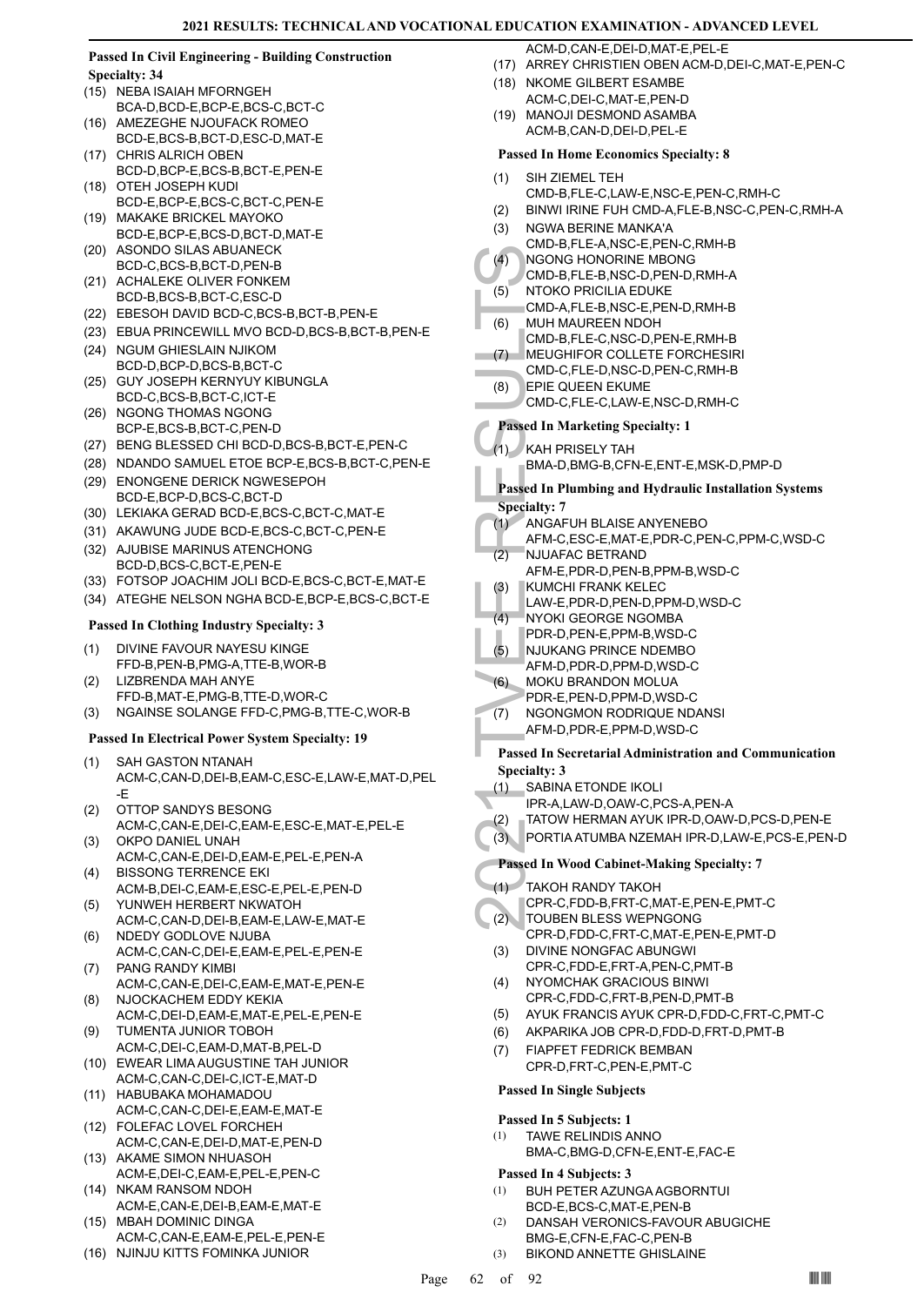## **Passed In Civil Engineering - Building Construction Specialty: 34**

- (15) NEBA ISAIAH MFORNGEH BCA-D,BCD-E,BCP-E,BCS-C,BCT-C
- AMEZEGHE NJOUFACK ROMEO BCD-E,BCS-B,BCT-D,ESC-D,MAT-E (16)
- CHRIS ALRICH OBEN BCD-D,BCP-E,BCS-B,BCT-E,PEN-E (17)
- (18) OTEH JOSEPH KUDI BCD-E,BCP-E,BCS-C,BCT-C,PEN-E
- (19) MAKAKE BRICKEL MAYOKO BCD-E,BCP-E,BCS-D,BCT-D,MAT-E
- (20) ASONDO SILAS ABUANECK BCD-C,BCS-B,BCT-D,PEN-B
- (21) ACHALEKE OLIVER FONKEM BCD-B,BCS-B,BCT-C,ESC-D
- (22) EBESOH DAVID BCD-C,BCS-B,BCT-B,PEN-E
- (23) EBUA PRINCEWILL MVO BCD-D,BCS-B,BCT-B,PEN-E
- (24) NGUM GHIESLAIN NJIKOM BCD-D,BCP-D,BCS-B,BCT-C
- (25) GUY JOSEPH KERNYUY KIBUNGLA BCD-C,BCS-B,BCT-C,ICT-E
- (26) NGONG THOMAS NGONG BCP-E,BCS-B,BCT-C,PEN-D
- (27) BENG BLESSED CHI BCD-D,BCS-B,BCT-E,PEN-C (28) NDANDO SAMUEL ETOE BCP-E,BCS-B,BCT-C,PEN-E
- (29) ENONGENE DERICK NGWESEPOH BCD-E,BCP-D,BCS-C,BCT-D
- (30) LEKIAKA GERAD BCD-E,BCS-C,BCT-C,MAT-E
- (31) AKAWUNG JUDE BCD-E,BCS-C,BCT-C,PEN-E
- (32) AJUBISE MARINUS ATENCHONG BCD-D,BCS-C,BCT-E,PEN-E
- (33) FOTSOP JOACHIM JOLI BCD-E,BCS-C,BCT-E,MAT-E
- (34) ATEGHE NELSON NGHA BCD-E,BCP-E,BCS-C,BCT-E

## **Passed In Clothing Industry Specialty: 3**

- DIVINE FAVOUR NAYESU KINGE FFD-B,PEN-B,PMG-A,TTE-B,WOR-B (1)
- LIZBRENDA MAH ANYE FFD-B,MAT-E,PMG-B,TTE-D,WOR-C (2)
- (3) NGAINSE SOLANGE FFD-C,PMG-B,TTE-C,WOR-B

## **Passed In Electrical Power System Specialty: 19**

- SAH GASTON NTANAH ACM-C,CAN-D,DEI-B,EAM-C,ESC-E,LAW-E,MAT-D,PEL -E (1)
- OTTOP SANDYS BESONG (2)
- ACM-C,CAN-E,DEI-C,EAM-E,ESC-E,MAT-E,PEL-E OKPO DANIEL UNAH (3)
- ACM-C,CAN-E,DEI-D,EAM-E,PEL-E,PEN-A BISSONG TERRENCE EKI (4)
- ACM-B,DEI-C,EAM-E,ESC-E,PEL-E,PEN-D YUNWEH HERBERT NKWATOH (5)
- ACM-C,CAN-D,DEI-B,EAM-E,LAW-E,MAT-E NDEDY GODLOVE NJUBA (6)
- ACM-C,CAN-C,DEI-E,EAM-E,PEL-E,PEN-E PANG RANDY KIMBI (7)
- ACM-C,CAN-E,DEI-C,EAM-E,MAT-E,PEN-E NJOCKACHEM EDDY KEKIA (8)
- ACM-C,DEI-D,EAM-E,MAT-E,PEL-E,PEN-E TUMENTA JUNIOR TOBOH (9)
- ACM-C,DEI-C,EAM-D,MAT-B,PEL-D
- (10) EWEAR LIMA AUGUSTINE TAH JUNIOR ACM-C,CAN-C,DEI-C,ICT-E,MAT-D
- (11) HABUBAKA MOHAMADOU ACM-C,CAN-C,DEI-E,EAM-E,MAT-E
- FOLEFAC LOVEL FORCHEH (12) ACM-C,CAN-E,DEI-D,MAT-E,PEN-D
- (13) AKAME SIMON NHUASOH ACM-E,DEI-C,EAM-E,PEL-E,PEN-C
- (14) NKAM RANSOM NDOH ACM-E,CAN-E,DEI-B,EAM-E,MAT-E
- (15) MBAH DOMINIC DINGA ACM-C,CAN-E,EAM-E,PEL-E,PEN-E
- (16) NJINJU KITTS FOMINKA JUNIOR
- ACM-D,CAN-E,DEI-D,MAT-E,PEL-E
- (17) ARREY CHRISTIEN OBEN ACM-D,DEI-C,MAT-E,PEN-C
- (18) NKOME GILBERT ESAMBE ACM-C,DEI-C,MAT-E,PEN-D
- (19) MANOJI DESMOND ASAMBA ACM-B,CAN-D,DEI-D,PEL-E

## **Passed In Home Economics Specialty: 8**

- SIH ZIEMEL TEH (1)
- CMD-B,FLE-C,LAW-E,NSC-E,PEN-C,RMH-C
- (2) BINWI IRINE FUH CMD-A,FLE-B,NSC-C,PEN-C,RMH-A
- NGWA BERINE MANKA'A (3)
- CMD-B,FLE-A,NSC-E,PEN-C,RMH-B
- NGONG HONORINE MBONG  $(4)$
- CMD-B,FLE-B,NSC-D,PEN-D,RMH-A
- NTOKO PRICILIA EDUKE (5)
- CMD-A,FLE-B,NSC-E,PEN-D,RMH-B
- MUH MAUREEN NDOH CMD-B,FLE-C,NSC-D,PEN-E,RMH-B (6)
- MEUGHIFOR COLLETE FORCHESIRI (7)
- CMD-C,FLE-D,NSC-D,PEN-C,RMH-B
- EPIE QUEEN EKUME (8)
- CMD-C,FLE-C,LAW-E,NSC-D,RMH-C
- **Passed In Marketing Specialty: 1**
- KAH PRISELY TAH (1)
	- BMA-D,BMG-B,CFN-E,ENT-E,MSK-D,PMP-D

(4) NGONG<br>
(6) MTOKO CMD-B,<br>
(6) NTOKO CMD-B,<br>
(7) MEUGH CMD-C,<br>
(8) EPIE QU<br>
CMD-C,<br>
Passed In M<br>
(1) KAH PR BMA-D,<br>
Passed In PI<br>
Specialty: 7<br>
(1) ANGAF<br>
(2) NJUAFA<br>
(4) NVOKI PDR-D,<br>
(4) NVOKI PDR-D,<br>
(6) MJUKAN AFM-E, **Passed In Plumbing and Hydraulic Installation Systems Specialty: 7**

- ANGAFUH BLAISE ANYENEBO (1)
- AFM-C,ESC-E,MAT-E,PDR-C,PEN-C,PPM-C,WSD-C
- NJUAFAC BETRAND (2)
- AFM-E,PDR-D,PEN-B,PPM-B,WSD-C
- KUMCHI FRANK KELEC (3)
- LAW-E,PDR-D,PEN-D,PPM-D,WSD-C
- NYOKI GEORGE NGOMBA  $(4)$
- PDR-D,PEN-E,PPM-B,WSD-C
- NJUKANG PRINCE NDEMBO AFM-D,PDR-D,PPM-D,WSD-C (5)
- MOKU BRANDON MOLUA (6)
	- PDR-E,PEN-D,PPM-D,WSD-C
- NGONGMON RODRIQUE NDANSI (7)
- AFM-D,PDR-E,PPM-D,WSD-C

## **Passed In Secretarial Administration and Communication Specialty: 3**

- SABINA ETONDE IKOLI (1)
	- IPR-A,LAW-D,OAW-C,PCS-A,PEN-A
- (2) TATOW HERMAN AYUK IPR-D,OAW-D,PCS-D,PEN-E
	- (3) PORTIA ATUMBA NZEMAH IPR-D,LAW-E,PCS-E,PEN-D

## **Passed In Wood Cabinet-Making Specialty: 7**

- TAKOH RANDY TAKOH (1)
- CPR-C,FDD-B,FRT-C,MAT-E,PEN-E,PMT-C
- TOUBEN BLESS WEPNGONG CPR-D,FDD-C,FRT-C,MAT-E,PEN-E,PMT-D  $(2)$
- DIVINE NONGFAC ABUNGWI CPR-C,FDD-E,FRT-A,PEN-C,PMT-B (3)
- NYOMCHAK GRACIOUS BINWI CPR-C,FDD-C,FRT-B,PEN-D,PMT-B (4)
- (5) AYUK FRANCIS AYUK CPR-D,FDD-C,FRT-C,PMT-C
- (6) AKPARIKA JOB CPR-D,FDD-D,FRT-D,PMT-B
- FIAPFET FEDRICK BEMBAN CPR-D,FRT-C,PEN-E,PMT-C (7)

## **Passed In Single Subjects**

## **Passed In 5 Subjects: 1**

TAWE RELINDIS ANNO BMA-C,BMG-D,CFN-E,ENT-E,FAC-E (1)

## **Passed In 4 Subjects: 3**

- BUH PETER AZUNGA AGBORNTUI BCD-E,BCS-C,MAT-E,PEN-B (1)
- DANSAH VERONICS-FAVOUR ABUGICHE BMG-E,CFN-E,FAC-C,PEN-B (2)

Page 62 of 92  $\blacksquare$ 

(3) BIKOND ANNETTE GHISLAINE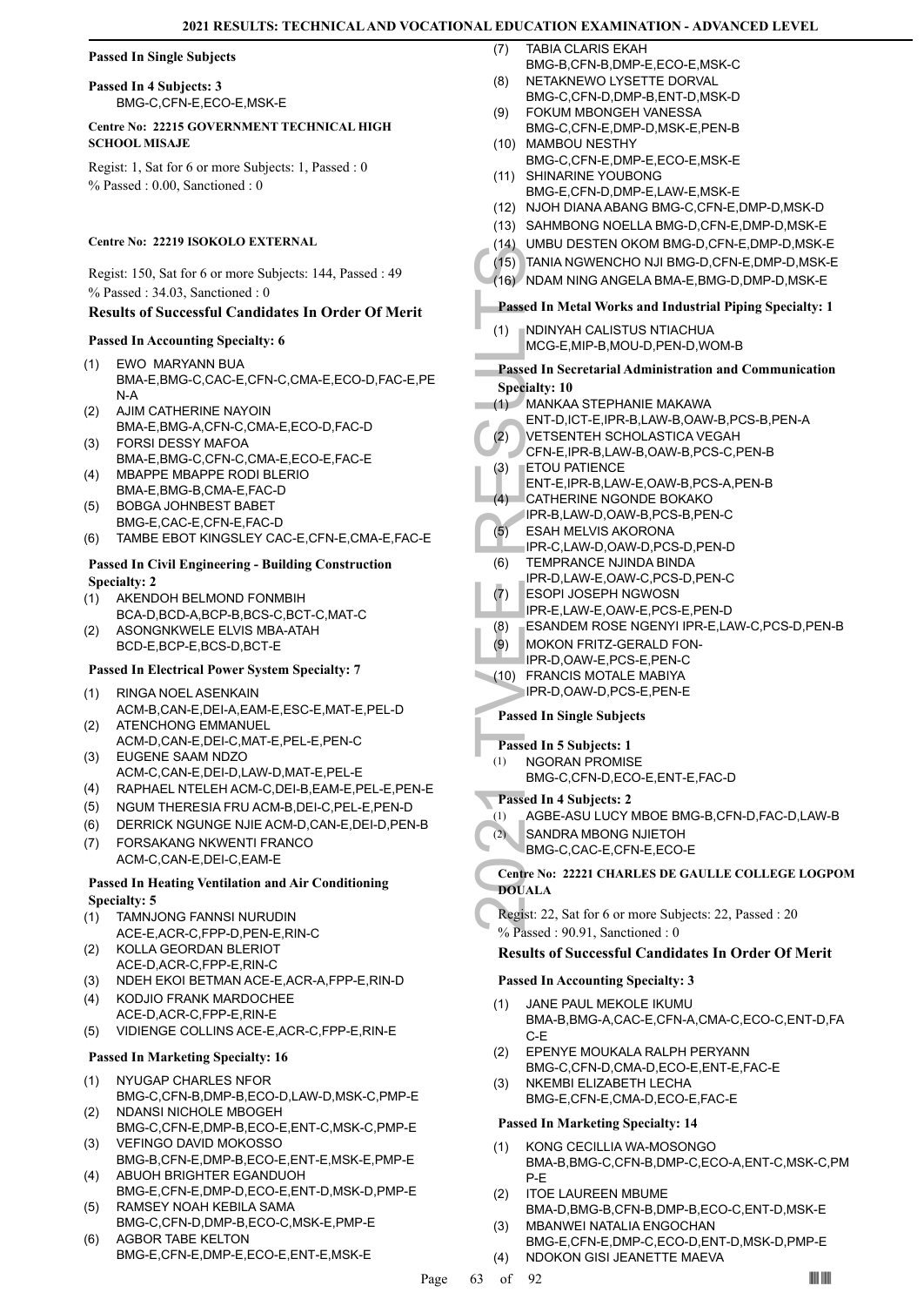## **Passed In Single Subjects**

**Passed In 4 Subjects: 3** BMG-C,CFN-E,ECO-E,MSK-E

## **Centre No: 22215 GOVERNMENT TECHNICAL HIGH SCHOOL MISAJE**

Regist: 1, Sat for 6 or more Subjects: 1, Passed : 0 % Passed : 0.00, Sanctioned : 0

## **Centre No: 22219 ISOKOLO EXTERNAL**

Regist: 150, Sat for 6 or more Subjects: 144, Passed : 49 % Passed : 34.03, Sanctioned : 0

## **Results of Successful Candidates In Order Of Merit**

## **Passed In Accounting Specialty: 6**

- EWO MARYANN BUA BMA-E,BMG-C,CAC-E,CFN-C,CMA-E,ECO-D,FAC-E,PE N-A (1)
- AJIM CATHERINE NAYOIN BMA-E,BMG-A,CFN-C,CMA-E,ECO-D,FAC-D (2)
- FORSI DESSY MAFOA BMA-E,BMG-C,CFN-C,CMA-E,ECO-E,FAC-E (3)
- MBAPPE MBAPPE RODI BLERIO BMA-E,BMG-B,CMA-E,FAC-D (4)
- BOBGA JOHNBEST BABET BMG-E,CAC-E,CFN-E,FAC-D (5)
- (6) TAMBE EBOT KINGSLEY CAC-E,CFN-E,CMA-E,FAC-E

## **Passed In Civil Engineering - Building Construction Specialty: 2**

- AKENDOH BELMOND FONMBIH BCA-D,BCD-A,BCP-B,BCS-C,BCT-C,MAT-C (1)
- ASONGNKWELE ELVIS MBA-ATAH BCD-E,BCP-E,BCS-D,BCT-E (2)

## **Passed In Electrical Power System Specialty: 7**

- RINGA NOEL ASENKAIN ACM-B,CAN-E,DEI-A,EAM-E,ESC-E,MAT-E,PEL-D (1)
- ATENCHONG EMMANUEL ACM-D,CAN-E,DEI-C,MAT-E,PEL-E,PEN-C (2)
- EUGENE SAAM NDZO ACM-C,CAN-E,DEI-D,LAW-D,MAT-E,PEL-E (3)
- (4) RAPHAEL NTELEH ACM-C,DEI-B,EAM-E,PEL-E,PEN-E
- (5) NGUM THERESIA FRU ACM-B,DEI-C,PEL-E,PEN-D
- (6) DERRICK NGUNGE NJIE ACM-D,CAN-E,DEI-D,PEN-B
- FORSAKANG NKWENTI FRANCO ACM-C,CAN-E,DEI-C,EAM-E (7)

## **Passed In Heating Ventilation and Air Conditioning Specialty: 5**

- TAMNJONG FANNSI NURUDIN ACE-E,ACR-C,FPP-D,PEN-E,RIN-C (1)
- KOLLA GEORDAN BLERIOT ACE-D,ACR-C,FPP-E,RIN-C (2)
- (3) NDEH EKOI BETMAN ACE-E,ACR-A,FPP-E,RIN-D
- KODJIO FRANK MARDOCHEE ACE-D,ACR-C,FPP-E,RIN-E (4)
- (5) VIDIENGE COLLINS ACE-E,ACR-C,FPP-E,RIN-E

## **Passed In Marketing Specialty: 16**

- NYUGAP CHARLES NFOR BMG-C,CFN-B,DMP-B,ECO-D,LAW-D,MSK-C,PMP-E (1)
- NDANSI NICHOLE MBOGEH BMG-C,CFN-E,DMP-B,ECO-E,ENT-C,MSK-C,PMP-E (2)
- VEFINGO DAVID MOKOSSO BMG-B,CFN-E,DMP-B,ECO-E,ENT-E,MSK-E,PMP-E (3)
- ABUOH BRIGHTER EGANDUOH BMG-E,CFN-E,DMP-D,ECO-E,ENT-D,MSK-D,PMP-E (4) RAMSEY NOAH KEBILA SAMA (5)
- BMG-C,CFN-D,DMP-B,ECO-C,MSK-E,PMP-E (6)
- AGBOR TABE KELTON BMG-E,CFN-E,DMP-E,ECO-E,ENT-E,MSK-E
- TABIA CLARIS EKAH (7)
- BMG-B,CFN-B,DMP-E,ECO-E,MSK-C NETAKNEWO LYSETTE DORVAL (8)
- BMG-C,CFN-D,DMP-B,ENT-D,MSK-D FOKUM MBONGEH VANESSA (9)
- BMG-C,CFN-E,DMP-D,MSK-E,PEN-B (10) MAMBOU NESTHY
- BMG-C,CFN-E,DMP-E,ECO-E,MSK-E
- (11) SHINARINE YOUBONG BMG-E,CFN-D,DMP-E,LAW-E,MSK-E
- (12) NJOH DIANA ABANG BMG-C,CFN-E,DMP-D,MSK-D
- (13) SAHMBONG NOELLA BMG-D,CFN-E,DMP-D,MSK-E
- (14) UMBU DESTEN OKOM BMG-D,CFN-E,DMP-D,MSK-E
- (15) TANIA NGWENCHO NJI BMG-D,CFN-E,DMP-D,MSK-E
- (16) NDAM NING ANGELA BMA-E,BMG-D,DMP-D,MSK-E

## **Passed In Metal Works and Industrial Piping Specialty: 1**

NDINYAH CALISTUS NTIACHUA MCG-E,MIP-B,MOU-D,PEN-D,WOM-B (1)

# (15) TANIA N<br>
(16) NDAM N<br>
Passed In M<br>
(1) NDINYA<br>
MCG-E,<br>
Passed In Se<br>
Specialty: 10<br>
(1) MANKA<br>
ENT-D,<br>
(2) VETSEL<br>
CFN-E,<br>
(2) VETSEL<br>
CFN-E,<br>
ENT-D,<br>
CATHEF<br>
IPR-B,<br>
(5) ESAH N<br>
IPR-B,<br>
(5) TEMPR<br>
(6) TEMPR<br>
(7) ESOP **Passed In Secretarial Administration and Communication Specialty: 10**

- MANKAA STEPHANIE MAKAWA  $(1)$ 
	- ENT-D,ICT-E,IPR-B,LAW-B,OAW-B,PCS-B,PEN-A
- VETSENTEH SCHOLASTICA VEGAH (2)
- CFN-E,IPR-B,LAW-B,OAW-B,PCS-C,PEN-B ETOU PATIENCE (3)
- ENT-E,IPR-B,LAW-E,OAW-B,PCS-A,PEN-B
- CATHERINE NGONDE BOKAKO  $(4)$
- IPR-B,LAW-D,OAW-B,PCS-B,PEN-C
- ESAH MELVIS AKORONA (5)
- IPR-C,LAW-D,OAW-D,PCS-D,PEN-D TEMPRANCE NJINDA BINDA (6)
- IPR-D,LAW-E,OAW-C,PCS-D,PEN-C
- ESOPI JOSEPH NGWOSN IPR-E,LAW-E,OAW-E,PCS-E,PEN-D (7)
- 
- (8) ESANDEM ROSE NGENYI IPR-E,LAW-C,PCS-D,PEN-B
- MOKON FRITZ-GERALD FON-(9)
- IPR-D,OAW-E,PCS-E,PEN-C
- FRANCIS MOTALE MABIYA IPR-D,OAW-D,PCS-E,PEN-E (10)

## **Passed In Single Subjects**

## **Passed In 5 Subjects: 1**

- NGORAN PROMISE (1)
	- BMG-C,CFN-D,ECO-E,ENT-E,FAC-D

## **Passed In 4 Subjects: 2**

- (1) AGBE-ASU LUCY MBOE BMG-B,CFN-D,FAC-D,LAW-B
- SANDRA MBONG NJIETOH (2)
	- BMG-C,CAC-E,CFN-E,ECO-E

## **Centre No: 22221 CHARLES DE GAULLE COLLEGE LOGPOM DOUALA**

Regist: 22, Sat for 6 or more Subjects: 22, Passed : 20 % Passed : 90.91, Sanctioned : 0

## **Results of Successful Candidates In Order Of Merit**

## **Passed In Accounting Specialty: 3**

- JANE PAUL MEKOLE IKUMU BMA-B,BMG-A,CAC-E,CFN-A,CMA-C,ECO-C,ENT-D,FA C-E (1)
- EPENYE MOUKALA RALPH PERYANN BMG-C,CFN-D,CMA-D,ECO-E,ENT-E,FAC-E (2)
- NKEMBI ELIZABETH LECHA BMG-E,CFN-E,CMA-D,ECO-E,FAC-E (3)

- KONG CECILLIA WA-MOSONGO BMA-B,BMG-C,CFN-B,DMP-C,ECO-A,ENT-C,MSK-C,PM P-E (1)
- ITOE LAUREEN MBUME BMA-D,BMG-B,CFN-B,DMP-B,ECO-C,ENT-D,MSK-E (2)
- MBANWEI NATALIA ENGOCHAN BMG-E,CFN-E,DMP-C,ECO-D,ENT-D,MSK-D,PMP-E (3)
- (4) NDOKON GISI JEANETTE MAEVA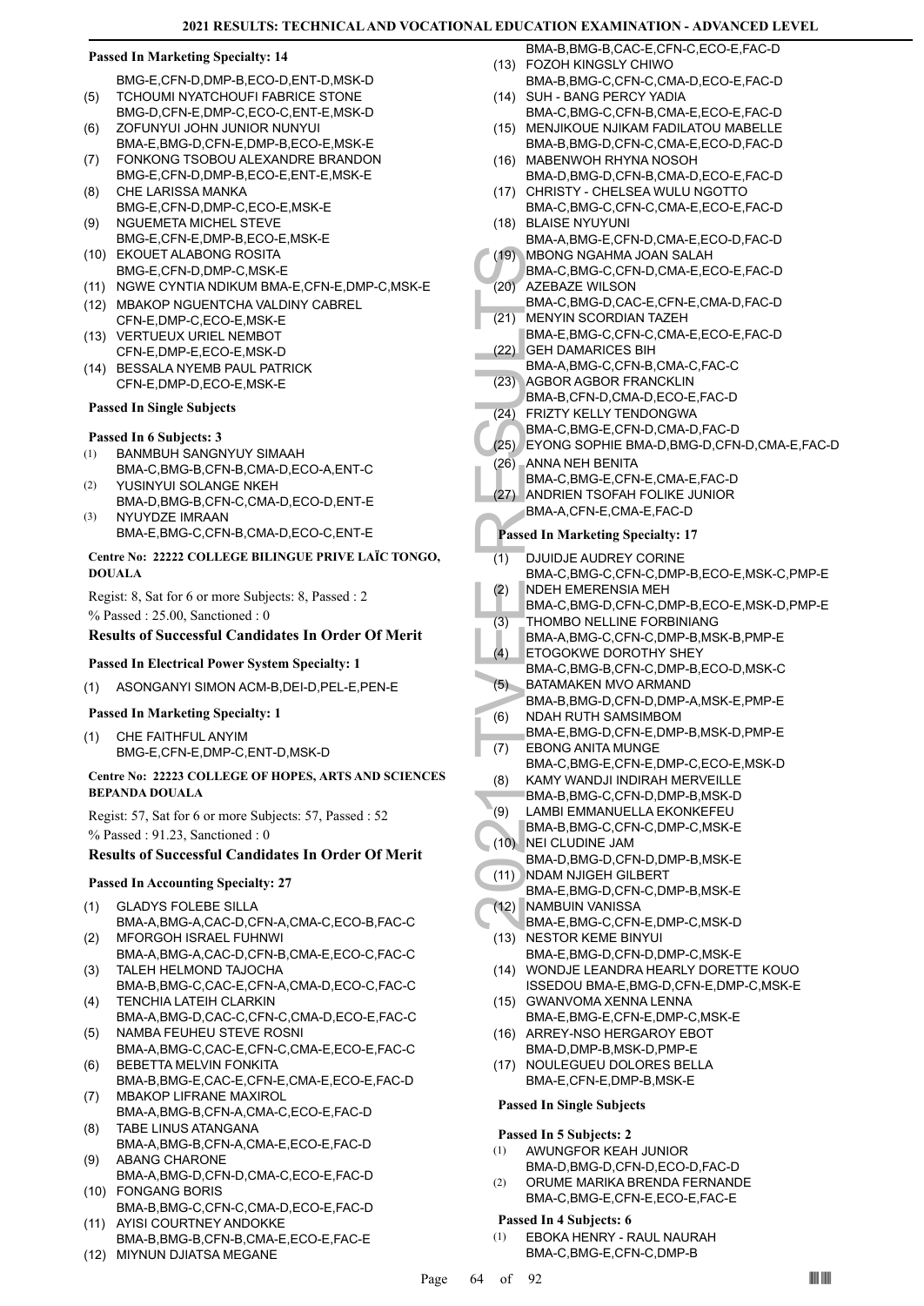BMG-E,CFN-D,DMP-B,ECO-D,ENT-D,MSK-D TCHOUMI NYATCHOUFI FABRICE STONE (5)

- BMG-D,CFN-E,DMP-C,ECO-C,ENT-E,MSK-D ZOFUNYUI JOHN JUNIOR NUNYUI (6)
- BMA-E,BMG-D,CFN-E,DMP-B,ECO-E,MSK-E FONKONG TSOBOU ALEXANDRE BRANDON (7)
- BMG-E,CFN-D,DMP-B,ECO-E,ENT-E,MSK-E CHE LARISSA MANKA (8)
- BMG-E,CFN-D,DMP-C,ECO-E,MSK-E NGUEMETA MICHEL STEVE (9)
- BMG-E,CFN-E,DMP-B,ECO-E,MSK-E (10) EKOUET ALABONG ROSITA
- BMG-E,CFN-D,DMP-C,MSK-E
- (11) NGWE CYNTIA NDIKUM BMA-E,CFN-E,DMP-C,MSK-E
- (12) MBAKOP NGUENTCHA VALDINY CABREL CFN-E,DMP-C,ECO-E,MSK-E
- (13) VERTUEUX URIEL NEMBOT CFN-E,DMP-E,ECO-E,MSK-D
- (14) BESSALA NYEMB PAUL PATRICK CFN-E,DMP-D,ECO-E,MSK-E

**Passed In Single Subjects**

## **Passed In 6 Subjects: 3**

- BANMBUH SANGNYUY SIMAAH (1)
- BMA-C,BMG-B,CFN-B,CMA-D,ECO-A,ENT-C YUSINYUI SOLANGE NKEH (2)
- BMA-D,BMG-B,CFN-C,CMA-D,ECO-D,ENT-E NYUYDZE IMRAAN (3)
	- BMA-E,BMG-C,CFN-B,CMA-D,ECO-C,ENT-E

## **Centre No: 22222 COLLEGE BILINGUE PRIVE LAÏC TONGO, DOUALA**

Regist: 8, Sat for 6 or more Subjects: 8, Passed : 2 % Passed : 25.00, Sanctioned : 0

## **Results of Successful Candidates In Order Of Merit**

## **Passed In Electrical Power System Specialty: 1**

(1) ASONGANYI SIMON ACM-B,DEI-D,PEL-E,PEN-E

## **Passed In Marketing Specialty: 1**

CHE FAITHFUL ANYIM BMG-E,CFN-E,DMP-C,ENT-D,MSK-D (1)

## **Centre No: 22223 COLLEGE OF HOPES, ARTS AND SCIENCES BEPANDA DOUALA**

Regist: 57, Sat for 6 or more Subjects: 57, Passed : 52 % Passed : 91.23, Sanctioned : 0

## **Results of Successful Candidates In Order Of Merit**

## **Passed In Accounting Specialty: 27**

- GLADYS FOLEBE SILLA BMA-A,BMG-A,CAC-D,CFN-A,CMA-C,ECO-B,FAC-C (1)
- MFORGOH ISRAEL FUHNWI BMA-A,BMG-A,CAC-D,CFN-B,CMA-E,ECO-C,FAC-C (2)
- TALEH HELMOND TAJOCHA BMA-B,BMG-C,CAC-E,CFN-A,CMA-D,ECO-C,FAC-C (3)
- TENCHIA LATEIH CLARKIN (4)
- BMA-A,BMG-D,CAC-C,CFN-C,CMA-D,ECO-E,FAC-C NAMBA FEUHEU STEVE ROSNI (5)
- BMA-A,BMG-C,CAC-E,CFN-C,CMA-E,ECO-E,FAC-C BEBETTA MELVIN FONKITA (6)
- BMA-B,BMG-E,CAC-E,CFN-E,CMA-E,ECO-E,FAC-D MBAKOP LIFRANE MAXIROL (7)
- BMA-A,BMG-B,CFN-A,CMA-C,ECO-E,FAC-D TABE LINUS ATANGANA (8)
- BMA-A,BMG-B,CFN-A,CMA-E,ECO-E,FAC-D ABANG CHARONE (9)
- BMA-A,BMG-D,CFN-D,CMA-C,ECO-E,FAC-D FONGANG BORIS (10)
- BMA-B,BMG-C,CFN-C,CMA-D,ECO-E,FAC-D (11) AYISI COURTNEY ANDOKKE
- BMA-B,BMG-B,CFN-B,CMA-E,ECO-E,FAC-E
- 
- (12) MIYNUN DJIATSA MEGANE
- BMA-B,BMG-B,CAC-E,CFN-C,ECO-E,FAC-D FOZOH KINGSLY CHIWO (13)
- BMA-B,BMG-C,CFN-C,CMA-D,ECO-E,FAC-D (14) SUH - BANG PERCY YADIA
- BMA-C,BMG-C,CFN-B,CMA-E,ECO-E,FAC-D
- MENJIKOUE NJIKAM FADILATOU MABELLE (15) BMA-B,BMG-D,CFN-C,CMA-E,ECO-D,FAC-D
- (16) MABENWOH RHYNA NOSOH BMA-D,BMG-D,CFN-B,CMA-D,ECO-E,FAC-D
- (17) CHRISTY CHELSEA WULU NGOTTO BMA-C,BMG-C,CFN-C,CMA-E,ECO-E,FAC-D
- BLAISE NYUYUNI (18) BMA-A,BMG-E,CFN-D,CMA-E,ECO-D,FAC-D (19)
- MBONG NGAHMA JOAN SALAH BMA-C,BMG-C,CFN-D,CMA-E,ECO-E,FAC-D
- AZEBAZE WILSON BMA-C,BMG-D,CAC-E,CFN-E,CMA-D,FAC-D (20)
- (19) MBONG<br>
BMA-C,<br>
(20) AZEBA2<br>
BMA-C,<br>
BMA-C,<br>
BMA-C,<br>
BMA-A,<br>
C2) GEH DA<br>
BMA-A,<br>
(23) AGBOR<br>
BMA-A,<br>
BMA-C,<br>
C2) FRIZTY<br>
BMA-C,<br>
(25) EYONG<br>
BMA-C,<br>
(25) ANDRIE<br>
BMA-C,<br>
ANDRIE<br>
BMA-C,<br>
ANDRIE<br>
BMA-C,<br>
MDEH E BMA-C,<br>
T MENYIN SCORDIAN TAZEH BMA-E,BMG-C,CFN-C,CMA-E,ECO-E,FAC-D (21)
- GEH DAMARICES BIH (22)
	- BMA-A,BMG-C,CFN-B,CMA-C,FAC-C AGBOR AGBOR FRANCKLIN (23)
- BMA-B,CFN-D,CMA-D,ECO-E,FAC-D
- FRIZTY KELLY TENDONGWA (24)
- BMA-C,BMG-E,CFN-D,CMA-D,FAC-D (25) EYONG SOPHIE BMA-D,BMG-D,CFN-D,CMA-E,FAC-D
- ANNA NEH BENITA  $(26)$ 
	- BMA-C,BMG-E,CFN-E,CMA-E,FAC-D
- ANDRIEN TSOFAH FOLIKE JUNIOR BMA-A,CFN-E,CMA-E,FAC-D (27)

## **Passed In Marketing Specialty: 17**

- DJUIDJE AUDREY CORINE (1)
- BMA-C,BMG-C,CFN-C,DMP-B,ECO-E,MSK-C,PMP-E NDEH EMERENSIA MEH (2)
- BMA-C,BMG-D,CFN-C,DMP-B,ECO-E,MSK-D,PMP-E
- THOMBO NELLINE FORBINIANG (3)
- BMA-A,BMG-C,CFN-C,DMP-B,MSK-B,PMP-E
- ETOGOKWE DOROTHY SHEY  $(4)$
- BMA-C,BMG-B,CFN-C,DMP-B,ECO-D,MSK-C BATAMAKEN MVO ARMAND (5)
- BMA-B,BMG-D,CFN-D,DMP-A,MSK-E,PMP-E NDAH RUTH SAMSIMBOM (6)
- BMA-E,BMG-D,CFN-E,DMP-B,MSK-D,PMP-E EBONG ANITA MUNGE (7)
	- BMA-C,BMG-E,CFN-E,DMP-C,ECO-E,MSK-D
- KAMY WANDJI INDIRAH MERVEILLE (8)
- BMA-B,BMG-C,CFN-D,DMP-B,MSK-D
- LAMBI EMMANUELLA EKONKEFEU (9)
- BMA-B,BMG-C,CFN-C,DMP-C,MSK-E NEI CLUDINE JAM (10)
- BMA-D,BMG-D,CFN-D,DMP-B,MSK-E
- (11) NDAM NJIGEH GILBERT BMA-E,BMG-D,CFN-C,DMP-B,MSK-E
- NAMBUIN VANISSA (12)
- BMA-E,BMG-C,CFN-E,DMP-C,MSK-D (13) NESTOR KEME BINYUI
	- BMA-E,BMG-D,CFN-D,DMP-C,MSK-E WONDJE LEANDRA HEARLY DORETTE KOUO (14)
	- ISSEDOU BMA-E,BMG-D,CFN-E,DMP-C,MSK-E (15) GWANVOMA XENNA LENNA
	- BMA-E,BMG-E,CFN-E,DMP-C,MSK-E (16) ARREY-NSO HERGAROY EBOT
	- BMA-D,DMP-B,MSK-D,PMP-E
	- (17) NOULEGUEU DOLORES BELLA BMA-E,CFN-E,DMP-B,MSK-E

## **Passed In Single Subjects**

## **Passed In 5 Subjects: 2**

- AWUNGFOR KEAH JUNIOR BMA-D,BMG-D,CFN-D,ECO-D,FAC-D (1)
- ORUME MARIKA BRENDA FERNANDE BMA-C,BMG-E,CFN-E,ECO-E,FAC-E (2)

## **Passed In 4 Subjects: 6**

EBOKA HENRY - RAUL NAURAH BMA-C,BMG-E,CFN-C,DMP-B (1)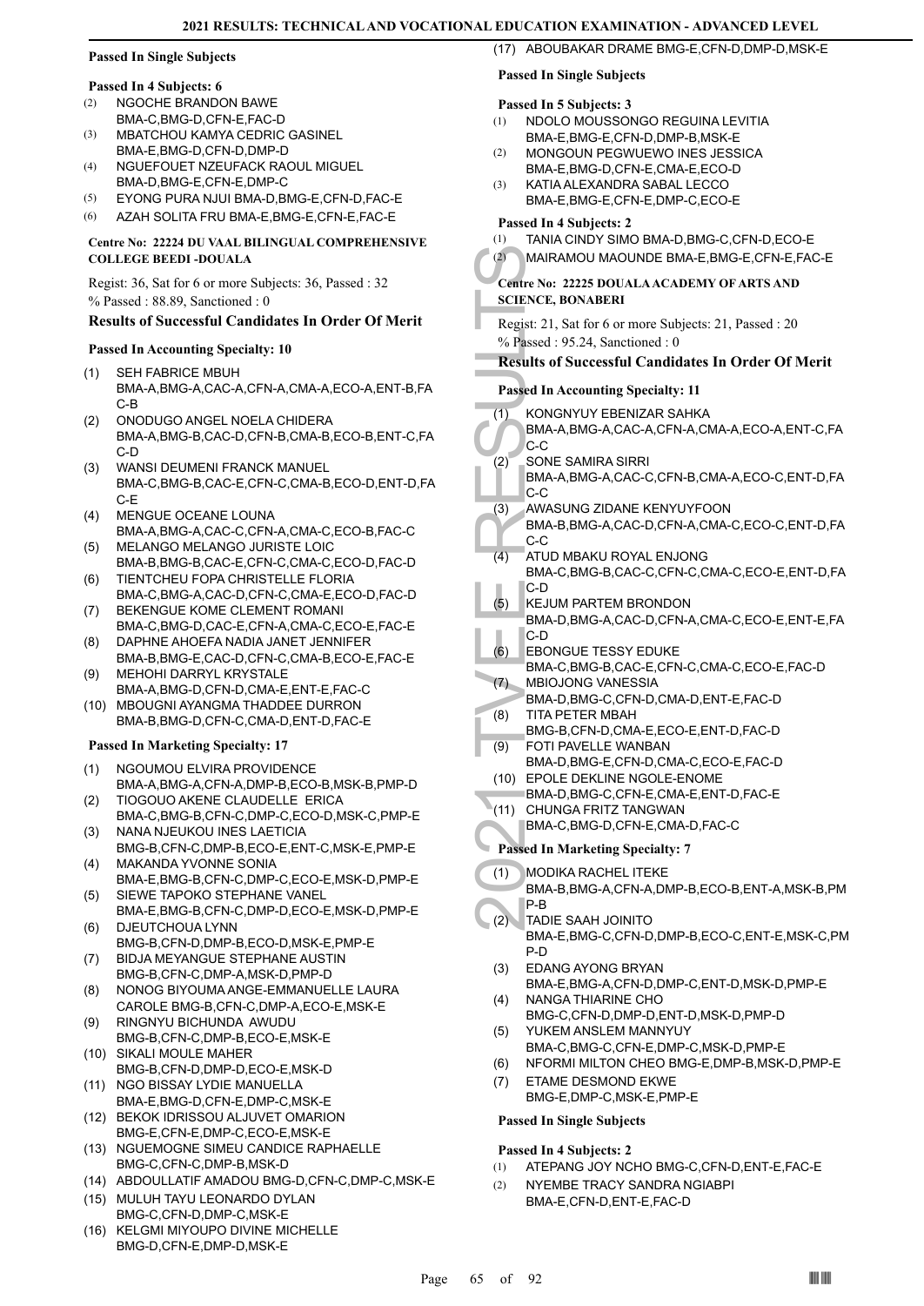## **Passed In Single Subjects**

## **Passed In 4 Subjects: 6**

- NGOCHE BRANDON BAWE BMA-C,BMG-D,CFN-E,FAC-D (2)
- MBATCHOU KAMYA CEDRIC GASINEL BMA-E,BMG-D,CFN-D,DMP-D (3)
- NGUEFOUET NZEUFACK RAOUL MIGUEL BMA-D,BMG-E,CFN-E,DMP-C (4)
- (5) EYONG PURA NJUI BMA-D,BMG-E,CFN-D,FAC-E
- (6) AZAH SOLITA FRU BMA-E,BMG-E,CFN-E,FAC-E

## **Centre No: 22224 DU VAAL BILINGUAL COMPREHENSIVE COLLEGE BEEDI -DOUALA**

Regist: 36, Sat for 6 or more Subjects: 36, Passed : 32 % Passed : 88.89, Sanctioned : 0

## **Results of Successful Candidates In Order Of Merit**

## **Passed In Accounting Specialty: 10**

- SEH FABRICE MBUH BMA-A,BMG-A,CAC-A,CFN-A,CMA-A,ECO-A,ENT-B,FA C-B (1)
- ONODUGO ANGEL NOELA CHIDERA BMA-A,BMG-B,CAC-D,CFN-B,CMA-B,ECO-B,ENT-C,FA C-D (2)
- WANSI DEUMENI FRANCK MANUEL BMA-C,BMG-B,CAC-E,CFN-C,CMA-B,ECO-D,ENT-D,FA C-E (3)
- MENGUE OCEANE LOUNA BMA-A,BMG-A,CAC-C,CFN-A,CMA-C,ECO-B,FAC-C (4)
- MELANGO MELANGO JURISTE LOIC BMA-B,BMG-B,CAC-E,CFN-C,CMA-C,ECO-D,FAC-D (5) TIENTCHEU FOPA CHRISTELLE FLORIA (6)
- BMA-C,BMG-A,CAC-D,CFN-C,CMA-E,ECO-D,FAC-D BEKENGUE KOME CLEMENT ROMANI (7)
- BMA-C,BMG-D,CAC-E,CFN-A,CMA-C,ECO-E,FAC-E DAPHNE AHOEFA NADIA JANET JENNIFER (8)
- BMA-B,BMG-E,CAC-D,CFN-C,CMA-B,ECO-E,FAC-E MEHOHI DARRYL KRYSTALE (9)
- BMA-A,BMG-D,CFN-D,CMA-E,ENT-E,FAC-C (10) MBOUGNI AYANGMA THADDEE DURRON
- BMA-B,BMG-D,CFN-C,CMA-D,ENT-D,FAC-E

## **Passed In Marketing Specialty: 17**

- NGOUMOU ELVIRA PROVIDENCE BMA-A,BMG-A,CFN-A,DMP-B,ECO-B,MSK-B,PMP-D (1)
- TIOGOUO AKENE CLAUDELLE ERICA BMA-C,BMG-B,CFN-C,DMP-C,ECO-D,MSK-C,PMP-E (2)
- NANA NJEUKOU INES LAETICIA BMG-B,CFN-C,DMP-B,ECO-E,ENT-C,MSK-E,PMP-E (3)
- MAKANDA YVONNE SONIA (4) BMA-E,BMG-B,CFN-C,DMP-C,ECO-E,MSK-D,PMP-E
- SIEWE TAPOKO STEPHANE VANEL BMA-E,BMG-B,CFN-C,DMP-D,ECO-E,MSK-D,PMP-E (5) DJEUTCHOUA LYNN (6)
- BMG-B,CFN-D,DMP-B,ECO-D,MSK-E,PMP-E BIDJA MEYANGUE STEPHANE AUSTIN (7)
- BMG-B,CFN-C,DMP-A,MSK-D,PMP-D
- NONOG BIYOUMA ANGE-EMMANUELLE LAURA CAROLE BMG-B,CFN-C,DMP-A,ECO-E,MSK-E (8)
- RINGNYU BICHUNDA AWUDU BMG-B,CFN-C,DMP-B,ECO-E,MSK-E (9)
- SIKALI MOULE MAHER (10) BMG-B,CFN-D,DMP-D,ECO-E,MSK-D
- (11) NGO BISSAY LYDIE MANUELLA BMA-E,BMG-D,CFN-E,DMP-C,MSK-E
- (12) BEKOK IDRISSOU ALJUVET OMARION BMG-E,CFN-E,DMP-C,ECO-E,MSK-E
- (13) NGUEMOGNE SIMEU CANDICE RAPHAELLE BMG-C,CFN-C,DMP-B,MSK-D
- (14) ABDOULLATIF AMADOU BMG-D,CFN-C,DMP-C,MSK-E
- MULUH TAYU LEONARDO DYLAN (15) BMG-C,CFN-D,DMP-C,MSK-E
- (16) KELGMI MIYOUPO DIVINE MICHELLE BMG-D,CFN-E,DMP-D,MSK-E

## **Passed In Single Subjects**

## **Passed In 5 Subjects: 3**

- NDOLO MOUSSONGO REGUINA LEVITIA BMA-E,BMG-E,CFN-D,DMP-B,MSK-E (1)
- MONGOUN PEGWUEWO INES JESSICA BMA-E,BMG-D,CFN-E,CMA-E,ECO-D  $(2)$
- KATIA ALEXANDRA SABAL LECCO BMA-E,BMG-E,CFN-E,DMP-C,ECO-E (3)

## **Passed In 4 Subjects: 2**

(1) TANIA CINDY SIMO BMA-D,BMG-C,CFN-D,ECO-E (2) MAIRAMOU MAOUNDE BMA-E,BMG-E,CFN-E,FAC-E

(17) ABOUBAKAR DRAME BMG-E,CFN-D,DMP-D,MSK-E

## **Centre No: 22225 DOUALA ACADEMY OF ARTS AND SCIENCE, BONABERI**

Regist: 21, Sat for 6 or more Subjects: 21, Passed : 20 % Passed : 95.24, Sanctioned : 0

## **Results of Successful Candidates In Order Of Merit**

## **Passed In Accounting Specialty: 11**

- (2) MAIRAN<br>
Centre No: 22<br>
SCIENCE, BC<br>
Regist: 21, S.<br>
% Passed 19<br>
Results of S<br>
Results of S<br>
Passed In Ac<br>
(1) KONGN<br>
BMA-A,<br>
C-C<br>
SONE S<br>
BMA-A,<br>
C-C<br>
SONE S<br>
BMA-A,<br>
C-C<br>
SONE S<br>
BMA-A,<br>
C-C<br>
AWASU<br>
BMA-A,<br>
C-C<br>
AWAS KONGNYUY EBENIZAR SAHKA BMA-A,BMG-A,CAC-A,CFN-A,CMA-A,ECO-A,ENT-C,FA C-C (1)
	- SONE SAMIRA SIRRI BMA-A,BMG-A,CAC-C,CFN-B,CMA-A,ECO-C,ENT-D,FA C-C (2)
	- AWASUNG ZIDANE KENYUYFOON (3)
	- BMA-B,BMG-A,CAC-D,CFN-A,CMA-C,ECO-C,ENT-D,FA C-C
	- ATUD MBAKU ROYAL ENJONG BMA-C,BMG-B,CAC-C,CFN-C,CMA-C,ECO-E,ENT-D,FA C-D (4)
	- KEJUM PARTEM BRONDON BMA-D,BMG-A,CAC-D,CFN-A,CMA-C,ECO-E,ENT-E,FA C-D (5)
- EBONGUE TESSY EDUKE (6)
- BMA-C,BMG-B,CAC-E,CFN-C,CMA-C,ECO-E,FAC-D MBIOJONG VANESSIA  $(7)$
- BMA-D,BMG-C,CFN-D,CMA-D,ENT-E,FAC-D TITA PETER MBAH (8)
- BMG-B,CFN-D,CMA-E,ECO-E,ENT-D,FAC-D FOTI PAVELLE WANBAN (9)
	- BMA-D,BMG-E,CFN-D,CMA-C,ECO-E,FAC-D
- (10) EPOLE DEKLINE NGOLE-ENOME
- BMA-D,BMG-C,CFN-E,CMA-E,ENT-D,FAC-E
- (11) CHUNGA FRITZ TANGWAN
- BMA-C,BMG-D,CFN-E,CMA-D,FAC-C

## **Passed In Marketing Specialty: 7**

- MODIKA RACHEL ITEKE (1)
	- BMA-B,BMG-A,CFN-A,DMP-B,ECO-B,ENT-A,MSK-B,PM P-B
	- TADIE SAAH JOINITO BMA-E,BMG-C,CFN-D,DMP-B,ECO-C,ENT-E,MSK-C,PM P-D (2)

#### EDANG AYONG BRYAN (3)

- BMA-E,BMG-A,CFN-D,DMP-C,ENT-D,MSK-D,PMP-E NANGA THIARINE CHO (4)
- BMG-C,CFN-D,DMP-D,ENT-D,MSK-D,PMP-D YUKEM ANSLEM MANNYUY (5)
- BMA-C,BMG-C,CFN-E,DMP-C,MSK-D,PMP-E
- (6) NFORMI MILTON CHEO BMG-E,DMP-B,MSK-D,PMP-E
- ETAME DESMOND EKWE (7)
	- BMG-E,DMP-C,MSK-E,PMP-E

## **Passed In Single Subjects**

## **Passed In 4 Subjects: 2**

- (1) ATEPANG JOY NCHO BMG-C,CFN-D,ENT-E,FAC-E
- NYEMBE TRACY SANDRA NGIABPI BMA-E,CFN-D,ENT-E,FAC-D (2)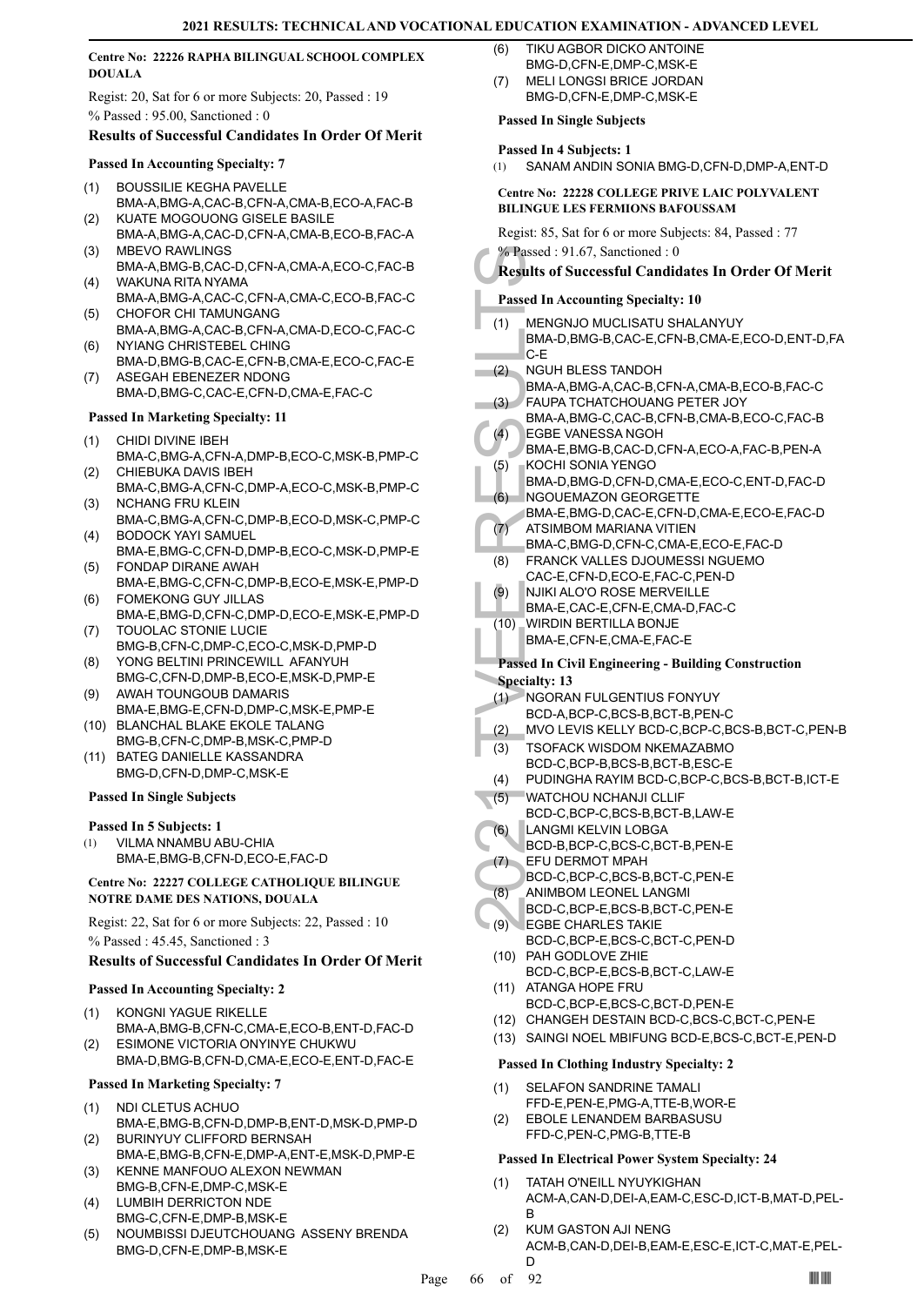## **Centre No: 22226 RAPHA BILINGUAL SCHOOL COMPLEX DOUALA**

Regist: 20, Sat for 6 or more Subjects: 20, Passed : 19 % Passed : 95.00, Sanctioned : 0

## **Results of Successful Candidates In Order Of Merit**

## **Passed In Accounting Specialty: 7**

- BOUSSILIE KEGHA PAVELLE BMA-A,BMG-A,CAC-B,CFN-A,CMA-B,ECO-A,FAC-B (1) KUATE MOGOUONG GISELE BASILE
- BMA-A,BMG-A,CAC-D,CFN-A,CMA-B,ECO-B,FAC-A (2) MBEVO RAWLINGS (3)
- BMA-A,BMG-B,CAC-D,CFN-A,CMA-A,ECO-C,FAC-B WAKUNA RITA NYAMA (4)
- BMA-A,BMG-A,CAC-C,CFN-A,CMA-C,ECO-B,FAC-C CHOFOR CHI TAMUNGANG (5)
- BMA-A,BMG-A,CAC-B,CFN-A,CMA-D,ECO-C,FAC-C NYIANG CHRISTEBEL CHING (6)
- BMA-D,BMG-B,CAC-E,CFN-B,CMA-E,ECO-C,FAC-E ASEGAH EBENEZER NDONG (7)
- BMA-D,BMG-C,CAC-E,CFN-D,CMA-E,FAC-C

## **Passed In Marketing Specialty: 11**

- CHIDI DIVINE IBEH (1)
- BMA-C,BMG-A,CFN-A,DMP-B,ECO-C,MSK-B,PMP-C CHIEBUKA DAVIS IBEH (2)
- BMA-C,BMG-A,CFN-C,DMP-A,ECO-C,MSK-B,PMP-C NCHANG FRU KLEIN (3)
- BMA-C,BMG-A,CFN-C,DMP-B,ECO-D,MSK-C,PMP-C BODOCK YAYI SAMUEL (4)
- BMA-E,BMG-C,CFN-D,DMP-B,ECO-C,MSK-D,PMP-E FONDAP DIRANE AWAH (5)
- BMA-E,BMG-C,CFN-C,DMP-B,ECO-E,MSK-E,PMP-D FOMEKONG GUY JILLAS (6)
- BMA-E,BMG-D,CFN-C,DMP-D,ECO-E,MSK-E,PMP-D TOUOLAC STONIE LUCIE (7)
- BMG-B,CFN-C,DMP-C,ECO-C,MSK-D,PMP-D YONG BELTINI PRINCEWILL AFANYUH (8)
- BMG-C,CFN-D,DMP-B,ECO-E,MSK-D,PMP-E AWAH TOUNGOUB DAMARIS (9)
- BMA-E,BMG-E,CFN-D,DMP-C,MSK-E,PMP-E (10) BLANCHAL BLAKE EKOLE TALANG
- BMG-B,CFN-C,DMP-B,MSK-C,PMP-D
- BATEG DANIELLE KASSANDRA (11) BMG-D,CFN-D,DMP-C,MSK-E

## **Passed In Single Subjects**

## **Passed In 5 Subjects: 1**

VILMA NNAMBU ABU-CHIA BMA-E,BMG-B,CFN-D,ECO-E,FAC-D (1)

## **Centre No: 22227 COLLEGE CATHOLIQUE BILINGUE NOTRE DAME DES NATIONS, DOUALA**

Regist: 22, Sat for 6 or more Subjects: 22, Passed : 10 % Passed : 45.45, Sanctioned : 3

## **Results of Successful Candidates In Order Of Merit**

## **Passed In Accounting Specialty: 2**

- KONGNI YAGUE RIKELLE BMA-A,BMG-B,CFN-C,CMA-E,ECO-B,ENT-D,FAC-D (1)
- ESIMONE VICTORIA ONYINYE CHUKWU BMA-D,BMG-B,CFN-D,CMA-E,ECO-E,ENT-D,FAC-E (2)

## **Passed In Marketing Specialty: 7**

- NDI CLETUS ACHUO (1)
- BMA-E,BMG-B,CFN-D,DMP-B,ENT-D,MSK-D,PMP-D BURINYUY CLIFFORD BERNSAH (2)
- BMA-E,BMG-B,CFN-E,DMP-A,ENT-E,MSK-D,PMP-E KENNE MANFOUO ALEXON NEWMAN (3)
- BMG-B,CFN-E,DMP-C,MSK-E LUMBIH DERRICTON NDE (4)
- BMG-C,CFN-E,DMP-B,MSK-E
- NOUMBISSI DJEUTCHOUANG ASSENY BRENDA BMG-D,CFN-E,DMP-B,MSK-E (5)
- TIKU AGBOR DICKO ANTOINE BMG-D,CFN-E,DMP-C,MSK-E (6)
- MELI LONGSI BRICE JORDAN BMG-D,CFN-E,DMP-C,MSK-E (7)

## **Passed In Single Subjects**

## **Passed In 4 Subjects: 1**

(1) SANAM ANDIN SONIA BMG-D,CFN-D,DMP-A,ENT-D

## **Centre No: 22228 COLLEGE PRIVE LAIC POLYVALENT BILINGUE LES FERMIONS BAFOUSSAM**

Regist: 85, Sat for 6 or more Subjects: 84, Passed : 77 % Passed : 91.67, Sanctioned : 0

## **Results of Successful Candidates In Order Of Merit**

- <sup>9</sup> Results of S<br>
Results of S<br>
Results of S<br>
Passed In Ac<br>
(1) MENGN<br>
BMA-D,<br>
C-E NGUHE<br>
BMA-A,<br>
FAUPA BMA-A,<br>
FAUPA BMA-A,<br>
FAUPA BMA-A,<br>
FAUPA BMA-A,<br>
FAUPA BMA-A,<br>
FAUPA BMA-E,<br>
KOCHI BMA-D,<br>
NGOUE BMA-E,<br>
(1) NGOUE BM **Passed In Accounting Specialty: 10** MENGNJO MUCLISATU SHALANYUY BMA-D,BMG-B,CAC-E,CFN-B,CMA-E,ECO-D,ENT-D,FA C-E (1) NGUH BLESS TANDOH BMA-A,BMG-A,CAC-B,CFN-A,CMA-B,ECO-B,FAC-C  $(2)$ FAUPA TCHATCHOUANG PETER JOY BMA-A,BMG-C,CAC-B,CFN-B,CMA-B,ECO-C,FAC-B (3) EGBE VANESSA NGOH BMA-E,BMG-B,CAC-D,CFN-A,ECO-A,FAC-B,PEN-A  $(4)$ KOCHI SONIA YENGO BMA-D,BMG-D,CFN-D,CMA-E,ECO-C,ENT-D,FAC-D (5) NGOUEMAZON GEORGETTE BMA-E,BMG-D,CAC-E,CFN-D,CMA-E,ECO-E,FAC-D (6) ATSIMBOM MARIANA VITIEN BMA-C,BMG-D,CFN-C,CMA-E,ECO-E,FAC-D (7) FRANCK VALLES DJOUMESSI NGUEMO CAC-E,CFN-D,ECO-E,FAC-C,PEN-D (8) NJIKI ALO'O ROSE MERVEILLE BMA-E,CAC-E,CFN-E,CMA-D,FAC-C (9) WIRDIN BERTILLA BONJE BMA-E,CFN-E,CMA-E,FAC-E (10) **Passed In Civil Engineering - Building Construction Specialty: 13** NGORAN FULGENTIUS FONYUY BCD-A,BCP-C,BCS-B,BCT-B,PEN-C (1) (2) MVO LEVIS KELLY BCD-C,BCP-C,BCS-B,BCT-C,PEN-B TSOFACK WISDOM NKEMAZABMO BCD-C,BCP-B,BCS-B,BCT-B,ESC-E (3) (4) PUDINGHA RAYIM BCD-C,BCP-C,BCS-B,BCT-B,ICT-E WATCHOU NCHANJI CLLIF BCD-C,BCP-C,BCS-B,BCT-B,LAW-E (5) LANGMI KELVIN LOBGA BCD-B,BCP-C,BCS-C,BCT-B,PEN-E (6) EFU DERMOT MPAH BCD-C,BCP-C,BCS-B,BCT-C,PEN-E (7) ANIMBOM LEONEL LANGMI BCD-C,BCP-E,BCS-B,BCT-C,PEN-E (8) EGBE CHARLES TAKIE BCD-C,BCP-E,BCS-C,BCT-C,PEN-D  $(9)$ PAH GODLOVE ZHIE BCD-C,BCP-E,BCS-B,BCT-C,LAW-E (10) (11) ATANGA HOPE FRU BCD-C,BCP-E,BCS-C,BCT-D,PEN-E (12) CHANGEH DESTAIN BCD-C,BCS-C,BCT-C,PEN-E (13) SAINGI NOEL MBIFUNG BCD-E,BCS-C,BCT-E,PEN-D **Passed In Clothing Industry Specialty: 2** SELAFON SANDRINE TAMALI (1)
	- FFD-E,PEN-E,PMG-A,TTE-B,WOR-E EBOLE LENANDEM BARBASUSU (2)
	- FFD-C,PEN-C,PMG-B,TTE-B

## **Passed In Electrical Power System Specialty: 24**

- TATAH O'NEILL NYUYKIGHAN ACM-A,CAN-D,DEI-A,EAM-C,ESC-D,ICT-B,MAT-D,PEL-B (1)
- KUM GASTON AJI NENG ACM-B,CAN-D,DEI-B,EAM-E,ESC-E,ICT-C,MAT-E,PEL-D (2)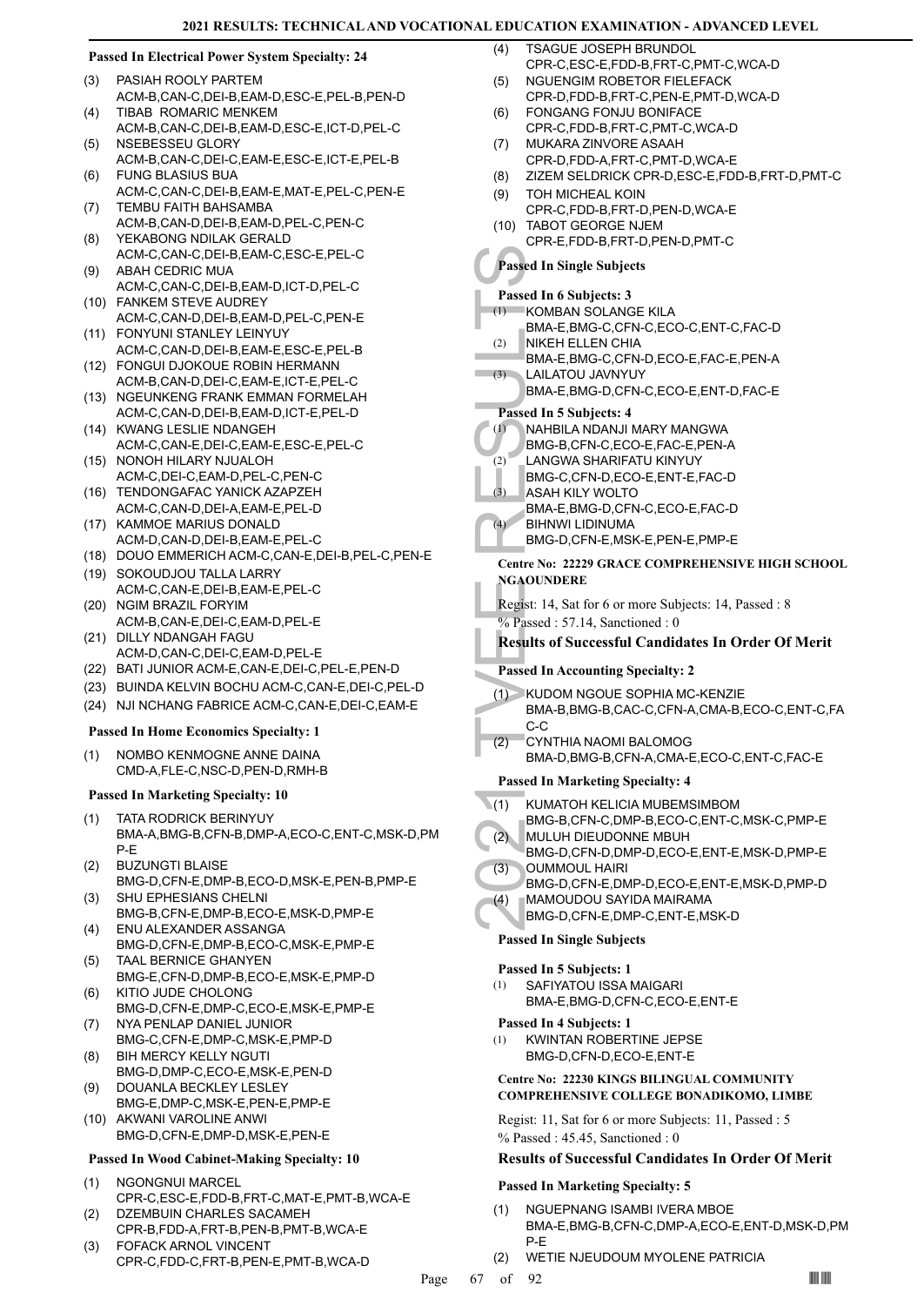## **Passed In Electrical Power System Specialty: 24**

- PASIAH ROOLY PARTEM ACM-B,CAN-C,DEI-B,EAM-D,ESC-E,PEL-B,PEN-D (3)
- TIBAB ROMARIC MENKEM ACM-B,CAN-C,DEI-B,EAM-D,ESC-E,ICT-D,PEL-C  $(4)$
- NSEBESSEU GLORY ACM-B,CAN-C,DEI-C,EAM-E,ESC-E,ICT-E,PEL-B (5) FUNG BLASIUS BUA (6)
- ACM-C,CAN-C,DEI-B,EAM-E,MAT-E,PEL-C,PEN-E TEMBU FAITH BAHSAMBA (7)
- ACM-B,CAN-D,DEI-B,EAM-D,PEL-C,PEN-C YEKABONG NDILAK GERALD (8)
- ACM-C,CAN-C,DEI-B,EAM-C,ESC-E,PEL-C ABAH CEDRIC MUA (9)
- ACM-C,CAN-C,DEI-B,EAM-D,ICT-D,PEL-C FANKEM STEVE AUDREY (10)
- ACM-C,CAN-D,DEI-B,EAM-D,PEL-C,PEN-E FONYUNI STANLEY LEINYUY (11)
- ACM-C,CAN-D,DEI-B,EAM-E,ESC-E,PEL-B FONGUI DJOKOUE ROBIN HERMANN (12)
- ACM-B,CAN-D,DEI-C,EAM-E,ICT-E,PEL-C
- (13) NGEUNKENG FRANK EMMAN FORMELAH ACM-C,CAN-D,DEI-B,EAM-D,ICT-E,PEL-D
- (14) KWANG LESLIE NDANGEH ACM-C,CAN-E,DEI-C,EAM-E,ESC-E,PEL-C (15) NONOH HILARY NJUALOH
- ACM-C,DEI-C,EAM-D,PEL-C,PEN-C (16) TENDONGAFAC YANICK AZAPZEH
- ACM-C,CAN-D,DEI-A,EAM-E,PEL-D
- (17) KAMMOE MARIUS DONALD ACM-D,CAN-D,DEI-B,EAM-E,PEL-C
- (18) DOUO EMMERICH ACM-C,CAN-E,DEI-B,PEL-C,PEN-E
- (19) SOKOUDJOU TALLA LARRY ACM-C,CAN-E,DEI-B,EAM-E,PEL-C
- (20) NGIM BRAZIL FORYIM ACM-B,CAN-E,DEI-C,EAM-D,PEL-E
- (21) DILLY NDANGAH FAGU ACM-D,CAN-C,DEI-C,EAM-D,PEL-E
- (22) BATI JUNIOR ACM-E,CAN-E,DEI-C,PEL-E,PEN-D
- (23) BUINDA KELVIN BOCHU ACM-C,CAN-E,DEI-C,PEL-D
- (24) NJI NCHANG FABRICE ACM-C,CAN-E,DEI-C,EAM-E

## **Passed In Home Economics Specialty: 1**

NOMBO KENMOGNE ANNE DAINA CMD-A,FLE-C,NSC-D,PEN-D,RMH-B (1)

## **Passed In Marketing Specialty: 10**

- TATA RODRICK BERINYUY BMA-A,BMG-B,CFN-B,DMP-A,ECO-C,ENT-C,MSK-D,PM P-E (1)
- BUZUNGTI BLAISE (2)
- BMG-D,CFN-E,DMP-B,ECO-D,MSK-E,PEN-B,PMP-E SHU EPHESIANS CHELNI (3)
- BMG-B,CFN-E,DMP-B,ECO-E,MSK-D,PMP-E ENU ALEXANDER ASSANGA (4)
- BMG-D,CFN-E,DMP-B,ECO-C,MSK-E,PMP-E TAAL BERNICE GHANYEN (5)
- BMG-E,CFN-D,DMP-B,ECO-E,MSK-E,PMP-D KITIO JUDE CHOLONG (6)
- BMG-D,CFN-E,DMP-C,ECO-E,MSK-E,PMP-E NYA PENLAP DANIEL JUNIOR (7)
- BMG-C,CFN-E,DMP-C,MSK-E,PMP-D BIH MERCY KELLY NGUTI (8)
- BMG-D,DMP-C,ECO-E,MSK-E,PEN-D DOUANLA BECKLEY LESLEY (9)
- BMG-E,DMP-C,MSK-E,PEN-E,PMP-E (10) AKWANI VAROLINE ANWI
- BMG-D,CFN-E,DMP-D,MSK-E,PEN-E

## **Passed In Wood Cabinet-Making Specialty: 10**

- NGONGNUI MARCEL CPR-C,ESC-E,FDD-B,FRT-C,MAT-E,PMT-B,WCA-E (1)
- DZEMBUIN CHARLES SACAMEH CPR-B,FDD-A,FRT-B,PEN-B,PMT-B,WCA-E (2)
- FOFACK ARNOL VINCENT CPR-C,FDD-C,FRT-B,PEN-E,PMT-B,WCA-D (3)
- TSAGUE JOSEPH BRUNDOL CPR-C,ESC-E,FDD-B,FRT-C,PMT-C,WCA-D  $(4)$
- NGUENGIM ROBETOR FIELEFACK CPR-D, FDD-B, FRT-C, PEN-E, PMT-D, WCA-D (5)
- FONGANG FONJU BONIFACE CPR-C,FDD-B,FRT-C,PMT-C,WCA-D (6)
- MUKARA ZINVORE ASAAH CPR-D,FDD-A,FRT-C,PMT-D,WCA-E (7)
- (8) ZIZEM SELDRICK CPR-D,ESC-E,FDD-B,FRT-D,PMT-C
- TOH MICHEAL KOIN (9)
	- CPR-C,FDD-B,FRT-D,PEN-D,WCA-E
- TABOT GEORGE NJEM CPR-E,FDD-B,FRT-D,PEN-D,PMT-C (10)

## **Passed In Single Subjects**

## **Passed In 6 Subjects: 3**

KOMBAN SOLANGE KILA (1)

- BMA-E,BMG-C,CFN-C,ECO-C,ENT-C,FAC-D
- NIKEH ELLEN CHIA (2)
- BMA-E,BMG-C,CFN-D,ECO-E,FAC-E,PEN-A
- LAILATOU JAVNYUY (3)
	- BMA-E,BMG-D,CFN-C,ECO-E,ENT-D,FAC-E

## **Passed In 5 Subjects: 4**

- NAHBILA NDANJI MARY MANGWA (1)
- BMG-B,CFN-C,ECO-E,FAC-E,PEN-A
- LANGWA SHARIFATU KINYUY  $(2)$
- BMG-C,CFN-D,ECO-E,ENT-E,FAC-D  $(3)$ 
	- ASAH KILY WOLTO
- BMA-E,BMG-D,CFN-C,ECO-E,FAC-D BIHNWI LIDINUMA  $(4)$
- BMG-D,CFN-E,MSK-E,PEN-E,PMP-E

## **Centre No: 22229 GRACE COMPREHENSIVE HIGH SCHOOL NGAOUNDERE**

Regist: 14, Sat for 6 or more Subjects: 14, Passed : 8

 $\%$  Passed : 57.14, Sanctioned : 0

## **Results of Successful Candidates In Order Of Merit**

## **Passed In Accounting Specialty: 2**

- Passed In Si<br>
Passed In 6 8<br>
(1) KOMBA<br>
BMA-E, <br>
BMA-E, <br>
BMA-E, <br>
BMA-E, <br>
BMA-E, <br>
BMA-E, <br>
BMA-E, <br>
BMA-E, <br>
BMA-E, <br>
BMG-B, <br>
ASAH K<br>
BMG-C, <br>
ASAH K<br>
BMG-C, <br>
ASAH K<br>
BMG-C, <br>
ASAH K<br>
BMG-D, <br>
ZGAOUNDE<br>
Regist: 14, S; KUDOM NGOUE SOPHIA MC-KENZIE (1) BMA-B,BMG-B,CAC-C,CFN-A,CMA-B,ECO-C,ENT-C,FA C-C
	- CYNTHIA NAOMI BALOMOG BMA-D,BMG-B,CFN-A,CMA-E,ECO-C,ENT-C,FAC-E (2)

## **Passed In Marketing Specialty: 4**

- KUMATOH KELICIA MUBEMSIMBOM  $(1)$ 
	- BMG-B,CFN-C,DMP-B,ECO-C,ENT-C,MSK-C,PMP-E
- MULUH DIEUDONNE MBUH (2)
- BMG-D,CFN-D,DMP-D,ECO-E,ENT-E,MSK-D,PMP-E OUMMOUL HAIRI (3)
- BMG-D,CFN-E,DMP-D,ECO-E,ENT-E,MSK-D,PMP-D MAMOUDOU SAYIDA MAIRAMA (4)
- BMG-D,CFN-E,DMP-C,ENT-E,MSK-D

## **Passed In Single Subjects**

## **Passed In 5 Subjects: 1**

SAFIYATOU ISSA MAIGARI BMA-E,BMG-D,CFN-C,ECO-E,ENT-E (1)

## **Passed In 4 Subjects: 1**

KWINTAN ROBERTINE JEPSE BMG-D,CFN-D,ECO-E,ENT-E (1)

## **Centre No: 22230 KINGS BILINGUAL COMMUNITY COMPREHENSIVE COLLEGE BONADIKOMO, LIMBE**

Regist: 11, Sat for 6 or more Subjects: 11, Passed : 5 % Passed : 45.45, Sanctioned : 0

## **Results of Successful Candidates In Order Of Merit**

- NGUEPNANG ISAMBI IVERA MBOE BMA-E,BMG-B,CFN-C,DMP-A,ECO-E,ENT-D,MSK-D,PM P-E (1)
- (2) WETIE NJEUDOUM MYOLENE PATRICIA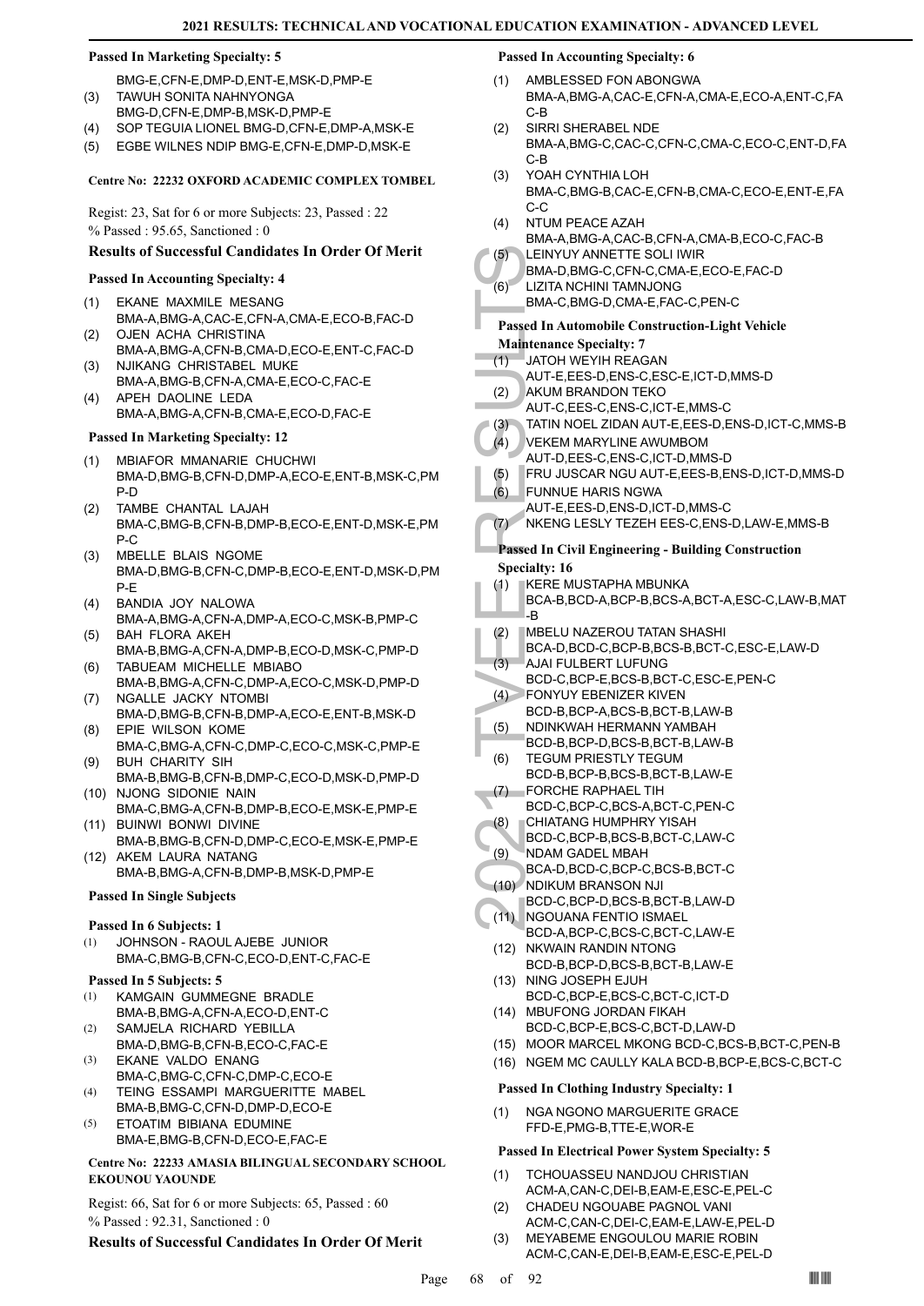## **Passed In Marketing Specialty: 5**

BMG-E,CFN-E,DMP-D,ENT-E,MSK-D,PMP-E TAWUH SONITA NAHNYONGA (3)

- BMG-D,CFN-E,DMP-B,MSK-D,PMP-E
- (4) SOP TEGUIA LIONEL BMG-D,CFN-E,DMP-A,MSK-E
- (5) EGBE WILNES NDIP BMG-E,CFN-E,DMP-D,MSK-E

#### **Centre No: 22232 OXFORD ACADEMIC COMPLEX TOMBEL**

Regist: 23, Sat for 6 or more Subjects: 23, Passed : 22

% Passed : 95.65, Sanctioned : 0

## **Results of Successful Candidates In Order Of Merit**

#### **Passed In Accounting Specialty: 4**

- EKANE MAXMILE MESANG BMA-A,BMG-A,CAC-E,CFN-A,CMA-E,ECO-B,FAC-D (1)
- OJEN ACHA CHRISTINA BMA-A,BMG-A,CFN-B,CMA-D,ECO-E,ENT-C,FAC-D (2) NJIKANG CHRISTABEL MUKE (3)
- BMA-A,BMG-B,CFN-A,CMA-E,ECO-C,FAC-E APEH DAOLINE LEDA (4)
- BMA-A,BMG-A,CFN-B,CMA-E,ECO-D,FAC-E

#### **Passed In Marketing Specialty: 12**

- MBIAFOR MMANARIE CHUCHWI BMA-D,BMG-B,CFN-D,DMP-A,ECO-E,ENT-B,MSK-C,PM P-D (1)
- TAMBE CHANTAL LAJAH BMA-C,BMG-B,CFN-B,DMP-B,ECO-E,ENT-D,MSK-E,PM P-C (2)
- MBELLE BLAIS NGOME BMA-D,BMG-B,CFN-C,DMP-B,ECO-E,ENT-D,MSK-D,PM P-E (3)
- BANDIA JOY NALOWA BMA-A,BMG-A,CFN-A,DMP-A,ECO-C,MSK-B,PMP-C (4)
- BAH FLORA AKEH BMA-B,BMG-A,CFN-A,DMP-B,ECO-D,MSK-C,PMP-D (5) TABUEAM MICHELLE MBIABO (6)
- BMA-B,BMG-A,CFN-C,DMP-A,ECO-C,MSK-D,PMP-D (7) NGALLE JACKY NTOMBI
- BMA-D,BMG-B,CFN-B,DMP-A,ECO-E,ENT-B,MSK-D EPIE WILSON KOME (8)
- BMA-C,BMG-A,CFN-C,DMP-C,ECO-C,MSK-C,PMP-E BUH CHARITY SIH (9)
- BMA-B,BMG-B,CFN-B,DMP-C,ECO-D,MSK-D,PMP-D (10) NJONG SIDONIE NAIN
- BMA-C,BMG-A,CFN-B,DMP-B,ECO-E,MSK-E,PMP-E BUINWI BONWI DIVINE (11)
- BMA-B,BMG-B,CFN-D,DMP-C,ECO-E,MSK-E,PMP-E (12) AKEM LAURA NATANG
- BMA-B,BMG-A,CFN-B,DMP-B,MSK-D,PMP-E

## **Passed In Single Subjects**

## **Passed In 6 Subjects: 1**

JOHNSON - RAOUL AJEBE JUNIOR BMA-C,BMG-B,CFN-C,ECO-D,ENT-C,FAC-E (1)

## **Passed In 5 Subjects: 5**

- KAMGAIN GUMMEGNE BRADLE BMA-B,BMG-A,CFN-A,ECO-D,ENT-C (1)
- SAMJELA RICHARD YEBILLA BMA-D,BMG-B,CFN-B,ECO-C,FAC-E (2)
- EKANE VALDO ENANG BMA-C,BMG-C,CFN-C,DMP-C,ECO-E (3)
- TEING ESSAMPI MARGUERITTE MABEL BMA-B,BMG-C,CFN-D,DMP-D,ECO-E (4)
- ETOATIM BIBIANA EDUMINE BMA-E,BMG-B,CFN-D,ECO-E,FAC-E (5)

## **Centre No: 22233 AMASIA BILINGUAL SECONDARY SCHOOL EKOUNOU YAOUNDE**

Regist: 66, Sat for 6 or more Subjects: 65, Passed : 60 % Passed : 92.31, Sanctioned : 0

## **Results of Successful Candidates In Order Of Merit**

## **Passed In Accounting Specialty: 6**

- AMBLESSED FON ABONGWA BMA-A,BMG-A,CAC-E,CFN-A,CMA-E,ECO-A,ENT-C,FA C-B (1)
- SIRRI SHERABEL NDE BMA-A,BMG-C,CAC-C,CFN-C,CMA-C,ECO-C,ENT-D,FA C-B (2)
- YOAH CYNTHIA LOH BMA-C,BMG-B,CAC-E,CFN-B,CMA-C,ECO-E,ENT-E,FA C-C (3)
- NTUM PEACE AZAH BMA-A,BMG-A,CAC-B,CFN-A,CMA-B,ECO-C,FAC-B (4) (5)
- LEINYUY ANNETTE SOLI IWIR BMA-D,BMG-C,CFN-C,CMA-E,ECO-E,FAC-D
- LIZITA NCHINI TAMNJONG (6)
	- BMA-C,BMG-D,CMA-E,FAC-C,PEN-C
- (5) LEINYU<br>
BMA-D,<br>
(6) LIZITA N<br>
BMA-C,<br>
BMA-C,<br>
BMA-C,<br>
BMA-C,<br>
BMA-C,<br>
BMA-C,<br>
BMA-C,<br>
BMA-C,<br>
BMA-C,<br>
BMA-C,<br>
AUT-E,<br>
(2) AKUM E<br>
AUT-D,<br>
(3) TATIN N<br>
VEKEM AUT-D,<br>
(5) FRU JU<br>
AUT-E,<br>
(5) FRU JU<br>
AUT-E,<br>
(6) FUNNU<br>
AU **Passed In Automobile Construction-Light Vehicle Maintenance Specialty: 7**
- JATOH WEYIH REAGAN (1)
	- AUT-E,EES-D,ENS-C,ESC-E,ICT-D,MMS-D
- AKUM BRANDON TEKO (2)
- AUT-C,EES-C,ENS-C,ICT-E,MMS-C
- (3) TATIN NOEL ZIDAN AUT-E,EES-D,ENS-D,ICT-C,MMS-B
- VEKEM MARYLINE AWUMBOM  $(4)$
- AUT-D,EES-C,ENS-C,ICT-D,MMS-D
- (5) FRU JUSCAR NGU AUT-E,EES-B,ENS-D,ICT-D,MMS-D
- FUNNUE HARIS NGWA AUT-E,EES-D,ENS-D,ICT-D,MMS-C (6)
- (7) NKENG LESLY TEZEH EES-C,ENS-D,LAW-E,MMS-B

## **Passed In Civil Engineering - Building Construction Specialty: 16**

- KERE MUSTAPHA MBUNKA (1)
- BCA-B,BCD-A,BCP-B,BCS-A,BCT-A,ESC-C,LAW-B,MAT -B
- MBELU NAZEROU TATAN SHASHI (2)
- BCA-D,BCD-C,BCP-B,BCS-B,BCT-C,ESC-E,LAW-D
- AJAI FULBERT LUFUNG (3)
- BCD-C,BCP-E,BCS-B,BCT-C,ESC-E,PEN-C FONYUY EBENIZER KIVEN  $(4)$
- BCD-B,BCP-A,BCS-B,BCT-B,LAW-B
- NDINKWAH HERMANN YAMBAH BCD-B,BCP-D,BCS-B,BCT-B,LAW-B (5)
- TEGUM PRIESTLY TEGUM BCD-B,BCP-B,BCS-B,BCT-B,LAW-E (6)
- FORCHE RAPHAEL TIH (7)
- BCD-C,BCP-C,BCS-A,BCT-C,PEN-C CHIATANG HUMPHRY YISAH (8)
- BCD-C,BCP-B,BCS-B,BCT-C,LAW-C NDAM GADEL MBAH (9)
- BCA-D,BCD-C,BCP-C,BCS-B,BCT-C
- (10) NDIKUM BRANSON NJI
- BCD-C,BCP-D,BCS-B,BCT-B,LAW-D NGOUANA FENTIO ISMAEL  $(11)$
- BCD-A,BCP-C,BCS-C,BCT-C,LAW-E (12) NKWAIN RANDIN NTONG
- BCD-B,BCP-D,BCS-B,BCT-B,LAW-E (13) NING JOSEPH EJUH
- BCD-C,BCP-E,BCS-C,BCT-C,ICT-D (14) MBUFONG JORDAN FIKAH
- BCD-C,BCP-E,BCS-C,BCT-D,LAW-D
- (15) MOOR MARCEL MKONG BCD-C,BCS-B,BCT-C,PEN-B
- (16) NGEM MC CAULLY KALA BCD-B,BCP-E,BCS-C,BCT-C

#### **Passed In Clothing Industry Specialty: 1**

NGA NGONO MARGUERITE GRACE FFD-E,PMG-B,TTE-E,WOR-E (1)

## **Passed In Electrical Power System Specialty: 5**

- TCHOUASSEU NANDJOU CHRISTIAN ACM-A,CAN-C,DEI-B,EAM-E,ESC-E,PEL-C (1)
- CHADEU NGOUABE PAGNOL VANI ACM-C,CAN-C,DEI-C,EAM-E,LAW-E,PEL-D (2)
- MEYABEME ENGOULOU MARIE ROBIN ACM-C,CAN-E,DEI-B,EAM-E,ESC-E,PEL-D (3)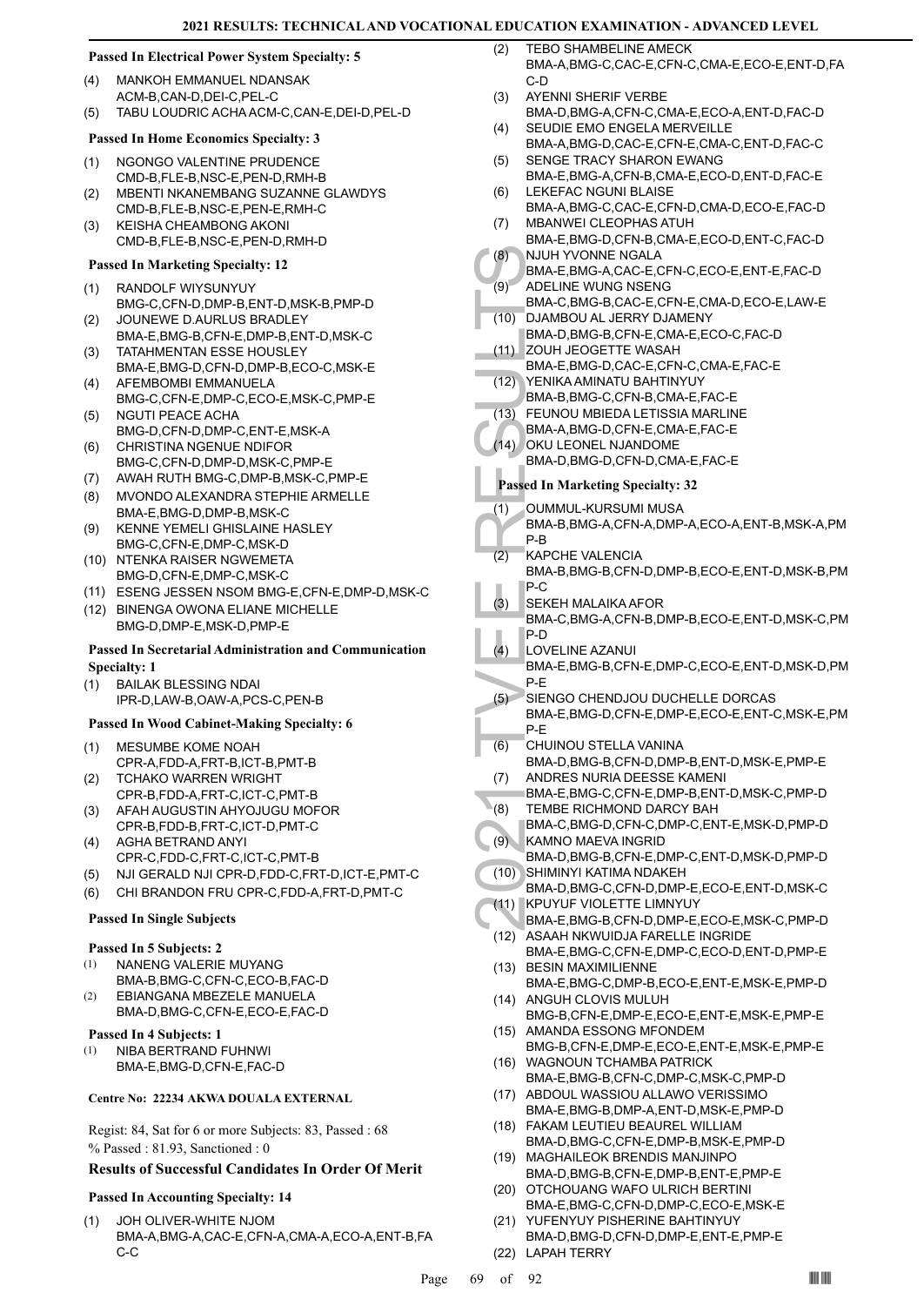## **Passed In Electrical Power System Specialty: 5**

- MANKOH EMMANUEL NDANSAK ACM-B,CAN-D,DEI-C,PEL-C (4)
- (5) TABU LOUDRIC ACHA ACM-C,CAN-E,DEI-D,PEL-D

## **Passed In Home Economics Specialty: 3**

- NGONGO VALENTINE PRUDENCE CMD-B,FLE-B,NSC-E,PEN-D,RMH-B (1)
- MBENTI NKANEMBANG SUZANNE GLAWDYS CMD-B,FLE-B,NSC-E,PEN-E,RMH-C (2)
- KEISHA CHEAMBONG AKONI CMD-B,FLE-B,NSC-E,PEN-D,RMH-D (3)

## **Passed In Marketing Specialty: 12**

- RANDOLF WIYSUNYUY (1)
- BMG-C,CFN-D,DMP-B,ENT-D,MSK-B,PMP-D JOUNEWE D.AURLUS BRADLEY (2)
- BMA-E,BMG-B,CFN-E,DMP-B,ENT-D,MSK-C TATAHMENTAN ESSE HOUSLEY (3)
- BMA-E,BMG-D,CFN-D,DMP-B,ECO-C,MSK-E AFEMBOMBI EMMANUELA (4)
- BMG-C,CFN-E,DMP-C,ECO-E,MSK-C,PMP-E NGUTI PEACE ACHA (5)
- BMG-D,CFN-D,DMP-C,ENT-E,MSK-A CHRISTINA NGENUE NDIFOR (6)
- BMG-C,CFN-D,DMP-D,MSK-C,PMP-E
- (7) AWAH RUTH BMG-C,DMP-B,MSK-C,PMP-E
- MVONDO ALEXANDRA STEPHIE ARMELLE BMA-E,BMG-D,DMP-B,MSK-C (8)
- KENNE YEMELI GHISLAINE HASLEY BMG-C,CFN-E,DMP-C,MSK-D (9)
- (10) NTENKA RAISER NGWEMETA BMG-D,CFN-E,DMP-C,MSK-C
- (11) ESENG JESSEN NSOM BMG-E,CFN-E,DMP-D,MSK-C
- (12) BINENGA OWONA ELIANE MICHELLE BMG-D,DMP-E,MSK-D,PMP-E

## **Passed In Secretarial Administration and Communication Specialty: 1**

BAILAK BLESSING NDAI IPR-D,LAW-B,OAW-A,PCS-C,PEN-B (1)

## **Passed In Wood Cabinet-Making Specialty: 6**

- MESUMBE KOME NOAH CPR-A,FDD-A,FRT-B,ICT-B,PMT-B (1) TCHAKO WARREN WRIGHT (2)
- CPR-B,FDD-A,FRT-C,ICT-C,PMT-B (3) AFAH AUGUSTIN AHYOJUGU MOFOR
- CPR-B,FDD-B,FRT-C,ICT-D,PMT-C AGHA BETRAND ANYI (4)
- CPR-C,FDD-C,FRT-C,ICT-C,PMT-B
- (5) NJI GERALD NJI CPR-D,FDD-C,FRT-D,ICT-E,PMT-C
- (6) CHI BRANDON FRU CPR-C,FDD-A,FRT-D,PMT-C

## **Passed In Single Subjects**

## **Passed In 5 Subjects: 2**

- NANENG VALERIE MUYANG BMA-B,BMG-C,CFN-C,ECO-B,FAC-D (1)
- EBIANGANA MBEZELE MANUELA BMA-D,BMG-C,CFN-E,ECO-E,FAC-D (2)

## **Passed In 4 Subjects: 1**

NIBA BERTRAND FUHNWI BMA-E,BMG-D,CFN-E,FAC-D (1)

## **Centre No: 22234 AKWA DOUALA EXTERNAL**

Regist: 84, Sat for 6 or more Subjects: 83, Passed : 68 % Passed : 81.93, Sanctioned : 0

## **Results of Successful Candidates In Order Of Merit**

## **Passed In Accounting Specialty: 14**

JOH OLIVER-WHITE NJOM BMA-A,BMG-A,CAC-E,CFN-A,CMA-A,ECO-A,ENT-B,FA C-C (1)

- TEBO SHAMBELINE AMECK BMA-A,BMG-C,CAC-E,CFN-C,CMA-E,ECO-E,ENT-D,FA C-D  $(2)$
- AYENNI SHERIF VERBE (3)
- BMA-D,BMG-A,CFN-C,CMA-E,ECO-A,ENT-D,FAC-D SEUDIE EMO ENGELA MERVEILLE (4)
- BMA-A,BMG-D,CAC-E,CFN-E,CMA-C,ENT-D,FAC-C SENGE TRACY SHARON EWANG (5)
- BMA-E,BMG-A,CFN-B,CMA-E,ECO-D,ENT-D,FAC-E LEKEFAC NGUNI BLAISE (6)
- BMA-A,BMG-C,CAC-E,CFN-D,CMA-D,ECO-E,FAC-D MBANWEI CLEOPHAS ATUH (7)
- BMA-E,BMG-D,CFN-B,CMA-E,ECO-D,ENT-C,FAC-D NJUH YVONNE NGALA (8)
- BMA-E,BMG-A,CAC-E,CFN-C,ECO-E,ENT-E,FAC-D ADELINE WUNG NSENG (9)
- BMA-C,BMG-B,CAC-E,CFN-E,CMA-D,ECO-E,LAW-E DJAMBOU AL JERRY DJAMENY (10)
	- BMA-D,BMG-B,CFN-E,CMA-E,ECO-C,FAC-D ZOUH JEOGETTE WASAH (11)
- BMA-E,BMG-D,CAC-E,CFN-C,CMA-E,FAC-E
- YENIKA AMINATU BAHTINYUY BMA-B,BMG-C,CFN-B,CMA-E,FAC-E (12)
- FEUNOU MBIEDA LETISSIA MARLINE (13)
- BMA-A,BMG-D,CFN-E,CMA-E,FAC-E
- (14) OKU LEONEL NJANDOME
	- BMA-D,BMG-D,CFN-D,CMA-E,FAC-E

- OUMMUL-KURSUMI MUSA BMA-B,BMG-A,CFN-A,DMP-A,ECO-A,ENT-B,MSK-A,PM (1)
- P-B KAPCHE VALENCIA (2)
- BMA-B,BMG-B,CFN-D,DMP-B,ECO-E,ENT-D,MSK-B,PM P-C
- SEKEH MALAIKA AFOR BMA-C,BMG-A,CFN-B,DMP-B,ECO-E,ENT-D,MSK-C,PM P-D (3)
- (8) NJUH Y<br>
BMA-E,<br>
(9) BMA-C,<br>
ADELIN BMA-D,<br>
ZOUH J<br>
BMA-D,<br>
ZOUH J<br>
BMA-E,<br>
(12) YENIKA<br>
BMA-B,<br>
BMA-A,<br>
BMA-B,<br>
BMA-D,<br>
BMA-D,<br>
Passed In M<br>
(1) OUMMU<br>
BMA-B,<br>
P-B<br>
(2) KAPCH<br>
BMA-B,<br>
P-B<br>
(2) KAPCH<br>
BMA-B,<br>
P-C<br>
BMA-B LOVELINE AZANUI BMA-E,BMG-B,CFN-E,DMP-C,ECO-E,ENT-D,MSK-D,PM P-E  $(4)$ SIENGO CHENDJOU DUCHELLE DORCAS  $(5)$
- BMA-E,BMG-D,CFN-E,DMP-E,ECO-E,ENT-C,MSK-E,PM P-E
- CHUINOU STELLA VANINA BMA-D,BMG-B,CFN-D,DMP-B,ENT-D,MSK-E,PMP-E (6) ANDRES NURIA DEESSE KAMENI (7)
- BMA-E,BMG-C,CFN-E,DMP-B,ENT-D,MSK-C,PMP-D
- TEMBE RICHMOND DARCY BAH BMA-C,BMG-D,CFN-C,DMP-C,ENT-E,MSK-D,PMP-D (8)
- KAMNO MAEVA INGRID (9)
- BMA-D,BMG-B,CFN-E,DMP-C,ENT-D,MSK-D,PMP-D SHIMINYI KATIMA NDAKEH  $(10)$
- BMA-D,BMG-C,CFN-D,DMP-E,ECO-E,ENT-D,MSK-C KPUYUF VIOLETTE LIMNYUY (11)
- BMA-E,BMG-B,CFN-D,DMP-E,ECO-E,MSK-C,PMP-D (12) ASAAH NKWUIDJA FARELLE INGRIDE
- BMA-E,BMG-C,CFN-E,DMP-C,ECO-D,ENT-D,PMP-E (13) BESIN MAXIMILIENNE
- BMA-E,BMG-C,DMP-B,ECO-E,ENT-E,MSK-E,PMP-D (14) ANGUH CLOVIS MULUH
- BMG-B,CFN-E,DMP-E,ECO-E,ENT-E,MSK-E,PMP-E (15) AMANDA ESSONG MFONDEM
- BMG-B,CFN-E,DMP-E,ECO-E,ENT-E,MSK-E,PMP-E (16) WAGNOUN TCHAMBA PATRICK
- BMA-E,BMG-B,CFN-C,DMP-C,MSK-C,PMP-D (17) ABDOUL WASSIOU ALLAWO VERISSIMO
- BMA-E,BMG-B,DMP-A,ENT-D,MSK-E,PMP-D FAKAM LEUTIEU BEAUREL WILLIAM (18)
- BMA-D,BMG-C,CFN-E,DMP-B,MSK-E,PMP-D MAGHAILEOK BRENDIS MANJINPO (19)
- BMA-D,BMG-B,CFN-E,DMP-B,ENT-E,PMP-E (20) OTCHOUANG WAFO ULRICH BERTINI
- BMA-E,BMG-C,CFN-D,DMP-C,ECO-E,MSK-E (21) YUFENYUY PISHERINE BAHTINYUY
- BMA-D,BMG-D,CFN-D,DMP-E,ENT-E,PMP-E (22) LAPAH TERRY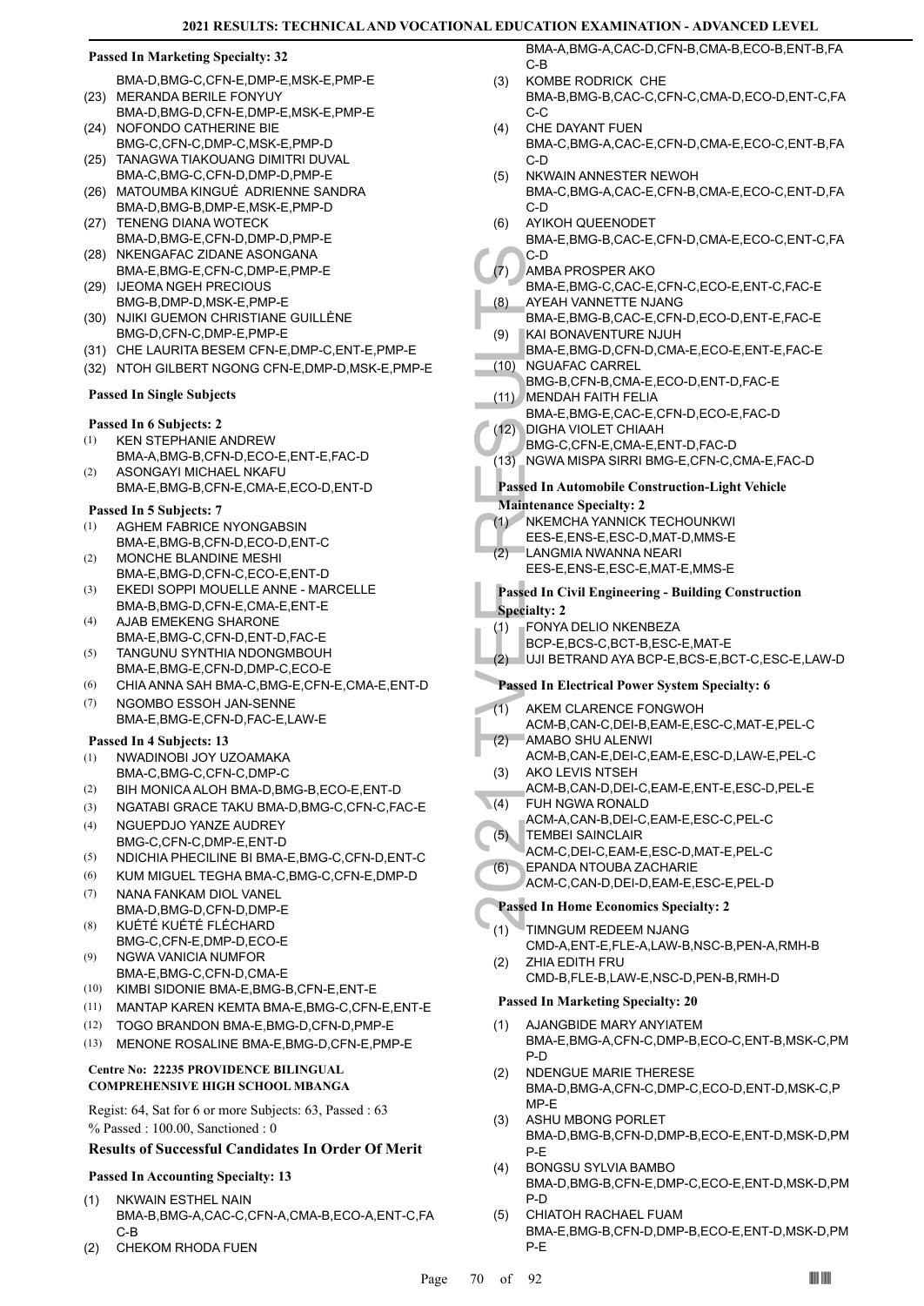BMA-D,BMG-C,CFN-E,DMP-E,MSK-E,PMP-E (23) MERANDA BERILE FONYUY

- BMA-D,BMG-D,CFN-E,DMP-E,MSK-E,PMP-E (24) NOFONDO CATHERINE BIE
- BMG-C,CFN-C,DMP-C,MSK-E,PMP-D (25) TANAGWA TIAKOUANG DIMITRI DUVAL
- BMA-C,BMG-C,CFN-D,DMP-D,PMP-E (26) MATOUMBA KINGUÉ ADRIENNE SANDRA
- BMA-D,BMG-B,DMP-E,MSK-E,PMP-D (27) TENENG DIANA WOTECK BMA-D,BMG-E,CFN-D,DMP-D,PMP-E
- (28) NKENGAFAC ZIDANE ASONGANA BMA-E,BMG-E,CFN-C,DMP-E,PMP-E
- IJEOMA NGEH PRECIOUS BMG-B,DMP-D,MSK-E,PMP-E (29)
- (30) NJIKI GUEMON CHRISTIANE GUILLÈNE BMG-D,CFN-C,DMP-E,PMP-E
- (31) CHE LAURITA BESEM CFN-E,DMP-C,ENT-E,PMP-E
- (32) NTOH GILBERT NGONG CFN-E,DMP-D,MSK-E,PMP-E

## **Passed In Single Subjects**

## **Passed In 6 Subjects: 2**

- KEN STEPHANIE ANDREW BMA-A,BMG-B,CFN-D,ECO-E,ENT-E,FAC-D (1)
- ASONGAYI MICHAEL NKAFU BMA-E,BMG-B,CFN-E,CMA-E,ECO-D,ENT-D (2)

## **Passed In 5 Subjects: 7**

- AGHEM FABRICE NYONGABSIN (1)
- BMA-E,BMG-B,CFN-D,ECO-D,ENT-C MONCHE BLANDINE MESHI (2)
- BMA-E,BMG-D,CFN-C,ECO-E,ENT-D EKEDI SOPPI MOUELLE ANNE - MARCELLE (3)
- BMA-B,BMG-D,CFN-E,CMA-E,ENT-E AJAB EMEKENG SHARONE (4)
- BMA-E,BMG-C,CFN-D,ENT-D,FAC-E TANGUNU SYNTHIA NDONGMBOUH BMA-E,BMG-E,CFN-D,DMP-C,ECO-E (5)
- (6) CHIA ANNA SAH BMA-C,BMG-E,CFN-E,CMA-E,ENT-D
- NGOMBO ESSOH JAN-SENNE BMA-E,BMG-E,CFN-D,FAC-E,LAW-E (7)

## **Passed In 4 Subjects: 13**

- NWADINOBI JOY UZOAMAKA BMA-C,BMG-C,CFN-C,DMP-C (1)
- (2) BIH MONICA ALOH BMA-D,BMG-B,ECO-E,ENT-D
- (3) NGATABI GRACE TAKU BMA-D,BMG-C,CFN-C,FAC-E
- NGUEPDJO YANZE AUDREY BMG-C,CFN-C,DMP-E,ENT-D (4)
- (5) NDICHIA PHECILINE BI BMA-E,BMG-C,CFN-D,ENT-C
- (6) KUM MIGUEL TEGHA BMA-C,BMG-C,CFN-E,DMP-D
- NANA FANKAM DIOL VANEL BMA-D,BMG-D,CFN-D,DMP-E (7)
- KUÉTÉ KUÉTÉ FLÉCHARD BMG-C,CFN-E,DMP-D,ECO-E (8)
- NGWA VANICIA NUMFOR BMA-E,BMG-C,CFN-D,CMA-E (9)
- (10) KIMBI SIDONIE BMA-E,BMG-B,CFN-E,ENT-E
- (11) MANTAP KAREN KEMTA BMA-E,BMG-C,CFN-E,ENT-E
- (12) TOGO BRANDON BMA-E,BMG-D,CFN-D,PMP-E
- (13) MENONE ROSALINE BMA-E,BMG-D,CFN-E,PMP-E

## **Centre No: 22235 PROVIDENCE BILINGUAL COMPREHENSIVE HIGH SCHOOL MBANGA**

Regist: 64, Sat for 6 or more Subjects: 63, Passed : 63 % Passed : 100.00, Sanctioned : 0

## **Results of Successful Candidates In Order Of Merit**

## **Passed In Accounting Specialty: 13**

- NKWAIN ESTHEL NAIN BMA-B,BMG-A,CAC-C,CFN-A,CMA-B,ECO-A,ENT-C,FA C-B (1)
- (2) CHEKOM RHODA FUEN

BMA-A,BMG-A,CAC-D,CFN-B,CMA-B,ECO-B,ENT-B,FA C-B

- KOMBE RODRICK CHE BMA-B,BMG-B,CAC-C,CFN-C,CMA-D,ECO-D,ENT-C,FA C-C (3)
- CHE DAYANT FUEN BMA-C,BMG-A,CAC-E,CFN-D,CMA-E,ECO-C,ENT-B,FA C-D (4)
- NKWAIN ANNESTER NEWOH BMA-C,BMG-A,CAC-E,CFN-B,CMA-E,ECO-C,ENT-D,FA C-D (5)
- AYIKOH QUEENODET BMA-E,BMG-B,CAC-E,CFN-D,CMA-E,ECO-C,ENT-C,FA C-D (6)
- AMBA PROSPER AKO (7)
	- BMA-E,BMG-C,CAC-E,CFN-C,ECO-E,ENT-C,FAC-E AYEAH VANNETTE NJANG (8)
	- BMA-E,BMG-B,CAC-E,CFN-D,ECO-D,ENT-E,FAC-E KAI BONAVENTURE NJUH (9)
- (7) AMBA F BMA-E, (8) AYEAH<br>
BMA-E, (8) AYEAH<br>
BMA-E, (8) KAI BOI<br>
BMA-E, (9) KAI BOI<br>
BMA-E, BMG-B, MENDA<br>
BMA-E, BMG-B, MENDA<br>
BMA-E, BMG-C, MENDA<br>
BMA-E, E, DIGHA BMA-E, E, DIGHA BMA-E, ISBN 6-C, (13) NGWA P<br>
Passed In BMA-E,BMG-D,CFN-D,CMA-E,ECO-E,ENT-E,FAC-E NGUAFAC CARREL  $(10)$ 
	- BMG-B,CFN-B,CMA-E,ECO-D,ENT-D,FAC-E
- MENDAH FAITH FELIA (11)
- BMA-E,BMG-E,CAC-E,CFN-D,ECO-E,FAC-D
- DIGHA VIOLET CHIAAH (12)
	- BMG-C,CFN-E,CMA-E,ENT-D,FAC-D
- (13) NGWA MISPA SIRRI BMG-E,CFN-C,CMA-E,FAC-D

## **Passed In Automobile Construction-Light Vehicle**

## **Maintenance Specialty: 2**

- NKEMCHA YANNICK TECHOUNKWI (1)
- EES-E,ENS-E,ESC-D,MAT-D,MMS-E
- LANGMIA NWANNA NEARI  $(2)$
- EES-E,ENS-E,ESC-E,MAT-E,MMS-E

## **Passed In Civil Engineering - Building Construction Specialty: 2**

- FONYA DELIO NKENBEZA (1)
- BCP-E,BCS-C,BCT-B,ESC-E,MAT-E
- (2) UJI BETRAND AYA BCP-E,BCS-E,BCT-C,ESC-E,LAW-D

## **Passed In Electrical Power System Specialty: 6**

- AKEM CLARENCE FONGWOH  $(1)$
- ACM-B,CAN-C,DEI-B,EAM-E,ESC-C,MAT-E,PEL-C AMABO SHU ALENWI (2)
- ACM-B,CAN-E,DEI-C,EAM-E,ESC-D,LAW-E,PEL-C AKO LEVIS NTSEH (3)
- ACM-B,CAN-D,DEI-C,EAM-E,ENT-E,ESC-D,PEL-E
- FUH NGWA RONALD  $(4)$ 
	- ACM-A,CAN-B,DEI-C,EAM-E,ESC-C,PEL-C TEMBEI SAINCLAIR
- ACM-C,DEI-C,EAM-E,ESC-D,MAT-E,PEL-C (5)
- EPANDA NTOUBA ZACHARIE (6)
- ACM-C,CAN-D,DEI-D,EAM-E,ESC-E,PEL-D

## **Passed In Home Economics Specialty: 2**

- TIMNGUM REDEEM NJANG (1)
	- CMD-A,ENT-E,FLE-A,LAW-B,NSC-B,PEN-A,RMH-B ZHIA EDITH FRU (2)

## CMD-B,FLE-B,LAW-E,NSC-D,PEN-B,RMH-D

- AJANGBIDE MARY ANYIATEM BMA-E,BMG-A,CFN-C,DMP-B,ECO-C,ENT-B,MSK-C,PM P-D (1)
- NDENGUE MARIE THERESE BMA-D,BMG-A,CFN-C,DMP-C,ECO-D,ENT-D,MSK-C,P MP-E (2)
- ASHU MBONG PORLET BMA-D,BMG-B,CFN-D,DMP-B,ECO-E,ENT-D,MSK-D,PM P-E (3)
- BONGSU SYLVIA BAMBO BMA-D,BMG-B,CFN-E,DMP-C,ECO-E,ENT-D,MSK-D,PM P-D (4)
- CHIATOH RACHAEL FUAM BMA-E,BMG-B,CFN-D,DMP-B,ECO-E,ENT-D,MSK-D,PM P-E (5)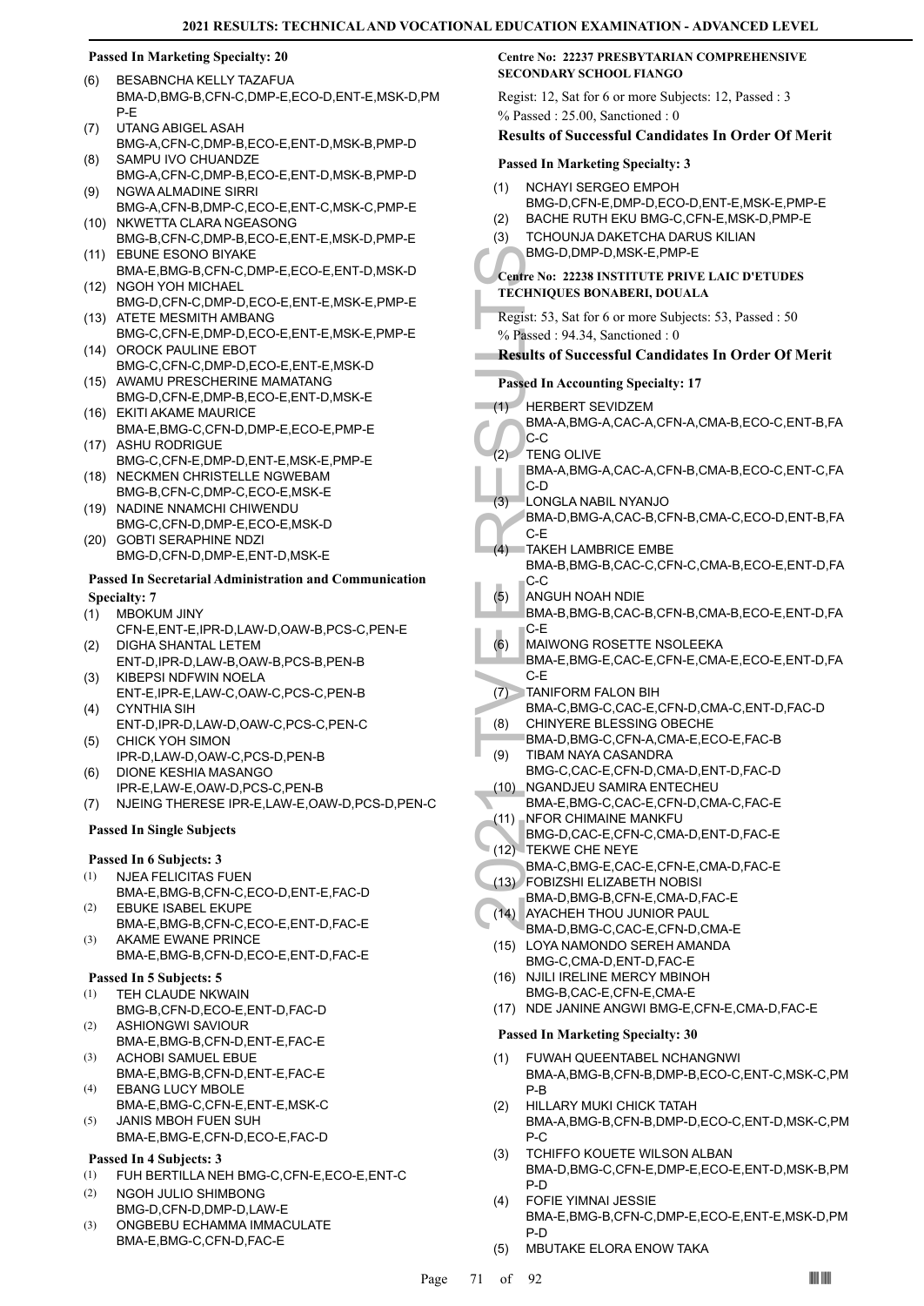- BESABNCHA KELLY TAZAFUA BMA-D,BMG-B,CFN-C,DMP-E,ECO-D,ENT-E,MSK-D,PM P-E (6)
- UTANG ABIGEL ASAH BMG-A,CFN-C,DMP-B,ECO-E,ENT-D,MSK-B,PMP-D (7)
- SAMPU IVO CHUANDZE BMG-A,CFN-C,DMP-B,ECO-E,ENT-D,MSK-B,PMP-D (8)
- NGWA ALMADINE SIRRI BMG-A,CFN-B,DMP-C,ECO-E,ENT-C,MSK-C,PMP-E (9) (10) NKWETTA CLARA NGEASONG
- BMG-B,CFN-C,DMP-B,ECO-E,ENT-E,MSK-D,PMP-E EBUNE ESONO BIYAKE (11)
- BMA-E,BMG-B,CFN-C,DMP-E,ECO-E,ENT-D,MSK-D (12) NGOH YOH MICHAEL
- BMG-D,CFN-C,DMP-D,ECO-E,ENT-E,MSK-E,PMP-E (13) ATETE MESMITH AMBANG
- BMG-C,CFN-E,DMP-D,ECO-E,ENT-E,MSK-E,PMP-E (14) OROCK PAULINE EBOT
- BMG-C,CFN-C,DMP-D,ECO-E,ENT-E,MSK-D (15) AWAMU PRESCHERINE MAMATANG
- BMG-D,CFN-E,DMP-B,ECO-E,ENT-D,MSK-E (16) EKITI AKAME MAURICE
- BMA-E,BMG-C,CFN-D,DMP-E,ECO-E,PMP-E (17) ASHU RODRIGUE
- BMG-C,CFN-E,DMP-D,ENT-E,MSK-E,PMP-E (18) NECKMEN CHRISTELLE NGWEBAM
- BMG-B,CFN-C,DMP-C,ECO-E,MSK-E (19) NADINE NNAMCHI CHIWENDU
- BMG-C,CFN-D,DMP-E,ECO-E,MSK-D GOBTI SERAPHINE NDZI (20)
- BMG-D,CFN-D,DMP-E,ENT-D,MSK-E

## **Passed In Secretarial Administration and Communication Specialty: 7**

- MBOKUM JINY (1)
- CFN-E,ENT-E,IPR-D,LAW-D,OAW-B,PCS-C,PEN-E DIGHA SHANTAL LETEM (2)
- ENT-D,IPR-D,LAW-B,OAW-B,PCS-B,PEN-B KIBEPSI NDFWIN NOELA (3)
- ENT-E,IPR-E,LAW-C,OAW-C,PCS-C,PEN-B CYNTHIA SIH (4)
- ENT-D,IPR-D,LAW-D,OAW-C,PCS-C,PEN-C CHICK YOH SIMON (5)
- IPR-D,LAW-D,OAW-C,PCS-D,PEN-B
- DIONE KESHIA MASANGO IPR-E,LAW-E,OAW-D,PCS-C,PEN-B (6)
- (7) NJEING THERESE IPR-E,LAW-E,OAW-D,PCS-D,PEN-C

## **Passed In Single Subjects**

## **Passed In 6 Subjects: 3**

- NJEA FELICITAS FUEN (1)
- BMA-E,BMG-B,CFN-C,ECO-D,ENT-E,FAC-D EBUKE ISABEL EKUPE (2)
- BMA-E,BMG-B,CFN-C,ECO-E,ENT-D,FAC-E AKAME EWANE PRINCE (3)
	- BMA-E,BMG-B,CFN-D,ECO-E,ENT-D,FAC-E

## **Passed In 5 Subjects: 5**

- TEH CLAUDE NKWAIN (1)
- BMG-B,CFN-D,ECO-E,ENT-D,FAC-D ASHIONGWI SAVIOUR (2)
- BMA-E,BMG-B,CFN-D,ENT-E,FAC-E ACHOBI SAMUEL EBUE (3)
- BMA-E,BMG-B,CFN-D,ENT-E,FAC-E EBANG LUCY MBOLE (4)
- BMA-E,BMG-C,CFN-E,ENT-E,MSK-C JANIS MBOH FUEN SUH (5)
- BMA-E,BMG-E,CFN-D,ECO-E,FAC-D

## **Passed In 4 Subjects: 3**

- (1) FUH BERTILLA NEH BMG-C,CFN-E,ECO-E,ENT-C
- NGOH JULIO SHIMBONG BMG-D,CFN-D,DMP-D,LAW-E (2)
- ONGBEBU ECHAMMA IMMACULATE BMA-E,BMG-C,CFN-D,FAC-E (3)

## **Centre No: 22237 PRESBYTARIAN COMPREHENSIVE SECONDARY SCHOOL FIANGO**

Regist: 12, Sat for 6 or more Subjects: 12, Passed : 3 % Passed : 25.00, Sanctioned : 0

## **Results of Successful Candidates In Order Of Merit**

## **Passed In Marketing Specialty: 3**

- NCHAYI SERGEO EMPOH BMG-D,CFN-E,DMP-D,ECO-D,ENT-E,MSK-E,PMP-E (1)
- (2) BACHE RUTH EKU BMG-C,CFN-E,MSK-D,PMP-E
- TCHOUNJA DAKETCHA DARUS KILIAN BMG-D,DMP-D,MSK-E,PMP-E (3)

## **Centre No: 22238 INSTITUTE PRIVE LAIC D'ETUDES TECHNIQUES BONABERI, DOUALA**

Regist: 53, Sat for 6 or more Subjects: 53, Passed : 50 % Passed : 94.34, Sanctioned : 0

## **Results of Successful Candidates In Order Of Merit**

## **Passed In Accounting Specialty: 17**

## HERBERT SEVIDZEM (1)

- BMA-A,BMG-A,CAC-A,CFN-A,CMA-B,ECO-C,ENT-B,FA C-C
- TENG OLIVE (2)
	- BMA-A,BMG-A,CAC-A,CFN-B,CMA-B,ECO-C,ENT-C,FA C-D
- LONGLA NABIL NYANJO (3)
	- BMA-D,BMG-A,CAC-B,CFN-B,CMA-C,ECO-D,ENT-B,FA C-E
- BMG-D,<br>
Centre No: 2<br>
TECHNIQUE<br>
Regist: 53, S.<br>
8<br>
Results of S<br>
Results of S<br>
Results of S<br>
Passed In Ac<br>
(1) HERBE<br>
BMA-A,<br>
C-C<br>
BMA-A,<br>
C-C<br>
BMA-A,<br>
C-C<br>
BMA-A,<br>
C-C<br>
BMA-A,<br>
C-C<br>
BMA-D,<br>
C-E<br>
TAKEH<br>
BMA-D,<br>
C-E<br>
TAKEH TAKEH LAMBRICE EMBE BMA-B,BMG-B,CAC-C,CFN-C,CMA-B,ECO-E,ENT-D,FA C-C  $(4)$ 
	- ANGUH NOAH NDIE BMA-B,BMG-B,CAC-B,CFN-B,CMA-B,ECO-E,ENT-D,FA C-E (5)
	- MAIWONG ROSETTE NSOLEEKA (6)
	- BMA-E,BMG-E,CAC-E,CFN-E,CMA-E,ECO-E,ENT-D,FA C-E
	- TANIFORM FALON BIH BMA-C,BMG-C,CAC-E,CFN-D,CMA-C,ENT-D,FAC-D  $(7)$
- CHINYERE BLESSING OBECHE (8)
- BMA-D,BMG-C,CFN-A,CMA-E,ECO-E,FAC-B TIBAM NAYA CASANDRA (9)
- BMG-C,CAC-E,CFN-D,CMA-D,ENT-D,FAC-D (10) NGANDJEU SAMIRA ENTECHEU
- BMA-E,BMG-C,CAC-E,CFN-D,CMA-C,FAC-E
- (11) NFOR CHIMAINE MANKFU
- BMG-D,CAC-E,CFN-C,CMA-D,ENT-D,FAC-E (12) TEKWE CHE NEYE
- BMA-C,BMG-E,CAC-E,CFN-E,CMA-D,FAC-E FOBIZSHI ELIZABETH NOBISI (13)
- BMA-D,BMG-B,CFN-E,CMA-D,FAC-E
- AYACHEH THOU JUNIOR PAUL BMA-D,BMG-C,CAC-E,CFN-D,CMA-E  $(14)$
- (15) LOYA NAMONDO SEREH AMANDA BMG-C,CMA-D,ENT-D,FAC-E
- (16) NJILI IRELINE MERCY MBINOH BMG-B,CAC-E,CFN-E,CMA-E
- (17) NDE JANINE ANGWI BMG-E,CFN-E,CMA-D,FAC-E

- FUWAH QUEENTABEL NCHANGNWI BMA-A,BMG-B,CFN-B,DMP-B,ECO-C,ENT-C,MSK-C,PM P-B (1)
- HILLARY MUKI CHICK TATAH BMA-A,BMG-B,CFN-B,DMP-D,ECO-C,ENT-D,MSK-C,PM P-C (2)
- TCHIFFO KOUETE WILSON ALBAN BMA-D,BMG-C,CFN-E,DMP-E,ECO-E,ENT-D,MSK-B,PM P-D (3)
- FOFIE YIMNAI JESSIE BMA-E,BMG-B,CFN-C,DMP-E,ECO-E,ENT-E,MSK-D,PM P-D (4)
- (5) MBUTAKE ELORA ENOW TAKA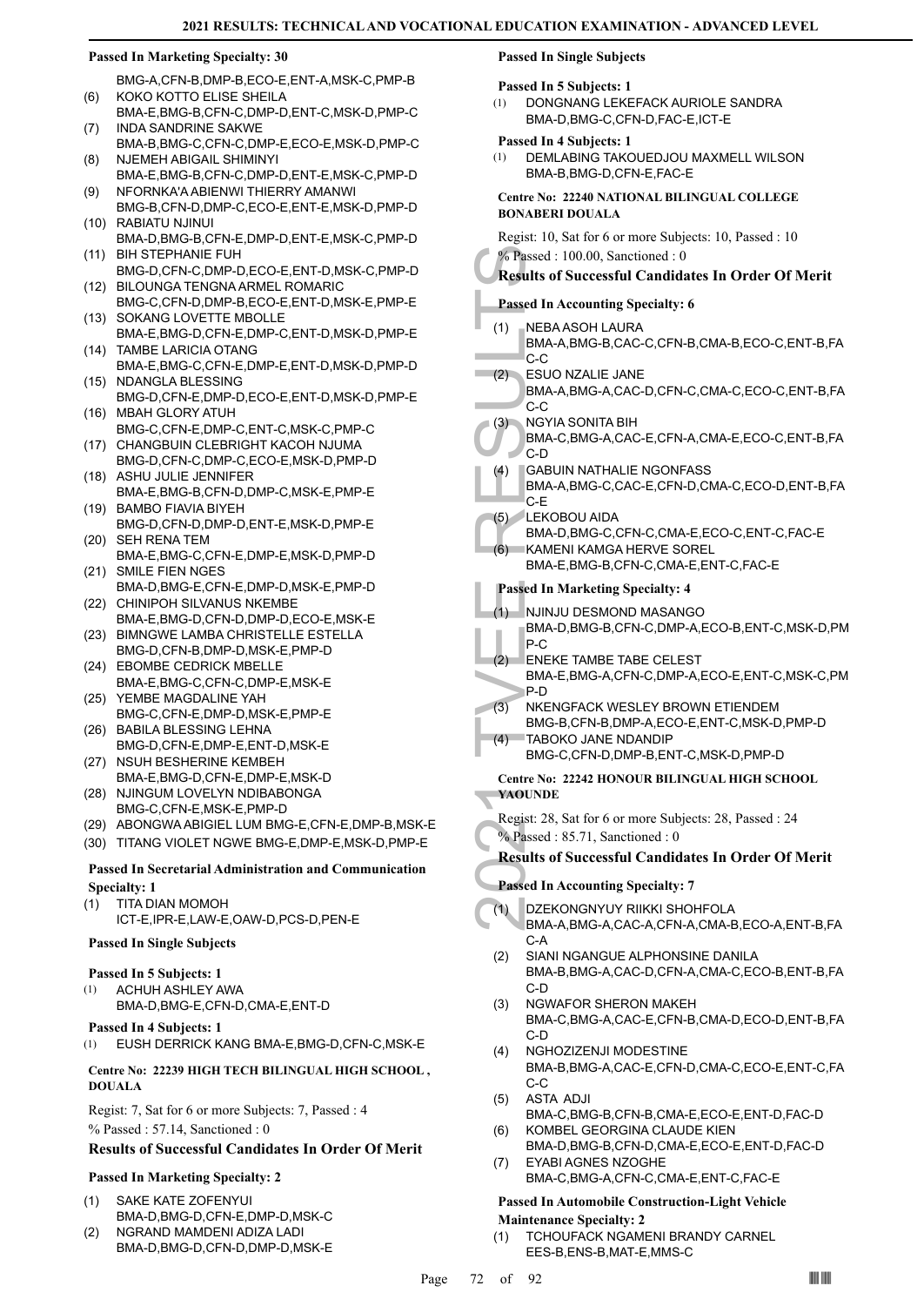BMG-A,CFN-B,DMP-B,ECO-E,ENT-A,MSK-C,PMP-B KOKO KOTTO ELISE SHEILA (6)

- BMA-E,BMG-B,CFN-C,DMP-D,ENT-C,MSK-D,PMP-C INDA SANDRINE SAKWE (7)
- BMA-B,BMG-C,CFN-C,DMP-E,ECO-E,MSK-D,PMP-C NJEMEH ABIGAIL SHIMINYI (8)
- BMA-E,BMG-B,CFN-C,DMP-D,ENT-E,MSK-C,PMP-D NFORNKA'A ABIENWI THIERRY AMANWI (9)
- BMG-B,CFN-D,DMP-C,ECO-E,ENT-E,MSK-D,PMP-D RABIATU NJINUI (10)
- BMA-D,BMG-B,CFN-E,DMP-D,ENT-E,MSK-C,PMP-D BIH STEPHANIE FUH (11)
- BMG-D,CFN-C,DMP-D,ECO-E,ENT-D,MSK-C,PMP-D BILOUNGA TENGNA ARMEL ROMARIC (12)
- BMG-C,CFN-D,DMP-B,ECO-E,ENT-D,MSK-E,PMP-E (13) SOKANG LOVETTE MBOLLE
- BMA-E,BMG-D,CFN-E,DMP-C,ENT-D,MSK-D,PMP-E TAMBE LARICIA OTANG (14)
- BMA-E,BMG-C,CFN-E,DMP-E,ENT-D,MSK-D,PMP-D (15) NDANGLA BLESSING
- BMG-D,CFN-E,DMP-D,ECO-E,ENT-D,MSK-D,PMP-E (16) MBAH GLORY ATUH
- BMG-C,CFN-E,DMP-C,ENT-C,MSK-C,PMP-C (17) CHANGBUIN CLEBRIGHT KACOH NJUMA
- BMG-D,CFN-C,DMP-C,ECO-E,MSK-D,PMP-D (18) ASHU JULIE JENNIFER
- BMA-E,BMG-B,CFN-D,DMP-C,MSK-E,PMP-E (19) BAMBO FIAVIA BIYEH
- BMG-D,CFN-D,DMP-D,ENT-E,MSK-D,PMP-E (20) SEH RENA TEM
- BMA-E,BMG-C,CFN-E,DMP-E,MSK-D,PMP-D (21) SMILE FIEN NGES
- BMA-D,BMG-E,CFN-E,DMP-D,MSK-E,PMP-D (22) CHINIPOH SILVANUS NKEMBE
- BMA-E,BMG-D,CFN-D,DMP-D,ECO-E,MSK-E BIMNGWE LAMBA CHRISTELLE ESTELLA (23)
- BMG-D,CFN-B,DMP-D,MSK-E,PMP-D (24) EBOMBE CEDRICK MBELLE
- BMA-E,BMG-C,CFN-C,DMP-E,MSK-E (25) YEMBE MAGDALINE YAH
- BMG-C,CFN-E,DMP-D,MSK-E,PMP-E (26) BABILA BLESSING LEHNA
- BMG-D,CFN-E,DMP-E,ENT-D,MSK-E (27) NSUH BESHERINE KEMBEH
- BMA-E,BMG-D,CFN-E,DMP-E,MSK-D (28) NJINGUM LOVELYN NDIBABONGA
- BMG-C,CFN-E,MSK-E,PMP-D
- (29) ABONGWA ABIGIEL LUM BMG-E,CFN-E,DMP-B,MSK-E
- (30) TITANG VIOLET NGWE BMG-E,DMP-E,MSK-D,PMP-E

## **Passed In Secretarial Administration and Communication Specialty: 1**

TITA DIAN MOMOH ICT-E,IPR-E,LAW-E,OAW-D,PCS-D,PEN-E (1)

## **Passed In Single Subjects**

## **Passed In 5 Subjects: 1**

- ACHUH ASHLEY AWA (1)
- BMA-D,BMG-E,CFN-D,CMA-E,ENT-D

## **Passed In 4 Subjects: 1**

## (1) EUSH DERRICK KANG BMA-E,BMG-D,CFN-C,MSK-E

## **Centre No: 22239 HIGH TECH BILINGUAL HIGH SCHOOL , DOUALA**

Regist: 7, Sat for 6 or more Subjects: 7, Passed : 4 % Passed : 57.14, Sanctioned : 0

## **Results of Successful Candidates In Order Of Merit**

## **Passed In Marketing Specialty: 2**

- SAKE KATE ZOFENYUI BMA-D,BMG-D,CFN-E,DMP-D,MSK-C (1)
- NGRAND MAMDENI ADIZA LADI BMA-D,BMG-D,CFN-D,DMP-D,MSK-E (2)

## **Passed In Single Subjects**

## **Passed In 5 Subjects: 1**

- DONGNANG LEKEFACK AURIOLE SANDRA BMA-D,BMG-C,CFN-D,FAC-E,ICT-E (1)
- **Passed In 4 Subjects: 1**
- DEMLABING TAKOUEDJOU MAXMELL WILSON BMA-B,BMG-D,CFN-E,FAC-E (1)

## **Centre No: 22240 NATIONAL BILINGUAL COLLEGE BONABERI DOUALA**

Regist: 10, Sat for 6 or more Subjects: 10, Passed : 10 % Passed : 100.00, Sanctioned : 0

## **Results of Successful Candidates In Order Of Merit**

## **Passed In Accounting Specialty: 6**

- NEBA ASOH LAURA (1)
- BMA-A,BMG-B,CAC-C,CFN-B,CMA-B,ECO-C,ENT-B,FA C-C
- ESUO NZALIE JANE  $(2)$ 
	- BMA-A,BMG-A,CAC-D,CFN-C,CMA-C,ECO-C,ENT-B,FA C-C
- NGYIA SONITA BIH (3)
	- BMA-C,BMG-A,CAC-E,CFN-A,CMA-E,ECO-C,ENT-B,FA C-D
- GABUIN NATHALIE NGONFASS (4)
- BMA-A,BMG-C,CAC-E,CFN-D,CMA-C,ECO-D,ENT-B,FA C-E
- LEKOBOU AIDA BMA-D,BMG-C,CFN-C,CMA-E,ECO-C,ENT-C,FAC-E (5)  $(6)$
- KAMENI KAMGA HERVE SOREL BMA-E,BMG-B,CFN-C,CMA-E,ENT-C,FAC-E

## **Passed In Marketing Specialty: 4**

- NJINJU DESMOND MASANGO (1)
- BMA-D,BMG-B,CFN-C,DMP-A,ECO-B,ENT-C,MSK-D,PM P-C
- ENEKE TAMBE TABE CELEST (2)
- <sup>2</sup> Passed 11<br>
Results of S<br>
Passed In Ac<br>
(1) NEBA A, BMA-A, C-C<br>
ESUO N BMA-A, C-C<br>
(3) NGYIA & BMA-C, C-D<br>
C-C<br>
(3) NGYIA & BMA-C, C-D<br>
(4) GABUIN<br>
BMA-A, C-E<br>
(5) ENEKOB<br>
(6) KAMEN<br>
BMA-D, P-C<br>
(5) ENEKE BMA-D, P-C<br>
(2 BMA-E,BMG-A,CFN-C,DMP-A,ECO-E,ENT-C,MSK-C,PM P-D
	- NKENGFACK WESLEY BROWN ETIENDEM BMG-B,CFN-B,DMP-A,ECO-E,ENT-C,MSK-D,PMP-D (3) TABOKO JANE NDANDIP (4)
	- BMG-C,CFN-D,DMP-B,ENT-C,MSK-D,PMP-D

## **Centre No: 22242 HONOUR BILINGUAL HIGH SCHOOL YAOUNDE**

- Regist: 28, Sat for 6 or more Subjects: 28, Passed : 24
- % Passed : 85.71, Sanctioned : 0

## **Results of Successful Candidates In Order Of Merit**

## **Passed In Accounting Specialty: 7**

- DZEKONGNYUY RIIKKI SHOHFOLA BMA-A,BMG-A,CAC-A,CFN-A,CMA-B,ECO-A,ENT-B,FA C-A (1)
- SIANI NGANGUE ALPHONSINE DANILA BMA-B,BMG-A,CAC-D,CFN-A,CMA-C,ECO-B,ENT-B,FA C-D (2)
- NGWAFOR SHERON MAKEH BMA-C,BMG-A,CAC-E,CFN-B,CMA-D,ECO-D,ENT-B,FA C-D (3)
- NGHOZIZENJI MODESTINE BMA-B,BMG-A,CAC-E,CFN-D,CMA-C,ECO-E,ENT-C,FA C-C (4)
- ASTA ADJI (5)
- BMA-C,BMG-B,CFN-B,CMA-E,ECO-E,ENT-D,FAC-D KOMBEL GEORGINA CLAUDE KIEN (6)
- BMA-D,BMG-B,CFN-D,CMA-E,ECO-E,ENT-D,FAC-D EYABI AGNES NZOGHE (7)

# BMA-C,BMG-A,CFN-C,CMA-E,ENT-C,FAC-E

## **Passed In Automobile Construction-Light Vehicle Maintenance Specialty: 2**

TCHOUFACK NGAMENI BRANDY CARNEL EES-B,ENS-B,MAT-E,MMS-C (1)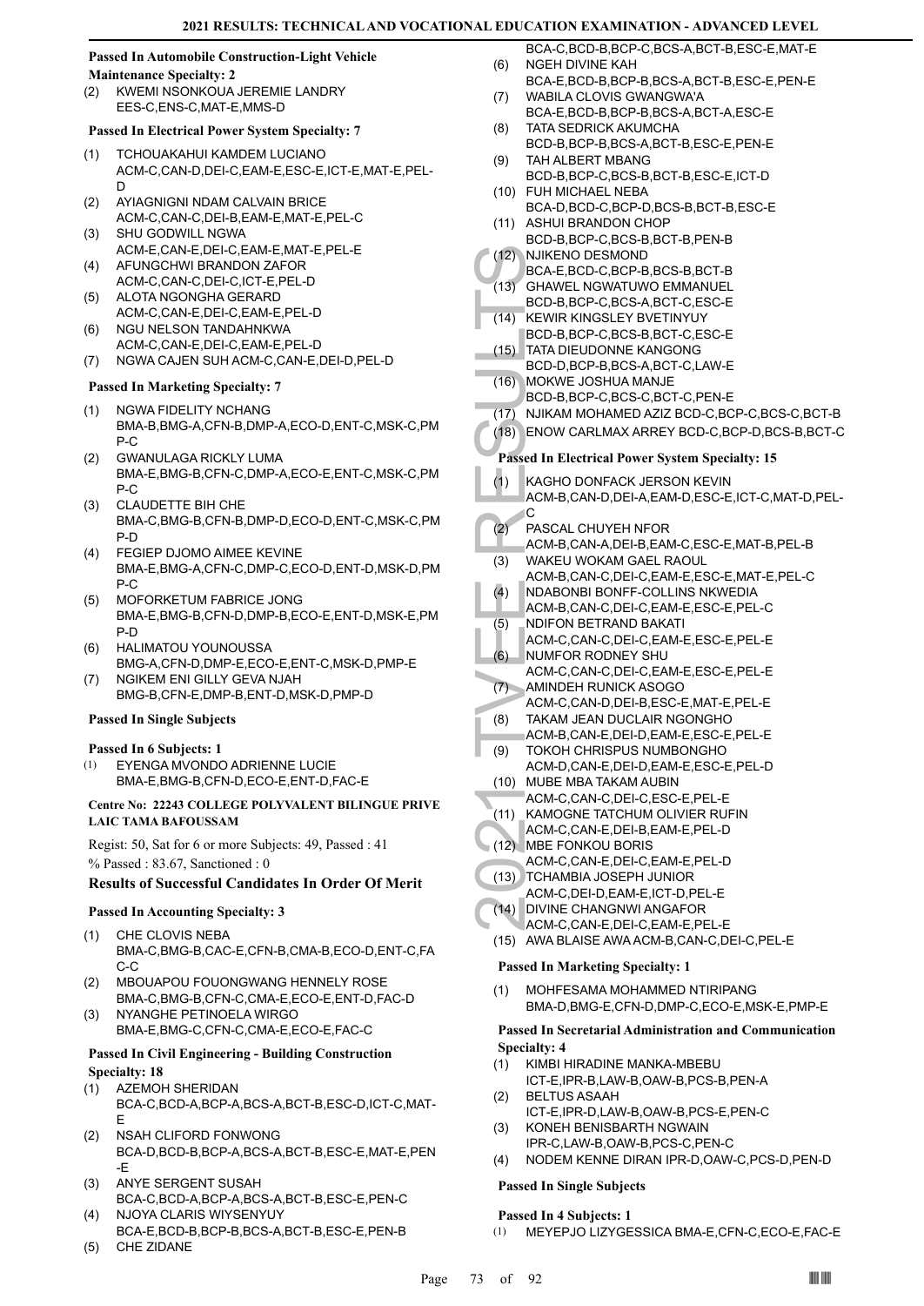# **Passed In Automobile Construction-Light Vehicle**

#### **Maintenance Specialty: 2**

KWEMI NSONKOUA JEREMIE LANDRY EES-C,ENS-C,MAT-E,MMS-D (2)

#### **Passed In Electrical Power System Specialty: 7**

- TCHOUAKAHUI KAMDEM LUCIANO ACM-C,CAN-D,DEI-C,EAM-E,ESC-E,ICT-E,MAT-E,PEL-D (1)
- AYIAGNIGNI NDAM CALVAIN BRICE ACM-C,CAN-C,DEI-B,EAM-E,MAT-E,PEL-C (2)
- SHU GODWILL NGWA ACM-E,CAN-E,DEI-C,EAM-E,MAT-E,PEL-E (3)
- AFUNGCHWI BRANDON ZAFOR ACM-C,CAN-C,DEI-C,ICT-E,PEL-D (4)
- ALOTA NGONGHA GERARD ACM-C,CAN-E,DEI-C,EAM-E,PEL-D (5)
- NGU NELSON TANDAHNKWA ACM-C,CAN-E,DEI-C,EAM-E,PEL-D (6)
- (7) NGWA CAJEN SUH ACM-C,CAN-E,DEI-D,PEL-D

#### **Passed In Marketing Specialty: 7**

- NGWA FIDELITY NCHANG BMA-B,BMG-A,CFN-B,DMP-A,ECO-D,ENT-C,MSK-C,PM P-C (1)
- GWANULAGA RICKLY LUMA BMA-E,BMG-B,CFN-C,DMP-A,ECO-E,ENT-C,MSK-C,PM  $P-C$ (2)
- CLAUDETTE BIH CHE BMA-C,BMG-B,CFN-B,DMP-D,ECO-D,ENT-C,MSK-C,PM P-D (3)
- FEGIEP DJOMO AIMEE KEVINE BMA-E,BMG-A,CFN-C,DMP-C,ECO-D,ENT-D,MSK-D,PM P-C (4)
- MOFORKETUM FABRICE JONG BMA-E,BMG-B,CFN-D,DMP-B,ECO-E,ENT-D,MSK-E,PM P-D (5)
- HALIMATOU YOUNOUSSA BMG-A,CFN-D,DMP-E,ECO-E,ENT-C,MSK-D,PMP-E (6)
- NGIKEM ENI GILLY GEVA NJAH BMG-B,CFN-E,DMP-B,ENT-D,MSK-D,PMP-D (7)

#### **Passed In Single Subjects**

#### **Passed In 6 Subjects: 1**

EYENGA MVONDO ADRIENNE LUCIE BMA-E,BMG-B,CFN-D,ECO-E,ENT-D,FAC-E (1)

#### **Centre No: 22243 COLLEGE POLYVALENT BILINGUE PRIVE LAIC TAMA BAFOUSSAM**

Regist: 50, Sat for 6 or more Subjects: 49, Passed : 41 % Passed : 83.67, Sanctioned : 0

#### **Results of Successful Candidates In Order Of Merit**

#### **Passed In Accounting Specialty: 3**

- CHE CLOVIS NEBA BMA-C,BMG-B,CAC-E,CFN-B,CMA-B,ECO-D,ENT-C,FA C-C (1)
- MBOUAPOU FOUONGWANG HENNELY ROSE BMA-C,BMG-B,CFN-C,CMA-E,ECO-E,ENT-D,FAC-D (2)
- NYANGHE PETINOELA WIRGO BMA-E,BMG-C,CFN-C,CMA-E,ECO-E,FAC-C (3)

#### **Passed In Civil Engineering - Building Construction Specialty: 18**

- AZEMOH SHERIDAN BCA-C,BCD-A,BCP-A,BCS-A,BCT-B,ESC-D,ICT-C,MAT-E (1)
- NSAH CLIFORD FONWONG BCA-D,BCD-B,BCP-A,BCS-A,BCT-B,ESC-E,MAT-E,PEN -E (2)
- ANYE SERGENT SUSAH BCA-C,BCD-A,BCP-A,BCS-A,BCT-B,ESC-E,PEN-C (3) NJOYA CLARIS WIYSENYUY
- BCA-E,BCD-B,BCP-B,BCS-A,BCT-B,ESC-E,PEN-B (4)
- (5) CHE ZIDANE
- BCA-C,BCD-B,BCP-C,BCS-A,BCT-B,ESC-E,MAT-E NGEH DIVINE KAH (6)
- BCA-E,BCD-B,BCP-B,BCS-A,BCT-B,ESC-E,PEN-E WABILA CLOVIS GWANGWA'A (7)
- BCA-E,BCD-B,BCP-B,BCS-A,BCT-A,ESC-E TATA SEDRICK AKUMCHA (8)
- BCD-B,BCP-B,BCS-A,BCT-B,ESC-E,PEN-E TAH ALBERT MBANG (9)
- BCD-B,BCP-C,BCS-B,BCT-B,ESC-E,ICT-D FUH MICHAEL NEBA (10)
- BCA-D,BCD-C,BCP-D,BCS-B,BCT-B,ESC-E (11) ASHUI BRANDON CHOP
- BCD-B,BCP-C,BCS-B,BCT-B,PEN-B
- NJIKENO DESMOND  $(12)$
- BCA-E,BCD-C,BCP-B,BCS-B,BCT-B  $(13)$ 
	- GHAWEL NGWATUWO EMMANUEL BCD-B,BCP-C,BCS-A,BCT-C,ESC-E
- KEWIR KINGSLEY BVETINYUY  $(14)$
- BCD-B,BCP-C,BCS-B,BCT-C,ESC-E (15) TATA DIEUDONNE KANGONG
- BCD-D,BCP-B,BCS-A,BCT-C,LAW-E MOKWE JOSHUA MANJE (16)
	- BCD-B,BCP-C,BCS-C,BCT-C,PEN-E
- (17) NJIKAM MOHAMED AZIZ BCD-C,BCP-C,BCS-C,BCT-B
- (18) ENOW CARLMAX ARREY BCD-C,BCP-D,BCS-B,BCT-C
- **Passed In Electrical Power System Specialty: 15**
- (12) NJIKEN<br>
BCA-E, (13) GHAWE<br>
BCD-B, I<br>
(14) KEWIR BCD-B, I<br>
CO-B, I<br>
TATA DI<br>
BCD-B, I<br>
TATA DI<br>
BCD-B, I<br>
CO-D, I<br>
BCD-B, I<br>
CO-D, I<br>
BCD-B, I<br>
CO-D, INJIKAM<br>
BCD-B, I<br>
CO-B, I<br>
CO-B, I<br>
CO-B, I<br>
CO-B, I<br>
CO-B, I<br>
CO-B KAGHO DONFACK JERSON KEVIN ACM-B,CAN-D,DEI-A,EAM-D,ESC-E,ICT-C,MAT-D,PEL-C (1)
	- PASCAL CHUYEH NFOR (2)
	- ACM-B,CAN-A,DEI-B,EAM-C,ESC-E,MAT-B,PEL-B WAKEU WOKAM GAEL RAOUL (3)
	- ACM-B,CAN-C,DEI-C,EAM-E,ESC-E,MAT-E,PEL-C
	- NDABONBI BONFF-COLLINS NKWEDIA  $(4)$
	- ACM-B,CAN-C,DEI-C,EAM-E,ESC-E,PEL-C
	- NDIFON BETRAND BAKATI (5)
	- ACM-C,CAN-C,DEI-C,EAM-E,ESC-E,PEL-E NUMFOR RODNEY SHU (6)
- ACM-C,CAN-C,DEI-C,EAM-E,ESC-E,PEL-E AMINDEH RUNICK ASOGO  $(7)$
- ACM-C,CAN-D,DEI-B,ESC-E,MAT-E,PEL-E
- TAKAM JEAN DUCLAIR NGONGHO ACM-B,CAN-E,DEI-D,EAM-E,ESC-E,PEL-E (8)
- TOKOH CHRISPUS NUMBONGHO ACM-D,CAN-E,DEI-D,EAM-E,ESC-E,PEL-D (9)
- MUBE MBA TAKAM AUBIN (10)
- ACM-C,CAN-C,DEI-C,ESC-E,PEL-E
- (11) KAMOGNE TATCHUM OLIVIER RUFIN
- ACM-C,CAN-E,DEI-B,EAM-E,PEL-D
- MBE FONKOU BORIS (12)
- ACM-C,CAN-E,DEI-C,EAM-E,PEL-D
- (13) TCHAMBIA JOSEPH JUNIOR ACM-C,DEI-D,EAM-E,ICT-D,PEL-E
- (14) DIVINE CHANGNWI ANGAFOR
- ACM-C,CAN-E,DEI-C,EAM-E,PEL-E
- (15) AWA BLAISE AWA ACM-B,CAN-C,DEI-C,PEL-E

## **Passed In Marketing Specialty: 1**

MOHFESAMA MOHAMMED NTIRIPANG BMA-D,BMG-E,CFN-D,DMP-C,ECO-E,MSK-E,PMP-E (1)

## **Passed In Secretarial Administration and Communication Specialty: 4**

- KIMBI HIRADINE MANKA-MBEBU ICT-E,IPR-B,LAW-B,OAW-B,PCS-B,PEN-A (1)
- BELTUS ASAAH (2)
- ICT-E,IPR-D,LAW-B,OAW-B,PCS-E,PEN-C KONEH BENISBARTH NGWAIN (3)
- IPR-C,LAW-B,OAW-B,PCS-C,PEN-C

# (4) NODEM KENNE DIRAN IPR-D,OAW-C,PCS-D,PEN-D

# **Passed In Single Subjects**

# **Passed In 4 Subjects: 1**

(1) MEYEPJO LIZYGESSICA BMA-E,CFN-C,ECO-E,FAC-E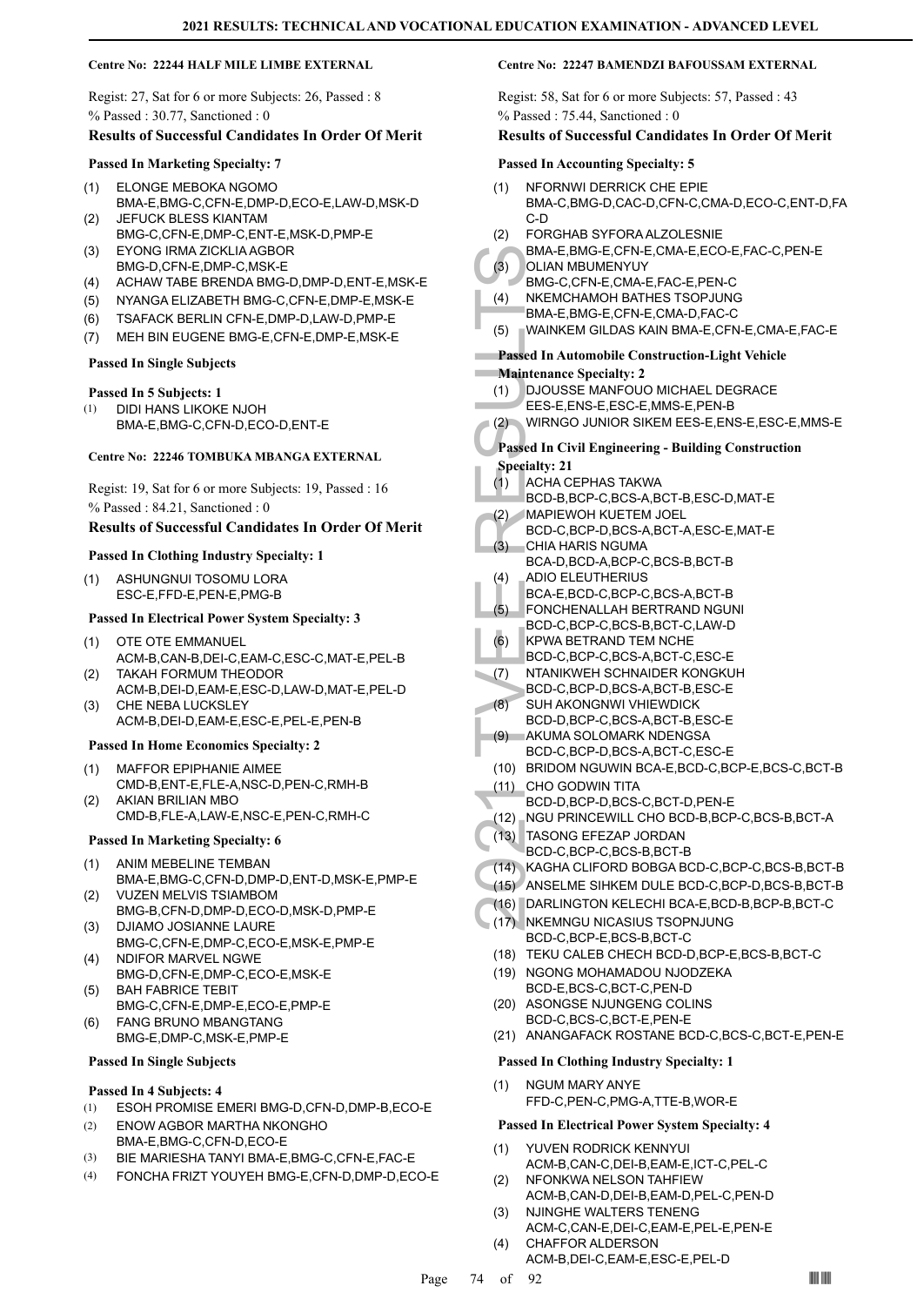#### **Centre No: 22244 HALF MILE LIMBE EXTERNAL**

Regist: 27, Sat for 6 or more Subjects: 26, Passed : 8 % Passed : 30.77, Sanctioned : 0

#### **Results of Successful Candidates In Order Of Merit**

#### **Passed In Marketing Specialty: 7**

- ELONGE MEBOKA NGOMO BMA-E,BMG-C,CFN-E,DMP-D,ECO-E,LAW-D,MSK-D (1) JEFUCK BLESS KIANTAM
- BMG-C,CFN-E,DMP-C,ENT-E,MSK-D,PMP-E (2) EYONG IRMA ZICKLIA AGBOR (3)
- BMG-D,CFN-E,DMP-C,MSK-E
- (4) ACHAW TABE BRENDA BMG-D,DMP-D,ENT-E,MSK-E
- (5) NYANGA ELIZABETH BMG-C,CFN-E,DMP-E,MSK-E
- (6) TSAFACK BERLIN CFN-E,DMP-D,LAW-D,PMP-E
- (7) MEH BIN EUGENE BMG-E,CFN-E,DMP-E,MSK-E

#### **Passed In Single Subjects**

## **Passed In 5 Subjects: 1**

DIDI HANS LIKOKE NJOH BMA-E,BMG-C,CFN-D,ECO-D,ENT-E (1)

#### **Centre No: 22246 TOMBUKA MBANGA EXTERNAL**

Regist: 19, Sat for 6 or more Subjects: 19, Passed : 16 % Passed : 84.21, Sanctioned : 0

## **Results of Successful Candidates In Order Of Merit**

#### **Passed In Clothing Industry Specialty: 1**

ASHUNGNUI TOSOMU LORA ESC-E,FFD-E,PEN-E,PMG-B (1)

#### **Passed In Electrical Power System Specialty: 3**

- OTE OTE EMMANUEL ACM-B,CAN-B,DEI-C,EAM-C,ESC-C,MAT-E,PEL-B (1) TAKAH FORMUM THEODOR (2)
- ACM-B,DEI-D,EAM-E,ESC-D,LAW-D,MAT-E,PEL-D CHE NEBA LUCKSLEY (3)
- ACM-B,DEI-D,EAM-E,ESC-E,PEL-E,PEN-B

#### **Passed In Home Economics Specialty: 2**

- MAFFOR EPIPHANIE AIMEE CMD-B,ENT-E,FLE-A,NSC-D,PEN-C,RMH-B (1)
- AKIAN BRILIAN MBO CMD-B,FLE-A,LAW-E,NSC-E,PEN-C,RMH-C (2)

#### **Passed In Marketing Specialty: 6**

- ANIM MEBELINE TEMBAN BMA-E,BMG-C,CFN-D,DMP-D,ENT-D,MSK-E,PMP-E (1)
- VUZEN MELVIS TSIAMBOM BMG-B,CFN-D,DMP-D,ECO-D,MSK-D,PMP-E (2) DJIAMO JOSIANNE LAURE (3)
- BMG-C,CFN-E,DMP-C,ECO-E,MSK-E,PMP-E NDIFOR MARVEL NGWE (4)
- BMG-D,CFN-E,DMP-C,ECO-E,MSK-E BAH FABRICE TEBIT (5)
- BMG-C,CFN-E,DMP-E,ECO-E,PMP-E
- FANG BRUNO MBANGTANG BMG-E,DMP-C,MSK-E,PMP-E (6)

#### **Passed In Single Subjects**

#### **Passed In 4 Subjects: 4**

- (1) ESOH PROMISE EMERI BMG-D,CFN-D,DMP-B,ECO-E
- ENOW AGBOR MARTHA NKONGHO BMA-E,BMG-C,CFN-D,ECO-E (2)
- (3) BIE MARIESHA TANYI BMA-E,BMG-C,CFN-E,FAC-E
- (4) FONCHA FRIZT YOUYEH BMG-E,CFN-D,DMP-D,ECO-E

#### **Centre No: 22247 BAMENDZI BAFOUSSAM EXTERNAL**

Regist: 58, Sat for 6 or more Subjects: 57, Passed : 43 % Passed : 75.44, Sanctioned : 0

#### **Results of Successful Candidates In Order Of Merit**

#### **Passed In Accounting Specialty: 5**

- NFORNWI DERRICK CHE EPIE BMA-C,BMG-D,CAC-D,CFN-C,CMA-D,ECO-C,ENT-D,FA C-D (1)
- FORGHAB SYFORA ALZOLESNIE (2)
- BMA-E,BMG-E,CFN-E,CMA-E,ECO-E,FAC-C,PEN-E OLIAN MBUMENYUY (3)
- BMG-C,CFN-E,CMA-E,FAC-E,PEN-C
- NKEMCHAMOH BATHES TSOPJUNG (4)
- BMA-E,BMG-E,CFN-E,CMA-D,FAC-C
- (5) WAINKEM GILDAS KAIN BMA-E,CFN-E,CMA-E,FAC-E

# **Passed In Automobile Construction-Light Vehicle**

- **Maintenance Specialty: 2**
- DJOUSSE MANFOUO MICHAEL DEGRACE (1)
- EES-E,ENS-E,ESC-E,MMS-E,PEN-B
- (2) WIRNGO JUNIOR SIKEM EES-E,ENS-E,ESC-E,MMS-E

#### **Passed In Civil Engineering - Building Construction Specialty: 21**

- ACHA CEPHAS TAKWA (1)
- BCD-B,BCP-C,BCS-A,BCT-B,ESC-D,MAT-E
- MAPIEWOH KUETEM JOEL (2)
- BCD-C,BCP-D,BCS-A,BCT-A,ESC-E,MAT-E CHIA HARIS NGUMA (3)
- BCA-D,BCD-A,BCP-C,BCS-B,BCT-B
- ADIO ELEUTHERIUS (4)
- BCA-E,BCD-C,BCP-C,BCS-A,BCT-B
- FONCHENALLAH BERTRAND NGUNI (5)
- BCD-C,BCP-C,BCS-B,BCT-C,LAW-D
- KPWA BETRAND TEM NCHE (6)
- BCD-C,BCP-C,BCS-A,BCT-C,ESC-E NTANIKWEH SCHNAIDER KONGKUH (7)
- BCD-C,BCP-D,BCS-A,BCT-B,ESC-E
- (3) BMA-E,<br>
(3) OLIAN P<br>
BMA-E,<br>
(6) NKEMC<br>
BMA-E,<br>
(5) WAINKE<br>
Passed In Au<br>
Maintenance<br>
(1) DJOUS<br>
EES-E,<br>
(2) WIRNG<br>
EES-E,<br>
(2) WIRNG<br>
EES-E,<br>
(2) WIRNG<br>
EES-E,<br>
(2) WIRNG<br>
EES-E,<br>
WIRNG<br>
EES-E,<br>
WIRNG<br>
EES-E,<br>
WIRNG<br> SUH AKONGNWI VHIEWDICK BCD-D,BCP-C,BCS-A,BCT-B,ESC-E (8)
- AKUMA SOLOMARK NDENGSA (9)
	- BCD-C,BCP-D,BCS-A,BCT-C,ESC-E
	- (10) BRIDOM NGUWIN BCA-E,BCD-C,BCP-E,BCS-C,BCT-B
- CHO GODWIN TITA (11) BCD-D,BCP-D,BCS-C,BCT-D,PEN-E
- (12) NGU PRINCEWILL CHO BCD-B, BCP-C, BCS-B, BCT-A
- TASONG EFEZAP JORDAN  $(13)$
- BCD-C,BCP-C,BCS-B,BCT-B
- (14) KAGHA CLIFORD BOBGA BCD-C,BCP-C,BCS-B,BCT-B
- (15) ANSELME SIHKEM DULE BCD-C,BCP-D,BCS-B,BCT-B
- (16) DARLINGTON KELECHI BCA-E,BCD-B,BCP-B,BCT-C
- (17) NKEMNGU NICASIUS TSOPNJUNG BCD-C,BCP-E,BCS-B,BCT-C
- (18) TEKU CALEB CHECH BCD-D,BCP-E,BCS-B,BCT-C
- (19) NGONG MOHAMADOU NJODZEKA BCD-E,BCS-C,BCT-C,PEN-D
- (20) ASONGSE NJUNGENG COLINS BCD-C,BCS-C,BCT-E,PEN-E
- (21) ANANGAFACK ROSTANE BCD-C,BCS-C,BCT-E,PEN-E

#### **Passed In Clothing Industry Specialty: 1**

NGUM MARY ANYE FFD-C,PEN-C,PMG-A,TTE-B,WOR-E (1)

#### **Passed In Electrical Power System Specialty: 4**

- YUVEN RODRICK KENNYUI ACM-B,CAN-C,DEI-B,EAM-E,ICT-C,PEL-C (1)
- NFONKWA NELSON TAHFIEW ACM-B,CAN-D,DEI-B,EAM-D,PEL-C,PEN-D (2)
- NJINGHE WALTERS TENENG ACM-C,CAN-E,DEI-C,EAM-E,PEL-E,PEN-E (3) CHAFFOR ALDERSON (4)
	- ACM-B,DEI-C,EAM-E,ESC-E,PEL-D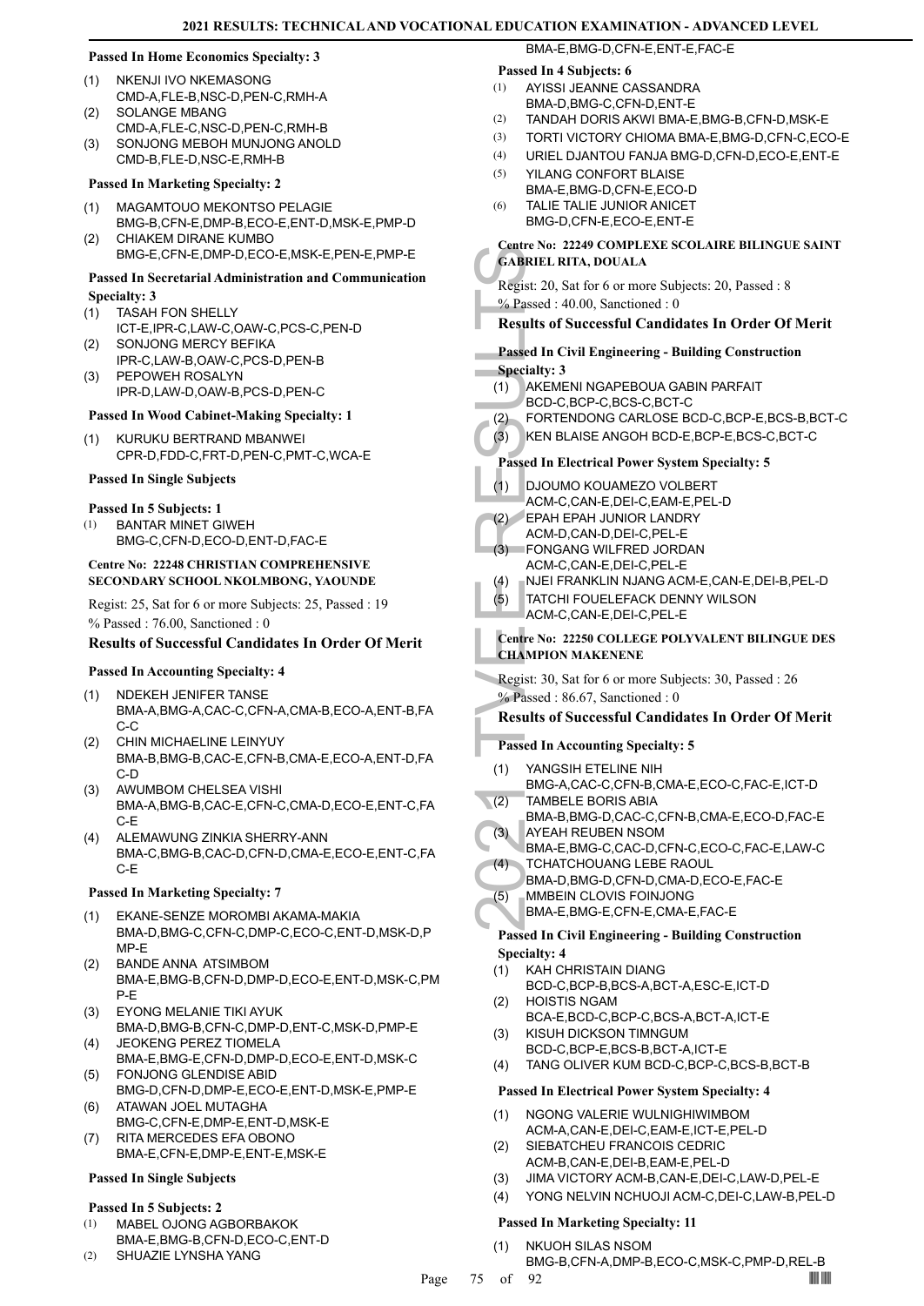#### **Passed In Home Economics Specialty: 3**

- NKENJI IVO NKEMASONG CMD-A,FLE-B,NSC-D,PEN-C,RMH-A (1)
- SOLANGE MBANG CMD-A,FLE-C,NSC-D,PEN-C,RMH-B  $(2)$
- SONJONG MEBOH MUNJONG ANOLD CMD-B,FLE-D,NSC-E,RMH-B (3)

#### **Passed In Marketing Specialty: 2**

- MAGAMTOUO MEKONTSO PELAGIE (1)
- BMG-B,CFN-E,DMP-B,ECO-E,ENT-D,MSK-E,PMP-D CHIAKEM DIRANE KUMBO (2)
	- BMG-E,CFN-E,DMP-D,ECO-E,MSK-E,PEN-E,PMP-E

#### **Passed In Secretarial Administration and Communication Specialty: 3**

- TASAH FON SHELLY ICT-E,IPR-C,LAW-C,OAW-C,PCS-C,PEN-D (1)
- SONJONG MERCY BEFIKA IPR-C,LAW-B,OAW-C,PCS-D,PEN-B (2)
- PEPOWEH ROSALYN IPR-D,LAW-D,OAW-B,PCS-D,PEN-C (3)

#### **Passed In Wood Cabinet-Making Specialty: 1**

KURUKU BERTRAND MBANWEI CPR-D,FDD-C,FRT-D,PEN-C,PMT-C,WCA-E (1)

#### **Passed In Single Subjects**

## **Passed In 5 Subjects: 1**

BANTAR MINET GIWEH BMG-C,CFN-D,ECO-D,ENT-D,FAC-E (1)

#### **Centre No: 22248 CHRISTIAN COMPREHENSIVE SECONDARY SCHOOL NKOLMBONG, YAOUNDE**

Regist: 25, Sat for 6 or more Subjects: 25, Passed : 19 % Passed : 76.00, Sanctioned : 0

## **Results of Successful Candidates In Order Of Merit**

#### **Passed In Accounting Specialty: 4**

- NDEKEH JENIFER TANSE BMA-A,BMG-A,CAC-C,CFN-A,CMA-B,ECO-A,ENT-B,FA C-C (1)
- CHIN MICHAELINE LEINYUY BMA-B,BMG-B,CAC-E,CFN-B,CMA-E,ECO-A,ENT-D,FA C-D (2)
- AWUMBOM CHELSEA VISHI BMA-A,BMG-B,CAC-E,CFN-C,CMA-D,ECO-E,ENT-C,FA C-E (3)
- ALEMAWUNG ZINKIA SHERRY-ANN BMA-C,BMG-B,CAC-D,CFN-D,CMA-E,ECO-E,ENT-C,FA C-E (4)

#### **Passed In Marketing Specialty: 7**

- EKANE-SENZE MOROMBI AKAMA-MAKIA BMA-D,BMG-C,CFN-C,DMP-C,ECO-C,ENT-D,MSK-D,P MP-E (1)
- BANDE ANNA ATSIMBOM BMA-E,BMG-B,CFN-D,DMP-D,ECO-E,ENT-D,MSK-C,PM P-E (2)
- EYONG MELANIE TIKI AYUK (3) BMA-D,BMG-B,CFN-C,DMP-D,ENT-C,MSK-D,PMP-E JEOKENG PEREZ TIOMELA
- BMA-E,BMG-E,CFN-D,DMP-D,ECO-E,ENT-D,MSK-C (4) FONJONG GLENDISE ABID (5)
- BMG-D,CFN-D,DMP-E,ECO-E,ENT-D,MSK-E,PMP-E ATAWAN JOEL MUTAGHA (6)
- BMG-C,CFN-E,DMP-E,ENT-D,MSK-E RITA MERCEDES EFA OBONO (7)
- BMA-E,CFN-E,DMP-E,ENT-E,MSK-E

## **Passed In Single Subjects**

#### **Passed In 5 Subjects: 2**

- MABEL OJONG AGBORBAKOK BMA-E,BMG-B,CFN-D,ECO-C,ENT-D (1)
- (2) SHUAZIE LYNSHA YANG

# **Passed In 4 Subjects: 6**

AYISSI JEANNE CASSANDRA BMA-D,BMG-C,CFN-D,ENT-E (1)

BMA-E,BMG-D,CFN-E,ENT-E,FAC-E

- (2) TANDAH DORIS AKWI BMA-E,BMG-B,CFN-D,MSK-E
- (3) TORTI VICTORY CHIOMA BMA-E,BMG-D,CFN-C,ECO-E
- (4) URIEL DJANTOU FANJA BMG-D,CFN-D,ECO-E,ENT-E
- YILANG CONFORT BLAISE BMA-E,BMG-D,CFN-E,ECO-D (5)
- TALIE TALIE JUNIOR ANICET BMG-D,CFN-E,ECO-E,ENT-E (6)

#### **Centre No: 22249 COMPLEXE SCOLAIRE BILINGUE SAINT GABRIEL RITA, DOUALA**

Regist: 20, Sat for 6 or more Subjects: 20, Passed : 8 % Passed : 40.00, Sanctioned : 0

## **Results of Successful Candidates In Order Of Merit**

- **Passed In Civil Engineering Building Construction Specialty: 3**
- AKEMENI NGAPEBOUA GABIN PARFAIT (1)
- BCD-C,BCP-C,BCS-C,BCT-C
- (2) FORTENDONG CARLOSE BCD-C,BCP-E,BCS-B,BCT-C
- (3) KEN BLAISE ANGOH BCD-E,BCP-E,BCS-C,BCT-C

## **Passed In Electrical Power System Specialty: 5**

- DJOUMO KOUAMEZO VOLBERT (1)
	- ACM-C,CAN-E,DEI-C,EAM-E,PEL-D
- EPAH EPAH JUNIOR LANDRY (2)
- ACM-D,CAN-D,DEI-C,PEL-E FONGANG WILFRED JORDAN (3)
- ACM-C,CAN-E,DEI-C,PEL-E
- (4) NJEI FRANKLIN NJANG ACM-E, CAN-E, DEI-B, PEL-D
- TATCHI FOUELEFACK DENNY WILSON (5)
- ACM-C,CAN-E,DEI-C,PEL-E

#### **Centre No: 22250 COLLEGE POLYVALENT BILINGUE DES CHAMPION MAKENENE**

Regist: 30, Sat for 6 or more Subjects: 30, Passed : 26 % Passed : 86.67, Sanctioned : 0

#### **Results of Successful Candidates In Order Of Merit**

#### **Passed In Accounting Specialty: 5**

- CABRIEL RI<br>
Regist: 20, S.<br>
S. Passed : 44<br>
Results of S<br>
Passed In Ci<br>
Specialty: 3<br>
(1) AKEME<br>
BCD-C,<br>
(2) FORTEI<br>
(3) KEN BL<br>
Passed In El<br>
(1) DJOUM<br>
ACM-C,<br>
EPAHE<br>
ACM-C,<br>
(3) FONGA ACM-C,<br>
(4) NJEI FF<br>
TATCHI<br>
ACM-C, YANGSIH ETELINE NIH BMG-A,CAC-C,CFN-B,CMA-E,ECO-C,FAC-E,ICT-D (1) TAMBELE BORIS ABIA  $\overline{\mathcal{L}}(2)$ 
	- BMA-B,BMG-D,CAC-C,CFN-B,CMA-E,ECO-D,FAC-E AYEAH REUBEN NSOM (3)
	- BMA-E,BMG-C,CAC-D,CFN-C,ECO-C,FAC-E,LAW-C (4)
		- TCHATCHOUANG LEBE RAOUL BMA-D,BMG-D,CFN-D,CMA-D,ECO-E,FAC-E
	- MMBEIN CLOVIS FOINJONG (5)
		- BMA-E,BMG-E,CFN-E,CMA-E,FAC-E

#### **Passed In Civil Engineering - Building Construction Specialty: 4**

- KAH CHRISTAIN DIANG (1)
- BCD-C,BCP-B,BCS-A,BCT-A,ESC-E,ICT-D HOISTIS NGAM (2)
- BCA-E,BCD-C,BCP-C,BCS-A,BCT-A,ICT-E KISUH DICKSON TIMNGUM (3)
- BCD-C,BCP-E,BCS-B,BCT-A,ICT-E
- (4) TANG OLIVER KUM BCD-C,BCP-C,BCS-B,BCT-B

#### **Passed In Electrical Power System Specialty: 4**

- NGONG VALERIE WULNIGHIWIMBOM ACM-A,CAN-E,DEI-C,EAM-E,ICT-E,PEL-D (1)
- SIEBATCHEU FRANCOIS CEDRIC ACM-B,CAN-E,DEI-B,EAM-E,PEL-D (2)
- (3) JIMA VICTORY ACM-B,CAN-E,DEI-C,LAW-D,PEL-E
- (4) YONG NELVIN NCHUOJI ACM-C,DEI-C,LAW-B,PEL-D

#### **Passed In Marketing Specialty: 11**

NKUOH SILAS NSOM (1)

## BMG-B,CFN-A,DMP-B,ECO-C,MSK-C,PMP-D,REL-B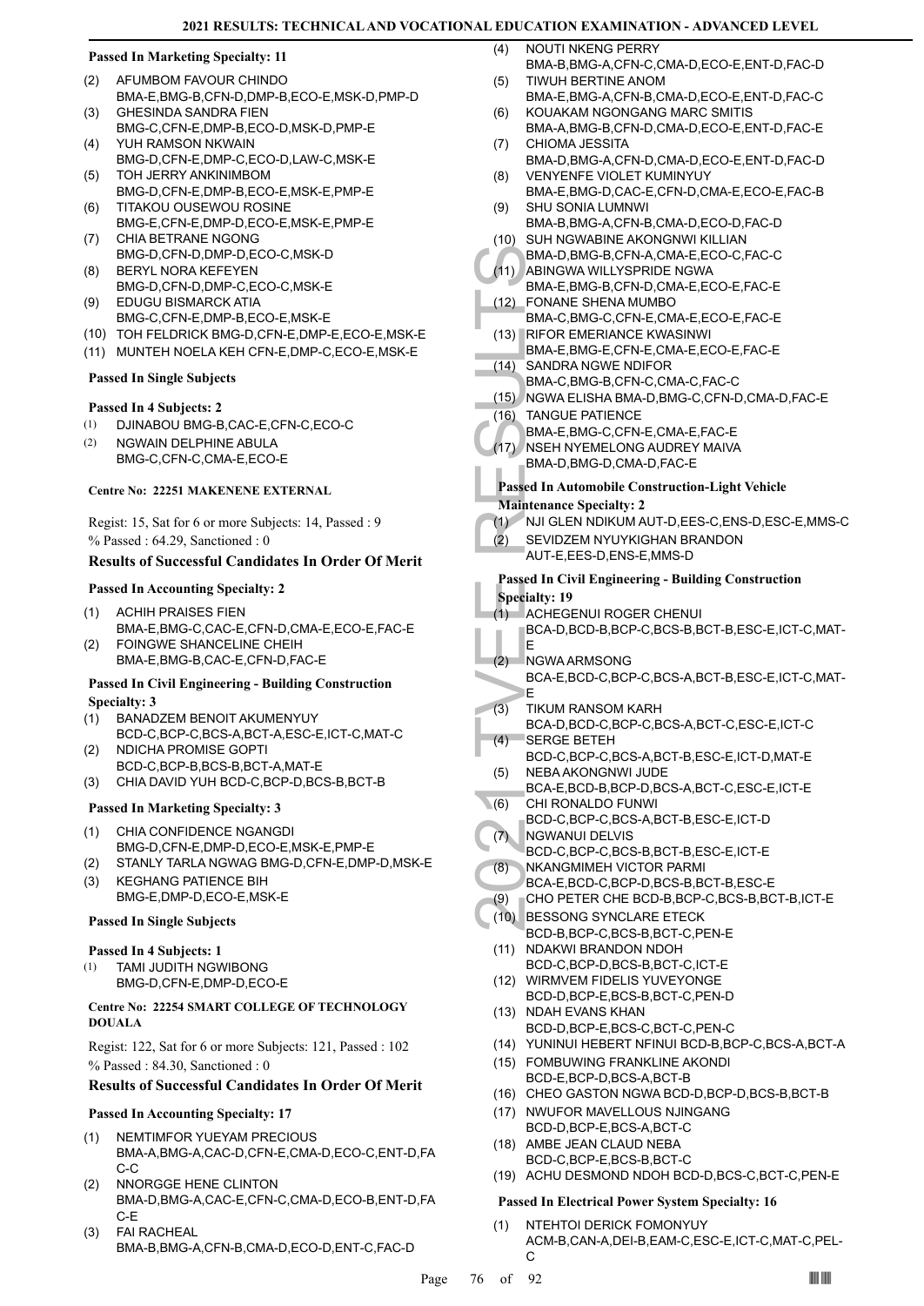#### **Passed In Marketing Specialty: 11**

- AFUMBOM FAVOUR CHINDO (2)
- BMA-E,BMG-B,CFN-D,DMP-B,ECO-E,MSK-D,PMP-D GHESINDA SANDRA FIEN (3)
- BMG-C,CFN-E,DMP-B,ECO-D,MSK-D,PMP-E YUH RAMSON NKWAIN (4)
- BMG-D,CFN-E,DMP-C,ECO-D,LAW-C,MSK-E TOH JERRY ANKINIMBOM (5)
- BMG-D,CFN-E,DMP-B,ECO-E,MSK-E,PMP-E TITAKOU OUSEWOU ROSINE (6)
- BMG-E,CFN-E,DMP-D,ECO-E,MSK-E,PMP-E CHIA BETRANE NGONG (7)
- BMG-D,CFN-D,DMP-D,ECO-C,MSK-D BERYL NORA KEFEYEN (8)
- BMG-D,CFN-D,DMP-C,ECO-C,MSK-E EDUGU BISMARCK ATIA (9)
- BMG-C,CFN-E,DMP-B,ECO-E,MSK-E
- (10) TOH FELDRICK BMG-D,CFN-E,DMP-E,ECO-E,MSK-E
- (11) MUNTEH NOELA KEH CFN-E,DMP-C,ECO-E,MSK-E

#### **Passed In Single Subjects**

## **Passed In 4 Subjects: 2**

- (1) DJINABOU BMG-B,CAC-E,CFN-C,ECO-C
- NGWAIN DELPHINE ABULA (2)
- BMG-C,CFN-C,CMA-E,ECO-E

## **Centre No: 22251 MAKENENE EXTERNAL**

Regist: 15, Sat for 6 or more Subjects: 14, Passed : 9 % Passed : 64.29, Sanctioned : 0

## **Results of Successful Candidates In Order Of Merit**

## **Passed In Accounting Specialty: 2**

- ACHIH PRAISES FIEN BMA-E,BMG-C,CAC-E,CFN-D,CMA-E,ECO-E,FAC-E (1)
- FOINGWE SHANCELINE CHEIH BMA-E,BMG-B,CAC-E,CFN-D,FAC-E (2)

#### **Passed In Civil Engineering - Building Construction Specialty: 3**

- BANADZEM BENOIT AKUMENYUY BCD-C,BCP-C,BCS-A,BCT-A,ESC-E,ICT-C,MAT-C (1)
- NDICHA PROMISE GOPTI (2)
- BCD-C,BCP-B,BCS-B,BCT-A,MAT-E (3) CHIA DAVID YUH BCD-C,BCP-D,BCS-B,BCT-B

## **Passed In Marketing Specialty: 3**

- CHIA CONFIDENCE NGANGDI BMG-D,CFN-E,DMP-D,ECO-E,MSK-E,PMP-E (1)
- (2) STANLY TARLA NGWAG BMG-D,CFN-E,DMP-D,MSK-E KEGHANG PATIENCE BIH (3)
- BMG-E,DMP-D,ECO-E,MSK-E

# **Passed In Single Subjects**

# **Passed In 4 Subjects: 1**

TAMI JUDITH NGWIBONG BMG-D,CFN-E,DMP-D,ECO-E (1)

#### **Centre No: 22254 SMART COLLEGE OF TECHNOLOGY DOUALA**

Regist: 122, Sat for 6 or more Subjects: 121, Passed : 102 % Passed : 84.30, Sanctioned : 0

## **Results of Successful Candidates In Order Of Merit**

## **Passed In Accounting Specialty: 17**

- NEMTIMFOR YUEYAM PRECIOUS (1)
- BMA-A,BMG-A,CAC-D,CFN-E,CMA-D,ECO-C,ENT-D,FA C-C
- NNORGGE HENE CLINTON BMA-D,BMG-A,CAC-E,CFN-C,CMA-D,ECO-B,ENT-D,FA C-E (2)
- FAI RACHEAL BMA-B,BMG-A,CFN-B,CMA-D,ECO-D,ENT-C,FAC-D (3)
- NOUTI NKENG PERRY BMA-B,BMG-A,CFN-C,CMA-D,ECO-E,ENT-D,FAC-D  $(4)$
- TIWUH BERTINE ANOM BMA-E,BMG-A,CFN-B,CMA-D,ECO-E,ENT-D,FAC-C (5)
- KOUAKAM NGONGANG MARC SMITIS BMA-A,BMG-B,CFN-D,CMA-D,ECO-E,ENT-D,FAC-E (6)
- CHIOMA JESSITA (7)
- BMA-D,BMG-A,CFN-D,CMA-D,ECO-E,ENT-D,FAC-D VENYENFE VIOLET KUMINYUY (8)
- BMA-E,BMG-D,CAC-E,CFN-D,CMA-E,ECO-E,FAC-B SHU SONIA LUMNWI (9)
- BMA-B,BMG-A,CFN-B,CMA-D,ECO-D,FAC-D (10) SUH NGWABINE AKONGNWI KILLIAN
- BMA-D,BMG-B,CFN-A,CMA-E,ECO-C,FAC-C ABINGWA WILLYSPRIDE NGWA  $(11)$
- BMA-E,BMG-B,CFN-D,CMA-E,ECO-E,FAC-E
- FONANE SHENA MUMBO BMA-C,BMG-C,CFN-E,CMA-E,ECO-E,FAC-E (12) RIFOR EMERIANCE KWASINWI (13)
- BMA-E,BMG-E,CFN-E,CMA-E,ECO-E,FAC-E
- SANDRA NGWE NDIFOR  $(14)$
- BMA-C,BMG-B,CFN-C,CMA-C,FAC-C (15) NGWA ELISHA BMA-D,BMG-C,CFN-D,CMA-D,FAC-E
- TANGUE PATIENCE (16)
- BMA-E,BMG-C,CFN-E,CMA-E,FAC-E
- (17) NSEH NYEMELONG AUDREY MAIVA
	- BMA-D,BMG-D,CMA-D,FAC-E

# **Passed In Automobile Construction-Light Vehicle**

- **Maintenance Specialty: 2**
- (1) NJI GLEN NDIKUM AUT-D,EES-C,ENS-D,ESC-E,MMS-C
- SEVIDZEM NYUYKIGHAN BRANDON AUT-E,EES-D,ENS-E,MMS-D  $(2)$

# BMA-D,<br>
BMA-D,<br>
BMA-E,<br>
EMA-C,<br>
BMA-E,<br>
EMA-C,<br>
BMA-C,<br>
BMA-C,<br>
BMA-C,<br>
BMA-C,<br>
BMA-C,<br>
BMA-C,<br>
BMA-C,<br>
BMA-C,<br>
BMA-C,<br>
BMA-C,<br>
BMA-C,<br>
BMA-C,<br>
BMA-C,<br>
BMA-C,<br>
BMA-C,<br>
BMA-D,<br>
BMA-D,<br>
BMA-D,<br>
BMA-D,<br>
BMA-D,<br>
BMA-D,<br>
BMA-D, **Passed In Civil Engineering - Building Construction Specialty: 19**

- ACHEGENUI ROGER CHENUI (1)
- BCA-D,BCD-B,BCP-C,BCS-B,BCT-B,ESC-E,ICT-C,MAT-E
- NGWA ARMSONG (2)
- BCA-E,BCD-C,BCP-C,BCS-A,BCT-B,ESC-E,ICT-C,MAT-E
- TIKUM RANSOM KARH (3)
- BCA-D,BCD-C,BCP-C,BCS-A,BCT-C,ESC-E,ICT-C SERGE BETEH  $(4)$
- BCD-C,BCP-C,BCS-A,BCT-B,ESC-E,ICT-D,MAT-E NEBA AKONGNWI JUDE (5)
- BCA-E,BCD-B,BCP-D,BCS-A,BCT-C,ESC-E,ICT-E CHI RONALDO FUNWI  $(6)$ 
	- BCD-C,BCP-C,BCS-A,BCT-B,ESC-E,ICT-D
- NGWANUI DELVIS (7)
	- BCD-C,BCP-C,BCS-B,BCT-B,ESC-E,ICT-E
- NKANGMIMEH VICTOR PARMI (8)
- BCA-E,BCD-C,BCP-D,BCS-B,BCT-B,ESC-E (9) CHO PETER CHE BCD-B,BCP-C,BCS-B,BCT-B,ICT-E
- BESSONG SYNCLARE ETECK (10)
	- BCD-B,BCP-C,BCS-B,BCT-C,PEN-E
- (11) NDAKWI BRANDON NDOH BCD-C,BCP-D,BCS-B,BCT-C,ICT-E
- (12) WIRMVEM FIDELIS YUVEYONGE BCD-D,BCP-E,BCS-B,BCT-C,PEN-D
- (13) NDAH EVANS KHAN BCD-D,BCP-E,BCS-C,BCT-C,PEN-C
- (14) YUNINUI HEBERT NFINUI BCD-B,BCP-C,BCS-A,BCT-A
- FOMBUWING FRANKLINE AKONDI (15) BCD-E,BCP-D,BCS-A,BCT-B
- (16) CHEO GASTON NGWA BCD-D,BCP-D,BCS-B,BCT-B
- (17) NWUFOR MAVELLOUS NJINGANG BCD-D,BCP-E,BCS-A,BCT-C
- (18) AMBE JEAN CLAUD NEBA BCD-C,BCP-E,BCS-B,BCT-C
- (19) ACHU DESMOND NDOH BCD-D,BCS-C,BCT-C,PEN-E

## **Passed In Electrical Power System Specialty: 16**

NTEHTOI DERICK FOMONYUY ACM-B,CAN-A,DEI-B,EAM-C,ESC-E,ICT-C,MAT-C,PEL- $\mathcal{C}$ (1)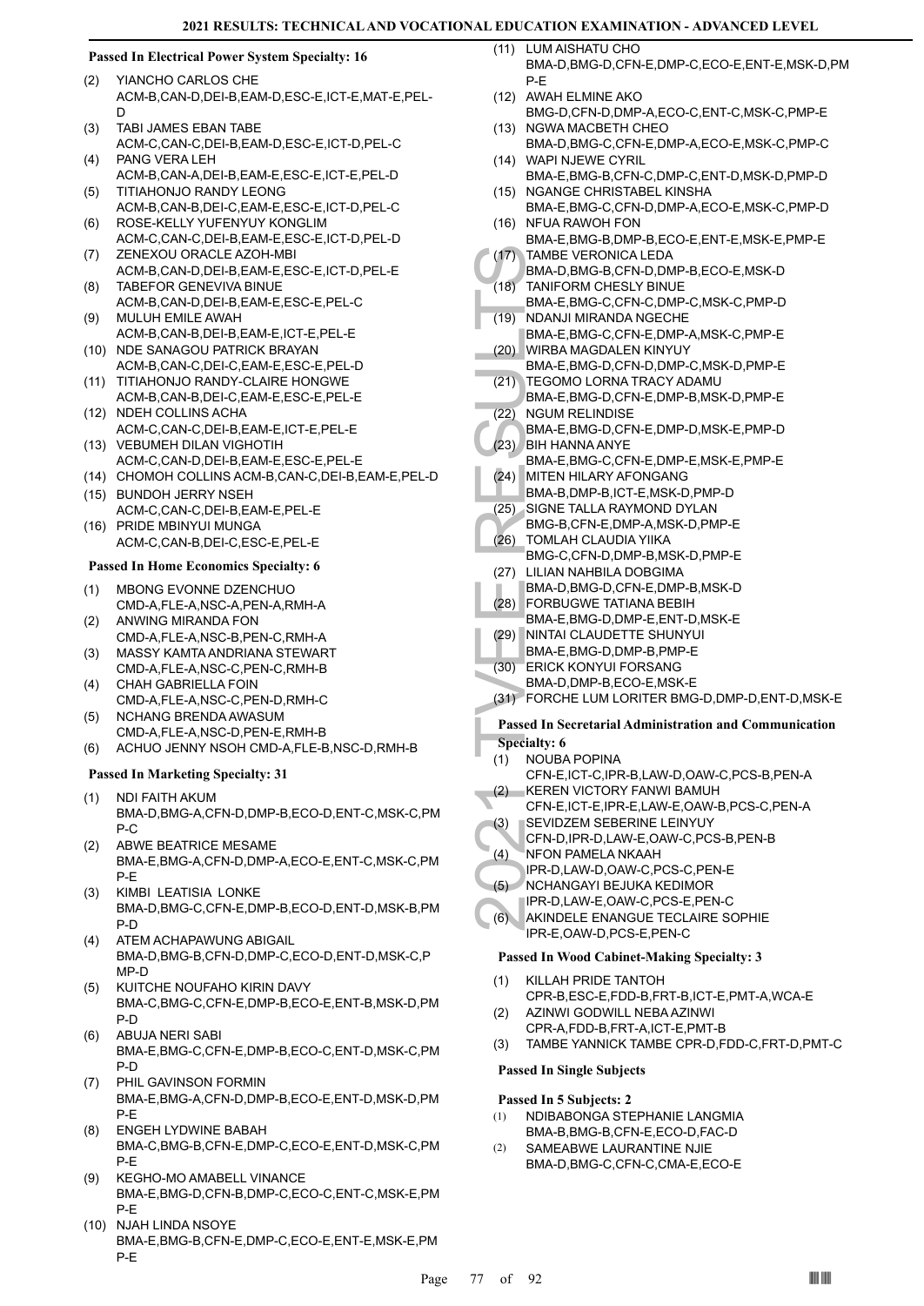## **Passed In Electrical Power System Specialty: 16**

- YIANCHO CARLOS CHE ACM-B,CAN-D,DEI-B,EAM-D,ESC-E,ICT-E,MAT-E,PEL-D (2)
- TABI JAMES EBAN TABE ACM-C,CAN-C,DEI-B,EAM-D,ESC-E,ICT-D,PEL-C (3)
- PANG VERA LEH ACM-B,CAN-A,DEI-B,EAM-E,ESC-E,ICT-E,PEL-D (4)
- TITIAHONJO RANDY LEONG ACM-B,CAN-B,DEI-C,EAM-E,ESC-E,ICT-D,PEL-C (5)
- ROSE-KELLY YUFENYUY KONGLIM ACM-C,CAN-C,DEI-B,EAM-E,ESC-E,ICT-D,PEL-D (6)
- ZENEXOU ORACLE AZOH-MBI ACM-B,CAN-D,DEI-B,EAM-E,ESC-E,ICT-D,PEL-E (7) TABEFOR GENEVIVA BINUE (8)
- ACM-B,CAN-D,DEI-B,EAM-E,ESC-E,PEL-C MULUH EMILE AWAH (9)
- ACM-B,CAN-B,DEI-B,EAM-E,ICT-E,PEL-E (10) NDE SANAGOU PATRICK BRAYAN
- ACM-B,CAN-C,DEI-C,EAM-E,ESC-E,PEL-D (11) TITIAHONJO RANDY-CLAIRE HONGWE
- ACM-B,CAN-B,DEI-C,EAM-E,ESC-E,PEL-E (12) NDEH COLLINS ACHA
- ACM-C,CAN-C,DEI-B,EAM-E,ICT-E,PEL-E (13) VEBUMEH DILAN VIGHOTIH
- ACM-C,CAN-D,DEI-B,EAM-E,ESC-E,PEL-E
- (14) CHOMOH COLLINS ACM-B,CAN-C,DEI-B,EAM-E,PEL-D
- BUNDOH JERRY NSEH (15) ACM-C,CAN-C,DEI-B,EAM-E,PEL-E
- (16) PRIDE MBINYUI MUNGA ACM-C,CAN-B,DEI-C,ESC-E,PEL-E

# **Passed In Home Economics Specialty: 6**

- MBONG EVONNE DZENCHUO CMD-A,FLE-A,NSC-A,PEN-A,RMH-A (1)
- ANWING MIRANDA FON CMD-A,FLE-A,NSC-B,PEN-C,RMH-A (2)
- MASSY KAMTA ANDRIANA STEWART CMD-A,FLE-A,NSC-C,PEN-C,RMH-B (3)
- CHAH GABRIELLA FOIN CMD-A,FLE-A,NSC-C,PEN-D,RMH-C (4)
- NCHANG BRENDA AWASUM CMD-A,FLE-A,NSC-D,PEN-E,RMH-B (5)
- (6) ACHUO JENNY NSOH CMD-A,FLE-B,NSC-D,RMH-B

#### **Passed In Marketing Specialty: 31**

- NDI FAITH AKUM BMA-D,BMG-A,CFN-D,DMP-B,ECO-D,ENT-C,MSK-C,PM P-C (1)
- ABWE BEATRICE MESAME BMA-E,BMG-A,CFN-D,DMP-A,ECO-E,ENT-C,MSK-C,PM P-E (2)
- KIMBI LEATISIA LONKE BMA-D,BMG-C,CFN-E,DMP-B,ECO-D,ENT-D,MSK-B,PM P-D (3)
- ATEM ACHAPAWUNG ABIGAIL BMA-D,BMG-B,CFN-D,DMP-C,ECO-D,ENT-D,MSK-C,P MP-D (4)
- KUITCHE NOUFAHO KIRIN DAVY BMA-C,BMG-C,CFN-E,DMP-B,ECO-E,ENT-B,MSK-D,PM P-D (5)
- ABUJA NERI SABI BMA-E,BMG-C,CFN-E,DMP-B,ECO-C,ENT-D,MSK-C,PM P-D (6)
- PHIL GAVINSON FORMIN BMA-E,BMG-A,CFN-D,DMP-B,ECO-E,ENT-D,MSK-D,PM P-E (7)
- ENGEH LYDWINE BABAH BMA-C,BMG-B,CFN-E,DMP-C,ECO-E,ENT-D,MSK-C,PM P-E (8)
- KEGHO-MO AMABELL VINANCE BMA-E,BMG-D,CFN-B,DMP-C,ECO-C,ENT-C,MSK-E,PM P-E (9)
- (10) NJAH LINDA NSOYE BMA-E,BMG-B,CFN-E,DMP-C,ECO-E,ENT-E,MSK-E,PM P-E
- LUM AISHATU CHO BMA-D,BMG-D,CFN-E,DMP-C,ECO-E,ENT-E,MSK-D,PM P-E  $(11)$
- (12) AWAH ELMINE AKO
- BMG-D,CFN-D,DMP-A,ECO-C,ENT-C,MSK-C,PMP-E (13) NGWA MACBETH CHEO
- BMA-D,BMG-C,CFN-E,DMP-A,ECO-E,MSK-C,PMP-C WAPI NJEWE CYRIL (14)
- BMA-E,BMG-B,CFN-C,DMP-C,ENT-D,MSK-D,PMP-D (15) NGANGE CHRISTABEL KINSHA
- BMA-E,BMG-C,CFN-D,DMP-A,ECO-E,MSK-C,PMP-D (16) NFUA RAWOH FON
- BMA-E,BMG-B,DMP-B,ECO-E,ENT-E,MSK-E,PMP-E TAMBE VERONICA LEDA  $(17)$
- BMA-D,BMG-B,CFN-D,DMP-B,ECO-E,MSK-D
- TANIFORM CHESLY BINUE  $(18)$
- BMA-E,BMG-C,CFN-C,DMP-C,MSK-C,PMP-D NDANJI MIRANDA NGECHE (19)
- BMA-E,BMG-C,CFN-E,DMP-A,MSK-C,PMP-E WIRBA MAGDALEN KINYUY (20)
- BMA-E,BMG-D,CFN-D,DMP-C,MSK-D,PMP-E TEGOMO LORNA TRACY ADAMU (21)
- (17) TAMBE<br>
BMA-D,<br>
BMA-D,<br>
BMA-E,<br>
(19) NDANJI<br>
BMA-E,<br>
(20) WIRBA<br>
BMA-E,<br>
(20) WIRBA<br>
BMA-E,<br>
C2) NGUM IBMA-E,<br>
C2) NGUM BMA-E,<br>
(23) BH HAT<br>
BMA-E,<br>
BMA-E,<br>
BMA-E,<br>
BMA-E,<br>
BMA-E,<br>
BMA-E,<br>
BMA-E,<br>
BMA-E,<br>
BMA-E,<br>
BMA-E BMA-E,BMG-D,CFN-E,DMP-B,MSK-D,PMP-E NGUM RELINDISE (22)
	- BMA-E,BMG-D,CFN-E,DMP-D,MSK-E,PMP-D
- BIH HANNA ANYE (23)
	- BMA-E,BMG-C,CFN-E,DMP-E,MSK-E,PMP-E MITEN HILARY AFONGANG (24)
	- BMA-B,DMP-B,ICT-E,MSK-D,PMP-D
- (25) SIGNE TALLA RAYMOND DYLAN
- BMG-B,CFN-E,DMP-A,MSK-D,PMP-E
- TOMLAH CLAUDIA YIIKA (26)
- BMG-C,CFN-D,DMP-B,MSK-D,PMP-E (27) LILIAN NAHBILA DOBGIMA
- BMA-D,BMG-D,CFN-E,DMP-B,MSK-D
- FORBUGWE TATIANA BEBIH (28) BMA-E,BMG-D,DMP-E,ENT-D,MSK-E
- NINTAI CLAUDETTE SHUNYUI (29)
- BMA-E,BMG-D,DMP-B,PMP-E
- (30) ERICK KONYUI FORSANG
- BMA-D,DMP-B,ECO-E,MSK-E
- (31) FORCHE LUM LORITER BMG-D,DMP-D,ENT-D,MSK-E

#### **Passed In Secretarial Administration and Communication**

- **Specialty: 6**
- NOUBA POPINA CFN-E,ICT-C,IPR-B,LAW-D,OAW-C,PCS-B,PEN-A (1)
- KEREN VICTORY FANWI BAMUH CFN-E,ICT-E,IPR-E,LAW-E,OAW-B,PCS-C,PEN-A (2)
- SEVIDZEM SEBERINE LEINYUY (3)
- CFN-D,IPR-D,LAW-E,OAW-C,PCS-B,PEN-B
- NFON PAMELA NKAAH (4)
- IPR-D,LAW-D,OAW-C,PCS-C,PEN-E
- NCHANGAYI BEJUKA KEDIMOR (5)
- IPR-D,LAW-E,OAW-C,PCS-E,PEN-C AKINDELE ENANGUE TECLAIRE SOPHIE (6)
- IPR-E,OAW-D,PCS-E,PEN-C

#### **Passed In Wood Cabinet-Making Specialty: 3**

- KILLAH PRIDE TANTOH CPR-B,ESC-E,FDD-B,FRT-B,ICT-E,PMT-A,WCA-E (1)
- AZINWI GODWILL NEBA AZINWI CPR-A,FDD-B,FRT-A,ICT-E,PMT-B (2)
- (3) TAMBE YANNICK TAMBE CPR-D,FDD-C,FRT-D,PMT-C

#### **Passed In Single Subjects**

#### **Passed In 5 Subjects: 2**

- NDIBABONGA STEPHANIE LANGMIA BMA-B,BMG-B,CFN-E,ECO-D,FAC-D (1)
- SAMEABWE LAURANTINE NJIE BMA-D,BMG-C,CFN-C,CMA-E,ECO-E (2)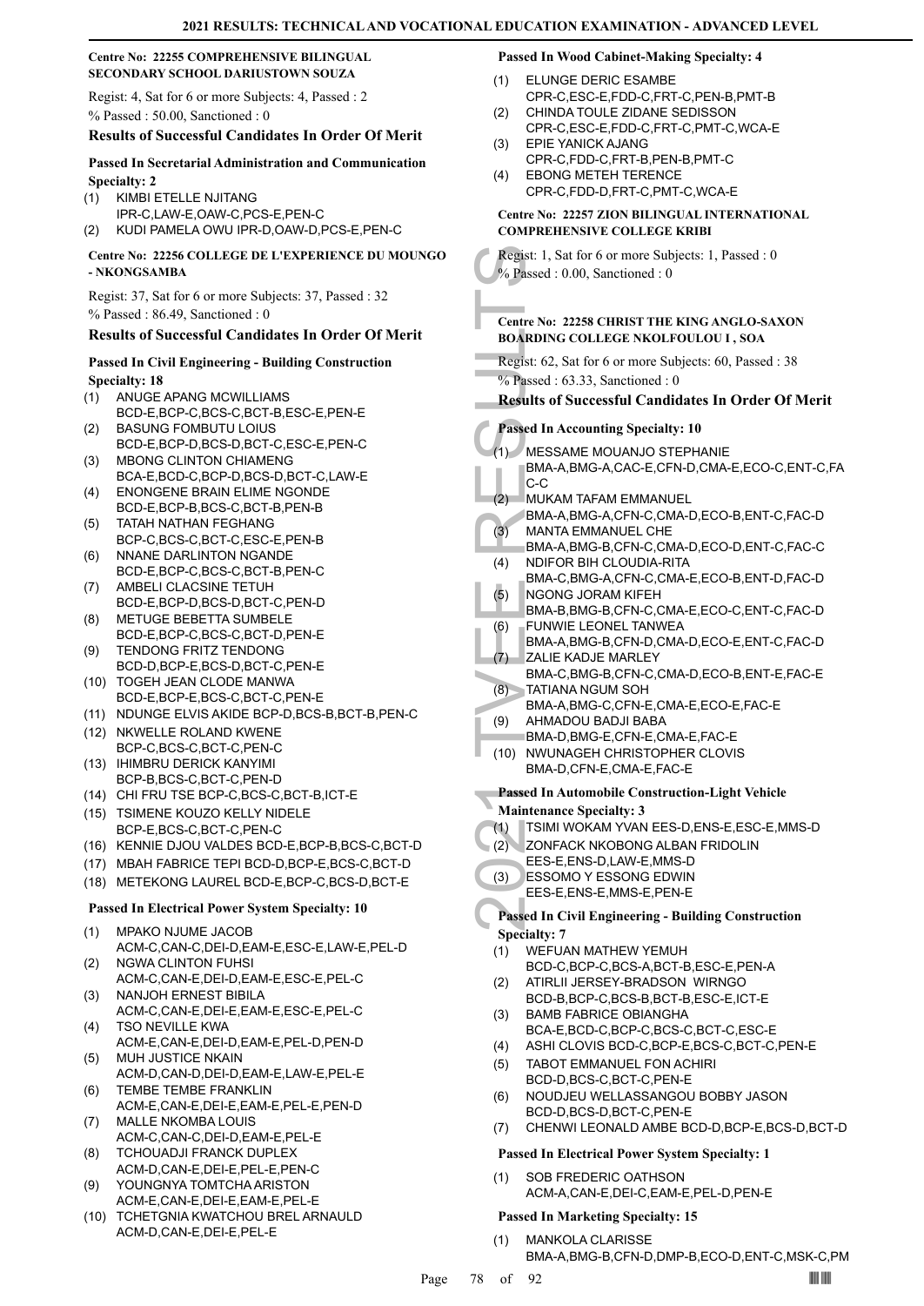#### **Centre No: 22255 COMPREHENSIVE BILINGUAL SECONDARY SCHOOL DARIUSTOWN SOUZA**

Regist: 4, Sat for 6 or more Subjects: 4, Passed : 2 % Passed : 50.00, Sanctioned : 0

#### **Results of Successful Candidates In Order Of Merit**

#### **Passed In Secretarial Administration and Communication Specialty: 2**

#### KIMBI ETELLE NJITANG (1)

- IPR-C,LAW-E,OAW-C,PCS-E,PEN-C
- (2) KUDI PAMELA OWU IPR-D,OAW-D,PCS-E,PEN-C

#### **Centre No: 22256 COLLEGE DE L'EXPERIENCE DU MOUNGO - NKONGSAMBA**

Regist: 37, Sat for 6 or more Subjects: 37, Passed : 32 % Passed : 86.49, Sanctioned : 0

## **Results of Successful Candidates In Order Of Merit**

## **Passed In Civil Engineering - Building Construction Specialty: 18**

- ANUGE APANG MCWILLIAMS (1)
- BCD-E,BCP-C,BCS-C,BCT-B,ESC-E,PEN-E BASUNG FOMBUTU LOIUS (2)
- BCD-E,BCP-D,BCS-D,BCT-C,ESC-E,PEN-C MBONG CLINTON CHIAMENG (3)
- BCA-E,BCD-C,BCP-D,BCS-D,BCT-C,LAW-E ENONGENE BRAIN ELIME NGONDE (4)
- BCD-E,BCP-B,BCS-C,BCT-B,PEN-B TATAH NATHAN FEGHANG (5)
- BCP-C,BCS-C,BCT-C,ESC-E,PEN-B NNANE DARLINTON NGANDE (6)
- BCD-E,BCP-C,BCS-C,BCT-B,PEN-C AMBELI CLACSINE TETUH (7)
- BCD-E,BCP-D,BCS-D,BCT-C,PEN-D METUGE BEBETTA SUMBELE (8)
- BCD-E,BCP-C,BCS-C,BCT-D,PEN-E
- TENDONG FRITZ TENDONG BCD-D,BCP-E,BCS-D,BCT-C,PEN-E (9)
- (10) TOGEH JEAN CLODE MANWA BCD-E,BCP-E,BCS-C,BCT-C,PEN-E
- (11) NDUNGE ELVIS AKIDE BCP-D,BCS-B,BCT-B,PEN-C
- (12) NKWELLE ROLAND KWENE BCP-C,BCS-C,BCT-C,PEN-C (13) IHIMBRU DERICK KANYIMI
- BCP-B,BCS-C,BCT-C,PEN-D
- (14) CHI FRU TSE BCP-C,BCS-C,BCT-B,ICT-E (15) TSIMENE KOUZO KELLY NIDELE
- BCP-E,BCS-C,BCT-C,PEN-C (16) KENNIE DJOU VALDES BCD-E,BCP-B,BCS-C,BCT-D
- (17) MBAH FABRICE TEPI BCD-D,BCP-E,BCS-C,BCT-D
- (18) METEKONG LAUREL BCD-E,BCP-C,BCS-D,BCT-E

## **Passed In Electrical Power System Specialty: 10**

- MPAKO NJUME JACOB ACM-C,CAN-C,DEI-D,EAM-E,ESC-E,LAW-E,PEL-D (1)
- NGWA CLINTON FUHSI ACM-C,CAN-E,DEI-D,EAM-E,ESC-E,PEL-C (2)
- (3) NANJOH ERNEST BIBILA ACM-C,CAN-E,DEI-E,EAM-E,ESC-E,PEL-C
- TSO NEVILLE KWA ACM-E,CAN-E,DEI-D,EAM-E,PEL-D,PEN-D (4)
- MUH JUSTICE NKAIN ACM-D,CAN-D,DEI-D,EAM-E,LAW-E,PEL-E (5)
- TEMBE TEMBE FRANKLIN (6) ACM-E,CAN-E,DEI-E,EAM-E,PEL-E,PEN-D MALLE NKOMBA LOUIS (7)
- ACM-C,CAN-C,DEI-D,EAM-E,PEL-E
- TCHOUADJI FRANCK DUPLEX ACM-D,CAN-E,DEI-E,PEL-E,PEN-C (8)
- YOUNGNYA TOMTCHA ARISTON ACM-E,CAN-E,DEI-E,EAM-E,PEL-E (9)
- (10) TCHETGNIA KWATCHOU BREL ARNAULD ACM-D,CAN-E,DEI-E,PEL-E

## **Passed In Wood Cabinet-Making Specialty: 4**

- ELUNGE DERIC ESAMBE CPR-C,ESC-E,FDD-C,FRT-C,PEN-B,PMT-B (1)
- CHINDA TOULE ZIDANE SEDISSON CPR-C,ESC-E,FDD-C,FRT-C,PMT-C,WCA-E  $(2)$
- EPIE YANICK AJANG CPR-C,FDD-C,FRT-B,PEN-B,PMT-C (3)
- EBONG METEH TERENCE CPR-C,FDD-D,FRT-C,PMT-C,WCA-E (4)

#### **Centre No: 22257 ZION BILINGUAL INTERNATIONAL COMPREHENSIVE COLLEGE KRIBI**

Regist: 1, Sat for 6 or more Subjects: 1, Passed : 0 % Passed : 0.00, Sanctioned : 0

#### **Centre No: 22258 CHRIST THE KING ANGLO-SAXON BOARDING COLLEGE NKOLFOULOU I , SOA**

Regist: 62, Sat for 6 or more Subjects: 60, Passed : 38 % Passed : 63.33, Sanctioned : 0

**Results of Successful Candidates In Order Of Merit**

## **Passed In Accounting Specialty: 10**

- Regist: 1, Sat<br>
% Passed : 0.<br>
Centre No: 2:<br>
BOARDING (<br>
Regist: 62, S.<br>
% Passed In Ac<br>
(1) MESSA<br>
BMA-A,<br>
C-C<br>
MUKAM BMA-A,<br>
C-C<br>
MUKAM BMA-A,<br>
C-C<br>
MUKAM BMA-A,<br>
(3) MANTA BMA-A,<br>
(3) MANTA BMA-A,<br>
(3) MANTA BMA-A,<br>
(3 MESSAME MOUANJO STEPHANIE BMA-A,BMG-A,CAC-E,CFN-D,CMA-E,ECO-C,ENT-C,FA C-C (1)
	- MUKAM TAFAM EMMANUEL (2)
	- BMA-A,BMG-A,CFN-C,CMA-D,ECO-B,ENT-C,FAC-D MANTA EMMANUEL CHE (3)
	- BMA-A,BMG-B,CFN-C,CMA-D,ECO-D,ENT-C,FAC-C NDIFOR BIH CLOUDIA-RITA (4)
	- BMA-C,BMG-A,CFN-C,CMA-E,ECO-B,ENT-D,FAC-D NGONG JORAM KIFEH (5)
	- BMA-B,BMG-B,CFN-C,CMA-E,ECO-C,ENT-C,FAC-D FUNWIE LEONEL TANWEA (6)
	- BMA-A,BMG-B,CFN-D,CMA-D,ECO-E,ENT-C,FAC-D ZALIE KADJE MARLEY (7)
	- BMA-C,BMG-B,CFN-C,CMA-D,ECO-B,ENT-E,FAC-E TATIANA NGUM SOH (8)
	- BMA-A,BMG-C,CFN-E,CMA-E,ECO-E,FAC-E
- AHMADOU BADJI BABA (9)
- BMA-D,BMG-E,CFN-E,CMA-E,FAC-E (10) NWUNAGEH CHRISTOPHER CLOVIS
- BMA-D,CFN-E,CMA-E,FAC-E
- **Passed In Automobile Construction-Light Vehicle**
- **Maintenance Specialty: 3**
- (1) TSIMI WOKAM YVAN EES-D,ENS-E,ESC-E,MMS-D
- ZONFACK NKOBONG ALBAN FRIDOLIN (2)
- EES-E,ENS-D,LAW-E,MMS-D
- ESSOMO Y ESSONG EDWIN EES-E,ENS-E,MMS-E,PEN-E (3)

## **Passed In Civil Engineering - Building Construction Specialty: 7**

- WEFUAN MATHEW YEMUH BCD-C,BCP-C,BCS-A,BCT-B,ESC-E,PEN-A (1)
- ATIRLII JERSEY-BRADSON WIRNGO BCD-B,BCP-C,BCS-B,BCT-B,ESC-E,ICT-E (2)
- BAMB FABRICE OBIANGHA BCA-E,BCD-C,BCP-C,BCS-C,BCT-C,ESC-E (3)
- (4) ASHI CLOVIS BCD-C,BCP-E,BCS-C,BCT-C,PEN-E
- TABOT EMMANUEL FON ACHIRI BCD-D,BCS-C,BCT-C,PEN-E (5)
- NOUDJEU WELLASSANGOU BOBBY JASON BCD-D,BCS-D,BCT-C,PEN-E (6)
- (7) CHENWI LEONALD AMBE BCD-D,BCP-E,BCS-D,BCT-D

## **Passed In Electrical Power System Specialty: 1**

SOB FREDERIC OATHSON ACM-A,CAN-E,DEI-C,EAM-E,PEL-D,PEN-E (1)

## **Passed In Marketing Specialty: 15**

MANKOLA CLARISSE BMA-A,BMG-B,CFN-D,DMP-B,ECO-D,ENT-C,MSK-C,PM (1)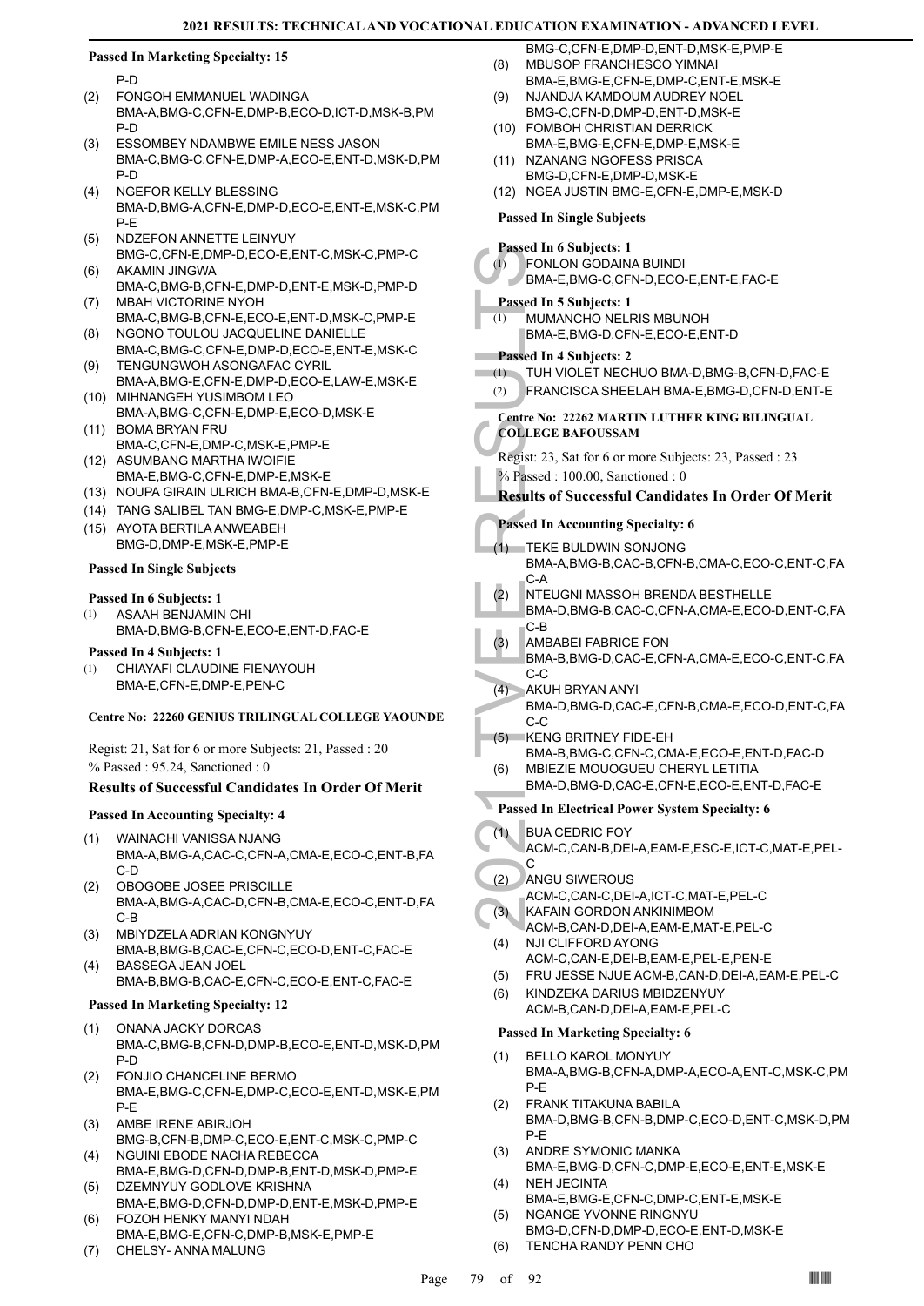#### **Passed In Marketing Specialty: 15**

P-D

- FONGOH EMMANUEL WADINGA BMA-A,BMG-C,CFN-E,DMP-B,ECO-D,ICT-D,MSK-B,PM P-D (2)
- ESSOMBEY NDAMBWE EMILE NESS JASON BMA-C,BMG-C,CFN-E,DMP-A,ECO-E,ENT-D,MSK-D,PM P-D (3)
- NGEFOR KELLY BLESSING BMA-D,BMG-A,CFN-E,DMP-D,ECO-E,ENT-E,MSK-C,PM P-E (4)
- NDZEFON ANNETTE LEINYUY BMG-C,CFN-E,DMP-D,ECO-E,ENT-C,MSK-C,PMP-C (5)
- AKAMIN JINGWA BMA-C,BMG-B,CFN-E,DMP-D,ENT-E,MSK-D,PMP-D (6)
- MBAH VICTORINE NYOH BMA-C,BMG-B,CFN-E,ECO-E,ENT-D,MSK-C,PMP-E (7)
- NGONO TOULOU JACQUELINE DANIELLE BMA-C,BMG-C,CFN-E,DMP-D,ECO-E,ENT-E,MSK-C (8) TENGUNGWOH ASONGAFAC CYRIL (9)
- BMA-A,BMG-E,CFN-E,DMP-D,ECO-E,LAW-E,MSK-E (10) MIHNANGEH YUSIMBOM LEO
- BMA-A,BMG-C,CFN-E,DMP-E,ECO-D,MSK-E (11) BOMA BRYAN FRU
- BMA-C,CFN-E,DMP-C,MSK-E,PMP-E (12) ASUMBANG MARTHA IWOIFIE
- BMA-E,BMG-C,CFN-E,DMP-E,MSK-E
- (13) NOUPA GIRAIN ULRICH BMA-B,CFN-E,DMP-D,MSK-E
- (14) TANG SALIBEL TAN BMG-E,DMP-C,MSK-E,PMP-E (15) AYOTA BERTILA ANWEABEH BMG-D,DMP-E,MSK-E,PMP-E

#### **Passed In Single Subjects**

#### **Passed In 6 Subjects: 1**

- ASAAH BENJAMIN CHI BMA-D,BMG-B,CFN-E,ECO-E,ENT-D,FAC-E (1)
- **Passed In 4 Subjects: 1**
- CHIAYAFI CLAUDINE FIENAYOUH BMA-E,CFN-E,DMP-E,PEN-C (1)

#### **Centre No: 22260 GENIUS TRILINGUAL COLLEGE YAOUNDE**

Regist: 21, Sat for 6 or more Subjects: 21, Passed : 20

% Passed : 95.24, Sanctioned : 0

#### **Results of Successful Candidates In Order Of Merit**

#### **Passed In Accounting Specialty: 4**

- WAINACHI VANISSA NJANG BMA-A,BMG-A,CAC-C,CFN-A,CMA-E,ECO-C,ENT-B,FA C-D (1)
- OBOGOBE JOSEE PRISCILLE BMA-A,BMG-A,CAC-D,CFN-B,CMA-E,ECO-C,ENT-D,FA C-B (2)
- MBIYDZELA ADRIAN KONGNYUY BMA-B,BMG-B,CAC-E,CFN-C,ECO-D,ENT-C,FAC-E (3)
	- BASSEGA JEAN JOEL BMA-B,BMG-B,CAC-E,CFN-C,ECO-E,ENT-C,FAC-E

#### **Passed In Marketing Specialty: 12**

(4)

- ONANA JACKY DORCAS BMA-C,BMG-B,CFN-D,DMP-B,ECO-E,ENT-D,MSK-D,PM P-D (1)
- FONJIO CHANCELINE BERMO BMA-E,BMG-C,CFN-E,DMP-C,ECO-E,ENT-D,MSK-E,PM P-E (2)
- AMBE IRENE ABIRJOH BMG-B,CFN-B,DMP-C,ECO-E,ENT-C,MSK-C,PMP-C (3) NGUINI EBODE NACHA REBECCA
- BMA-E,BMG-D,CFN-D,DMP-B,ENT-D,MSK-D,PMP-E (4) DZEMNYUY GODLOVE KRISHNA (5)
- BMA-E,BMG-D,CFN-D,DMP-D,ENT-E,MSK-D,PMP-E FOZOH HENKY MANYI NDAH (6)
- BMA-E,BMG-E,CFN-C,DMP-B,MSK-E,PMP-E
- (7) CHELSY- ANNA MALUNG
- BMG-C,CFN-E,DMP-D,ENT-D,MSK-E,PMP-E MBUSOP FRANCHESCO YIMNAI (8)
- BMA-E,BMG-E,CFN-E,DMP-C,ENT-E,MSK-E
- NJANDJA KAMDOUM AUDREY NOEL BMG-C,CFN-D,DMP-D,ENT-D,MSK-E (9)
- FOMBOH CHRISTIAN DERRICK (10) BMA-E,BMG-E,CFN-E,DMP-E,MSK-E
- (11) NZANANG NGOFESS PRISCA BMG-D,CFN-E,DMP-D,MSK-E
- (12) NGEA JUSTIN BMG-E,CFN-E,DMP-E,MSK-D

## **Passed In Single Subjects**

## **Passed In 6 Subjects: 1**

- FONLON GODAINA BUINDI (1)
- BMA-E,BMG-C,CFN-D,ECO-E,ENT-E,FAC-E

## **Passed In 5 Subjects: 1**

MUMANCHO NELRIS MBUNOH BMA-E,BMG-D,CFN-E,ECO-E,ENT-D (1)

## **Passed In 4 Subjects: 2**

- (1) TUH VIOLET NECHUO BMA-D,BMG-B,CFN-D,FAC-E
- (2) FRANCISCA SHEELAH BMA-E,BMG-D,CFN-D,ENT-E
- **Centre No: 22262 MARTIN LUTHER KING BILINGUAL COLLEGE BAFOUSSAM**

Regist: 23, Sat for 6 or more Subjects: 23, Passed : 23 % Passed : 100.00, Sanctioned : 0

## **Results of Successful Candidates In Order Of Merit**

**Passed In Accounting Specialty: 6**

- TEKE BULDWIN SONJONG (1)
	- BMA-A,BMG-B,CAC-B,CFN-B,CMA-C,ECO-C,ENT-C,FA C-A
- NTEUGNI MASSOH BRENDA BESTHELLE BMA-D,BMG-B,CAC-C,CFN-A,CMA-E,ECO-D,ENT-C,FA C-B (2)
- AMBABEI FABRICE FON (3)
- BMA-B,BMG-D,CAC-E,CFN-A,CMA-E,ECO-C,ENT-C,FA C-C
- AKUH BRYAN ANYI BMA-D,BMG-D,CAC-E,CFN-B,CMA-E,ECO-D,ENT-C,FA C-C  $(4)$
- Passed In 6 3<br>
(1) FONLOI<br>
BMA-E,<br>
Passed In 5 1<br>
(1) MUMAN<br>
BMA-E,<br>
Passed In 4 1<br>
(1) TUH VIC<br>
(2) FRANC<br>
Centre No: 22<br>
COLLEGE B<br>
Regist: 23, S,<br>
% Passed In Ac<br>
(2) Results of S<br>
Passed In Ac<br>
(1) TEKE B<br>
BMA-A,<br>
C-A<br> KENG BRITNEY FIDE-EH BMA-B,BMG-C,CFN-C,CMA-E,ECO-E,ENT-D,FAC-D (5) MBIEZIE MOUOGUEU CHERYL LETITIA (6)
	- BMA-D,BMG-D,CAC-E,CFN-E,ECO-E,ENT-D,FAC-E

## **Passed In Electrical Power System Specialty: 6**

- BUA CEDRIC FOY (1)
	- ACM-C,CAN-B,DEI-A,EAM-E,ESC-E,ICT-C,MAT-E,PEL- $\mathcal{C}$
- ANGU SIWEROUS (2)
	- ACM-C,CAN-C,DEI-A,ICT-C,MAT-E,PEL-C
- KAFAIN GORDON ANKINIMBOM (3)
- ACM-B,CAN-D,DEI-A,EAM-E,MAT-E,PEL-C NJI CLIFFORD AYONG (4)
	- ACM-C,CAN-E,DEI-B,EAM-E,PEL-E,PEN-E
- (5) FRU JESSE NJUE ACM-B,CAN-D,DEI-A,EAM-E,PEL-C
- KINDZEKA DARIUS MBIDZENYUY ACM-B,CAN-D,DEI-A,EAM-E,PEL-C (6)

- BELLO KAROL MONYUY BMA-A,BMG-B,CFN-A,DMP-A,ECO-A,ENT-C,MSK-C,PM P-E (1)
- FRANK TITAKUNA BABILA BMA-D,BMG-B,CFN-B,DMP-C,ECO-D,ENT-C,MSK-D,PM P-E (2)
- ANDRE SYMONIC MANKA BMA-E,BMG-D,CFN-C,DMP-E,ECO-E,ENT-E,MSK-E (3) NEH JECINTA (4)
- BMA-E,BMG-E,CFN-C,DMP-C,ENT-E,MSK-E NGANGE YVONNE RINGNYU (5)
- BMG-D,CFN-D,DMP-D,ECO-E,ENT-D,MSK-E (6) TENCHA RANDY PENN CHO
-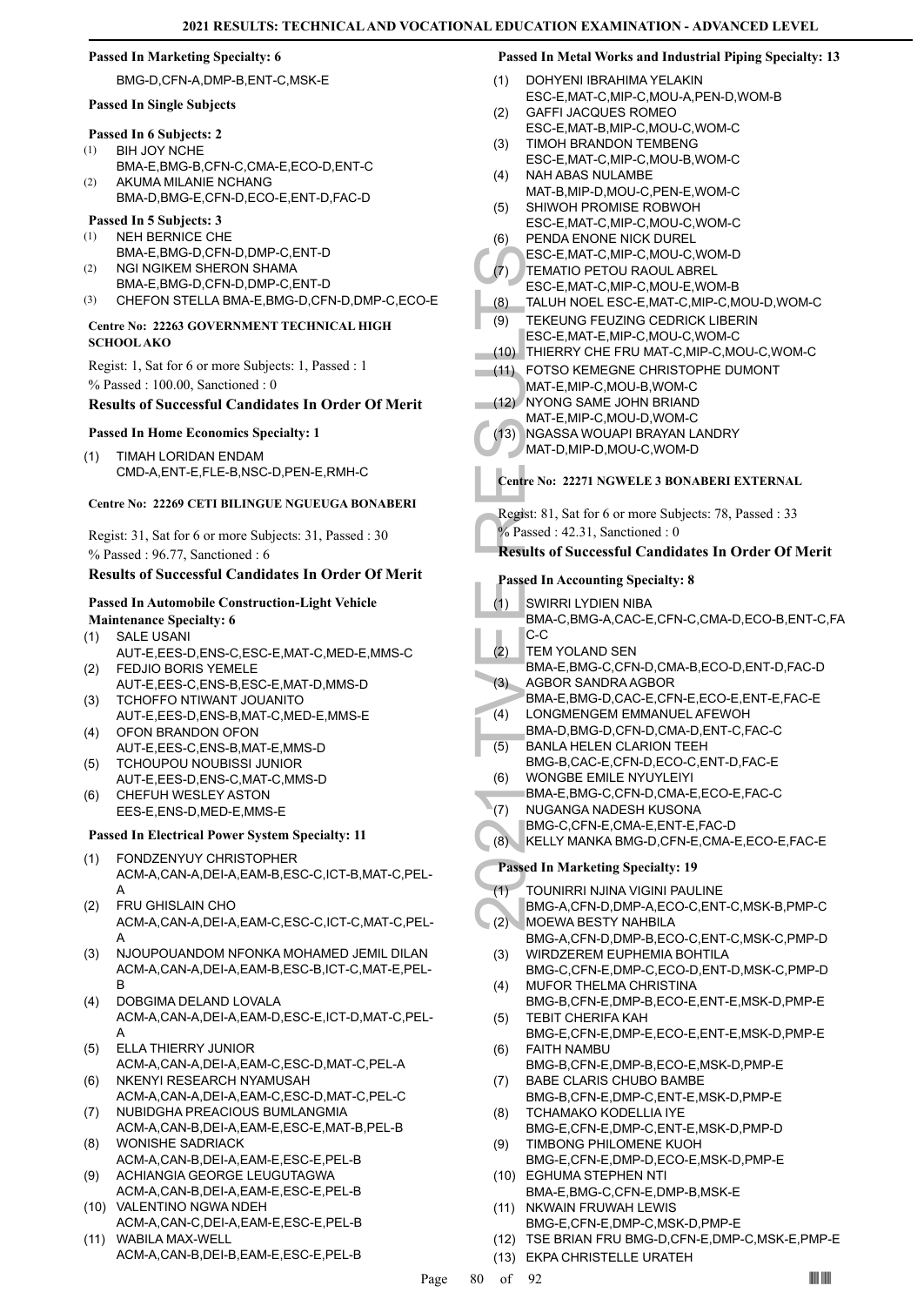#### **Passed In Marketing Specialty: 6**

#### BMG-D,CFN-A,DMP-B,ENT-C,MSK-E

#### **Passed In Single Subjects**

- **Passed In 6 Subjects: 2**
- BIH JOY NCHE (1)
- BMA-E,BMG-B,CFN-C,CMA-E,ECO-D,ENT-C AKUMA MILANIE NCHANG  $(2)$
- BMA-D,BMG-E,CFN-D,ECO-E,ENT-D,FAC-D

#### **Passed In 5 Subjects: 3** (1)

- NEH BERNICE CHE BMA-E,BMG-D,CFN-D,DMP-C,ENT-D
- NGI NGIKEM SHERON SHAMA BMA-E,BMG-D,CFN-D,DMP-C,ENT-D (2)
- (3) CHEFON STELLA BMA-E,BMG-D,CFN-D,DMP-C,ECO-E

#### **Centre No: 22263 GOVERNMENT TECHNICAL HIGH SCHOOL AKO**

Regist: 1, Sat for 6 or more Subjects: 1, Passed : 1 % Passed : 100.00, Sanctioned : 0

### **Results of Successful Candidates In Order Of Merit**

# **Passed In Home Economics Specialty: 1**

TIMAH LORIDAN ENDAM CMD-A,ENT-E,FLE-B,NSC-D,PEN-E,RMH-C (1)

#### **Centre No: 22269 CETI BILINGUE NGUEUGA BONABERI**

Regist: 31, Sat for 6 or more Subjects: 31, Passed : 30 % Passed : 96.77, Sanctioned : 6

#### **Results of Successful Candidates In Order Of Merit**

#### **Passed In Automobile Construction-Light Vehicle**

- **Maintenance Specialty: 6** SALE USANI AUT-E,EES-D,ENS-C,ESC-E,MAT-C,MED-E,MMS-C (1)
- FEDJIO BORIS YEMELE AUT-E,EES-C,ENS-B,ESC-E,MAT-D,MMS-D (2)
- TCHOFFO NTIWANT JOUANITO AUT-E,EES-D,ENS-B,MAT-C,MED-E,MMS-E (3)
- OFON BRANDON OFON AUT-E,EES-C,ENS-B,MAT-E,MMS-D (4)
- TCHOUPOU NOUBISSI JUNIOR (5)
- AUT-E,EES-D,ENS-C,MAT-C,MMS-D CHEFUH WESLEY ASTON (6)
- EES-E,ENS-D,MED-E,MMS-E

## **Passed In Electrical Power System Specialty: 11**

- FONDZENYUY CHRISTOPHER ACM-A,CAN-A,DEI-A,EAM-B,ESC-C,ICT-B,MAT-C,PEL-A (1)
- FRU GHISLAIN CHO ACM-A,CAN-A,DEI-A,EAM-C,ESC-C,ICT-C,MAT-C,PEL-A (2)
- NJOUPOUANDOM NFONKA MOHAMED JEMIL DILAN ACM-A,CAN-A,DEI-A,EAM-B,ESC-B,ICT-C,MAT-E,PEL-B (3)
- DOBGIMA DELAND LOVALA ACM-A,CAN-A,DEI-A,EAM-D,ESC-E,ICT-D,MAT-C,PEL-A (4)
- ELLA THIERRY JUNIOR (5)
- ACM-A,CAN-A,DEI-A,EAM-C,ESC-D,MAT-C,PEL-A NKENYI RESEARCH NYAMUSAH (6)
- ACM-A,CAN-A,DEI-A,EAM-C,ESC-D,MAT-C,PEL-C NUBIDGHA PREACIOUS BUMLANGMIA (7)
- ACM-A,CAN-B,DEI-A,EAM-E,ESC-E,MAT-B,PEL-B WONISHE SADRIACK (8)
- ACM-A,CAN-B,DEI-A,EAM-E,ESC-E,PEL-B ACHIANGIA GEORGE LEUGUTAGWA (9)
- ACM-A,CAN-B,DEI-A,EAM-E,ESC-E,PEL-B (10) VALENTINO NGWA NDEH
- ACM-A,CAN-C,DEI-A,EAM-E,ESC-E,PEL-B (11) WABILA MAX-WELL
- ACM-A,CAN-B,DEI-B,EAM-E,ESC-E,PEL-B

#### **Passed In Metal Works and Industrial Piping Specialty: 13**

- DOHYENI IBRAHIMA YELAKIN ESC-E,MAT-C,MIP-C,MOU-A,PEN-D,WOM-B (1)
- GAFFI JACQUES ROMEO  $(2)$
- ESC-E,MAT-B,MIP-C,MOU-C,WOM-C TIMOH BRANDON TEMBENG (3)
- ESC-E,MAT-C,MIP-C,MOU-B,WOM-C
- NAH ABAS NULAMBE MAT-B,MIP-D,MOU-C,PEN-E,WOM-C (4)
- SHIWOH PROMISE ROBWOH ESC-E,MAT-C,MIP-C,MOU-C,WOM-C (5)
- PENDA ENONE NICK DUREL (6)
- ESC-E,MAT-C,MIP-C,MOU-C,WOM-D
- TEMATIO PETOU RAOUL ABREL (7)
- ESC-E,MAT-C,MIP-C,MOU-E,WOM-B
- (8) TALUH NOEL ESC-E,MAT-C,MIP-C,MOU-D,WOM-C TEKEUNG FEUZING CEDRICK LIBERIN (9)
- ESC-E,MAT-E,MIP-C,MOU-C,WOM-C
- (10) THIERRY CHE FRU MAT-C,MIP-C,MOU-C,WOM-C
- FOTSO KEMEGNE CHRISTOPHE DUMONT (11)
- MAT-E,MIP-C,MOU-B,WOM-C (12) NYONG SAME JOHN BRIAND
- MAT-E,MIP-C,MOU-D,WOM-C
	- NGASSA WOUAPI BRAYAN LANDRY  $(13)$
- MAT-D,MIP-D,MOU-C,WOM-D

## **Centre No: 22271 NGWELE 3 BONABERI EXTERNAL**

Regist: 81, Sat for 6 or more Subjects: 78, Passed : 33

 $%$  Passed : 42.31, Sanctioned : 0

## **Results of Successful Candidates In Order Of Merit**

## **Passed In Accounting Specialty: 8**

- SWIRRI LYDIEN NIBA BMA-C,BMG-A,CAC-E,CFN-C,CMA-D,ECO-B,ENT-C,FA (1)
- C-C TEM YOLAND SEN (2)
- BMA-E,BMG-C,CFN-D,CMA-B,ECO-D,ENT-D,FAC-D AGBOR SANDRA AGBOR (3)
- BMA-E,BMG-D,CAC-E,CFN-E,ECO-E,ENT-E,FAC-E LONGMENGEM EMMANUEL AFEWOH (4)
- BMA-D,BMG-D,CFN-D,CMA-D,ENT-C,FAC-C
- BANLA HELEN CLARION TEEH BMG-B,CAC-E,CFN-D,ECO-C,ENT-D,FAC-E (5)
- WONGBE EMILE NYUYLEIYI (6)
- BMA-E,BMG-C,CFN-D,CMA-E,ECO-E,FAC-C
- NUGANGA NADESH KUSONA  $(7)$
- BMG-C,CFN-E,CMA-E,ENT-E,FAC-D
- (8) KELLY MANKA BMG-D,CFN-E,CMA-E,ECO-E,FAC-E

## **Passed In Marketing Specialty: 19**

- TOUNIRRI NJINA VIGINI PAULINE (1)
- BMG-A,CFN-D,DMP-A,ECO-C,ENT-C,MSK-B,PMP-C MOEWA BESTY NAHBILA (2)
- BMG-A,CFN-D,DMP-B,ECO-C,ENT-C,MSK-C,PMP-D WIRDZEREM EUPHEMIA BOHTILA (3)
- BMG-C,CFN-E,DMP-C,ECO-D,ENT-D,MSK-C,PMP-D MUFOR THELMA CHRISTINA (4)
- BMG-B,CFN-E,DMP-B,ECO-E,ENT-E,MSK-D,PMP-E TEBIT CHERIFA KAH (5)
- BMG-E,CFN-E,DMP-E,ECO-E,ENT-E,MSK-D,PMP-E FAITH NAMBU (6)
- BMG-B,CFN-E,DMP-B,ECO-E,MSK-D,PMP-E BABE CLARIS CHUBO BAMBE (7)
- BMG-B,CFN-E,DMP-C,ENT-E,MSK-D,PMP-E TCHAMAKO KODELLIA IYE (8)
- BMG-E,CFN-E,DMP-C,ENT-E,MSK-D,PMP-D TIMBONG PHILOMENE KUOH (9)
- BMG-E,CFN-E,DMP-D,ECO-E,MSK-D,PMP-E (10) EGHUMA STEPHEN NTI
- BMA-E,BMG-C,CFN-E,DMP-B,MSK-E (11) NKWAIN FRUWAH LEWIS
- BMG-E,CFN-E,DMP-C,MSK-D,PMP-E
- (12) TSE BRIAN FRU BMG-D,CFN-E,DMP-C,MSK-E,PMP-E
- (13) EKPA CHRISTELLE URATEH

ESC-E, (19) TEMATI<br>
ESC-E, (8) TALUH<br>
ESC-E, (19) TEKEUI<br>
ESC-E, (19) TEKEUI<br>
ESC-E, (19) THERR<br>
(11) FOTSO MAT-E, (13) NGASS, MAT-E, (13) NGASS, MAT-D, I<br>
MAT-E, (13) NGASS, MAT-D, I<br>
Centre No: 2:<br>
Regist: 81, S, % Passe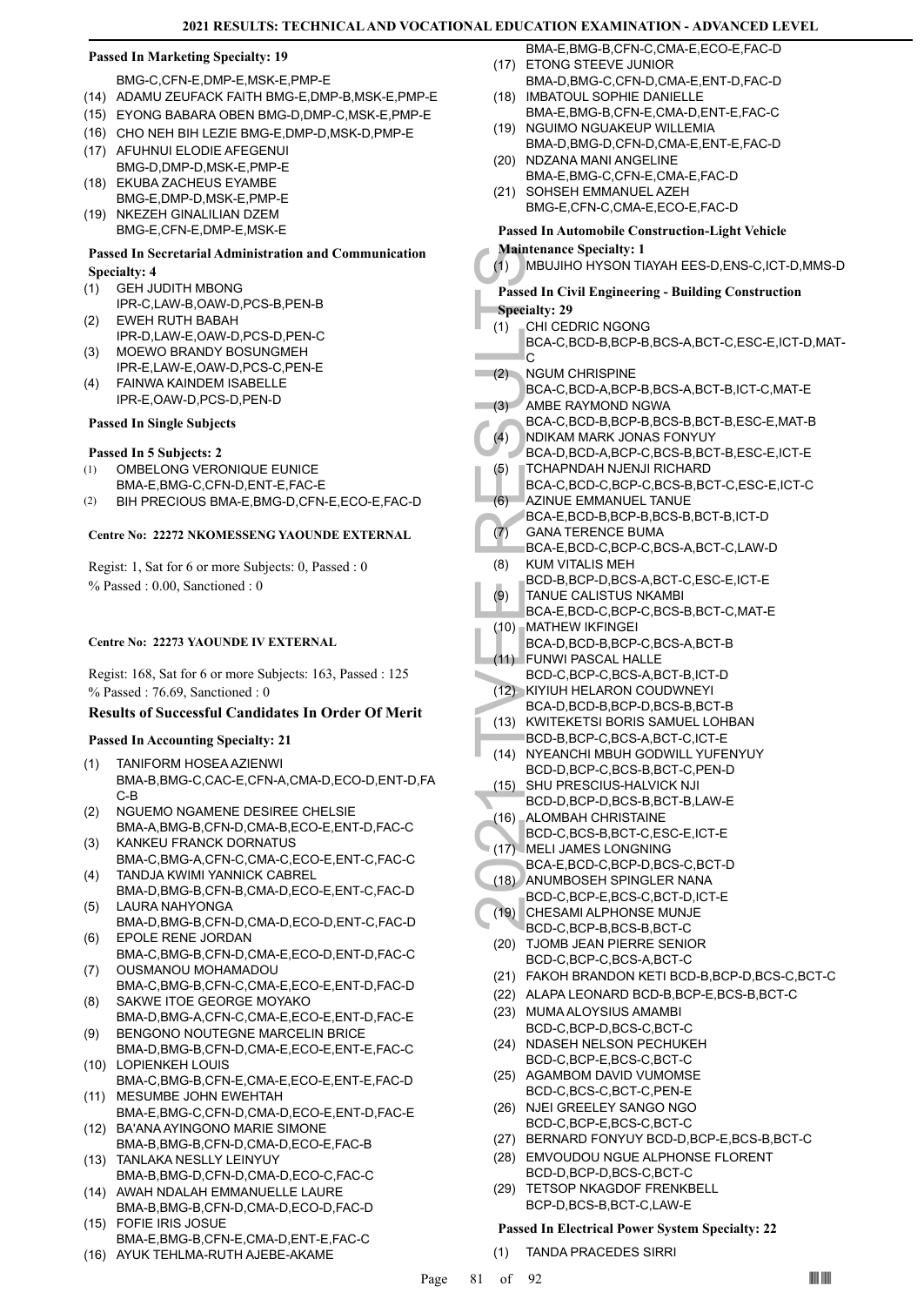#### **Passed In Marketing Specialty: 19**

#### BMG-C,CFN-E,DMP-E,MSK-E,PMP-E

- (14) ADAMU ZEUFACK FAITH BMG-E,DMP-B,MSK-E,PMP-E
- (15) EYONG BABARA OBEN BMG-D,DMP-C,MSK-E,PMP-E
- (16) CHO NEH BIH LEZIE BMG-E,DMP-D,MSK-D,PMP-E
- (17) AFUHNUI ELODIE AFEGENUI BMG-D,DMP-D,MSK-E,PMP-E
- (18) EKUBA ZACHEUS EYAMBE BMG-E,DMP-D,MSK-E,PMP-E
- (19) NKEZEH GINALILIAN DZEM BMG-E,CFN-E,DMP-E,MSK-E

## **Passed In Secretarial Administration and Communication Specialty: 4**

- GEH JUDITH MBONG (1)
- IPR-C,LAW-B,OAW-D,PCS-B,PEN-B EWEH RUTH BABAH (2)
- IPR-D,LAW-E,OAW-D,PCS-D,PEN-C
- MOEWO BRANDY BOSUNGMEH IPR-E,LAW-E,OAW-D,PCS-C,PEN-E (3)
- FAINWA KAINDEM ISABELLE IPR-E,OAW-D,PCS-D,PEN-D (4)

#### **Passed In Single Subjects**

#### **Passed In 5 Subjects: 2**

- OMBELONG VERONIQUE EUNICE BMA-E,BMG-C,CFN-D,ENT-E,FAC-E (1)
- (2) BIH PRECIOUS BMA-E,BMG-D,CFN-E,ECO-E,FAC-D

#### **Centre No: 22272 NKOMESSENG YAOUNDE EXTERNAL**

Regist: 1, Sat for 6 or more Subjects: 0, Passed : 0 % Passed : 0.00, Sanctioned : 0

#### **Centre No: 22273 YAOUNDE IV EXTERNAL**

Regist: 168, Sat for 6 or more Subjects: 163, Passed : 125 % Passed : 76.69, Sanctioned : 0

## **Results of Successful Candidates In Order Of Merit**

#### **Passed In Accounting Specialty: 21**

- TANIFORM HOSEA AZIENWI BMA-B,BMG-C,CAC-E,CFN-A,CMA-D,ECO-D,ENT-D,FA C-B (1)
- NGUEMO NGAMENE DESIREE CHELSIE BMA-A,BMG-B,CFN-D,CMA-B,ECO-E,ENT-D,FAC-C (2)
- KANKEU FRANCK DORNATUS BMA-C,BMG-A,CFN-C,CMA-C,ECO-E,ENT-C,FAC-C (3)
- TANDJA KWIMI YANNICK CABREL BMA-D,BMG-B,CFN-B,CMA-D,ECO-E,ENT-C,FAC-D (4) LAURA NAHYONGA (5)
- BMA-D,BMG-B,CFN-D,CMA-D,ECO-D,ENT-C,FAC-D EPOLE RENE JORDAN (6)
- BMA-C,BMG-B,CFN-D,CMA-E,ECO-D,ENT-D,FAC-C OUSMANOU MOHAMADOU (7)
- BMA-C,BMG-B,CFN-C,CMA-E,ECO-E,ENT-D,FAC-D SAKWE ITOE GEORGE MOYAKO (8)
- BMA-D,BMG-A,CFN-C,CMA-E,ECO-E,ENT-D,FAC-E BENGONO NOUTEGNE MARCELIN BRICE (9)
- BMA-D,BMG-B,CFN-D,CMA-E,ECO-E,ENT-E,FAC-C (10) LOPIENKEH LOUIS
- BMA-C,BMG-B,CFN-E,CMA-E,ECO-E,ENT-E,FAC-D (11) MESUMBE JOHN EWEHTAH
- BMA-E,BMG-C,CFN-D,CMA-D,ECO-E,ENT-D,FAC-E BA'ANA AYINGONO MARIE SIMONE (12)
- BMA-B,BMG-B,CFN-D,CMA-D,ECO-E,FAC-B TANLAKA NESLLY LEINYUY (13)
- BMA-B,BMG-D,CFN-D,CMA-D,ECO-C,FAC-C (14) AWAH NDALAH EMMANUELLE LAURE
- BMA-B,BMG-B,CFN-D,CMA-D,ECO-D,FAC-D FOFIE IRIS JOSUE (15)
- BMA-E,BMG-B,CFN-E,CMA-D,ENT-E,FAC-C
- (16) AYUK TEHLMA-RUTH AJEBE-AKAME
- BMA-E,BMG-B,CFN-C,CMA-E,ECO-E,FAC-D (17) ETONG STEEVE JUNIOR
- BMA-D,BMG-C,CFN-D,CMA-E,ENT-D,FAC-D (18) IMBATOUL SOPHIE DANIELLE
- BMA-E,BMG-B,CFN-E,CMA-D,ENT-E,FAC-C (19) NGUIMO NGUAKEUP WILLEMIA
- BMA-D,BMG-D,CFN-D,CMA-E,ENT-E,FAC-D (20) NDZANA MANI ANGELINE
- BMA-E,BMG-C,CFN-E,CMA-E,FAC-D (21) SOHSEH EMMANUEL AZEH
	- BMG-E,CFN-C,CMA-E,ECO-E,FAC-D

#### **Passed In Automobile Construction-Light Vehicle**

- **Maintenance Specialty: 1**
- (1) MBUJIHO HYSON TIAYAH EES-D,ENS-C,ICT-D,MMS-D

# **Passed In Civil Engineering - Building Construction**

- **Specialty: 29**
- CHI CEDRIC NGONG (1)
- BCA-C,BCD-B,BCP-B,BCS-A,BCT-C,ESC-E,ICT-D,MAT- $\overline{C}$
- NGUM CHRISPINE  $(2)$
- BCA-C,BCD-A,BCP-B,BCS-A,BCT-B,ICT-C,MAT-E AMBE RAYMOND NGWA  $(3)$
- BCA-C,BCD-B,BCP-B,BCS-B,BCT-B,ESC-E,MAT-B
- NDIKAM MARK JONAS FONYUY BCA-D,BCD-A,BCP-C,BCS-B,BCT-B,ESC-E,ICT-E (4)
- TCHAPNDAH NJENJI RICHARD (5)
- BCA-C,BCD-C,BCP-C,BCS-B,BCT-C,ESC-E,ICT-C AZINUE EMMANUEL TANUE (6)
- BCA-E,BCD-B,BCP-B,BCS-B,BCT-B,ICT-D
- GANA TERENCE BUMA (7)
	- BCA-E,BCD-C,BCP-C,BCS-A,BCT-C,LAW-D
- KUM VITALIS MEH BCD-B,BCP-D,BCS-A,BCT-C,ESC-E,ICT-E (8)
- TANUE CALISTUS NKAMBI BCA-E,BCD-C,BCP-C,BCS-B,BCT-C,MAT-E (9)
- MATHEW IKFINGEI (10)
	- BCA-D,BCD-B,BCP-C,BCS-A,BCT-B
- FUNWI PASCAL HALLE BCD-C,BCP-C,BCS-A,BCT-B,ICT-D (11)
- (12) KIYIUH HELARON COUDWNEYI BCA-D,BCD-B,BCP-D,BCS-B,BCT-B
- (13) KWITEKETSI BORIS SAMUEL LOHBAN BCD-B,BCP-C,BCS-A,BCT-C,ICT-E
- Mantenance<br>
(1) MBUJIH<br>
Passed In Ci<br>
(3) MBUJIH<br>
Passed In Ci<br>
(3) CHI CEI<br>
BCA-C,I<br>
(3) AMBE F<br>
BCA-C,I<br>
(3) AMBE F<br>
BCA-C,I<br>
(4) DDIKAN<br>
BCA-C,I<br>
(5) TCHAPI<br>
BCA-C,I<br>
(5) TCHAPI<br>
BCA-C,I<br>
AZINUE BCA-E,I<br>
(6) AZINUE BCA-(14) NYEANCHI MBUH GODWILL YUFENYUY BCD-D,BCP-C,BCS-B,BCT-C,PEN-D
- (15) SHU PRESCIUS-HALVICK NJI BCD-D,BCP-D,BCS-B,BCT-B,LAW-E
- ALOMBAH CHRISTAINE (16)
- BCD-C,BCS-B,BCT-C,ESC-E,ICT-E
- (17) MELI JAMES LONGNING
- BCA-E,BCD-C,BCP-D,BCS-C,BCT-D
- ANUMBOSEH SPINGLER NANA (18) BCD-C,BCP-E,BCS-C,BCT-D,ICT-E
- (19) CHESAMI ALPHONSE MUNJE BCD-C,BCP-B,BCS-B,BCT-C
- (20) TJOMB JEAN PIERRE SENIOR BCD-C,BCP-C,BCS-A,BCT-C
- (21) FAKOH BRANDON KETI BCD-B,BCP-D,BCS-C,BCT-C
- (22) ALAPA LEONARD BCD-B,BCP-E,BCS-B,BCT-C
- MUMA ALOYSIUS AMAMBI (23) BCD-C,BCP-D,BCS-C,BCT-C
- (24) NDASEH NELSON PECHUKEH BCD-C,BCP-E,BCS-C,BCT-C
- (25) AGAMBOM DAVID VUMOMSE BCD-C,BCS-C,BCT-C,PEN-E
- (26) NJEI GREELEY SANGO NGO BCD-C,BCP-E,BCS-C,BCT-C
- (27) BERNARD FONYUY BCD-D,BCP-E,BCS-B,BCT-C
- EMVOUDOU NGUE ALPHONSE FLORENT (28) BCD-D,BCP-D,BCS-C,BCT-C
- (29) TETSOP NKAGDOF FRENKBELL BCP-D,BCS-B,BCT-C,LAW-E

#### **Passed In Electrical Power System Specialty: 22**

(1) TANDA PRACEDES SIRRI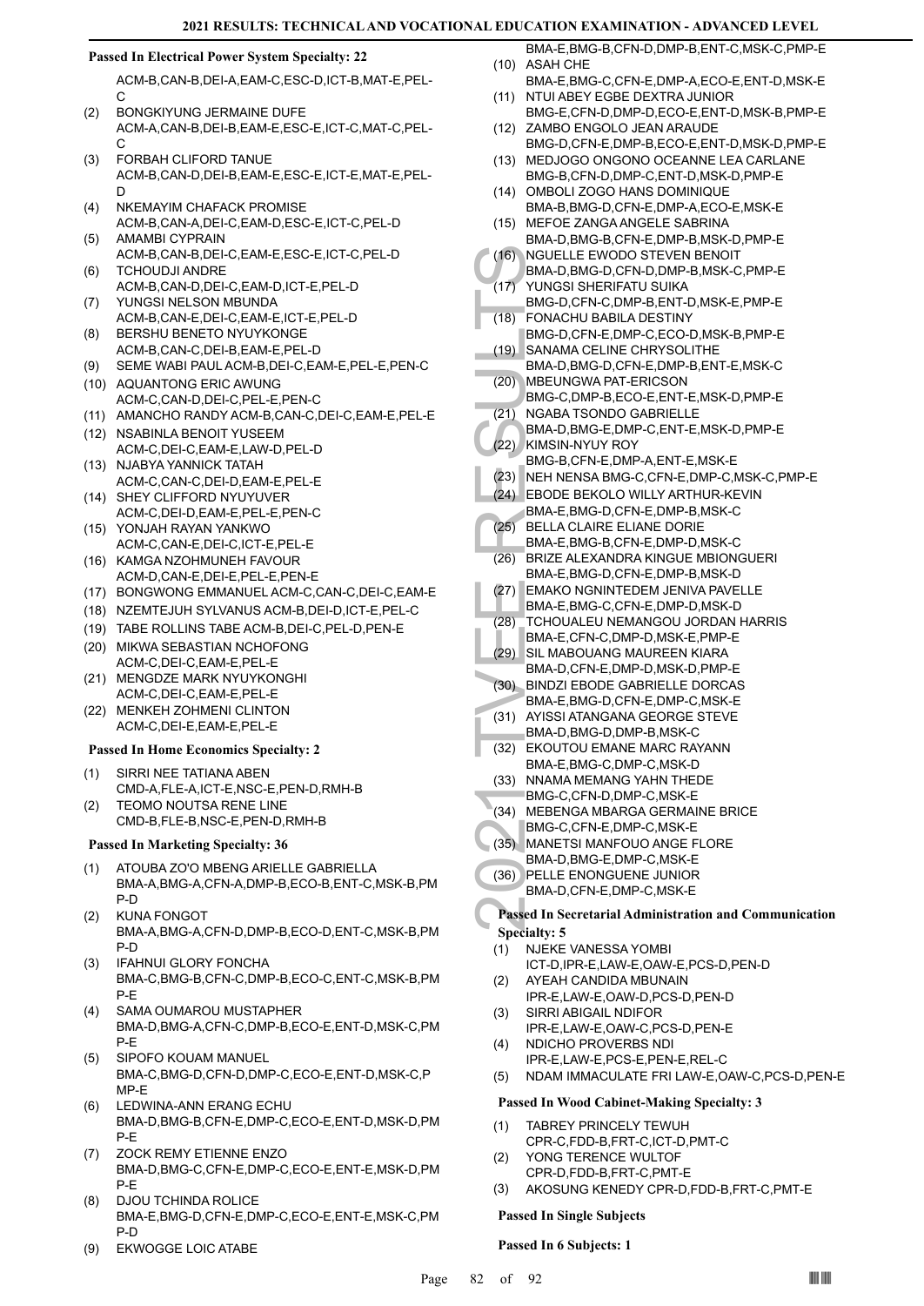#### **Passed In Electrical Power System Specialty: 22**

ACM-B,CAN-B,DEI-A,EAM-C,ESC-D,ICT-B,MAT-E,PEL-C

- BONGKIYUNG JERMAINE DUFE ACM-A,CAN-B,DEI-B,EAM-E,ESC-E,ICT-C,MAT-C,PEL-C  $(2)$
- FORBAH CLIFORD TANUE ACM-B,CAN-D,DEI-B,EAM-E,ESC-E,ICT-E,MAT-E,PEL-D (3)
- NKEMAYIM CHAFACK PROMISE ACM-B,CAN-A,DEI-C,EAM-D,ESC-E,ICT-C,PEL-D (4) AMAMBI CYPRAIN (5)
- ACM-B,CAN-B,DEI-C,EAM-E,ESC-E,ICT-C,PEL-D TCHOUDJI ANDRE (6)
- ACM-B,CAN-D,DEI-C,EAM-D,ICT-E,PEL-D YUNGSI NELSON MBUNDA (7)
- ACM-B,CAN-E,DEI-C,EAM-E,ICT-E,PEL-D BERSHU BENETO NYUYKONGE (8)
- ACM-B,CAN-C,DEI-B,EAM-E,PEL-D
- (9) SEME WABI PAUL ACM-B,DEI-C,EAM-E,PEL-E,PEN-C (10) AQUANTONG ERIC AWUNG
- ACM-C,CAN-D,DEI-C,PEL-E,PEN-C
- (11) AMANCHO RANDY ACM-B,CAN-C,DEI-C,EAM-E,PEL-E
- (12) NSABINLA BENOIT YUSEEM ACM-C,DEI-C,EAM-E,LAW-D,PEL-D
- (13) NJABYA YANNICK TATAH ACM-C,CAN-C,DEI-D,EAM-E,PEL-E
- (14) SHEY CLIFFORD NYUYUVER ACM-C,DEI-D,EAM-E,PEL-E,PEN-C
- YONJAH RAYAN YANKWO (15) ACM-C,CAN-E,DEI-C,ICT-E,PEL-E
- (16) KAMGA NZOHMUNEH FAVOUR ACM-D,CAN-E,DEI-E,PEL-E,PEN-E
- (17) BONGWONG EMMANUEL ACM-C,CAN-C,DEI-C,EAM-E
- (18) NZEMTEJUH SYLVANUS ACM-B,DEI-D,ICT-E,PEL-C
- (19) TABE ROLLINS TABE ACM-B,DEI-C,PEL-D,PEN-E
- (20) MIKWA SEBASTIAN NCHOFONG ACM-C,DEI-C,EAM-E,PEL-E
- MENGDZE MARK NYUYKONGHI ACM-C,DEI-C,EAM-E,PEL-E (21)
- (22) MENKEH ZOHMENI CLINTON ACM-C,DEI-E,EAM-E,PEL-E

#### **Passed In Home Economics Specialty: 2**

- SIRRI NEE TATIANA ABEN CMD-A,FLE-A,ICT-E,NSC-E,PEN-D,RMH-B (1)
- TEOMO NOUTSA RENE LINE CMD-B,FLE-B,NSC-E,PEN-D,RMH-B (2)

#### **Passed In Marketing Specialty: 36**

- ATOUBA ZO'O MBENG ARIELLE GABRIELLA BMA-A,BMG-A,CFN-A,DMP-B,ECO-B,ENT-C,MSK-B,PM P-D (1)
- KUNA FONGOT BMA-A,BMG-A,CFN-D,DMP-B,ECO-D,ENT-C,MSK-B,PM P-D (2)
- IFAHNUI GLORY FONCHA BMA-C,BMG-B,CFN-C,DMP-B,ECO-C,ENT-C,MSK-B,PM P-E (3)
- SAMA OUMAROU MUSTAPHER BMA-D,BMG-A,CFN-C,DMP-B,ECO-E,ENT-D,MSK-C,PM P-E (4)
- SIPOFO KOUAM MANUEL BMA-C,BMG-D,CFN-D,DMP-C,ECO-E,ENT-D,MSK-C,P MP-E (5)
- LEDWINA-ANN ERANG ECHU BMA-D,BMG-B,CFN-E,DMP-C,ECO-E,ENT-D,MSK-D,PM P-E (6)
- ZOCK REMY ETIENNE ENZO BMA-D,BMG-C,CFN-E,DMP-C,ECO-E,ENT-E,MSK-D,PM P-E (7)
- DJOU TCHINDA ROLICE BMA-E,BMG-D,CFN-E,DMP-C,ECO-E,ENT-E,MSK-C,PM P-D (8)
- (9) EKWOGGE LOIC ATABE
- BMA-E,BMG-B,CFN-D,DMP-B,ENT-C,MSK-C,PMP-E (10) ASAH CHE
- BMA-E,BMG-C,CFN-E,DMP-A,ECO-E,ENT-D,MSK-E (11) NTUI ABEY EGBE DEXTRA JUNIOR
- BMG-E,CFN-D,DMP-D,ECO-E,ENT-D,MSK-B,PMP-E (12) ZAMBO ENGOLO JEAN ARAUDE
- BMG-D,CFN-E,DMP-B,ECO-E,ENT-D,MSK-D,PMP-E MEDJOGO ONGONO OCEANNE LEA CARLANE (13)
- BMG-B,CFN-D,DMP-C,ENT-D,MSK-D,PMP-E (14) OMBOLI ZOGO HANS DOMINIQUE
- BMA-B,BMG-D,CFN-E,DMP-A,ECO-E,MSK-E MEFOE ZANGA ANGELE SABRINA (15)
- BMA-D,BMG-B,CFN-E,DMP-B,MSK-D,PMP-E NGUELLE EWODO STEVEN BENOIT  $(16)$
- BMA-D,BMG-D,CFN-D,DMP-B,MSK-C,PMP-E
- YUNGSI SHERIFATU SUIKA BMG-D,CFN-C,DMP-B,ENT-D,MSK-E,PMP-E  $(17)$ FONACHU BABILA DESTINY (18)
- (16) NGUEL<br>
BMA-D, YUNGS<br>
BMA-D, YUNGS<br>
BMA-D, SANAM<br>
BMA-D, SANAM<br>
BMA-D, SANAM<br>
BMA-D, SANAM<br>
BMA-D, MGABA<br>
BMA-D, KIMSIN-<br>
BMG-B, NEH NE BODE<br>
(21) NGABA<br>
(22) NGABA<br>
ERD BMA-E, (25) BELLA (26) BRIZE *F*<br>
BMA-E, (26) BR BMG-D,CFN-E,DMP-C,ECO-D,MSK-B,PMP-E SANAMA CELINE CHRYSOLITHE (19)
- BMA-D,BMG-D,CFN-E,DMP-B,ENT-E,MSK-C MBEUNGWA PAT-ERICSON (20)
- BMG-C,DMP-B,ECO-E,ENT-E,MSK-D,PMP-E NGABA TSONDO GABRIELLE (21)
- BMA-D,BMG-E,DMP-C,ENT-E,MSK-D,PMP-E
- (22) KIMSIN-NYUY ROY BMG-B,CFN-E,DMP-A,ENT-E,MSK-E
- (23) NEH NENSA BMG-C,CFN-E,DMP-C,MSK-C,PMP-E
- EBODE BEKOLO WILLY ARTHUR-KEVIN (24) BMA-E,BMG-D,CFN-E,DMP-B,MSK-C
- (25) BELLA CLAIRE ELIANE DORIE
- BMA-E,BMG-B,CFN-E,DMP-D,MSK-C BRIZE ALEXANDRA KINGUE MBIONGUERI  $(26)$
- BMA-E,BMG-D,CFN-E,DMP-B,MSK-D EMAKO NGNINTEDEM JENIVA PAVELLE (27)
- BMA-E,BMG-C,CFN-E,DMP-D,MSK-D TCHOUALEU NEMANGOU JORDAN HARRIS (28)
- BMA-E,CFN-C,DMP-D,MSK-E,PMP-E
- SIL MABOUANG MAUREEN KIARA BMA-D,CFN-E,DMP-D,MSK-D,PMP-E (29)
- BINDZI EBODE GABRIELLE DORCAS BMA-E,BMG-D,CFN-E,DMP-C,MSK-E (30)
- (31) AYISSI ATANGANA GEORGE STEVE BMA-D,BMG-D,DMP-B,MSK-C
- (32) EKOUTOU EMANE MARC RAYANN BMA-E,BMG-C,DMP-C,MSK-D
- (33) NNAMA MEMANG YAHN THEDE
- BMG-C,CFN-D,DMP-C,MSK-E
- (34) MEBENGA MBARGA GERMAINE BRICE
- BMG-C,CFN-E,DMP-C,MSK-E
- (35) MANETSI MANFOUO ANGE FLORE BMA-D,BMG-E,DMP-C,MSK-E
- PELLE ENONGUENE JUNIOR (36) BMA-D,CFN-E,DMP-C,MSK-E

## **Passed In Secretarial Administration and Communication Specialty: 5**

- NJEKE VANESSA YOMBI (1)
- ICT-D,IPR-E,LAW-E,OAW-E,PCS-D,PEN-D AYEAH CANDIDA MBUNAIN (2)
- IPR-E,LAW-E,OAW-D,PCS-D,PEN-D SIRRI ABIGAIL NDIFOR (3)
- IPR-E,LAW-E,OAW-C,PCS-D,PEN-E
- NDICHO PROVERBS NDI IPR-E,LAW-E,PCS-E,PEN-E,REL-C (4)
- (5) NDAM IMMACULATE FRI LAW-E,OAW-C,PCS-D,PEN-E

#### **Passed In Wood Cabinet-Making Specialty: 3**

- TABREY PRINCELY TEWUH CPR-C,FDD-B,FRT-C,ICT-D,PMT-C (1)
- YONG TERENCE WULTOF CPR-D,FDD-B,FRT-C,PMT-E (2)
- (3) AKOSUNG KENEDY CPR-D,FDD-B,FRT-C,PMT-E

## **Passed In Single Subjects**

**Passed In 6 Subjects: 1**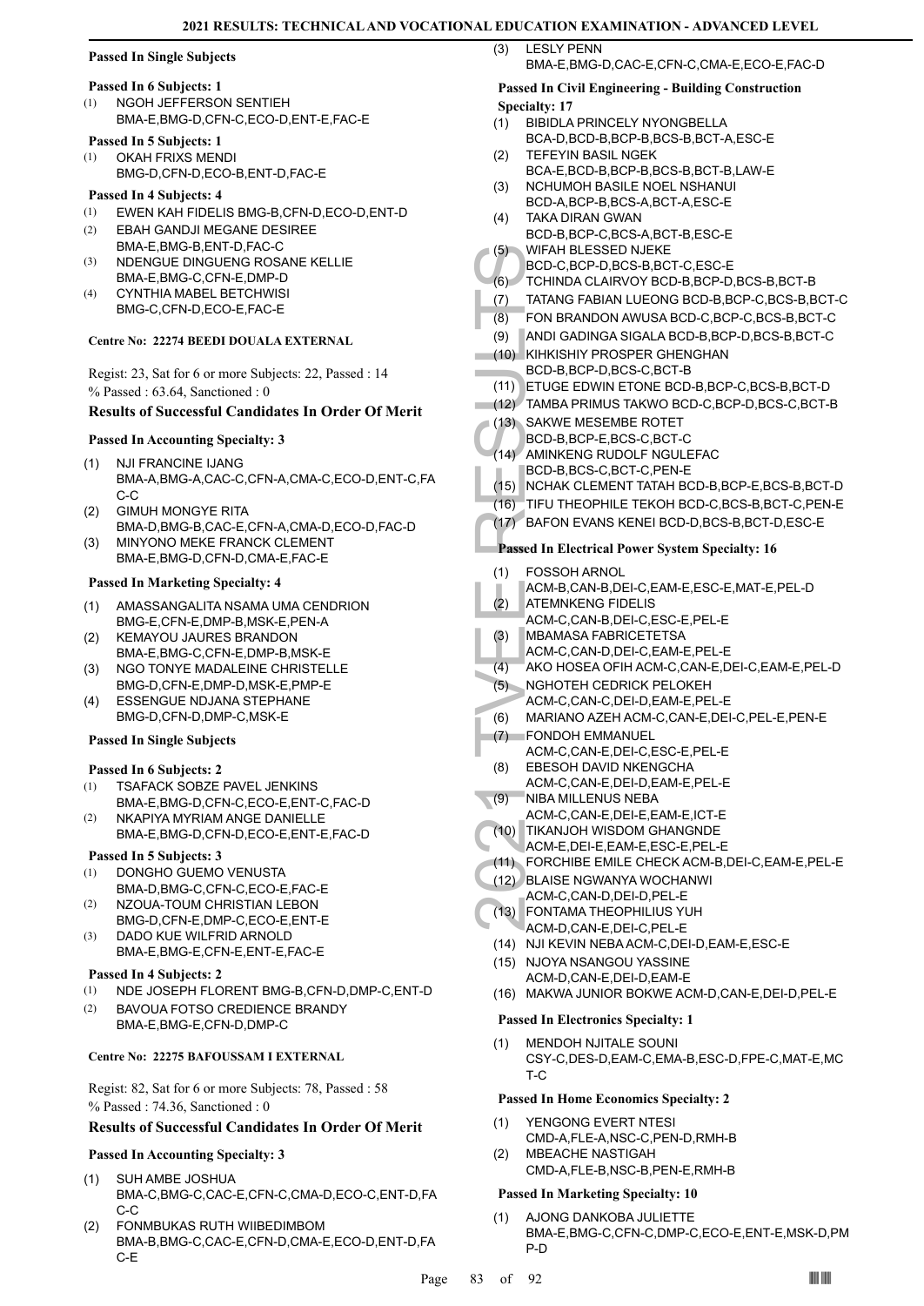## **Passed In Single Subjects**

## **Passed In 6 Subjects: 1**

NGOH JEFFERSON SENTIEH BMA-E,BMG-D,CFN-C,ECO-D,ENT-E,FAC-E (1)

## **Passed In 5 Subjects: 1**

OKAH FRIXS MENDI BMG-D,CFN-D,ECO-B,ENT-D,FAC-E (1)

#### **Passed In 4 Subjects: 4**

- (1) EWEN KAH FIDELIS BMG-B,CFN-D,ECO-D,ENT-D
- EBAH GANDJI MEGANE DESIREE BMA-E,BMG-B,ENT-D,FAC-C (2)
- NDENGUE DINGUENG ROSANE KELLIE BMA-E,BMG-C,CFN-E,DMP-D (3)
- CYNTHIA MABEL BETCHWISI BMG-C,CFN-D,ECO-E,FAC-E (4)

#### **Centre No: 22274 BEEDI DOUALA EXTERNAL**

Regist: 23, Sat for 6 or more Subjects: 22, Passed : 14 % Passed : 63.64, Sanctioned : 0

#### **Results of Successful Candidates In Order Of Merit**

## **Passed In Accounting Specialty: 3**

- NJI FRANCINE IJANG BMA-A,BMG-A,CAC-C,CFN-A,CMA-C,ECO-D,ENT-C,FA C-C (1)
- GIMUH MONGYE RITA (2)
- BMA-D,BMG-B,CAC-E,CFN-A,CMA-D,ECO-D,FAC-D MINYONO MEKE FRANCK CLEMENT (3)
- BMA-E,BMG-D,CFN-D,CMA-E,FAC-E

## **Passed In Marketing Specialty: 4**

- AMASSANGALITA NSAMA UMA CENDRION BMG-E,CFN-E,DMP-B,MSK-E,PEN-A (1)
- KEMAYOU JAURES BRANDON BMA-E,BMG-C,CFN-E,DMP-B,MSK-E (2)
- NGO TONYE MADALEINE CHRISTELLE BMG-D,CFN-E,DMP-D,MSK-E,PMP-E (3)
- ESSENGUE NDJANA STEPHANE BMG-D,CFN-D,DMP-C,MSK-E (4)

#### **Passed In Single Subjects**

#### **Passed In 6 Subjects: 2**

- TSAFACK SOBZE PAVEL JENKINS BMA-E,BMG-D,CFN-C,ECO-E,ENT-C,FAC-D (1)
- NKAPIYA MYRIAM ANGE DANIELLE BMA-E,BMG-D,CFN-D,ECO-E,ENT-E,FAC-D (2)

#### **Passed In 5 Subjects: 3**

- DONGHO GUEMO VENUSTA BMA-D,BMG-C,CFN-C,ECO-E,FAC-E (1)
- NZOUA-TOUM CHRISTIAN LEBON (2)
- BMG-D,CFN-E,DMP-C,ECO-E,ENT-E DADO KUE WILFRID ARNOLD (3)
- BMA-E,BMG-E,CFN-E,ENT-E,FAC-E **Passed In 4 Subjects: 2**
- (1) NDE JOSEPH FLORENT BMG-B,CFN-D,DMP-C,ENT-D
- BAVOUA FOTSO CREDIENCE BRANDY BMA-E,BMG-E,CFN-D,DMP-C (2)

#### **Centre No: 22275 BAFOUSSAM I EXTERNAL**

Regist: 82, Sat for 6 or more Subjects: 78, Passed : 58 % Passed : 74.36, Sanctioned : 0

#### **Results of Successful Candidates In Order Of Merit**

## **Passed In Accounting Specialty: 3**

- SUH AMBE JOSHUA BMA-C,BMG-C,CAC-E,CFN-C,CMA-D,ECO-C,ENT-D,FA C-C (1)
- FONMBUKAS RUTH WIIBEDIMBOM BMA-B,BMG-C,CAC-E,CFN-D,CMA-E,ECO-D,ENT-D,FA C-E (2)
- LESLY PENN (3)
	- BMA-E,BMG-D,CAC-E,CFN-C,CMA-E,ECO-E,FAC-D

#### **Passed In Civil Engineering - Building Construction Specialty: 17**

- BIBIDLA PRINCELY NYONGBELLA (1)
	- BCA-D,BCD-B,BCP-B,BCS-B,BCT-A,ESC-E TEFEYIN BASIL NGEK
- BCA-E,BCD-B,BCP-B,BCS-B,BCT-B,LAW-E (2)
- NCHUMOH BASILE NOEL NSHANUI BCD-A,BCP-B,BCS-A,BCT-A,ESC-E (3)
- TAKA DIRAN GWAN BCD-B,BCP-C,BCS-A,BCT-B,ESC-E  $(4)$
- WIFAH BLESSED NJEKE (5)
- BCD-C,BCP-D,BCS-B,BCT-C,ESC-E
- (6) TCHINDA CLAIRVOY BCD-B,BCP-D,BCS-B,BCT-B
- (7) TATANG FABIAN LUEONG BCD-B,BCP-C,BCS-B,BCT-C
- (8) FON BRANDON AWUSA BCD-C,BCP-C,BCS-B,BCT-C
- (9) ANDI GADINGA SIGALA BCD-B,BCP-D,BCS-B,BCT-C
- (10) KIHKISHIY PROSPER GHENGHAN BCD-B,BCP-D,BCS-C,BCT-B
- (11) ETUGE EDWIN ETONE BCD-B,BCP-C,BCS-B,BCT-D
- (12) TAMBA PRIMUS TAKWO BCD-C,BCP-D,BCS-C,BCT-B
- (13) SAKWE MESEMBE ROTET
- BCD-B,BCP-E,BCS-C,BCT-C
- (14) AMINKENG RUDOLF NGULEFAC BCD-B,BCS-C,BCT-C,PEN-E
- (15) NCHAK CLEMENT TATAH BCD-B,BCP-E,BCS-B,BCT-D
- (16) TIFU THEOPHILE TEKOH BCD-C,BCS-B,BCT-C,PEN-E
- (17) BAFON EVANS KENEI BCD-D,BCS-B,BCT-D,ESC-E

## **Passed In Electrical Power System Specialty: 16**

- FOSSOH ARNOL (1)
- ACM-B,CAN-B,DEI-C,EAM-E,ESC-E,MAT-E,PEL-D
- ATEMNKENG FIDELIS  $(2)$
- ACM-C,CAN-B,DEI-C,ESC-E,PEL-E
- MBAMASA FABRICETETSA (3)
- ACM-C,CAN-D,DEI-C,EAM-E,PEL-E
- (4) AKO HOSEA OFIH ACM-C,CAN-E,DEI-C,EAM-E,PEL-D
- NGHOTEH CEDRICK PELOKEH (5)
- ACM-C,CAN-C, DEI-D, FAM-F, PEL-E
- (6) MARIANO AZEH ACM-C,CAN-E,DEI-C,PEL-E,PEN-E
- (5) WIFAHI<br>
BCD-C, TCHINE<br>
(6) TCHINE<br>
(7) TATANC<br>
(8) FON BF<br>
(9) ANDI G, KIHKISH<br>
BCD-B, I<br>
(11) ETUGE<br>
(12) TAMBA<br>
BCD-B, I<br>
(13) SAKWE<br>
BCD-B, I<br>
AMINKE<br>
BCD-B, I<br>
AMINKE<br>
BCD-B, I<br>
AMINKE<br>
BCD-B, I<br>
AMINKE<br>
BCD-B, I<br> FONDOH EMMANUEL (7) ACM-C,CAN-E,DEI-C,ESC-E,PEL-E
- EBESOH DAVID NKENGCHA ACM-C,CAN-E,DEI-D,EAM-E,PEL-E (8)
- NIBA MILLENUS NEBA  $\neg$ (9)
- ACM-C,CAN-E,DEI-E,EAM-E,ICT-E
- TIKANJOH WISDOM GHANGNDE (10)
- ACM-E,DEI-E,EAM-E,ESC-E,PEL-E
- (11) FORCHIBE EMILE CHECK ACM-B,DEI-C,EAM-E,PEL-E
- BLAISE NGWANYA WOCHANWI (12)
- ACM-C,CAN-D,DEI-D,PEL-E FONTAMA THEOPHILIUS YUH (13)
- ACM-D,CAN-E,DEI-C,PEL-E
- (14) NJI KEVIN NEBA ACM-C,DEI-D,EAM-E,ESC-E
- (15) NJOYA NSANGOU YASSINE ACM-D,CAN-E,DEI-D,EAM-E
- (16) MAKWA JUNIOR BOKWE ACM-D,CAN-E,DEI-D,PEL-E

#### **Passed In Electronics Specialty: 1**

MENDOH NJITALE SOUNI CSY-C,DES-D,EAM-C,EMA-B,ESC-D,FPE-C,MAT-E,MC T-C (1)

#### **Passed In Home Economics Specialty: 2**

- YENGONG EVERT NTESI CMD-A,FLE-A,NSC-C,PEN-D,RMH-B (1)
- MBEACHE NASTIGAH CMD-A,FLE-B,NSC-B,PEN-E,RMH-B (2)

# **Passed In Marketing Specialty: 10**

#### AJONG DANKOBA JULIETTE (1)

BMA-E,BMG-C,CFN-C,DMP-C,ECO-E,ENT-E,MSK-D,PM P-D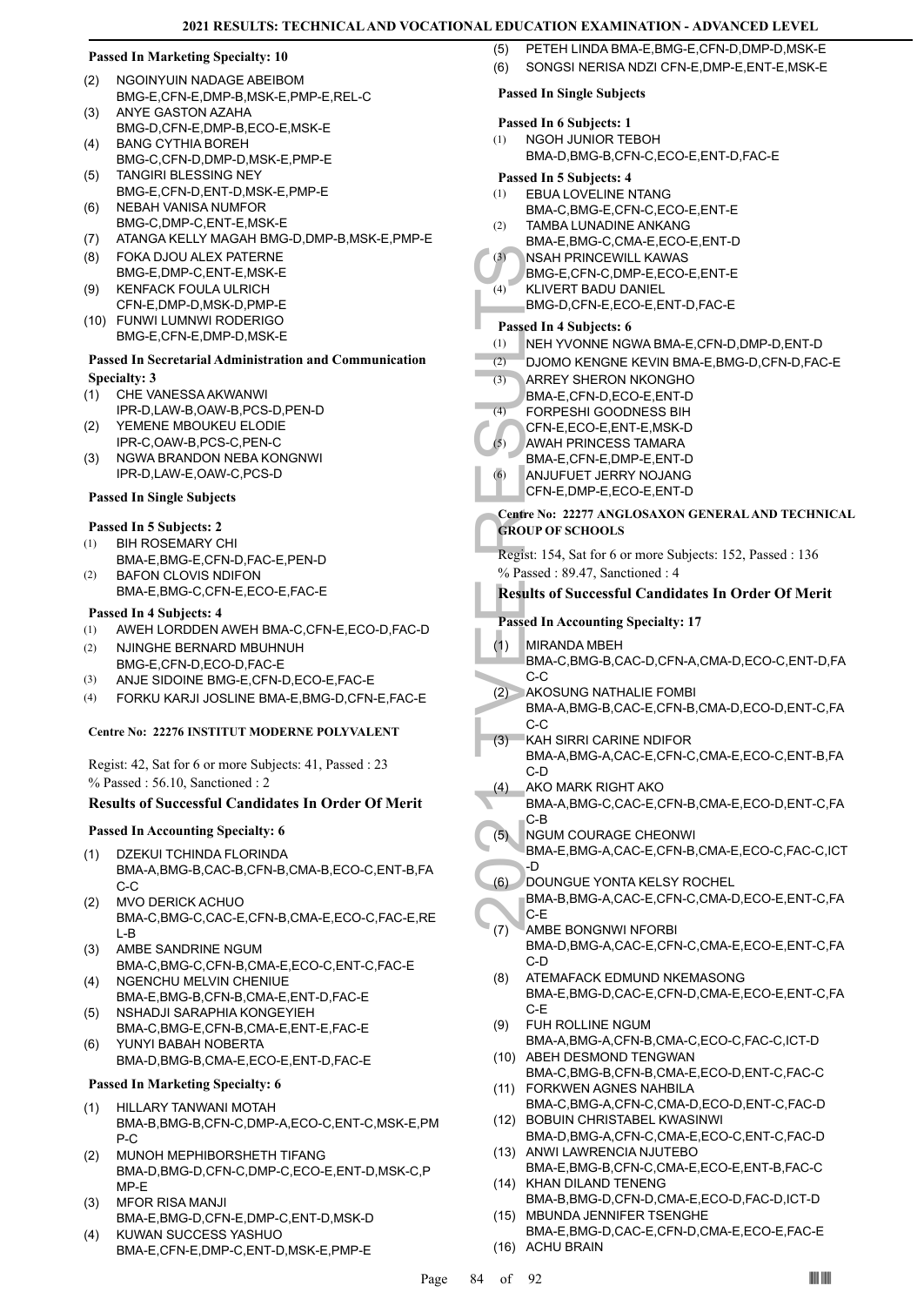#### **Passed In Marketing Specialty: 10**

- NGOINYUIN NADAGE ABEIBOM BMG-E,CFN-E,DMP-B,MSK-E,PMP-E,REL-C (2)
- ANYE GASTON AZAHA BMG-D,CFN-E,DMP-B,ECO-E,MSK-E (3)
- BANG CYTHIA BOREH (4)
- BMG-C,CFN-D,DMP-D,MSK-E,PMP-E TANGIRI BLESSING NEY (5)
- BMG-E,CFN-D,ENT-D,MSK-E,PMP-E NEBAH VANISA NUMFOR (6)
- BMG-C,DMP-C,ENT-E,MSK-E
- (7) ATANGA KELLY MAGAH BMG-D,DMP-B,MSK-E,PMP-E
- FOKA DJOU ALEX PATERNE (8) BMG-E,DMP-C,ENT-E,MSK-E
- KENFACK FOULA ULRICH (9)
- CFN-E,DMP-D,MSK-D,PMP-E FUNWI LUMNWI RODERIGO (10) BMG-E,CFN-E,DMP-D,MSK-E

## **Passed In Secretarial Administration and Communication Specialty: 3**

- CHE VANESSA AKWANWI (1)
- IPR-D,LAW-B,OAW-B,PCS-D,PEN-D YEMENE MBOUKEU ELODIE (2)
- IPR-C,OAW-B,PCS-C,PEN-C NGWA BRANDON NEBA KONGNWI (3)
- IPR-D,LAW-E,OAW-C,PCS-D

## **Passed In Single Subjects**

# **Passed In 5 Subjects: 2**

- BIH ROSEMARY CHI BMA-E,BMG-E,CFN-D,FAC-E,PEN-D (1)
- BAFON CLOVIS NDIFON BMA-E,BMG-C,CFN-E,ECO-E,FAC-E (2)

#### **Passed In 4 Subjects: 4**

- (1) AWEH LORDDEN AWEH BMA-C,CFN-E,ECO-D,FAC-D
- NJINGHE BERNARD MBUHNUH BMG-E,CFN-D,ECO-D,FAC-E (2)
- (3) ANJE SIDOINE BMG-E,CFN-D,ECO-E,FAC-E
- (4) FORKU KARJI JOSLINE BMA-E,BMG-D,CFN-E,FAC-E

#### **Centre No: 22276 INSTITUT MODERNE POLYVALENT**

Regist: 42, Sat for 6 or more Subjects: 41, Passed : 23 % Passed : 56.10, Sanctioned : 2

## **Results of Successful Candidates In Order Of Merit**

#### **Passed In Accounting Specialty: 6**

- DZEKUI TCHINDA FLORINDA BMA-A,BMG-B,CAC-B,CFN-B,CMA-B,ECO-C,ENT-B,FA  $C-C$ (1)
- MVO DERICK ACHUO BMA-C,BMG-C,CAC-E,CFN-B,CMA-E,ECO-C,FAC-E,RE L-B (2)
- AMBE SANDRINE NGUM BMA-C,BMG-C,CFN-B,CMA-E,ECO-C,ENT-C,FAC-E (3)
- (4) NGENCHU MELVIN CHENIUE BMA-E,BMG-B,CFN-B,CMA-E,ENT-D,FAC-E
- NSHADJI SARAPHIA KONGEYIEH BMA-C,BMG-E,CFN-B,CMA-E,ENT-E,FAC-E (5)
- YUNYI BABAH NOBERTA BMA-D,BMG-B,CMA-E,ECO-E,ENT-D,FAC-E (6)
- **Passed In Marketing Specialty: 6**
- HILLARY TANWANI MOTAH BMA-B,BMG-B,CFN-C,DMP-A,ECO-C,ENT-C,MSK-E,PM P-C (1)
- MUNOH MEPHIBORSHETH TIFANG BMA-D,BMG-D,CFN-C,DMP-C,ECO-E,ENT-D,MSK-C,P MP-E (2)
- MFOR RISA MANJI BMA-E,BMG-D,CFN-E,DMP-C,ENT-D,MSK-D (3)
- KUWAN SUCCESS YASHUO BMA-E,CFN-E,DMP-C,ENT-D,MSK-E,PMP-E (4)
- (5) PETEH LINDA BMA-E,BMG-E,CFN-D,DMP-D,MSK-E
- (6) SONGSI NERISA NDZI CFN-E,DMP-E,ENT-E,MSK-E

#### **Passed In Single Subjects**

## **Passed In 6 Subjects: 1**

NGOH JUNIOR TEBOH BMA-D,BMG-B,CFN-C,ECO-E,ENT-D,FAC-E (1)

## **Passed In 5 Subjects: 4**

- EBUA LOVELINE NTANG BMA-C,BMG-E,CFN-C,ECO-E,ENT-E (1)
- TAMBA LUNADINE ANKANG (2)
- BMA-E,BMG-C,CMA-E,ECO-E,ENT-D
- NSAH PRINCEWILL KAWAS  $(3)$
- BMG-E,CFN-C,DMP-E,ECO-E,ENT-E
- KLIVERT BADU DANIEL  $(4)$ 
	- BMG-D,CFN-E,ECO-E,ENT-D,FAC-E

## **Passed In 4 Subjects: 6**

- (1) NEH YVONNE NGWA BMA-E,CFN-D,DMP-D,ENT-D
- (2) DJOMO KENGNE KEVIN BMA-E,BMG-D,CFN-D,FAC-E
- (3) NSAH F<br>
BMG-E, BMG-D,<br>
(4) NEH YV<br>
(2) DJOMO<br>
(3) ARREY BMA-E,<br>
(4) FORPE:<br>
(4) FORPE:<br>
(4) FORPE:<br>
(4) AWAH F, BMA-E,<br>
(6) AWAH F, BMA-E,<br>
(6) AWAH F, BMA-E,<br>
(6) CEN-E,<br>
Centre No: 22<br>
GROUP OF S<br>
Regist: 154, 3<br>
% P ARREY SHERON NKONGHO BMA-E,CFN-D,ECO-E,ENT-D (3) FORPESHI GOODNESS BIH CFN-E,ECO-E,ENT-E,MSK-D  $(4)$ 
	- AWAH PRINCESS TAMARA (5)
	- BMA-E,CFN-E,DMP-E,ENT-D
	- ANJUFUET JERRY NOJANG CFN-E,DMP-E,ECO-E,ENT-D (6)
	- **Centre No: 22277 ANGLOSAXON GENERAL AND TECHNICAL GROUP OF SCHOOLS**

Regist: 154, Sat for 6 or more Subjects: 152, Passed : 136 % Passed : 89.47, Sanctioned : 4

## **Results of Successful Candidates In Order Of Merit**

## **Passed In Accounting Specialty: 17**

- MIRANDA MBEH (1)
	- BMA-C,BMG-B,CAC-D,CFN-A,CMA-D,ECO-C,ENT-D,FA C-C
- AKOSUNG NATHALIE FOMBI BMA-A,BMG-B,CAC-E,CFN-B,CMA-D,ECO-D,ENT-C,FA  $C-C$  $(2)$
- KAH SIRRI CARINE NDIFOR BMA-A,BMG-A,CAC-E,CFN-C,CMA-E,ECO-C,ENT-B,FA C-D (3)
- AKO MARK RIGHT AKO BMA-A,BMG-C,CAC-E,CFN-B,CMA-E,ECO-D,ENT-C,FA C-B (4)
- NGUM COURAGE CHEONWI (5)
- BMA-E,BMG-A,CAC-E,CFN-B,CMA-E,ECO-C,FAC-C,ICT -D
- DOUNGUE YONTA KELSY ROCHEL (6)
	- BMA-B,BMG-A,CAC-E,CFN-C,CMA-D,ECO-E,ENT-C,FA C-E
- AMBE BONGNWI NFORBI BMA-D,BMG-A,CAC-E,CFN-C,CMA-E,ECO-E,ENT-C,FA C-D (7)
- ATEMAFACK EDMUND NKEMASONG BMA-E,BMG-D,CAC-E,CFN-D,CMA-E,ECO-E,ENT-C,FA C-E (8)
- FUH ROLLINE NGUM (9)
- BMA-A,BMG-A,CFN-B,CMA-C,ECO-C,FAC-C,ICT-D (10) ABEH DESMOND TENGWAN
- BMA-C,BMG-B,CFN-B,CMA-E,ECO-D,ENT-C,FAC-C FORKWEN AGNES NAHBILA (11)
- BMA-C,BMG-A,CFN-C,CMA-D,ECO-D,ENT-C,FAC-D BOBUIN CHRISTABEL KWASINWI (12)
- BMA-D,BMG-A,CFN-C,CMA-E,ECO-C,ENT-C,FAC-D (13) ANWI LAWRENCIA NJUTEBO
- BMA-E,BMG-B,CFN-C,CMA-E,ECO-E,ENT-B,FAC-C (14) KHAN DILAND TENENG
- BMA-B,BMG-D,CFN-D,CMA-E,ECO-D,FAC-D,ICT-D (15) MBUNDA JENNIFER TSENGHE
- BMA-E,BMG-D,CAC-E,CFN-D,CMA-E,ECO-E,FAC-E (16) ACHU BRAIN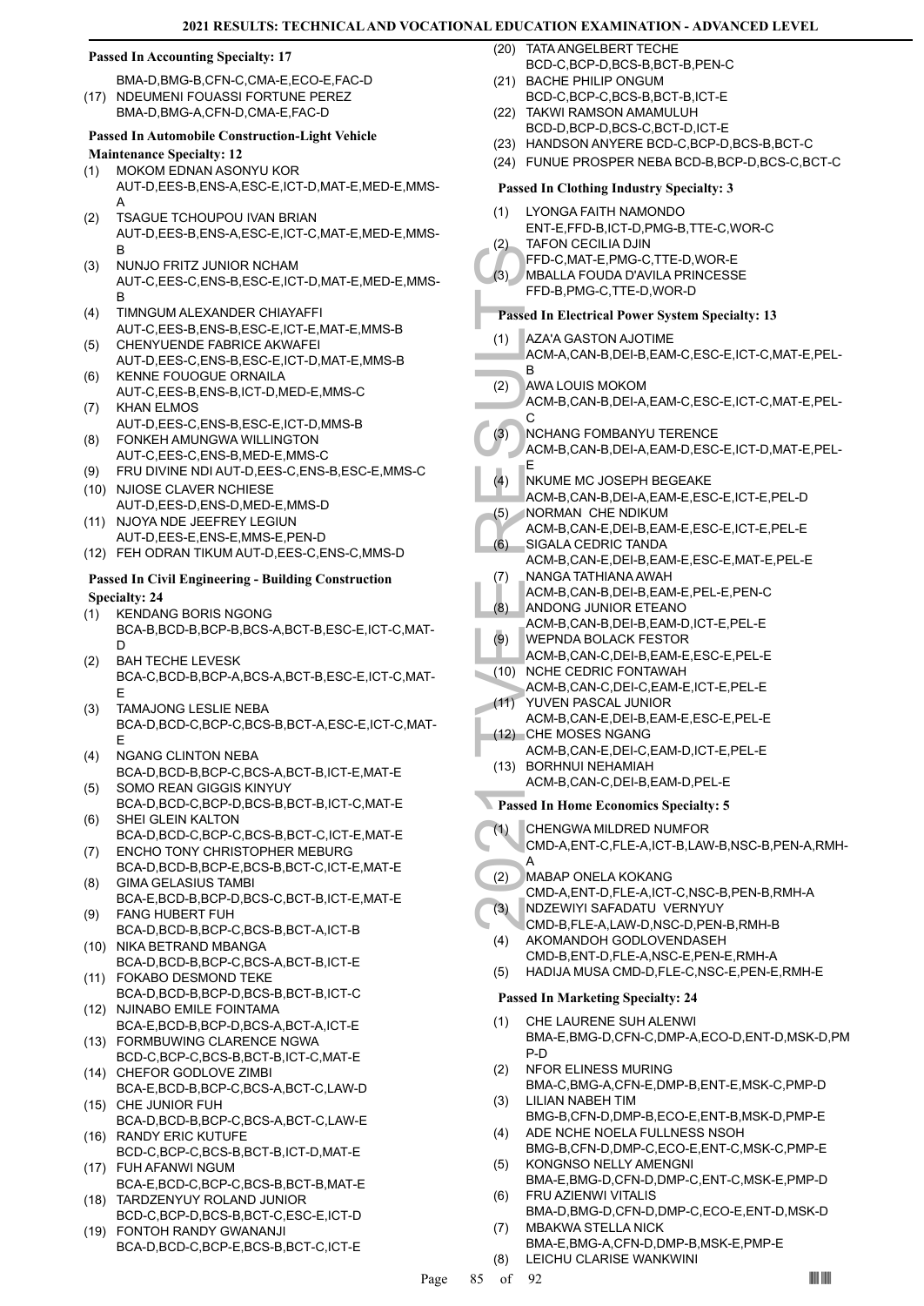#### **Passed In Accounting Specialty: 17**

BMA-D,BMG-B,CFN-C,CMA-E,ECO-E,FAC-D (17) NDEUMENI FOUASSI FORTUNE PEREZ

BMA-D,BMG-A,CFN-D,CMA-E,FAC-D

#### **Passed In Automobile Construction-Light Vehicle Maintenance Specialty: 12**

MOKOM EDNAN ASONYU KOR (1)

- AUT-D,EES-B,ENS-A,ESC-E,ICT-D,MAT-E,MED-E,MMS-A
- TSAGUE TCHOUPOU IVAN BRIAN AUT-D,EES-B,ENS-A,ESC-E,ICT-C,MAT-E,MED-E,MMS-B (2)
- NUNJO FRITZ JUNIOR NCHAM AUT-C,EES-C,ENS-B,ESC-E,ICT-D,MAT-E,MED-E,MMS-B (3)
- TIMNGUM ALEXANDER CHIAYAFFI AUT-C,EES-B,ENS-B,ESC-E,ICT-E,MAT-E,MMS-B (4) CHENYUENDE FABRICE AKWAFEI
- AUT-D,EES-C,ENS-B,ESC-E,ICT-D,MAT-E,MMS-B (5) KENNE FOUOGUE ORNAILA (6)
- AUT-C,EES-B,ENS-B,ICT-D,MED-E,MMS-C KHAN ELMOS (7)
- AUT-D,EES-C,ENS-B,ESC-E,ICT-D,MMS-B FONKEH AMUNGWA WILLINGTON (8)
- AUT-C,EES-C,ENS-B,MED-E,MMS-C
- (9) FRU DIVINE NDI AUT-D,EES-C,ENS-B,ESC-E,MMS-C
- (10) NJIOSE CLAVER NCHIESE AUT-D,EES-D,ENS-D,MED-E,MMS-D
- NJOYA NDE JEEFREY LEGIUN AUT-D,EES-E,ENS-E,MMS-E,PEN-D (11)
- (12) FEH ODRAN TIKUM AUT-D,EES-C,ENS-C,MMS-D

#### **Passed In Civil Engineering - Building Construction Specialty: 24**

- KENDANG BORIS NGONG BCA-B,BCD-B,BCP-B,BCS-A,BCT-B,ESC-E,ICT-C,MAT-D (1)
- BAH TECHE LEVESK BCA-C,BCD-B,BCP-A,BCS-A,BCT-B,ESC-E,ICT-C,MAT-E (2)
- TAMAJONG LESLIE NEBA BCA-D,BCD-C,BCP-C,BCS-B,BCT-A,ESC-E,ICT-C,MAT-E (3)
- NGANG CLINTON NEBA BCA-D,BCD-B,BCP-C,BCS-A,BCT-B,ICT-E,MAT-E (4)
- SOMO REAN GIGGIS KINYUY BCA-D,BCD-C,BCP-D,BCS-B,BCT-B,ICT-C,MAT-E (5)
- SHEI GLEIN KALTON BCA-D,BCD-C,BCP-C,BCS-B,BCT-C,ICT-E,MAT-E (6)
- ENCHO TONY CHRISTOPHER MEBURG BCA-D,BCD-B,BCP-E,BCS-B,BCT-C,ICT-E,MAT-E (7) GIMA GELASIUS TAMBI (8)
- BCA-E,BCD-B,BCP-D,BCS-C,BCT-B,ICT-E,MAT-E FANG HUBERT FUH (9)
- BCA-D,BCD-B,BCP-C,BCS-B,BCT-A,ICT-B (10) NIKA BETRAND MBANGA
- BCA-D,BCD-B,BCP-C,BCS-A,BCT-B,ICT-E FOKABO DESMOND TEKE (11)
- BCA-D,BCD-B,BCP-D,BCS-B,BCT-B,ICT-C (12) NJINABO EMILE FOINTAMA
- BCA-E,BCD-B,BCP-D,BCS-A,BCT-A,ICT-E FORMBUWING CLARENCE NGWA (13)
- BCD-C,BCP-C,BCS-B,BCT-B,ICT-C,MAT-E (14) CHEFOR GODLOVE ZIMBI
- BCA-E,BCD-B,BCP-C,BCS-A,BCT-C,LAW-D (15) CHE JUNIOR FUH
- BCA-D,BCD-B,BCP-C,BCS-A,BCT-C,LAW-E (16) RANDY ERIC KUTUFE
- BCD-C,BCP-C,BCS-B,BCT-B,ICT-D,MAT-E FUH AFANWI NGUM (17)
- BCA-E,BCD-C,BCP-C,BCS-B,BCT-B,MAT-E TARDZENYUY ROLAND JUNIOR (18)
- BCD-C,BCP-D,BCS-B,BCT-C,ESC-E,ICT-D FONTOH RANDY GWANANJI (19)
- BCA-D,BCD-C,BCP-E,BCS-B,BCT-C,ICT-E
- TATA ANGELBERT TECHE BCD-C,BCP-D,BCS-B,BCT-B,PEN-C (20)
- (21) BACHE PHILIP ONGUM BCD-C,BCP-C,BCS-B,BCT-B,ICT-E
- (22) TAKWI RAMSON AMAMULUH
- BCD-D,BCP-D,BCS-C,BCT-D,ICT-E
- (23) HANDSON ANYERE BCD-C,BCP-D,BCS-B,BCT-C
- (24) FUNUE PROSPER NEBA BCD-B,BCP-D,BCS-C,BCT-C

## **Passed In Clothing Industry Specialty: 3**

- LYONGA FAITH NAMONDO ENT-E,FFD-B,ICT-D,PMG-B,TTE-C,WOR-C (1) TAFON CECILIA DJIN (2)
- FFD-C,MAT-E,PMG-C,TTE-D,WOR-E
- MBALLA FOUDA D'AVILA PRINCESSE FFD-B,PMG-C,TTE-D,WOR-D (3)

## **Passed In Electrical Power System Specialty: 13**

- (3) MBALLI FFD-B, F<br>
FFD-C, MBALLI FFD-B, F<br>
FFD-C, MBALLI FFD-B, F<br>
Passed In El<br>
(1) AZA'A C<br>
ACM-A, B<br>
AWA LC<br>
ACM-B, C<br>
(3) NCHAN<br>
ACM-B, E<br>
NKUME ACM-B, E<br>
(4) NCHAN<br>
ACM-B, SIGALA<br>
ACM-B, SIGALA<br>
ACM-B, SIGALA<br>
ACM-B AZA'A GASTON AJOTIME ACM-A,CAN-B,DEI-B,EAM-C,ESC-E,ICT-C,MAT-E,PEL-B (1)
- AWA LOUIS MOKOM (2)
- ACM-B,CAN-B,DEI-A,EAM-C,ESC-E,ICT-C,MAT-E,PEL-C
- NCHANG FOMBANYU TERENCE  $(3)$
- ACM-B,CAN-B,DEI-A,EAM-D,ESC-E,ICT-D,MAT-E,PEL-E
- NKUME MC JOSEPH BEGEAKE  $(4)$ 
	- ACM-B,CAN-B,DEI-A,EAM-E,ESC-E,ICT-E,PEL-D NORMAN CHE NDIKUM (5)
- ACM-B,CAN-E,DEI-B,EAM-E,ESC-E,ICT-E,PEL-E SIGALA CEDRIC TANDA (6)
- ACM-B,CAN-E,DEI-B,EAM-E,ESC-E,MAT-E,PEL-E NANGA TATHIANA AWAH (7)
- ACM-B,CAN-B,DEI-B,EAM-E,PEL-E,PEN-C
- ANDONG JUNIOR ETEANO (8)
- ACM-B,CAN-B,DEI-B,EAM-D,ICT-E,PEL-E
- WEPNDA BOLACK FESTOR ACM-B,CAN-C,DEI-B,EAM-E,ESC-E,PEL-E (9)
- (10) NCHE CEDRIC FONTAWAH
- ACM-B,CAN-C,DEI-C,EAM-E,ICT-E,PEL-E YUVEN PASCAL JUNIOR  $(11)$
- ACM-B,CAN-E,DEI-B,EAM-E,ESC-E,PEL-E CHE MOSES NGANG (12)
- ACM-B,CAN-E,DEI-C,EAM-D,ICT-E,PEL-E BORHNUI NEHAMIAH (13)
	- ACM-B,CAN-C,DEI-B,EAM-D,PEL-E
- **Passed In Home Economics Specialty: 5**
- CHENGWA MILDRED NUMFOR (1)
- CMD-A,ENT-C,FLE-A,ICT-B,LAW-B,NSC-B,PEN-A,RMH-A
- MABAP ONELA KOKANG (2)
- CMD-A,ENT-D,FLE-A,ICT-C,NSC-B,PEN-B,RMH-A NDZEWIYI SAFADATU VERNYUY (3)
- CMD-B,FLE-A,LAW-D,NSC-D,PEN-B,RMH-B AKOMANDOH GODLOVENDASEH (4)
- CMD-B,ENT-D,FLE-A,NSC-E,PEN-E,RMH-A
- (5) HADIJA MUSA CMD-D,FLE-C,NSC-E,PEN-E,RMH-E

- CHE LAURENE SUH ALENWI BMA-E,BMG-D,CFN-C,DMP-A,ECO-D,ENT-D,MSK-D,PM P-D (1)
- NFOR ELINESS MURING BMA-C,BMG-A,CFN-E,DMP-B,ENT-E,MSK-C,PMP-D (2)
- LILIAN NABEH TIM BMG-B,CFN-D,DMP-B,ECO-E,ENT-B,MSK-D,PMP-E (3)
- ADE NCHE NOELA FULLNESS NSOH BMG-B,CFN-D,DMP-C,ECO-E,ENT-C,MSK-C,PMP-E (4)
- KONGNSO NELLY AMENGNI (5)
- BMA-E,BMG-D,CFN-D,DMP-C,ENT-C,MSK-E,PMP-D FRU AZIENWI VITALIS (6)
- BMA-D,BMG-D,CFN-D,DMP-C,ECO-E,ENT-D,MSK-D MBAKWA STELLA NICK (7)
	- BMA-E,BMG-A,CFN-D,DMP-B,MSK-E,PMP-E
- (8) LEICHU CLARISE WANKWINI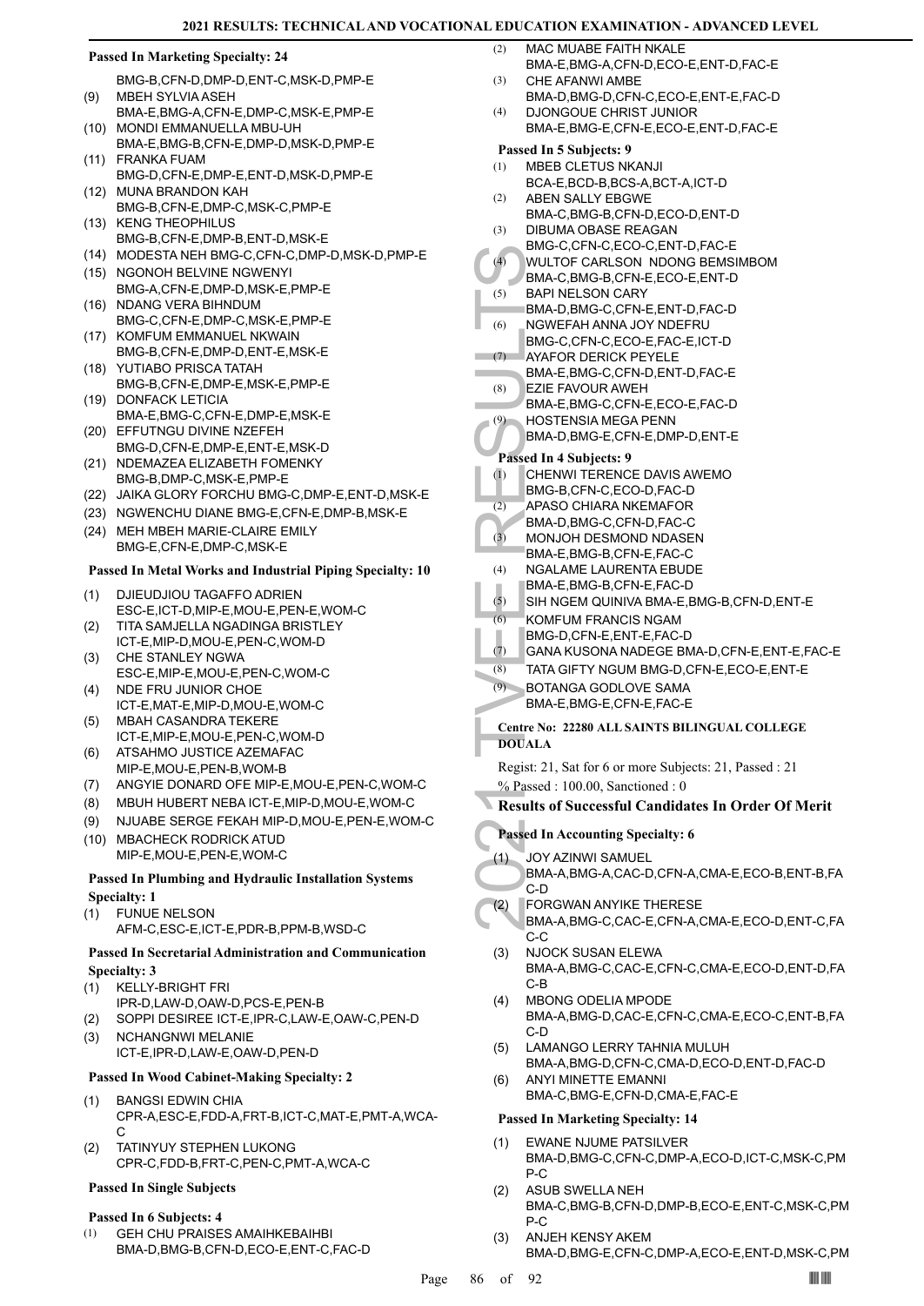#### **Passed In Marketing Specialty: 24**

- BMG-B,CFN-D,DMP-D,ENT-C,MSK-D,PMP-E MBEH SYLVIA ASEH (9)
- BMA-E,BMG-A,CFN-E,DMP-C,MSK-E,PMP-E (10) MONDI EMMANUELLA MBU-UH
- BMA-E,BMG-B,CFN-E,DMP-D,MSK-D,PMP-E FRANKA FUAM (11)
- BMG-D,CFN-E,DMP-E,ENT-D,MSK-D,PMP-E MUNA BRANDON KAH (12)
- BMG-B,CFN-E,DMP-C,MSK-C,PMP-E
- (13) KENG THEOPHILUS BMG-B,CFN-E,DMP-B,ENT-D,MSK-E
- (14) MODESTA NEH BMG-C,CFN-C,DMP-D,MSK-D,PMP-E
- (15) NGONOH BELVINE NGWENYI BMG-A,CFN-E,DMP-D,MSK-E,PMP-E
- (16) NDANG VERA BIHNDUM BMG-C,CFN-E,DMP-C,MSK-E,PMP-E
- (17) KOMFUM EMMANUEL NKWAIN
- BMG-B,CFN-E,DMP-D,ENT-E,MSK-E YUTIABO PRISCA TATAH (18)
- BMG-B,CFN-E,DMP-E,MSK-E,PMP-E (19) DONFACK LETICIA
- BMA-E,BMG-C,CFN-E,DMP-E,MSK-E (20) EFFUTNGU DIVINE NZEFEH
- BMG-D,CFN-E,DMP-E,ENT-E,MSK-D (21) NDEMAZEA ELIZABETH FOMENKY
- BMG-B,DMP-C,MSK-E,PMP-E
- (22) JAIKA GLORY FORCHU BMG-C,DMP-E,ENT-D,MSK-E
- (23) NGWENCHU DIANE BMG-E,CFN-E,DMP-B,MSK-E (24) MEH MBEH MARIE-CLAIRE EMILY BMG-E,CFN-E,DMP-C,MSK-E

#### **Passed In Metal Works and Industrial Piping Specialty: 10**

- DJIEUDJIOU TAGAFFO ADRIEN ESC-E,ICT-D,MIP-E,MOU-E,PEN-E,WOM-C (1)
- TITA SAMJELLA NGADINGA BRISTLEY ICT-E,MIP-D,MOU-E,PEN-C,WOM-D (2)
- CHE STANLEY NGWA ESC-E,MIP-E,MOU-E,PEN-C,WOM-C (3)
- NDE FRU JUNIOR CHOE ICT-E,MAT-E,MIP-D,MOU-E,WOM-C (4)
- MBAH CASANDRA TEKERE ICT-E,MIP-E,MOU-E,PEN-C,WOM-D (5)
- ATSAHMO JUSTICE AZEMAFAC MIP-E,MOU-E,PEN-B,WOM-B (6)
- (7) ANGYIE DONARD OFE MIP-E,MOU-E,PEN-C,WOM-C
- (8) MBUH HUBERT NEBA ICT-E,MIP-D,MOU-E,WOM-C
- (9) NJUABE SERGE FEKAH MIP-D,MOU-E,PEN-E,WOM-C
- (10) MBACHECK RODRICK ATUD MIP-E,MOU-E,PEN-E,WOM-C

#### **Passed In Plumbing and Hydraulic Installation Systems Specialty: 1**

- FUNUE NELSON (1)
	- AFM-C,ESC-E,ICT-E,PDR-B,PPM-B,WSD-C

#### **Passed In Secretarial Administration and Communication Specialty: 3**

- KELLY-BRIGHT FRI (1)
- IPR-D,LAW-D,OAW-D,PCS-E,PEN-B
- (2) SOPPI DESIREE ICT-E,IPR-C,LAW-E,OAW-C,PEN-D
- NCHANGNWI MELANIE ICT-E,IPR-D,LAW-E,OAW-D,PEN-D (3)

## **Passed In Wood Cabinet-Making Specialty: 2**

- BANGSI EDWIN CHIA CPR-A,ESC-E,FDD-A,FRT-B,ICT-C,MAT-E,PMT-A,WCA-C (1)
- TATINYUY STEPHEN LUKONG CPR-C,FDD-B,FRT-C,PEN-C,PMT-A,WCA-C (2)

#### **Passed In Single Subjects**

#### **Passed In 6 Subjects: 4**

GEH CHU PRAISES AMAIHKEBAIHBI BMA-D,BMG-B,CFN-D,ECO-E,ENT-C,FAC-D (1)

- MAC MUABE FAITH NKALE BMA-E,BMG-A,CFN-D,ECO-E,ENT-D,FAC-E (2)
- CHE AFANWI AMBE BMA-D,BMG-D,CFN-C,ECO-E,ENT-E,FAC-D (3)
- DJONGOUE CHRIST JUNIOR BMA-E,BMG-E,CFN-E,ECO-E,ENT-D,FAC-E (4)

#### **Passed In 5 Subjects: 9**

- MBEB CLETUS NKANJI BCA-E,BCD-B,BCS-A,BCT-A,ICT-D (1)
- ABEN SALLY EBGWE BMA-C,BMG-B,CFN-D,ECO-D,ENT-D (2) (3)
- DIBUMA OBASE REAGAN BMG-C,CFN-C,ECO-C,ENT-D,FAC-E
- WULTOF CARLSON NDONG BEMSIMBOM  $(4)$
- BMA-C,BMG-B,CFN-E,ECO-E,ENT-D
- BAPI NELSON CARY (5)
- BMA-D,BMG-C,CFN-E,ENT-D,FAC-D NGWEFAH ANNA JOY NDEFRU (6)
- BMG-C,CFN-C,ECO-E,FAC-E,ICT-D
- AYAFOR DERICK PEYELE (7)
- BMA-E,BMG-C,CFN-D,ENT-D,FAC-E EZIE FAVOUR AWEH (8)
- BMA-E,BMG-C,CFN-E,ECO-E,FAC-D
- HOSTENSIA MEGA PENN (9)
	- BMA-D,BMG-E,CFN-E,DMP-D,ENT-E

## **Passed In 4 Subjects: 9**

- CHENWI TERENCE DAVIS AWEMO (1)
- BMG-B,CFN-C,ECO-D,FAC-D
- APASO CHIARA NKEMAFOR (2)
- (4) WULTO<br>
BMA-C,<br>
(5) BAPI NE<br>
BMA-C,<br>
BMA-D,<br>
ROGER BMA-E,<br>
(8) BAPI NGWE<br>
EZIE FA<br>
BMA-E,<br>
(2) BAPI NG BMA-D,<br>
Passed In 4 1<br>
CHENN BMA-D,<br>
APASO<br>
(3) MONIJO<br>
BMA-D,<br>
MONIJO<br>
RALAI<br>
MORIALE,<br>
SHALAI<br>
MORIALE,<br>
(5) MONIJ BMA-D,BMG-C,CFN-D,FAC-C MONJOH DESMOND NDASEN BMA-F, BMG-B, CFN-F, FAC-C (3)
	- NGALAME LAURENTA EBUDE (4)
	- BMA-E,BMG-B,CFN-E,FAC-D
	- (5) SIH NGEM QUINIVA BMA-E,BMG-B,CFN-D,ENT-E
	- KOMFUM FRANCIS NGAM (6)
	- BMG-D,CFN-E,ENT-E,FAC-D
	- (7) GANA KUSONA NADEGE BMA-D,CFN-E,ENT-E,FAC-E
	- (8) TATA GIFTY NGUM BMG-D,CFN-E,ECO-E,ENT-E
	- BOTANGA GODLOVE SAMA BMA-E,BMG-E,CFN-E,FAC-E (9)

## **Centre No: 22280 ALL SAINTS BILINGUAL COLLEGE DOUALA**

Regist: 21, Sat for 6 or more Subjects: 21, Passed : 21 % Passed : 100.00, Sanctioned : 0

#### **Results of Successful Candidates In Order Of Merit**

## **Passed In Accounting Specialty: 6**

JOY AZINWI SAMUEL  $(1)$ 

BMA-A,BMG-A,CAC-D,CFN-A,CMA-E,ECO-B,ENT-B,FA C-D

- FORGWAN ANYIKE THERESE (2)
- BMA-A,BMG-C,CAC-E,CFN-A,CMA-E,ECO-D,ENT-C,FA  $C-C$
- NJOCK SUSAN ELEWA BMA-A,BMG-C,CAC-E,CFN-C,CMA-E,ECO-D,ENT-D,FA C-B (3)
- MBONG ODELIA MPODE BMA-A,BMG-D,CAC-E,CFN-C,CMA-E,ECO-C,ENT-B,FA C-D (4)
- LAMANGO LERRY TAHNIA MULUH BMA-A,BMG-D,CFN-C,CMA-D,ECO-D,ENT-D,FAC-D (5)
- ANYI MINETTE EMANNI BMA-C,BMG-E,CFN-D,CMA-E,FAC-E (6)

- EWANE NJUME PATSILVER BMA-D,BMG-C,CFN-C,DMP-A,ECO-D,ICT-C,MSK-C,PM P-C (1)
- ASUB SWELLA NEH BMA-C,BMG-B,CFN-D,DMP-B,ECO-E,ENT-C,MSK-C,PM P-C (2)
- ANJEH KENSY AKEM BMA-D,BMG-E,CFN-C,DMP-A,ECO-E,ENT-D,MSK-C,PM (3)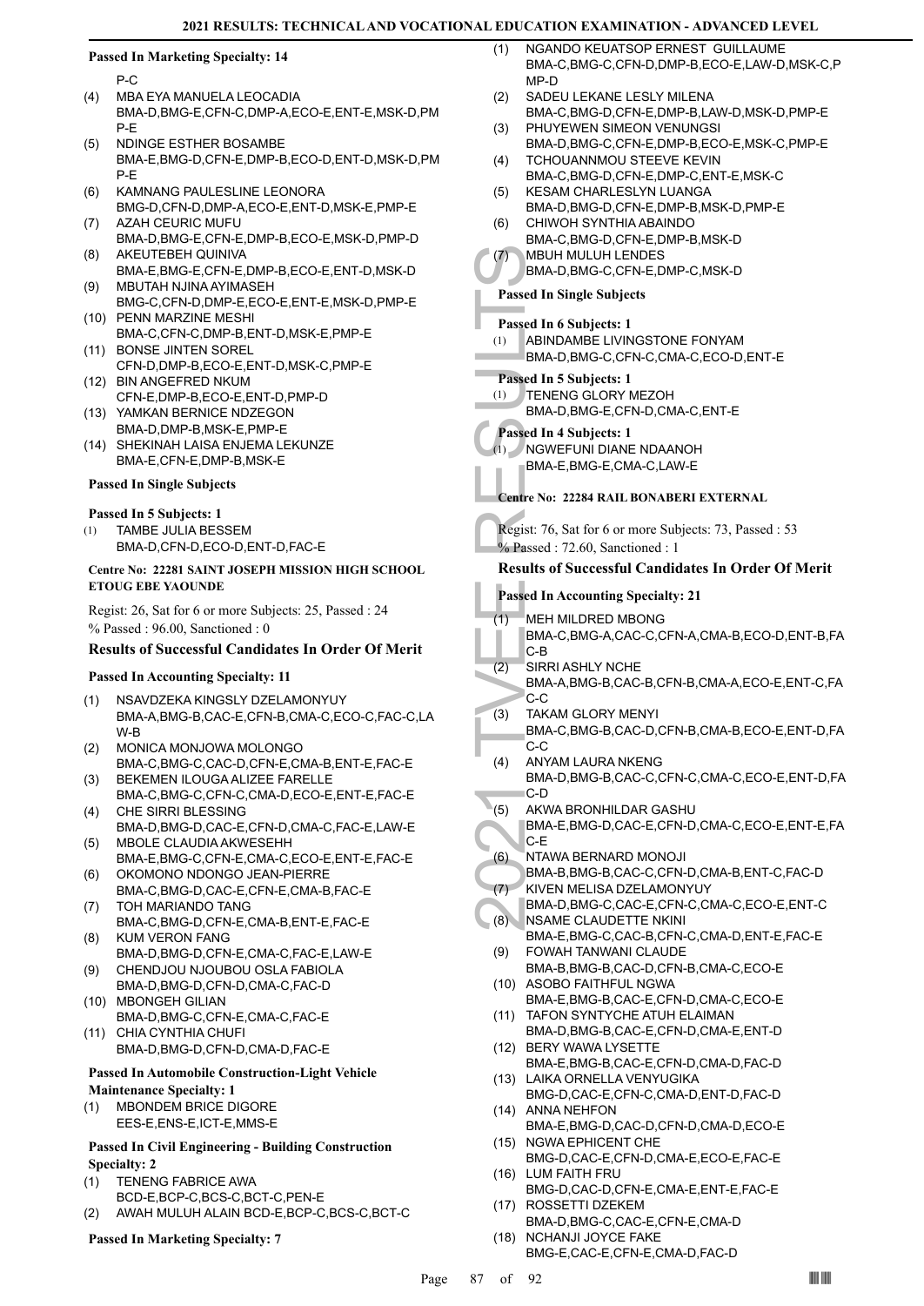#### **Passed In Marketing Specialty: 14**

P-C

- MBA EYA MANUELA LEOCADIA BMA-D,BMG-E,CFN-C,DMP-A,ECO-E,ENT-E,MSK-D,PM P-E (4)
- NDINGE ESTHER BOSAMBE BMA-E,BMG-D,CFN-E,DMP-B,ECO-D,ENT-D,MSK-D,PM P-E (5)
- KAMNANG PAULESLINE LEONORA BMG-D,CFN-D,DMP-A,ECO-E,ENT-D,MSK-E,PMP-E (6)
- AZAH CEURIC MUFU BMA-D,BMG-E,CFN-E,DMP-B,ECO-E,MSK-D,PMP-D (7) AKEUTEBEH QUINIVA (8)
- BMA-E,BMG-E,CFN-E,DMP-B,ECO-E,ENT-D,MSK-D MBUTAH NJINA AYIMASEH (9)
- BMG-C,CFN-D,DMP-E,ECO-E,ENT-E,MSK-D,PMP-E (10) PENN MARZINE MESHI
- BMA-C,CFN-C,DMP-B,ENT-D,MSK-E,PMP-E (11) BONSE JINTEN SOREL
- CFN-D,DMP-B,ECO-E,ENT-D,MSK-C,PMP-E BIN ANGEFRED NKUM (12)
- CFN-E,DMP-B,ECO-E,ENT-D,PMP-D
- (13) YAMKAN BERNICE NDZEGON BMA-D,DMP-B,MSK-E,PMP-E
- (14) SHEKINAH LAISA ENJEMA LEKUNZE BMA-E,CFN-E,DMP-B,MSK-E

#### **Passed In Single Subjects**

#### **Passed In 5 Subjects: 1**

TAMBE JULIA BESSEM BMA-D,CFN-D,ECO-D,ENT-D,FAC-E (1)

#### **Centre No: 22281 SAINT JOSEPH MISSION HIGH SCHOOL ETOUG EBE YAOUNDE**

Regist: 26, Sat for 6 or more Subjects: 25, Passed : 24 % Passed : 96.00, Sanctioned : 0

#### **Results of Successful Candidates In Order Of Merit**

#### **Passed In Accounting Specialty: 11**

- NSAVDZEKA KINGSLY DZELAMONYUY BMA-A,BMG-B,CAC-E,CFN-B,CMA-C,ECO-C,FAC-C,LA W-B (1)
- MONICA MONJOWA MOLONGO BMA-C,BMG-C,CAC-D,CFN-E,CMA-B,ENT-E,FAC-E (2)
- BEKEMEN ILOUGA ALIZEE FARELLE BMA-C,BMG-C,CFN-C,CMA-D,ECO-E,ENT-E,FAC-E (3)
- CHE SIRRI BLESSING (4) BMA-D,BMG-D,CAC-E,CFN-D,CMA-C,FAC-E,LAW-E
- MBOLE CLAUDIA AKWESEHH BMA-E,BMG-C,CFN-E,CMA-C,ECO-E,ENT-E,FAC-E (5)
- (6) OKOMONO NDONGO JEAN-PIERRE BMA-C,BMG-D,CAC-E,CFN-E,CMA-B,FAC-E TOH MARIANDO TANG
- BMA-C,BMG-D,CFN-E,CMA-B,ENT-E,FAC-E (7) KUM VERON FANG (8)
- BMA-D,BMG-D,CFN-E,CMA-C,FAC-E,LAW-E CHENDJOU NJOUBOU OSLA FABIOLA (9)
- BMA-D,BMG-D,CFN-D,CMA-C,FAC-D MBONGEH GILIAN (10)
- BMA-D,BMG-C,CFN-E,CMA-C,FAC-E (11) CHIA CYNTHIA CHUFI
- BMA-D,BMG-D,CFN-D,CMA-D,FAC-E

# **Passed In Automobile Construction-Light Vehicle**

#### **Maintenance Specialty: 1**

MBONDEM BRICE DIGORE EES-E,ENS-E,ICT-E,MMS-E (1)

#### **Passed In Civil Engineering - Building Construction Specialty: 2**

- TENENG FABRICE AWA (1)
- BCD-E,BCP-C,BCS-C,BCT-C,PEN-E
- (2) AWAH MULUH ALAIN BCD-E,BCP-C,BCS-C,BCT-C

## **Passed In Marketing Specialty: 7**

- NGANDO KEUATSOP ERNEST GUILLAUME BMA-C,BMG-C,CFN-D,DMP-B,ECO-E,LAW-D,MSK-C,P MP-D (1)
- SADEU LEKANE LESLY MILENA (2)
- BMA-C,BMG-D,CFN-E,DMP-B,LAW-D,MSK-D,PMP-E PHUYEWEN SIMEON VENUNGSI (3)
- BMA-D,BMG-C,CFN-E,DMP-B,ECO-E,MSK-C,PMP-E TCHOUANNMOU STEEVE KEVIN (4)
- BMA-C,BMG-D,CFN-E,DMP-C,ENT-E,MSK-C KESAM CHARLESLYN LUANGA (5)
- BMA-D,BMG-D,CFN-E,DMP-B,MSK-D,PMP-E CHIWOH SYNTHIA ABAINDO
- BMA-C,BMG-D,CFN-E,DMP-B,MSK-D (6)
- MBUH MULUH LENDES (7)
	- BMA-D,BMG-C,CFN-E,DMP-C,MSK-D

#### **Passed In Single Subjects**

**Passed In 6 Subjects: 1**

ABINDAMBE LIVINGSTONE FONYAM BMA-D,BMG-C,CFN-C,CMA-C,ECO-D,ENT-E (1)

#### **Passed In 5 Subjects: 1**

TENENG GLORY MEZOH (1)

BMA-D,BMG-E,CFN-D,CMA-C,ENT-E

#### **Passed In 4 Subjects: 1**

(1)

NGWEFUNI DIANE NDAANOH BMA-E,BMG-E,CMA-C,LAW-E

#### **Centre No: 22284 RAIL BONABERI EXTERNAL**

Regist: 76, Sat for 6 or more Subjects: 73, Passed : 53 % Passed : 72.60, Sanctioned : 1

#### **Results of Successful Candidates In Order Of Merit**

#### **Passed In Accounting Specialty: 21**

MEH MILDRED MBONG (1)

BMA-C,BMG-A,CAC-C,CFN-A,CMA-B,ECO-D,ENT-B,FA C-B

- SIRRI ASHLY NCHE BMA-A,BMG-B,CAC-B,CFN-B,CMA-A,ECO-E,ENT-C,FA C-C (2)
- (7) MBUH N<br>
BMA-D,<br>
BMA-D,<br>
Passed In 6 1<br>
(1) ABINDA<br>
BMA-D,<br>
Passed In 5 1<br>
EMA-D,<br>
Passed In 5 1<br>
EMA-D,<br>
BMA-D,<br>
Passed In 4 1<br>
(1) NGWEF<br>
BMA-E,<br>
Centre No: 2:<br>
Regist: 76, S,<br>
% Passed In Ac<br>
(1) MEH MI<br>
BMA-C,<br>
C-B<br> TAKAM GLORY MENYI BMA-C,BMG-B,CAC-D,CFN-B,CMA-B,ECO-E,ENT-D,FA C-C (3)
	- ANYAM LAURA NKENG BMA-D,BMG-B,CAC-C,CFN-C,CMA-C,ECO-E,ENT-D,FA C-D (4)
	- AKWA BRONHILDAR GASHU  $(5)$
	- BMA-E,BMG-D,CAC-E,CFN-D,CMA-C,ECO-E,ENT-E,FA C-E
	- NTAWA BERNARD MONOJI (6)
	- BMA-B,BMG-B,CAC-C,CFN-D,CMA-B,ENT-C,FAC-D KIVEN MELISA DZELAMONYUY (7)
	- BMA-D,BMG-C,CAC-E,CFN-C,CMA-C,ECO-E,ENT-C NSAME CLAUDETTE NKINI (8)
	- BMA-E,BMG-C,CAC-B,CFN-C,CMA-D,ENT-E,FAC-E FOWAH TANWANI CLAUDE (9)
	- BMA-B,BMG-B,CAC-D,CFN-B,CMA-C,ECO-E (10) ASOBO FAITHFUL NGWA
	- BMA-E,BMG-B,CAC-E,CFN-D,CMA-C,ECO-E (11) TAFON SYNTYCHE ATUH ELAIMAN
	- BMA-D,BMG-B,CAC-E,CFN-D,CMA-E,ENT-D BERY WAWA LYSETTE (12)
	- BMA-E,BMG-B,CAC-E,CFN-D,CMA-D,FAC-D (13) LAIKA ORNELLA VENYUGIKA
	- BMG-D,CAC-E,CFN-C,CMA-D,ENT-D,FAC-D (14) ANNA NEHFON
	- BMA-E,BMG-D,CAC-D,CFN-D,CMA-D,ECO-E (15) NGWA EPHICENT CHE
	- BMG-D,CAC-E,CFN-D,CMA-E,ECO-E,FAC-E (16) LUM FAITH FRU
	- BMG-D,CAC-D,CFN-E,CMA-E,ENT-E,FAC-E (17) ROSSETTI DZEKEM
	- BMA-D,BMG-C,CAC-E,CFN-E,CMA-D (18) NCHANJI JOYCE FAKE
		- BMG-E,CAC-E,CFN-E,CMA-D,FAC-D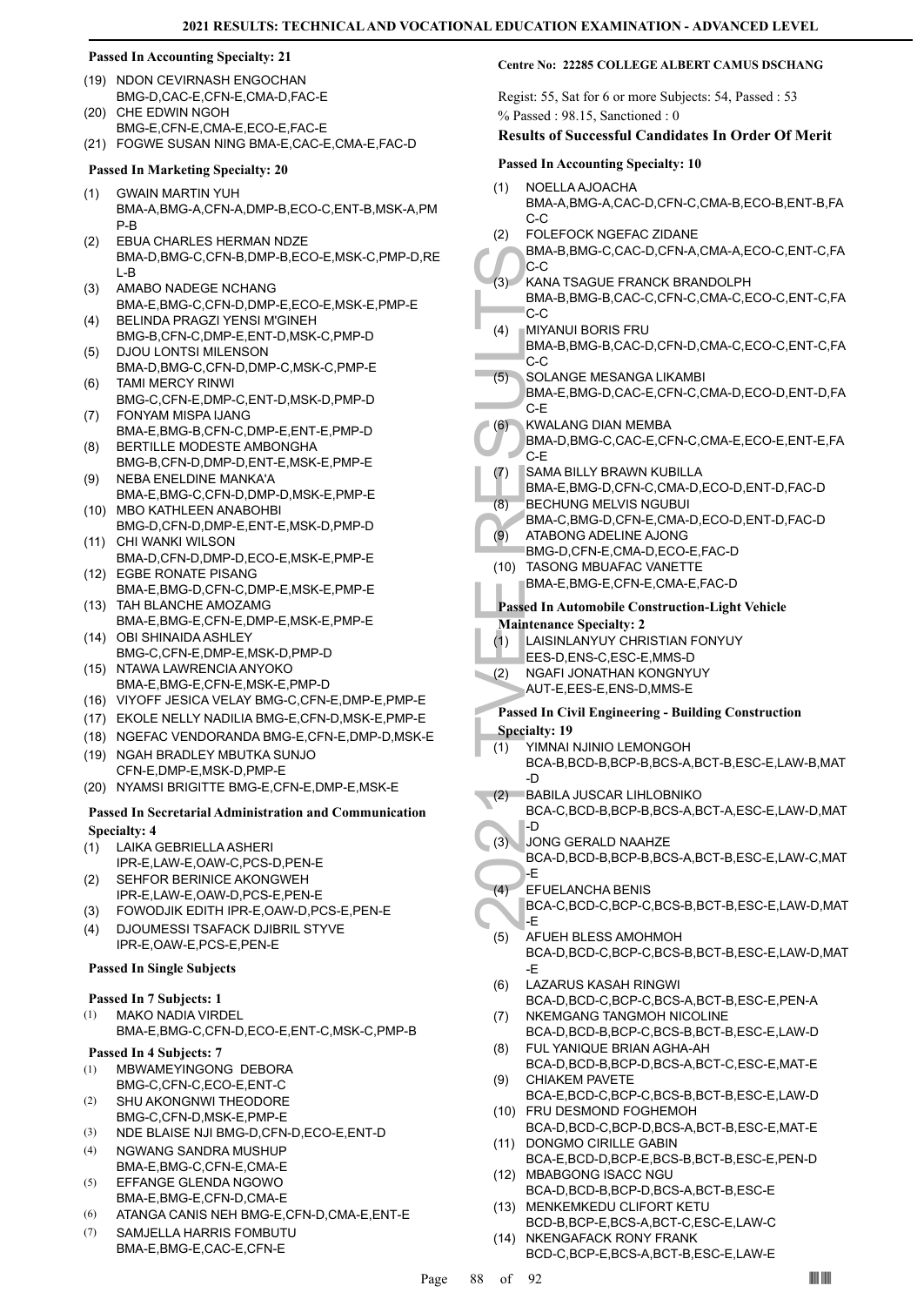#### **Passed In Accounting Specialty: 21**

- (19) NDON CEVIRNASH ENGOCHAN BMG-D,CAC-E,CFN-E,CMA-D,FAC-E
- CHE EDWIN NGOH BMG-E,CFN-E,CMA-E,ECO-E,FAC-E (20)
- (21) FOGWE SUSAN NING BMA-E,CAC-E,CMA-E,FAC-D

#### **Passed In Marketing Specialty: 20**

- GWAIN MARTIN YUH BMA-A,BMG-A,CFN-A,DMP-B,ECO-C,ENT-B,MSK-A,PM P-B (1)
- EBUA CHARLES HERMAN NDZE BMA-D,BMG-C,CFN-B,DMP-B,ECO-E,MSK-C,PMP-D,RE L-B (2)
- AMABO NADEGE NCHANG BMA-E,BMG-C,CFN-D,DMP-E,ECO-E,MSK-E,PMP-E (3)
- BELINDA PRAGZI YENSI M'GINEH BMG-B,CFN-C,DMP-E,ENT-D,MSK-C,PMP-D (4)
- DJOU LONTSI MILENSON BMA-D,BMG-C,CFN-D,DMP-C,MSK-C,PMP-E (5) TAMI MERCY RINWI
- BMG-C,CFN-E,DMP-C,ENT-D,MSK-D,PMP-D (6) FONYAM MISPA IJANG (7)
- BMA-E,BMG-B,CFN-C,DMP-E,ENT-E,PMP-D BERTILLE MODESTE AMBONGHA (8)
- BMG-B,CFN-D,DMP-D,ENT-E,MSK-E,PMP-E NEBA ENELDINE MANKA'A (9)
- BMA-E,BMG-C,CFN-D,DMP-D,MSK-E,PMP-E MBO KATHLEEN ANABOHBI (10)
- BMG-D,CFN-D,DMP-E,ENT-E,MSK-D,PMP-D (11) CHI WANKI WILSON
- BMA-D,CFN-D,DMP-D,ECO-E,MSK-E,PMP-E EGBE RONATE PISANG (12)
- BMA-E,BMG-D,CFN-C,DMP-E,MSK-E,PMP-E (13) TAH BLANCHE AMOZAMG
- BMA-E,BMG-E,CFN-E,DMP-E,MSK-E,PMP-E (14) OBI SHINAIDA ASHLEY
- BMG-C,CFN-E,DMP-E,MSK-D,PMP-D NTAWA LAWRENCIA ANYOKO (15)
- BMA-E,BMG-E,CFN-E,MSK-E,PMP-D
- (16) VIYOFF JESICA VELAY BMG-C,CFN-E,DMP-E,PMP-E
- (17) EKOLE NELLY NADILIA BMG-E,CFN-D,MSK-E,PMP-E (18) NGEFAC VENDORANDA BMG-E,CFN-E,DMP-D,MSK-E
- (19) NGAH BRADLEY MBUTKA SUNJO CFN-E,DMP-E,MSK-D,PMP-E
- (20) NYAMSI BRIGITTE BMG-E,CFN-E,DMP-E,MSK-E

#### **Passed In Secretarial Administration and Communication Specialty: 4**

- LAIKA GEBRIELLA ASHERI (1) IPR-E,LAW-E,OAW-C,PCS-D,PEN-E
- SEHFOR BERINICE AKONGWEH IPR-E,LAW-E,OAW-D,PCS-E,PEN-E (2)
- (3) FOWODJIK EDITH IPR-E,OAW-D,PCS-E,PEN-E
- DJOUMESSI TSAFACK DJIBRIL STYVE IPR-E,OAW-E,PCS-E,PEN-E (4)

#### **Passed In Single Subjects**

## **Passed In 7 Subjects: 1**

MAKO NADIA VIRDEL BMA-E,BMG-C,CFN-D,ECO-E,ENT-C,MSK-C,PMP-B (1)

#### **Passed In 4 Subjects: 7**

- MBWAMEYINGONG DEBORA BMG-C,CFN-C,ECO-E,ENT-C (1)
- SHU AKONGNWI THEODORE BMG-C,CFN-D,MSK-E,PMP-E (2)
- (3) NDE BLAISE NJI BMG-D,CFN-D,ECO-E,ENT-D
- NGWANG SANDRA MUSHUP BMA-E,BMG-C,CFN-E,CMA-E (4)
- EFFANGE GLENDA NGOWO BMA-E,BMG-E,CFN-D,CMA-E (5)
- (6) ATANGA CANIS NEH BMG-E,CFN-D,CMA-E,ENT-E
- SAMJELLA HARRIS FOMBUTU BMA-E,BMG-E,CAC-E,CFN-E (7)

#### **Centre No: 22285 COLLEGE ALBERT CAMUS DSCHANG**

Regist: 55, Sat for 6 or more Subjects: 54, Passed : 53 % Passed : 98.15, Sanctioned : 0

#### **Results of Successful Candidates In Order Of Merit**

#### **Passed In Accounting Specialty: 10**

- NOELLA AJOACHA BMA-A,BMG-A,CAC-D,CFN-C,CMA-B,ECO-B,ENT-B,FA  $C-C$ (1)
- FOLEFOCK NGEFAC ZIDANE (2)

## BMA-B,BMG-C,CAC-D,CFN-A,CMA-A,ECO-C,ENT-C,FA  $C-C$

- KANA TSAGUE FRANCK BRANDOLPH BMA-B,BMG-B,CAC-C,CFN-C,CMA-C,ECO-C,ENT-C,FA C-C  $(3)$
- BMA-B,<br>
C-C<br>
(3) KANAT<br>
BMA-B,<br>
C-C<br>
(4) MIYANU BMA-B,<br>
C-C<br>
SOLAN(BMA-E,<br>
C-E<br>
SOLAN(BMA-E,<br>
C-E<br>
(6) SOLAN(BMA-E,<br>
C-E<br>
(7) SAMAE,<br>
BMA-E,<br>
BMA-E,<br>
BMA-E,<br>
BMA-E,<br>
BMA-E,<br>
BMA-E,<br>
BMA-E,<br>
BMA-E,<br>
BMA-E,<br>
BMA-E,<br>
BMA-E,<br> MIYANUI BORIS FRU BMA-B,BMG-B,CAC-D,CFN-D,CMA-C,ECO-C,ENT-C,FA  $C-C$ (4)
	- SOLANGE MESANGA LIKAMBI BMA-E,BMG-D,CAC-E,CFN-C,CMA-D,ECO-D,ENT-D,FA C-E (5)
- KWALANG DIAN MEMBA (6)
- BMA-D,BMG-C,CAC-E,CFN-C,CMA-E,ECO-E,ENT-E,FA C-E
- SAMA BILLY BRAWN KUBILLA (7)
- BMA-E,BMG-D,CFN-C,CMA-D,ECO-D,ENT-D,FAC-D BECHUNG MELVIS NGUBUI (8)
- BMA-C,BMG-D,CFN-E,CMA-D,ECO-D,ENT-D,FAC-D ATABONG ADELINE AJONG (9)
- BMG-D,CFN-E,CMA-D,ECO-E,FAC-D
- TASONG MBUAFAC VANETTE (10)
	- BMA-E,BMG-E,CFN-E,CMA-E,FAC-D

## **Passed In Automobile Construction-Light Vehicle**

## **Maintenance Specialty: 2**

- LAISINLANYUY CHRISTIAN FONYUY (1)
- EES-D,ENS-C,ESC-E,MMS-D
- NGAFI JONATHAN KONGNYUY (2)
- AUT-E,EES-E,ENS-D,MMS-E

# **Passed In Civil Engineering - Building Construction**

- **Specialty: 19**
	- YIMNAI NJINIO LEMONGOH BCA-B,BCD-B,BCP-B,BCS-A,BCT-B,ESC-E,LAW-B,MAT (1)
- -D BABILA JUSCAR LIHLOBNIKO  $(2)$
- BCA-C,BCD-B,BCP-B,BCS-A,BCT-A,ESC-E,LAW-D,MAT -D
- JONG GERALD NAAHZE BCA-D,BCD-B,BCP-B,BCS-A,BCT-B,ESC-E,LAW-C,MAT -E  $(3)$  $(4)$
- EFUELANCHA BENIS BCA-C,BCD-C,BCP-C,BCS-B,BCT-B,ESC-E,LAW-D,MAT -E
- AFUEH BLESS AMOHMOH BCA-D,BCD-C,BCP-C,BCS-B,BCT-B,ESC-E,LAW-D,MAT -E (5)
- LAZARUS KASAH RINGWI BCA-D,BCD-C,BCP-C,BCS-A,BCT-B,ESC-E,PEN-A (6)
- NKEMGANG TANGMOH NICOLINE BCA-D,BCD-B,BCP-C,BCS-B,BCT-B,ESC-E,LAW-D (7)
- FUL YANIQUE BRIAN AGHA-AH BCA-D,BCD-B,BCP-D,BCS-A,BCT-C,ESC-E,MAT-E (8)
- CHIAKEM PAVETE BCA-E,BCD-C,BCP-C,BCS-B,BCT-B,ESC-E,LAW-D (9)
- (10) FRU DESMOND FOGHEMOH
- BCA-D,BCD-C,BCP-D,BCS-A,BCT-B,ESC-E,MAT-E (11) DONGMO CIRILLE GABIN
- BCA-E,BCD-D,BCP-E,BCS-B,BCT-B,ESC-E,PEN-D (12) MBABGONG ISACC NGU
- BCA-D,BCD-B,BCP-D,BCS-A,BCT-B,ESC-E MENKEMKEDU CLIFORT KETU (13)
- BCD-B,BCP-E,BCS-A,BCT-C,ESC-E,LAW-C (14) NKENGAFACK RONY FRANK
	- BCD-C,BCP-E,BCS-A,BCT-B,ESC-E,LAW-E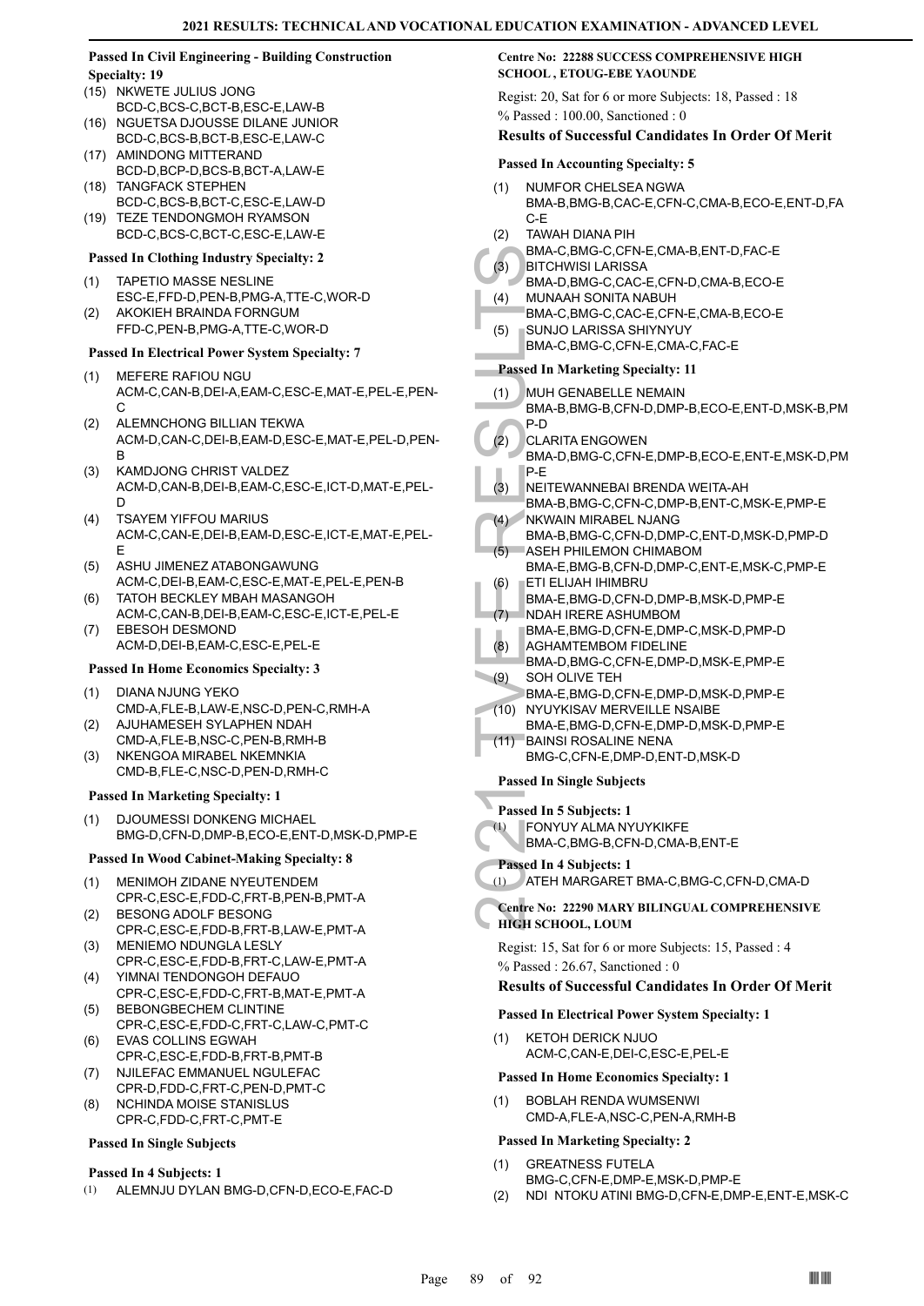#### **Passed In Civil Engineering - Building Construction Specialty: 19**

- (15) NKWETE JULIUS JONG BCD-C,BCS-C,BCT-B,ESC-E,LAW-B
- NGUETSA DJOUSSE DILANE JUNIOR BCD-C,BCS-B,BCT-B,ESC-E,LAW-C (16)
- (17) AMINDONG MITTERAND BCD-D,BCP-D,BCS-B,BCT-A,LAW-E
- (18) TANGFACK STEPHEN BCD-C,BCS-B,BCT-C,ESC-E,LAW-D TEZE TENDONGMOH RYAMSON  $(19)$
- BCD-C,BCS-C,BCT-C,ESC-E,LAW-E

## **Passed In Clothing Industry Specialty: 2**

- TAPETIO MASSE NESLINE ESC-E,FFD-D,PEN-B,PMG-A,TTE-C,WOR-D (1)
- AKOKIEH BRAINDA FORNGUM FFD-C,PEN-B,PMG-A,TTE-C,WOR-D (2)

## **Passed In Electrical Power System Specialty: 7**

- MEFERE RAFIOU NGU ACM-C,CAN-B,DEI-A,EAM-C,ESC-E,MAT-E,PEL-E,PEN- $\mathcal{C}$ (1)
- ALEMNCHONG BILLIAN TEKWA ACM-D,CAN-C,DEI-B,EAM-D,ESC-E,MAT-E,PEL-D,PEN-B (2)
- KAMDJONG CHRIST VALDEZ ACM-D,CAN-B,DEI-B,EAM-C,ESC-E,ICT-D,MAT-E,PEL-D (3)
- TSAYEM YIFFOU MARIUS ACM-C,CAN-E,DEI-B,EAM-D,ESC-E,ICT-E,MAT-E,PEL-E (4)
- ASHU JIMENEZ ATABONGAWUNG ACM-C,DEI-B,EAM-C,ESC-E,MAT-E,PEL-E,PEN-B (5)
- TATOH BECKLEY MBAH MASANGOH ACM-C,CAN-B,DEI-B,EAM-C,ESC-E,ICT-E,PEL-E (6)
- EBESOH DESMOND ACM-D,DEI-B,EAM-C,ESC-E,PEL-E (7)

#### **Passed In Home Economics Specialty: 3**

- DIANA NJUNG YEKO CMD-A,FLE-B,LAW-E,NSC-D,PEN-C,RMH-A (1)
- AJUHAMESEH SYLAPHEN NDAH CMD-A,FLE-B,NSC-C,PEN-B,RMH-B (2)
- NKENGOA MIRABEL NKEMNKIA CMD-B,FLE-C,NSC-D,PEN-D,RMH-C (3)

#### **Passed In Marketing Specialty: 1**

DJOUMESSI DONKENG MICHAEL BMG-D,CFN-D,DMP-B,ECO-E,ENT-D,MSK-D,PMP-E (1)

#### **Passed In Wood Cabinet-Making Specialty: 8**

- MENIMOH ZIDANE NYEUTENDEM (1) CPR-C,ESC-E,FDD-C,FRT-B,PEN-B,PMT-A
- BESONG ADOLF BESONG (2)
- CPR-C,ESC-E,FDD-B,FRT-B,LAW-E,PMT-A MENIEMO NDUNGLA LESLY (3)
- CPR-C,ESC-E,FDD-B,FRT-C,LAW-E,PMT-A YIMNAI TENDONGOH DEFAUO (4)
- CPR-C,ESC-E,FDD-C,FRT-B,MAT-E,PMT-A BEBONGBECHEM CLINTINE (5)
- CPR-C,ESC-E,FDD-C,FRT-C,LAW-C,PMT-C EVAS COLLINS EGWAH (6)
- CPR-C,ESC-E,FDD-B,FRT-B,PMT-B NJILEFAC EMMANUEL NGULEFAC (7)
- CPR-D,FDD-C,FRT-C,PEN-D,PMT-C NCHINDA MOISE STANISLUS (8)
- CPR-C,FDD-C,FRT-C,PMT-E

# **Passed In Single Subjects**

#### **Passed In 4 Subjects: 1**

(1) ALEMNJU DYLAN BMG-D,CFN-D,ECO-E,FAC-D

## **Centre No: 22288 SUCCESS COMPREHENSIVE HIGH SCHOOL , ETOUG-EBE YAOUNDE**

Regist: 20, Sat for 6 or more Subjects: 18, Passed : 18 % Passed : 100.00, Sanctioned : 0

#### **Results of Successful Candidates In Order Of Merit**

#### **Passed In Accounting Specialty: 5**

- NUMFOR CHELSEA NGWA BMA-B,BMG-B,CAC-E,CFN-C,CMA-B,ECO-E,ENT-D,FA C-E (1)
- TAWAH DIANA PIH (2)
	- BMA-C,BMG-C,CFN-E,CMA-B,ENT-D,FAC-E
- **BITCHWISI LARISSA** (3)
	- BMA-D,BMG-C,CAC-E,CFN-D,CMA-B,ECO-E MUNAAH SONITA NABUH (4)
	- BMA-C,BMG-C,CAC-E,CFN-E,CMA-B,ECO-E SUNJO LARISSA SHIYNYUY (5)
	- BMA-C,BMG-C,CFN-E,CMA-C,FAC-E

#### **Passed In Marketing Specialty: 11**

- MUH GENABELLE NEMAIN (1)
- BMA-B,BMG-B,CFN-D,DMP-B,ECO-E,ENT-D,MSK-B,PM P-D
- CLARITA ENGOWEN  $(2)$
- BMA-D,BMG-C,CFN-E,DMP-B,ECO-E,ENT-E,MSK-D,PM P-E
- NEITEWANNEBAI BRENDA WEITA-AH (3)
- BMA-B,BMG-C,CFN-C,DMP-B,ENT-C,MSK-E,PMP-E NKWAIN MIRABEL NJANG  $(4)$
- BMA-B,BMG-C,CFN-D,DMP-C,ENT-D,MSK-D,PMP-D ASEH PHILEMON CHIMABOM  $(5)$
- BMA-E,BMG-B,CFN-D,DMP-C,ENT-E,MSK-C,PMP-E ETI ELIJAH IHIMBRU (6)
- BMA-E,BMG-D,CFN-D,DMP-B,MSK-D,PMP-E
- NDAH IRERE ASHUMBOM (7)
- BMA-E,BMG-D,CFN-E,DMP-C,MSK-D,PMP-D
- (3) BMA-C,<br>
(3) BTCHV<br>
BMA-C,<br>
(4) MUNAA<br>
BMA-C,<br>
SUNJO BMA-C,<br>
SUNJO BMA-C,<br>
Passed In M<br>
(1) MUH GH<br>
BMA-B,<br>
P-D<br>
CARIT,<br>
BMA-B,<br>
P-E TE NEITEW<br>
BMA-B,<br>
(4) NKWAIP<br>
BMA-B,<br>
(5) ASEHP<br>
BMA-B,<br>
(5) ASEHP<br>
BMA-B,<br>
(5) ASEHP AGHAMTEMBOM FIDELINE BMA-D,BMG-C,CFN-E,DMP-D,MSK-E,PMP-E (8) SOH OLIVE TEH (9)
- BMA-E,BMG-D,CFN-E,DMP-D,MSK-D,PMP-E NYUYKISAV MERVEILLE NSAIBE (10)
- BMA-E,BMG-D,CFN-E,DMP-D,MSK-D,PMP-E BAINSI ROSALINE NENA  $(11)$
- BMG-C,CFN-E,DMP-D,ENT-D,MSK-D

#### **Passed In Single Subjects**

- **Passed In 5 Subjects: 1**
- FONYUY ALMA NYUYKIKFE (1)

BMA-C,BMG-B,CFN-D,CMA-B,ENT-E

**Passed In 4 Subjects: 1**

(1) ATEH MARGARET BMA-C,BMG-C,CFN-D,CMA-D

## **Centre No: 22290 MARY BILINGUAL COMPREHENSIVE HIGH SCHOOL, LOUM**

Regist: 15, Sat for 6 or more Subjects: 15, Passed : 4 % Passed : 26.67, Sanctioned : 0

## **Results of Successful Candidates In Order Of Merit**

#### **Passed In Electrical Power System Specialty: 1**

KETOH DERICK NJUO ACM-C,CAN-E,DEI-C,ESC-E,PEL-E (1)

#### **Passed In Home Economics Specialty: 1**

BOBLAH RENDA WUMSENWI CMD-A,FLE-A,NSC-C,PEN-A,RMH-B (1)

- GREATNESS FUTELA BMG-C,CFN-E,DMP-E,MSK-D,PMP-E (1)
- (2) NDI NTOKU ATINI BMG-D,CFN-E,DMP-E,ENT-E,MSK-C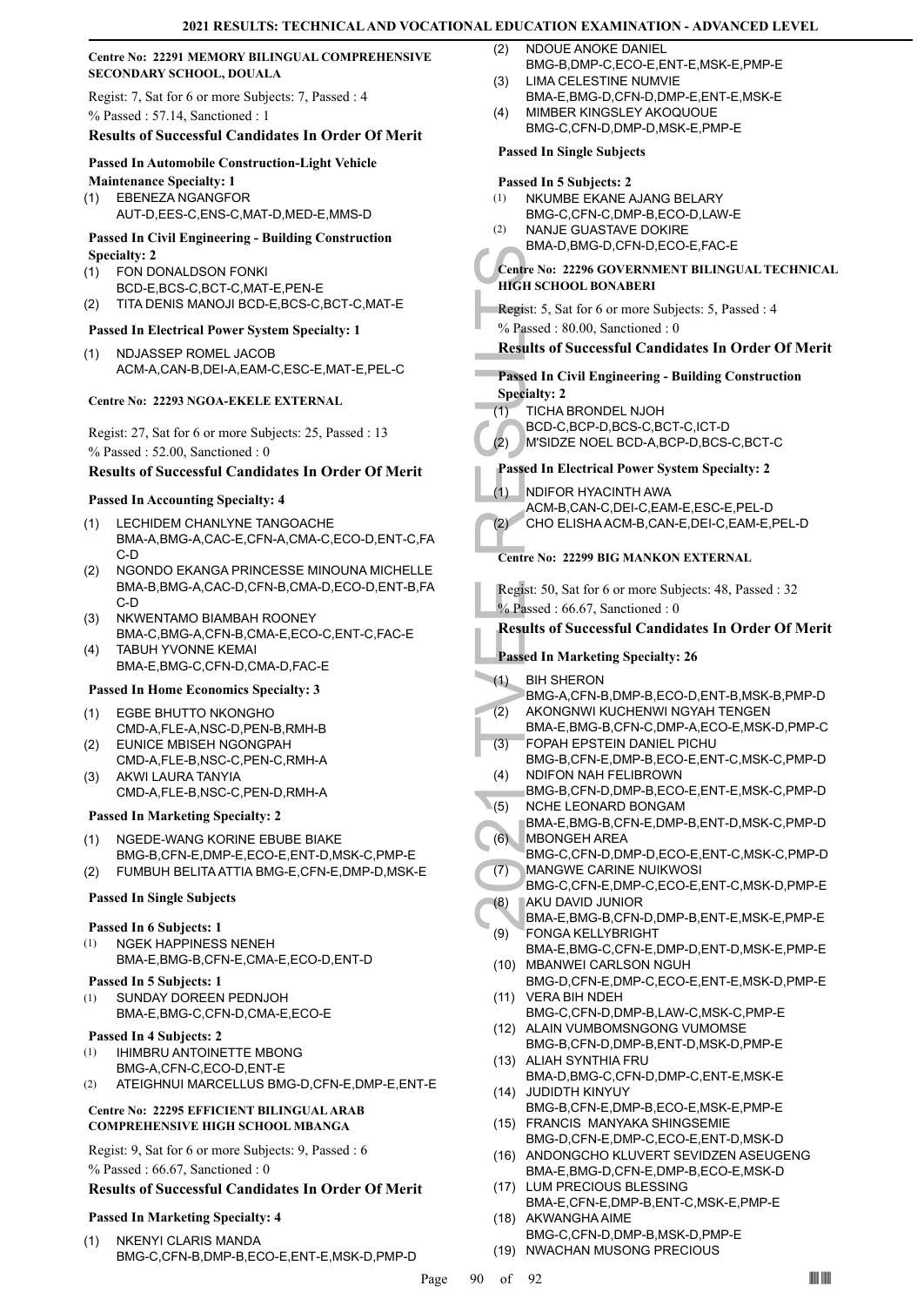## **Centre No: 22291 MEMORY BILINGUAL COMPREHENSIVE SECONDARY SCHOOL, DOUALA**

Regist: 7, Sat for 6 or more Subjects: 7, Passed : 4 % Passed : 57.14, Sanctioned : 1

## **Results of Successful Candidates In Order Of Merit**

#### **Passed In Automobile Construction-Light Vehicle**

**Maintenance Specialty: 1** EBENEZA NGANGFOR (1) AUT-D,EES-C,ENS-C,MAT-D,MED-E,MMS-D

#### **Passed In Civil Engineering - Building Construction Specialty: 2**

- FON DONALDSON FONKI BCD-E,BCS-C,BCT-C,MAT-E,PEN-E (1)
- (2) TITA DENIS MANOJI BCD-E,BCS-C,BCT-C,MAT-E

## **Passed In Electrical Power System Specialty: 1**

NDJASSEP ROMEL JACOB ACM-A,CAN-B,DEI-A,EAM-C,ESC-E,MAT-E,PEL-C (1)

#### **Centre No: 22293 NGOA-EKELE EXTERNAL**

Regist: 27, Sat for 6 or more Subjects: 25, Passed : 13 % Passed : 52.00, Sanctioned : 0

## **Results of Successful Candidates In Order Of Merit**

#### **Passed In Accounting Specialty: 4**

- LECHIDEM CHANLYNE TANGOACHE BMA-A,BMG-A,CAC-E,CFN-A,CMA-C,ECO-D,ENT-C,FA C-D (1)
- NGONDO EKANGA PRINCESSE MINOUNA MICHELLE BMA-B,BMG-A,CAC-D,CFN-B,CMA-D,ECO-D,ENT-B,FA C-D (2)
- NKWENTAMO BIAMBAH ROONEY BMA-C,BMG-A,CFN-B,CMA-E,ECO-C,ENT-C,FAC-E (3)
- TABUH YVONNE KEMAI (4) BMA-E,BMG-C,CFN-D,CMA-D,FAC-E

## **Passed In Home Economics Specialty: 3**

- EGBE BHUTTO NKONGHO CMD-A,FLE-A,NSC-D,PEN-B,RMH-B (1)
- EUNICE MBISEH NGONGPAH CMD-A,FLE-B,NSC-C,PEN-C,RMH-A (2)
- AKWI LAURA TANYIA CMD-A,FLE-B,NSC-C,PEN-D,RMH-A (3)

#### **Passed In Marketing Specialty: 2**

- NGEDE-WANG KORINE EBUBE BIAKE (1)
- BMG-B,CFN-E,DMP-E,ECO-E,ENT-D,MSK-C,PMP-E
- (2) FUMBUH BELITA ATTIA BMG-E,CFN-E,DMP-D,MSK-E

## **Passed In Single Subjects**

#### **Passed In 6 Subjects: 1**

- NGEK HAPPINESS NENEH BMA-E,BMG-B,CFN-E,CMA-E,ECO-D,ENT-D (1)
- **Passed In 5 Subjects: 1**
- SUNDAY DOREEN PEDNJOH BMA-E,BMG-C,CFN-D,CMA-E,ECO-E (1)

#### **Passed In 4 Subjects: 2**

- IHIMBRU ANTOINETTE MBONG BMG-A,CFN-C,ECO-D,ENT-E (1)
- (2) ATEIGHNUI MARCELLUS BMG-D,CFN-E,DMP-E,ENT-E

#### **Centre No: 22295 EFFICIENT BILINGUAL ARAB COMPREHENSIVE HIGH SCHOOL MBANGA**

Regist: 9, Sat for 6 or more Subjects: 9, Passed : 6 % Passed : 66.67, Sanctioned : 0

#### **Results of Successful Candidates In Order Of Merit**

#### **Passed In Marketing Specialty: 4**

NKENYI CLARIS MANDA BMG-C,CFN-B,DMP-B,ECO-E,ENT-E,MSK-D,PMP-D (1)

- NDOUE ANOKE DANIEL BMG-B,DMP-C,ECO-E,ENT-E,MSK-E,PMP-E  $(2)$
- LIMA CELESTINE NUMVIE (3)
- BMA-E,BMG-D,CFN-D,DMP-E,ENT-E,MSK-E MIMBER KINGSLEY AKOQUOUE (4)
- BMG-C,CFN-D,DMP-D,MSK-E,PMP-E

# **Passed In Single Subjects**

#### **Passed In 5 Subjects: 2**

- NKUMBE EKANE AJANG BELARY (1)
- BMG-C,CFN-C,DMP-B,ECO-D,LAW-E NANJE GUASTAVE DOKIRE (2)
- BMA-D,BMG-D,CFN-D,ECO-E,FAC-E

#### **Centre No: 22296 GOVERNMENT BILINGUAL TECHNICAL HIGH SCHOOL BONABERI**

- Regist: 5, Sat for 6 or more Subjects: 5, Passed : 4
- % Passed : 80.00, Sanctioned : 0

## **Results of Successful Candidates In Order Of Merit**

# **Passed In Civil Engineering - Building Construction Specialty: 2**

- TICHA BRONDEL NJOH (1)
	- BCD-C,BCP-D,BCS-C,BCT-C,ICT-D
- (2) M'SIDZE NOEL BCD-A,BCP-D,BCS-C,BCT-C

## **Passed In Electrical Power System Specialty: 2**

NDIFOR HYACINTH AWA ACM-B,CAN-C,DEI-C,EAM-E,ESC-E,PEL-D (1)

(2) CHO ELISHA ACM-B,CAN-E,DEI-C,EAM-E,PEL-D

## **Centre No: 22299 BIG MANKON EXTERNAL**

Regist: 50, Sat for 6 or more Subjects: 48, Passed : 32 % Passed: 66.67, Sanctioned: 0

## **Results of Successful Candidates In Order Of Merit**

- **Passed In Marketing Specialty: 26**
- BIH SHERON (1)
- Centre No: 22<br>
HIGH SCHO<br>
Regist: 5, Sat<br>
% Passed 18<br>
Results of S<br>
Results of S<br>
Results of S<br>
Passed In Ci<br>
Specialty: 2<br>
ICLE<br>
(2) MSIDZI<br>
Passed In El<br>
(1) NDIFOF<br>
ACM-B,<br>
CHO EL<br>
Centre No: 2<br>
Regist: 50, S,<br>
% Passe BMG-A,CFN-B,DMP-B,ECO-D,ENT-B,MSK-B,PMP-D AKONGNWI KUCHENWI NGYAH TENGEN BMA-E,BMG-B,CFN-C,DMP-A,ECO-E,MSK-D,PMP-C (2) FOPAH EPSTEIN DANIEL PICHU (3)
	- BMG-B,CFN-E,DMP-B,ECO-E,ENT-C,MSK-C,PMP-D NDIFON NAH FELIBROWN (4)
- BMG-B,CFN-D,DMP-B,ECO-E,ENT-E,MSK-C,PMP-D NCHE LEONARD BONGAM  $(5)$
- BMA-E,BMG-B,CFN-E,DMP-B,ENT-D,MSK-C,PMP-D MBONGEH AREA (6)
- BMG-C,CFN-D,DMP-D,ECO-E,ENT-C,MSK-C,PMP-D MANGWE CARINE NUIKWOSI (7)
- BMG-C,CFN-E,DMP-C,ECO-E,ENT-C,MSK-D,PMP-E AKU DAVID JUNIOR (8)
- BMA-E,BMG-B,CFN-D,DMP-B,ENT-E,MSK-E,PMP-E FONGA KELLYBRIGHT (9)
- BMA-E,BMG-C,CFN-E,DMP-D,ENT-D,MSK-E,PMP-E (10) MBANWEI CARLSON NGUH
- BMG-D,CFN-E,DMP-C,ECO-E,ENT-E,MSK-D,PMP-E (11) VERA BIH NDEH
- BMG-C,CFN-D,DMP-B,LAW-C,MSK-C,PMP-E (12) ALAIN VUMBOMSNGONG VUMOMSE
- BMG-B,CFN-D,DMP-B,ENT-D,MSK-D,PMP-E (13) ALIAH SYNTHIA FRU
- BMA-D,BMG-C,CFN-D,DMP-C,ENT-E,MSK-E JUDIDTH KINYUY (14)
- BMG-B,CFN-E,DMP-B,ECO-E,MSK-E,PMP-E FRANCIS MANYAKA SHINGSEMIE (15)
- BMG-D,CFN-E,DMP-C,ECO-E,ENT-D,MSK-D (16) ANDONGCHO KLUVERT SEVIDZEN ASEUGENG
- BMA-E,BMG-D,CFN-E,DMP-B,ECO-E,MSK-D (17) LUM PRECIOUS BLESSING
- BMA-E,CFN-E,DMP-B,ENT-C,MSK-E,PMP-E (18) AKWANGHA AIME
- BMG-C,CFN-D,DMP-B,MSK-D,PMP-E (19) NWACHAN MUSONG PRECIOUS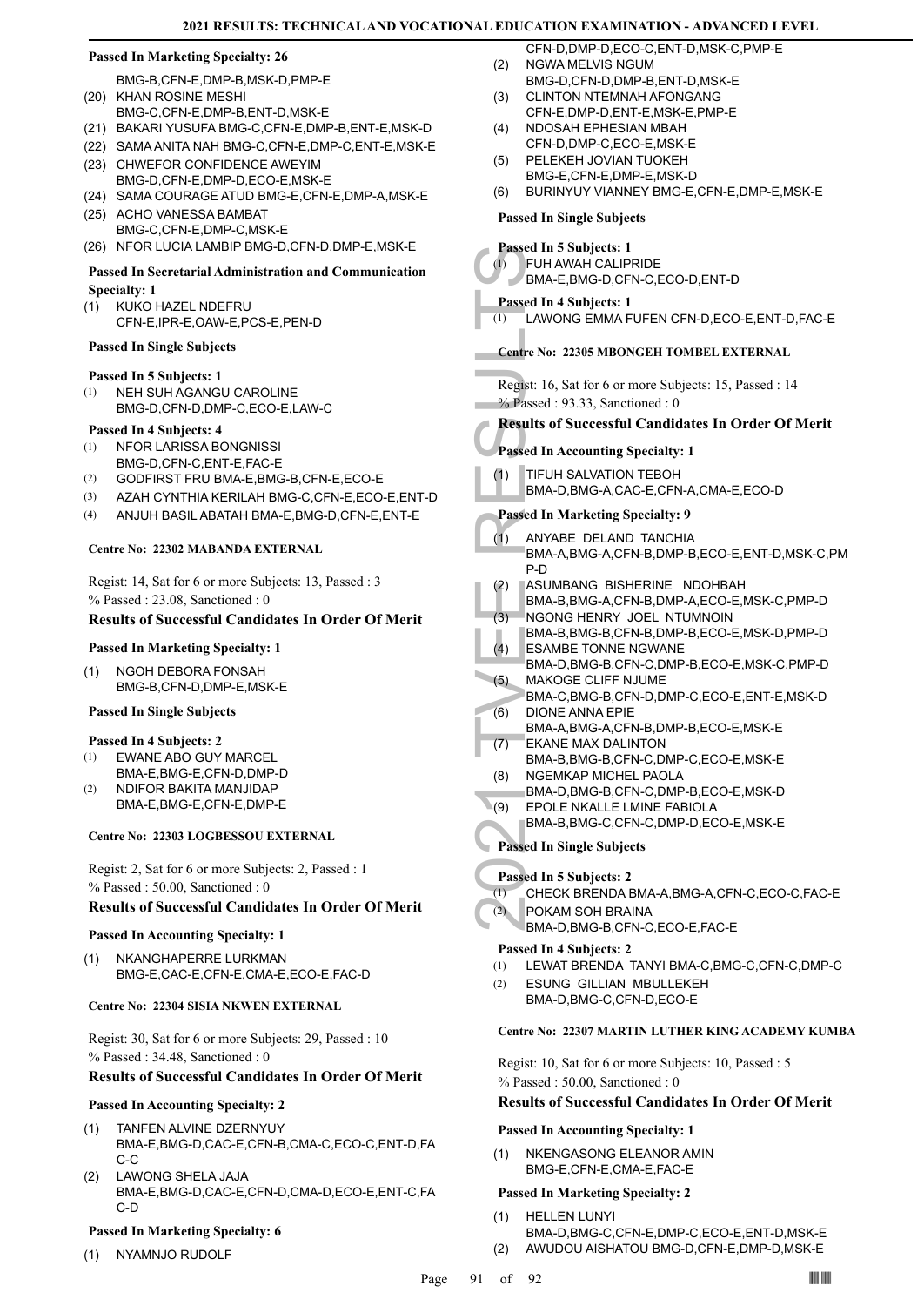**COL** 

#### **Passed In Marketing Specialty: 26**

- BMG-B,CFN-E,DMP-B,MSK-D,PMP-E (20) KHAN ROSINE MESHI
- BMG-C,CFN-E,DMP-B,ENT-D,MSK-E
- (21) BAKARI YUSUFA BMG-C,CFN-E,DMP-B,ENT-E,MSK-D
- (22) SAMA ANITA NAH BMG-C,CFN-E,DMP-C,ENT-E,MSK-E
- (23) CHWEFOR CONFIDENCE AWEYIM BMG-D,CFN-E,DMP-D,ECO-E,MSK-E
- (24) SAMA COURAGE ATUD BMG-E,CFN-E,DMP-A,MSK-E
- (25) ACHO VANESSA BAMBAT BMG-C,CFN-E,DMP-C,MSK-E
- (26) NFOR LUCIA LAMBIP BMG-D,CFN-D,DMP-E,MSK-E

#### **Passed In Secretarial Administration and Communication Specialty: 1**

KUKO HAZEL NDEFRU CFN-E,IPR-E,OAW-E,PCS-E,PEN-D (1)

#### **Passed In Single Subjects**

## **Passed In 5 Subjects: 1**

NEH SUH AGANGU CAROLINE BMG-D,CFN-D,DMP-C,ECO-E,LAW-C (1)

#### **Passed In 4 Subjects: 4**

- NFOR LARISSA BONGNISSI (1)
- BMG-D,CFN-C,ENT-E,FAC-E (2) GODFIRST FRU BMA-E,BMG-B,CFN-E,ECO-E
- (3) AZAH CYNTHIA KERILAH BMG-C,CFN-E,ECO-E,ENT-D
- (4) ANJUH BASIL ABATAH BMA-E,BMG-D,CFN-E,ENT-E

#### **Centre No: 22302 MABANDA EXTERNAL**

Regist: 14, Sat for 6 or more Subjects: 13, Passed : 3 % Passed : 23.08, Sanctioned : 0

#### **Results of Successful Candidates In Order Of Merit**

#### **Passed In Marketing Specialty: 1**

NGOH DEBORA FONSAH BMG-B,CFN-D,DMP-E,MSK-E (1)

## **Passed In Single Subjects**

- **Passed In 4 Subjects: 2**
- EWANE ABO GUY MARCEL BMA-E,BMG-E,CFN-D,DMP-D (1)
- NDIFOR BAKITA MANJIDAP BMA-E,BMG-E,CFN-E,DMP-E (2)

#### **Centre No: 22303 LOGBESSOU EXTERNAL**

Regist: 2, Sat for 6 or more Subjects: 2, Passed : 1 % Passed : 50.00, Sanctioned : 0

#### **Results of Successful Candidates In Order Of Merit**

#### **Passed In Accounting Specialty: 1**

NKANGHAPERRE LURKMAN BMG-E,CAC-E,CFN-E,CMA-E,ECO-E,FAC-D (1)

#### **Centre No: 22304 SISIA NKWEN EXTERNAL**

Regist: 30, Sat for 6 or more Subjects: 29, Passed : 10 % Passed : 34.48, Sanctioned : 0

#### **Results of Successful Candidates In Order Of Merit**

#### **Passed In Accounting Specialty: 2**

- TANFEN ALVINE DZERNYUY BMA-E,BMG-D,CAC-E,CFN-B,CMA-C,ECO-C,ENT-D,FA C-C (1)
- LAWONG SHELA JAJA BMA-E,BMG-D,CAC-E,CFN-D,CMA-D,ECO-E,ENT-C,FA C-D (2)

#### **Passed In Marketing Specialty: 6**

(1) NYAMNJO RUDOLF

- CFN-D,DMP-D,ECO-C,ENT-D,MSK-C,PMP-E NGWA MELVIS NGUM (2)
- BMG-D,CFN-D,DMP-B,ENT-D,MSK-E CLINTON NTEMNAH AFONGANG (3)
- CFN-E,DMP-D,ENT-E,MSK-E,PMP-E NDOSAH EPHESIAN MBAH (4)
	- CFN-D,DMP-C,ECO-E,MSK-E PELEKEH JOVIAN TUOKEH
- BMG-E,CFN-E,DMP-E,MSK-D (5)
- (6) BURINYUY VIANNEY BMG-E,CFN-E,DMP-E,MSK-E

## **Passed In Single Subjects**

#### **Passed In 5 Subjects: 1**

FUH AWAH CALIPRIDE BMA-E,BMG-D,CFN-C,ECO-D,ENT-D (1)

## **Passed In 4 Subjects: 1**

(1) LAWONG EMMA FUFEN CFN-D,ECO-E,ENT-D,FAC-E

#### **Centre No: 22305 MBONGEH TOMBEL EXTERNAL**

Regist: 16, Sat for 6 or more Subjects: 15, Passed : 14 % Passed : 93.33, Sanctioned : 0

## **Results of Successful Candidates In Order Of Merit**

**Passed In Accounting Specialty: 1**

#### TIFUH SALVATION TEBOH (1)

BMA-D,BMG-A,CAC-E,CFN-A,CMA-E,ECO-D

#### **Passed In Marketing Specialty: 9**

- Passed In 3:<br>
(1) FUH AW<br>
BMA-E,<br>
Passed In 4:<br>
(1) LAWON<br>
Centre No: 2:<br>
Regist: 16, S.<br>
(2) Results of S<br>
Passed In Ac<br>
(1) TIFUH 8<br>
BMA-D,<br>
Passed In M<br>
(1) ANYABE<br>
BMA-A,<br>
P-D<br>
ASUMB BMA-A,<br>
(2) ASUMB BMA-B,<br>
(3) NGONC ANYABE DELAND TANCHIA BMA-A,BMG-A,CFN-B,DMP-B,ECO-E,ENT-D,MSK-C,PM P-D (1)
- ASUMBANG BISHERINE NDOHBAH (2)
- BMA-B,BMG-A,CFN-B,DMP-A,ECO-E,MSK-C,PMP-D NGONG HENRY JOEL NTUMNOIN (3)
- BMA-B,BMG-B,CFN-B,DMP-B,ECO-E,MSK-D,PMP-D ESAMBE TONNE NGWANE  $(4)$
- BMA-D,BMG-B,CFN-C,DMP-B,ECO-E,MSK-C,PMP-D MAKOGE CLIFF NJUME (5)
- BMA-C,BMG-B,CFN-D,DMP-C,ECO-E,ENT-E,MSK-D DIONE ANNA EPIE (6)
- BMA-A,BMG-A,CFN-B,DMP-B,ECO-E,MSK-E EKANE MAX DALINTON (7)
- BMA-B,BMG-B,CFN-C,DMP-C,ECO-E,MSK-E NGEMKAP MICHEL PAOLA (8)
- BMA-D,BMG-B,CFN-C,DMP-B,ECO-E,MSK-D
- EPOLE NKALLE LMINE FABIOLA  $(9)$
- BMA-B,BMG-C,CFN-C,DMP-D,ECO-E,MSK-E

#### **Passed In Single Subjects**

#### **Passed In 5 Subjects: 2**

# (1) CHECK BRENDA BMA-A,BMG-A,CFN-C,ECO-C,FAC-E

- POKAM SOH BRAINA (2)
	- BMA-D,BMG-B,CFN-C,ECO-E,FAC-E

#### **Passed In 4 Subjects: 2**

- (1) LEWAT BRENDA TANYI BMA-C,BMG-C,CFN-C,DMP-C ESUNG GILLIAN MBULLEKEH (2)
- BMA-D,BMG-C,CFN-D,ECO-E

### **Centre No: 22307 MARTIN LUTHER KING ACADEMY KUMBA**

Regist: 10, Sat for 6 or more Subjects: 10, Passed : 5 % Passed : 50.00, Sanctioned : 0

## **Results of Successful Candidates In Order Of Merit**

#### **Passed In Accounting Specialty: 1**

NKENGASONG ELEANOR AMIN BMG-E,CFN-E,CMA-E,FAC-E (1)

- HELLEN LUNYI (1)
- BMA-D,BMG-C,CFN-E,DMP-C,ECO-E,ENT-D,MSK-E (2) AWUDOU AISHATOU BMG-D,CFN-E,DMP-D,MSK-E